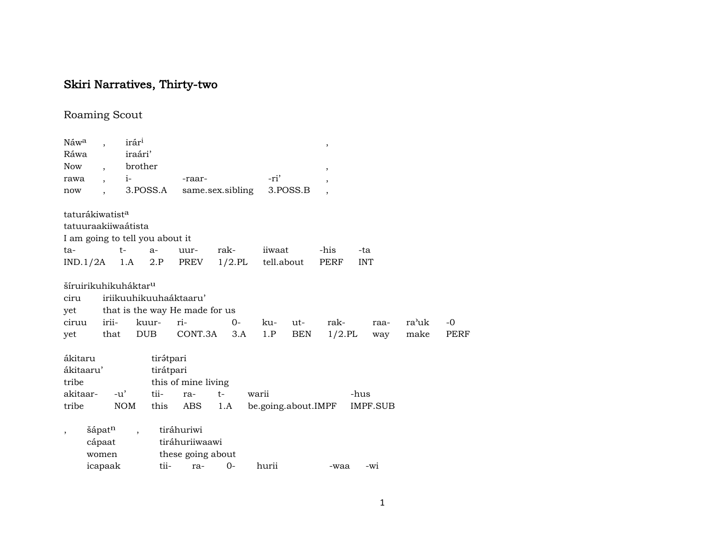# Skiri Narratives, Thirty-two

# Roaming Scout

| Náw <sup>a</sup>            |                          |            | irár <sup>i</sup>                |                                 |                                |       |           |            |                     | $\,$                  |            |          |       |      |
|-----------------------------|--------------------------|------------|----------------------------------|---------------------------------|--------------------------------|-------|-----------|------------|---------------------|-----------------------|------------|----------|-------|------|
| Ráwa                        |                          |            | iraári'                          |                                 |                                |       |           |            |                     |                       |            |          |       |      |
| Now                         | $\overline{\phantom{a}}$ |            | brother                          |                                 |                                |       |           |            |                     | $^\mathrm{^{^\circ}}$ |            |          |       |      |
| rawa                        | $\overline{\phantom{a}}$ |            | $i-$                             |                                 | -raar-                         |       |           | -ri'       |                     | ,                     |            |          |       |      |
| now                         |                          |            | 3.POSS.A                         |                                 | same.sex.sibling               |       |           |            | 3.POSS.B            |                       |            |          |       |      |
| taturákiwatist <sup>a</sup> |                          |            |                                  |                                 |                                |       |           |            |                     |                       |            |          |       |      |
|                             |                          |            | tatuuraakiiwaátista              |                                 |                                |       |           |            |                     |                       |            |          |       |      |
|                             |                          |            |                                  | I am going to tell you about it |                                |       |           |            |                     |                       |            |          |       |      |
| ta-                         |                          |            | $t-$                             | $a-$                            | uur-                           | rak-  |           | iiwaat     |                     | -his                  | -ta        |          |       |      |
| $IND.1/2A$ 1.A              |                          |            |                                  | 2.P                             | PREV                           |       | $1/2$ .PL | tell.about |                     | PERF                  | <b>INT</b> |          |       |      |
|                             |                          |            | šíruirikuhikuháktar <sup>u</sup> |                                 |                                |       |           |            |                     |                       |            |          |       |      |
| ciru                        |                          |            |                                  |                                 | iriikuuhikuuhaáktaaru'         |       |           |            |                     |                       |            |          |       |      |
| yet                         |                          |            |                                  |                                 | that is the way He made for us |       |           |            |                     |                       |            |          |       |      |
| ciruu                       |                          | irii-      | kuur-                            |                                 | ri-                            |       | $0-$      | ku-        | ut-                 | rak-                  |            | raa-     | ra'uk | $-0$ |
| yet                         |                          | that       | DUB                              |                                 | CONT.3A                        |       | 3.A       | 1.P        | BEN                 | $1/2$ .PL             |            | way      | make  | PERF |
| ákitaru                     |                          |            |                                  | tirátpari                       |                                |       |           |            |                     |                       |            |          |       |      |
| ákitaaru'                   |                          |            |                                  | tirátpari                       |                                |       |           |            |                     |                       |            |          |       |      |
| tribe                       |                          |            |                                  |                                 | this of mine living            |       |           |            |                     |                       |            |          |       |      |
| akitaar-                    |                          | $-u'$      |                                  | tii-                            | ra-                            | $t-$  |           | warii      |                     |                       | -hus       |          |       |      |
| tribe                       |                          | <b>NOM</b> |                                  | this                            | ABS                            | 1.A   |           |            | be.going.about.IMPF |                       |            | IMPF.SUB |       |      |
| ,                           | šápat <sup>n</sup>       |            | $\ddot{\phantom{0}}$             |                                 | tiráhuriwi                     |       |           |            |                     |                       |            |          |       |      |
|                             | cápaat                   |            |                                  |                                 | tiráhuriiwaawi                 |       |           |            |                     |                       |            |          |       |      |
|                             | women                    |            |                                  |                                 | these going about              |       |           |            |                     |                       |            |          |       |      |
|                             | icapaak                  |            |                                  | tii-                            | ra-                            | $0 -$ |           | hurii      |                     | -waa                  |            | -wi      |       |      |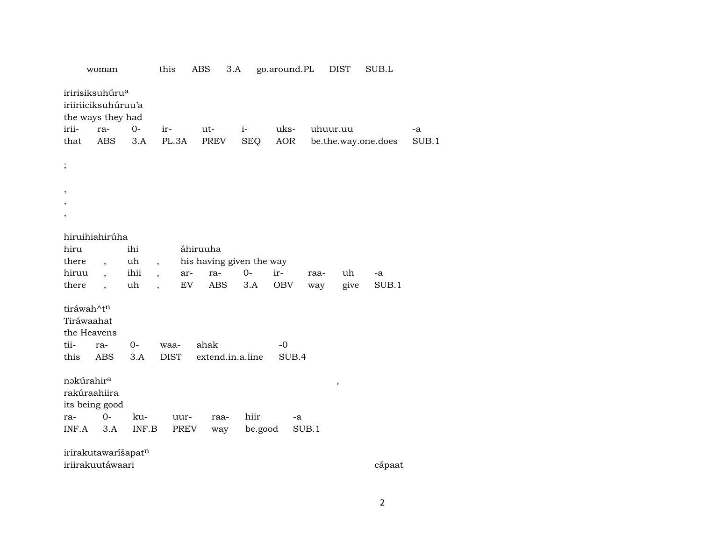|                                                                            | woman                                    | this                            | <b>ABS</b><br>3.A        |            | go.around.PL  |          | <b>DIST</b> | SUB.L               |       |
|----------------------------------------------------------------------------|------------------------------------------|---------------------------------|--------------------------|------------|---------------|----------|-------------|---------------------|-------|
| iririsiksuhúru <sup>a</sup>                                                | iriiriiciksuhúruu'a<br>the ways they had |                                 |                          |            |               |          |             |                     |       |
| irii-                                                                      | $0 -$<br>ra-                             | ir-                             | $ut-$                    | $i-$       | uks-          | uhuur.uu |             |                     | -a    |
| that                                                                       | <b>ABS</b><br>3.A                        | PL.3A                           | PREV                     | <b>SEQ</b> | <b>AOR</b>    |          |             | be.the.way.one.does | SUB.1 |
|                                                                            |                                          |                                 |                          |            |               |          |             |                     |       |
| $\vdots$                                                                   |                                          |                                 |                          |            |               |          |             |                     |       |
| $\overline{ }$                                                             |                                          |                                 |                          |            |               |          |             |                     |       |
|                                                                            |                                          |                                 |                          |            |               |          |             |                     |       |
| ,                                                                          |                                          |                                 |                          |            |               |          |             |                     |       |
|                                                                            |                                          |                                 |                          |            |               |          |             |                     |       |
| hiruihiahirúha                                                             |                                          |                                 |                          |            |               |          |             |                     |       |
| hiru                                                                       | ihi                                      |                                 | áhiruuha                 |            |               |          |             |                     |       |
| there                                                                      | uh<br>$\overline{\phantom{a}}$           | $\overline{ }$ ,                | his having given the way |            |               |          |             |                     |       |
| hiruu                                                                      | ihii<br>$\overline{\phantom{a}}$         | ar-<br>$\overline{\phantom{a}}$ | ra-                      | $0-$       | ir-           | raa-     | uh          | -a                  |       |
| there                                                                      | uh<br>$\ddot{\phantom{0}}$               | EV<br>$\ddot{\phantom{0}}$      | <b>ABS</b>               | 3.A        | <b>OBV</b>    | way      | give        | SUB.1               |       |
| tiráwah^t <sup>n</sup><br>Tiráwaahat<br>the Heavens<br>tii-<br>ra-<br>this | $O -$<br><b>ABS</b><br>3.A               | waa-<br><b>DIST</b>             | ahak<br>extend.in.a.line |            | $-0$<br>SUB.4 |          |             |                     |       |
|                                                                            |                                          |                                 |                          |            |               |          |             |                     |       |
| nəkúrahir <sup>a</sup><br>rakúraahiira<br>its being good                   |                                          |                                 |                          |            |               |          | $\,$        |                     |       |
| ra-                                                                        | $0-$<br>ku-                              | uur-                            | raa-                     | hiir       | -a            |          |             |                     |       |
| INF.A                                                                      | INF.B<br>3.A                             | PREV                            | way                      | be.good    |               | SUB.1    |             |                     |       |
|                                                                            |                                          |                                 |                          |            |               |          |             |                     |       |
|                                                                            | irirakutawaríšapatn                      |                                 |                          |            |               |          |             |                     |       |
| iriirakuutáwaari                                                           |                                          |                                 |                          |            |               |          |             | cápaat              |       |

 $\overline{2}$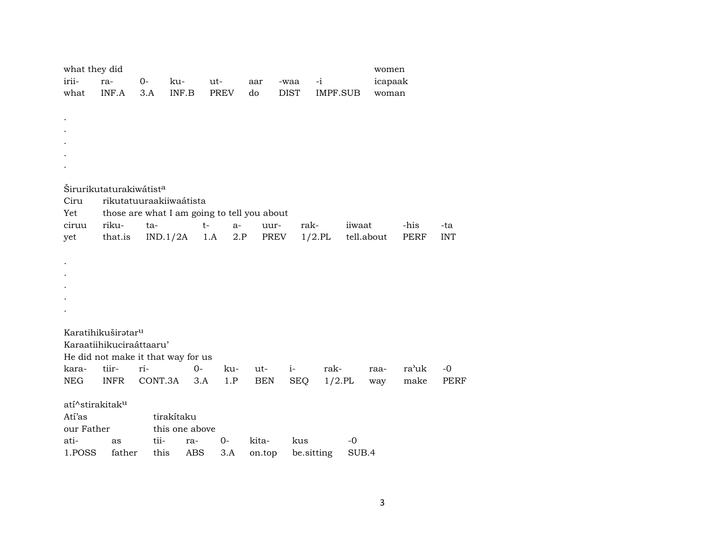| what they did<br>irii-<br>what                                        | ra-<br>INF.A                                                                                                                                                                    | 0-<br>3.A    | ku-<br>INF.B                                                           | ut-<br><b>PREV</b> | aar<br>do       | -waa<br><b>DIST</b> | $-i$<br><b>IMPF.SUB</b> |                      | women<br>icapaak<br>woman |                   |
|-----------------------------------------------------------------------|---------------------------------------------------------------------------------------------------------------------------------------------------------------------------------|--------------|------------------------------------------------------------------------|--------------------|-----------------|---------------------|-------------------------|----------------------|---------------------------|-------------------|
| $\cdot$                                                               |                                                                                                                                                                                 |              |                                                                        |                    |                 |                     |                         |                      |                           |                   |
| Ciru<br>Yet                                                           | Širurikutaturakiwátist <sup>a</sup>                                                                                                                                             |              | rikutatuuraakiiwaátista<br>those are what I am going to tell you about |                    |                 |                     |                         |                      |                           |                   |
| ciruu<br>yet                                                          | riku-<br>that.is                                                                                                                                                                | ta-          | $t-$<br>IND.1/2A                                                       | $a-$<br>1.A<br>2.P | uur-<br>PREV    | rak-                | $1/2$ .PL               | iiwaat<br>tell.about | -his<br>PERF              | -ta<br><b>INT</b> |
|                                                                       |                                                                                                                                                                                 |              |                                                                        |                    |                 |                     |                         |                      |                           |                   |
| kara-                                                                 | Karatihikuširatar <sup>u</sup><br>Karaatiihikuciraáttaaru'<br>He did not make it that way for us<br>tiir-<br>ri-<br>rak-<br>ra'uk<br>$0-$<br>ku-<br>$-0$<br>ut-<br>$i-$<br>raa- |              |                                                                        |                    |                 |                     |                         |                      |                           |                   |
| <b>NEG</b>                                                            | <b>INFR</b>                                                                                                                                                                     | CONT.3A      | 3.A                                                                    | 1.P                | <b>BEN</b>      | <b>SEQ</b>          | $1/2.$ PL               | way                  | make                      | <b>PERF</b>       |
| atí^stirakitak <sup>u</sup><br>Atí'as<br>our Father<br>ati-<br>1.POSS | as<br>father                                                                                                                                                                    | tii-<br>this | tirakítaku<br>this one above<br>ra-<br><b>ABS</b>                      | $O -$<br>3.A       | kita-<br>on.top | kus<br>be.sitting   |                         | $-0$<br>SUB.4        |                           |                   |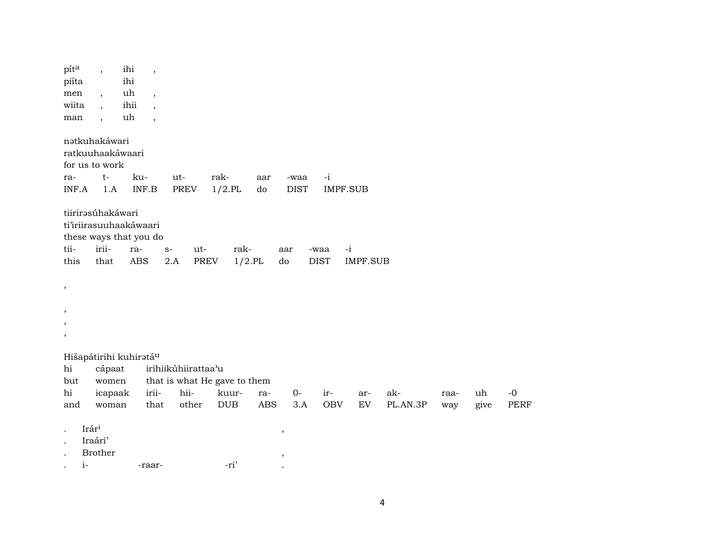| pita                     | $\overline{\phantom{a}}$           | ihi<br>$\overline{\phantom{a}}$  |                     |                              |            |             |              |                            |          |      |      |             |
|--------------------------|------------------------------------|----------------------------------|---------------------|------------------------------|------------|-------------|--------------|----------------------------|----------|------|------|-------------|
| piíta                    |                                    | ihi                              |                     |                              |            |             |              |                            |          |      |      |             |
| men                      | $\overline{\phantom{a}}$           | uh<br>$\overline{\phantom{a}}$   |                     |                              |            |             |              |                            |          |      |      |             |
| wiita                    | $\overline{\phantom{a}}$           | ihii<br>$\overline{\phantom{a}}$ |                     |                              |            |             |              |                            |          |      |      |             |
| man                      | $\overline{\phantom{a}}$           | uh<br>$\overline{\phantom{a}}$   |                     |                              |            |             |              |                            |          |      |      |             |
|                          | nətkuhakáwari                      |                                  |                     |                              |            |             |              |                            |          |      |      |             |
|                          | ratkuuhaakáwaari                   |                                  |                     |                              |            |             |              |                            |          |      |      |             |
|                          | for us to work                     |                                  |                     |                              |            |             |              |                            |          |      |      |             |
| ra-                      | $t-$                               | ku-                              | ut-                 | rak-                         | aar        | -waa        | $-i$         |                            |          |      |      |             |
| INF.A                    | 1.A                                | $\textsf{INF.B}$                 | <b>PREV</b>         | $1/2$ .PL                    | do         | <b>DIST</b> | IMPF.SUB     |                            |          |      |      |             |
|                          | tiirirasúhakáwari                  |                                  |                     |                              |            |             |              |                            |          |      |      |             |
|                          | ti'iriirasuuhaakáwaari             |                                  |                     |                              |            |             |              |                            |          |      |      |             |
|                          | these ways that you do             |                                  |                     |                              |            |             |              |                            |          |      |      |             |
| tii-                     | irii-                              | ra-                              | $S-$                | rak-<br>ut-                  |            | aar         | $-i$<br>-waa |                            |          |      |      |             |
| this                     | that                               | <b>ABS</b>                       | 2.A                 | PREV                         | $1/2$ .PL  | do          | <b>DIST</b>  | <b>IMPF.SUB</b>            |          |      |      |             |
|                          |                                    |                                  |                     |                              |            |             |              |                            |          |      |      |             |
| $\, ,$                   |                                    |                                  |                     |                              |            |             |              |                            |          |      |      |             |
|                          |                                    |                                  |                     |                              |            |             |              |                            |          |      |      |             |
| $\overline{\phantom{a}}$ |                                    |                                  |                     |                              |            |             |              |                            |          |      |      |             |
|                          |                                    |                                  |                     |                              |            |             |              |                            |          |      |      |             |
| $\, ,$                   |                                    |                                  |                     |                              |            |             |              |                            |          |      |      |             |
|                          | Hišapátirihi kuhiratá <sup>u</sup> |                                  |                     |                              |            |             |              |                            |          |      |      |             |
| hi                       | cápaat                             |                                  | irihiikúhiirattaa'u |                              |            |             |              |                            |          |      |      |             |
| but                      | women                              |                                  |                     | that is what He gave to them |            |             |              |                            |          |      |      |             |
| $\hbox{hi}$              | icapaak                            | irii-                            | hii-                | kuur-                        | ra-        | $0-$        | ir-          | ar-                        | ak-      | raa- | uh   | $-{\bf 0}$  |
| and                      | woman                              | that                             | other               | DUB                          | <b>ABS</b> | 3.A         | <b>OBV</b>   | $\mathop{\rm EV}\nolimits$ | PL.AN.3P | way  | give | <b>PERF</b> |
|                          | Irári                              |                                  |                     |                              |            |             |              |                            |          |      |      |             |
|                          | Iraári'                            |                                  |                     |                              |            | $\, ,$      |              |                            |          |      |      |             |
|                          | <b>Brother</b>                     |                                  |                     |                              |            | $\, ,$      |              |                            |          |      |      |             |
| $i-$                     |                                    | -raar-                           |                     | -ri'                         |            |             |              |                            |          |      |      |             |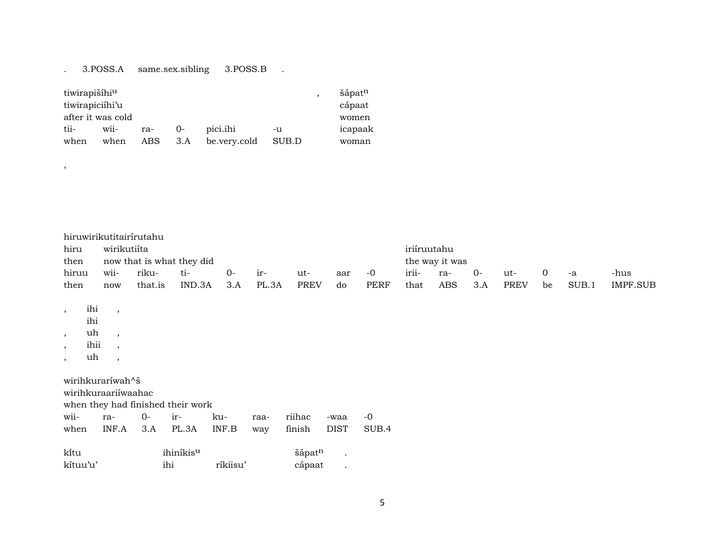#### . 3.POSS.A same.sex.sibling 3.POSS.B .

| tiwirapišíhi <sup>u</sup> |      |         |       |              |       | šápat <sup>n</sup> |
|---------------------------|------|---------|-------|--------------|-------|--------------------|
| tiwirapiciíhi'u           |      |         |       |              |       | cápaat             |
| after it was cold         |      |         |       |              |       | women              |
| tii-                      | wii- | ra-     | $O -$ | pici.ihi     | -u    | icapaak            |
| when                      | when | ABS 3.A |       | be.very.cold | SUB.D | woman              |

|       |                           | hiruwirikutitairírutahu |        |      |       |      |     |                |             |     |      |             |     |       |          |
|-------|---------------------------|-------------------------|--------|------|-------|------|-----|----------------|-------------|-----|------|-------------|-----|-------|----------|
| hiru  | wirikutiíta               |                         |        |      |       |      |     |                | iriíruutahu |     |      |             |     |       |          |
| then  | now that is what they did |                         |        |      |       |      |     | the way it was |             |     |      |             |     |       |          |
| hiruu | wii-                      | riku-                   | ti-    | $O-$ | $ir-$ | ut-  | aar | $-0$           | irii-       | ra- | $O-$ | ut-         | - 0 | $-A$  | -hus     |
| then  | now                       | that.is                 | IND.3A | 3.A  | PL.3A | PREV | do  | PERF           | that        | ABS | 3.A  | <b>PREV</b> | be  | SUB.1 | IMPF.SUB |

, ihi ,

ihi

,

 $,$  uh ,

, ihii ,

 $,$  uh  $,$ 

wirihkuraríwah^š

wirihkuraariíwaahac

when they had finished their work

|  |  |  | wii- ra- 0- ir- ku- raa- riihac -waa -0          |  |
|--|--|--|--------------------------------------------------|--|
|  |  |  | when INF.A 3.A PL.3A INF.B way finish DIST SUB.4 |  |

| kitu     | ihiníkis <sup>u</sup> | šápatn   |        |  |
|----------|-----------------------|----------|--------|--|
| kítuu'u' | ihi                   | ríkiisu' | cápaat |  |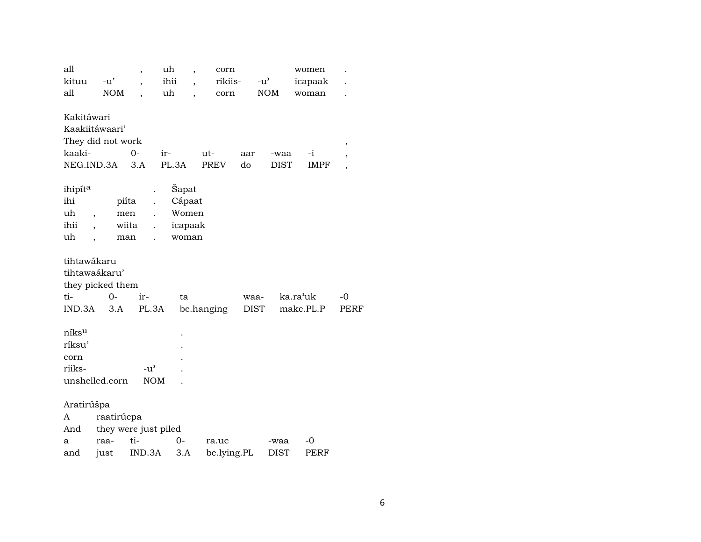| all<br>kituu<br>all                           | $-u'$<br><b>NOM</b>                                  | $\overline{\phantom{a}}$<br>$\overline{\phantom{a}}$ | uh<br>$\overline{\phantom{a}}$<br>ihii<br>$\overline{\phantom{a}}$<br>uh<br>$\overline{\phantom{a}}$ | corn<br>rikiis-<br>$_{\rm corr}$ | $-u$ <sup><math>\prime</math></sup> | <b>NOM</b>          | women<br>icapaak<br>woman |              |  |
|-----------------------------------------------|------------------------------------------------------|------------------------------------------------------|------------------------------------------------------------------------------------------------------|----------------------------------|-------------------------------------|---------------------|---------------------------|--------------|--|
| Kakitáwari<br>kaaki-<br>NEG.IND.3A            | Kaakiitáwaari'<br>They did not work                  | $0-$<br>3.A                                          | ir-<br>PL.3A                                                                                         | ut-<br>PREV                      | aar<br>do                           | -waa<br>$\rm{DIST}$ | $-i$<br><b>IMPF</b>       | $\,$         |  |
| ihipíta<br>ihi<br>uh<br>ihii<br>uh            | $\overline{\phantom{a}}$<br>$\overline{\phantom{a}}$ | piíta<br>men<br>wiita<br>$\ddot{\phantom{a}}$<br>man | Šapat<br>Cápaat<br>Women<br>icapaak<br>woman                                                         |                                  |                                     |                     |                           |              |  |
| tihtawákaru<br>ti-<br>IND.3A                  | tihtawaákaru'<br>they picked them<br>$0-$<br>3.A     | ir-<br>PL.3A                                         | ta                                                                                                   | be.hanging                       | waa-<br><b>DIST</b>                 |                     | ka.ra'uk<br>make.PL.P     | $-0$<br>PERF |  |
| níks <sup>u</sup><br>ríksu'<br>corn<br>riiks- | unshelled.corn                                       | $-u$ <sup><math>\prime</math></sup><br><b>NOM</b>    |                                                                                                      |                                  |                                     |                     |                           |              |  |
| Aratirúšpa<br>A<br>And<br>a<br>and            | raatirúcpa<br>raa-<br>just                           | they were just piled<br>ti-<br>IND.3A                | $O -$<br>3.A                                                                                         | ra.uc<br>be.lying.PL             |                                     | -waa<br><b>DIST</b> | -0<br><b>PERF</b>         |              |  |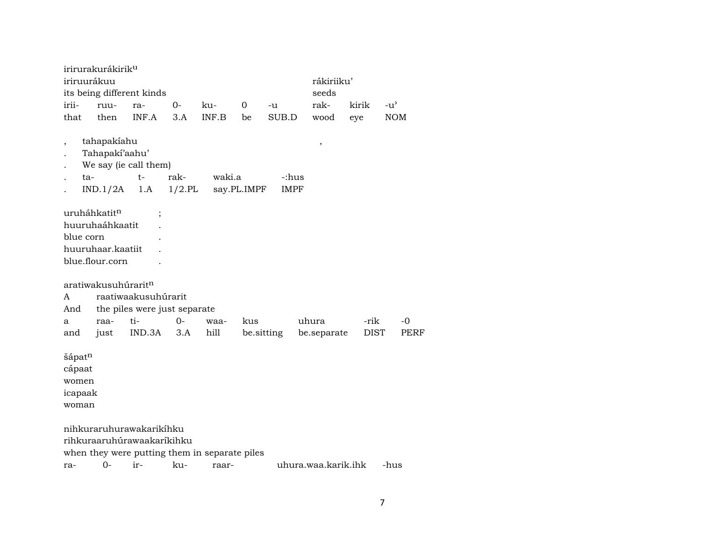irirurakurákirik<sup>u</sup> iriruurákuu rákiriiku' its being different kinds seeds irii- ruu- ra- 0- ku- 0 -u rak- kirik -u" that then INF.A 3.A INF.B be SUB.D wood eye NOM , tahapakíahu , . Tahapakí'aahu' . We say (ie call them) . ta- t- rak- waki.a -:hus . IND.1/2A 1.A 1/2.PL say.PL.IMPF IMPF uruháhkatit<sup>n</sup> ; huuruhaáhkaatit . blue corn . huuruhaar.kaatiit . blue.flour.corn . aratiwakusuhúrarit $<sup>n</sup>$ </sup> A raatiwaakusuhúrarit And the piles were just separate a raa- ti- 0- waa- kus uhura -rik -0 and just IND.3A 3.A hill be.sitting be.separate DIST PERF šápat<sup>n</sup> cápaat women icapaak woman nihkuraruhurawakarikíhku rihkuraaruhúrawaakaríkihku when they were putting them in separate piles ra- 0- ir- ku- raar- uhura.waa.karik.ihk -hus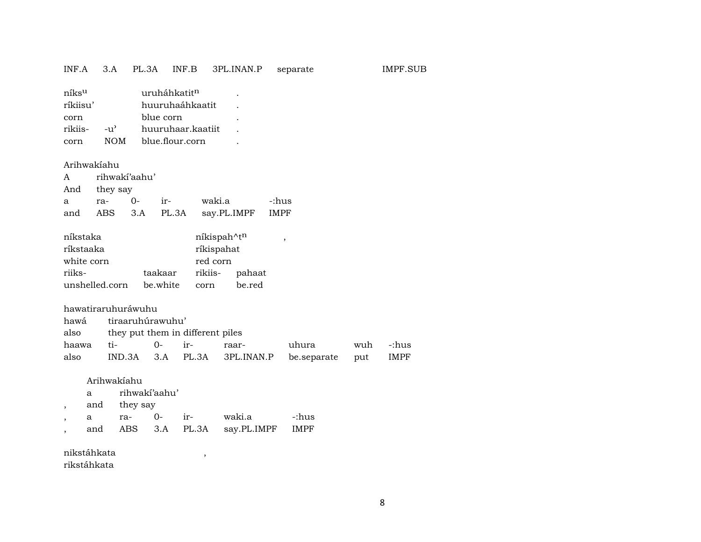## INF.A 3.A PL.3A INF.B 3PL.INAN.P separate IMPF.SUB

| níks <sup>u</sup> |                    | uruháhkatit <sup>n</sup> |  |
|-------------------|--------------------|--------------------------|--|
| ríkiisu'          |                    | huuruhaáhkaatit          |  |
| corn              |                    | blue corn                |  |
| rikiis-           | $-11$ <sup>2</sup> | huuruhaar.kaatiit        |  |
| corn              | <b>NOM</b>         | blue.flour.corn          |  |
|                   |                    |                          |  |

#### Arihwakíahu

|   | A rihwakí'aahu' |      |                 |                                    |       |  |  |
|---|-----------------|------|-----------------|------------------------------------|-------|--|--|
|   | And they say    |      |                 |                                    |       |  |  |
| a | ra-             | $O-$ | $ir$ - $\cdots$ | waki.a                             | -:hus |  |  |
|   |                 |      |                 | and ABS 3.A PL.3A say.PL.IMPF IMPF |       |  |  |

| níkstaka       |          |          | níkispah^t <sup>n</sup> |  |  |  |  |
|----------------|----------|----------|-------------------------|--|--|--|--|
| ríkstaaka      |          |          | ríkispahat              |  |  |  |  |
| white corn     |          | red corn |                         |  |  |  |  |
| riiks-         | taakaar  | rikiis-  | pahaat                  |  |  |  |  |
| unshelled.corn | be white | corn     | be.red                  |  |  |  |  |

|      | hawatiraruhuráwuhu |                                       |  |                                                  |       |     |         |  |  |  |
|------|--------------------|---------------------------------------|--|--------------------------------------------------|-------|-----|---------|--|--|--|
|      |                    | hawá tiraaruhúrawuhu'                 |  |                                                  |       |     |         |  |  |  |
|      |                    | also they put them in different piles |  |                                                  |       |     |         |  |  |  |
|      |                    |                                       |  | raar-                                            | uhura | wuh | c:hus - |  |  |  |
| also |                    |                                       |  | IND.3A 3.A PL.3A 3PL.INAN.P be.separate put IMPF |       |     |         |  |  |  |

#### Arihwakíahu

| a   |              | rihwakí'aahu' |     |                                |       |  |  |  |  |
|-----|--------------|---------------|-----|--------------------------------|-------|--|--|--|--|
|     | and they say |               |     |                                |       |  |  |  |  |
| a   | ra-          | $O-$          | ir- | waki.a                         | -:hus |  |  |  |  |
| and |              |               |     | ABS 3.A PL.3A say.PL.IMPF IMPF |       |  |  |  |  |

nikstáhkata ,

rikstáhkata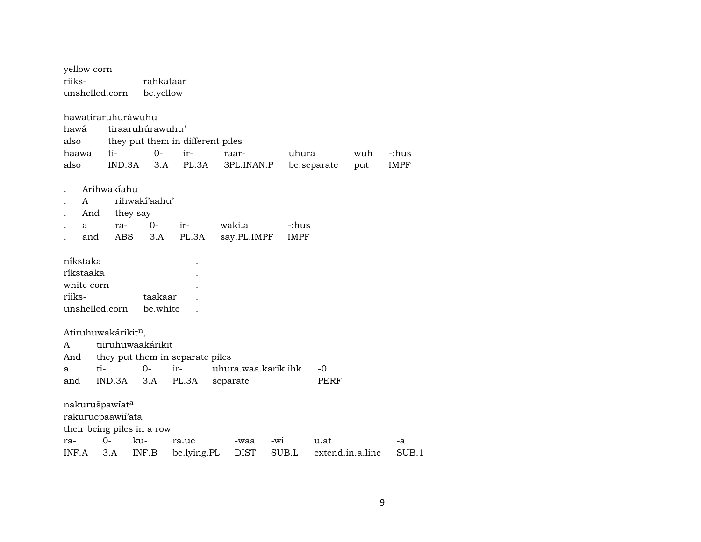| yellow corn                                                       |             |                   |                                  |                     |       |             |                  |     |             |
|-------------------------------------------------------------------|-------------|-------------------|----------------------------------|---------------------|-------|-------------|------------------|-----|-------------|
| riiks-                                                            |             | rahkataar         |                                  |                     |       |             |                  |     |             |
| unshelled.corn                                                    |             | be.yellow         |                                  |                     |       |             |                  |     |             |
| hawatiraruhuráwuhu                                                |             |                   |                                  |                     |       |             |                  |     |             |
| hawá                                                              |             | tiraaruhúrawuhu'  |                                  |                     |       |             |                  |     |             |
| also                                                              |             |                   | they put them in different piles |                     |       |             |                  |     |             |
| haawa                                                             | ti-         | $0 -$             | ir-                              | raar-               |       | uhura       |                  | wuh | -:hus       |
| also                                                              | IND.3A      | 3.A               | PL.3A                            | 3PL.INAN.P          |       |             | be.separate      | put | <b>IMPF</b> |
|                                                                   | Arihwakiahu |                   |                                  |                     |       |             |                  |     |             |
| A                                                                 |             | rihwakí'aahu'     |                                  |                     |       |             |                  |     |             |
| And                                                               |             | they say          |                                  |                     |       |             |                  |     |             |
| a                                                                 | ra-         | $O -$             | ir-                              | waki.a              |       | -:hus       |                  |     |             |
| and                                                               | ABS         | 3.A               | PL.3A                            | say.PL.IMPF         |       | <b>IMPF</b> |                  |     |             |
| níkstaka                                                          |             |                   |                                  |                     |       |             |                  |     |             |
| ríkstaaka                                                         |             |                   |                                  |                     |       |             |                  |     |             |
| white corn                                                        |             |                   |                                  |                     |       |             |                  |     |             |
| riiks-                                                            |             | taakaar           |                                  |                     |       |             |                  |     |             |
| unshelled.corn                                                    |             | be.white          |                                  |                     |       |             |                  |     |             |
| Atiruhuwakárikitn,                                                |             |                   |                                  |                     |       |             |                  |     |             |
| A                                                                 |             | tiiruhuwaakárikit |                                  |                     |       |             |                  |     |             |
| And                                                               |             |                   | they put them in separate piles  |                     |       |             |                  |     |             |
| ti-<br>a                                                          |             | $0-$              | ir-                              | uhura.waa.karik.ihk |       |             | $-0$             |     |             |
| and                                                               | IND.3A      | 3.A               | PL.3A                            | separate            |       |             | <b>PERF</b>      |     |             |
| nakurušpawiata<br>rakurucpaawii'ata<br>their being piles in a row |             |                   |                                  |                     |       |             |                  |     |             |
| ra-                                                               | $O -$       | ku-               | ra.uc                            | -waa                | -wi   |             | u.at             |     | -a          |
| INF.A                                                             | 3.A         | INF.B             | be.lying.PL                      | <b>DIST</b>         | SUB.L |             | extend.in.a.line |     | SUB.1       |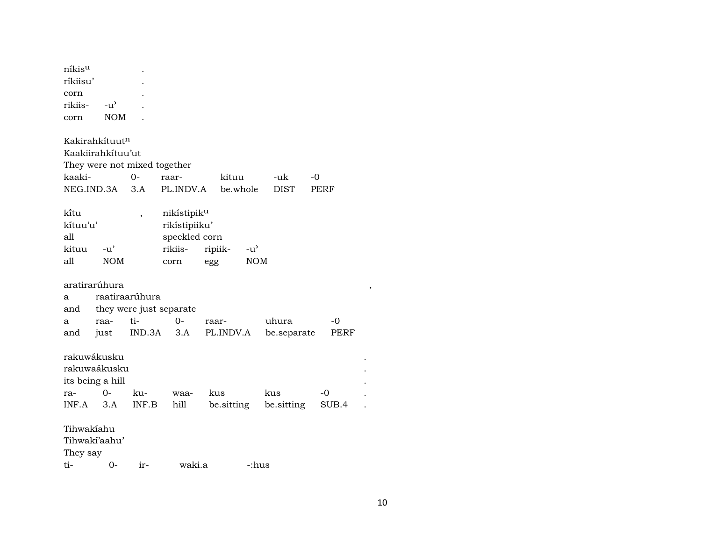| níkis <sup>u</sup> |                    |  |
|--------------------|--------------------|--|
| ríkiisu'           |                    |  |
| corn               |                    |  |
| rikiis-            | $-11$ <sup>2</sup> |  |
| corn               | NOM                |  |

Kakirahkítuut<sup>n</sup> Kaakiirahkítuu'ut They were not mixed together kaaki- 0- raar- kituu -uk -0 NEG.IND.3A 3.A PL.INDV.A be.whole DIST PERF kítu , nikístipik<sup>u</sup><br>kítuu'u' , nikístipiiku rikístipiiku' all speckled corn kituu -u' rikiis- ripiik- -u" all NOM corn egg NOM aratirarúhura , a raatiraarúhura and they were just separate a raa- ti- 0- raar- uhura -0 and just IND.3A 3.A PL.INDV.A be.separate PERF rakuwákusku . rakuwaákusku . its being a hill ra- 0- ku- waa- kus kus -0 . INF.A 3.A INF.B hill be.sitting be.sitting SUB.4 . Tihwakíahu Tihwakí'aahu' They say ti- 0- ir- waki.a -:hus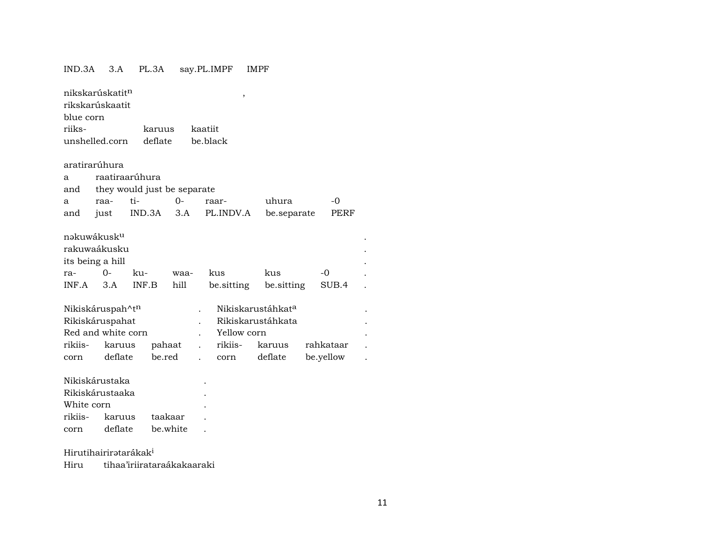#### IND.3A 3.A PL.3A say.PL.IMPF IMPF

| nikskarúskatit <sup>n</sup> |                |          | , |  |
|-----------------------------|----------------|----------|---|--|
| rikskarúskaatit             |                |          |   |  |
| blue corn                   |                |          |   |  |
| riiks-                      | karuus kaatiit |          |   |  |
| unshelled.corn              | deflate        | be black |   |  |
|                             |                |          |   |  |
| aratirarúhura               |                |          |   |  |

|  |  |                |  |                                 | $-\Omega$                                               |  |  |  |  |
|--|--|----------------|--|---------------------------------|---------------------------------------------------------|--|--|--|--|
|  |  |                |  |                                 |                                                         |  |  |  |  |
|  |  | raatiraarúhura |  | and they would just be separate | uhura<br>and just IND.3A 3.A PL.INDV.A be.separate PERF |  |  |  |  |

| nəkuwákusk <sup>u</sup> |       |       |      |            |            |       |  |  |
|-------------------------|-------|-------|------|------------|------------|-------|--|--|
| rakuwaákusku            |       |       |      |            |            |       |  |  |
| its being a hill        |       |       |      |            |            |       |  |  |
| ra-                     | $O -$ | ku-   | waa- | kus        | kus        | $-0$  |  |  |
| $INF.A$ 3.A             |       | INF.B | hill | be sitting | be.sitting | SUB.4 |  |  |

|                 | Nikiskáruspah^t <sup>n</sup> |        |                   | Nikiskarustáhkat <sup>a</sup> |           |  |
|-----------------|------------------------------|--------|-------------------|-------------------------------|-----------|--|
| Rikiskáruspahat |                              |        | Rikiskarustáhkata |                               |           |  |
|                 | Red and white corn           |        | Yellow corn       |                               |           |  |
| rikiis-         | karuus                       | pahaat | . rikiis- karuus  |                               | rahkataar |  |
| corn            | deflate                      | be.red | . corn            | deflate                       | be.yellow |  |

| Nikiskárustaka  |                |          |  |  |  |  |  |  |
|-----------------|----------------|----------|--|--|--|--|--|--|
| Rikiskárustaaka |                |          |  |  |  |  |  |  |
| White corn      |                |          |  |  |  |  |  |  |
|                 | rikiis- karuus | taakaar  |  |  |  |  |  |  |
| corn            | deflate        | be white |  |  |  |  |  |  |
|                 |                |          |  |  |  |  |  |  |

# Hirutihairirətarákak<sup>i</sup>

Hiru tihaa'iriirataraákakaaraki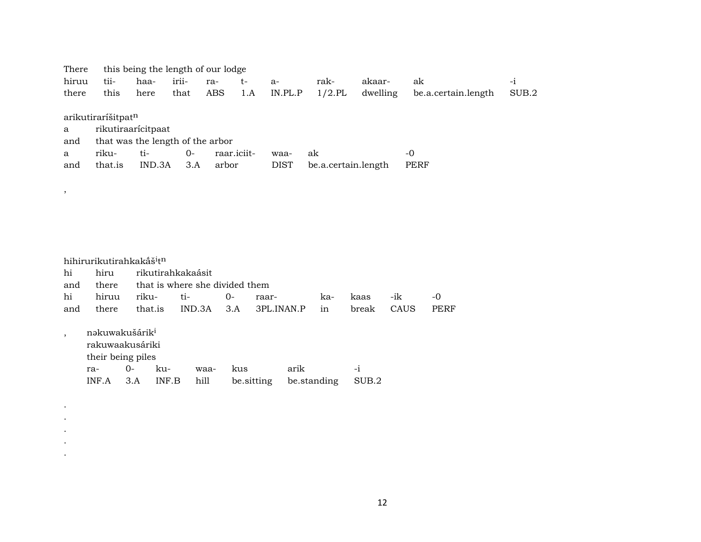| There |                                  | this being the length of our lodge |       |       |             |             |                     |          |                     |       |
|-------|----------------------------------|------------------------------------|-------|-------|-------------|-------------|---------------------|----------|---------------------|-------|
| hiruu | tii-                             | haa-                               | irii- | ra-   | t-          | $a-$        | rak-                | akaar-   | ak                  | $-1$  |
| there | this                             | here                               | that  | ABS   | 1.A         | IN.PL.P     | $1/2$ .PL           | dwelling | be.a.certain.length | SUB.2 |
|       |                                  |                                    |       |       |             |             |                     |          |                     |       |
|       | arikutiraríšitpat <sup>n</sup>   |                                    |       |       |             |             |                     |          |                     |       |
| a     | rikutiraarícitpaat               |                                    |       |       |             |             |                     |          |                     |       |
| and   | that was the length of the arbor |                                    |       |       |             |             |                     |          |                     |       |
| a     | riku-                            | ti-                                | $0-$  |       | raar.iciit- | waa-        | ak                  |          | -0                  |       |
| and   | that.is                          | IND.3A                             | 3.A   | arbor |             | <b>DIST</b> | be.a.certain.length |          | PERF                |       |
|       |                                  |                                    |       |       |             |             |                     |          |                     |       |

|     | hihirurikutirahkakāš <sup>i</sup> t <sup>n</sup>                          |       |                                |        |       |            |             |     |       |      |      |  |
|-----|---------------------------------------------------------------------------|-------|--------------------------------|--------|-------|------------|-------------|-----|-------|------|------|--|
| hi  | hiru                                                                      |       | rikutirahkakaásit              |        |       |            |             |     |       |      |      |  |
| and | there                                                                     |       | that is where she divided them |        |       |            |             |     |       |      |      |  |
| hi  | hiruu                                                                     | riku- |                                | ti-    | $O -$ | raar-      |             | ka- | kaas  | -ik  | $-0$ |  |
| and | there                                                                     |       | that.is                        | IND.3A | 3.A   | 3PL.INAN.P |             | in  | break | CAUS | PERF |  |
|     | nakuwakušárik <sup>i</sup><br>rakuwaakusáriki<br>their being piles<br>ra- | 0-    | ku-                            | waa-   | kus   |            | arik        |     | $-1$  |      |      |  |
|     | INF.A                                                                     | 3.A   | INF.B                          | hill   |       | be.sitting | be.standing |     | SUB.2 |      |      |  |

 $\overline{\phantom{a}}$ 

 $\bullet$  $\bullet$  $\bullet$  $\bullet$  $\ddot{\phantom{a}}$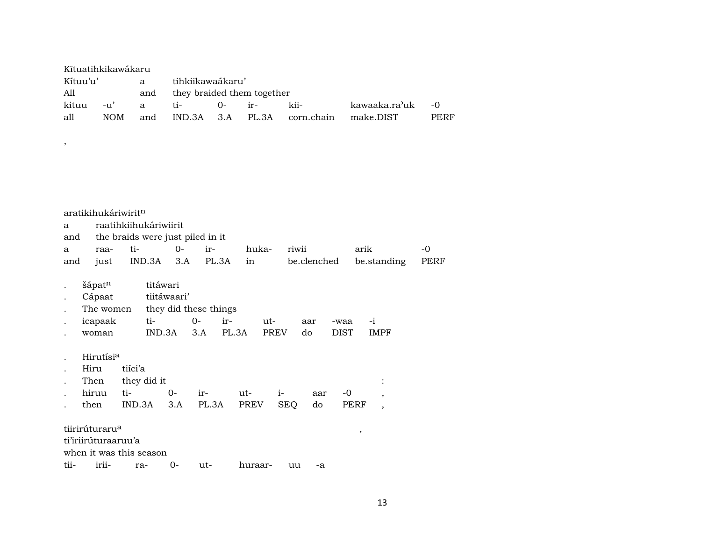| Kĩtuatihkikawákaru |         |     |                                |          |                             |                  |      |
|--------------------|---------|-----|--------------------------------|----------|-----------------------------|------------------|------|
| Kítuu'u'           |         | a   | tihkiikawaákaru'               |          |                             |                  |      |
| All                |         |     | and they braided them together |          |                             |                  |      |
| kituu              | $-11$ ' | a   | $t_{i}$                        | $0-$ ir- | kii-                        | kawaaka.ra'uk -0 |      |
| all                | NOM.    | and |                                |          | IND.3A 3.A PL.3A corn.chain | make.DIST        | PERF |

,

|                      | aratikihukáriwirit <sup>n</sup> |         |                       |       |                                  |       |         |             |            |             |      |      |                          |      |
|----------------------|---------------------------------|---------|-----------------------|-------|----------------------------------|-------|---------|-------------|------------|-------------|------|------|--------------------------|------|
| a                    |                                 |         | raatihkiihukáriwiirit |       |                                  |       |         |             |            |             |      |      |                          |      |
| and                  |                                 |         |                       |       | the braids were just piled in it |       |         |             |            |             |      |      |                          |      |
| a                    | raa-                            | ti-     |                       | $0-$  | ir-                              |       | huka-   |             | riwii      |             |      | arik |                          | -0   |
| and                  | just                            |         | IND.3A                | 3.A   |                                  | PL.3A | in      |             |            | be.clenched |      |      | be.standing              | PERF |
|                      | šápat <sup>n</sup>              |         | titáwari              |       |                                  |       |         |             |            |             |      |      |                          |      |
|                      | Cápaat                          |         | tiitáwaari'           |       |                                  |       |         |             |            |             |      |      |                          |      |
| $\ddot{\phantom{0}}$ | The women                       |         |                       |       | they did these things            |       |         |             |            |             |      |      |                          |      |
|                      | icapaak                         |         | ti-                   |       | $0 -$                            | ir-   |         | ut-         |            | aar         | -waa | $-i$ |                          |      |
|                      | woman                           |         | IND.3A                |       | 3.A                              | PL.3A |         | <b>PREV</b> |            | do          | DIST |      | <b>IMPF</b>              |      |
|                      | Hirutísi <sup>a</sup>           |         |                       |       |                                  |       |         |             |            |             |      |      |                          |      |
|                      | Hiru                            | tiíci'a |                       |       |                                  |       |         |             |            |             |      |      |                          |      |
|                      | Then                            |         | they did it           |       |                                  |       |         |             |            |             |      |      | $\ddot{\cdot}$           |      |
|                      | hiruu                           | ti-     |                       | $0-$  | $ir-$                            |       | ut-     | $i-$        |            | aar         | $-0$ |      | $\cdot$                  |      |
|                      | then                            | IND.3A  |                       | 3.A   | PL.3A                            |       | PREV    |             | <b>SEQ</b> | do          |      | PERF | $\overline{\phantom{a}}$ |      |
|                      | tiirirúturaru <sup>a</sup>      |         |                       |       |                                  |       |         |             |            |             |      | ,    |                          |      |
|                      | ti'iriirúturaaruu'a             |         |                       |       |                                  |       |         |             |            |             |      |      |                          |      |
|                      | when it was this season         |         |                       |       |                                  |       |         |             |            |             |      |      |                          |      |
| tii-                 | irii-                           | ra-     |                       | $0 -$ | ut-                              |       | huraar- |             | uu         | -a          |      |      |                          |      |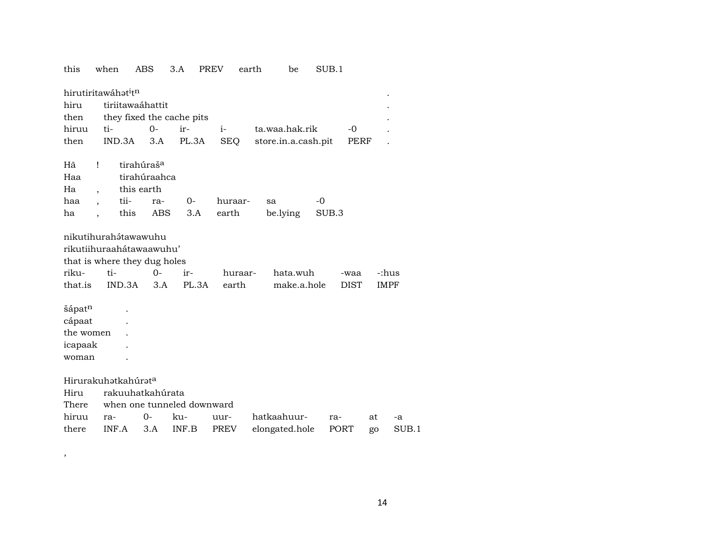this when ABS 3.A PREV earth be  $SUB.1$ hirutiritawáhat<sup>i</sup>t<sup>n</sup>  $\mathbf{r}$ tiriitawaáhattit hiru they fixed the cache pits then  $O$ ir $i$ hiruu tita.waa.hak.rik  $-0$  $\overline{a}$  $3.A$ PL.3A **SEQ** store.in.a.cash.pit **PERF** then IND.3A  $\overline{a}$ tirahúraš<sup>a</sup> Hã  $\mathbf{I}$ tirahúraahca Haa Ha this earth  $\cdot$ tiira- $O -0$ haa huraarsa  $\overline{\phantom{a}}$  $3.A$ be.lying **ABS** earth SUB.3 ha this  $\overline{\phantom{a}}$ nikutihurahátawawuhu rikutiihuraahátawaawuhu' that is where they dug holes ti- $0$ rikuirhuraarhata.wuh -:hus -waa that.is IND.3A  $3.A$ PL.3A earth **DIST IMPF** make.a.hole šápatn  $\ddot{\phantom{a}}$ cápaat  $\ddot{\phantom{a}}$ the women  $\ddot{\phantom{a}}$ icapaak  $\ddot{\phantom{a}}$ woman  $\overline{a}$ Hirurakuhatkahúrata Hiru rakuuhatkahúrata when one tunneled downward There hiruu ra- $0$ kuuurhatkaahuurraat -a elongated.hole there INF.A  $3.A$ INF.B **PREV** PORT  $SUB.1$ go

 $\, ,$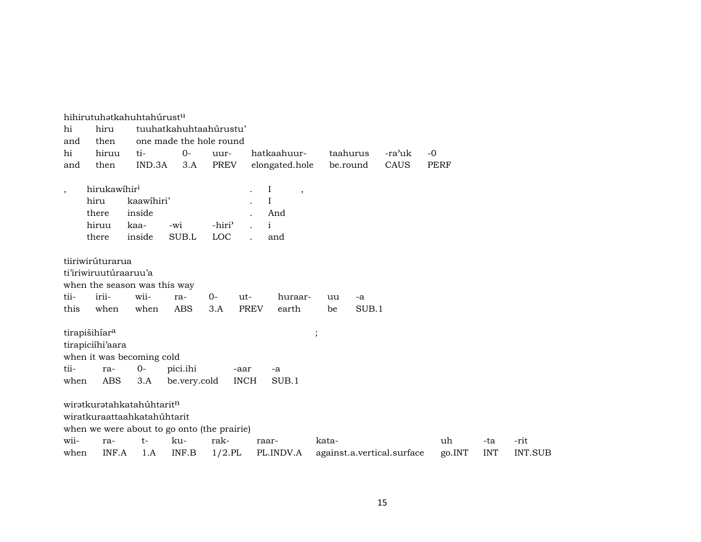|                          |                           | hihirutuhətkahuhtahúrust <sup>u</sup> |              |                                             |                      |                            |        |             |            |                |
|--------------------------|---------------------------|---------------------------------------|--------------|---------------------------------------------|----------------------|----------------------------|--------|-------------|------------|----------------|
| hi                       | hiru                      |                                       |              | tuuhatkahuhtaahúrustu'                      |                      |                            |        |             |            |                |
| and                      | then                      |                                       |              | one made the hole round                     |                      |                            |        |             |            |                |
| hi                       | hiruu                     | ti-                                   | $0-$         | uur-                                        | hatkaahuur-          | taahurus                   | -ra'uk | $-0$        |            |                |
| and                      | then                      | IND.3A                                | 3.A          | <b>PREV</b>                                 | elongated.hole       | be.round                   | CAUS   | <b>PERF</b> |            |                |
|                          |                           |                                       |              |                                             |                      |                            |        |             |            |                |
| $\overline{\phantom{a}}$ | hirukawihir <sup>i</sup>  |                                       |              |                                             | $\bf{I}$<br>$\cdot$  |                            |        |             |            |                |
|                          | hiru                      | kaawihiri'                            |              |                                             | I                    |                            |        |             |            |                |
|                          | there                     | inside                                |              |                                             | And                  |                            |        |             |            |                |
|                          | hiruu                     | kaa-                                  | -wi          | -hiri <sup>3</sup>                          | $\mathbf{i}$         |                            |        |             |            |                |
|                          | there                     | inside                                | SUB.L        | LOC                                         | and                  |                            |        |             |            |                |
|                          |                           |                                       |              |                                             |                      |                            |        |             |            |                |
|                          | tiiriwirúturarua          |                                       |              |                                             |                      |                            |        |             |            |                |
|                          | ti'iriwiruutúraaruu'a     |                                       |              |                                             |                      |                            |        |             |            |                |
|                          |                           | when the season was this way          |              |                                             |                      |                            |        |             |            |                |
| tii-                     | irii-                     | wii-                                  | ra-          | $0-$<br>ut-                                 | huraar-              | uu<br>-a                   |        |             |            |                |
| this                     | when                      | when                                  | ABS          | 3.A                                         | <b>PREV</b><br>earth | SUB.1<br>be                |        |             |            |                |
|                          |                           |                                       |              |                                             |                      |                            |        |             |            |                |
|                          | tirapišihíar <sup>a</sup> |                                       |              |                                             |                      | $\vdots$                   |        |             |            |                |
|                          | tirapiciíhi'aara          |                                       |              |                                             |                      |                            |        |             |            |                |
|                          |                           | when it was becoming cold             |              |                                             |                      |                            |        |             |            |                |
| tii-                     | ra-                       | $O -$                                 | pici.ihi     | -aar                                        | -a                   |                            |        |             |            |                |
| when                     | ABS                       | 3.A                                   | be.very.cold |                                             | SUB.1<br><b>INCH</b> |                            |        |             |            |                |
|                          |                           |                                       |              |                                             |                      |                            |        |             |            |                |
|                          |                           | wiratkuratahkatahúhtaritn             |              |                                             |                      |                            |        |             |            |                |
|                          |                           | wiratkuraattaahkatahúhtarit           |              |                                             |                      |                            |        |             |            |                |
|                          |                           |                                       |              | when we were about to go onto (the prairie) |                      |                            |        |             |            |                |
| wii-                     | ra-                       | $t-$                                  | ku-          | rak-                                        | raar-                | kata-                      |        | uh          | -ta        | -rit           |
| when                     | INF.A                     | 1.A                                   | INF.B        | $1/2$ .PL                                   | PL.INDV.A            | against.a.vertical.surface |        | go.INT      | <b>INT</b> | <b>INT.SUB</b> |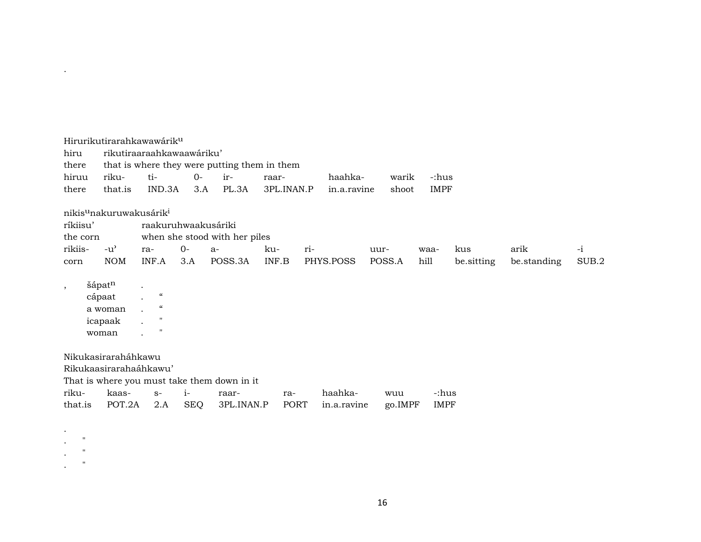| hiru<br>there<br>hiruu<br>there | Hirurikutirarahkawawárik <sup>u</sup><br>riku-<br>that.is | rikutiraaraahkawaawáriku'<br>$ti-$<br>IND.3A                  | $O -$<br>3.A | that is where they were putting them in them<br>ir-<br>PL.3A | raar-<br>3PL.INAN.P |     | haahka-<br>in.a.ravine | warik<br>shoot | $-$ :hus<br><b>IMPF</b> |            |             |       |
|---------------------------------|-----------------------------------------------------------|---------------------------------------------------------------|--------------|--------------------------------------------------------------|---------------------|-----|------------------------|----------------|-------------------------|------------|-------------|-------|
|                                 | nikis <sup>u</sup> nakuruwakusárik <sup>i</sup>           |                                                               |              |                                                              |                     |     |                        |                |                         |            |             |       |
| ríkiisu'                        |                                                           | raakuruhwaakusáriki                                           |              |                                                              |                     |     |                        |                |                         |            |             |       |
| the corn                        |                                                           |                                                               |              | when she stood with her piles                                |                     |     |                        |                |                         |            |             |       |
| rikiis-                         | $-u^{\prime}$                                             | ra-                                                           | $0-$         | $a-$                                                         | ku-                 | ri- |                        | uur-           | waa-                    | kus        | arik        | $-i$  |
| corn                            | <b>NOM</b>                                                | INF.A                                                         | 3.A          | POSS.3A                                                      | INF.B               |     | PHYS.POSS              | POSS.A         | hill                    | be sitting | be.standing | SUB.2 |
| $\cdot$                         | šápatn<br>cápaat<br>a woman<br>icapaak<br>woman           | $\mathcal{C}$<br>$\mathcal{C}$<br>$\mathbf{H}$<br>$^{\prime}$ |              |                                                              |                     |     |                        |                |                         |            |             |       |
|                                 | Nikukasiraraháhkawu                                       |                                                               |              |                                                              |                     |     |                        |                |                         |            |             |       |
|                                 | Rikukaasirarahaáhkawu'                                    |                                                               |              |                                                              |                     |     |                        |                |                         |            |             |       |
|                                 |                                                           |                                                               |              | That is where you must take them down in it                  |                     |     |                        |                |                         |            |             |       |
| riku-                           | kaas-                                                     | $S-$                                                          | $i-$         | raar-                                                        | ra-                 |     | haahka-                | wuu            | -:hus                   |            |             |       |
| that.is                         | POT.2A                                                    | 2.A                                                           | <b>SEQ</b>   | 3PL.INAN.P                                                   | PORT                |     | in.a.ravine            | go.IMPF        | <b>IMPF</b>             |            |             |       |
| $\bullet$<br>$\mathbf{H}$       |                                                           |                                                               |              |                                                              |                     |     |                        |                |                         |            |             |       |

.

 $\mathcal{L} = \mathcal{L}$  $\mathbf{r} = \mathbf{r}$ 

16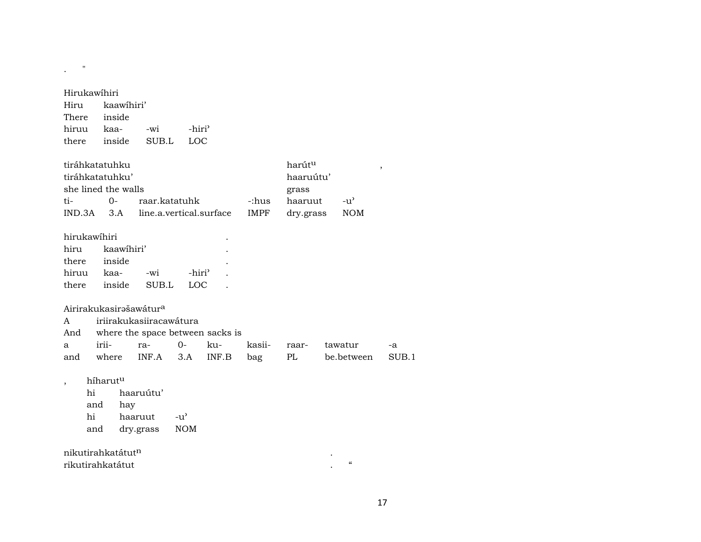| Hirukawihiri |                     |                                    |                    |                         |             |           |                                        |       |
|--------------|---------------------|------------------------------------|--------------------|-------------------------|-------------|-----------|----------------------------------------|-------|
| Hiru         | kaawihiri'          |                                    |                    |                         |             |           |                                        |       |
| There        | inside              |                                    |                    |                         |             |           |                                        |       |
| hiruu        | kaa-                | -wi                                | -hiri <sup>3</sup> |                         |             |           |                                        |       |
| there        | inside              | SUB.L                              | <b>LOC</b>         |                         |             |           |                                        |       |
|              | tiráhkatatuhku      |                                    |                    |                         |             | harútu    |                                        | ,     |
|              | tiráhkatatuhku'     |                                    |                    |                         |             | haaruútu' |                                        |       |
|              | she lined the walls |                                    |                    |                         |             | grass     |                                        |       |
| ti-          | $0-$                | raar.katatuhk                      |                    |                         | -:hus       | haaruut   | $-u^{\prime}$                          |       |
| IND.3A       | 3.A                 |                                    |                    | line.a.vertical.surface | <b>IMPF</b> | dry.grass | <b>NOM</b>                             |       |
| hirukawihiri |                     |                                    |                    |                         |             |           |                                        |       |
| hiru         | kaawihiri'          |                                    |                    |                         |             |           |                                        |       |
| there        | inside              |                                    |                    |                         |             |           |                                        |       |
| hiruu        | kaa-                | -wi                                | -hiri <sup>3</sup> |                         |             |           |                                        |       |
| there        | inside              | SUB.L                              | LOC                |                         |             |           |                                        |       |
|              |                     | Airirakukasirašawátur <sup>a</sup> |                    |                         |             |           |                                        |       |
| A            |                     | iriirakukasiiracawátura            |                    |                         |             |           |                                        |       |
| And          |                     | where the space between sacks is   |                    |                         |             |           |                                        |       |
| a            | irii-               | ra-                                | $0 -$              | ku-                     | kasii-      | raar-     | tawatur                                | -a    |
| and          | where               | INF.A                              | 3.A                | INF.B                   | bag         | PL        | be.between                             | SUB.1 |
| ,            | híharutu            |                                    |                    |                         |             |           |                                        |       |
| hi           |                     | haaruútu'                          |                    |                         |             |           |                                        |       |
|              | and<br>hay          |                                    |                    |                         |             |           |                                        |       |
| hi           |                     | haaruut                            | $-u^{\prime}$      |                         |             |           |                                        |       |
|              | and                 | dry.grass                          | <b>NOM</b>         |                         |             |           |                                        |       |
|              | nikutirahkatátutn   |                                    |                    |                         |             |           |                                        |       |
|              | rikutirahkatátut    |                                    |                    |                         |             |           | $\boldsymbol{\zeta}\boldsymbol{\zeta}$ |       |

 $\mathbf{.}$  "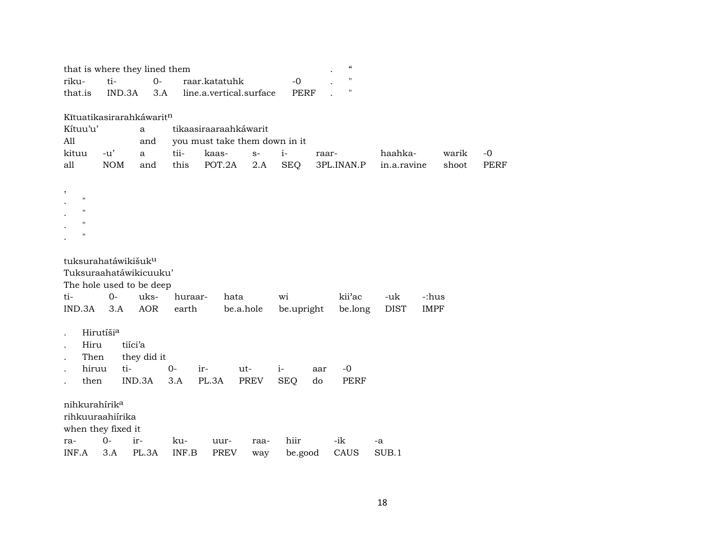| that is where they lined them   |            |             |         |                               |      |             |       | "                  |             |             |       |             |
|---------------------------------|------------|-------------|---------|-------------------------------|------|-------------|-------|--------------------|-------------|-------------|-------|-------------|
| riku-                           | ti-        | $O -$       |         | raar.katatuhk                 |      | $-0$        |       | $\pmb{\mathsf{H}}$ |             |             |       |             |
| that.is                         | IND.3A     | 3.A         |         | line.a.vertical.surface       |      | <b>PERF</b> |       | $\pmb{\mathsf{H}}$ |             |             |       |             |
|                                 |            |             |         |                               |      |             |       |                    |             |             |       |             |
| Kītuatikasirarahkáwaritn        |            |             |         |                               |      |             |       |                    |             |             |       |             |
| Kítuu'u'                        |            | a           |         | tikaasiraaraahkáwarit         |      |             |       |                    |             |             |       |             |
| All                             |            | and         |         | you must take them down in it |      |             |       |                    |             |             |       |             |
| kituu                           | $-u'$      | a           | tii-    | kaas-                         | $S-$ | $i-$        | raar- |                    | haahka-     |             | warik | $-0$        |
| all                             | <b>NOM</b> | and         | this    | POT.2A                        | 2.A  | <b>SEQ</b>  |       | 3PL.INAN.P         | in.a.ravine |             | shoot | <b>PERF</b> |
|                                 |            |             |         |                               |      |             |       |                    |             |             |       |             |
|                                 |            |             |         |                               |      |             |       |                    |             |             |       |             |
| $\pmb{\mathsf{H}}$              |            |             |         |                               |      |             |       |                    |             |             |       |             |
| $\mathbf{H}$                    |            |             |         |                               |      |             |       |                    |             |             |       |             |
| $\mathbf{H}$                    |            |             |         |                               |      |             |       |                    |             |             |       |             |
| $\pmb{\mathsf{H}}$              |            |             |         |                               |      |             |       |                    |             |             |       |             |
|                                 |            |             |         |                               |      |             |       |                    |             |             |       |             |
| tuksurahatáwikišuk <sup>u</sup> |            |             |         |                               |      |             |       |                    |             |             |       |             |
| Tuksuraahatáwikicuuku'          |            |             |         |                               |      |             |       |                    |             |             |       |             |
| The hole used to be deep        |            |             |         |                               |      |             |       |                    |             |             |       |             |
| ti-                             | $0-$       | uks-        | huraar- | hata                          |      | wi          |       | kii'ac             | -uk         | -:hus       |       |             |
| IND.3A                          | 3.A        | <b>AOR</b>  | earth   | be.a.hole                     |      | be.upright  |       | be.long            | <b>DIST</b> | <b>IMPF</b> |       |             |
|                                 |            |             |         |                               |      |             |       |                    |             |             |       |             |
|                                 | Hirutíšia  |             |         |                               |      |             |       |                    |             |             |       |             |
| Hiru                            | tiíci'a    |             |         |                               |      |             |       |                    |             |             |       |             |
| Then                            |            | they did it |         |                               |      |             |       |                    |             |             |       |             |
| hiruu                           | ti-        |             | $O -$   | ir-                           | ut-  | $i-$        | aar   | $-0$               |             |             |       |             |
| then                            |            | IND.3A      | 3.A     | PL.3A                         | PREV | <b>SEQ</b>  | do    | PERF               |             |             |       |             |
|                                 |            |             |         |                               |      |             |       |                    |             |             |       |             |
| nihkurahírik <sup>a</sup>       |            |             |         |                               |      |             |       |                    |             |             |       |             |
| rihkuuraahiirika                |            |             |         |                               |      |             |       |                    |             |             |       |             |
| when they fixed it              |            |             |         |                               |      |             |       |                    |             |             |       |             |
| ra-                             | $0-$       | ir-         | ku-     | uur-                          | raa- | hiir        |       | -ik                | -a          |             |       |             |
| INF.A                           | 3.A        | PL.3A       | INF.B   | PREV                          | way  | be.good     |       | CAUS               | SUB.1       |             |       |             |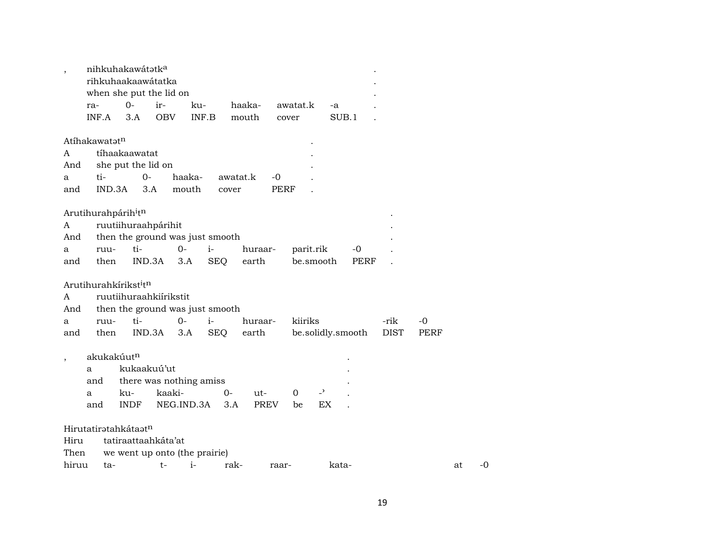| $\overline{\phantom{a}}$ |                                             | nihkuhakawátatka                |                         |            |            |          |             |           |                |                   |             |      |    |    |
|--------------------------|---------------------------------------------|---------------------------------|-------------------------|------------|------------|----------|-------------|-----------|----------------|-------------------|-------------|------|----|----|
|                          |                                             | rihkuhaakaawátatka              |                         |            |            |          |             |           |                |                   |             |      |    |    |
|                          |                                             | when she put the lid on         |                         |            |            |          |             |           |                |                   |             |      |    |    |
|                          | ra-                                         | $0 -$                           | ir-                     | ku-        |            | haaka-   |             | awatat.k  | -a             |                   |             |      |    |    |
|                          | INF.A                                       | 3.A                             | <b>OBV</b>              | INF.B      |            | mouth    | cover       |           |                | SUB.1             |             |      |    |    |
|                          |                                             |                                 |                         |            |            |          |             |           |                |                   |             |      |    |    |
|                          | Atíhakawatət <sup>n</sup>                   |                                 |                         |            |            |          |             |           |                |                   |             |      |    |    |
| A                        |                                             | tíhaakaawatat                   |                         |            |            |          |             |           |                |                   |             |      |    |    |
| And                      |                                             | she put the lid on              |                         |            |            |          |             |           |                |                   |             |      |    |    |
| а                        | ti-                                         |                                 | $0-$                    | haaka-     |            | awatat.k | $-0$        |           |                |                   |             |      |    |    |
| and                      | IND.3A                                      |                                 | 3.A                     | mouth      | cover      |          | <b>PERF</b> |           |                |                   |             |      |    |    |
|                          |                                             |                                 |                         |            |            |          |             |           |                |                   |             |      |    |    |
|                          | Arutihurahpárih <sup>i</sup> t <sup>n</sup> |                                 |                         |            |            |          |             |           |                |                   |             |      |    |    |
| A                        |                                             | ruutiihuraahpárihit             |                         |            |            |          |             |           |                |                   |             |      |    |    |
| And                      |                                             | then the ground was just smooth |                         |            |            |          |             |           |                |                   |             |      |    |    |
| а                        | ruu-                                        | ti-                             |                         | $0-$       | $i-$       | huraar-  |             | parit.rik |                | $-0$              |             |      |    |    |
| and                      | then                                        |                                 | IND.3A                  | 3.A        | <b>SEQ</b> | earth    |             | be.smooth |                | PERF              |             |      |    |    |
|                          |                                             |                                 |                         |            |            |          |             |           |                |                   |             |      |    |    |
|                          | Arutihurahkírikst <sup>i</sup> tn           |                                 |                         |            |            |          |             |           |                |                   |             |      |    |    |
| A                        |                                             | ruutiihuraahkiirikstit          |                         |            |            |          |             |           |                |                   |             |      |    |    |
| And                      |                                             | then the ground was just smooth |                         |            |            |          |             |           |                |                   |             |      |    |    |
| a                        | ruu-                                        | ti-                             |                         | $0 -$      | $i-$       | huraar-  |             | kiiriks   |                |                   | -rik        | -0   |    |    |
| and                      | then                                        |                                 | IND.3A                  | 3.A        | <b>SEQ</b> | earth    |             |           |                | be.solidly.smooth | <b>DIST</b> | PERF |    |    |
|                          |                                             |                                 |                         |            |            |          |             |           |                |                   |             |      |    |    |
| $\cdot$                  | akukakúut <sup>n</sup>                      |                                 |                         |            |            |          |             |           |                |                   |             |      |    |    |
|                          | a                                           |                                 | kukaakuú'ut             |            |            |          |             |           |                |                   |             |      |    |    |
|                          | and                                         |                                 | there was nothing amiss |            |            |          |             |           |                |                   |             |      |    |    |
|                          | a                                           | ku-                             | kaaki-                  |            | $0-$       | ut-      |             | 0         | $\overline{a}$ |                   |             |      |    |    |
|                          | and                                         | <b>INDF</b>                     |                         | NEG.IND.3A | 3.A        |          | PREV        | be        | EX             |                   |             |      |    |    |
|                          |                                             |                                 |                         |            |            |          |             |           |                |                   |             |      |    |    |
|                          | Hirutatiratahkátaatn                        |                                 |                         |            |            |          |             |           |                |                   |             |      |    |    |
| Hiru                     |                                             | tatiraattaahkáta'at             |                         |            |            |          |             |           |                |                   |             |      |    |    |
| Then                     |                                             | we went up onto (the prairie)   |                         |            |            |          |             |           |                |                   |             |      |    |    |
| hiruu                    | ta-                                         |                                 | t-                      | $i-$       |            | rak-     | raar-       |           | kata-          |                   |             |      | at | -0 |
|                          |                                             |                                 |                         |            |            |          |             |           |                |                   |             |      |    |    |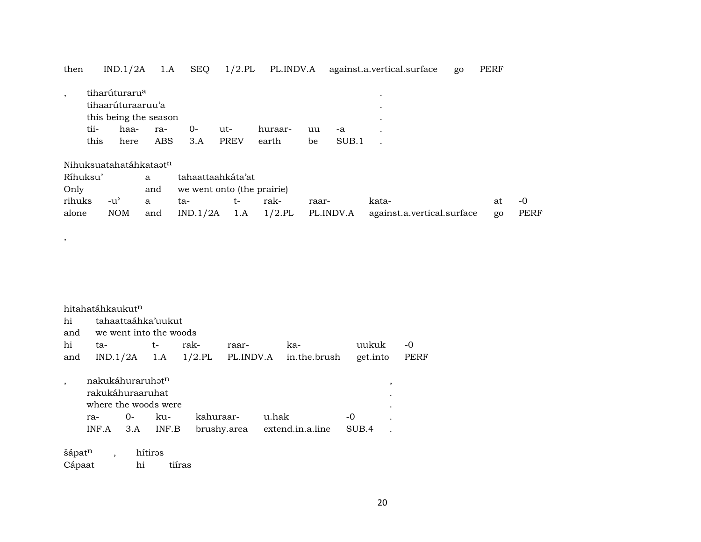| then                               | IND.1/2A                                                                                | 1.A           | <b>SEQ</b>                                             | $1/2$ .PL          | PL.INDV.A        |          |               | against.a.vertical.surface | go | <b>PERF</b> |             |
|------------------------------------|-----------------------------------------------------------------------------------------|---------------|--------------------------------------------------------|--------------------|------------------|----------|---------------|----------------------------|----|-------------|-------------|
| $\cdot$<br>tii-<br>this            | tiharúturaru <sup>a</sup><br>tihaarúturaaruu'a<br>this being the season<br>haa-<br>here | ra-<br>ABS    | $O -$<br>3.A                                           | ut-<br><b>PREV</b> | huraar-<br>earth | uu<br>be | $-a$<br>SUB.1 | ۰                          |    |             |             |
| Nihuksuatahatáhkataat <sup>n</sup> |                                                                                         |               |                                                        |                    |                  |          |               |                            |    |             |             |
| Ríhuksu'<br>Only<br>rihuks         | $-u'$                                                                                   | a<br>and<br>a | tahaattaahkáta'at<br>we went onto (the prairie)<br>ta- | $t-$               | rak-             | raar-    |               | kata-                      |    | at          | $-0$        |
| alone                              | <b>NOM</b>                                                                              | and           | IND.1/2A                                               | 1.A                | $1/2$ .PL        |          | PL.INDV.A     | against.a.vertical.surface |    | go          | <b>PERF</b> |

|     | hitahatáhkaukut <sup>n</sup> |                        |       |           |           |       |                              |          |           |      |
|-----|------------------------------|------------------------|-------|-----------|-----------|-------|------------------------------|----------|-----------|------|
| hi  |                              | tahaattaáhka'uukut     |       |           |           |       |                              |          |           |      |
| and |                              | we went into the woods |       |           |           |       |                              |          |           |      |
| hi  | ta-                          |                        | t-    | rak-      | raar-     |       | ka-                          | uukuk    |           | -0   |
| and |                              | $IND.1/2A$ 1.A         |       | $1/2$ .PL | PL.INDV.A |       | in.the.brush                 | get.into |           | PERF |
|     |                              |                        |       |           |           |       |                              |          |           |      |
|     | nakukáhuraruhat <sup>n</sup> |                        |       |           |           |       |                              |          | ,         |      |
|     | rakukáhuraaruhat             |                        |       |           |           |       |                              |          |           |      |
|     | where the woods were         |                        |       |           |           |       |                              |          | $\bullet$ |      |
|     | ra-                          | $O-$                   | ku-   | kahuraar- |           | u.hak |                              | -0       |           |      |
|     | INF A                        | 3.A                    | INF.B |           |           |       | brushy.area extend.in.a.line | SUB.4    |           |      |
|     |                              |                        |       |           |           |       |                              |          |           |      |

šápat $^n$  , hítirəs Cápaat hi tiíras

,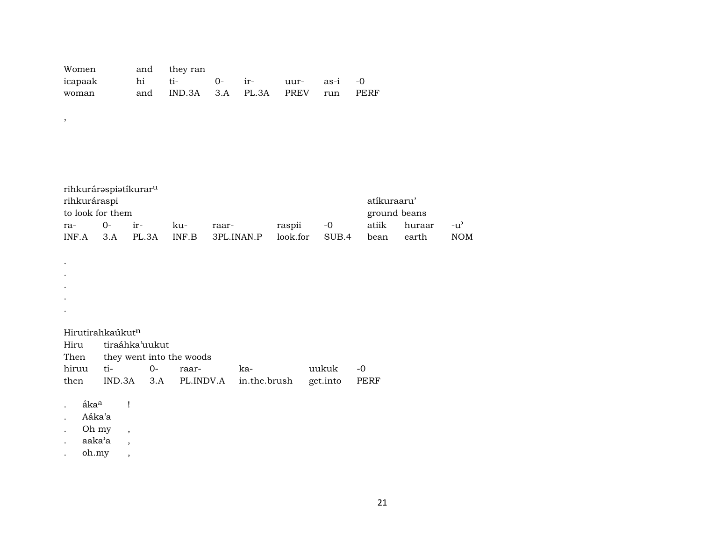| Women and they ran                 |                                    |  |  |  |
|------------------------------------|------------------------------------|--|--|--|
| icapaak hi ti- 0- ir- uur- as-i -0 |                                    |  |  |  |
| woman                              | and IND.3A 3.A PL.3A PREV run PERF |  |  |  |

| rihkurárəspiətíkurar <sup>u</sup> |                             |       |       |            |          |       |       |        |            |  |  |
|-----------------------------------|-----------------------------|-------|-------|------------|----------|-------|-------|--------|------------|--|--|
|                                   | rihkuráraspi<br>atíkuraaru' |       |       |            |          |       |       |        |            |  |  |
| to look for them<br>ground beans  |                             |       |       |            |          |       |       |        |            |  |  |
| ra-                               | $()$ -                      | $ir-$ | ku-   | raar-      | raspii   | $-0$  | atiik | huraar | -u'        |  |  |
| INF.A                             | 3.A                         | PL.3A | INF B | 3PL.INAN.P | look.for | SUB.4 | bean  | earth  | <b>NOM</b> |  |  |

Hirutirahkaúkutn tiraáhka'uukut Hiru Then they went into the woods hiruu ti- $O -0$ raarkauukuk IND.3A 3.A PL.INDV.A in.the.brush get.into then PERF

- ắka<sup>a</sup>  $\mathbf{I}$  $\mathcal{L}^{\pm}$
- Aáka'a  $\ddot{\phantom{a}}$

 $\,$  ,

 $\bullet$  $\cdot$  $\bullet$  $\bullet$  $\bullet$ 

- Oh my  $\overline{\phantom{a}}$  $\langle \cdot \rangle$
- $a$ a $ka$ 'a  $\,$  ,  $\ddot{\phantom{a}}$
- oh.my  $\langle \cdot \rangle$

 $\overline{\phantom{a}}$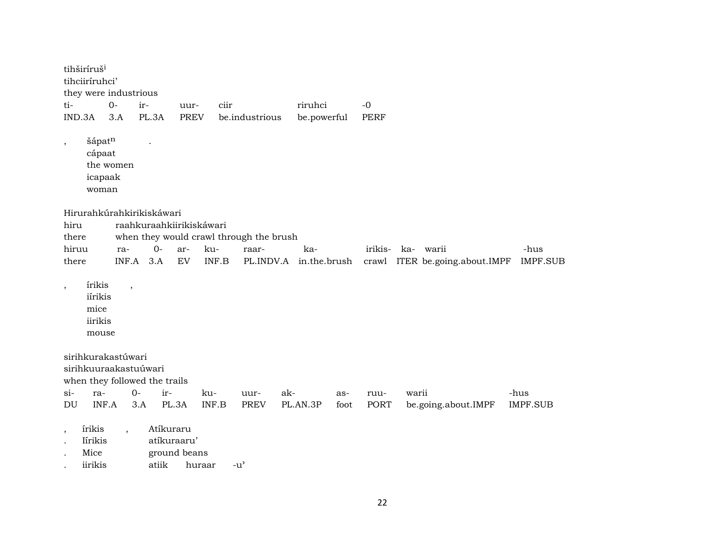|                          | tihširíruš <sup>i</sup><br>tihciiríruhci'     | they were industrious                                                        |             |                                          |        |                                         |              |      |             |                                |                 |
|--------------------------|-----------------------------------------------|------------------------------------------------------------------------------|-------------|------------------------------------------|--------|-----------------------------------------|--------------|------|-------------|--------------------------------|-----------------|
| ti-                      |                                               | $O -$                                                                        | ir-         | uur-                                     | ciir   |                                         | riruhci      |      | $-0$        |                                |                 |
| IND.3A                   |                                               | 3.A                                                                          | PL.3A       | <b>PREV</b>                              |        | be.industrious                          | be.powerful  |      | <b>PERF</b> |                                |                 |
| $\overline{\phantom{a}}$ | šápatn<br>cápaat<br>icapaak<br>woman          | the women                                                                    |             |                                          |        |                                         |              |      |             |                                |                 |
|                          |                                               | Hirurahkúrahkirikiskáwari                                                    |             |                                          |        |                                         |              |      |             |                                |                 |
| hiru                     |                                               |                                                                              |             | raahkuraahkiirikiskáwari                 |        |                                         |              |      |             |                                |                 |
| there                    |                                               |                                                                              |             |                                          |        | when they would crawl through the brush |              |      |             |                                |                 |
| hiruu                    |                                               | ra-                                                                          | $0-$        | ar-                                      | ku-    | raar-                                   | ka-          |      | irikis-     | ka-<br>warii                   | -hus            |
| there                    |                                               |                                                                              | $INF.A$ 3.A | EV                                       | INF.B  | PL.INDV.A                               | in.the.brush |      |             | crawl ITER be.going.about.IMPF | <b>IMPF.SUB</b> |
| $\,$                     | írikis<br>iírikis<br>mice<br>iirikis<br>mouse | $\overline{\phantom{a}}$                                                     |             |                                          |        |                                         |              |      |             |                                |                 |
|                          |                                               | sirihkurakastúwari<br>sirihkuuraakastuúwari<br>when they followed the trails |             |                                          |        |                                         |              |      |             |                                |                 |
| $si-$                    | ra-                                           |                                                                              | $O -$       | ir-                                      | ku-    | uur-                                    | ak-          | as-  | ruu-        | warii                          | -hus            |
| DU                       | INF.A                                         |                                                                              | 3.A         | PL.3A                                    | INF.B  | PREV                                    | PL.AN.3P     | foot | PORT        | be.going.about.IMPF            | <b>IMPF.SUB</b> |
| $^\mathrm{^\mathrm{o}}$  | irikis<br>Iírikis<br>Mice<br>iirikis          |                                                                              | atiik       | Atíkuraru<br>atíkuraaru'<br>ground beans | huraar | $-u^{\prime}$                           |              |      |             |                                |                 |

22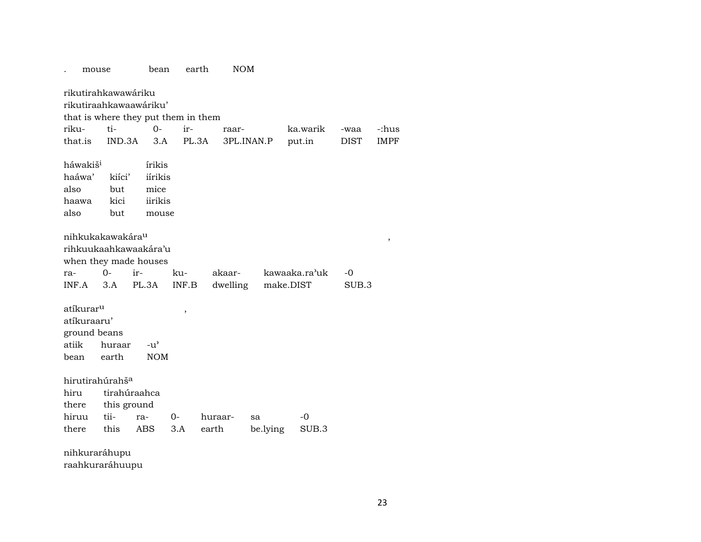| mouse                                                                 |                              | bean                                          | earth  | <b>NOM</b> |            |               |             |             |
|-----------------------------------------------------------------------|------------------------------|-----------------------------------------------|--------|------------|------------|---------------|-------------|-------------|
| rikutirahkawawáriku<br>rikutiraahkawaawáriku'                         |                              |                                               |        |            |            |               |             |             |
| that is where they put them in them                                   |                              |                                               |        |            |            |               |             |             |
| riku-                                                                 | ti-                          | $O -$                                         | ir-    | raar-      |            | ka.warik      | -waa        | -:hus       |
| that.is                                                               | IND.3A                       | 3.A                                           | PL.3A  |            | 3PL.INAN.P | put.in        | <b>DIST</b> | <b>IMPF</b> |
| háwakiš <sup>i</sup><br>haáwa'<br>also<br>haawa<br>also               | kiíci'<br>but<br>kici<br>but | írikis<br>iírikis<br>mice<br>iirikis<br>mouse |        |            |            |               |             |             |
| nihkukakawakára <sup>u</sup><br>rihkuukaahkawaakára'u                 |                              |                                               |        |            |            |               |             | $\, ,$      |
| when they made houses                                                 |                              |                                               |        |            |            |               |             |             |
| ra-                                                                   | $0-$                         | ir-                                           | ku-    | akaar-     |            | kawaaka.ra'uk | -0          |             |
| INF.A                                                                 | 3.A                          | PL.3A                                         | INF.B  | dwelling   |            | make.DIST     | SUB.3       |             |
| atíkurar <sup>u</sup><br>atíkuraaru'<br>ground beans<br>atiik<br>bean | huraar<br>earth              | $-u^{\prime}$<br><b>NOM</b>                   | $\, ,$ |            |            |               |             |             |
| hirutirahúrahš <sup>a</sup>                                           |                              |                                               |        |            |            |               |             |             |
| hiru                                                                  |                              | tirahúraahca                                  |        |            |            |               |             |             |
| there                                                                 | this ground                  |                                               |        |            |            |               |             |             |
| hiruu                                                                 | tii-                         | ra-                                           | $0-$   | huraar-    | sa         | $-0$          |             |             |
| there                                                                 | this                         | ABS                                           | 3.A    | earth      | be.lying   | SUB.3         |             |             |
| nihkuraráhupu                                                         |                              |                                               |        |            |            |               |             |             |

raahkuraráhuupu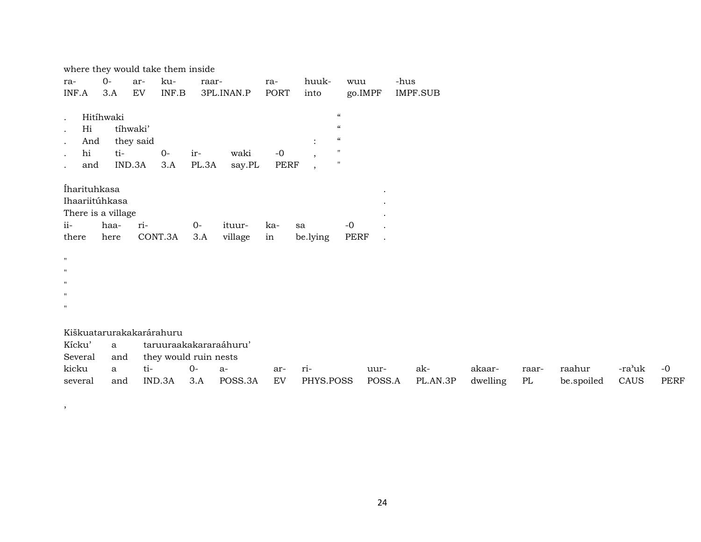| where they would take them inside                                       |                  |                                 |                       |              |                        |                            |                                                                        |                                                                                                                                                      |        |          |          |       |            |        |      |
|-------------------------------------------------------------------------|------------------|---------------------------------|-----------------------|--------------|------------------------|----------------------------|------------------------------------------------------------------------|------------------------------------------------------------------------------------------------------------------------------------------------------|--------|----------|----------|-------|------------|--------|------|
| ra-                                                                     | $O -$            | ar-                             | ku-                   | raar-        |                        | ra-                        | huuk-                                                                  | wuu                                                                                                                                                  |        | -hus     |          |       |            |        |      |
| INF.A                                                                   | 3.A              | EV                              | INF.B                 |              | 3PL.INAN.P             | <b>PORT</b>                | into                                                                   | go.IMPF                                                                                                                                              |        | IMPF.SUB |          |       |            |        |      |
| $\bullet$<br>Hi<br>$\bullet$<br>And<br>hi<br>and                        | Hitíhwaki<br>ti- | tíhwaki'<br>they said<br>IND.3A | $0-$<br>3.A           | ir-<br>PL.3A | waki<br>say.PL         | $\mbox{-}0$<br><b>PERF</b> | $\ddot{\cdot}$<br>$\overline{\phantom{a}}$<br>$\overline{\phantom{a}}$ | $\epsilon\epsilon$<br>$\boldsymbol{\epsilon} \boldsymbol{\epsilon}$<br>$\boldsymbol{\epsilon} \boldsymbol{\epsilon}$<br>$\mathbf{H}$<br>$\mathbf{H}$ |        |          |          |       |            |        |      |
| İharituhkasa<br>Ihaariitúhkasa<br>There is a village<br>$ii-$<br>there  | haa-<br>here     | ri-                             | CONT.3A               | $0-$<br>3.A  | ituur-<br>village      | ka-<br>in                  | sa<br>be.lying                                                         | $-0$<br>PERF                                                                                                                                         |        |          |          |       |            |        |      |
| $\mathbf H$<br>$\mathbf H$<br>$\mathbf H$<br>$\mathbf H$<br>$\mathbf H$ |                  |                                 |                       |              |                        |                            |                                                                        |                                                                                                                                                      |        |          |          |       |            |        |      |
| Kiškuatarurakakarárahuru                                                |                  |                                 |                       |              |                        |                            |                                                                        |                                                                                                                                                      |        |          |          |       |            |        |      |
| Kícku'                                                                  | a                |                                 |                       |              | taruuraakakararaáhuru' |                            |                                                                        |                                                                                                                                                      |        |          |          |       |            |        |      |
| Several                                                                 | and              |                                 | they would ruin nests |              |                        |                            |                                                                        |                                                                                                                                                      |        |          |          |       |            |        |      |
| kicku                                                                   | a                | ti-                             |                       | $0-$         | a-                     | ar-                        | ri-                                                                    |                                                                                                                                                      | uur-   | ak-      | akaar-   | raar- | raahur     | -ra'uk | $-0$ |
| several                                                                 | and              |                                 | IND.3A                | 3.A          | POSS.3A                | EV                         | PHYS.POSS                                                              |                                                                                                                                                      | POSS.A | PL.AN.3P | dwelling | PL    | be.spoiled | CAUS   | PERF |

,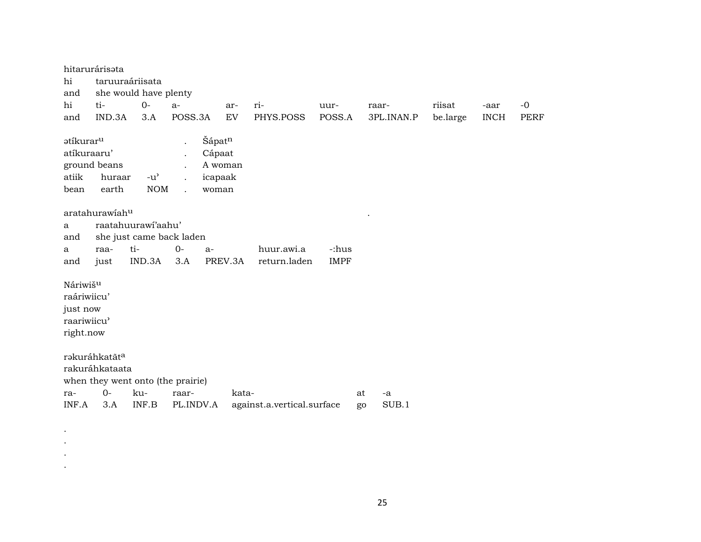hitarurárisəta taruuraáriisata hi and she would have plenty  $0$ hi ti $a$ ririisat  $-0$ aruurraar--aar and IND.3A  $3.A$ POSS.3A EV PHYS.POSS POSS.A 3PL.INAN.P be.large **INCH PERF** ətíkurar<sup>u</sup> Šápatn atíkuraaru' Cápaat  $\ddot{\phantom{a}}$ ground beans A woman  $\ddot{\phantom{a}}$ atiik  $-u^{\prime}$ icapaak huraar  $\ddot{\phantom{a}}$ bean earth **NOM** woman  $\sim$ aratahurawiahu raatahuurawi'aahu' a she just came back laden and raati- $0$  $a$ huur.awi.a -:hus  $\mathbf{a}$ just **IMPF** IND.3A  $3.A$ PREV.3A return.laden and Náriwiš<sup>u</sup> raáriwiicu' just now raariwiicu' right.now rəkuráhkatãt<sup>a</sup> rakuráhkataata when they went onto (the prairie)  $0$ kuraraarkataat  $-a$ INF.A  $3.A$ INF.B PL.INDV.A against.a.vertical.surface SUB.1 go

 $\bullet$  $\bullet$  $\bullet$  $\cdot$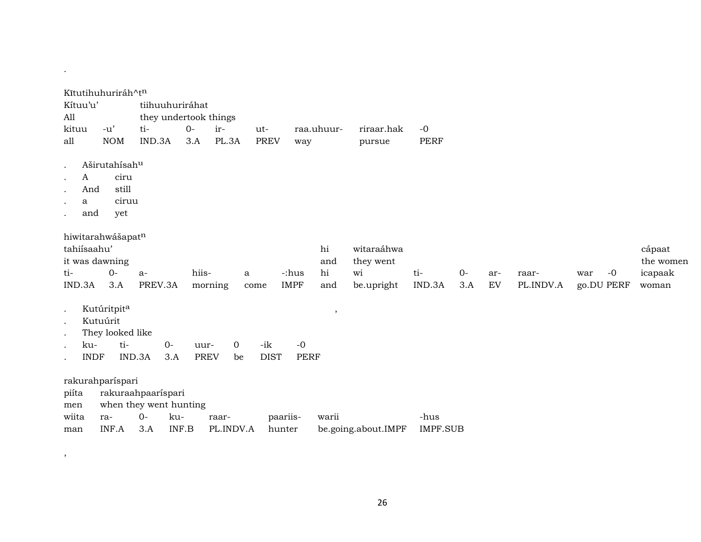|                                      | Kĩtutihuhuriráh^t <sup>n</sup> |                        |             |             |             |             |       |                     |                 |      |     |           |             |           |
|--------------------------------------|--------------------------------|------------------------|-------------|-------------|-------------|-------------|-------|---------------------|-----------------|------|-----|-----------|-------------|-----------|
| Kítuu'u'                             |                                | tiihuuhuriráhat        |             |             |             |             |       |                     |                 |      |     |           |             |           |
| All                                  |                                | they undertook things  |             |             |             |             |       |                     |                 |      |     |           |             |           |
| kituu                                | -u'                            | ti-                    | $0-$        | ir-         | ut-         | raa.uhuur-  |       | riraar.hak          | $-0$            |      |     |           |             |           |
| all                                  | <b>NOM</b>                     | IND.3A                 | 3.A         | PL.3A       | <b>PREV</b> | way         |       | pursue              | <b>PERF</b>     |      |     |           |             |           |
|                                      |                                |                        |             |             |             |             |       |                     |                 |      |     |           |             |           |
|                                      | Aširutahísahu                  |                        |             |             |             |             |       |                     |                 |      |     |           |             |           |
| $\mathbf{A}$<br>$\ddot{\phantom{0}}$ | ciru                           |                        |             |             |             |             |       |                     |                 |      |     |           |             |           |
| And                                  | still                          |                        |             |             |             |             |       |                     |                 |      |     |           |             |           |
| a                                    | ciruu                          |                        |             |             |             |             |       |                     |                 |      |     |           |             |           |
| and                                  | yet                            |                        |             |             |             |             |       |                     |                 |      |     |           |             |           |
|                                      |                                |                        |             |             |             |             |       |                     |                 |      |     |           |             |           |
|                                      | hiwitarahwášapat <sup>n</sup>  |                        |             |             |             |             |       |                     |                 |      |     |           |             |           |
| tahiísaahu'                          |                                |                        |             |             |             |             | hi    | witaraáhwa          |                 |      |     |           |             | cápaat    |
|                                      | it was dawning                 |                        |             |             |             |             | and   | they went           |                 |      |     |           |             | the women |
| ti-                                  | $0-$                           | $a-$                   | hiis-       |             | a           | -:hus       | hi    | wi                  | ti-             | $0-$ | ar- | raar-     | $-0$<br>war | icapaak   |
| IND.3A                               | 3.A                            | PREV.3A                |             | morning     | come        | <b>IMPF</b> | and   | be.upright          | IND.3A          | 3.A  | EV  | PL.INDV.A | go.DU PERF  | woman     |
|                                      | Kutúritpita                    |                        |             |             |             |             | ,     |                     |                 |      |     |           |             |           |
|                                      | Kutuúrit                       |                        |             |             |             |             |       |                     |                 |      |     |           |             |           |
|                                      | They looked like               |                        |             |             |             |             |       |                     |                 |      |     |           |             |           |
| ku-                                  | ti-                            | $O -$                  | uur-        | $\mathbf 0$ | -ik         | $-0$        |       |                     |                 |      |     |           |             |           |
|                                      | <b>INDF</b>                    | IND.3A<br>3.A          | <b>PREV</b> | be          | <b>DIST</b> | <b>PERF</b> |       |                     |                 |      |     |           |             |           |
|                                      |                                |                        |             |             |             |             |       |                     |                 |      |     |           |             |           |
|                                      | rakurahparíspari               |                        |             |             |             |             |       |                     |                 |      |     |           |             |           |
| piíta                                |                                | rakuraahpaaríspari     |             |             |             |             |       |                     |                 |      |     |           |             |           |
| men                                  |                                | when they went hunting |             |             |             |             |       |                     |                 |      |     |           |             |           |
| wiita                                | ra-                            | $0 -$<br>ku-           |             | raar-       |             | paariis-    | warii |                     | -hus            |      |     |           |             |           |
| man                                  | INF.A                          | 3.A                    | INF.B       | PL.INDV.A   | hunter      |             |       | be.going.about.IMPF | <b>IMPF.SUB</b> |      |     |           |             |           |
|                                      |                                |                        |             |             |             |             |       |                     |                 |      |     |           |             |           |

.

 $\overline{\phantom{a}}$ 

26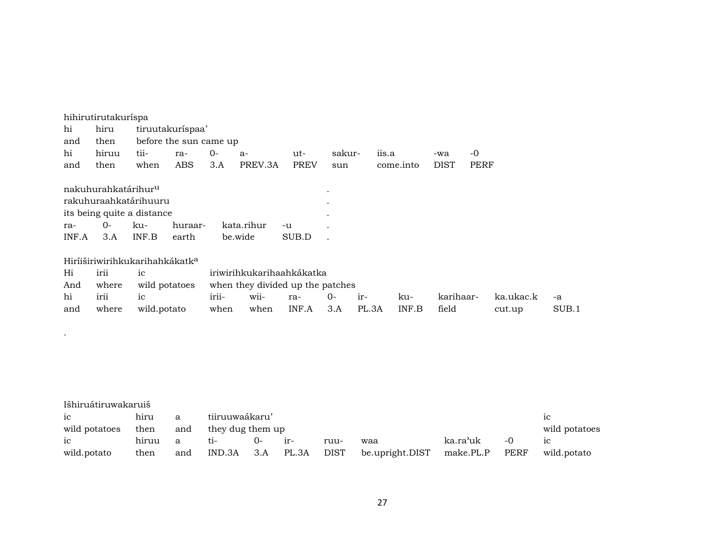|           | hihirutirutakuríspa             |                                            |                        |       |                                  |             |           |       |           |             |             |           |       |
|-----------|---------------------------------|--------------------------------------------|------------------------|-------|----------------------------------|-------------|-----------|-------|-----------|-------------|-------------|-----------|-------|
| hi        | hiru                            |                                            | tiruutakuríspaa'       |       |                                  |             |           |       |           |             |             |           |       |
| and       | then                            |                                            | before the sun came up |       |                                  |             |           |       |           |             |             |           |       |
| hi        | hiruu                           | tii-                                       | ra-                    | $0-$  | a-                               | ut-         | sakur-    |       | iis.a     | -wa         | $-0$        |           |       |
| and       | then                            | when                                       | ABS                    | 3.A   | PREV.3A                          | <b>PREV</b> | sun       |       | come.into | <b>DIST</b> | <b>PERF</b> |           |       |
|           |                                 |                                            |                        |       |                                  |             |           |       |           |             |             |           |       |
|           | nakuhurahkatárihur <sup>u</sup> |                                            |                        |       |                                  |             | $\bullet$ |       |           |             |             |           |       |
|           |                                 | rakuhuraahkatárihuuru                      |                        |       |                                  |             | $\bullet$ |       |           |             |             |           |       |
|           |                                 | its being quite a distance                 |                        |       |                                  |             | $\bullet$ |       |           |             |             |           |       |
| ra-       | $0-$                            | ku-                                        | huraar-                |       | kata.rihur                       | -u          |           |       |           |             |             |           |       |
| INF.A     | 3.A                             | INF.B                                      | earth                  |       | be.wide                          | SUB.D       |           |       |           |             |             |           |       |
|           |                                 | Hiríiširiwirihkukarihahkákatk <sup>a</sup> |                        |       |                                  |             |           |       |           |             |             |           |       |
| Hi        | irii                            | ic                                         |                        |       | iriwirihkukarihaahkákatka        |             |           |       |           |             |             |           |       |
|           |                                 |                                            |                        |       |                                  |             |           |       |           |             |             |           |       |
| And       | where                           | wild potatoes                              |                        |       | when they divided up the patches |             |           |       |           |             |             |           |       |
| hi        | irii                            | ic                                         |                        | irii- | wii-                             | ra-         | $0-$      | ir-   | ku-       | karihaar-   |             | ka.ukac.k | -a    |
| and       | where                           | wild.potato                                |                        | when  | when                             | INF.A       | 3.A       | PL.3A | INF.B     | field       |             | cut.up    | SUB.1 |
|           |                                 |                                            |                        |       |                                  |             |           |       |           |             |             |           |       |
| $\bullet$ |                                 |                                            |                        |       |                                  |             |           |       |           |             |             |           |       |
|           |                                 |                                            |                        |       |                                  |             |           |       |           |             |             |           |       |
|           |                                 |                                            |                        |       |                                  |             |           |       |           |             |             |           |       |

| Išhiruátiruwakaruiš |       |     |                  |        |       |      |                                |          |      |               |
|---------------------|-------|-----|------------------|--------|-------|------|--------------------------------|----------|------|---------------|
| ic                  | hiru  | a   | tiiruuwaákaru'   |        |       |      |                                |          |      | 1C            |
| wild potatoes       | then  | and | they dug them up |        |       |      |                                |          |      | wild potatoes |
| ic                  | hiruu | a   | ti-              | $()$ - | $ir-$ | ruu- | waa                            | ka.ra'uk | $-0$ | 1C            |
| wild.potato         | then  | and | IND.3A           | 3.A    | PL.3A |      | DIST be.upright.DIST make.PL.P |          | PERF | wild.potato   |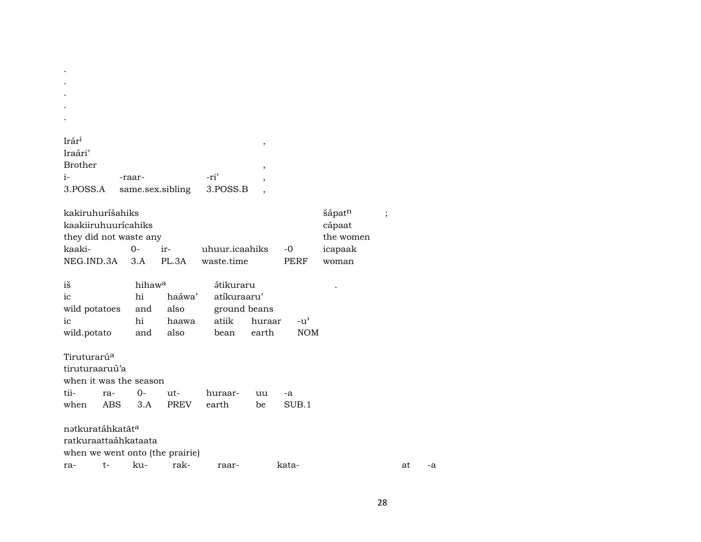| $\bullet$         |                  |          |  |
|-------------------|------------------|----------|--|
|                   |                  |          |  |
| Irár <sup>i</sup> |                  |          |  |
| Iraári'           |                  |          |  |
| <b>Brother</b>    |                  |          |  |
| i-                | -raar-           | -ri'     |  |
| 3.POSS.A          | same.sex.sibling | 3.POSS.B |  |

 $\bullet$  $\bullet$  $\ddot{\phantom{a}}$  $\cdot$ 

| kakiruhurišahiks              | sápat <sup>n</sup> |       |                |      |         |  |  |  |  |  |  |
|-------------------------------|--------------------|-------|----------------|------|---------|--|--|--|--|--|--|
| kaakiiruhuuricahiks<br>cápaat |                    |       |                |      |         |  |  |  |  |  |  |
| they did not waste any        | the women          |       |                |      |         |  |  |  |  |  |  |
| kaaki-                        | ∩–                 | $ir-$ | uhuur.icaahiks | $-0$ | icapaak |  |  |  |  |  |  |
| NEG.IND.3A 3.A                |                    | PL 3A | waste.time     | PERF | woman   |  |  |  |  |  |  |

| iš                     | hihaw <sup>a</sup> |                    | <i>ś</i> tikuraru |        |        |
|------------------------|--------------------|--------------------|-------------------|--------|--------|
| ic                     | hi                 | haáwa' atíkuraaru' |                   |        |        |
| wild potatoes and also |                    |                    | ground beans      |        |        |
| ic                     | hi                 | haawa              | atiik             | huraar | $-11'$ |
| wild.potato            | and                | also               | bean              | earth  | NOM    |

Tiruturarú<sup>a</sup> tiruturaaruú'a when it was the season tiira- $0$ uthuraar- $-a$ uu when ABS  $3.A$ earth PREV be  $SUB.1$ nətkuratáhkatãt<sup>a</sup> ratkuraattaáhkataata

when we went onto (the prairie)

rakra $t$ kukataat raar- $-a$ 

 $\ddot{\phantom{1}}$ 

 $\bullet$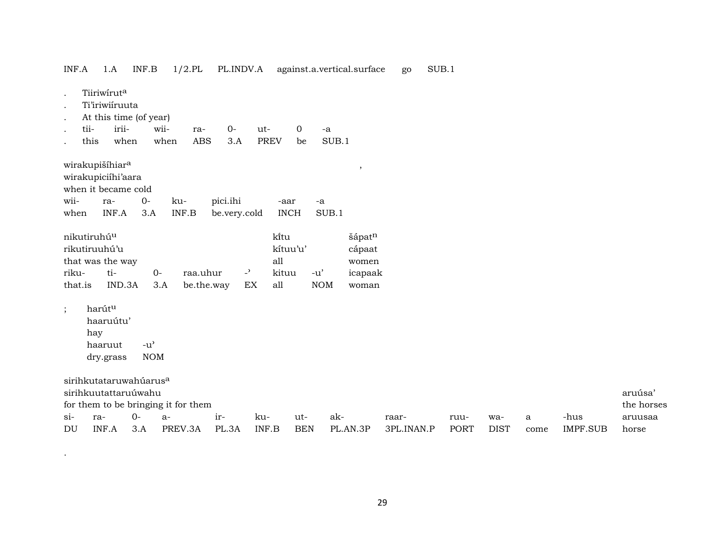| Tiiriwiruta<br>$\bullet$<br>Ti'iriwiiruuta<br>$\bullet$<br>At this time (of year)<br>$\bullet$<br>irii-<br>tii-<br>wii-<br>$0-$<br>$\overline{0}$<br>ut-<br>ra-<br>$-a$<br>$\cdot$<br>when<br><b>PREV</b><br>SUB.1<br>this<br>when<br><b>ABS</b><br>3.A<br>be |                                                 |
|---------------------------------------------------------------------------------------------------------------------------------------------------------------------------------------------------------------------------------------------------------------|-------------------------------------------------|
| wirakupišíhiara<br>,<br>wirakupiciíhi'aara<br>when it became cold                                                                                                                                                                                             |                                                 |
| wii-<br>$O -$<br>pici.ihi<br>ku-<br>ra-<br>-aar<br>-a                                                                                                                                                                                                         |                                                 |
| INF.A<br>INF.B<br><b>INCH</b><br>SUB.1<br>3.A<br>be.very.cold<br>when                                                                                                                                                                                         |                                                 |
| kitu<br>nikutiruhú <sup>u</sup><br>šápatn<br>rikutiruuhú'u<br>kítuu'u'<br>cápaat                                                                                                                                                                              |                                                 |
| all<br>that was the way<br>women                                                                                                                                                                                                                              |                                                 |
| ti-<br>$O -$<br>raa.uhur<br>$\overline{\phantom{0}}$<br>riku-<br>kituu<br>$-u'$<br>icapaak                                                                                                                                                                    |                                                 |
| all<br><b>NOM</b><br>IND.3A<br>3.A<br>be.the.way<br>EX<br>that.is<br>woman                                                                                                                                                                                    |                                                 |
| harútu<br>$\vdots$<br>haaruútu'<br>hay<br>haaruut<br>$-u$ <sup><math>\prime</math></sup><br><b>NOM</b><br>dry.grass                                                                                                                                           |                                                 |
| sirihkutataruwahúarus <sup>a</sup><br>sirihkuutattaruúwahu<br>for them to be bringing it for them                                                                                                                                                             | aruúsa'<br>the horses                           |
| $O -$<br>$\sin$<br>ir-<br>ku-<br>ak-<br>ra-<br>ut-<br>$a-$<br>raar-<br>ruu-                                                                                                                                                                                   | -hus<br>wa-<br>aruusaa<br>a                     |
| INF.A<br><b>BEN</b><br>DU<br>3.A<br>PREV.3A<br>PL.3A<br>INF.B<br>PL.AN.3P<br>3PL.INAN.P<br>PORT                                                                                                                                                               | <b>DIST</b><br><b>IMPF.SUB</b><br>horse<br>come |

29

.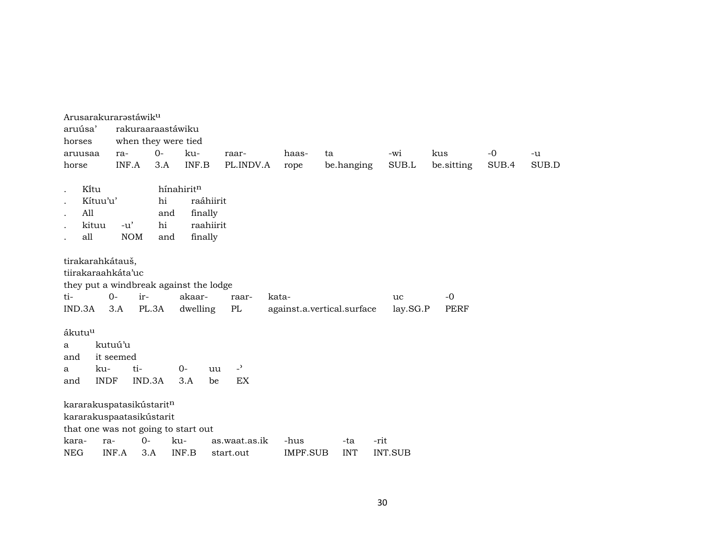| Arusarakurarastáwik <sup>u</sup>                                                                  |                     |       |                    |           |                |          |                            |      |                |                     |       |       |
|---------------------------------------------------------------------------------------------------|---------------------|-------|--------------------|-----------|----------------|----------|----------------------------|------|----------------|---------------------|-------|-------|
| aruúsa'                                                                                           | rakuraaraastáwiku   |       |                    |           |                |          |                            |      |                |                     |       |       |
| horses                                                                                            | when they were tied |       |                    |           |                |          |                            |      |                |                     |       |       |
| aruusaa                                                                                           | ra-                 | $0 -$ | ku-                |           | raar-          | haas-    | ta                         |      | -wi            | kus                 | $-0$  | $-u$  |
| horse                                                                                             | INF.A               | 3.A   | INF.B              |           | PL.INDV.A      | rope     | be.hanging                 |      | SUB.L          | be.sitting          | SUB.4 | SUB.D |
|                                                                                                   |                     |       |                    |           |                |          |                            |      |                |                     |       |       |
| Kitu                                                                                              |                     |       | hínahiritn         |           |                |          |                            |      |                |                     |       |       |
| Kítuu'u'                                                                                          |                     | hi    |                    | raáhiirit |                |          |                            |      |                |                     |       |       |
| All                                                                                               |                     | and   | finally            |           |                |          |                            |      |                |                     |       |       |
| kituu                                                                                             | $-u'$               | hi    |                    | raahiirit |                |          |                            |      |                |                     |       |       |
| all                                                                                               | <b>NOM</b>          | and   | finally            |           |                |          |                            |      |                |                     |       |       |
| tirakarahkátauš,<br>tiirakaraahkáta'uc<br>they put a windbreak against the lodge<br>ti-<br>IND.3A | ir-<br>$O -$<br>3.A | PL.3A | akaar-<br>dwelling |           | raar-<br>PL    | kata-    | against.a.vertical.surface |      | uc<br>lay.SG.P | $-0$<br><b>PERF</b> |       |       |
| ákutu <sup>u</sup>                                                                                |                     |       |                    |           |                |          |                            |      |                |                     |       |       |
| a                                                                                                 | kutuú'u             |       |                    |           |                |          |                            |      |                |                     |       |       |
| and<br>ku-                                                                                        | it seemed<br>ti-    |       | $0-$               |           | $\overline{a}$ |          |                            |      |                |                     |       |       |
| a<br><b>INDF</b><br>and                                                                           | IND.3A              |       | 3.A                | uu<br>be  | EX             |          |                            |      |                |                     |       |       |
|                                                                                                   |                     |       |                    |           |                |          |                            |      |                |                     |       |       |
| kararakuspatasikústaritn<br>kararakuspaatasikústarit<br>that one was not going to start out       |                     |       |                    |           |                |          |                            |      |                |                     |       |       |
| kara-<br>ra-                                                                                      | $O -$               |       | ku-                |           | as.waat.as.ik  | -hus     | -ta                        | -rit |                |                     |       |       |
| <b>NEG</b>                                                                                        | INF.A               | 3.A   | INF.B              |           | start.out      | IMPF.SUB | <b>INT</b>                 |      | <b>INT.SUB</b> |                     |       |       |
|                                                                                                   |                     |       |                    |           |                |          |                            |      |                |                     |       |       |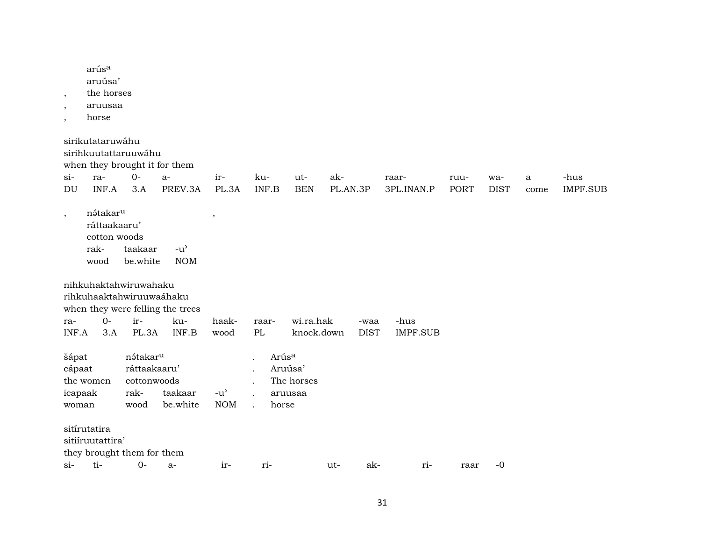| $\,$<br>$\overline{\phantom{a}}$<br>$\overline{\phantom{a}}$ | arús <sup>a</sup><br>aruúsa'<br>the horses<br>aruusaa<br>horse            |                                                                     |                                  |                                                   |                                       |                         |                 |                     |                         |                     |                    |                      |                         |
|--------------------------------------------------------------|---------------------------------------------------------------------------|---------------------------------------------------------------------|----------------------------------|---------------------------------------------------|---------------------------------------|-------------------------|-----------------|---------------------|-------------------------|---------------------|--------------------|----------------------|-------------------------|
|                                                              | sirikutataruwáhu<br>sirihkuutattaruuwáhu<br>when they brought it for them |                                                                     |                                  |                                                   |                                       |                         |                 |                     |                         |                     |                    |                      |                         |
| $si$ -<br>DU                                                 | ra-<br>INF.A                                                              | $0-$<br>3.A                                                         | $a-$<br>PREV.3A                  | ir-<br>PL.3A                                      | ku-<br>INF.B                          | ut-<br><b>BEN</b>       | ak-<br>PL.AN.3P |                     | raar-<br>3PL.INAN.P     | ruu-<br><b>PORT</b> | wa-<br><b>DIST</b> | $\mathbf{a}$<br>come | -hus<br><b>IMPF.SUB</b> |
| $^\mathrm{^\mathrm{o}}$                                      | nátakar <sup>u</sup><br>ráttaakaaru'<br>cotton woods<br>rak-<br>wood      | taakaar<br>be.white                                                 | $-u^{\prime}$<br><b>NOM</b>      | $\, ,$                                            |                                       |                         |                 |                     |                         |                     |                    |                      |                         |
|                                                              | nihkuhaktahwiruwahaku<br>rihkuhaaktahwiruuwaáhaku                         |                                                                     | when they were felling the trees |                                                   |                                       |                         |                 |                     |                         |                     |                    |                      |                         |
| ra-<br>INF.A                                                 | $0-$<br>3.A                                                               | ir-<br>PL.3A                                                        | ku-<br>INF.B                     | haak-<br>wood                                     | raar-<br>PL                           | wi.ra.hak<br>knock.down |                 | -waa<br><b>DIST</b> | -hus<br><b>IMPF.SUB</b> |                     |                    |                      |                         |
| šápat<br>cápaat<br>icapaak<br>woman                          | the women                                                                 | nátakar <sup>u</sup><br>ráttaakaaru'<br>cottonwoods<br>rak-<br>wood | taakaar<br>be.white              | $-u$ <sup><math>\prime</math></sup><br><b>NOM</b> | Arús <sup>a</sup><br>Aruúsa'<br>horse | The horses<br>aruusaa   |                 |                     |                         |                     |                    |                      |                         |
|                                                              | sitírutatira<br>sitiíruutattira'<br>they brought them for them            |                                                                     |                                  |                                                   |                                       |                         |                 |                     |                         |                     |                    |                      |                         |
| $\sin$                                                       | ti-                                                                       | $O -$                                                               | $a-$                             | ir-                                               | ri-                                   |                         | ut-             | ak-                 | ri-                     | raar                | $-0$               |                      |                         |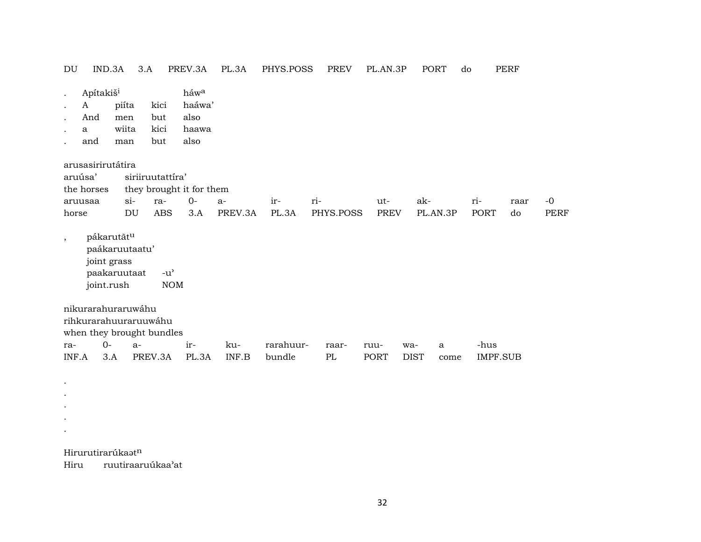| DU                       | IND.3A                                                                    |                              | 3.A                        | PREV.3A                                           | PL.3A   | PHYS.POSS | <b>PREV</b> | PL.AN.3P    | PORT        | do   | <b>PERF</b>     |      |             |
|--------------------------|---------------------------------------------------------------------------|------------------------------|----------------------------|---------------------------------------------------|---------|-----------|-------------|-------------|-------------|------|-----------------|------|-------------|
| $\bullet$<br>$\bullet$   | Apítakiš <sup>i</sup><br>A<br>And<br>a<br>and                             | piíta<br>men<br>wiita<br>man | kici<br>but<br>kici<br>but | háwa<br>haáwa'<br>also<br>haawa<br>also           |         |           |             |             |             |      |                 |      |             |
|                          | arusasirirutátira                                                         |                              |                            |                                                   |         |           |             |             |             |      |                 |      |             |
|                          | aruúsa'                                                                   |                              | siriiruutattira'           |                                                   |         |           |             |             |             |      |                 |      |             |
|                          | the horses                                                                |                              |                            | they brought it for them                          |         |           |             |             |             |      |                 |      |             |
|                          | aruusaa                                                                   | $\sin$                       | ra-                        | $0-$                                              | $a-$    | ir-       | ri-         | ut-         | ak-         | ri-  |                 | raar | $-0$        |
| horse                    |                                                                           | DU                           | <b>ABS</b>                 | 3.A                                               | PREV.3A | PL.3A     | PHYS.POSS   | <b>PREV</b> | PL.AN.3P    |      | PORT            | do   | <b>PERF</b> |
| $\overline{\phantom{a}}$ | pákarutātu<br>paákaruutaatu'<br>joint grass<br>paakaruutaat<br>joint.rush |                              |                            | $-u$ <sup><math>\prime</math></sup><br><b>NOM</b> |         |           |             |             |             |      |                 |      |             |
|                          | nikurarahuraruwáhu<br>rihkurarahuuraruuwáhu<br>when they brought bundles  |                              |                            |                                                   |         |           |             |             |             |      |                 |      |             |
| ra-                      | $O -$                                                                     |                              | $a-$                       | ir-                                               | ku-     | rarahuur- | raar-       | ruu-        | wa-<br>a    |      | -hus            |      |             |
| INF.A                    | 3.A                                                                       |                              | PREV.3A                    | PL.3A                                             | INF.B   | bundle    | PL          | PORT        | <b>DIST</b> | come | <b>IMPF.SUB</b> |      |             |
|                          |                                                                           |                              |                            |                                                   |         |           |             |             |             |      |                 |      |             |

Hirurutirarúka $\mathfrak{s}\mathfrak{t}^{\mathsf{n}}$ 

 $\mathcal{L}^{\pm}$  $\sim$  $\mathcal{L}^{\pm}$  $\sim$ 

Hiru ruutiraaruúkaa'at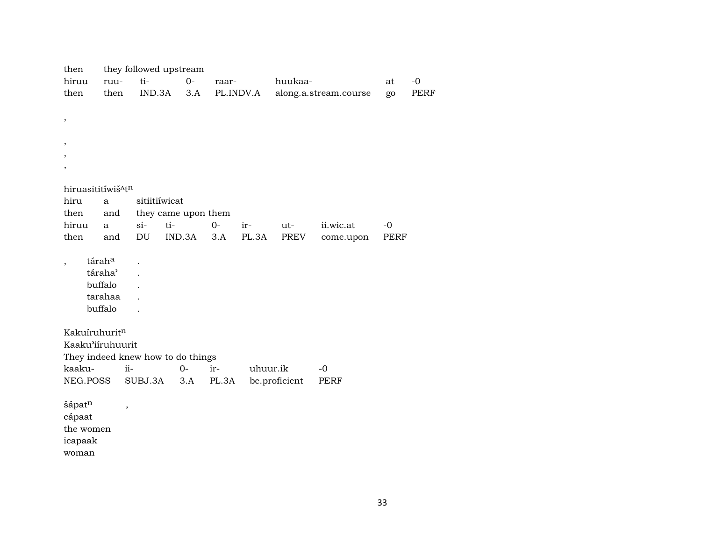| then                          |                     | they followed upstream            |        |       |           |               |                       |      |             |
|-------------------------------|---------------------|-----------------------------------|--------|-------|-----------|---------------|-----------------------|------|-------------|
| hiruu                         | ruu-                | ti-                               | $O -$  | raar- |           | huukaa-       |                       | at   | $-0$        |
| then                          | then                | IND.3A                            | 3.A    |       | PL.INDV.A |               | along.a.stream.course | go   | <b>PERF</b> |
|                               |                     |                                   |        |       |           |               |                       |      |             |
| $\,$                          |                     |                                   |        |       |           |               |                       |      |             |
|                               |                     |                                   |        |       |           |               |                       |      |             |
| ,                             |                     |                                   |        |       |           |               |                       |      |             |
|                               |                     |                                   |        |       |           |               |                       |      |             |
| ,                             |                     |                                   |        |       |           |               |                       |      |             |
|                               |                     |                                   |        |       |           |               |                       |      |             |
| hiruasititíwiš <sup>Atn</sup> |                     |                                   |        |       |           |               |                       |      |             |
| hiru                          | a                   | sitiitiíwicat                     |        |       |           |               |                       |      |             |
| then                          | and                 | they came upon them               |        |       |           |               |                       |      |             |
| hiruu                         | a                   | $si-$<br>ti-                      |        | $O -$ | ir-       | ut-           | ii.wic.at             | $-0$ |             |
| then                          | and                 | DU                                | IND.3A | 3.A   | PL.3A     | PREV          | come.upon             | PERF |             |
|                               | táraha              |                                   |        |       |           |               |                       |      |             |
| $\,$                          | táraha <sup>3</sup> |                                   |        |       |           |               |                       |      |             |
|                               | buffalo             |                                   |        |       |           |               |                       |      |             |
|                               | tarahaa             |                                   |        |       |           |               |                       |      |             |
|                               | buffalo             |                                   |        |       |           |               |                       |      |             |
|                               |                     |                                   |        |       |           |               |                       |      |             |
| Kakuíruhuritn                 |                     |                                   |        |       |           |               |                       |      |             |
| Kaaku'iiruhuurit              |                     |                                   |        |       |           |               |                       |      |             |
|                               |                     | They indeed knew how to do things |        |       |           |               |                       |      |             |
| kaaku-                        |                     | ii-                               | $O -$  | ir-   | uhuur.ik  |               | $-0$                  |      |             |
| NEG.POSS                      |                     | SUBJ.3A                           | 3.A    | PL.3A |           | be.proficient | <b>PERF</b>           |      |             |
|                               |                     |                                   |        |       |           |               |                       |      |             |
| šápatn                        | $\,$                |                                   |        |       |           |               |                       |      |             |
| cápaat                        |                     |                                   |        |       |           |               |                       |      |             |
| the women                     |                     |                                   |        |       |           |               |                       |      |             |
| icapaak                       |                     |                                   |        |       |           |               |                       |      |             |

woman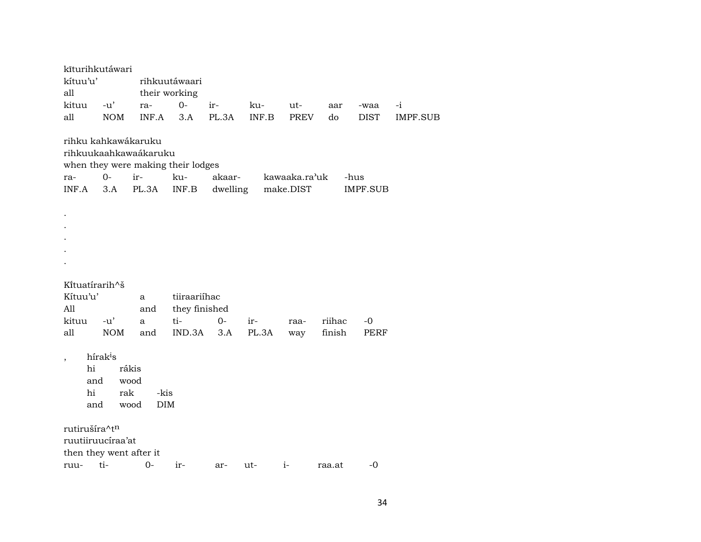| kīturihkutáwari                    |                      |                    |               |          |       |               |        |             |          |  |  |  |  |
|------------------------------------|----------------------|--------------------|---------------|----------|-------|---------------|--------|-------------|----------|--|--|--|--|
| kítuu'u'                           |                      |                    | rihkuutáwaari |          |       |               |        |             |          |  |  |  |  |
| all                                |                      |                    | their working |          |       |               |        |             |          |  |  |  |  |
| kituu                              | $-u'$                | ra-                | $0-$          | ir-      | ku-   | ut-           | aar    | -waa        | $-i$     |  |  |  |  |
| all                                | <b>NOM</b>           | INF.A              | 3.A           | PL.3A    | INF.B | <b>PREV</b>   | do     | <b>DIST</b> | IMPF.SUB |  |  |  |  |
|                                    |                      |                    |               |          |       |               |        |             |          |  |  |  |  |
| rihku kahkawákaruku                |                      |                    |               |          |       |               |        |             |          |  |  |  |  |
| rihkuukaahkawaákaruku              |                      |                    |               |          |       |               |        |             |          |  |  |  |  |
| when they were making their lodges |                      |                    |               |          |       |               |        |             |          |  |  |  |  |
| ra-                                | $O-$                 | ir-                | ku-           | akaar-   |       | kawaaka.ra'uk |        | -hus        |          |  |  |  |  |
| INF.A                              | 3.A                  | PL.3A              | INF.B         | dwelling |       | make.DIST     |        | IMPF.SUB    |          |  |  |  |  |
|                                    |                      |                    |               |          |       |               |        |             |          |  |  |  |  |
|                                    |                      |                    |               |          |       |               |        |             |          |  |  |  |  |
|                                    |                      |                    |               |          |       |               |        |             |          |  |  |  |  |
|                                    |                      |                    |               |          |       |               |        |             |          |  |  |  |  |
|                                    |                      |                    |               |          |       |               |        |             |          |  |  |  |  |
|                                    |                      |                    |               |          |       |               |        |             |          |  |  |  |  |
|                                    |                      |                    |               |          |       |               |        |             |          |  |  |  |  |
| Kituatirarih^š                     |                      |                    |               |          |       |               |        |             |          |  |  |  |  |
| Kítuu'u'                           |                      | a                  | tiiraariíhac  |          |       |               |        |             |          |  |  |  |  |
| A11                                |                      | and                | they finished |          |       |               |        |             |          |  |  |  |  |
| kituu                              | $-u'$                | a                  | ti-           | $0-$     | ir-   | raa-          | riihac | -0          |          |  |  |  |  |
| all                                | <b>NOM</b>           | and                | IND.3A        | 3.A      | PL.3A | way           | finish | PERF        |          |  |  |  |  |
|                                    |                      |                    |               |          |       |               |        |             |          |  |  |  |  |
| $\overline{\phantom{a}}$           | hírak <sup>i</sup> s |                    |               |          |       |               |        |             |          |  |  |  |  |
| hi                                 |                      | rákis              |               |          |       |               |        |             |          |  |  |  |  |
| and                                |                      | wood               |               |          |       |               |        |             |          |  |  |  |  |
| hi<br>rak<br>-kis                  |                      |                    |               |          |       |               |        |             |          |  |  |  |  |
| and                                |                      | wood<br><b>DIM</b> |               |          |       |               |        |             |          |  |  |  |  |
|                                    |                      |                    |               |          |       |               |        |             |          |  |  |  |  |
| rutirušíra^tn                      |                      |                    |               |          |       |               |        |             |          |  |  |  |  |
| ruutiiruucíraa'at                  |                      |                    |               |          |       |               |        |             |          |  |  |  |  |
| then they went after it            |                      |                    |               |          |       |               |        |             |          |  |  |  |  |
| ruu-                               | ti-                  | 0-                 | $ir-$         | ar-      | ut-   | $i-$          | raa.at | $-0$        |          |  |  |  |  |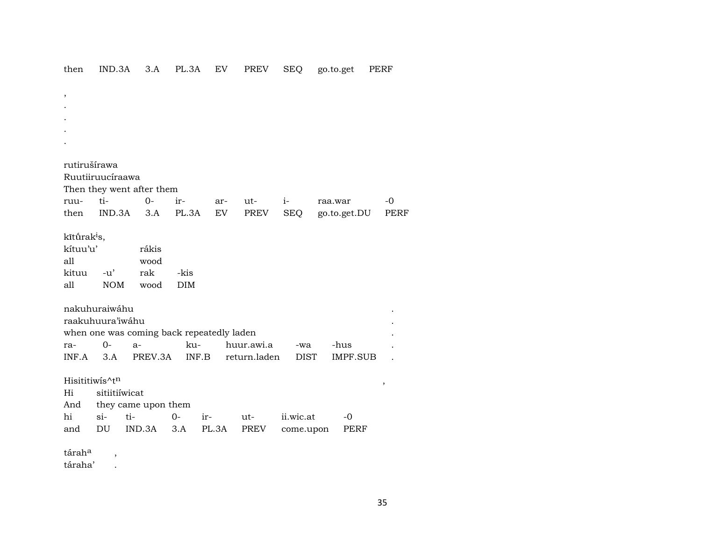## then IND.3A 3.A PL.3A EV PREV SEQ go.to.get PERF

| $\overline{\phantom{a}}$ |                            |                                           |            |       |              |             |                 |             |  |  |  |  |
|--------------------------|----------------------------|-------------------------------------------|------------|-------|--------------|-------------|-----------------|-------------|--|--|--|--|
|                          |                            |                                           |            |       |              |             |                 |             |  |  |  |  |
|                          |                            |                                           |            |       |              |             |                 |             |  |  |  |  |
|                          |                            |                                           |            |       |              |             |                 |             |  |  |  |  |
|                          |                            |                                           |            |       |              |             |                 |             |  |  |  |  |
| rutirušírawa             |                            |                                           |            |       |              |             |                 |             |  |  |  |  |
|                          | Ruutiiruucíraawa           |                                           |            |       |              |             |                 |             |  |  |  |  |
|                          |                            |                                           |            |       |              |             |                 |             |  |  |  |  |
|                          |                            | Then they went after them                 |            |       |              |             |                 |             |  |  |  |  |
| ruu-                     | ti-                        | $0-$                                      | ir-        | ar-   | ut-          | $i-$        | raa.war         | -0          |  |  |  |  |
| then                     | IND.3A                     | 3.A                                       | PL.3A      | EV    | PREV         | <b>SEQ</b>  | go.to.get.DU    | <b>PERF</b> |  |  |  |  |
| kītūrak <sup>i</sup> s,  |                            |                                           |            |       |              |             |                 |             |  |  |  |  |
| kítuu'u'                 |                            | rákis                                     |            |       |              |             |                 |             |  |  |  |  |
| all                      |                            | wood                                      |            |       |              |             |                 |             |  |  |  |  |
| kituu                    | $-u'$                      | rak                                       | -kis       |       |              |             |                 |             |  |  |  |  |
| all                      | <b>NOM</b>                 | wood                                      | <b>DIM</b> |       |              |             |                 |             |  |  |  |  |
|                          |                            |                                           |            |       |              |             |                 |             |  |  |  |  |
|                          | nakuhuraiwáhu              |                                           |            |       |              |             |                 |             |  |  |  |  |
|                          | raakuhuura'iwáhu           |                                           |            |       |              |             |                 |             |  |  |  |  |
|                          |                            | when one was coming back repeatedly laden |            |       |              |             |                 |             |  |  |  |  |
| ra-                      | $O -$                      | $a-$                                      | ku-        |       | huur.awi.a   | -wa         | -hus            |             |  |  |  |  |
| INF.A                    | 3.A                        | PREV.3A                                   | INF.B      |       | return.laden | <b>DIST</b> | <b>IMPF.SUB</b> |             |  |  |  |  |
|                          |                            |                                           |            |       |              |             |                 |             |  |  |  |  |
|                          | Hisititiwis^t <sup>n</sup> |                                           |            |       |              |             |                 | $\, ,$      |  |  |  |  |
| Hi                       | sitiitiíwicat              |                                           |            |       |              |             |                 |             |  |  |  |  |
| And                      | they came upon them        |                                           |            |       |              |             |                 |             |  |  |  |  |
| hi                       | si-                        | ti-                                       | $0-$       | ir-   | ut-          | ii.wic.at   | $-0$            |             |  |  |  |  |
| and                      | DU                         | IND.3A                                    | 3.A        | PL.3A | PREV         | come.upon   | PERF            |             |  |  |  |  |
|                          |                            |                                           |            |       |              |             |                 |             |  |  |  |  |
| tárah <sup>a</sup>       | $\overline{\phantom{a}}$   |                                           |            |       |              |             |                 |             |  |  |  |  |
| táraha'                  |                            |                                           |            |       |              |             |                 |             |  |  |  |  |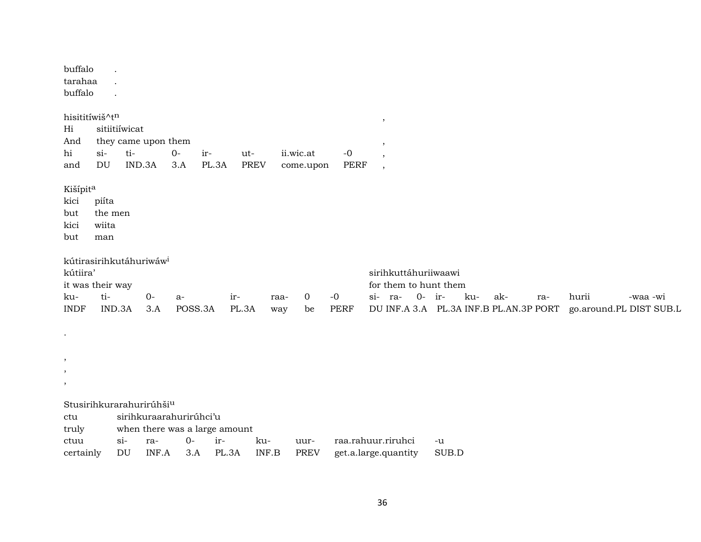| buffalo<br>tarahaa<br>buffalo                                                             |                                  |               |                                                                 |               |              |                    |             |                        |                     |                                                                                                    |          |       |     |     |     |       |                                     |
|-------------------------------------------------------------------------------------------|----------------------------------|---------------|-----------------------------------------------------------------|---------------|--------------|--------------------|-------------|------------------------|---------------------|----------------------------------------------------------------------------------------------------|----------|-------|-----|-----|-----|-------|-------------------------------------|
| hisititíwiš^tn<br>Hi<br>And<br>hi<br>and                                                  | sitiitiíwicat<br>$si$ -<br>DU    | ti-<br>IND.3A | they came upon them                                             | $O -$<br>3.A  | ir-<br>PL.3A | ut-<br><b>PREV</b> |             | ii.wic.at<br>come.upon | $-0$<br><b>PERF</b> | $\,$<br>,<br>$\overline{\phantom{a}}$<br>$\cdot$                                                   |          |       |     |     |     |       |                                     |
| Kišípita<br>kici<br>but<br>kici<br>but                                                    | piíta<br>the men<br>wiita<br>man |               |                                                                 |               |              |                    |             |                        |                     |                                                                                                    |          |       |     |     |     |       |                                     |
| kútirasirihkutáhuriwáw <sup>i</sup><br>kútiira'<br>it was their way<br>ku-<br><b>INDF</b> | ti-<br>IND.3A                    |               | $O -$<br>3.A                                                    | a-<br>POSS.3A |              | ir-<br>PL.3A       | raa-<br>way | 0<br>be                | $-0$<br><b>PERF</b> | sirihkuttáhuriiwaawi<br>for them to hunt them<br>si- ra-<br>DU INF.A 3.A PL.3A INF.B PL.AN.3P PORT | $0-$ ir- |       | ku- | ak- | ra- | hurii | -waa -wi<br>go.around.PL DIST SUB.L |
| $\bullet$ .<br>,<br>,<br>,                                                                |                                  |               |                                                                 |               |              |                    |             |                        |                     |                                                                                                    |          |       |     |     |     |       |                                     |
| Stusirihkurarahurirúhši <sup>u</sup><br>ctu<br>truly<br>ctuu                              |                                  | $\sin$        | sirihkuraarahurirúhci'u<br>when there was a large amount<br>ra- | $0-$          | ir-          |                    | ku-         | uur-                   |                     | raa.rahuur.riruhci                                                                                 |          | -u    |     |     |     |       |                                     |
| certainly                                                                                 |                                  | DU            | INF.A                                                           | 3.A           | PL.3A        |                    | INF.B       | <b>PREV</b>            |                     | get.a.large.quantity                                                                               |          | SUB.D |     |     |     |       |                                     |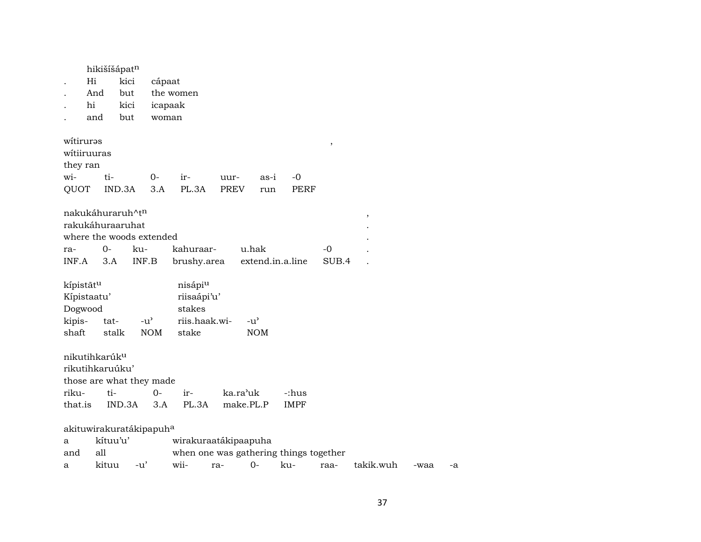| Hi<br>hi                                                                                     | hikišíšápatn<br>And<br>and | kici<br>but<br>kici<br>but | cápaat<br>icapaak<br>woman | the women                                                              |                     |                             |                      |               |           |      |    |
|----------------------------------------------------------------------------------------------|----------------------------|----------------------------|----------------------------|------------------------------------------------------------------------|---------------------|-----------------------------|----------------------|---------------|-----------|------|----|
| witiruras<br>witiiruuras<br>they ran<br>wi-<br>QUOT                                          | ti-                        | IND.3A                     | $0-$<br>3.A                | ir-<br>PL.3A                                                           | uur-<br><b>PREV</b> | as-i<br>run                 | -0<br><b>PERF</b>    | $\pmb{\cdot}$ |           |      |    |
| nakukáhuraruh^t <sup>n</sup><br>rakukáhuraaruhat<br>where the woods extended<br>ra-<br>INF.A | $0-$<br>3.A                | ku-<br>INF.B               |                            | kahuraar-<br>brushy.area                                               |                     | u.hak<br>extend.in.a.line   |                      | -0<br>SUB.4   | $\, ,$    |      |    |
| kípistãtu<br>Kípistaatu'<br>Dogwood<br>kipis-<br>shaft                                       | tat-<br>stalk              | $-u^{\prime}$              | <b>NOM</b>                 | nisápiu<br>riisaápi'u'<br>stakes<br>riis.haak.wi-<br>stake             |                     | $-u^{\prime}$<br><b>NOM</b> |                      |               |           |      |    |
| nikutihkarúk <sup>u</sup><br>rikutihkaruúku'<br>those are what they made<br>riku-<br>that.is | ti-                        | IND.3A                     | $0-$<br>3.A                | ir-<br>PL.3A                                                           | ka.ra'uk            | make.PL.P                   | -:hus<br><b>IMPF</b> |               |           |      |    |
| akituwirakuratákipapuh <sup>a</sup><br>a<br>and<br>a                                         | kítuu'u'<br>all<br>kituu   | $-u'$                      |                            | wirakuraatákipaapuha<br>when one was gathering things together<br>wii- | ra-                 | $0-$                        | ku-                  | raa-          | takik.wuh | -waa | -a |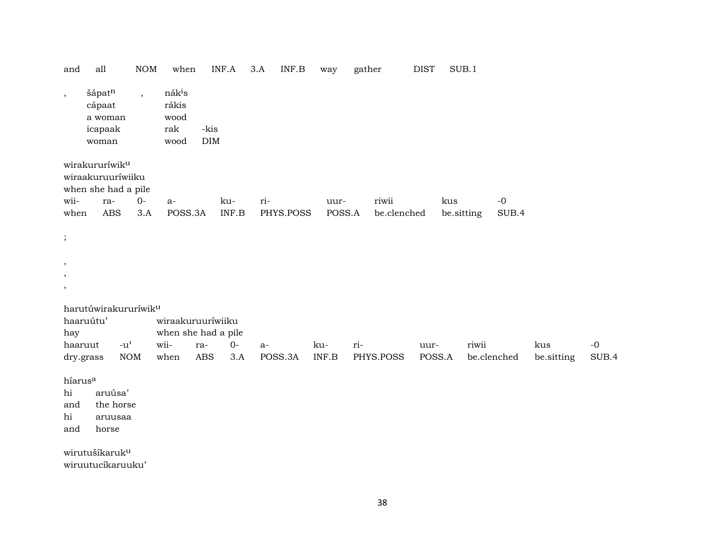| and                                           | all                                                                           | <b>NOM</b>               | when                                               | INF.A                                    | 3.A | INF.B     | way    | gather      | <b>DIST</b> | SUB.1      |             |            |       |
|-----------------------------------------------|-------------------------------------------------------------------------------|--------------------------|----------------------------------------------------|------------------------------------------|-----|-----------|--------|-------------|-------------|------------|-------------|------------|-------|
| $\,$                                          | šápatn<br>cápaat<br>a woman<br>icapaak<br>woman                               | $\overline{\phantom{a}}$ | nák <sup>i</sup> s<br>rákis<br>wood<br>rak<br>wood | -kis<br><b>DIM</b>                       |     |           |        |             |             |            |             |            |       |
| wii-                                          | wirakururíwik <sup>u</sup><br>wiraakuruuríwiiku<br>when she had a pile<br>ra- | $O -$                    | $a-$                                               | ku-                                      | ri- |           | uur-   | riwii       |             | kus        | $-0$        |            |       |
| when                                          | <b>ABS</b>                                                                    | $3.A$                    | POSS.3A                                            | INF.B                                    |     | PHYS.POSS | POSS.A | be.clenched |             | be.sitting | SUB.4       |            |       |
| $\cdot$                                       |                                                                               |                          |                                                    |                                          |     |           |        |             |             |            |             |            |       |
| $\cdot$                                       |                                                                               |                          |                                                    |                                          |     |           |        |             |             |            |             |            |       |
| $\cdot$                                       |                                                                               |                          |                                                    |                                          |     |           |        |             |             |            |             |            |       |
| $\cdot$                                       |                                                                               |                          |                                                    |                                          |     |           |        |             |             |            |             |            |       |
| hay                                           | harutúwirakururíwik <sup>u</sup><br>haaruútu'                                 |                          |                                                    | wiraakuruuríwiiku<br>when she had a pile |     |           |        |             |             |            |             |            |       |
|                                               | $-u^{\prime}$<br>haaruut                                                      |                          | wii-                                               | $O -$<br>ra-                             | a-  |           | ku-    | ri-         | uur-        | riwii      |             | kus        | $-0$  |
|                                               | dry.grass                                                                     | <b>NOM</b>               | when                                               | <b>ABS</b><br>3.A                        |     | POSS.3A   | INF.B  | PHYS.POSS   | POSS.A      |            | be.clenched | be.sitting | SUB.4 |
| híarus <sup>a</sup><br>hi<br>and<br>hi<br>and | aruúsa'<br>the horse<br>aruusaa<br>horse                                      |                          |                                                    |                                          |     |           |        |             |             |            |             |            |       |
|                                               | wirutušíkaruk <sup>u</sup><br>wiruutucíkaruuku'                               |                          |                                                    |                                          |     |           |        |             |             |            |             |            |       |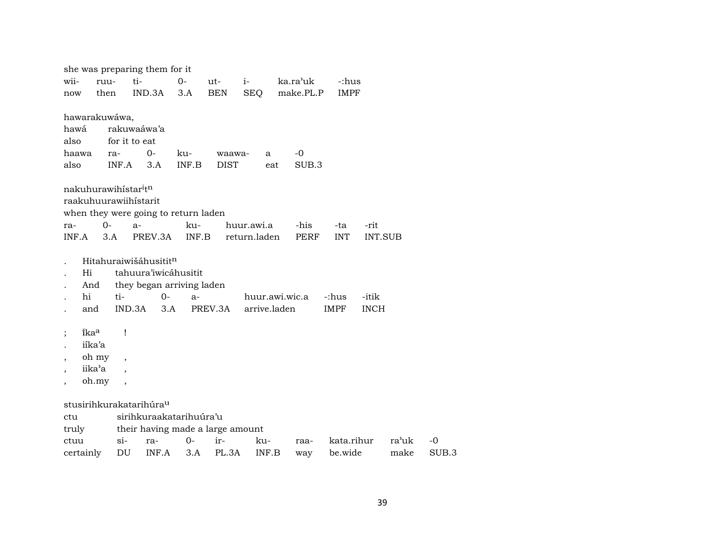|                          |                       |                          | she was preparing them for it        |       |                       |                |     |                  |             |                |       |       |
|--------------------------|-----------------------|--------------------------|--------------------------------------|-------|-----------------------|----------------|-----|------------------|-------------|----------------|-------|-------|
| wii-                     | ruu-                  |                          | ti-                                  | $0-$  | ut-                   | $i-$           |     | ka.ra'uk         | -:hus       |                |       |       |
| now                      | then                  |                          | IND.3A                               | 3.A   | <b>BEN</b>            | <b>SEQ</b>     |     | make.PL.P        | <b>IMPF</b> |                |       |       |
|                          |                       |                          |                                      |       |                       |                |     |                  |             |                |       |       |
| hawá                     | hawarakuwáwa,         |                          | rakuwaáwa'a                          |       |                       |                |     |                  |             |                |       |       |
| also                     |                       | for it to eat            |                                      |       |                       |                |     |                  |             |                |       |       |
|                          | haawa                 | ra-                      | $0-$                                 | ku-   |                       | a              |     | -0               |             |                |       |       |
| also                     |                       | INF.A                    | 3.A                                  | INF.B | waawa-<br><b>DIST</b> |                | eat | SUB <sub>3</sub> |             |                |       |       |
|                          |                       |                          |                                      |       |                       |                |     |                  |             |                |       |       |
|                          | nakuhurawihistaritn   |                          |                                      |       |                       |                |     |                  |             |                |       |       |
|                          | raakuhuurawiihistarit |                          |                                      |       |                       |                |     |                  |             |                |       |       |
|                          |                       |                          | when they were going to return laden |       |                       |                |     |                  |             |                |       |       |
| ra-                      | $O -$                 |                          | $a-$                                 | ku-   |                       | huur.awi.a     |     | -his             | -ta         | -rit           |       |       |
|                          | INF.A                 | 3.A                      | PREV.3A                              | INF.B |                       | return.laden   |     | PERF             | <b>INT</b>  | <b>INT.SUB</b> |       |       |
|                          |                       |                          |                                      |       |                       |                |     |                  |             |                |       |       |
|                          |                       |                          | Hitahuraiwišáhusitit <sup>n</sup>    |       |                       |                |     |                  |             |                |       |       |
|                          | Hi                    |                          | tahuura'iwicáhusitit                 |       |                       |                |     |                  |             |                |       |       |
|                          | And                   |                          | they began arriving laden            |       |                       |                |     |                  |             |                |       |       |
|                          | hi                    | ti-                      | $0-$                                 | $a-$  |                       | huur.awi.wic.a |     |                  | -:hus       | -itik          |       |       |
|                          | and                   | IND.3A                   | 3.A                                  |       | PREV.3A               | arrive.laden   |     |                  | <b>IMPF</b> | <b>INCH</b>    |       |       |
|                          | îka <sup>a</sup>      | Ţ                        |                                      |       |                       |                |     |                  |             |                |       |       |
|                          | iíka'a                |                          |                                      |       |                       |                |     |                  |             |                |       |       |
|                          | oh my                 |                          |                                      |       |                       |                |     |                  |             |                |       |       |
|                          | iika'a                | $\overline{\phantom{a}}$ |                                      |       |                       |                |     |                  |             |                |       |       |
| $\overline{\phantom{a}}$ | oh.my                 | $\overline{\phantom{a}}$ |                                      |       |                       |                |     |                  |             |                |       |       |
|                          |                       |                          |                                      |       |                       |                |     |                  |             |                |       |       |
|                          |                       |                          | stusirihkurakatarihúra <sup>u</sup>  |       |                       |                |     |                  |             |                |       |       |
| ctu                      |                       |                          | sirihkuraakatarihuúra'u              |       |                       |                |     |                  |             |                |       |       |
| truly                    |                       |                          | their having made a large amount     |       |                       |                |     |                  |             |                |       |       |
| ctuu                     |                       | si                       | ra-                                  | $0-$  | ir-                   | ku-            |     | raa-             | kata.rihur  |                | ra'uk | $-0$  |
|                          | certainly             | DU                       | INF.A                                | 3.A   | PL.3A                 | INF.B          |     | way              | be.wide     |                | make  | SUB.3 |
|                          |                       |                          |                                      |       |                       |                |     |                  |             |                |       |       |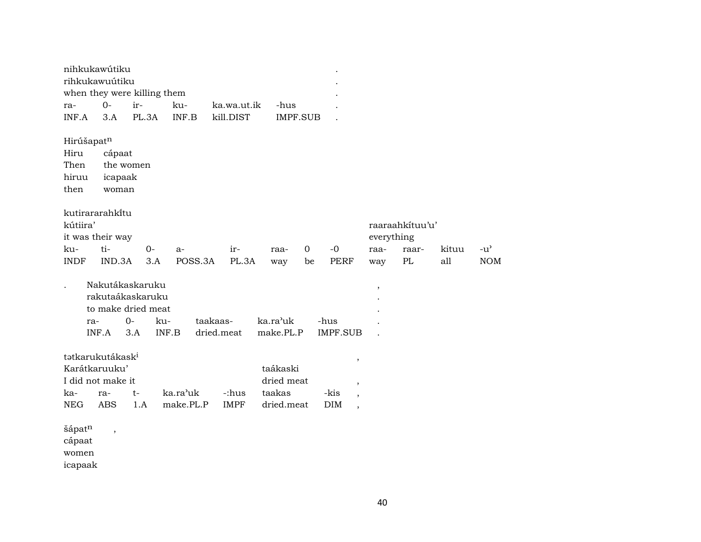|             | nihkukawútiku<br>rihkukawuútiku |                          |                    |           |            |             |                 |             |      |                                  |                          |                 |       |               |
|-------------|---------------------------------|--------------------------|--------------------|-----------|------------|-------------|-----------------|-------------|------|----------------------------------|--------------------------|-----------------|-------|---------------|
|             | when they were killing them     |                          |                    |           |            |             |                 |             |      |                                  |                          |                 |       |               |
| ra-         | $0-$                            | ir-                      |                    | ku-       |            | ka.wa.ut.ik | -hus            |             |      |                                  |                          |                 |       |               |
| INF.A       | 3.A                             |                          | PL.3A              | INF.B     |            | kill.DIST   | <b>IMPF.SUB</b> |             |      |                                  |                          |                 |       |               |
|             | Hirúšapatn                      |                          |                    |           |            |             |                 |             |      |                                  |                          |                 |       |               |
| Hiru        |                                 | cápaat                   |                    |           |            |             |                 |             |      |                                  |                          |                 |       |               |
| Then        |                                 | the women                |                    |           |            |             |                 |             |      |                                  |                          |                 |       |               |
| hiruu       |                                 | icapaak                  |                    |           |            |             |                 |             |      |                                  |                          |                 |       |               |
| then        |                                 | woman                    |                    |           |            |             |                 |             |      |                                  |                          |                 |       |               |
|             | kutirararahkitu                 |                          |                    |           |            |             |                 |             |      |                                  |                          |                 |       |               |
| kútiira'    |                                 |                          |                    |           |            |             |                 |             |      |                                  |                          | raaraahkituu'u' |       |               |
|             | it was their way                |                          |                    |           |            |             |                 |             |      |                                  | everything               |                 |       |               |
| ku-         | ti-                             |                          | $O -$              | $a-$      |            | ir-         | raa-            | $\mathbf 0$ |      | $-0$                             | raa-                     | raar-           | kituu | $-u^{\prime}$ |
| <b>INDF</b> |                                 | IND.3A                   | 3.A                |           | POSS.3A    | PL.3A       | way             | be          |      | PERF                             | way                      | $\mathbf{PL}$   | all   | <b>NOM</b>    |
|             |                                 |                          |                    |           |            |             |                 |             |      |                                  |                          |                 |       |               |
|             |                                 |                          | Nakutákaskaruku    |           |            |             |                 |             |      |                                  | $\overline{\phantom{a}}$ |                 |       |               |
|             |                                 |                          | rakutaákaskaruku   |           |            |             |                 |             |      |                                  |                          |                 |       |               |
|             |                                 |                          | to make dried meat |           |            |             |                 |             |      |                                  |                          |                 |       |               |
|             | ra-                             | $0-$                     | ku-                |           | taakaas-   |             | ka.ra'uk        |             | -hus |                                  |                          |                 |       |               |
|             | INF.A                           | 3.A                      |                    | INF.B     | dried.meat |             | make.PL.P       |             |      | <b>IMPF.SUB</b>                  |                          |                 |       |               |
|             | tətkarukutákask <sup>i</sup>    |                          |                    |           |            |             |                 |             |      | $\, ,$                           |                          |                 |       |               |
|             | Karátkaruuku'                   |                          |                    |           |            |             | taákaski        |             |      |                                  |                          |                 |       |               |
|             | I did not make it               |                          |                    |           |            |             | dried meat      |             |      | $^\mathrm{,}$                    |                          |                 |       |               |
| ka-         | ra-                             | $t-$                     |                    | ka.ra'uk  |            | -:hus       | taakas          |             |      | -kis<br>$\overline{\phantom{a}}$ |                          |                 |       |               |
| <b>NEG</b>  | <b>ABS</b>                      |                          | 1.A                | make.PL.P |            | <b>IMPF</b> | dried.meat      |             |      | DIM<br>$\cdot$                   |                          |                 |       |               |
|             |                                 |                          |                    |           |            |             |                 |             |      |                                  |                          |                 |       |               |
| šápatn      |                                 | $\overline{\phantom{a}}$ |                    |           |            |             |                 |             |      |                                  |                          |                 |       |               |
| cápaat      |                                 |                          |                    |           |            |             |                 |             |      |                                  |                          |                 |       |               |
| women       |                                 |                          |                    |           |            |             |                 |             |      |                                  |                          |                 |       |               |
| icapaak     |                                 |                          |                    |           |            |             |                 |             |      |                                  |                          |                 |       |               |
|             |                                 |                          |                    |           |            |             |                 |             |      |                                  |                          |                 |       |               |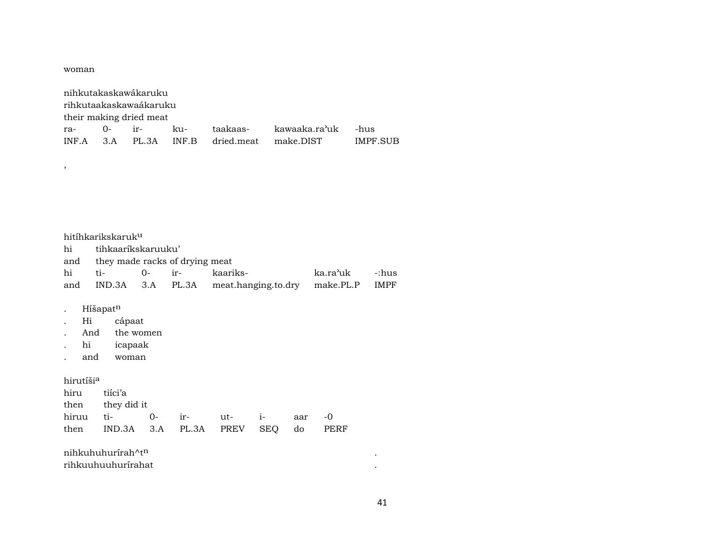woman

,

| nihkutakaskawákaruku   |                         |                |  |  |                                            |          |  |  |  |  |  |  |
|------------------------|-------------------------|----------------|--|--|--------------------------------------------|----------|--|--|--|--|--|--|
| rihkutaakaskawaákaruku |                         |                |  |  |                                            |          |  |  |  |  |  |  |
|                        | their making dried meat |                |  |  |                                            |          |  |  |  |  |  |  |
|                        |                         | ra- 0- ir- ku- |  |  | taakaas- kawaaka.ra'uk -hus                |          |  |  |  |  |  |  |
|                        |                         |                |  |  | INF.A 3.A PL.3A INF.B dried.meat make.DIST | IMPF SUB |  |  |  |  |  |  |

| hitíhkarikskaruk <sup>u</sup>      |  |  |                                                         |                |  |  |  |  |  |  |  |
|------------------------------------|--|--|---------------------------------------------------------|----------------|--|--|--|--|--|--|--|
| hi tihkaaríkskaruuku'              |  |  |                                                         |                |  |  |  |  |  |  |  |
| and they made racks of drying meat |  |  |                                                         |                |  |  |  |  |  |  |  |
| hi ti- 0- ir-                      |  |  | kaariks-                                                | ka.ra'uk -:hus |  |  |  |  |  |  |  |
|                                    |  |  | and IND.3A 3.A PL.3A meat.hanging.to.dry make.PL.P IMPF |                |  |  |  |  |  |  |  |
|                                    |  |  |                                                         |                |  |  |  |  |  |  |  |

- . Híšapat<sup>n</sup>
- . Hi cápaat
- . And the women
- . hi icapaak
- . and woman

## hirutíši $^{\rm a}$

| hiru tiíci'a                           |  |  |  |
|----------------------------------------|--|--|--|
| then they did it                       |  |  |  |
|                                        |  |  |  |
| then IND.3A 3.A PL.3A PREV SEQ do PERF |  |  |  |

| nihkuhuhurírah^t <sup>n</sup> |  |
|-------------------------------|--|
| rihkuuhuuhurirahat            |  |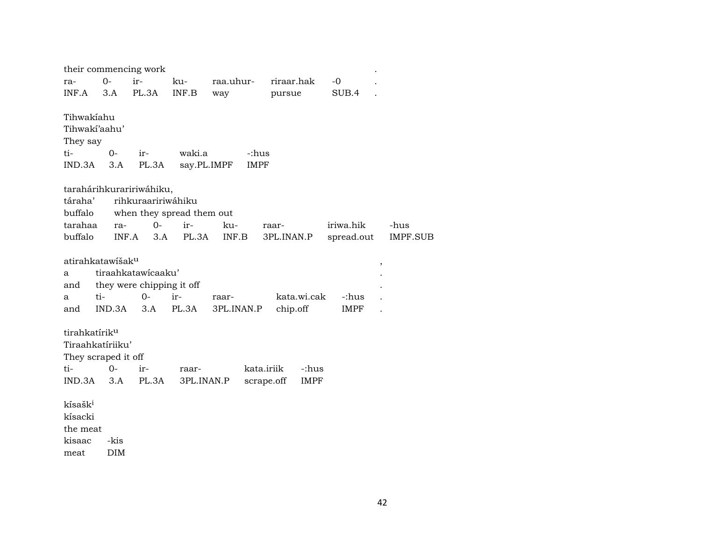|                     |                              | their commencing work     |            |             |                           |             |                         |
|---------------------|------------------------------|---------------------------|------------|-------------|---------------------------|-------------|-------------------------|
| ra-                 | $O -$                        | ir-                       | ku-        | raa.uhur-   | riraar.hak                | $-0$        |                         |
| INF.A               | 3.A                          | PL.3A                     | INF.B      | way         | pursue                    | SUB.4       |                         |
|                     | Tihwakíahu                   |                           |            |             |                           |             |                         |
|                     | Tihwaki'aahu'                |                           |            |             |                           |             |                         |
| They say            |                              |                           |            |             |                           |             |                         |
| ti-                 | $0-$                         | ir-                       | waki.a     |             | -:hus                     |             |                         |
| IND.3A              | 3.A                          | PL.3A                     |            | say.PL.IMPF | <b>IMPF</b>               |             |                         |
|                     |                              | tarahárihkuraririwáhiku,  |            |             |                           |             |                         |
| táraha'             |                              | rihkuraaririwáhiku        |            |             |                           |             |                         |
| buffalo             |                              | when they spread them out |            |             |                           |             |                         |
| tarahaa             | ra-                          | $0-$                      | ir-        | ku-         | raar-                     | iriwa.hik   | -hus                    |
| buffalo             |                              | INF.A<br>3.A              | PL.3A      | INF.B       | 3PL.INAN.P                | spread.out  | <b>IMPF.SUB</b>         |
|                     |                              |                           |            |             |                           |             |                         |
|                     | atirahkatawišak <sup>u</sup> |                           |            |             |                           |             | $^\mathrm{^\mathrm{o}}$ |
| a                   |                              | tiraahkatawicaaku'        |            |             |                           |             |                         |
| and                 |                              | they were chipping it off |            |             |                           |             |                         |
| a                   | ti-                          | $0-$                      | ir-        | raar-       | kata.wi.cak               | -:hus       |                         |
| and                 | IND.3A                       | 3.A                       | PL.3A      | 3PL.INAN.P  | chip.off                  | <b>IMPF</b> |                         |
|                     | tirahkatírik <sup>u</sup>    |                           |            |             |                           |             |                         |
|                     | Tiraahkatíriiku'             |                           |            |             |                           |             |                         |
|                     | They scraped it off          |                           |            |             |                           |             |                         |
| ti-                 | $0-$                         | ir-                       | raar-      |             | kata.iriik<br>-:hus       |             |                         |
|                     | $IND.3A$ $3.A$               | PL.3A                     | 3PL.INAN.P |             | scrape.off<br><b>IMPF</b> |             |                         |
| kísašk <sup>i</sup> |                              |                           |            |             |                           |             |                         |
| kísacki             |                              |                           |            |             |                           |             |                         |
| the meat            |                              |                           |            |             |                           |             |                         |
| kisaac              | -kis                         |                           |            |             |                           |             |                         |
| $\sim$              | T <sub>1</sub>               |                           |            |             |                           |             |                         |

meat DIM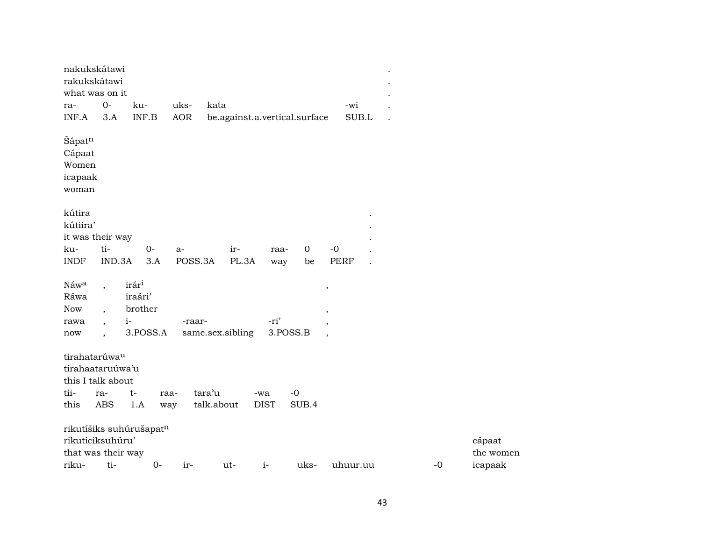| nakukskátawi<br>rakukskátawi<br>what was on it<br>ra-<br>INF.A                     | $O -$<br>3.A                                                                                | ku-<br>INF.B                                                | uks-<br><b>AOR</b> | kata<br>be.against.a.vertical.surface |                    |                   | -wi<br>SUB.L                                          |      |                                |
|------------------------------------------------------------------------------------|---------------------------------------------------------------------------------------------|-------------------------------------------------------------|--------------------|---------------------------------------|--------------------|-------------------|-------------------------------------------------------|------|--------------------------------|
| Šápatn<br>Cápaat<br>Women<br>icapaak<br>woman                                      |                                                                                             |                                                             |                    |                                       |                    |                   |                                                       |      |                                |
| kútira<br>kútiira'<br>it was their way<br>ku-<br><b>INDF</b>                       | ti-<br>IND.3A                                                                               | $0-$<br>3.A                                                 | a-<br>POSS.3A      | ir-<br>PL.3A                          | raa-<br>way        | $\mathbf 0$<br>be | $-0$<br><b>PERF</b>                                   |      |                                |
| Náwa<br>Ráwa<br><b>Now</b><br>rawa<br>$\operatorname{now}$                         | $\overline{\phantom{a}}$<br>$\cdot$<br>$\overline{\phantom{a}}$<br>$\overline{\phantom{a}}$ | irár <sup>i</sup><br>iraári'<br>brother<br>$i-$<br>3.POSS.A | -raar-             | same.sex.sibling                      | -ri'               | 3.POSS.B          | $\, ,$<br>$\cdot$<br>$\overline{\phantom{a}}$<br>$\,$ |      |                                |
| tirahatarúwa <sup>u</sup><br>tirahaataruúwa'u<br>this I talk about<br>tii-<br>this | ra-<br><b>ABS</b>                                                                           | $t-$<br>1.A                                                 | raa-<br>way        | tara'u<br>talk.about                  | -wa<br><b>DIST</b> | $-0$<br>SUB.4     |                                                       |      |                                |
| rikuticiksuhúru'<br>that was their way<br>riku-                                    | ti-                                                                                         | rikutíšiks suhúrušapatn<br>$0-$                             | ir-                | ut-                                   | $i-$               | uks-              | uhuur.uu                                              | $-0$ | cápaat<br>the women<br>icapaak |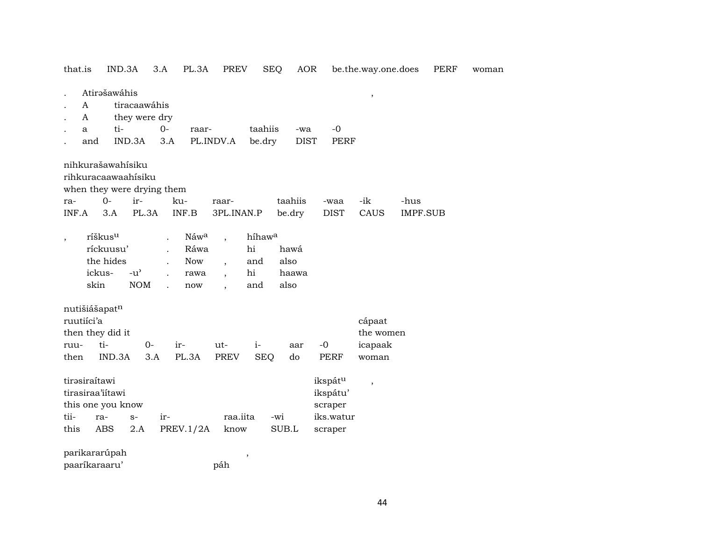| that.is                       | IND.3A                                                                 |                                                   | 3.A         | PL.3A                                                      | PREV                     |                                              | SEQ          | AOR                |                                                        | be.the.way.one.does  |                         | PERF | woman |
|-------------------------------|------------------------------------------------------------------------|---------------------------------------------------|-------------|------------------------------------------------------------|--------------------------|----------------------------------------------|--------------|--------------------|--------------------------------------------------------|----------------------|-------------------------|------|-------|
| A<br>A<br>a<br>and            | Atirašawáhis<br>ti-                                                    | tiracaawáhis<br>they were dry<br>IND.3A           | $0-$<br>3.A | raar-                                                      | PL.INDV.A                | taahiis<br>be.dry                            |              | -wa<br><b>DIST</b> | $-0$<br><b>PERF</b>                                    | $\, ,$               |                         |      |       |
|                               | nihkurašawahísiku<br>rihkuracaawaahisiku<br>when they were drying them |                                                   |             |                                                            |                          |                                              |              |                    |                                                        |                      |                         |      |       |
| ra-<br>INF.A                  | $0-$<br>3.A                                                            | ir-<br>PL.3A                                      |             | ku-<br>INF.B                                               | raar-<br>3PL.INAN.P      |                                              |              | taahiis<br>be.dry  | -waa<br><b>DIST</b>                                    | -ik<br>CAUS          | -hus<br><b>IMPF.SUB</b> |      |       |
| $\overline{\phantom{a}}$      | ríškus <sup>u</sup><br>ríckuusu'<br>the hides<br>ickus-<br>skin        | $-u$ <sup><math>\prime</math></sup><br><b>NOM</b> | $\cdot$     | Náwa<br>Ráwa<br><b>Now</b><br>rawa<br>$\operatorname{now}$ | $\overline{\phantom{a}}$ | híhaw <sup>a</sup><br>hi<br>and<br>hi<br>and | also<br>also | hawá<br>haawa      |                                                        |                      |                         |      |       |
| ruutiíci'a                    | nutišiášapatn                                                          |                                                   |             |                                                            |                          |                                              |              |                    |                                                        | cápaat               |                         |      |       |
| ruu-                          | then they did it<br>ti-                                                | $0-$                                              |             | ir-                                                        | ut-                      | $i-$                                         |              | aar                | $-0$                                                   | the women<br>icapaak |                         |      |       |
| then                          | IND.3A                                                                 | 3.A                                               |             | PL.3A                                                      | PREV                     | <b>SEQ</b>                                   |              | do                 | <b>PERF</b>                                            | woman                |                         |      |       |
| tirasiraítawi<br>tii-<br>this | tirasiraa'iitawi<br>this one you know<br>ra-<br>ABS                    | $S-$<br>2.A                                       | ir-         | PREV.1/2A                                                  | raa.iita<br>know         |                                              | -wi<br>SUB.L |                    | ikspátu<br>ikspátu'<br>scraper<br>iks.watur<br>scraper | $\, ,$               |                         |      |       |
|                               | parikararúpah<br>paaríkaraaru'                                         |                                                   |             |                                                            | páh                      | $\, ,$                                       |              |                    |                                                        |                      |                         |      |       |
|                               |                                                                        |                                                   |             |                                                            |                          |                                              |              |                    |                                                        |                      |                         |      |       |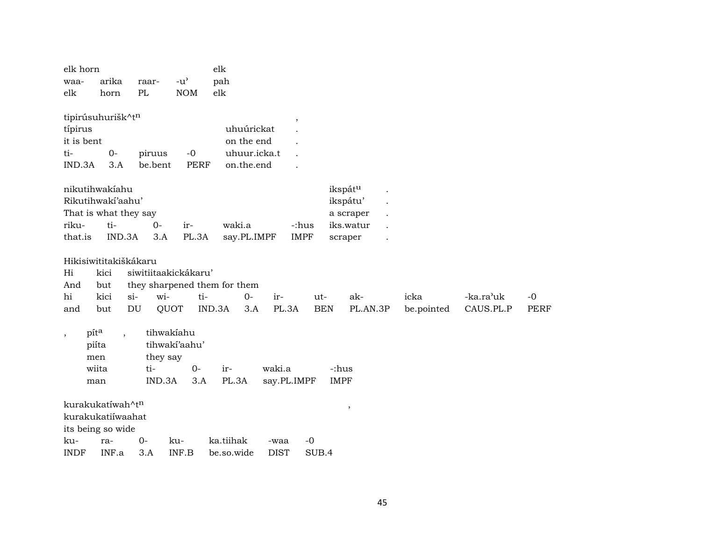|             | elk horn   |                          |                              |                     | elk        |              |             |                          |            |             |            |           |             |
|-------------|------------|--------------------------|------------------------------|---------------------|------------|--------------|-------------|--------------------------|------------|-------------|------------|-----------|-------------|
| waa-        |            | arika                    | raar-                        | $-u^{\prime}$       | pah        |              |             |                          |            |             |            |           |             |
| elk         |            | horn                     | PL                           | <b>NOM</b>          | elk        |              |             |                          |            |             |            |           |             |
|             |            |                          |                              |                     |            |              |             |                          |            |             |            |           |             |
|             |            | tipirúsuhurišk^tn        |                              |                     |            |              |             | $\overline{\phantom{a}}$ |            |             |            |           |             |
| típirus     |            |                          |                              |                     |            | uhuúrickat   |             |                          |            |             |            |           |             |
|             | it is bent |                          |                              |                     |            | on the end   |             |                          |            |             |            |           |             |
| ti-         | IND.3A     | $0-$                     | piruus                       | $-0$<br><b>PERF</b> |            | uhuur.icka.t |             |                          |            |             |            |           |             |
|             |            | 3.A                      | be.bent                      |                     |            | on.the.end   |             |                          |            |             |            |           |             |
|             |            | nikutihwakiahu           |                              |                     |            |              |             |                          |            | ikspátu     |            |           |             |
|             |            | Rikutihwakí'aahu'        |                              |                     |            |              |             |                          |            | ikspátu'    |            |           |             |
|             |            | That is what they say    |                              |                     |            |              |             |                          |            | a scraper   |            |           |             |
| riku-       |            | ti-                      | $0-$                         | ir-                 | waki.a     |              |             | -:hus                    |            | iks.watur   |            |           |             |
| that.is     |            | IND.3A                   | 3.A                          | PL.3A               |            | say.PL.IMPF  |             | <b>IMPF</b>              |            | scraper     |            |           |             |
|             |            |                          |                              |                     |            |              |             |                          |            |             |            |           |             |
|             |            | Hikisiwititakiškákaru    |                              |                     |            |              |             |                          |            |             |            |           |             |
| Hi          |            | kici                     | siwitiitaakickákaru'         |                     |            |              |             |                          |            |             |            |           |             |
| And         |            | but                      | they sharpened them for them |                     |            |              |             |                          |            |             |            |           |             |
| hi          |            | kici                     | wi-<br>$\sin$                | ti-                 |            | $0-$         | ir-         |                          | $ut-$      | ak-         | icka       | -ka.ra'uk | $-0$        |
| and         |            | but                      | QUOT<br>DU                   |                     | IND.3A     | 3.A          | PL.3A       |                          | <b>BEN</b> | PL.AN.3P    | be.pointed | CAUS.PL.P | <b>PERF</b> |
|             | pita       |                          | tihwakiahu                   |                     |            |              |             |                          |            |             |            |           |             |
| $\cdot$     | piíta      | $\overline{\phantom{a}}$ |                              | tihwakí'aahu'       |            |              |             |                          |            |             |            |           |             |
|             | men        |                          | they say                     |                     |            |              |             |                          |            |             |            |           |             |
|             | wiita      |                          | ti-                          | $0-$                | ir-        |              | waki.a      |                          |            | -:hus       |            |           |             |
|             | man        |                          | IND.3A                       | 3.A                 | PL.3A      |              |             | say.PL.IMPF              |            | <b>IMPF</b> |            |           |             |
|             |            |                          |                              |                     |            |              |             |                          |            |             |            |           |             |
|             |            | kurakukatíwah^tn         |                              |                     |            |              |             |                          |            | ,           |            |           |             |
|             |            | kurakukatiiwaahat        |                              |                     |            |              |             |                          |            |             |            |           |             |
|             |            | its being so wide        |                              |                     |            |              |             |                          |            |             |            |           |             |
| ku-         |            | ra-                      | 0-                           | ku-                 | ka.tiihak  |              | -waa        | $-0$                     |            |             |            |           |             |
| <b>INDF</b> |            | INF.a                    | 3.A                          | INF.B               | be.so.wide |              | <b>DIST</b> |                          | SUB.4      |             |            |           |             |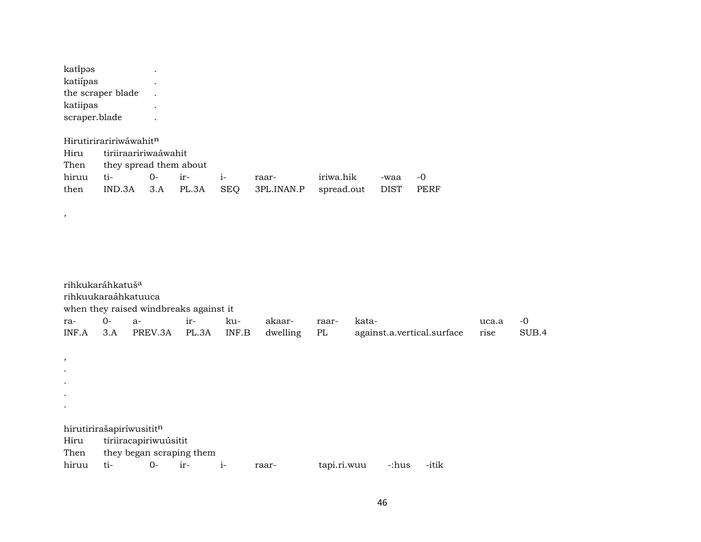| katipas           |  |
|-------------------|--|
| katiípas          |  |
| the scraper blade |  |
| katiipas          |  |
| scraper.blade     |  |

,

## Hirutiriraririwáwahit<sup>n</sup> Hiru tiriiraaririwaáwahit Then they spread them about<br>hiruu ti- 0- irhiruu ti- 0- ir- i- raar- iriwa.hik -waa -0<br>then IND.3A 3.A PL.3A SEQ 3PL.INAN.P spread.out DIST PERF  $IND.3A$   $3.A$   $PL.3A$

| rihkukaráhkatuš <sup>a</sup> |      | rihkuukaraáhkatuuca<br>when they raised windbreaks against it |       |       |          |             |       |       |                            |       |       |
|------------------------------|------|---------------------------------------------------------------|-------|-------|----------|-------------|-------|-------|----------------------------|-------|-------|
| ra-                          | $0-$ | $a-$                                                          | ir-   | ku-   | akaar-   | raar-       | kata- |       |                            | uca.a | -0    |
| INF.A                        | 3.A  | PREV.3A                                                       | PL.3A | INF.B | dwelling | PL          |       |       | against.a.vertical.surface | rise  | SUB.4 |
|                              |      |                                                               |       |       |          |             |       |       |                            |       |       |
| ,                            |      |                                                               |       |       |          |             |       |       |                            |       |       |
| $\bullet$                    |      |                                                               |       |       |          |             |       |       |                            |       |       |
| $\bullet$                    |      |                                                               |       |       |          |             |       |       |                            |       |       |
| $\bullet$                    |      |                                                               |       |       |          |             |       |       |                            |       |       |
| $\bullet$                    |      |                                                               |       |       |          |             |       |       |                            |       |       |
|                              |      | hirutirirašapiríwusititn                                      |       |       |          |             |       |       |                            |       |       |
| Hiru                         |      | tiriiracapiriwuúsitit                                         |       |       |          |             |       |       |                            |       |       |
| Then                         |      | they began scraping them                                      |       |       |          |             |       |       |                            |       |       |
| hiruu                        | ti-  | $0-$                                                          | ir-   | $i-$  | raar-    | tapi.ri.wuu |       | -:hus | -itik                      |       |       |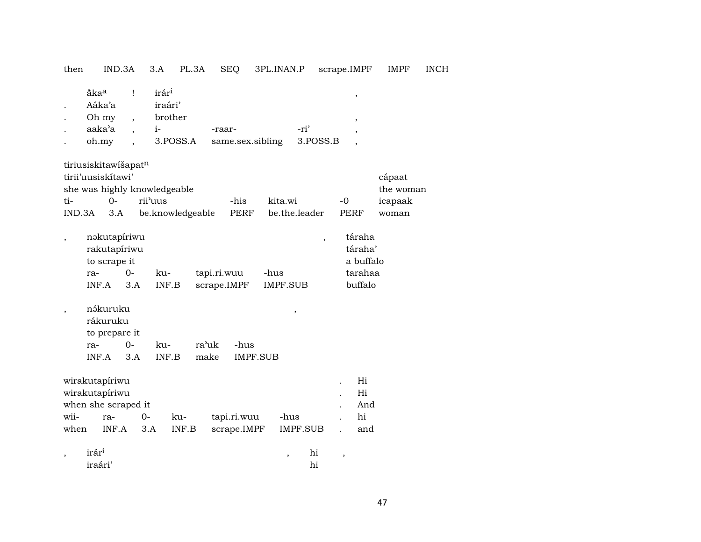| then                     | IND.3A                                                                                     |                           | 3.A                                                         | PL.3A            | <b>SEQ</b>                 | 3PL.INAN.P      |                          | scrape.IMPF              |                                                      | <b>IMPF</b>                             | <b>INCH</b> |
|--------------------------|--------------------------------------------------------------------------------------------|---------------------------|-------------------------------------------------------------|------------------|----------------------------|-----------------|--------------------------|--------------------------|------------------------------------------------------|-----------------------------------------|-------------|
|                          | åka <sup>a</sup><br>Aáka'a<br>Oh my<br>aaka'a<br>oh.my                                     | Ţ<br>$\ddot{\phantom{0}}$ | irár <sup>i</sup><br>iraári'<br>brother<br>$i-$<br>3.POSS.A |                  | -raar-<br>same.sex.sibling |                 | -ri'                     | 3.POSS.B                 | $\, ,$<br>,                                          |                                         |             |
| ti-<br>IND.3A            | tiriusiskitawišapatn<br>tirii'uusiskitawi'<br>she was highly knowledgeable<br>$O -$<br>3.A |                           | rii'uus                                                     | be.knowledgeable | -his<br><b>PERF</b>        | kita.wi         | be.the.leader            | $-0$                     | PERF                                                 | cápaat<br>the woman<br>icapaak<br>woman |             |
| $\overline{\phantom{a}}$ | nəkutapíriwu<br>rakutapíriwu<br>to scrape it<br>ra-<br>INF.A                               | $0-$<br>3.A               | ku-<br>INF.B                                                |                  | tapi.ri.wuu<br>scrape.IMPF | -hus            | IMPF.SUB                 | $\overline{\phantom{a}}$ | táraha<br>táraha'<br>a buffalo<br>tarahaa<br>buffalo |                                         |             |
| $\, ,$                   | nákuruku<br>rákuruku<br>to prepare it<br>ra-<br>INF.A                                      | $0-$<br>3.A               | ku-<br>INF.B                                                |                  | ra'uk<br>-hus<br>make      | <b>IMPF.SUB</b> | ,                        |                          |                                                      |                                         |             |
| wii-<br>when             | wirakutapíriwu<br>wirakutapíriwu<br>when she scraped it<br>ra-<br>INF.A                    | $0-$                      | 3.A                                                         | ku-<br>INF.B     | tapi.ri.wuu<br>scrape.IMPF |                 | -hus<br><b>IMPF.SUB</b>  |                          | Hi<br>Hi<br>And<br>hi<br>and                         |                                         |             |
| $\overline{ }$           | irár <sup>i</sup><br>iraári'                                                               |                           |                                                             |                  |                            |                 | $\overline{\phantom{a}}$ | hi<br>$\, ,$<br>hi       |                                                      |                                         |             |

47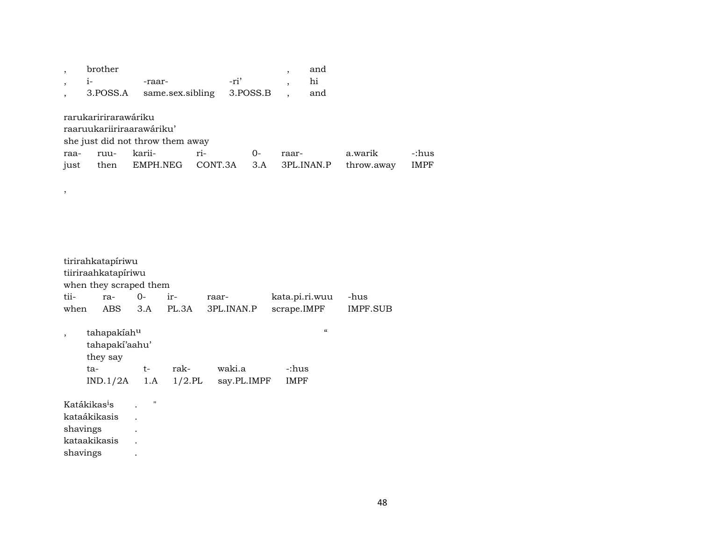|      | brother              |                                  |         |          |       | and        |            |             |
|------|----------------------|----------------------------------|---------|----------|-------|------------|------------|-------------|
|      | $1-$                 | -raar-                           |         | -ri'     |       | hi         |            |             |
|      | 3.POSS.A             | same.sex.sibling                 |         | 3.POSS.B |       | and        |            |             |
|      |                      |                                  |         |          |       |            |            |             |
|      | rarukaririrarawáriku |                                  |         |          |       |            |            |             |
|      |                      | raaruukariiriraarawáriku'        |         |          |       |            |            |             |
|      |                      | she just did not throw them away |         |          |       |            |            |             |
| raa- | ruu-                 | karii-                           | $ri-$   | $O -$    | raar- |            | a.warik    | -:hus       |
| just | then                 | EMPH.NEG                         | CONT.3A | 3.A      |       | 3PL.INAN.P | throw.away | <b>IMPF</b> |
|      |                      |                                  |         |          |       |            |            |             |

tirirahkatapíriwu tiiriraahkatapíriwu when they scraped them tii- ra- 0- ir- raar- kata.pi.ri.wuu -hus when ABS 3.A PL.3A 3PL.INAN.P scrape.IMPF , tahapakíah<sup>u</sup> " tahapakí'aahu' they say ta- t- rak- waki.a -:hus<br>IND.1/2A 1.A 1/2.PL say.PL.IMPF IMPF say.PL.IMPF Katákikas<sup>i</sup>s . "

kataákikasis . shavings . kataakikasis . shavings .

,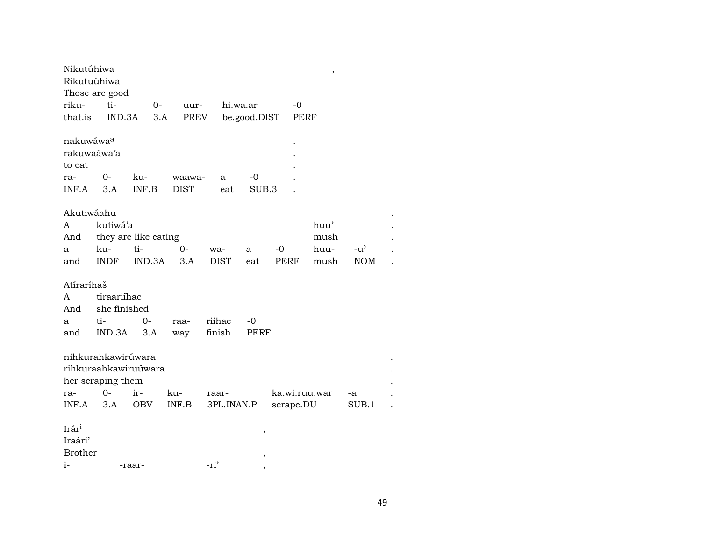| Nikutúhiwa        |                      |                      |             |             |              |               | $\overline{\phantom{a}}$ |               |  |
|-------------------|----------------------|----------------------|-------------|-------------|--------------|---------------|--------------------------|---------------|--|
| Rikutuúhiwa       |                      |                      |             |             |              |               |                          |               |  |
|                   | Those are good       |                      |             |             |              |               |                          |               |  |
| riku-             | ti-                  | $0-$                 | uur-        | hi.wa.ar    |              | $-0$          |                          |               |  |
| that.is           | IND.3A               | 3.A                  | PREV        |             | be.good.DIST |               | <b>PERF</b>              |               |  |
|                   |                      |                      |             |             |              |               |                          |               |  |
| nakuwáwaa         |                      |                      |             |             |              |               |                          |               |  |
| rakuwaáwa'a       |                      |                      |             |             |              |               |                          |               |  |
| to eat            |                      |                      |             |             |              |               |                          |               |  |
| ra-               | 0-                   | ku-                  | waawa-      | a           | -0           |               |                          |               |  |
| INF.A             | 3.A                  | INF.B                | <b>DIST</b> | eat         | SUB.3        |               |                          |               |  |
|                   |                      |                      |             |             |              |               |                          |               |  |
| Akutiwáahu        |                      |                      |             |             |              |               |                          |               |  |
| A                 | kutiwá'a             |                      |             |             |              |               | huu'                     |               |  |
| And               |                      | they are like eating |             |             |              |               | mush                     |               |  |
| a                 | ku-                  | ti-                  | $O -$       | wa-         | a            | -0            | huu-                     | $-u^{\prime}$ |  |
| and               | <b>INDF</b>          | IND.3A               | 3.A         | <b>DIST</b> | eat          | PERF          | mush                     | <b>NOM</b>    |  |
|                   |                      |                      |             |             |              |               |                          |               |  |
| Atíraríhaš        |                      |                      |             |             |              |               |                          |               |  |
| A                 | tiraariíhac          |                      |             |             |              |               |                          |               |  |
| And               | she finished         |                      |             |             |              |               |                          |               |  |
| a                 | ti-                  | $O -$                | raa-        | riihac      | -0           |               |                          |               |  |
| and               | IND.3A               | 3.A                  | way         | finish      | PERF         |               |                          |               |  |
|                   |                      |                      |             |             |              |               |                          |               |  |
|                   | nihkurahkawirúwara   |                      |             |             |              |               |                          |               |  |
|                   | rihkuraahkawiruúwara |                      |             |             |              |               |                          |               |  |
|                   | her scraping them    |                      |             |             |              |               |                          |               |  |
| ra-               | $0-$                 | ir-                  | ku-         | raar-       |              | ka.wi.ruu.war |                          | -a            |  |
| INF.A             | 3.A                  | <b>OBV</b>           | INF.B       | 3PL.INAN.P  |              | scrape.DU     |                          | SUB.1         |  |
|                   |                      |                      |             |             |              |               |                          |               |  |
| Irár <sup>i</sup> |                      |                      |             |             | ,            |               |                          |               |  |
| Iraári'           |                      |                      |             |             |              |               |                          |               |  |
| <b>Brother</b>    |                      |                      |             |             | ,            |               |                          |               |  |
| $i-$              |                      | -raar-               |             | -ri'        |              |               |                          |               |  |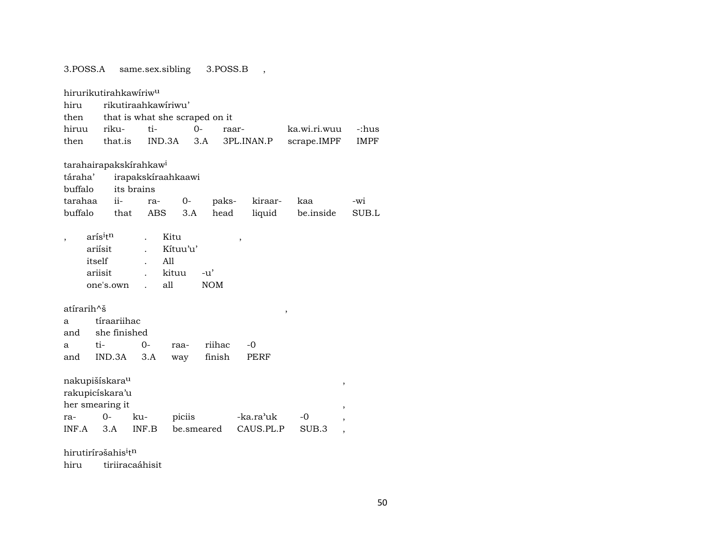| 3.POSS.A                           |                               |                     | same.sex.sibling               | 3.POSS.B   |            |              |                |             |
|------------------------------------|-------------------------------|---------------------|--------------------------------|------------|------------|--------------|----------------|-------------|
| hirurikutirahkawíriw <sup>u</sup>  |                               |                     |                                |            |            |              |                |             |
| hiru                               |                               | rikutiraahkawiriwu' |                                |            |            |              |                |             |
| then                               |                               |                     | that is what she scraped on it |            |            |              |                |             |
| hiruu                              | riku-                         | ti-                 |                                | $0 -$      | raar-      | ka.wi.ri.wuu |                | -:hus       |
| then                               | that.is                       |                     | IND.3A                         | 3.A        | 3PL.INAN.P | scrape.IMPF  |                | <b>IMPF</b> |
| tarahairapakskírahkaw <sup>i</sup> |                               |                     |                                |            |            |              |                |             |
| táraha'                            |                               |                     | irapakskíraahkaawi             |            |            |              |                |             |
| buffalo                            |                               | its brains          |                                |            |            |              |                |             |
| tarahaa                            | $i$ <sup><math>i</math></sup> | ra-                 | $0-$                           | paks-      | kiraar-    | kaa          |                | -wi         |
| buffalo                            | that                          | ABS                 | 3.A                            | head       | liquid     | be.inside    |                | SUB.L       |
|                                    | arís <sup>itn</sup>           |                     | Kitu                           |            | ,          |              |                |             |
|                                    | ariísit                       |                     | Kítuu'u'                       |            |            |              |                |             |
|                                    | itself                        |                     | A11                            |            |            |              |                |             |
|                                    | ariisit                       |                     | kituu                          | $-u'$      |            |              |                |             |
|                                    | one's.own                     |                     | all                            | <b>NOM</b> |            |              |                |             |
| atírarih^š                         |                               |                     |                                |            |            | $\,$         |                |             |
| a                                  | tíraariihac                   |                     |                                |            |            |              |                |             |
| and                                | she finished                  |                     |                                |            |            |              |                |             |
| a                                  | ti-                           | $0 -$               | raa-                           | riihac     | $-0$       |              |                |             |
| and                                | IND.3A                        | 3.A                 | way                            | finish     | PERF       |              |                |             |
| nakupišískara <sup>u</sup>         |                               |                     |                                |            |            |              | ,              |             |
| rakupicískara'u                    |                               |                     |                                |            |            |              |                |             |
| her smearing it                    |                               |                     |                                |            |            |              | $\overline{ }$ |             |
| ra-                                | $0-$                          | ku-                 | piciis                         |            | -ka.ra'uk  | -0           |                |             |
| INF.A                              | 3.A                           | INF.B               |                                | be.smeared | CAUS.PL.P  | SUB.3        | ,              |             |
|                                    |                               |                     |                                |            |            |              |                |             |

hirutirírəšahis $^{\rm i}$ t $^{\rm n}$ 

hiru tiriiracaáhisit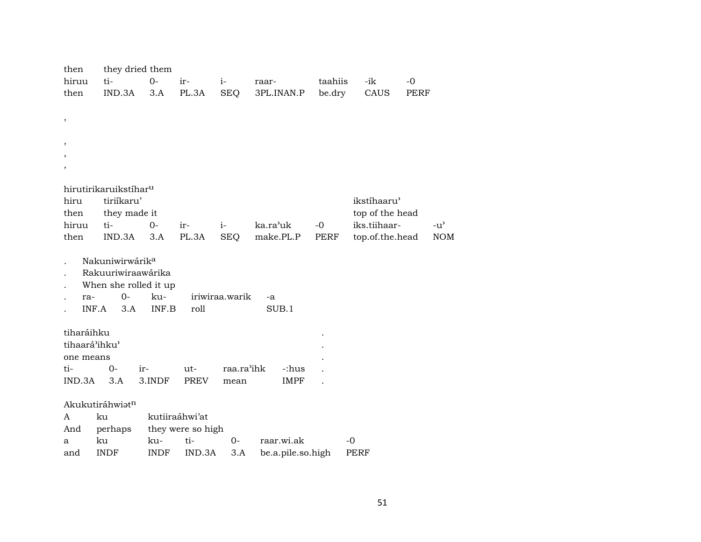| then          | they dried them                                 |             |                   |                |                   |         |                 |      |               |
|---------------|-------------------------------------------------|-------------|-------------------|----------------|-------------------|---------|-----------------|------|---------------|
| hiruu         | ti-                                             | $0-$        | ir-               | $i$ -          | raar-             | taahiis | -ik             | $-0$ |               |
| then          | IND.3A                                          | 3.A         | PL.3A             | SEQ            | 3PL.INAN.P        | be.dry  | CAUS            | PERF |               |
|               |                                                 |             |                   |                |                   |         |                 |      |               |
| $\, ,$        |                                                 |             |                   |                |                   |         |                 |      |               |
|               |                                                 |             |                   |                |                   |         |                 |      |               |
| ,             |                                                 |             |                   |                |                   |         |                 |      |               |
|               |                                                 |             |                   |                |                   |         |                 |      |               |
|               |                                                 |             |                   |                |                   |         |                 |      |               |
|               |                                                 |             |                   |                |                   |         |                 |      |               |
| hiru          | hirutirikaruikstíhar <sup>u</sup><br>tiriíkaru' |             |                   |                |                   |         | ikstíhaaru'     |      |               |
| then          | they made it                                    |             |                   |                |                   |         | top of the head |      |               |
| hiruu         | ti-                                             | $0-$        | ir-               | $i-$           | ka.ra'uk          | $-0$    | iks.tiihaar-    |      | $-u^{\prime}$ |
| then          | IND.3A                                          | 3.A         | PL.3A             | SEQ            | make.PL.P         | PERF    | top.of.the.head |      | <b>NOM</b>    |
|               |                                                 |             |                   |                |                   |         |                 |      |               |
|               | Nakuniwirwárik <sup>a</sup>                     |             |                   |                |                   |         |                 |      |               |
|               | Rakuuriwiraawárika                              |             |                   |                |                   |         |                 |      |               |
|               | When she rolled it up                           |             |                   |                |                   |         |                 |      |               |
| ra-           | $O -$                                           | ku-         |                   | iriwiraa.warik | -a                |         |                 |      |               |
|               | INF.A<br>3.A                                    | INF.B       | roll              |                | SUB.1             |         |                 |      |               |
|               |                                                 |             |                   |                |                   |         |                 |      |               |
| tiharáihku    |                                                 |             |                   |                |                   |         |                 |      |               |
| tihaará'ihku' |                                                 |             |                   |                |                   |         |                 |      |               |
| one means     |                                                 |             |                   |                |                   |         |                 |      |               |
| ti-           | $O -$                                           | ir-         | $ut-$             | raa.ra'ihk     | -:hus             |         |                 |      |               |
| IND.3A        | 3.A                                             | 3.INDF      | <b>PREV</b>       | mean           | <b>IMPF</b>       |         |                 |      |               |
|               | Akukutiráhwiatn                                 |             |                   |                |                   |         |                 |      |               |
| A             | ku                                              |             | kutiiraáhwi'at    |                |                   |         |                 |      |               |
| And           | perhaps                                         |             | they were so high |                |                   |         |                 |      |               |
| a             | ku                                              | ku-         | ti-               | $0 -$          | raar.wi.ak        |         | -0              |      |               |
| and           | <b>INDF</b>                                     | <b>INDF</b> | IND.3A            | 3.A            | be.a.pile.so.high |         | PERF            |      |               |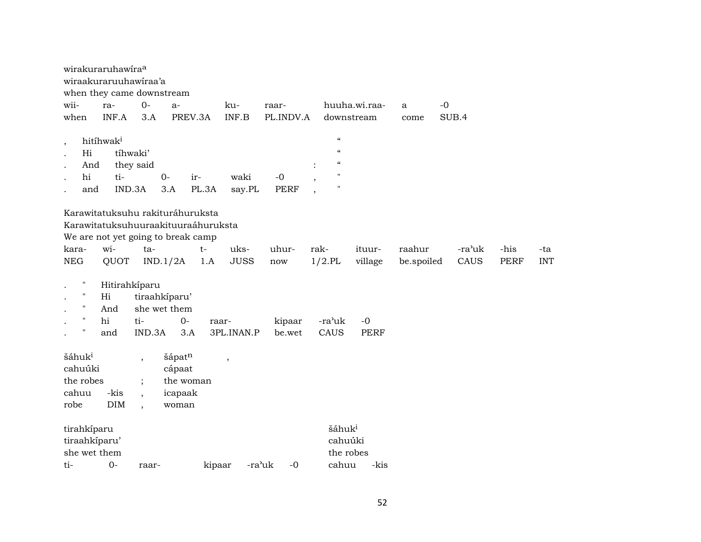|                                                                                           | wirakuraruhawira <sup>a</sup><br>wiraakuraruuhawiraa'a<br>when they came downstream |                                |                                                                                                               |        |                          |                  |                                        |                      |            |        |             |            |
|-------------------------------------------------------------------------------------------|-------------------------------------------------------------------------------------|--------------------------------|---------------------------------------------------------------------------------------------------------------|--------|--------------------------|------------------|----------------------------------------|----------------------|------------|--------|-------------|------------|
| wii-                                                                                      | ra-                                                                                 | $0-$                           | $a-$                                                                                                          |        | ku-                      | raar-            |                                        | huuha.wi.raa-        | a          | $-0$   |             |            |
| when                                                                                      | INF.A                                                                               | 3.A                            | PREV.3A                                                                                                       |        | INF.B                    | PL.INDV.A        |                                        | downstream           | come       | SUB.4  |             |            |
|                                                                                           |                                                                                     |                                |                                                                                                               |        |                          |                  |                                        |                      |            |        |             |            |
|                                                                                           | hitíhwak <sup>i</sup>                                                               |                                |                                                                                                               |        |                          |                  | $\zeta\zeta$                           |                      |            |        |             |            |
| $\cdot$<br>Hi                                                                             |                                                                                     | tíhwaki'                       |                                                                                                               |        |                          |                  | $\boldsymbol{\zeta}\boldsymbol{\zeta}$ |                      |            |        |             |            |
| And                                                                                       |                                                                                     | they said                      |                                                                                                               |        |                          |                  | $\mathcal{C}\mathcal{C}$               |                      |            |        |             |            |
| hi                                                                                        | ti-                                                                                 |                                | $O -$<br>ir-                                                                                                  |        | waki                     | $-0$             | $\mathbf{H}$                           |                      |            |        |             |            |
| and                                                                                       |                                                                                     | IND.3A                         | 3.A                                                                                                           | PL.3A  | say.PL                   | <b>PERF</b>      | ,<br>$\mathbf{H}$                      |                      |            |        |             |            |
|                                                                                           |                                                                                     |                                |                                                                                                               |        |                          |                  | $\overline{\phantom{a}}$               |                      |            |        |             |            |
|                                                                                           |                                                                                     |                                | Karawitatuksuhu rakituráhuruksta<br>Karawitatuksuhuuraakituuraáhuruksta<br>We are not yet going to break camp |        |                          |                  |                                        |                      |            |        |             |            |
| kara-                                                                                     | wi-                                                                                 | ta-                            |                                                                                                               | $t-$   | uks-                     | uhur-            | rak-                                   | ituur-               | raahur     | -ra'uk | -his        | -ta        |
| <b>NEG</b>                                                                                | QUOT                                                                                |                                | IND.1/2A                                                                                                      | 1.A    | <b>JUSS</b>              | now              | $1/2$ .PL                              | village              | be.spoiled | CAUS   | <b>PERF</b> | <b>INT</b> |
| п<br>$\pmb{\mathsf{H}}$<br>$\pmb{\mathsf{H}}$<br>$\pmb{\mathsf{H}}$<br>$\pmb{\mathsf{H}}$ | Hi<br>And<br>hi<br>and                                                              | Hitirahkíparu<br>ti-<br>IND.3A | tiraahkíparu'<br>she wet them<br>$0-$<br>3.A                                                                  | raar-  | 3PL.INAN.P               | kipaar<br>be.wet | -ra <sup>}</sup> uk<br>CAUS            | $-0$<br><b>PERF</b>  |            |        |             |            |
| šáhuk <sup>i</sup>                                                                        |                                                                                     | $\overline{\phantom{a}}$       | šápatn                                                                                                        |        | $\overline{\phantom{a}}$ |                  |                                        |                      |            |        |             |            |
| cahuúki                                                                                   |                                                                                     |                                | cápaat                                                                                                        |        |                          |                  |                                        |                      |            |        |             |            |
| the robes                                                                                 |                                                                                     | $\ddot{\cdot}$                 | the woman                                                                                                     |        |                          |                  |                                        |                      |            |        |             |            |
| cahuu                                                                                     | -kis                                                                                | $\ddot{\phantom{0}}$           | icapaak                                                                                                       |        |                          |                  |                                        |                      |            |        |             |            |
| robe                                                                                      | <b>DIM</b>                                                                          | $\cdot$                        | woman                                                                                                         |        |                          |                  |                                        |                      |            |        |             |            |
|                                                                                           |                                                                                     |                                |                                                                                                               |        |                          |                  |                                        |                      |            |        |             |            |
| tirahkíparu<br>tiraahkiparu'<br>she wet them                                              |                                                                                     |                                |                                                                                                               |        |                          |                  | šáhuk <sup>i</sup>                     | cahuúki<br>the robes |            |        |             |            |
| ti-                                                                                       | $0 -$                                                                               | raar-                          |                                                                                                               | kipaar | -ra'uk                   | -0               | cahuu                                  | -kis                 |            |        |             |            |
|                                                                                           |                                                                                     |                                |                                                                                                               |        |                          |                  |                                        |                      |            |        |             |            |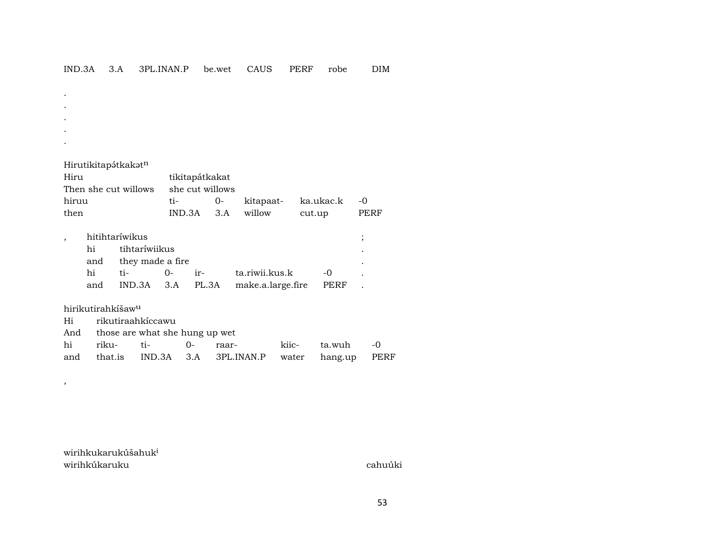- . .
- . .
- .

| Hiru                 | tikitapátkakat    |  |  |                           |      |  |  |  |
|----------------------|-------------------|--|--|---------------------------|------|--|--|--|
| Then she cut willows | she cut willows   |  |  |                           |      |  |  |  |
| hiruu                | $t_{i}$ $\sim$    |  |  | 0- kitapaat- ka.ukac.k -0 |      |  |  |  |
| then                 | IND.3A 3.A willow |  |  | cut.up                    | PERF |  |  |  |

|     | hitihtaríwikus       |          |                                         |      |  |
|-----|----------------------|----------|-----------------------------------------|------|--|
| hi  | tihtaríwiikus        |          |                                         |      |  |
|     | and they made a fire |          |                                         |      |  |
| hi  | ti-                  | $\Omega$ | ir- ta.riwii.kus.k                      | $-0$ |  |
| and |                      |          | IND.3A 3.A PL.3A make.a.large.fire PERF |      |  |

hirikutirahkíšaw<sup>u</sup>

,

| Hi rikutiraahkiccawu               |  |  |                                                      |  |                 |  |  |  |  |  |  |
|------------------------------------|--|--|------------------------------------------------------|--|-----------------|--|--|--|--|--|--|
| And those are what she hung up wet |  |  |                                                      |  |                 |  |  |  |  |  |  |
|                                    |  |  | hi riku- ti-  0- raar-                               |  | kiic- ta.wuh -0 |  |  |  |  |  |  |
|                                    |  |  | and that.is IND.3A 3.A 3PL.INAN.P water hang.up PERF |  |                 |  |  |  |  |  |  |

wirihkukarukúšahuk<sup>i</sup> wirihkúkaruku cahuúki cahuúki cahuúki cahuúki cahuúki cahuúki cahuúki cahuúki cahuúki cahuúki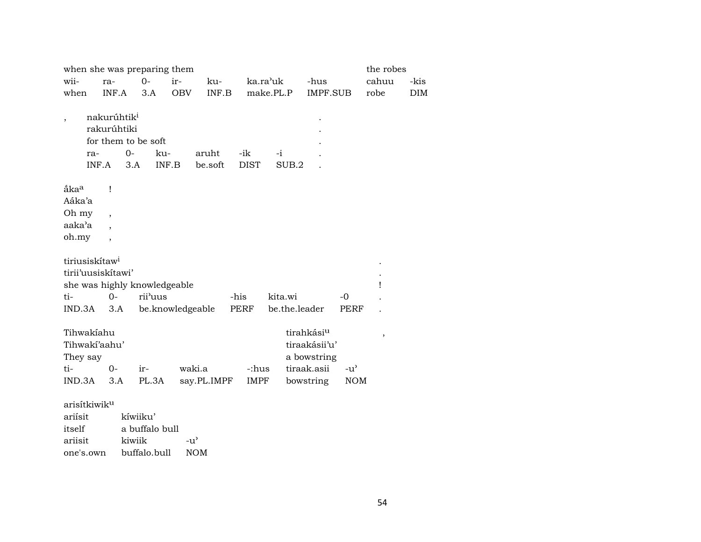|                                 |                                                         | when she was preparing them       |                  |                  |                    |                       |                        |               | the robes |            |
|---------------------------------|---------------------------------------------------------|-----------------------------------|------------------|------------------|--------------------|-----------------------|------------------------|---------------|-----------|------------|
| wii-                            | ra-                                                     | $0-$                              | ir-              | ku-              |                    | ka.ra <sup>'</sup> uk | -hus                   |               | cahuu     | -kis       |
| when                            | INF.A                                                   | 3.A                               | <b>OBV</b>       | INF.B            |                    | make.PL.P             | IMPF.SUB               |               | robe      | <b>DIM</b> |
| $\overline{\phantom{a}}$<br>ra- | nakurúhtik <sup>i</sup><br>rakurúhtiki<br>$0-$<br>INF.A | for them to be soft<br>ku-<br>3.A | INF.B            | aruht<br>be.soft | -ik<br><b>DIST</b> | $-i$<br>SUB.2         |                        |               |           |            |
| åka <sup>a</sup>                | $\mathbf{I}$                                            |                                   |                  |                  |                    |                       |                        |               |           |            |
| Aáka'a                          |                                                         |                                   |                  |                  |                    |                       |                        |               |           |            |
| Oh my                           | $\overline{\phantom{a}}$                                |                                   |                  |                  |                    |                       |                        |               |           |            |
| aaka'a                          |                                                         |                                   |                  |                  |                    |                       |                        |               |           |            |
| oh.my                           | $\overline{\phantom{a}}$                                |                                   |                  |                  |                    |                       |                        |               |           |            |
| tiriusiskítaw <sup>i</sup>      |                                                         |                                   |                  |                  |                    |                       |                        |               |           |            |
|                                 | tirii'uusiskitawi'                                      |                                   |                  |                  |                    |                       |                        |               |           |            |
|                                 |                                                         | she was highly knowledgeable      |                  |                  |                    |                       |                        |               | Ţ         |            |
| ti-                             | $0 -$                                                   | rii'uus                           |                  |                  | -his               | kita.wi               |                        | $-0$          |           |            |
| IND.3A                          | 3.A                                                     |                                   | be.knowledgeable |                  | PERF               | be.the.leader         |                        | <b>PERF</b>   |           |            |
| Tihwakiahu                      |                                                         |                                   |                  |                  |                    |                       | tirahkási <sup>u</sup> |               | $\, ,$    |            |
| Tihwaki'aahu'                   |                                                         |                                   |                  |                  |                    |                       | tiraakásii'u'          |               |           |            |
| They say                        |                                                         |                                   |                  |                  |                    |                       | a bowstring            |               |           |            |
| ti-                             | $O -$                                                   | $ir-$                             | waki.a           |                  | -:hus              |                       | tiraak.asii            | $-u^{\prime}$ |           |            |
| IND.3A                          | 3.A                                                     | PL.3A                             |                  | say.PL.IMPF      | <b>IMPF</b>        |                       | bowstring              | <b>NOM</b>    |           |            |
| arisítkiwik <sup>u</sup>        |                                                         |                                   |                  |                  |                    |                       |                        |               |           |            |
| ariísit                         |                                                         | kíwiiku'                          |                  |                  |                    |                       |                        |               |           |            |
| itself                          |                                                         | a buffalo bull                    |                  |                  |                    |                       |                        |               |           |            |
| ariisit                         |                                                         | kiwiik                            | $-u^{\prime}$    |                  |                    |                       |                        |               |           |            |

one's.own buffalo.bull NOM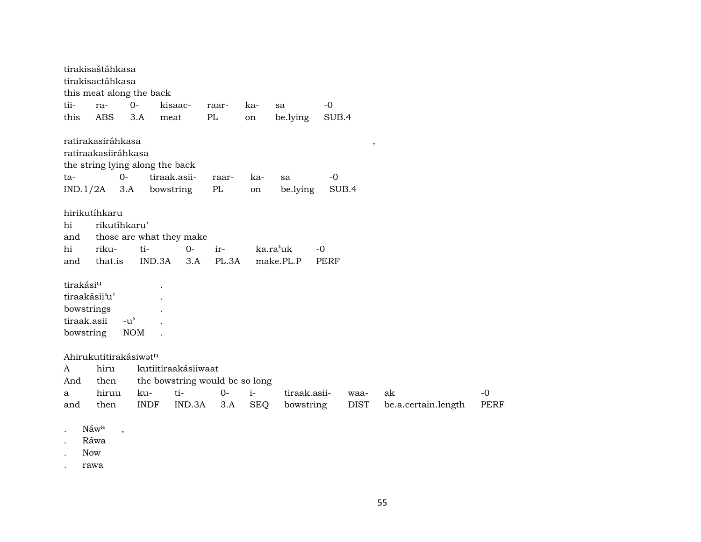tirakisaštáhkasa tirakisactáhkasa this meat along the back tii- ra- 0- kisaac- raar- ka- sa -0 this ABS 3.A meat PL on be.lying SUB.4 ratirakasiráhkasa , ratiraakasiiráhkasa the string lying along the back ta- 0- tiraak.asii- raar- ka- sa -0 IND.1/2A 3.A bowstring PL on be.lying SUB.4 hirikutíhkaru hi rikutíhkaru' and those are what they make hi riku- ti- 0- ir- ka.ra"uk -0 and that.is IND.3A 3.A PL.3A make.PL.P PERF tirakási<sup>u</sup> . tiraakásii'u' . bowstrings . tiraak.asii -u" . bowstring NOM . Ahirukutitirakásiwat $n$ A hiru kutiitiraakásiiwaat And then the bowstring would be so long a hiruu ku- ti- 0- i- tiraak.asii- waa- ak -0 and then INDF IND.3A 3.A SEQ bowstring DIST be.a.certain.length PERF Náw<sup>a</sup>, . Ráwa

. Now

. rawa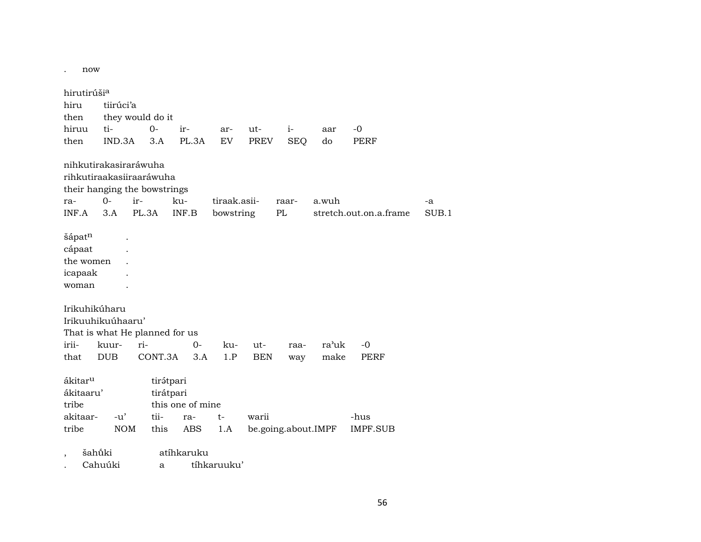. now

| hirutirúši <sup>a</sup><br>hiru<br>then<br>hiruu<br>then       | tiirúci'a<br>ti-<br>IND.3A | they would do it<br>$0-$<br>3.A                                                                   | ir-<br>PL.3A                                             | ar-<br>EV                 | ut-<br>PREV       | $i-$<br><b>SEQ</b>  | aar<br>do     | $-0$<br><b>PERF</b>     |             |
|----------------------------------------------------------------|----------------------------|---------------------------------------------------------------------------------------------------|----------------------------------------------------------|---------------------------|-------------------|---------------------|---------------|-------------------------|-------------|
| ra-<br>INF.A                                                   | $0-$<br>3.A                | nihkutirakasiraráwuha<br>rihkutiraakasiiraaráwuha<br>their hanging the bowstrings<br>ir-<br>PL.3A | ku-<br>INF.B                                             | tiraak.asii-<br>bowstring |                   | raar-<br>$\rm PL$   | a.wuh         | stretch.out.on.a.frame  | -a<br>SUB.1 |
| šápatn<br>cápaat<br>the women<br>icapaak<br>woman              |                            |                                                                                                   |                                                          |                           |                   |                     |               |                         |             |
| Irikuhikúharu<br>Irikuuhikuúhaaru'<br>irii-<br>that            | kuur-<br><b>DUB</b>        | ri-<br>CONT.3A                                                                                    | That is what He planned for us<br>$0-$<br>3.A            | ku-<br>1.P                | ut-<br><b>BEN</b> | raa-<br>way         | ra'uk<br>make | $-0$<br><b>PERF</b>     |             |
| ákitar <sup>u</sup><br>ákitaaru'<br>tribe<br>akitaar-<br>tribe | $-u'$<br><b>NOM</b>        | tii-<br>this                                                                                      | tirátpari<br>tirátpari<br>this one of mine<br>ra-<br>ABS | t-<br>1.A                 | warii             | be.going.about.IMPF |               | -hus<br><b>IMPF.SUB</b> |             |
| $\overline{\phantom{a}}$                                       | šahū́ki<br>Cahuúki         |                                                                                                   | atíhkaruku<br>a                                          | tíhkaruuku'               |                   |                     |               |                         |             |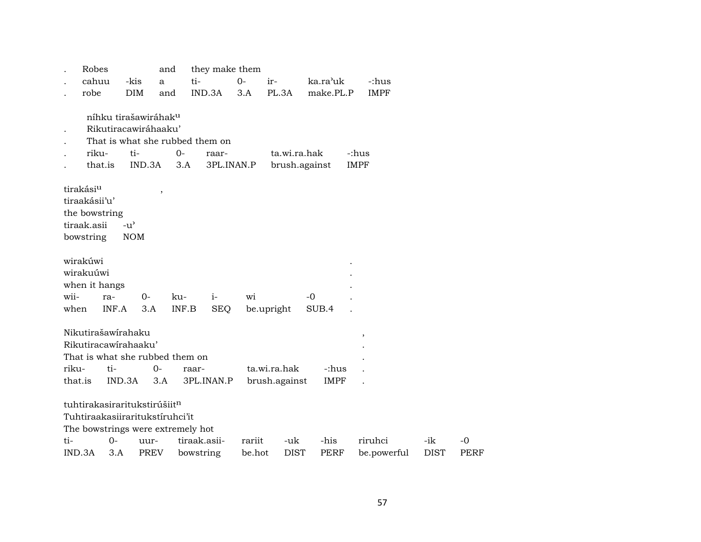|                       | Robes                |               | and                              | they make them                    |            |               |             |                       |             |             |
|-----------------------|----------------------|---------------|----------------------------------|-----------------------------------|------------|---------------|-------------|-----------------------|-------------|-------------|
|                       | cahuu                | -kis          | a                                | ti-                               | $0-$       | ir-           | ka.ra'uk    | -:hus                 |             |             |
|                       | robe                 | <b>DIM</b>    | and                              | IND.3A                            | 3.A        | PL.3A         | make.PL.P   | <b>IMPF</b>           |             |             |
|                       |                      |               |                                  |                                   |            |               |             |                       |             |             |
|                       |                      |               | níhku tirašawiráhak <sup>u</sup> |                                   |            |               |             |                       |             |             |
|                       |                      |               | Rikutiracawiráhaaku'             |                                   |            |               |             |                       |             |             |
|                       |                      |               |                                  | That is what she rubbed them on   |            |               |             |                       |             |             |
|                       | riku-                | ti-           | $0-$                             | raar-                             |            | ta.wi.ra.hak  |             | -:hus                 |             |             |
|                       | that.is              | IND.3A        |                                  | 3.A                               | 3PL.INAN.P | brush.against |             | <b>IMPF</b>           |             |             |
| tirakási <sup>u</sup> |                      |               |                                  |                                   |            |               |             |                       |             |             |
|                       | tiraakásii'u'        |               | $\overline{\phantom{a}}$         |                                   |            |               |             |                       |             |             |
|                       | the bowstring        |               |                                  |                                   |            |               |             |                       |             |             |
| tiraak.asii           |                      | $-u^{\prime}$ |                                  |                                   |            |               |             |                       |             |             |
| bowstring             |                      | <b>NOM</b>    |                                  |                                   |            |               |             |                       |             |             |
|                       |                      |               |                                  |                                   |            |               |             |                       |             |             |
| wirakúwi              |                      |               |                                  |                                   |            |               |             |                       |             |             |
| wirakuúwi             |                      |               |                                  |                                   |            |               |             |                       |             |             |
|                       | when it hangs        |               |                                  |                                   |            |               |             |                       |             |             |
| wii-                  | ra-                  | $0-$          | ku-                              | $i-$                              | wi         |               | $-0$        |                       |             |             |
| when                  | INF.A                |               | 3.A                              | <b>SEQ</b><br>INF.B               |            | be.upright    | SUB.4       |                       |             |             |
|                       |                      |               |                                  |                                   |            |               |             |                       |             |             |
|                       | Nikutirašawírahaku   |               |                                  |                                   |            |               |             | $^\mathrm{^{^\circ}}$ |             |             |
|                       | Rikutiracawirahaaku' |               |                                  |                                   |            |               |             |                       |             |             |
|                       |                      |               | That is what she rubbed them on  |                                   |            |               |             |                       |             |             |
| riku-                 | ti-                  |               | $0-$                             | raar-                             |            | ta.wi.ra.hak  | -:hus       |                       |             |             |
| that.is               |                      | IND.3A        | 3.A                              | 3PL.INAN.P                        |            | brush.against | <b>IMPF</b> |                       |             |             |
|                       |                      |               | tuhtirakasiraritukstirúšiitn     |                                   |            |               |             |                       |             |             |
|                       |                      |               | Tuhtiraakasiiraritukstíruhci'it  |                                   |            |               |             |                       |             |             |
|                       |                      |               |                                  | The bowstrings were extremely hot |            |               |             |                       |             |             |
| ti-                   | 0-                   |               | uur-                             | tiraak.asii-                      | rariit     | -uk           | -his        | riruhci               | -ik         | -0          |
| IND.3A                | 3.A                  |               | <b>PREV</b>                      | bowstring                         | be.hot     | <b>DIST</b>   | PERF        | be.powerful           | <b>DIST</b> | <b>PERF</b> |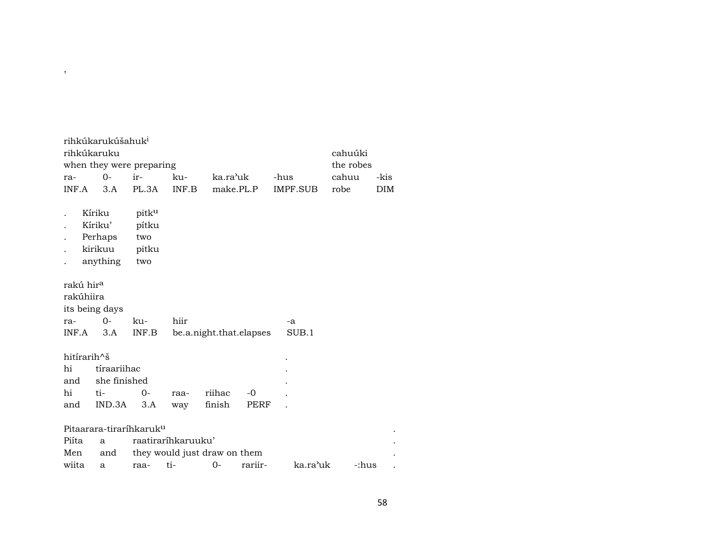| ra-<br>INF.A                              | rihkúkarukúšahuk <sup>i</sup><br>rihkúkaruku<br>when they were preparing<br>$O -$<br>3.A | ir-<br>PL.3A                          | ku-<br>INF.B                 | ka.ra'uk                | make.PL.P    | -hus<br>IMPF.SUB | cahuúki<br>the robes<br>cahuu<br>robe | -kis<br><b>DIM</b> |
|-------------------------------------------|------------------------------------------------------------------------------------------|---------------------------------------|------------------------------|-------------------------|--------------|------------------|---------------------------------------|--------------------|
|                                           | Kíriku<br>Kíriku'<br>Perhaps<br>kirikuu<br>anything                                      | pitku<br>pítku<br>two<br>pitku<br>two |                              |                         |              |                  |                                       |                    |
| rakú hir <sup>a</sup><br>rakúhiira<br>ra- | its being days<br>$O-$                                                                   | ku-                                   | hiir                         |                         |              | -a               |                                       |                    |
| INF.A                                     | 3.A                                                                                      | INF.B                                 |                              | be.a.night.that.elapses |              | SUB.1            |                                       |                    |
| hitirarih^š<br>hi<br>and<br>hi<br>and     | tíraariihac<br>she finished<br>ti-<br>IND.3A                                             | 0-<br>3.A                             | raa-<br>way                  | riihac<br>finish        | $-0$<br>PERF |                  |                                       |                    |
|                                           | Pitaarara-tiraríhkaruk <sup>u</sup>                                                      |                                       |                              |                         |              |                  |                                       |                    |
| Piíta                                     | a                                                                                        |                                       | raatiraríhkaruuku'           |                         |              |                  |                                       |                    |
| Men                                       | and                                                                                      |                                       | they would just draw on them |                         |              |                  |                                       |                    |
| wiita                                     | a                                                                                        | raa-                                  | ti-                          | $0-$                    | rariir-      | ka.ra'uk         | -:hus                                 |                    |

,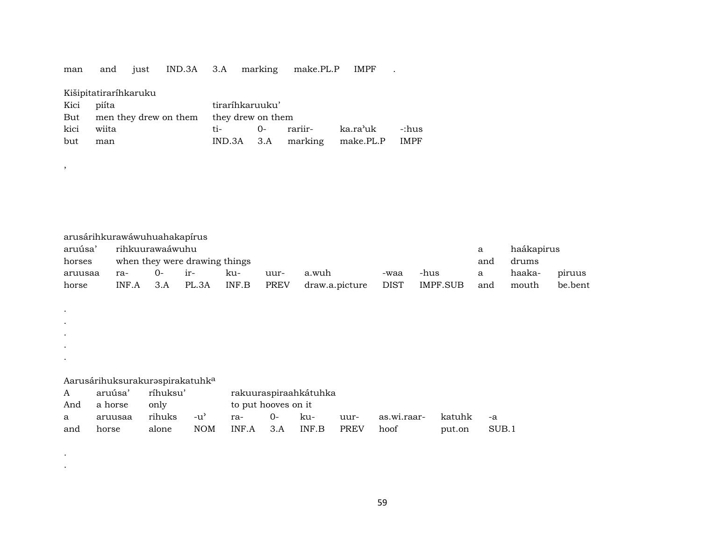man and just IND.3A 3.A marking make.PL.P IMPF .

## Kišipitatiraríhkaruku

,

. . . . .

| Kici piíta |                                             | tiraríhkaruuku' |  |  |                                   |  |  |  |  |  |
|------------|---------------------------------------------|-----------------|--|--|-----------------------------------|--|--|--|--|--|
|            | But men they drew on them they drew on them |                 |  |  |                                   |  |  |  |  |  |
| kici wiita |                                             |                 |  |  |                                   |  |  |  |  |  |
| but        | man                                         |                 |  |  | IND.3A 3.A marking make.PL.P IMPF |  |  |  |  |  |

| arusárihkurawáwuhuahakapírus                  |       |      |                               |       |      |                |      |          |     |        |         |  |
|-----------------------------------------------|-------|------|-------------------------------|-------|------|----------------|------|----------|-----|--------|---------|--|
| haákapirus<br>rihkuurawaáwuhu<br>aruúsa'<br>a |       |      |                               |       |      |                |      |          |     |        |         |  |
| horses                                        |       |      | when they were drawing things |       | and  | drums          |      |          |     |        |         |  |
| aruusaa                                       | ra-   | $O-$ | $ir-$                         | ku-   | uur- | a.wuh          | -waa | -hus     | a   | haaka- | piruus  |  |
| horse                                         | INF.A | 3.A  | PL.3A                         | INF.B | PREV | draw.a.picture | DIST | IMPF.SUB | and | mouth  | be.bent |  |

## Aarusárihuksurakuraspirakatuhk<sup>a</sup>

| $A \quad \alpha$ | aruúsa' ríhuksu' |                                     | rakuuraspiraahkátuhka |  |  |  |                                                         |        |       |  |  |  |
|------------------|------------------|-------------------------------------|-----------------------|--|--|--|---------------------------------------------------------|--------|-------|--|--|--|
|                  | And a horse only |                                     | to put hooves on it   |  |  |  |                                                         |        |       |  |  |  |
|                  |                  |                                     |                       |  |  |  | a aruusaa rihuks -u' ra- 0- ku- uur- as.wi.raar- katuhk |        | $-a$  |  |  |  |
| and              | horse            | alone NOM INF.A 3.A INF.B PREV hoof |                       |  |  |  |                                                         | put.on | SUB.1 |  |  |  |

.

.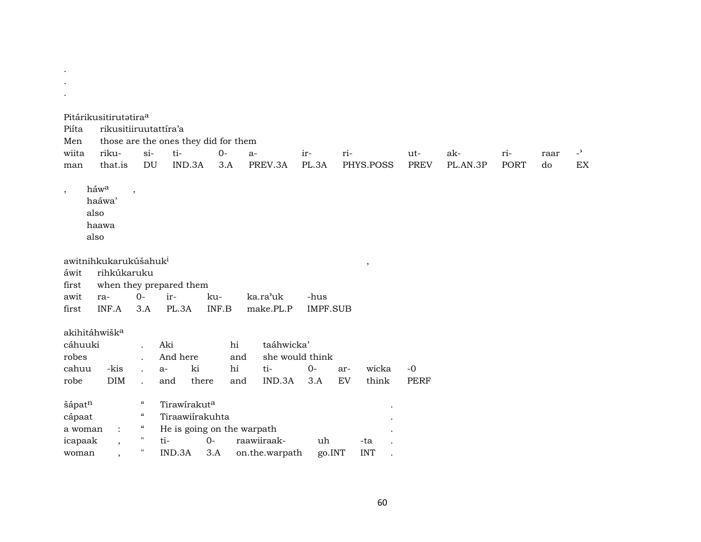| Piíta<br>Men                                    | Pitárikusitirutatiraa<br>rikusitiiruutattíra'a                     |                                                                                                               | those are the ones they did for them                                           |                           |                               |                         |     |                   |                    |                 |             |            |                                |
|-------------------------------------------------|--------------------------------------------------------------------|---------------------------------------------------------------------------------------------------------------|--------------------------------------------------------------------------------|---------------------------|-------------------------------|-------------------------|-----|-------------------|--------------------|-----------------|-------------|------------|--------------------------------|
| wiita<br>man                                    | riku-<br>that.is                                                   | $si-$<br>DU                                                                                                   | ti-<br>IND.3A                                                                  | $O -$<br>3.A              | $a-$<br>PREV.3A               | ir-<br>PL.3A            | ri- | PHYS.POSS         | ut-<br><b>PREV</b> | ak-<br>PL.AN.3P | ri-<br>PORT | raar<br>do | $\overline{\phantom{0}}$<br>EX |
|                                                 |                                                                    |                                                                                                               |                                                                                |                           |                               |                         |     |                   |                    |                 |             |            |                                |
| $\cdot$                                         | háwa<br>haáwa'<br>also<br>haawa<br>also                            | $\cdot$                                                                                                       |                                                                                |                           |                               |                         |     |                   |                    |                 |             |            |                                |
| áwit                                            | awitnihkukarukúšahuk <sup>i</sup><br>rihkúkaruku                   |                                                                                                               |                                                                                |                           |                               |                         |     | $^\mathrm{,}$     |                    |                 |             |            |                                |
| first                                           |                                                                    |                                                                                                               | when they prepared them                                                        |                           |                               |                         |     |                   |                    |                 |             |            |                                |
| awit<br>first                                   | ra-<br>INF.A                                                       | $O-$<br>3.A                                                                                                   | ir-<br>PL.3A                                                                   | ku-<br>$\textsf{INF.B}{}$ | ka.ra'uk<br>make.PL.P         | -hus<br><b>IMPF.SUB</b> |     |                   |                    |                 |             |            |                                |
|                                                 |                                                                    |                                                                                                               |                                                                                |                           |                               |                         |     |                   |                    |                 |             |            |                                |
| akihitáhwišk <sup>a</sup><br>cáhuuki            |                                                                    |                                                                                                               | Aki                                                                            | hi                        | taáhwicka'                    |                         |     |                   |                    |                 |             |            |                                |
| robes                                           |                                                                    |                                                                                                               | And here                                                                       | and                       |                               | she would think         |     |                   |                    |                 |             |            |                                |
| cahuu                                           | -kis                                                               |                                                                                                               | ki<br>$a-$                                                                     | hi                        | ti-                           | $0-$                    | ar- | wicka             | $-0$               |                 |             |            |                                |
| robe                                            | <b>DIM</b>                                                         |                                                                                                               | and                                                                            | there<br>and              | IND.3A                        | 3.A                     | EV  | think             | <b>PERF</b>        |                 |             |            |                                |
| šápatn<br>cápaat<br>a woman<br>icapaak<br>woman | $\ddot{\phantom{a}}$<br>$\overline{ }$<br>$\overline{\phantom{a}}$ | $\mathcal{C}$<br>$\mathcal{C}\mathcal{C}$<br>$\boldsymbol{\mathcal{C}}$<br>$\mathbf{H}$<br>$\pmb{\mathsf{H}}$ | Tirawirakuta<br>Tiraawiirakuhta<br>He is going on the warpath<br>ti-<br>IND.3A | $0 -$<br>3.A              | raawiiraak-<br>on.the.warpath | uh<br>go.INT            |     | -ta<br><b>INT</b> |                    |                 |             |            |                                |

. .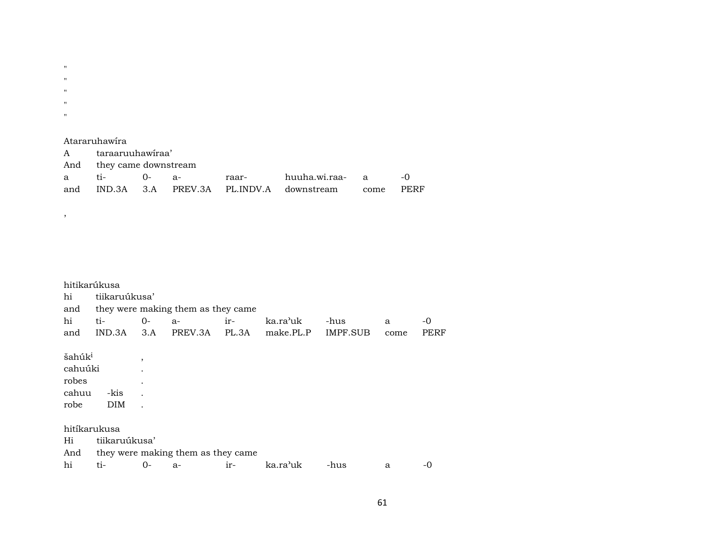" " "  $^{\prime\prime}$ "

#### Atararuhawíra

,

| A taraaruuhawiraa'       |  |  |  |                                                  |  |               |  |  |  |  |  |  |
|--------------------------|--|--|--|--------------------------------------------------|--|---------------|--|--|--|--|--|--|
| And they came downstream |  |  |  |                                                  |  |               |  |  |  |  |  |  |
| a ti- 0- a-              |  |  |  | raar- huuha.wi.raa- a                            |  | $\sim$ $\sim$ |  |  |  |  |  |  |
|                          |  |  |  | and IND.3A 3.A PREV.3A PL.INDV.A downstream come |  | PERF          |  |  |  |  |  |  |

## hitikarúkusa hi tiikaruúkusa' and they were making them as they came hi ti- 0- a- ir- ka.ra"uk -hus a -0 and IND.3A 3.A PREV.3A PL.3A make.PL.P IMPF.SUB come PERF  $\check{\mathrm{s}}$ ahúk $^{\mathrm{i}}$  , cahuúki . robes .<br>cahuu -kis . cahuu -kis . robe DIM . hitíkarukusa Hi tiikaruúkusa' And they were making them as they came hi ti- 0- a- ir- ka.ra"uk -hus a -0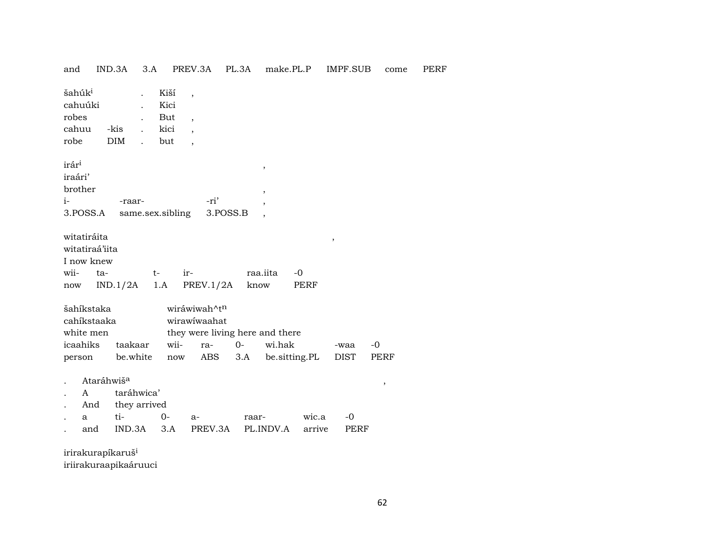| and                                          |                                                              | IND.3A<br>3.A                               |                                    | PREV.3A                                                                       | PL.3A       | make.PL.P                         |                 | IMPF.SUB     | come         | PERF |
|----------------------------------------------|--------------------------------------------------------------|---------------------------------------------|------------------------------------|-------------------------------------------------------------------------------|-------------|-----------------------------------|-----------------|--------------|--------------|------|
| šahúk <sup>i</sup><br>robes<br>cahuu<br>robe | cahuúki                                                      | -kis<br>DIM                                 | Kiší<br>Kici<br>But<br>kici<br>but | $\overline{\phantom{a}}$<br>$\overline{\phantom{a}}$                          |             |                                   |                 |              |              |      |
| irár <sup>i</sup><br>iraári'<br>$i-$         | brother<br>3.POSS.A                                          | -raar-<br>same.sex.sibling                  |                                    | -ri'<br>3.POSS.B                                                              |             | $^\mathrm{^\mathrm{o}}$<br>$\, ,$ |                 |              |              |      |
| wii-<br>now                                  | witatiráita<br>witatiraá'iita<br>I now knew<br>ta-           | IND.1/2A                                    | t-<br>1.A                          | ir-<br>PREV.1/2A                                                              | know        | raa.iita                          | $-0$<br>PERF    | $\, ,$       |              |      |
|                                              | šahíkstaka<br>cahíkstaaka<br>white men<br>icaahiks<br>person | taakaar<br>be.white                         | wii-<br>now                        | wiráwiwah^tn<br>wirawiwaahat<br>they were living here and there<br>ra-<br>ABS | $0-$<br>3.A | wi.hak<br>be.sitting.PL           |                 | -waa<br>DIST | $-0$<br>PERF |      |
|                                              | Ataráhwiš <sup>a</sup><br>A<br>And<br>a<br>and               | taráhwica'<br>they arrived<br>ti-<br>IND.3A | 0-<br>3.A                          | $a-$<br>PREV.3A                                                               | raar-       | PL.INDV.A                         | wic.a<br>arrive | $-0$<br>PERF | $\,$         |      |
|                                              | iriralzuranikarušt                                           |                                             |                                    |                                                                               |             |                                   |                 |              |              |      |

irirakurapikarus iriirakuraapikaáruuci

62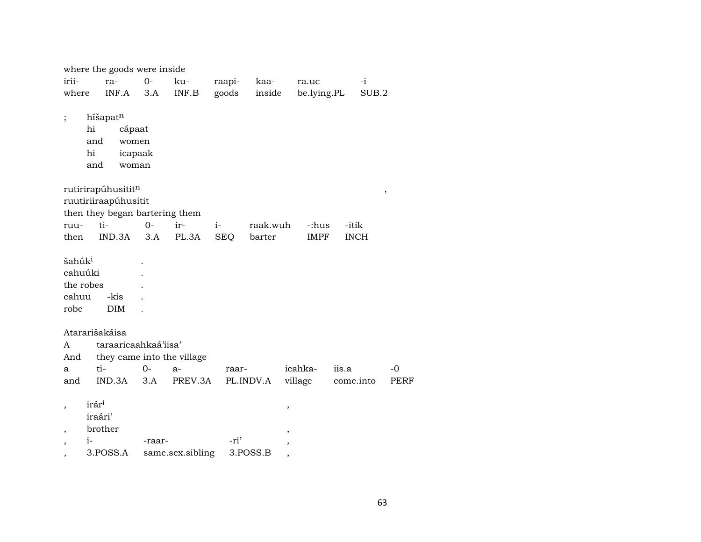|                          |                   | where the goods were inside    |        |                                                     |            |           |             |             |               |      |
|--------------------------|-------------------|--------------------------------|--------|-----------------------------------------------------|------------|-----------|-------------|-------------|---------------|------|
| irii-                    |                   | ra-                            | $0-$   | ku-                                                 | raapi-     | kaa-      | ra.uc       |             | $-i$          |      |
| where                    |                   | INF.A                          | 3.A    | $\ensuremath{\mathsf{INF}}.\ensuremath{\mathsf{B}}$ | goods      | inside    | be.lying.PL |             | SUB.2         |      |
|                          |                   |                                |        |                                                     |            |           |             |             |               |      |
| $\vdots$                 |                   | híšapatn                       |        |                                                     |            |           |             |             |               |      |
|                          | hi                | cápaat                         |        |                                                     |            |           |             |             |               |      |
|                          | and               | women                          |        |                                                     |            |           |             |             |               |      |
|                          | hi                | icapaak                        |        |                                                     |            |           |             |             |               |      |
|                          | and               | woman                          |        |                                                     |            |           |             |             |               |      |
|                          |                   | rutirirapúhusititn             |        |                                                     |            |           |             |             | $^\mathrm{,}$ |      |
|                          |                   | ruutiriiraapúhusitit           |        |                                                     |            |           |             |             |               |      |
|                          |                   | then they began bartering them |        |                                                     |            |           |             |             |               |      |
| ruu-                     |                   | ti-                            | $0-$   | ir-                                                 | $i-$       | raak.wuh  | -:hus       | -itik       |               |      |
| then                     |                   | IND.3A                         | 3.A    | PL.3A                                               | <b>SEQ</b> | barter    | <b>IMPF</b> | <b>INCH</b> |               |      |
|                          |                   |                                |        |                                                     |            |           |             |             |               |      |
| šahúk <sup>i</sup>       |                   |                                |        |                                                     |            |           |             |             |               |      |
| cahuúki                  |                   |                                |        |                                                     |            |           |             |             |               |      |
| the robes                |                   |                                |        |                                                     |            |           |             |             |               |      |
| cahuu                    |                   | -kis                           |        |                                                     |            |           |             |             |               |      |
| robe                     |                   | <b>DIM</b>                     |        |                                                     |            |           |             |             |               |      |
|                          |                   |                                |        |                                                     |            |           |             |             |               |      |
|                          |                   | Atararišakáisa                 |        |                                                     |            |           |             |             |               |      |
| A                        |                   | taraaricaahkaá'iisa'           |        |                                                     |            |           |             |             |               |      |
| And                      |                   | they came into the village     |        |                                                     |            |           |             |             |               |      |
| a                        |                   | ti-                            | $0-$   | $a-$                                                | raar-      |           | icahka-     | iis.a       |               | -0   |
| and                      |                   | IND.3A                         | 3.A    | PREV.3A                                             |            | PL.INDV.A | village     | come.into   |               | PERF |
|                          |                   |                                |        |                                                     |            |           |             |             |               |      |
| $\overline{\phantom{a}}$ | irár <sup>i</sup> |                                |        |                                                     |            | ,         |             |             |               |      |
|                          | iraári'           |                                |        |                                                     |            |           |             |             |               |      |
|                          |                   | brother                        |        |                                                     |            |           |             |             |               |      |
| $\overline{\phantom{a}}$ | $i-$              |                                | -raar- |                                                     | -ri'       |           |             |             |               |      |
| ,                        |                   | 3.POSS.A                       |        | same.sex.sibling                                    |            | 3.POSS.B  |             |             |               |      |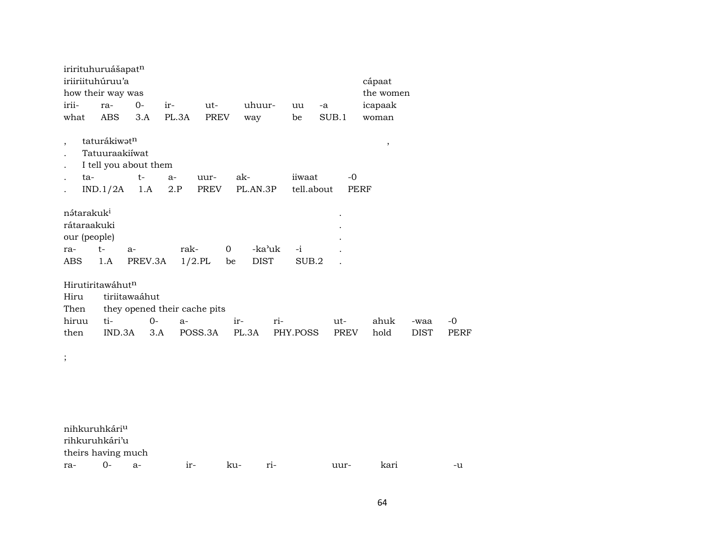|                          | irirituhuruášapat <sup>n</sup> |               |                              |                 |             |     |            |             |               |             |      |
|--------------------------|--------------------------------|---------------|------------------------------|-----------------|-------------|-----|------------|-------------|---------------|-------------|------|
|                          | iriiriituhúruu'a               |               |                              |                 |             |     |            |             | cápaat        |             |      |
|                          | how their way was              |               |                              |                 |             |     |            |             | the women     |             |      |
| irii-                    | ra-                            | $0-$          | ir-                          | ut-             | uhuur-      |     | uu         | -a          | icapaak       |             |      |
| what                     | <b>ABS</b>                     | 3.A           | PL.3A                        | <b>PREV</b>     | way         |     | be         | SUB.1       | woman         |             |      |
|                          |                                |               |                              |                 |             |     |            |             |               |             |      |
| $\overline{\phantom{a}}$ | taturákiwatn                   |               |                              |                 |             |     |            |             | $^\mathrm{,}$ |             |      |
|                          | Tatuuraakiiwat                 |               |                              |                 |             |     |            |             |               |             |      |
| $\ddot{\phantom{0}}$     | I tell you about them          |               |                              |                 |             |     |            |             |               |             |      |
| ta-<br>$\bullet$         |                                | $t-$          | $a-$                         | uur-            | ak-         |     | iiwaat     | -0          |               |             |      |
|                          | IND.1/2A                       | 1.A           | 2.P                          | PREV            | PL.AN.3P    |     | tell.about | <b>PERF</b> |               |             |      |
|                          |                                |               |                              |                 |             |     |            |             |               |             |      |
| nátarakuk <sup>i</sup>   |                                |               |                              |                 |             |     |            |             |               |             |      |
| rátaraakuki              |                                |               |                              |                 |             |     |            |             |               |             |      |
| our (people)             |                                |               |                              |                 |             |     |            |             |               |             |      |
| ra-                      | $t-$                           | a-            | rak-                         | $\mathbf{0}$    | -ka'uk      |     | $-i$       |             |               |             |      |
| ABS                      | 1.A                            | PREV.3A       |                              | $1/2$ .PL<br>be | <b>DIST</b> |     | SUB.2      |             |               |             |      |
|                          |                                |               |                              |                 |             |     |            |             |               |             |      |
|                          | Hirutiritawáhutn               |               |                              |                 |             |     |            |             |               |             |      |
| Hiru                     |                                | tiriitawaáhut |                              |                 |             |     |            |             |               |             |      |
| Then                     |                                |               | they opened their cache pits |                 |             |     |            |             |               |             |      |
| hiruu                    | ti-                            | $0-$          | $a-$                         |                 | $ir-$       | ri- |            | ut-         | ahuk          | -waa        | $-0$ |
| then                     | IND.3A                         | 3.A           |                              | POSS.3A         | PL.3A       |     | PHY.POSS   | <b>PREV</b> | hold          | <b>DIST</b> | PERF |
|                          |                                |               |                              |                 |             |     |            |             |               |             |      |
| $\vdots$                 |                                |               |                              |                 |             |     |            |             |               |             |      |
|                          |                                |               |                              |                 |             |     |            |             |               |             |      |
|                          |                                |               |                              |                 |             |     |            |             |               |             |      |

| nihkuruhkári <sup>u</sup> |        |       |       |      |       |      |      |    |
|---------------------------|--------|-------|-------|------|-------|------|------|----|
| rihkuruhkári'u            |        |       |       |      |       |      |      |    |
| theirs having much        |        |       |       |      |       |      |      |    |
| ra-                       | $()$ - | $A -$ | $ir-$ | k11- | $ri-$ | uur- | kari | -u |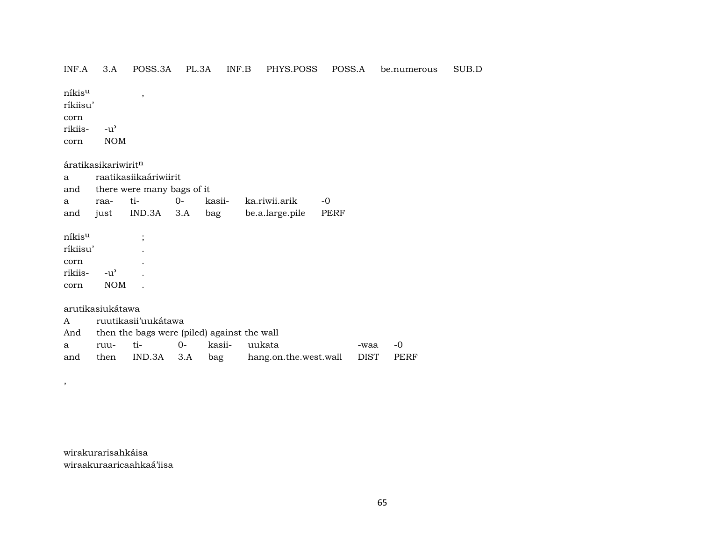# ${\rm n}$ íkis $^{\rm u}$  , ríkiisu' corn rikiis- -u" corn NOM áratikasikariwirit $<sup>n</sup>$ </sup> a raatikasiikaáriwiirit and there were many bags of it a raa- ti- 0- kasii- ka.riwii.arik -0 and just IND.3A 3.A bag be.a.large.pile PERF níkis<sup>u</sup> ;

INF.A 3.A POSS.3A PL.3A INF.B PHYS.POSS POSS.A be.numerous SUB.D

ríkiisu' . corn . rikiis- -u" . corn NOM .

## arutikasiukátawa

,

|  | A ruutikasii'uukátawa                           |  |  |                                                         |         |  |  |  |  |  |  |  |
|--|-------------------------------------------------|--|--|---------------------------------------------------------|---------|--|--|--|--|--|--|--|
|  | And then the bags were (piled) against the wall |  |  |                                                         |         |  |  |  |  |  |  |  |
|  | a ruu- ti-  0- kasii- uukata                    |  |  |                                                         | -waa -0 |  |  |  |  |  |  |  |
|  |                                                 |  |  | and then IND.3A 3.A bag hang.on.the.west.wall DIST PERF |         |  |  |  |  |  |  |  |

wirakurarisahkáisa wiraakuraaricaahkaá'iisa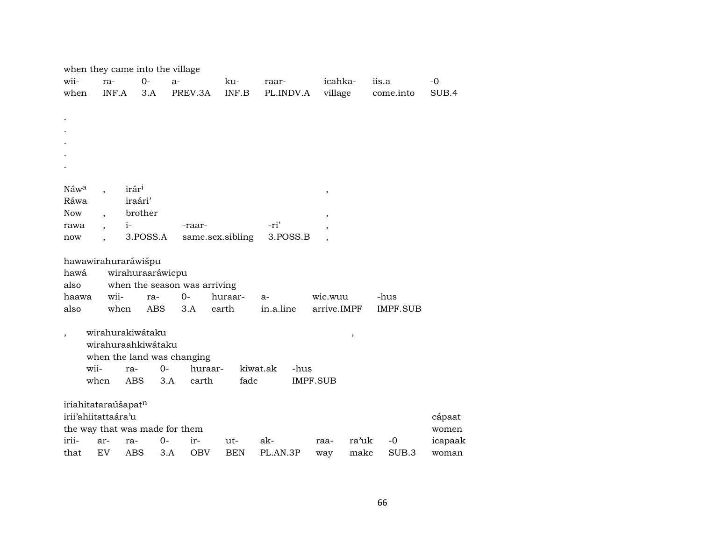|                |                                 | when they came into the village |                                |                  |                  |                          |                 |         |
|----------------|---------------------------------|---------------------------------|--------------------------------|------------------|------------------|--------------------------|-----------------|---------|
| wii-           | ra-                             | $0-$                            | $a-$                           | ku-              | raar-            | icahka-                  | iis.a           | $-0$    |
| when           | INF.A                           | 3.A                             | PREV.3A                        | INF.B            | PL.INDV.A        | village                  | come.into       | SUB.4   |
|                |                                 |                                 |                                |                  |                  |                          |                 |         |
|                |                                 |                                 |                                |                  |                  |                          |                 |         |
|                |                                 |                                 |                                |                  |                  |                          |                 |         |
|                |                                 |                                 |                                |                  |                  |                          |                 |         |
|                |                                 |                                 |                                |                  |                  |                          |                 |         |
|                |                                 |                                 |                                |                  |                  |                          |                 |         |
|                |                                 |                                 |                                |                  |                  |                          |                 |         |
| Náwa           |                                 | irár <sup>i</sup>               |                                |                  |                  | $\, ,$                   |                 |         |
| Ráwa           |                                 | iraári'                         |                                |                  |                  |                          |                 |         |
| <b>Now</b>     |                                 | brother                         |                                |                  |                  | $\, ,$                   |                 |         |
| rawa           |                                 | $i-$                            | -raar-                         |                  | -ri'             | ,                        |                 |         |
| now            |                                 | 3.POSS.A                        |                                | same.sex.sibling | 3.POSS.B         |                          |                 |         |
|                |                                 |                                 |                                |                  |                  |                          |                 |         |
|                |                                 | hawawirahuraráwišpu             |                                |                  |                  |                          |                 |         |
| hawá           |                                 | wirahuraaráwicpu                |                                |                  |                  |                          |                 |         |
| also           |                                 |                                 | when the season was arriving   |                  |                  |                          |                 |         |
| haawa          | wii-                            | ra-                             | $0-$                           | huraar-          | $a-$             | wic.wuu                  | -hus            |         |
| also           | when                            | <b>ABS</b>                      | 3.A                            | earth            | in.a.line        | arrive.IMPF              | <b>IMPF.SUB</b> |         |
|                |                                 |                                 |                                |                  |                  |                          |                 |         |
| $\overline{ }$ |                                 | wirahurakiwátaku                |                                |                  |                  | $\overline{\phantom{a}}$ |                 |         |
|                |                                 | wirahuraahkiwátaku              |                                |                  |                  |                          |                 |         |
|                |                                 |                                 | when the land was changing     |                  |                  |                          |                 |         |
|                | wii-                            | ra-                             | $O -$<br>huraar-               |                  | kiwat.ak<br>-hus |                          |                 |         |
|                | when                            | ABS                             | 3.A<br>earth                   | fade             |                  | IMPF.SUB                 |                 |         |
|                |                                 |                                 |                                |                  |                  |                          |                 |         |
|                | iriahitataraúšapat <sup>n</sup> |                                 |                                |                  |                  |                          |                 |         |
|                | irii'ahiitattaára'u             |                                 |                                |                  |                  |                          |                 | cápaat  |
|                |                                 |                                 | the way that was made for them |                  |                  |                          |                 | women   |
| irii-          |                                 |                                 |                                |                  |                  |                          |                 |         |
|                | ar-                             | ra-                             | 0-<br>ir-                      | ut-              | ak-              | ra'uk<br>raa-            | $-0$            | icapaak |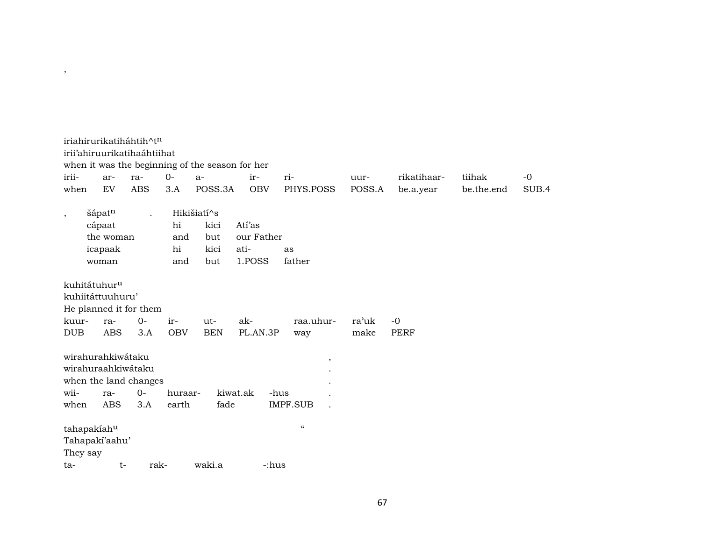|                                                 | iriahirurikatiháhtih^t <sup>n</sup><br>irii'ahiruurikatihaáhtiihat                    |                      |                        | when it was the beginning of the season for her |                                        |                                 |                |                          |                      |               |
|-------------------------------------------------|---------------------------------------------------------------------------------------|----------------------|------------------------|-------------------------------------------------|----------------------------------------|---------------------------------|----------------|--------------------------|----------------------|---------------|
| irii-<br>when                                   | ar-<br>EV                                                                             | ra-<br><b>ABS</b>    | $O -$<br>3.A           | $a-$<br>POSS.3A                                 | ir-<br><b>OBV</b>                      | ri-<br>PHYS.POSS                | uur-<br>POSS.A | rikatihaar-<br>be.a.year | tiihak<br>be.the.end | $-0$<br>SUB.4 |
| $\cdot$                                         | šápatn<br>cápaat<br>the woman<br>icapaak<br>woman                                     | $\ddot{\phantom{0}}$ | hi<br>and<br>hi<br>and | Hikišiatí^s<br>kici<br>but<br>kici<br>but       | Atí'as<br>our Father<br>ati-<br>1.POSS | as<br>father                    |                |                          |                      |               |
| kuhitátuhur <sup>u</sup><br>kuur-<br><b>DUB</b> | kuhiitáttuuhuru'<br>He planned it for them<br>ra-<br><b>ABS</b>                       | $0-$<br>3.A          | ir-<br><b>OBV</b>      | ut-<br><b>BEN</b>                               | ak-<br>PL.AN.3P                        | raa.uhur-<br>way                | ra'uk<br>make  | $-0$<br><b>PERF</b>      |                      |               |
| wii-<br>when                                    | wirahurahkiwátaku<br>wirahuraahkiwátaku<br>when the land changes<br>ra-<br><b>ABS</b> | $0-$<br>3.A          | huraar-<br>earth       | fade                                            | kiwat.ak                               | $\,$<br>-hus<br><b>IMPF.SUB</b> |                |                          |                      |               |
| tahapakiahu<br>They say<br>ta-                  | Tahapakí'aahu'<br>$t-$                                                                | rak-                 |                        | waki.a                                          | -:hus                                  | $\mathcal{C}$                   |                |                          |                      |               |

,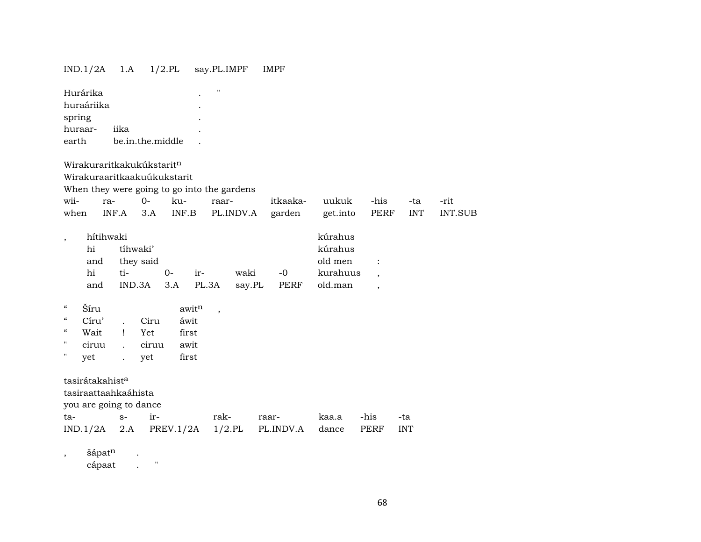## IND.1/2A 1.A 1/2.PL say.PL.IMPF IMPF

| spring<br>earth                        | Hurárika<br>huraáriika<br>huraar-                                    | iika           | be.in.the.middle                |              |                   | $\mathbf{H}$             |                |                     |                                                      |                                                                        |            |         |
|----------------------------------------|----------------------------------------------------------------------|----------------|---------------------------------|--------------|-------------------|--------------------------|----------------|---------------------|------------------------------------------------------|------------------------------------------------------------------------|------------|---------|
|                                        | Wirakuraritkakukúkstarit <sup>n</sup><br>Wirakuraaritkaakuúkukstarit |                |                                 |              |                   |                          |                |                     |                                                      |                                                                        |            |         |
|                                        | When they were going to go into the gardens                          |                |                                 |              |                   |                          |                |                     |                                                      |                                                                        |            |         |
| wii-                                   | ra-                                                                  |                | $0 -$                           | ku-          |                   | raar-                    |                | itkaaka-            | uukuk                                                | -his                                                                   | -ta        | -rit    |
| when                                   |                                                                      | INF.A          | 3.A                             |              | INF.B             |                          | PL.INDV.A      | garden              | get.into                                             | <b>PERF</b>                                                            | <b>INT</b> | INT.SUB |
| $\overline{\phantom{a}}$               | hítihwaki<br>hi<br>and<br>hi<br>and                                  | ti-            | tíhwaki'<br>they said<br>IND.3A | $O -$<br>3.A | ir-               | PL.3A                    | waki<br>say.PL | $-0$<br><b>PERF</b> | kúrahus<br>kúrahus<br>old men<br>kurahuus<br>old.man | $\ddot{\cdot}$<br>$\overline{\phantom{a}}$<br>$\overline{\phantom{a}}$ |            |         |
| $\mathcal{C}\mathcal{C}$               | Šíru                                                                 |                |                                 |              | awit <sup>n</sup> | $\overline{\phantom{a}}$ |                |                     |                                                      |                                                                        |            |         |
| $\boldsymbol{\zeta}\boldsymbol{\zeta}$ | Círu'                                                                | $\mathbf{L}$   | Ciru                            |              | áwit              |                          |                |                     |                                                      |                                                                        |            |         |
| "                                      | Wait                                                                 | Ţ              | Yet                             |              | first             |                          |                |                     |                                                      |                                                                        |            |         |
| 11                                     | ciruu                                                                | $\overline{a}$ | ciruu                           |              | awit              |                          |                |                     |                                                      |                                                                        |            |         |
| $\mathbf{H}$                           | yet                                                                  | $\cdot$        | yet                             |              | first             |                          |                |                     |                                                      |                                                                        |            |         |
|                                        | tasirátakahist <sup>a</sup><br>tasiraattaahkaáhista                  |                |                                 |              |                   |                          |                |                     |                                                      |                                                                        |            |         |

you are going to dance

| ta- | $s-$ ir- |                                                          | rak- raar-   kaa.a -his -ta |  |  |
|-----|----------|----------------------------------------------------------|-----------------------------|--|--|
|     |          | $IND.1/2A$ 2.A PREV.1/2A 1/2.PL PL.INDV.A dance PERF INT |                             |  |  |

, šápat<sup>n</sup> .

cápaat . "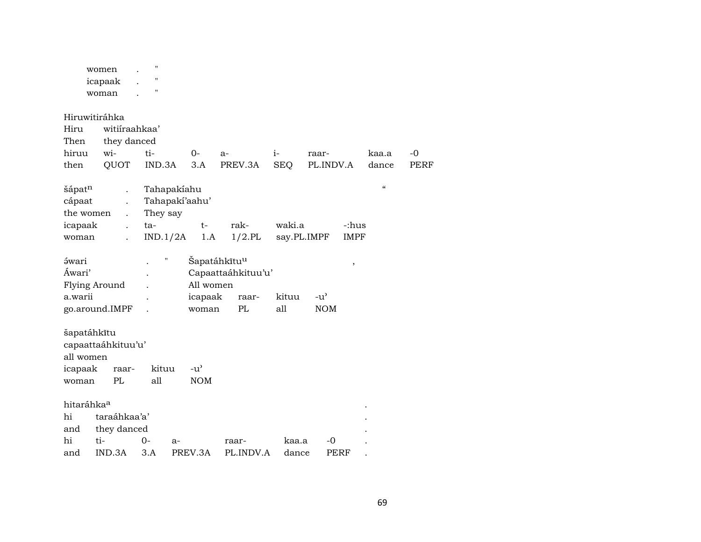|                          | women<br>icapaak     | $\pmb{\mathsf{H}}$<br>$\blacksquare$ |                          |                    |             |               |                    |             |
|--------------------------|----------------------|--------------------------------------|--------------------------|--------------------|-------------|---------------|--------------------|-------------|
|                          | woman                | "                                    |                          |                    |             |               |                    |             |
|                          | Hiruwitiráhka        |                                      |                          |                    |             |               |                    |             |
| Hiru                     | witiiraahkaa'        |                                      |                          |                    |             |               |                    |             |
| Then                     | they danced          |                                      |                          |                    |             |               |                    |             |
| hiruu                    | wi-                  | ti-                                  | $0 -$                    | a-                 | $i-$        | raar-         | kaa.a              | $-0$        |
| then                     | QUOT                 | IND.3A                               | 3.A                      | PREV.3A            | <b>SEQ</b>  | PL.INDV.A     | dance              | <b>PERF</b> |
| šápatn                   |                      | Tahapakiahu                          |                          |                    |             |               | $\epsilon\epsilon$ |             |
| cápaat                   |                      | Tahapakí'aahu'                       |                          |                    |             |               |                    |             |
| the women                |                      | They say                             |                          |                    |             |               |                    |             |
| icapaak                  | $\ddot{\phantom{0}}$ | ta-                                  | $t-$                     | rak-               | waki.a      | -:hus         |                    |             |
| woman                    |                      | IND.1/2A                             | 1.A                      | $1/2$ .PL          | say.PL.IMPF | <b>IMPF</b>   |                    |             |
| <i><b>śwari</b></i>      |                      | $\mathbf{H}$                         | Šapatáhkĩtu <sup>u</sup> |                    |             | $\, ,$        |                    |             |
| Áwari'                   |                      |                                      |                          | Capaattaáhkituu'u' |             |               |                    |             |
|                          | Flying Around        |                                      | All women                |                    |             |               |                    |             |
| a.warii                  |                      |                                      | icapaak                  | raar-              | kituu       | $-u^{\prime}$ |                    |             |
|                          | go.around.IMPF       |                                      | woman                    | PL                 | all         | <b>NOM</b>    |                    |             |
| šapatáhkītu<br>all women | capaattaáhkituu'u'   |                                      |                          |                    |             |               |                    |             |
| icapaak                  | raar-                | kituu                                | $-u^{\prime}$            |                    |             |               |                    |             |
| woman                    | PL                   | all                                  | <b>NOM</b>               |                    |             |               |                    |             |
| hitaráhka <sup>a</sup>   |                      |                                      |                          |                    |             |               |                    |             |
| hi                       | taraáhkaa'a'         |                                      |                          |                    |             |               |                    |             |
| and                      | they danced          |                                      |                          |                    |             |               |                    |             |
| hi                       | ti-                  | $0-$<br>$a-$                         |                          | raar-              | kaa.a       | -0            |                    |             |
| IND.3A<br>3.A<br>and     |                      |                                      | PREV.3A                  | PL.INDV.A          | dance       | PERF          |                    |             |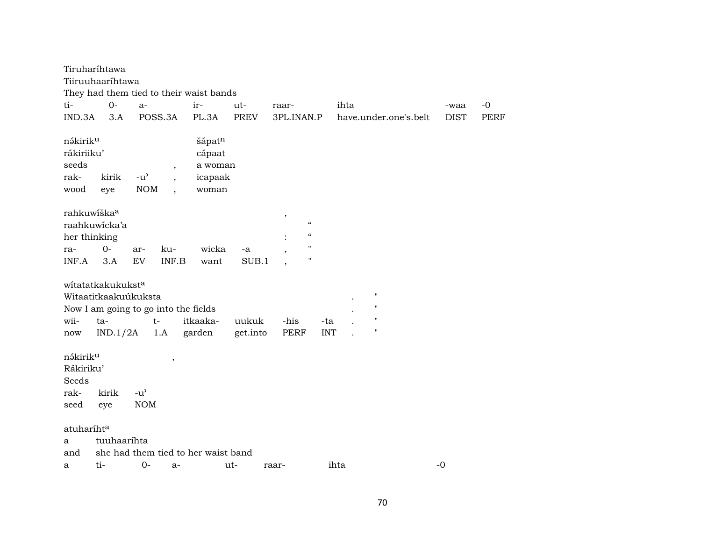|                                                            | Tiruharíhtawa<br>Tiiruuhaaríhtawa                                                                    |                                                   |                                                                                 | They had them tied to their waist bands         |                   |                                                                                                                                                                |                   |      |                                                                                |             |      |
|------------------------------------------------------------|------------------------------------------------------------------------------------------------------|---------------------------------------------------|---------------------------------------------------------------------------------|-------------------------------------------------|-------------------|----------------------------------------------------------------------------------------------------------------------------------------------------------------|-------------------|------|--------------------------------------------------------------------------------|-------------|------|
| ti-                                                        | $0-$                                                                                                 | a-                                                |                                                                                 | ir-                                             | ut-               | raar-                                                                                                                                                          |                   | ihta |                                                                                | -waa        | $-0$ |
| IND.3A                                                     | 3.A                                                                                                  |                                                   | POSS.3A                                                                         | PL.3A                                           | <b>PREV</b>       | 3PL.INAN.P                                                                                                                                                     |                   |      | have.under.one's.belt                                                          | <b>DIST</b> | PERF |
| nákiriku<br>rákiriiku'<br>seeds<br>rak-<br>wood            | kirik<br>eye                                                                                         | $-u$ <sup><math>\prime</math></sup><br><b>NOM</b> | $^\mathrm{^\mathrm{o}}$<br>$\overline{\phantom{a}}$<br>$\overline{\phantom{a}}$ | šápatn<br>cápaat<br>a woman<br>icapaak<br>woman |                   |                                                                                                                                                                |                   |      |                                                                                |             |      |
| rahkuwíška <sup>a</sup><br>her thinking<br>ra-<br>INF.A    | raahkuwicka'a<br>$0-$<br>3.A                                                                         | ar-<br><b>EV</b>                                  | ku-<br>INF.B                                                                    | wicka<br>want                                   | -a<br>SUB.1       | $^\mathrm{^\mathrm{o}}$<br>$\mathcal{C}\mathcal{C}$<br>$\boldsymbol{\mathcal{C}}$<br>$\mathbf{H}$<br>$\overline{\phantom{a}}$<br>Ħ<br>$\overline{\phantom{a}}$ |                   |      |                                                                                |             |      |
| wii-<br>now                                                | witatatkakukuksta<br>Witaatitkaakuúkuksta<br>Now I am going to go into the fields<br>ta-<br>IND.1/2A |                                                   | $t-$<br>1.A                                                                     | itkaaka-<br>garden                              | uukuk<br>get.into | -his<br>PERF                                                                                                                                                   | -ta<br><b>INT</b> |      | $\pmb{\mathsf{H}}$<br>$\mathbf{H}$<br>$\pmb{\mathsf{H}}$<br>$\pmb{\mathsf{H}}$ |             |      |
| nákirik <sup>u</sup><br>Rákiriku'<br>Seeds<br>rak-<br>seed | kirik<br>eye                                                                                         | $-u^{\prime}$<br><b>NOM</b>                       | $\overline{\phantom{a}}$                                                        |                                                 |                   |                                                                                                                                                                |                   |      |                                                                                |             |      |
|                                                            |                                                                                                      |                                                   |                                                                                 |                                                 |                   |                                                                                                                                                                |                   |      |                                                                                |             |      |
| atuharíht <sup>a</sup>                                     |                                                                                                      |                                                   |                                                                                 |                                                 |                   |                                                                                                                                                                |                   |      |                                                                                |             |      |
| a                                                          | tuuhaaríhta                                                                                          |                                                   |                                                                                 |                                                 |                   |                                                                                                                                                                |                   |      |                                                                                |             |      |
| and                                                        |                                                                                                      |                                                   |                                                                                 | she had them tied to her waist band             |                   |                                                                                                                                                                |                   |      |                                                                                |             |      |
| a                                                          | ti-                                                                                                  | $0-$                                              | $a-$                                                                            |                                                 | ut-               | raar-                                                                                                                                                          |                   | ihta |                                                                                | $-0$        |      |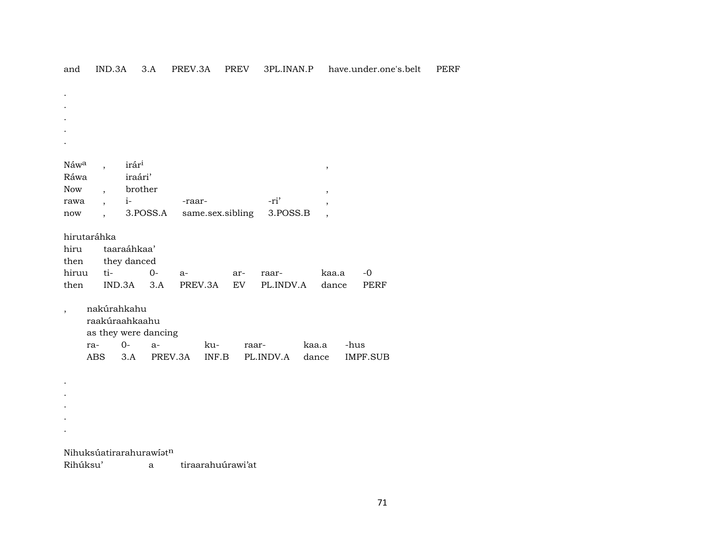| Náw <sup>a</sup>        |     | irár <sup>i</sup> |                      |        |                   |       |           |       | $\, ,$ |                 |
|-------------------------|-----|-------------------|----------------------|--------|-------------------|-------|-----------|-------|--------|-----------------|
| Ráwa                    |     | iraári'           |                      |        |                   |       |           |       |        |                 |
| Now                     |     | brother           |                      |        |                   |       |           |       | ,      |                 |
| rawa                    |     | $i-$              |                      | -raar- |                   |       | -ri'      |       |        |                 |
| now                     |     |                   | 3.POSS.A             |        | same.sex.sibling  |       | 3.POSS.B  |       |        |                 |
| hirutaráhka             |     |                   |                      |        |                   |       |           |       |        |                 |
| hiru                    |     | taaraáhkaa'       |                      |        |                   |       |           |       |        |                 |
| then                    |     | they danced       |                      |        |                   |       |           |       |        |                 |
| hiruu                   | ti- |                   | $O -$                | $a-$   |                   | ar-   | raar-     |       | kaa.a  | $-0$            |
| then                    |     | IND.3A            | 3.A                  |        | PREV.3A           | EV    | PL.INDV.A |       | dance  | <b>PERF</b>     |
|                         |     |                   |                      |        |                   |       |           |       |        |                 |
| $\overline{ }$          |     | nakúrahkahu       |                      |        |                   |       |           |       |        |                 |
|                         |     | raakúraahkaahu    |                      |        |                   |       |           |       |        |                 |
|                         |     |                   | as they were dancing |        |                   |       |           |       |        |                 |
| ra-                     |     | $O -$             | $a-$                 |        | ku-               | raar- |           | kaa.a |        | -hus            |
|                         | ABS | 3.A               | PREV.3A              |        | INF.B             |       | PL.INDV.A |       | dance  | <b>IMPF.SUB</b> |
|                         |     |                   |                      |        |                   |       |           |       |        |                 |
|                         |     |                   |                      |        |                   |       |           |       |        |                 |
|                         |     |                   |                      |        |                   |       |           |       |        |                 |
|                         |     |                   |                      |        |                   |       |           |       |        |                 |
|                         |     |                   |                      |        |                   |       |           |       |        |                 |
|                         |     |                   |                      |        |                   |       |           |       |        |                 |
| Nihuksúatirarahurawíatn |     |                   |                      |        |                   |       |           |       |        |                 |
| Rihúksu'                |     |                   | а                    |        | tiraarahuúrawi'at |       |           |       |        |                 |

and IND.3A 3.A PREV.3A PREV 3PL.INAN.P have.under.one's.belt PERF

71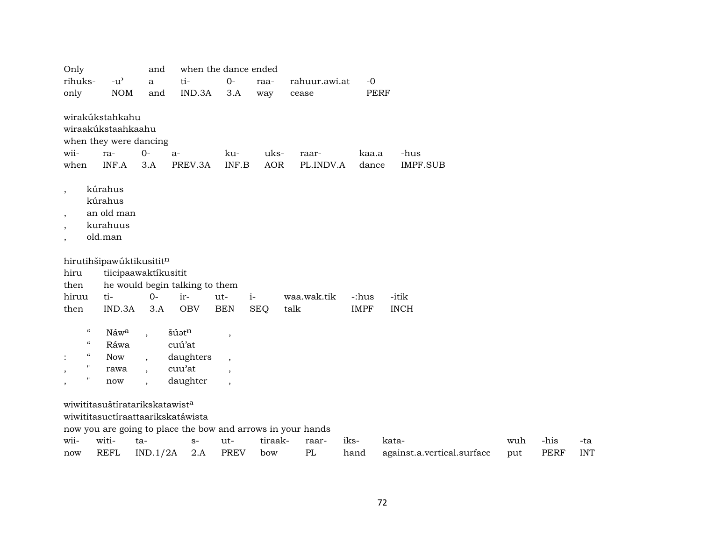| Only                                                                                                                                          |                                                                                 | and                                    |                                                    | when the dance ended                                            |                    |                                                             |                |                            |     |             |            |
|-----------------------------------------------------------------------------------------------------------------------------------------------|---------------------------------------------------------------------------------|----------------------------------------|----------------------------------------------------|-----------------------------------------------------------------|--------------------|-------------------------------------------------------------|----------------|----------------------------|-----|-------------|------------|
| rihuks-                                                                                                                                       | $-u$ <sup><math>\prime</math></sup>                                             | $\mathbf{a}$                           | ti-                                                | $0-$                                                            | raa-               | rahuur.awi.at                                               | $-0$           |                            |     |             |            |
| only                                                                                                                                          | <b>NOM</b>                                                                      | and                                    | IND.3A                                             | 3.A                                                             | way                | cease                                                       | <b>PERF</b>    |                            |     |             |            |
| wii-<br>when                                                                                                                                  | wirakúkstahkahu<br>wiraakúkstaahkaahu<br>when they were dancing<br>ra-<br>INF.A | $O -$<br>3.A                           | $a-$<br>PREV.3A                                    | ku-<br>INF.B                                                    | uks-<br><b>AOR</b> | raar-<br>PL.INDV.A                                          | kaa.a<br>dance | -hus<br><b>IMPF.SUB</b>    |     |             |            |
| $\,$<br>$\, ,$<br>$\cdot$<br>$\overline{\phantom{a}}$                                                                                         | kúrahus<br>kúrahus<br>an old man<br>kurahuus<br>old.man                         |                                        |                                                    |                                                                 |                    |                                                             |                |                            |     |             |            |
|                                                                                                                                               | hirutihšipawúktikusititn                                                        |                                        |                                                    |                                                                 |                    |                                                             |                |                            |     |             |            |
| hiru                                                                                                                                          |                                                                                 | tiicipaawaktíkusitit                   |                                                    |                                                                 |                    |                                                             |                |                            |     |             |            |
| then                                                                                                                                          |                                                                                 |                                        | he would begin talking to them                     |                                                                 |                    |                                                             |                |                            |     |             |            |
| hiruu                                                                                                                                         | ti-                                                                             | $O -$                                  | ir-                                                | ut-                                                             | $i-$               | waa.wak.tik                                                 | -:hus          | -itik                      |     |             |            |
| then                                                                                                                                          | IND.3A                                                                          | 3.A                                    | <b>OBV</b>                                         | <b>BEN</b>                                                      | <b>SEQ</b>         | talk                                                        | <b>IMPF</b>    | <b>INCH</b>                |     |             |            |
| $\boldsymbol{\mathcal{C}}$<br>$\boldsymbol{\mathcal{C}}$<br>$\epsilon\epsilon$<br>$\pmb{\mathsf{H}}$<br>$\,$<br>"<br>$\overline{\phantom{a}}$ | Náwa<br>Ráwa<br><b>Now</b><br>rawa<br>now                                       | $\ddot{\phantom{1}}$<br>$\overline{ }$ | šúatn<br>cuú'at<br>daughters<br>cuu'at<br>daughter | $\overline{\phantom{a}}$<br>$\overline{\phantom{a}}$<br>$\cdot$ |                    |                                                             |                |                            |     |             |            |
|                                                                                                                                               | wiwititasuštíratarikskatawist <sup>a</sup>                                      |                                        |                                                    |                                                                 |                    |                                                             |                |                            |     |             |            |
|                                                                                                                                               |                                                                                 |                                        | wiwititasuctíraattaarikskatáwista                  |                                                                 |                    |                                                             |                |                            |     |             |            |
|                                                                                                                                               |                                                                                 |                                        |                                                    |                                                                 |                    | now you are going to place the bow and arrows in your hands |                |                            |     |             |            |
| wii-                                                                                                                                          | witi-                                                                           | ta-                                    | $S-$                                               | ut-                                                             | tiraak-            | raar-                                                       | iks-           | kata-                      | wuh | -his        | -ta        |
| now                                                                                                                                           | <b>REFL</b>                                                                     | IND.1/2A                               | 2.A                                                | <b>PREV</b>                                                     | bow                | PL                                                          | hand           | against.a.vertical.surface | put | <b>PERF</b> | <b>INT</b> |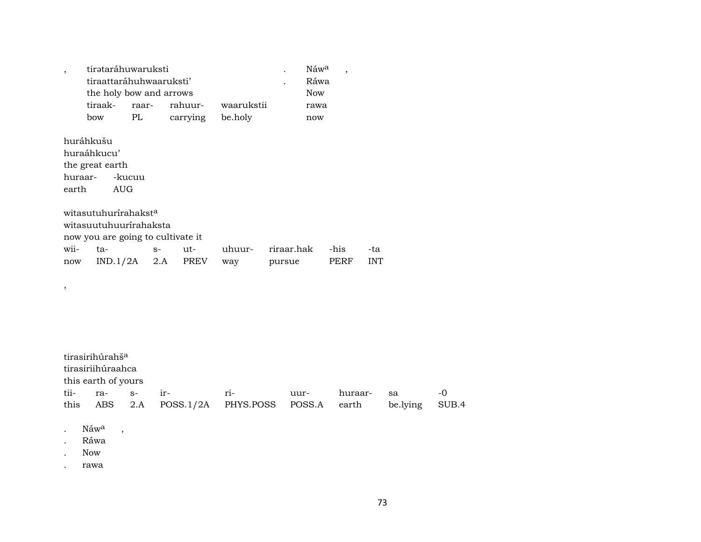| tirətaráhuwaruksti      |                         |                    |         |  | $N$ aw <sup>a</sup> |  |  |  |  |  |
|-------------------------|-------------------------|--------------------|---------|--|---------------------|--|--|--|--|--|
|                         | tiraattaráhuhwaaruksti' |                    |         |  |                     |  |  |  |  |  |
| the holy bow and arrows |                         | Now                |         |  |                     |  |  |  |  |  |
| tiraak-                 | raar-                   | rahuur- waarukstii |         |  | rawa                |  |  |  |  |  |
| how                     | PL.                     | carrying           | be.holy |  | now                 |  |  |  |  |  |

huráhkušu huraáhkucu' the great earth huraar--kucuu earth **AUG** 

witasutuhurírahakst<sup>a</sup> witasuutuhuurírahaksta now you are going to cultivate it wiiuhuurriraar.hak -his ta- $S$ ut--ta  $IND.1/2A$  2.A **PREV** way pursue **PERF INT** now

tirasirihúrahš<sup>a</sup> tirasiriihúraahca this earth of yours tii $s$ irri- $-0$ huraarrauursa this ABS  $2.A$  $POSS.1/2A$ PHYS.POSS POSS.A earth be.lying SUB.4 Náw<sup>a</sup>  $\overline{\phantom{a}}$ 

- $\mathcal{L}^{\pm}$
- Ráwa

Now

 $\,$ 

rawa  $\cdot$ 

 $\,$  ,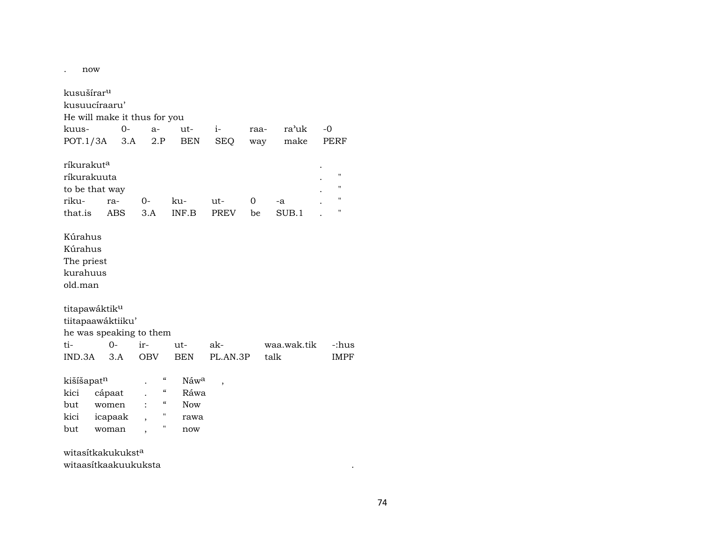| now                                                     |            |      |                                        |                  |                          |          |             |             |
|---------------------------------------------------------|------------|------|----------------------------------------|------------------|--------------------------|----------|-------------|-------------|
| kusušírar <sup>u</sup>                                  |            |      |                                        |                  |                          |          |             |             |
| kusuucíraaru'                                           |            |      |                                        |                  |                          |          |             |             |
| He will make it thus for you                            |            |      |                                        |                  |                          |          |             |             |
| kuus-                                                   |            | $0-$ | $a-$                                   | $ut -$           | $i-$                     | raa-     | ra'uk       | $-0$        |
| POT.1/3A                                                |            | 3.A  | 2.P                                    | <b>BEN</b>       | <b>SEQ</b>               |          | make<br>way | PERF        |
| ríkurakut <sup>a</sup>                                  |            |      |                                        |                  |                          |          |             |             |
| ríkurakuuta                                             |            |      |                                        |                  |                          |          |             | н           |
| to be that way                                          |            |      |                                        |                  |                          |          |             | "           |
| riku-                                                   | ra-        |      | $0-$                                   | ku-              | ut-                      | $\Omega$ | -a          | н           |
| that.is                                                 | <b>ABS</b> |      | 3.A                                    | INF.B            | PREV                     | be       | SUB.1       | н           |
| Kúrahus<br>Kúrahus<br>The priest<br>kurahuus<br>old.man |            |      |                                        |                  |                          |          |             |             |
| titapawáktiku                                           |            |      |                                        |                  |                          |          |             |             |
| tiitapaawáktiiku'                                       |            |      |                                        |                  |                          |          |             |             |
| he was speaking to them                                 |            |      |                                        |                  |                          |          |             |             |
| ti-                                                     | $0 -$      |      | ir-                                    | ut-              | ak-                      |          | waa.wak.tik | -:hus       |
| IND.3A                                                  | 3.A        |      | <b>OBV</b>                             | <b>BEN</b>       | PL.AN.3P                 |          | talk        | <b>IMPF</b> |
| kišíšapatn                                              |            |      | $\boldsymbol{\zeta}\boldsymbol{\zeta}$ | Náw <sup>a</sup> | $\overline{\phantom{a}}$ |          |             |             |
| kici                                                    | cápaat     |      | $\epsilon\epsilon$                     | Ráwa             |                          |          |             |             |
| but                                                     | women      |      | 4                                      | Now              |                          |          |             |             |
| kici                                                    | icapaak    |      | "                                      | rawa             |                          |          |             |             |
| but                                                     | woman      |      | Π                                      | now              |                          |          |             |             |

witasítkakukukst<sup>a</sup> witaasítkaakuukuksta

 $\mathcal{L}^{\mathcal{L}}(\mathcal{L}^{\mathcal{L}}(\mathcal{L}^{\mathcal{L}}(\mathcal{L}^{\mathcal{L}}(\mathcal{L}^{\mathcal{L}}(\mathcal{L}^{\mathcal{L}}(\mathcal{L}^{\mathcal{L}}(\mathcal{L}^{\mathcal{L}}(\mathcal{L}^{\mathcal{L}}(\mathcal{L}^{\mathcal{L}}(\mathcal{L}^{\mathcal{L}}(\mathcal{L}^{\mathcal{L}}(\mathcal{L}^{\mathcal{L}}(\mathcal{L}^{\mathcal{L}}(\mathcal{L}^{\mathcal{L}}(\mathcal{L}^{\mathcal{L}}(\mathcal{L}^{\mathcal{L$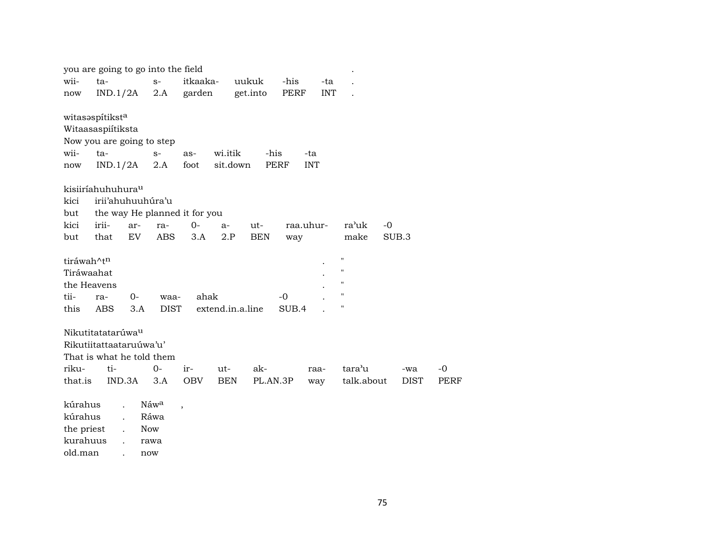|             | you are going to go into the field |      |                  |                               |            |                  |             |            |            |                    |       |             |             |
|-------------|------------------------------------|------|------------------|-------------------------------|------------|------------------|-------------|------------|------------|--------------------|-------|-------------|-------------|
| wii-        | ta-                                |      | $S-$             | itkaaka-                      |            | uukuk            | -his        |            | -ta        |                    |       |             |             |
| now         | IND.1/2A                           |      | 2.A              | garden                        |            | get.into         | PERF        |            | <b>INT</b> |                    |       |             |             |
|             | witasaspítiksta                    |      |                  |                               |            |                  |             |            |            |                    |       |             |             |
|             | Witaasaspiítiksta                  |      |                  |                               |            |                  |             |            |            |                    |       |             |             |
|             | Now you are going to step          |      |                  |                               |            |                  |             |            |            |                    |       |             |             |
| wii-        | $ta-$                              |      | $S-$             | as-                           | wi.itik    |                  | -his        | -ta        |            |                    |       |             |             |
| now         | IND.1/2A                           |      | 2.A              | foot                          |            | sit.down         | <b>PERF</b> | <b>INT</b> |            |                    |       |             |             |
|             | kisiiríahuhuhura <sup>u</sup>      |      |                  |                               |            |                  |             |            |            |                    |       |             |             |
| kici        | irii'ahuhuuhúra'u                  |      |                  |                               |            |                  |             |            |            |                    |       |             |             |
| but         |                                    |      |                  | the way He planned it for you |            |                  |             |            |            |                    |       |             |             |
| kici        | irii-                              | ar-  | ra-              | $0-$                          | $a-$       | ut-              |             | raa.uhur-  |            | ra'uk              | $-0$  |             |             |
| but         | that                               | EV   | <b>ABS</b>       | 3.A                           | 2.P        | <b>BEN</b>       | way         |            |            | make               | SUB.3 |             |             |
| tiráwah^tn  |                                    |      |                  |                               |            |                  |             |            |            | $\pmb{\mathsf{H}}$ |       |             |             |
| Tiráwaahat  |                                    |      |                  |                               |            |                  |             |            |            | $\pmb{\mathsf{H}}$ |       |             |             |
| the Heavens |                                    |      |                  |                               |            |                  |             |            |            | $\pmb{\mathsf{H}}$ |       |             |             |
| tii-        | ra-                                | $0-$ | waa-             | ahak                          |            |                  | $-0$        |            |            | $\pmb{\mathsf{H}}$ |       |             |             |
| this        | ABS                                | 3.A  | <b>DIST</b>      |                               |            | extend.in.a.line | SUB.4       |            |            | $\pmb{\mathsf{H}}$ |       |             |             |
|             | Nikutitatatarúwa <sup>u</sup>      |      |                  |                               |            |                  |             |            |            |                    |       |             |             |
|             | Rikutiitattaataruúwa'u'            |      |                  |                               |            |                  |             |            |            |                    |       |             |             |
|             | That is what he told them          |      |                  |                               |            |                  |             |            |            |                    |       |             |             |
| riku-       | ti-                                |      | $0-$             | ir-                           | ut-        | ak-              |             | raa-       |            | tara'u             |       | -wa         | -0          |
| that.is     | IND.3A                             |      | 3.A              | <b>OBV</b>                    | <b>BEN</b> |                  | PL.AN.3P    | way        |            | talk.about         |       | <b>DIST</b> | <b>PERF</b> |
|             |                                    |      |                  |                               |            |                  |             |            |            |                    |       |             |             |
| kúrahus     |                                    |      | Náw <sup>a</sup> | $\, ,$                        |            |                  |             |            |            |                    |       |             |             |
| kúrahus     |                                    |      | Ráwa             |                               |            |                  |             |            |            |                    |       |             |             |
| the priest  |                                    |      | <b>Now</b>       |                               |            |                  |             |            |            |                    |       |             |             |
| kurahuus    |                                    |      | rawa             |                               |            |                  |             |            |            |                    |       |             |             |

old.man . now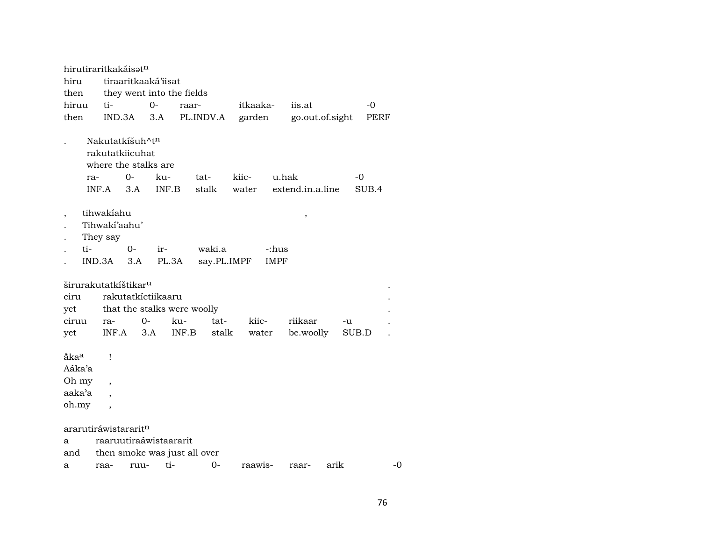| tiraaritkaaká'iisat<br>hiru                                                                                                                                                           |               |
|---------------------------------------------------------------------------------------------------------------------------------------------------------------------------------------|---------------|
| then<br>they went into the fields                                                                                                                                                     |               |
| hiruu<br>$0-$<br>itkaaka-<br>iis.at<br>ti-<br>raar-                                                                                                                                   | $-0$          |
| then<br>3.A<br>PL.INDV.A<br>garden<br>go.out.of.sight<br>IND.3A                                                                                                                       | PERF          |
| Nakutatkíšuh^t <sup>n</sup><br>rakutatkiicuhat<br>where the stalks are<br>$0-$<br>kiic-<br>u.hak<br>ku-<br>tat-<br>ra-<br>INF.A<br>3.A<br>stalk<br>INF.B<br>water<br>extend.in.a.line | $-0$<br>SUB.4 |
| tihwakiahu<br>$\overline{\phantom{a}}$<br>$\,$<br>Tihwaki'aahu'<br>They say<br>ti-<br>waki.a<br>$0-$<br>-:hus<br>$ir-$<br>say.PL.IMPF<br>IND.3A<br>3.A<br>PL.3A<br><b>IMPF</b>        |               |
| širurakutatkíštikar <sup>u</sup><br>rakutatkíctiikaaru<br>ciru<br>that the stalks were woolly<br>yet                                                                                  |               |
| $0 -$<br>ku-<br>tat-<br>kiic-<br>riikaar<br>ciruu<br>ra-<br>-u                                                                                                                        |               |
| INF.B<br>INF.A<br>3.A<br>stalk<br>be.woolly<br>water<br>yet                                                                                                                           | SUB.D         |
| åka <sup>a</sup><br>Ţ<br>Aáka'a<br>Oh my<br>aaka'a<br>oh.my<br>$\overline{\phantom{a}}$<br>ararutiráwistararit <sup>n</sup><br>raaruutiraáwistaararit                                 |               |
| a<br>then smoke was just all over<br>and                                                                                                                                              |               |
| ti-<br>0-<br>arik<br>raawis-<br>ruu-<br>raa-<br>raar-<br>a                                                                                                                            | -0            |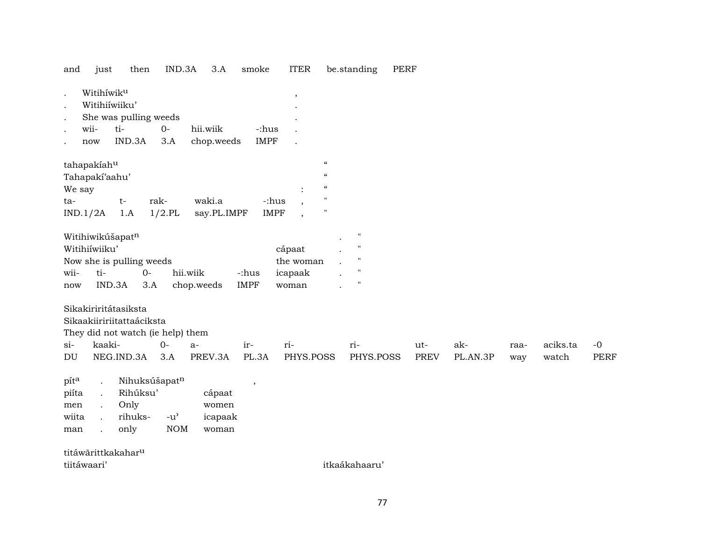and just then IND.3A 3.A smoke ITER be.standing PERF

| $\bullet$<br>$\bullet$ | Witihíwiku<br>Witihiiwiiku' |                                   |               |             |                          | $^\mathrm{^{^\circ}}$         |                            |                    |             |          |      |          |             |
|------------------------|-----------------------------|-----------------------------------|---------------|-------------|--------------------------|-------------------------------|----------------------------|--------------------|-------------|----------|------|----------|-------------|
| $\bullet$              |                             | She was pulling weeds             |               |             |                          |                               |                            |                    |             |          |      |          |             |
| $\ddot{\phantom{a}}$   | wii-                        | ti-                               | $O -$         | hii.wiik    | -:hus                    |                               |                            |                    |             |          |      |          |             |
|                        | now                         | IND.3A                            | 3.A           | chop.weeds  | <b>IMPF</b>              |                               |                            |                    |             |          |      |          |             |
|                        | tahapakiahu                 |                                   |               |             |                          |                               | $\boldsymbol{\mathcal{C}}$ |                    |             |          |      |          |             |
|                        | Tahapakí'aahu'              |                                   |               |             |                          |                               | $\mathcal{C}\mathcal{C}$   |                    |             |          |      |          |             |
| We say                 |                             |                                   |               |             |                          |                               | $\mathcal{C}$              |                    |             |          |      |          |             |
| ta-                    |                             | $t-$                              | rak-          | waki.a      |                          | -:hus                         | $\mathbf{H}$               |                    |             |          |      |          |             |
|                        | IND.1/2A                    | 1.A                               | $1/2$ .PL     | say.PL.IMPF |                          | <b>IMPF</b><br>$\overline{ }$ | $\mathbf{H}$               |                    |             |          |      |          |             |
|                        |                             | Witihiwikúšapatn                  |               |             |                          |                               |                            | $\pmb{\mathsf{H}}$ |             |          |      |          |             |
|                        | Witihiiwiiku'               |                                   |               |             |                          | cápaat                        |                            | $\blacksquare$     |             |          |      |          |             |
|                        |                             | Now she is pulling weeds          |               |             |                          | the woman                     |                            | $^{\prime\prime}$  |             |          |      |          |             |
| wii-                   | ti-                         | $0 -$                             |               | hii.wiik    | -:hus                    | icapaak                       |                            | $^{\prime\prime}$  |             |          |      |          |             |
| now                    | IND.3A                      | 3.A                               |               | chop.weeds  | <b>IMPF</b>              | woman                         |                            | $^{\prime\prime}$  |             |          |      |          |             |
|                        |                             | Sikakiriritátasiksta              |               |             |                          |                               |                            |                    |             |          |      |          |             |
|                        |                             | Sikaakiiririitattaáciksta         |               |             |                          |                               |                            |                    |             |          |      |          |             |
|                        |                             | They did not watch (ie help) them |               |             |                          |                               |                            |                    |             |          |      |          |             |
| $\sin$                 | kaaki-                      |                                   | $0-$          | $a-$        | ir-                      | ri-                           |                            | ri-                | ut-         | ak-      | raa- | aciks.ta | $-0$        |
| DU                     |                             | NEG.IND.3A                        | 3.A           | PREV.3A     | PL.3A                    | PHYS.POSS                     |                            | PHYS.POSS          | <b>PREV</b> | PL.AN.3P | way  | watch    | <b>PERF</b> |
| pita                   | $\ddot{\phantom{a}}$        | Nihuksúšapatn                     |               |             | $\overline{\phantom{a}}$ |                               |                            |                    |             |          |      |          |             |
| piíta                  | $\ddot{\phantom{0}}$        | Rihúksu'                          |               | cápaat      |                          |                               |                            |                    |             |          |      |          |             |
| men                    |                             | Only                              |               | women       |                          |                               |                            |                    |             |          |      |          |             |
| wiita                  |                             | rihuks-                           | $-u^{\prime}$ | icapaak     |                          |                               |                            |                    |             |          |      |          |             |
| man                    |                             | only                              | <b>NOM</b>    | woman       |                          |                               |                            |                    |             |          |      |          |             |
|                        |                             |                                   |               |             |                          |                               |                            |                    |             |          |      |          |             |

titáwãrittkakahar<sup>u</sup> tiitáwaari' itkaákahaaru' itkaákahaaru' itkaákahaaru' itkaákahaaru' itkaákahaaru' itkaákahaaru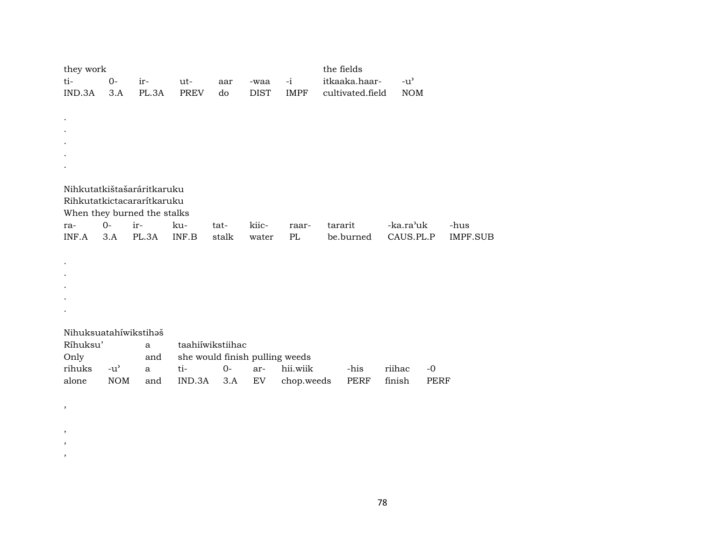| they work |               |                             |             |                  |                                |             | the fields       |        |                                     |      |                 |
|-----------|---------------|-----------------------------|-------------|------------------|--------------------------------|-------------|------------------|--------|-------------------------------------|------|-----------------|
| ti-       | $0-$          | ir-                         | ut-         | aar              | -waa                           | $-i$        | itkaaka.haar-    |        | $-u$ <sup><math>\prime</math></sup> |      |                 |
| IND.3A    | 3.A           | PL.3A                       | <b>PREV</b> | do               | <b>DIST</b>                    | <b>IMPF</b> | cultivated.field |        | <b>NOM</b>                          |      |                 |
|           |               |                             |             |                  |                                |             |                  |        |                                     |      |                 |
|           |               |                             |             |                  |                                |             |                  |        |                                     |      |                 |
|           |               |                             |             |                  |                                |             |                  |        |                                     |      |                 |
|           |               |                             |             |                  |                                |             |                  |        |                                     |      |                 |
|           |               |                             |             |                  |                                |             |                  |        |                                     |      |                 |
|           |               |                             |             |                  |                                |             |                  |        |                                     |      |                 |
|           |               | Nihkutatkištašaráritkaruku  |             |                  |                                |             |                  |        |                                     |      |                 |
|           |               | Rihkutatkictacararítkaruku  |             |                  |                                |             |                  |        |                                     |      |                 |
|           |               | When they burned the stalks |             |                  |                                |             |                  |        |                                     |      |                 |
| ra-       | $0-$          | ir-                         | ku-         | tat-             | kiic-                          | raar-       | tararit          |        | -ka.ra'uk                           |      | -hus            |
| INF.A     | 3.A           | PL.3A                       | INF.B       | stalk            | water                          | $\rm PL$    | be.burned        |        | CAUS.PL.P                           |      | <b>IMPF.SUB</b> |
|           |               |                             |             |                  |                                |             |                  |        |                                     |      |                 |
|           |               |                             |             |                  |                                |             |                  |        |                                     |      |                 |
|           |               |                             |             |                  |                                |             |                  |        |                                     |      |                 |
|           |               |                             |             |                  |                                |             |                  |        |                                     |      |                 |
|           |               |                             |             |                  |                                |             |                  |        |                                     |      |                 |
|           |               |                             |             |                  |                                |             |                  |        |                                     |      |                 |
|           |               |                             |             |                  |                                |             |                  |        |                                     |      |                 |
|           |               | Nihuksuatahíwikstihaš       |             |                  |                                |             |                  |        |                                     |      |                 |
| Ríhuksu'  |               | a                           |             | taahiiwikstiihac |                                |             |                  |        |                                     |      |                 |
| Only      |               | and                         |             |                  | she would finish pulling weeds |             |                  |        |                                     |      |                 |
| rihuks    | $-u^{\prime}$ | a                           | ti-         | $O -$            | ar-                            | hii.wiik    | -his             | riihac |                                     | $-0$ |                 |
| alone     | <b>NOM</b>    | and                         | IND.3A      | 3.A              | EV                             | chop.weeds  | PERF             | finish |                                     | PERF |                 |
|           |               |                             |             |                  |                                |             |                  |        |                                     |      |                 |
| $\,$      |               |                             |             |                  |                                |             |                  |        |                                     |      |                 |

 $\, ,$  $\cdot$  $\, ,$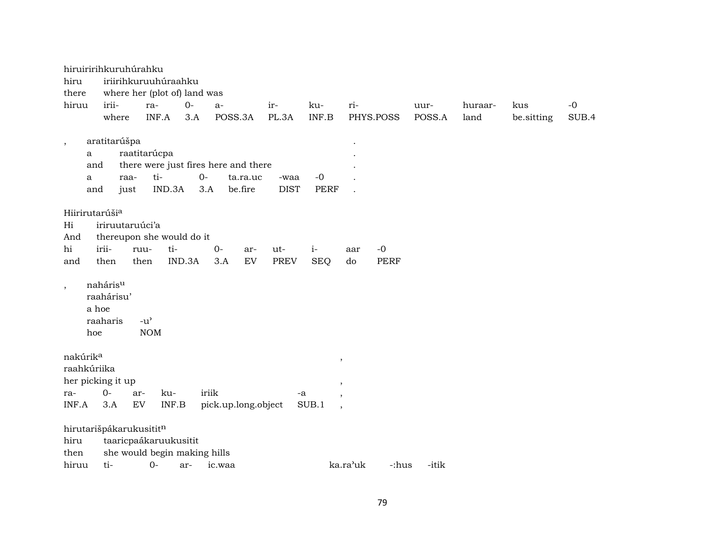| hiruiririhkuruhúrahku<br>hiru           |                                             |                                                   | iriirihkuruuhúraahku  |                                      |                     |            |             |             |          |             |        |         |            |       |
|-----------------------------------------|---------------------------------------------|---------------------------------------------------|-----------------------|--------------------------------------|---------------------|------------|-------------|-------------|----------|-------------|--------|---------|------------|-------|
| there                                   |                                             |                                                   |                       | where her (plot of) land was         |                     |            |             |             |          |             |        |         |            |       |
| hiruu                                   | irii-                                       | ra-                                               |                       | $O -$                                | $a-$                |            | ir-         | ku-         | ri-      |             | uur-   | huraar- | kus        | $-0$  |
|                                         | where                                       |                                                   | INF.A                 | 3.A                                  | POSS.3A             |            | PL.3A       | INF.B       |          | PHYS.POSS   | POSS.A | land    | be.sitting | SUB.4 |
|                                         |                                             |                                                   |                       |                                      |                     |            |             |             |          |             |        |         |            |       |
| $\,$                                    | aratitarúšpa                                |                                                   |                       |                                      |                     |            |             |             |          |             |        |         |            |       |
| a                                       |                                             | raatitarúcpa                                      |                       |                                      |                     |            |             |             |          |             |        |         |            |       |
| and                                     |                                             |                                                   |                       | there were just fires here and there |                     |            |             |             |          |             |        |         |            |       |
| a                                       |                                             | raa-                                              | ti-                   | $0-$                                 |                     | ta.ra.uc   | -waa        | $-0$        |          |             |        |         |            |       |
| and                                     |                                             | just                                              | IND.3A                | 3.A                                  |                     | be.fire    | <b>DIST</b> | <b>PERF</b> |          |             |        |         |            |       |
|                                         |                                             |                                                   |                       |                                      |                     |            |             |             |          |             |        |         |            |       |
| Hiirirutarúši <sup>a</sup>              |                                             |                                                   |                       |                                      |                     |            |             |             |          |             |        |         |            |       |
| Hi                                      | iriruutaruúci'a                             |                                                   |                       |                                      |                     |            |             |             |          |             |        |         |            |       |
| And                                     | thereupon she would do it                   |                                                   |                       |                                      |                     |            |             |             |          |             |        |         |            |       |
| hi                                      | irii-                                       | ruu-                                              | ti-                   |                                      | $0-$                | ar-        | ut-         | $i-$        | aar      | $-0$        |        |         |            |       |
| and                                     | then                                        | then                                              |                       | IND.3A                               | 3.A                 | ${\rm EV}$ | <b>PREV</b> | <b>SEQ</b>  | do       | <b>PERF</b> |        |         |            |       |
| $\,$<br>hoe                             | nahárisu<br>raahárisu'<br>a hoe<br>raaharis | $-u$ <sup><math>\prime</math></sup><br><b>NOM</b> |                       |                                      |                     |            |             |             |          |             |        |         |            |       |
| nakúrik <sup>a</sup>                    |                                             |                                                   |                       |                                      |                     |            |             |             | $\, ,$   |             |        |         |            |       |
| raahkúriika                             |                                             |                                                   |                       |                                      |                     |            |             |             |          |             |        |         |            |       |
| her picking it up                       |                                             |                                                   |                       |                                      |                     |            |             |             | ,        |             |        |         |            |       |
| ra-                                     | $O -$                                       | ar-                                               | ku-                   |                                      | iriik               |            |             | -a          | $\cdot$  |             |        |         |            |       |
| INF.A                                   | 3.A                                         | EV                                                | INF.B                 |                                      | pick.up.long.object |            |             | SUB.1       |          |             |        |         |            |       |
| hirutarišpákarukusititn<br>hiru<br>then |                                             |                                                   | taaricpaákaruukusitit | she would begin making hills         |                     |            |             |             |          |             |        |         |            |       |
| hiruu                                   | ti-                                         | $O -$                                             |                       | ar-                                  | ic.waa              |            |             |             | ka.ra'uk | -:hus       | -itik  |         |            |       |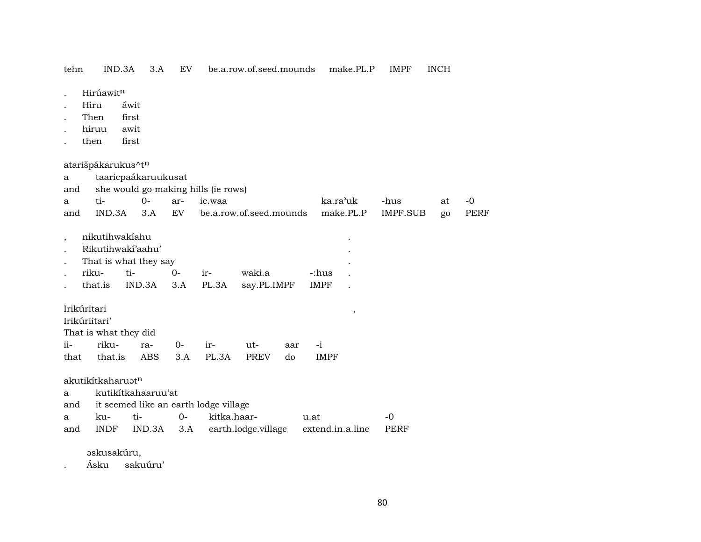tehn IND.3A 3.A EV be.a.row.of.seed.mounds make.PL.P IMPF INCH

- . Hirúawit<sup>n</sup>
- . Hiru áwit
- . Then first
- . hiruu awit
- . then first

atarišpákarukus^t<sup>n</sup>

| a             |                               | taaricpaákaruukusat   |       |                                       |                         |     |                       |           |             |    |             |
|---------------|-------------------------------|-----------------------|-------|---------------------------------------|-------------------------|-----|-----------------------|-----------|-------------|----|-------------|
| and           |                               |                       |       | she would go making hills (ie rows)   |                         |     |                       |           |             |    |             |
| a             | ti-                           | $O-$                  | ar-   | ic.waa                                |                         |     | ka.ra <sup>'</sup> uk |           | -hus        | at | $-0$        |
| and           | IND.3A                        | 3.A                   | EV    |                                       | be.a.row.of.seed.mounds |     |                       | make.PL.P | IMPF.SUB    | go | <b>PERF</b> |
|               |                               |                       |       |                                       |                         |     |                       |           |             |    |             |
|               | nikutihwakiahu                |                       |       |                                       |                         |     |                       |           |             |    |             |
|               | Rikutihwakí'aahu'             |                       |       |                                       |                         |     |                       |           |             |    |             |
|               |                               | That is what they say |       |                                       |                         |     |                       |           |             |    |             |
|               | riku-                         | ti-                   | $O -$ | ir-                                   | waki.a                  |     | -:hus                 |           |             |    |             |
|               | that.is                       | IND.3A                | 3.A   | PL.3A                                 | say.PL.IMPF             |     | <b>IMPF</b>           |           |             |    |             |
|               |                               |                       |       |                                       |                         |     |                       |           |             |    |             |
| Irikúritari   |                               |                       |       |                                       |                         |     |                       | $\cdot$   |             |    |             |
| Irikúriitari' |                               |                       |       |                                       |                         |     |                       |           |             |    |             |
|               | That is what they did         |                       |       |                                       |                         |     |                       |           |             |    |             |
| $ii-$         | riku-                         | ra-                   | $O -$ | ir-                                   | ut-                     | aar | $-i$                  |           |             |    |             |
| that          | that.is                       | ABS                   | 3.A   | PL.3A                                 | <b>PREV</b>             | do  | <b>IMPF</b>           |           |             |    |             |
|               |                               |                       |       |                                       |                         |     |                       |           |             |    |             |
|               | akutikítkaharuət <sup>n</sup> |                       |       |                                       |                         |     |                       |           |             |    |             |
| a             |                               | kutikítkahaaruu'at    |       |                                       |                         |     |                       |           |             |    |             |
| and           |                               |                       |       | it seemed like an earth lodge village |                         |     |                       |           |             |    |             |
| a             | ku-                           | ti-                   | $0-$  | kitka.haar-                           |                         |     | u.at                  |           | -0          |    |             |
| and           | <b>INDF</b>                   | IND.3A                | 3.A   |                                       | earth.lodge.village     |     | extend.in.a.line      |           | <b>PERF</b> |    |             |
|               |                               |                       |       |                                       |                         |     |                       |           |             |    |             |

əskusakúru,

. Ásku sakuúru'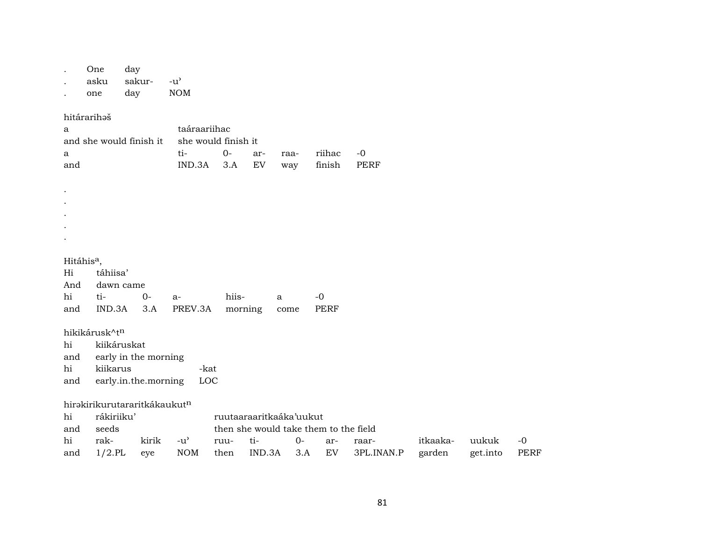| $\bullet$<br>$\ddot{\phantom{a}}$                           | One<br>asku<br>one                       | day<br>sakur-<br>day                         | $-u^{\prime}$<br><b>NOM</b>                          |              |               |                                        |                                                    |                     |                    |                   |              |
|-------------------------------------------------------------|------------------------------------------|----------------------------------------------|------------------------------------------------------|--------------|---------------|----------------------------------------|----------------------------------------------------|---------------------|--------------------|-------------------|--------------|
| a<br>a<br>and                                               | hitárarihaš                              | and she would finish it                      | taáraariihac<br>she would finish it<br>ti-<br>IND.3A | $0-$<br>3.A  | ar-<br>EV     | raa-<br>way                            | riihac<br>finish                                   | $-0$<br><b>PERF</b> |                    |                   |              |
| $\cdot$<br>$\bullet$<br>$\bullet$<br>$\bullet$<br>$\bullet$ |                                          |                                              |                                                      |              |               |                                        |                                                    |                     |                    |                   |              |
| Hitáhis <sup>a</sup> ,<br>Hi<br>And<br>hi<br>and            | táhiisa'<br>dawn came<br>ti-<br>IND.3A   | $0-$<br>3.A                                  | a-<br>PREV.3A                                        | hiis-        | morning       | $\mathbf{a}$<br>come                   | $-0$<br><b>PERF</b>                                |                     |                    |                   |              |
| hi<br>and<br>hi<br>and                                      | hikikárusk^tn<br>kiikáruskat<br>kiikarus | early in the morning<br>early.in.the.morning | -kat<br>LOC                                          |              |               |                                        |                                                    |                     |                    |                   |              |
| hi<br>and<br>hi<br>and                                      | rákiriiku'<br>seeds<br>rak-<br>$1/2$ .PL | hirakirikurutararitkákaukutn<br>kirik<br>eye | $-u^{\prime}$<br><b>NOM</b>                          | ruu-<br>then | ti-<br>IND.3A | ruutaaraaritkaáka'uukut<br>$0-$<br>3.A | then she would take them to the field<br>ar-<br>EV | raar-<br>3PL.INAN.P | itkaaka-<br>garden | uukuk<br>get.into | $-0$<br>PERF |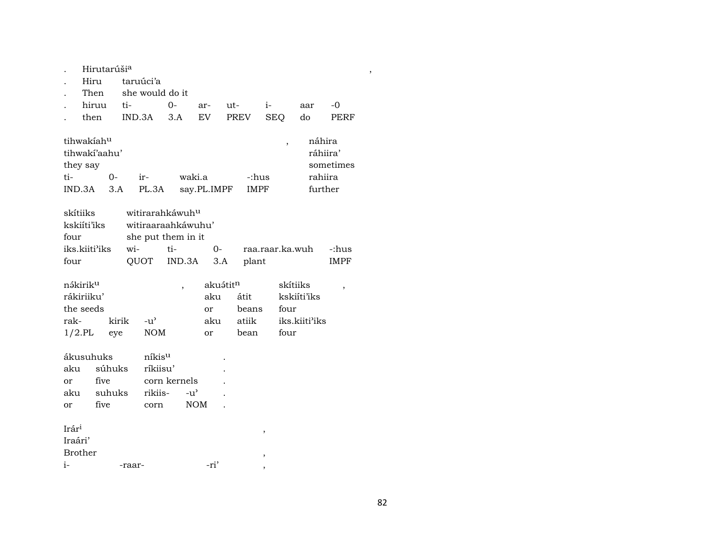$H$ irutarúši<sup>a</sup>, и народно последни последни последни последни последни последни последни последни последни последни п

- . Hiru taruúci'a
- . Then she would do it

| $h$ iruu ti- |                                     | $\Omega$ | $\arctan 11$ | $1 -$ | aar |  |
|--------------|-------------------------------------|----------|--------------|-------|-----|--|
|              | then IND.3A 3.A EV PREV SEO do PERF |          |              |       |     |  |

| tihwakíah <sup>u</sup> |     |       |             |             | náhira    |
|------------------------|-----|-------|-------------|-------------|-----------|
| tihwakí'aahu'          |     |       |             |             | ráhiira'  |
| they say               |     |       |             |             | sometimes |
| ti-                    | ∩–  | ir-   | waki.a      | -:hus       | rahiira   |
| IND.3A                 | 3.A | PL.3A | say.PL.IMPF | <b>IMPF</b> | further   |

| skítiiks                   |        | witirarahkáwuh <sup>u</sup> |      |                 |             |
|----------------------------|--------|-----------------------------|------|-----------------|-------------|
| kskiíti'iks                |        | witiraaraahkáwuhu'          |      |                 |             |
| four                       |        | she put them in it          |      |                 |             |
| iks.kiiti <sup>3</sup> iks | $w$ i- | ti-                         | $O-$ | raa.raar.ka.wuh | -:hus       |
| four                       |        | QUOT IND.3A 3.A             |      | plant           | <b>IMPF</b> |

| nákirik <sup>u</sup> |       |         | akuə́tit <sup>n</sup> |       | skítiiks                   |  |
|----------------------|-------|---------|-----------------------|-------|----------------------------|--|
| rákiriiku'           |       |         | aku                   | átit  | kskiíti'iks                |  |
| the seeds            |       |         | or                    | beans | four                       |  |
| rak-                 | kirik | $-11^2$ | aku                   | atiik | iks.kiiti <sup>3</sup> iks |  |
| $1/2$ .PL eye        |       | NOM     | or                    | bean  | four                       |  |

| ákusuhuks |        | níkis <sup>u</sup> |                    | ٠                        |
|-----------|--------|--------------------|--------------------|--------------------------|
| aku       | súhuks | ríkjisu'           |                    | ٠                        |
| or        | five   | corn kernels       |                    | $\ddot{\phantom{0}}$     |
| aku       | suhuks | rikiis-            | $-11$ <sup>2</sup> | $\overline{\phantom{a}}$ |
| or        | five   | corn               | <b>NOM</b>         |                          |
|           |        |                    |                    |                          |

| Irár <sup>i</sup> |        |      |  |
|-------------------|--------|------|--|
| Iraári'           |        |      |  |
| Brother           |        |      |  |
| $\mathbf{i}$      | -raar- | -ri' |  |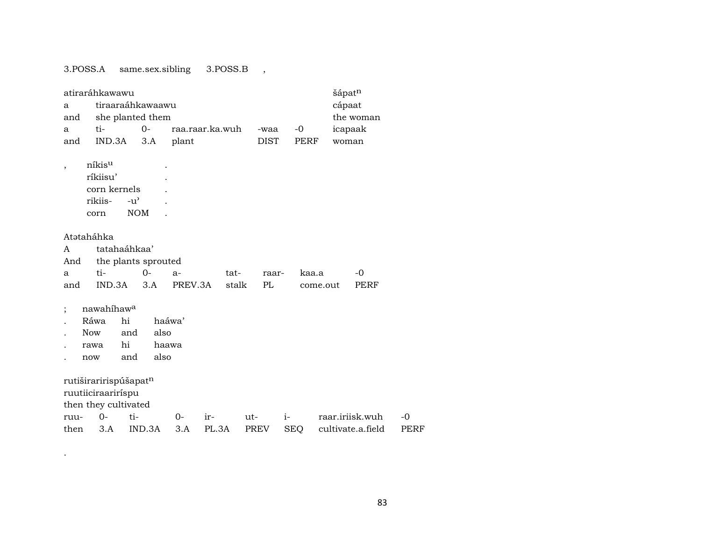3.POSS.A same.sex.sibling 3.POSS.B ,

.

|                          | atiraráhkawawu        |               |                     |         |                 |       |             |            |          | šápat <sup>n</sup> |                   |      |
|--------------------------|-----------------------|---------------|---------------------|---------|-----------------|-------|-------------|------------|----------|--------------------|-------------------|------|
| a                        |                       |               | tiraaraáhkawaawu    |         |                 |       |             |            |          | cápaat             |                   |      |
| and                      |                       |               | she planted them    |         |                 |       |             |            |          |                    | the woman         |      |
| a                        | ti-                   |               | $0-$                |         | raa.raar.ka.wuh |       | -waa        | $-0$       |          | icapaak            |                   |      |
| and                      | IND.3A                |               | 3.A                 | plant   |                 |       | <b>DIST</b> |            | PERF     | woman              |                   |      |
| $\overline{\phantom{a}}$ | níkis <sup>u</sup>    |               |                     |         |                 |       |             |            |          |                    |                   |      |
|                          | ríkiisu'              |               |                     |         |                 |       |             |            |          |                    |                   |      |
|                          | corn kernels          |               |                     |         |                 |       |             |            |          |                    |                   |      |
|                          | rikiis-               | $-u^{\prime}$ |                     |         |                 |       |             |            |          |                    |                   |      |
|                          | corn                  | <b>NOM</b>    |                     |         |                 |       |             |            |          |                    |                   |      |
|                          |                       |               |                     |         |                 |       |             |            |          |                    |                   |      |
|                          | Atətaháhka            |               |                     |         |                 |       |             |            |          |                    |                   |      |
| A                        |                       | tatahaáhkaa'  |                     |         |                 |       |             |            |          |                    |                   |      |
| And                      |                       |               | the plants sprouted |         |                 |       |             |            |          |                    |                   |      |
| a                        | ti-                   |               | $0-$                | $a-$    |                 | tat-  | raar-       |            | kaa.a    |                    | $-0$              |      |
| and                      |                       | IND.3A        | 3.A                 | PREV.3A |                 | stalk | PL          |            | come.out |                    | PERF              |      |
| $\vdots$                 | nawahihawa            |               |                     |         |                 |       |             |            |          |                    |                   |      |
|                          | Ráwa                  | hi            |                     | haáwa'  |                 |       |             |            |          |                    |                   |      |
|                          | <b>Now</b>            | and           | also                |         |                 |       |             |            |          |                    |                   |      |
|                          | rawa                  | hi            | haawa               |         |                 |       |             |            |          |                    |                   |      |
|                          | now                   | and           | also                |         |                 |       |             |            |          |                    |                   |      |
|                          |                       |               |                     |         |                 |       |             |            |          |                    |                   |      |
|                          | rutiširaririspúšapatn |               |                     |         |                 |       |             |            |          |                    |                   |      |
|                          | ruutiiciraariríspu    |               |                     |         |                 |       |             |            |          |                    |                   |      |
|                          | then they cultivated  |               |                     |         |                 |       |             |            |          |                    |                   |      |
| ruu-                     | $0-$                  | ti-           |                     | 0-      | ir-             |       | ut-         | $i-$       |          |                    | raar.iriisk.wuh   | $-0$ |
| then                     | 3.A                   |               | IND.3A              | 3.A     | PL.3A           |       | <b>PREV</b> | <b>SEQ</b> |          |                    | cultivate.a.field | PERF |

83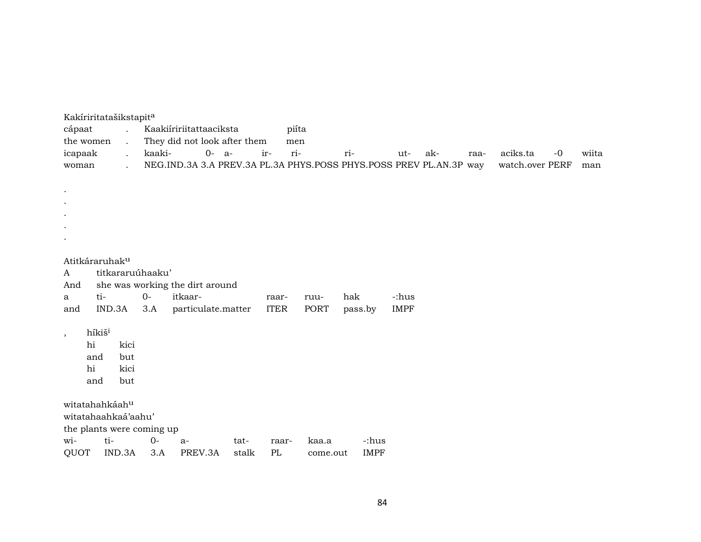| Kakíriritatašikstapita<br>cápaat<br>the women<br>icapaak<br>woman | $\mathcal{L}^{\mathcal{L}}$<br>$\ddot{\phantom{0}}$<br>$\ddot{\phantom{a}}$<br>$\ddot{\phantom{a}}$ | kaaki- | Kaakiiririitattaaciksta<br>They did not look after them<br>0- a-<br>NEG.IND.3A 3.A PREV.3A PL.3A PHYS.POSS PHYS.POSS PREV PL.AN.3P way |      | piíta<br>men<br>ri-<br>ir- |       | ri-     | ut-         | ak- | raa- | aciks.ta<br>watch.over PERF | $-0$ | wiita<br>man |
|-------------------------------------------------------------------|-----------------------------------------------------------------------------------------------------|--------|----------------------------------------------------------------------------------------------------------------------------------------|------|----------------------------|-------|---------|-------------|-----|------|-----------------------------|------|--------------|
|                                                                   |                                                                                                     |        |                                                                                                                                        |      |                            |       |         |             |     |      |                             |      |              |
| $\bullet$                                                         |                                                                                                     |        |                                                                                                                                        |      |                            |       |         |             |     |      |                             |      |              |
|                                                                   |                                                                                                     |        |                                                                                                                                        |      |                            |       |         |             |     |      |                             |      |              |
|                                                                   |                                                                                                     |        |                                                                                                                                        |      |                            |       |         |             |     |      |                             |      |              |
|                                                                   |                                                                                                     |        |                                                                                                                                        |      |                            |       |         |             |     |      |                             |      |              |
| Atitkáraruhak <sup>u</sup><br>A                                   | titkararuúhaaku'                                                                                    |        |                                                                                                                                        |      |                            |       |         |             |     |      |                             |      |              |
| And                                                               |                                                                                                     |        | she was working the dirt around                                                                                                        |      |                            |       |         |             |     |      |                             |      |              |
| a                                                                 | ti-                                                                                                 | $0-$   | itkaar-                                                                                                                                |      | raar-                      | ruu-  | hak     | -:hus       |     |      |                             |      |              |
| and                                                               | IND.3A                                                                                              | 3.A    | particulate.matter                                                                                                                     |      | <b>ITER</b>                | PORT  | pass.by | <b>IMPF</b> |     |      |                             |      |              |
| $, \,$                                                            | híkiš <sup>i</sup>                                                                                  |        |                                                                                                                                        |      |                            |       |         |             |     |      |                             |      |              |
| hi<br>and                                                         | kici<br>but                                                                                         |        |                                                                                                                                        |      |                            |       |         |             |     |      |                             |      |              |
| hi                                                                | kici                                                                                                |        |                                                                                                                                        |      |                            |       |         |             |     |      |                             |      |              |
| and                                                               | but                                                                                                 |        |                                                                                                                                        |      |                            |       |         |             |     |      |                             |      |              |
| witatahahkáahu                                                    |                                                                                                     |        |                                                                                                                                        |      |                            |       |         |             |     |      |                             |      |              |
| witatahaahkaá'aahu'                                               |                                                                                                     |        |                                                                                                                                        |      |                            |       |         |             |     |      |                             |      |              |
| the plants were coming up                                         |                                                                                                     |        |                                                                                                                                        |      |                            |       |         |             |     |      |                             |      |              |
| wi-                                                               | ti-                                                                                                 | $0-$   | $a-$                                                                                                                                   | tat- | raar-                      | kaa.a | -:hus   |             |     |      |                             |      |              |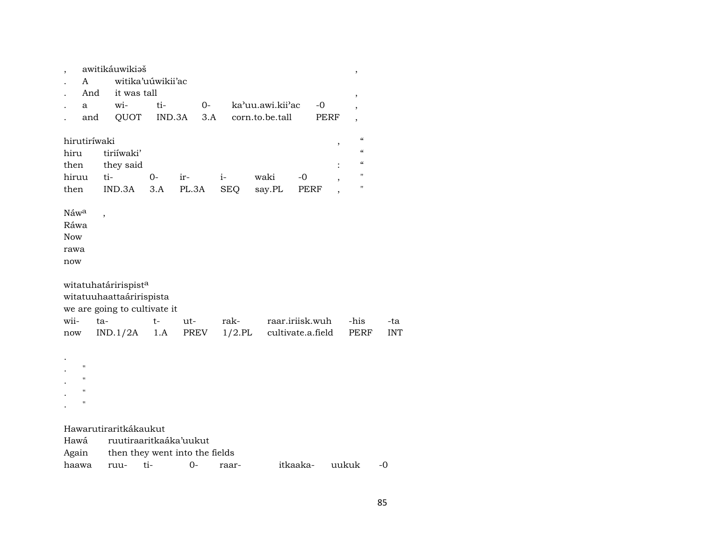| ,                |              | awitikáuwikiaš                   |                   |                                |            |                   |      | ,                        |            |
|------------------|--------------|----------------------------------|-------------------|--------------------------------|------------|-------------------|------|--------------------------|------------|
|                  | A            |                                  | witika'uúwikii'ac |                                |            |                   |      |                          |            |
|                  | And          | it was tall                      |                   |                                |            |                   |      | ,                        |            |
|                  | a            | wi-                              | ti-               | $O-$                           |            | ka'uu.awi.kii'ac  | $-0$ |                          |            |
|                  | and          | QUOT                             | IND.3A            | 3.A                            |            | corn.to.be.tall   | PERF | ,                        |            |
|                  |              |                                  |                   |                                |            |                   |      | $\mathcal{C}$            |            |
|                  | hirutiríwaki |                                  |                   |                                |            |                   | ,    | $\epsilon$               |            |
| hiru             |              | tiriíwaki'                       |                   |                                |            |                   |      |                          |            |
| then             |              | they said                        |                   |                                |            |                   |      | $\pmb{\zeta}\pmb{\zeta}$ |            |
| hiruu            |              | ti-                              | $O -$             | ir-                            | $i-$       | waki<br>$-0$      |      | н                        |            |
| then             |              | IND.3A                           | 3.A               | PL.3A                          | <b>SEQ</b> | say.PL            | PERF | 11                       |            |
| Náw <sup>a</sup> |              |                                  |                   |                                |            |                   |      |                          |            |
| Ráwa             |              | $\overline{\phantom{a}}$         |                   |                                |            |                   |      |                          |            |
| <b>Now</b>       |              |                                  |                   |                                |            |                   |      |                          |            |
| rawa             |              |                                  |                   |                                |            |                   |      |                          |            |
|                  |              |                                  |                   |                                |            |                   |      |                          |            |
| now              |              |                                  |                   |                                |            |                   |      |                          |            |
|                  |              | witatuhatáririspist <sup>a</sup> |                   |                                |            |                   |      |                          |            |
|                  |              | witatuuhaattaáririspista         |                   |                                |            |                   |      |                          |            |
|                  |              | we are going to cultivate it     |                   |                                |            |                   |      |                          |            |
| wii-             |              | ta-                              | t-                | ut-                            | rak-       | raar.iriisk.wuh   |      | -his                     | -ta        |
| now              |              | IND.1/2A                         | 1.A               | PREV                           | $1/2$ .PL  | cultivate.a.field |      | PERF                     | <b>INT</b> |
|                  |              |                                  |                   |                                |            |                   |      |                          |            |
|                  |              |                                  |                   |                                |            |                   |      |                          |            |
|                  | П            |                                  |                   |                                |            |                   |      |                          |            |
|                  | П            |                                  |                   |                                |            |                   |      |                          |            |
|                  | П            |                                  |                   |                                |            |                   |      |                          |            |
|                  | $\mathbf{H}$ |                                  |                   |                                |            |                   |      |                          |            |
|                  |              |                                  |                   |                                |            |                   |      |                          |            |
|                  |              | Hawarutiraritkákaukut            |                   |                                |            |                   |      |                          |            |
| Hawá             |              | ruutiraaritkaáka'uukut           |                   |                                |            |                   |      |                          |            |
| Again            |              |                                  |                   | then they went into the fields |            |                   |      |                          |            |
| haawa            |              | ruu-                             | ti-               | $0-$                           | raar-      | itkaaka-          |      | uukuk                    | -0         |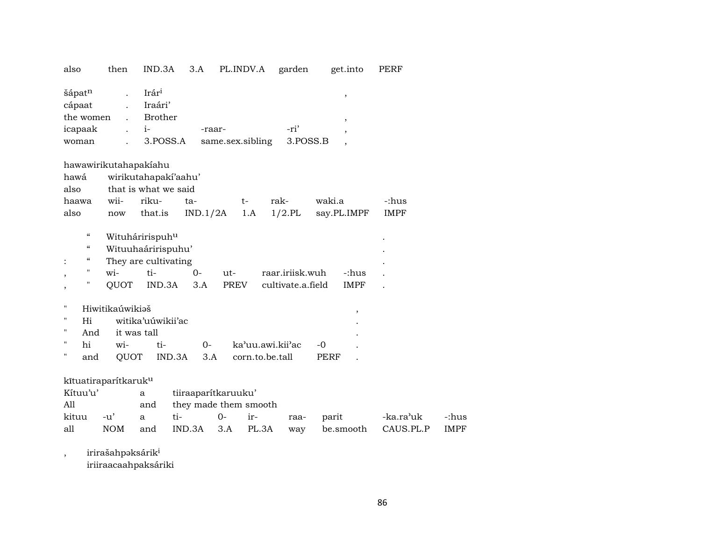| also                                                                        | then                           | IND.3A                                                                         | 3.A                                          | PL.INDV.A                  |                  | garden                               | get.into             | PERF                   |             |
|-----------------------------------------------------------------------------|--------------------------------|--------------------------------------------------------------------------------|----------------------------------------------|----------------------------|------------------|--------------------------------------|----------------------|------------------------|-------------|
| šápatn<br>cápaat<br>the women<br>icapaak<br>woman                           |                                | Irár <sup>i</sup><br>Iraári'<br>Brother<br>$i-$<br>3.POSS.A                    |                                              | -raar-<br>same.sex.sibling |                  | -ri'<br>3.POSS.B                     | ,<br>,               |                        |             |
| hawawirikutahapakiahu                                                       |                                |                                                                                |                                              |                            |                  |                                      |                      |                        |             |
| hawá                                                                        |                                | wirikutahapaki'aahu'                                                           |                                              |                            |                  |                                      |                      |                        |             |
| also                                                                        |                                | that is what we said                                                           |                                              |                            |                  |                                      |                      |                        |             |
| haawa                                                                       | wii-                           | riku-                                                                          | ta-                                          |                            | $t-$             | rak-                                 | waki.a               | -:hus                  |             |
| also                                                                        | now                            | that.is                                                                        | IND.1/2A                                     |                            | 1.A              | $1/2$ .PL                            | say.PL.IMPF          | <b>IMPF</b>            |             |
| $\boldsymbol{\mathcal{C}}$<br>$\epsilon$<br>$\epsilon$<br>11<br>,<br>н<br>, | $\overline{\text{wi}}$<br>QUOT | Wituháririspuhu<br>Wituuhaáririspuhu'<br>They are cultivating<br>ti-<br>IND.3A | $0-$<br>3.A                                  | $ut-$<br>PREV              |                  | raar.iriisk.wuh<br>cultivate.a.field | -:hus<br><b>IMPF</b> |                        |             |
| П                                                                           | Hiwitikaúwikiaš                |                                                                                |                                              |                            |                  |                                      | $\pmb{\mathcal{I}}$  |                        |             |
| $\pmb{\mathsf{H}}$<br>Hi                                                    |                                | witika'uúwikii'ac                                                              |                                              |                            |                  |                                      |                      |                        |             |
| 11<br>And<br>$\pmb{\mathsf{H}}$                                             |                                | it was tall                                                                    |                                              |                            |                  |                                      |                      |                        |             |
| hi<br>н                                                                     | wi-                            | ti-                                                                            | $0-$                                         |                            | ka'uu.awi.kii'ac |                                      | $-0$                 |                        |             |
| and                                                                         | QUOT                           |                                                                                | IND.3A<br>3.A                                |                            | corn.to.be.tall  |                                      | PERF                 |                        |             |
| kītuatiraparítkaruk <sup>u</sup><br>Kítuu'u'<br>All                         |                                | a<br>and                                                                       | tiiraaparítkaruuku'<br>they made them smooth |                            |                  |                                      |                      |                        |             |
| kituu                                                                       | $-u'$                          | a                                                                              | ti-                                          | $0-$                       | ir-              | raa-                                 | parit                | -ka.ra <sup>,</sup> uk | -:hus       |
| all                                                                         | <b>NOM</b>                     | and                                                                            | IND.3A                                       | 3.A                        | PL.3A            | way                                  | be.smooth            | CAUS.PL.P              | <b>IMPF</b> |
|                                                                             |                                |                                                                                |                                              |                            |                  |                                      |                      |                        |             |

, irirašahpə $k$ sári $k^i$ 

iriiraacaahpaksáriki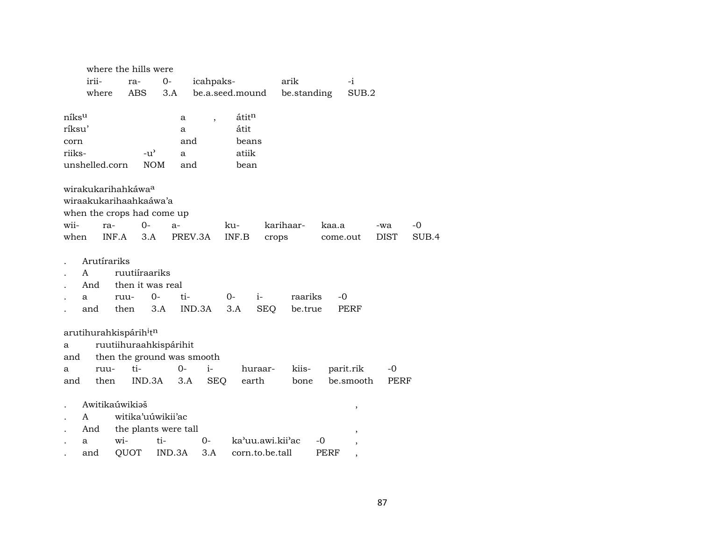|        |                                                                                        |              | where the hills were                             |                            |            |                 |                    |                    |          |                |             |       |
|--------|----------------------------------------------------------------------------------------|--------------|--------------------------------------------------|----------------------------|------------|-----------------|--------------------|--------------------|----------|----------------|-------------|-------|
|        | irii-                                                                                  | ra-          |                                                  | 0-                         | icahpaks-  |                 |                    | arik               |          | -i             |             |       |
|        | where                                                                                  | ABS          |                                                  | 3.A                        |            | be.a.seed.mound |                    | be.standing        |          | SUB.2          |             |       |
|        |                                                                                        |              |                                                  |                            |            |                 |                    |                    |          |                |             |       |
| níksu  |                                                                                        |              |                                                  | а                          | ,          | átitn           |                    |                    |          |                |             |       |
| ríksu' |                                                                                        |              |                                                  | a                          |            | átit            |                    |                    |          |                |             |       |
| corn   |                                                                                        |              |                                                  | and                        |            | beans           |                    |                    |          |                |             |       |
| riiks- |                                                                                        |              | $-u^{\prime}$                                    | a                          |            | atiik           |                    |                    |          |                |             |       |
|        | unshelled.corn                                                                         |              | <b>NOM</b>                                       | and                        |            | bean            |                    |                    |          |                |             |       |
|        | wirakukarihahkáwa <sup>a</sup><br>wiraakukarihaahkaáwa'a<br>when the crops had come up |              |                                                  |                            |            |                 |                    |                    |          |                |             |       |
| wii-   | ra-                                                                                    |              | $0-$                                             | $a-$                       |            | ku-             |                    | karihaar-          | kaa.a    |                | -wa         | $-0$  |
| when   |                                                                                        | INF.A        | 3.A                                              | PREV.3A                    |            | INF.B           | crops              |                    | come.out |                | <b>DIST</b> | SUB.4 |
|        | Arutírariks<br>$\mathsf{A}$<br>And<br>a<br>and                                         | ruu-<br>then | ruutiíraariks<br>then it was real<br>$0-$<br>3.A | ti-                        | IND.3A     | 0-<br>3.A       | $i-$<br><b>SEQ</b> | raariks<br>be.true | -0       | PERF           |             |       |
|        | arutihurahkispárih <sup>i</sup> t <sup>n</sup>                                         |              |                                                  |                            |            |                 |                    |                    |          |                |             |       |
| a      |                                                                                        |              |                                                  | ruutiihuraahkispárihit     |            |                 |                    |                    |          |                |             |       |
| and    |                                                                                        |              |                                                  | then the ground was smooth |            |                 |                    |                    |          |                |             |       |
| a      | ruu-                                                                                   | ti-          |                                                  | $0-$                       | $i-$       |                 | huraar-            | kiis-              |          | parit.rik      | -0          |       |
| and    | then                                                                                   |              | IND.3A                                           | 3.A                        | <b>SEQ</b> |                 | earth              | bone               |          | be.smooth      | PERF        |       |
|        |                                                                                        |              |                                                  |                            |            |                 |                    |                    |          |                |             |       |
|        | Awitikaúwikiaš                                                                         |              |                                                  |                            |            |                 |                    |                    |          | ,              |             |       |
|        | A                                                                                      |              | witika'uúwikii'ac                                |                            |            |                 |                    |                    |          |                |             |       |
|        | And                                                                                    |              |                                                  | the plants were tall       |            |                 |                    |                    |          | $\overline{ }$ |             |       |
|        | a                                                                                      | wi-          | ti-                                              |                            | 0-         |                 | ka'uu.awi.kii'ac   |                    | -0       |                |             |       |
|        | and                                                                                    | QUOT         |                                                  | IND.3A                     | 3.A        |                 | corn.to.be.tall    |                    | PERF     |                |             |       |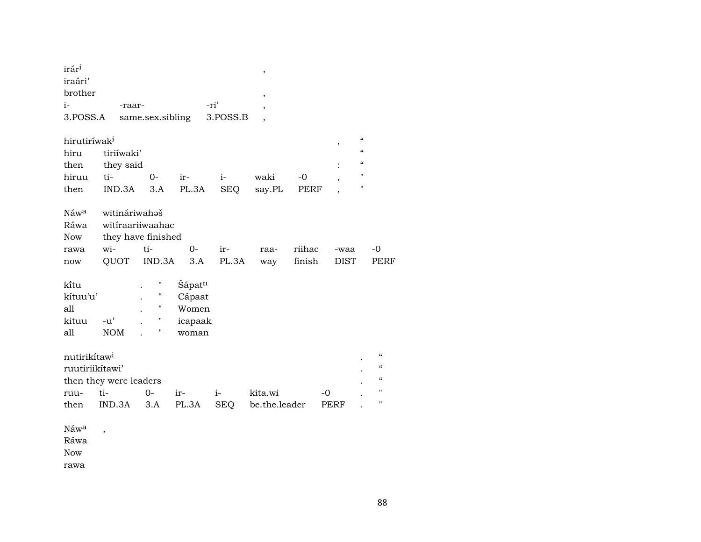| irár <sup>i</sup><br>iraári'<br>brother     |                                                  |                                        |                                               |              | ,<br>$\,$                |                  |                     |                            |                                                                            |
|---------------------------------------------|--------------------------------------------------|----------------------------------------|-----------------------------------------------|--------------|--------------------------|------------------|---------------------|----------------------------|----------------------------------------------------------------------------|
| $i-$                                        | -raar-                                           |                                        |                                               | -ri'         | $\overline{\phantom{a}}$ |                  |                     |                            |                                                                            |
| 3.POSS.A                                    |                                                  | same.sex.sibling                       |                                               | 3.POSS.B     | $\overline{\phantom{a}}$ |                  |                     |                            |                                                                            |
| hirutiríwak <sup>i</sup>                    |                                                  |                                        |                                               |              |                          |                  | $\,$                | $\pmb{\zeta}\pmb{\zeta}$   |                                                                            |
| hiru                                        | tiriíwaki'                                       |                                        |                                               |              |                          |                  |                     | $\boldsymbol{\mathcal{C}}$ |                                                                            |
| then                                        | they said                                        |                                        |                                               |              |                          |                  |                     | $\boldsymbol{\mathcal{C}}$ |                                                                            |
| hiruu                                       | ti-                                              | $O -$                                  | ir-                                           | $i-$         | waki                     | $-0$             |                     | $\pmb{\mathsf{H}}$         |                                                                            |
| then                                        | IND.3A                                           | 3.A                                    | PL.3A                                         | <b>SEQ</b>   | say.PL                   | <b>PERF</b>      |                     | $\pmb{\mathsf{H}}$         |                                                                            |
| Náwa<br>Ráwa<br>Now<br>rawa<br>now          | witináriwahaš<br>witiraariiwaahac<br>wi-<br>QUOT | they have finished<br>ti-<br>IND.3A    | $0-$<br>3.A                                   | ir-<br>PL.3A | raa-<br>way              | riihac<br>finish | -waa<br><b>DIST</b> |                            | $-0$<br>PERF                                                               |
| ki̇̃tu<br>kítuu'u'<br>all<br>kituu<br>all   | $-u'$<br><b>NOM</b>                              | Ħ<br>П<br>П<br>$\pmb{\mathsf{H}}$<br>Η | Šápatn<br>Cápaat<br>Women<br>icapaak<br>woman |              |                          |                  |                     |                            |                                                                            |
| nutirikítaw <sup>i</sup><br>ruutiriikítawi' | then they were leaders                           |                                        |                                               |              |                          |                  |                     |                            | $\boldsymbol{\zeta}\boldsymbol{\zeta}$<br>$\epsilon\epsilon$<br>$\epsilon$ |
| ruu-                                        | ti-                                              | $0-$                                   | ir-                                           | $i-$         | kita.wi                  |                  | -0                  |                            | $\pmb{\mathsf{H}}$                                                         |
| then                                        | IND.3A                                           | 3.A                                    | PL.3A                                         | SEQ          | be.the.leader            |                  | PERF                |                            | $\pmb{\mathsf{H}}$                                                         |
| Náwa<br>Ráwa<br><b>Now</b>                  | $\overline{\phantom{a}}$                         |                                        |                                               |              |                          |                  |                     |                            |                                                                            |

rawa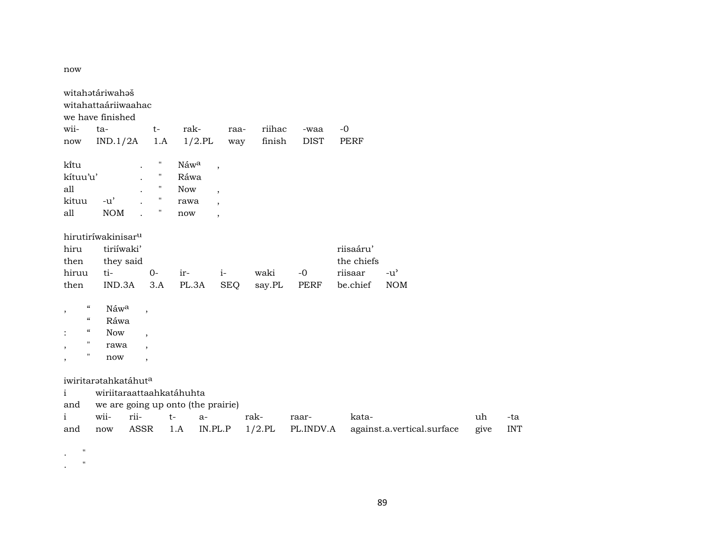now

|                                                         | witahatáriwahaš                    |             |              |           |                          |           |        |             |             |                            |      |     |
|---------------------------------------------------------|------------------------------------|-------------|--------------|-----------|--------------------------|-----------|--------|-------------|-------------|----------------------------|------|-----|
|                                                         | witahattaáriiwaahac                |             |              |           |                          |           |        |             |             |                            |      |     |
|                                                         | we have finished                   |             |              |           |                          |           |        |             |             |                            |      |     |
| wii-                                                    | ta-                                |             | $t-$         | rak-      |                          | raa-      | riihac | -waa        | $-0$        |                            |      |     |
| now                                                     | IND.1/2A                           |             | 1.A          | $1/2$ .PL |                          | way       | finish | <b>DIST</b> | <b>PERF</b> |                            |      |     |
| kitu                                                    |                                    |             | Η            | Náwa      | $\overline{\phantom{a}}$ |           |        |             |             |                            |      |     |
| kítuu'u'                                                |                                    |             | $\mathbf{H}$ | Ráwa      |                          |           |        |             |             |                            |      |     |
| all                                                     |                                    |             | П            | Now       | $\overline{\phantom{a}}$ |           |        |             |             |                            |      |     |
| kituu                                                   | $-u'$                              |             | "            | rawa      | $\overline{\phantom{a}}$ |           |        |             |             |                            |      |     |
| all                                                     | <b>NOM</b>                         |             | П            | now       | $\overline{\phantom{a}}$ |           |        |             |             |                            |      |     |
|                                                         | hirutiríwakinisar <sup>u</sup>     |             |              |           |                          |           |        |             |             |                            |      |     |
| hiru                                                    | tiriíwaki'                         |             |              |           |                          |           |        |             | riisaáru'   |                            |      |     |
| then                                                    | they said                          |             |              |           |                          |           |        |             | the chiefs  |                            |      |     |
| hiruu                                                   | ti-                                |             | $O -$        | ir-       | $i-$                     |           | waki   | $-0$        | riisaar     | $-u^{\prime}$              |      |     |
| then                                                    | IND.3A                             |             | 3.A          | PL.3A     | <b>SEQ</b>               |           | say.PL | PERF        | be.chief    | <b>NOM</b>                 |      |     |
| $\boldsymbol{\zeta}\boldsymbol{\zeta}$<br>$^\mathrm{,}$ | Náwa                               | $\cdot$     |              |           |                          |           |        |             |             |                            |      |     |
| $\epsilon\epsilon$                                      | Ráwa                               |             |              |           |                          |           |        |             |             |                            |      |     |
| $\epsilon\epsilon$<br>$\vdots$                          | <b>Now</b>                         |             |              |           |                          |           |        |             |             |                            |      |     |
| $\pmb{\mathsf{H}}$<br>$\, ,$                            | rawa                               |             |              |           |                          |           |        |             |             |                            |      |     |
| "<br>$^\mathrm{,}$                                      | now                                |             |              |           |                          |           |        |             |             |                            |      |     |
|                                                         | iwiritaratahkatáhut <sup>a</sup>   |             |              |           |                          |           |        |             |             |                            |      |     |
| $\mathbf{i}$                                            | wiriitaraattaahkatáhuhta           |             |              |           |                          |           |        |             |             |                            |      |     |
| and                                                     | we are going up onto (the prairie) |             |              |           |                          |           |        |             |             |                            |      |     |
| i                                                       | wii-                               | rii-        |              | $t-$      | $a-$                     | rak-      |        | raar-       | kata-       |                            | uh   | -ta |
| and                                                     | now                                | <b>ASSR</b> |              | 1.A       | IN.PL.P                  | $1/2$ .PL |        | PL.INDV.A   |             | against.a.vertical.surface | give | IN. |

. "

. "

give INT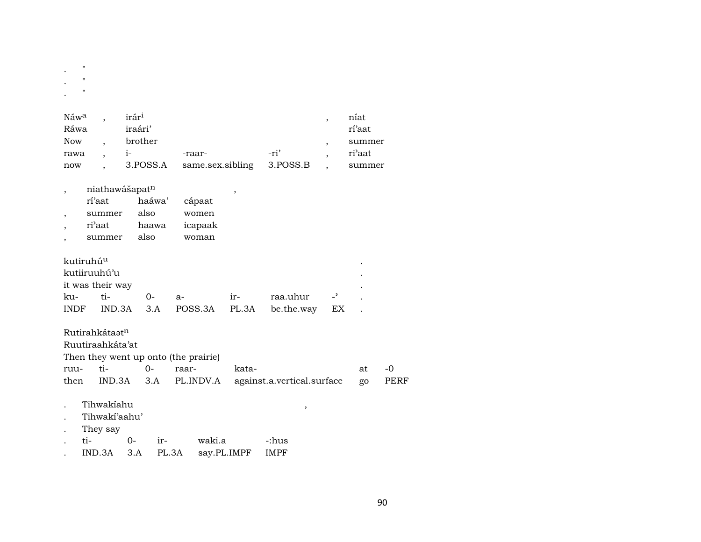| $\blacksquare$<br>$\mathcal{L}^{\text{max}}$ |  |      |
|----------------------------------------------|--|------|
| $\mathbb{R}^{n\times n}$                     |  |      |
| $\sim$ $^{-1}$                               |  |      |
| $N$ áw <sup>a</sup> irár <sup>i</sup>        |  | níat |

| .    |         |                                    |      | ------ |
|------|---------|------------------------------------|------|--------|
| Ráwa | iraári' |                                    |      | rí'aat |
| Now  | brother |                                    |      | summer |
| rawa | $1 -$   | -raar-                             | -ri' | ri'aat |
| now  |         | 3.POSS.A same.sex.sibling 3.POSS.B |      | summer |

 $\overline{\phantom{a}}$ 

|        | niathawášapat <sup>n</sup> |         |  |  |  |  |  |  |  |  |  |
|--------|----------------------------|---------|--|--|--|--|--|--|--|--|--|
| rí'aat | haáwa'                     | cápaat  |  |  |  |  |  |  |  |  |  |
| summer | also                       | women   |  |  |  |  |  |  |  |  |  |
| ri'aat | haawa                      | icapaak |  |  |  |  |  |  |  |  |  |
| summer | also                       | woman   |  |  |  |  |  |  |  |  |  |

| kutiruhú <sup>u</sup> |          |                                          |       |                            |    |           |
|-----------------------|----------|------------------------------------------|-------|----------------------------|----|-----------|
| kutiiruuhú'u          |          |                                          |       |                            |    | $\bullet$ |
| it was their way      |          |                                          |       |                            |    | ٠         |
| ku- ti-               | $\Omega$ | $a -$                                    | $ir-$ | raa.uhur - <sup>&gt;</sup> |    |           |
|                       |          | INDF IND.3A 3.A POSS.3A PL.3A be.the.way |       |                            | EX |           |

|                        | Rutirahkátaat <sup>n</sup> |      |                                      |                            |    |      |  |  |  |  |  |  |
|------------------------|----------------------------|------|--------------------------------------|----------------------------|----|------|--|--|--|--|--|--|
| Ruutiraahkáta'at       |                            |      |                                      |                            |    |      |  |  |  |  |  |  |
|                        |                            |      | Then they went up onto (the prairie) |                            |    |      |  |  |  |  |  |  |
| ruu-                   | ti-                        | $0-$ | raar-                                | kata-                      | at | -0   |  |  |  |  |  |  |
| then<br>$IND.3A$ $3.A$ |                            |      | PL.INDV.A                            | against.a.vertical.surface | go | PERF |  |  |  |  |  |  |
|                        | Tihwakiahu                 |      |                                      |                            |    |      |  |  |  |  |  |  |
|                        | Tihwakí'aahu'              |      |                                      |                            |    |      |  |  |  |  |  |  |

- They say  $\mathcal{L}^{\pm}$
- $ti$   $0$ waki.a ir--:hus  $\ddot{\phantom{a}}$
- IND.3A 3.A PL.3A say.PL.IMPF **IMPF**  $\mathcal{L}^{\pm}$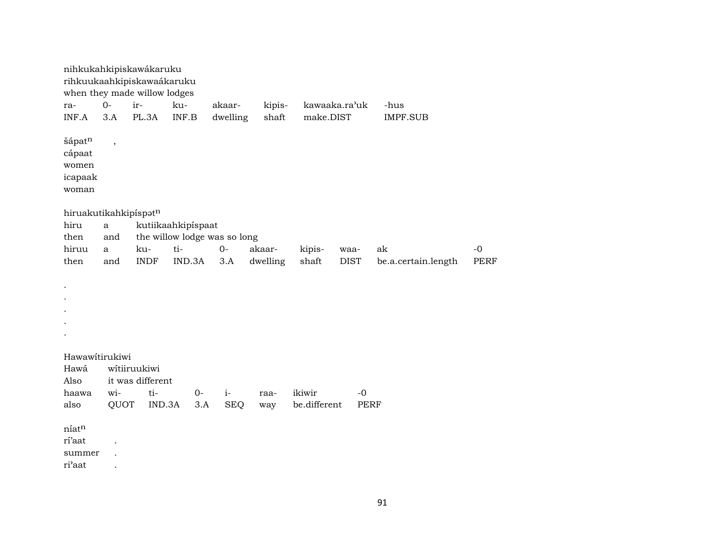| ra-                                                    | $0-$        | nihkukahkipiskawákaruku<br>rihkuukaahkipiskawaákaruku<br>when they made willow lodges<br>ir- | ku-                          | akaar-     | kipis-   |              | kawaaka.ra'uk | -hus                |             |
|--------------------------------------------------------|-------------|----------------------------------------------------------------------------------------------|------------------------------|------------|----------|--------------|---------------|---------------------|-------------|
| INF.A<br>šápatn<br>cápaat<br>women<br>icapaak<br>woman | 3.A<br>$\,$ | PL.3A                                                                                        | INF.B                        | dwelling   | shaft    | make.DIST    |               | <b>IMPF.SUB</b>     |             |
| hiruakutikahkipíspatn                                  |             |                                                                                              |                              |            |          |              |               |                     |             |
| hiru                                                   | a           |                                                                                              | kutiikaahkipispaat           |            |          |              |               |                     |             |
| then                                                   | and         |                                                                                              | the willow lodge was so long |            |          |              |               |                     |             |
| hiruu                                                  | a           | ku-                                                                                          | ti-                          | $O -$      | akaar-   | kipis-       | waa-          | ak                  | $-0$        |
| then                                                   | and         | <b>INDF</b>                                                                                  | IND.3A                       | 3.A        | dwelling | shaft        | <b>DIST</b>   | be.a.certain.length | <b>PERF</b> |
|                                                        |             |                                                                                              |                              |            |          |              |               |                     |             |
| Hawawitirukiwi                                         |             |                                                                                              |                              |            |          |              |               |                     |             |
| Hawá                                                   |             | wítiiruukiwi                                                                                 |                              |            |          |              |               |                     |             |
| Also                                                   |             | it was different                                                                             |                              |            |          |              |               |                     |             |
| haawa                                                  | wi-         | ti-                                                                                          | $0-$                         | $i-$       | raa-     | ikiwir       | $-0$          |                     |             |
| also                                                   | QUOT        | IND.3A                                                                                       | 3.A                          | <b>SEQ</b> | way      | be.different | <b>PERF</b>   |                     |             |
| níatn<br>rí'aat<br>summer<br>ri'aat                    |             |                                                                                              |                              |            |          |              |               |                     |             |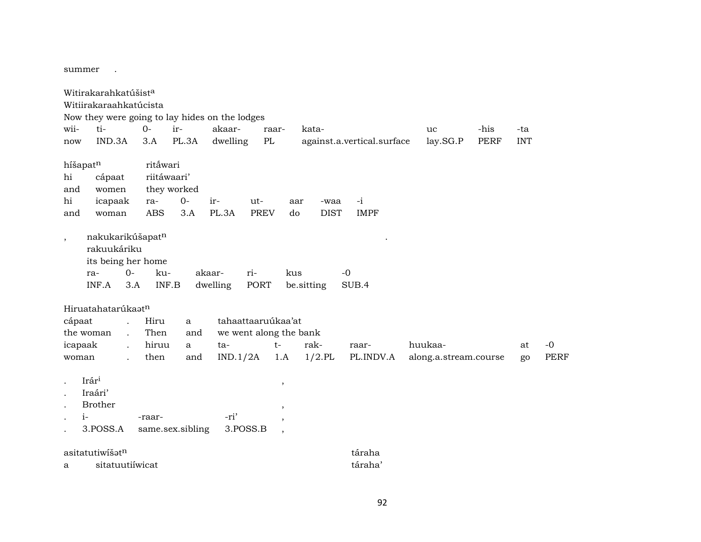summer.

Witirakarahkatúšist<sup>a</sup> Witiirakaraahkatúcista Now they were going to lay hides on the lodges wii- ti- 0- ir- akaar- raar- kata- uc -his -ta now IND.3A 3.A PL.3A dwelling PL against.a.vertical.surface lay.SG.P PERF INT híšapat<sup>n</sup> ritāwari hi cápaat riitáwaari' and women they worked hi icapaak ra- 0- ir- ut- aar -waa -i and woman ABS 3.A PL.3A PREV do DIST IMPF , nakukarikúšapat<sup>n</sup> rakuukáriku its being her home ra- 0- ku- akaar- ri- kus -0 INF.A 3.A INF.B dwelling PORT be.sitting SUB.4 Hiruatahatarúkaat<sup>n</sup> cápaat . Hiru a tahaattaaruúkaa'at the woman . Then and we went along the bank icapaak . hiruu a ta- t- rak- raar- huukaa- at -0 woman . then and IND.1/2A 1.A 1/2.PL PL.INDV.A along.a.stream.course go PERF  $I \text{rár}^1$ ,  $I \text{rár}^1$ ,  $I \text{rár}^1$ ,  $I \text{rár}^1$ ,  $I \text{rár}^1$ ,  $I \text{rár}^1$ ,  $I \text{rár}^1$ ,  $I \text{rár}^1$ ,  $I \text{rár}^1$ ,  $I \text{rár}^1$ ,  $I \text{rár}^1$ ,  $I \text{rár}^1$ ,  $I \text{rár}^1$ ,  $I \text{rár}^1$ ,  $I \text{rár}^1$ ,  $I \text{rár}^1$ . Iraári' . Brother , . i- -raar- -ri' , . 3.POSS.A same.sex.sibling 3.POSS.B ,  $\text{a}$ sitatutiwi $\text{a}$ sitatutiwi $\text{a}$ a sitatuutiíwicat táraha'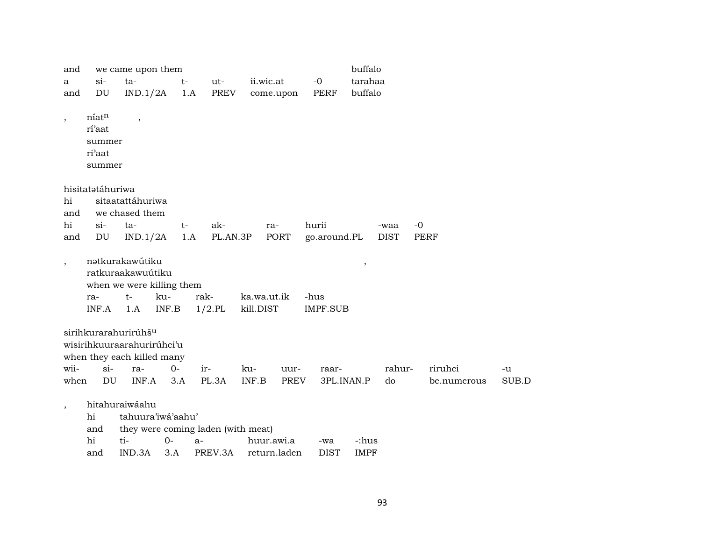| and                      |                            | we came upon them                |                           |                                    |              |                       | buffalo       |                     |                     |       |
|--------------------------|----------------------------|----------------------------------|---------------------------|------------------------------------|--------------|-----------------------|---------------|---------------------|---------------------|-------|
| a                        | $si-$                      | ta-                              | $t-$                      | ut-                                | ii.wic.at    | $-0$                  | tarahaa       |                     |                     |       |
| and                      | $\mathop{\rm DU}\nolimits$ | IND.1/2A                         | 1.A                       | PREV                               | come.upon    | <b>PERF</b>           | buffalo       |                     |                     |       |
|                          |                            |                                  |                           |                                    |              |                       |               |                     |                     |       |
| $\overline{\phantom{a}}$ | níatn                      | $\overline{\phantom{a}}$         |                           |                                    |              |                       |               |                     |                     |       |
|                          | rí'aat                     |                                  |                           |                                    |              |                       |               |                     |                     |       |
|                          | summer                     |                                  |                           |                                    |              |                       |               |                     |                     |       |
|                          | ri'aat                     |                                  |                           |                                    |              |                       |               |                     |                     |       |
|                          | summer                     |                                  |                           |                                    |              |                       |               |                     |                     |       |
|                          |                            |                                  |                           |                                    |              |                       |               |                     |                     |       |
|                          | hisitatətáhuriwa           |                                  |                           |                                    |              |                       |               |                     |                     |       |
| hi                       |                            | sitaatattáhuriwa                 |                           |                                    |              |                       |               |                     |                     |       |
| and                      | $si-$                      | we chased them                   |                           |                                    |              |                       |               |                     |                     |       |
| hi<br>and                | DU                         | ta-<br>IND.1/2A                  | t-<br>1.A                 | ak-<br>PL.AN.3P                    | ra-<br>PORT  | hurii<br>go.around.PL |               | -waa<br><b>DIST</b> | $-0$<br><b>PERF</b> |       |
|                          |                            |                                  |                           |                                    |              |                       |               |                     |                     |       |
| $\overline{\phantom{a}}$ |                            | nətkurakawútiku                  |                           |                                    |              |                       |               |                     |                     |       |
|                          |                            | ratkuraakawuútiku                |                           |                                    |              |                       | $^\mathrm{,}$ |                     |                     |       |
|                          |                            | when we were killing them        |                           |                                    |              |                       |               |                     |                     |       |
|                          | ra-                        | $t-$                             | ku-                       | rak-                               | ka.wa.ut.ik  | -hus                  |               |                     |                     |       |
|                          | INF.A                      | 1.A                              | $\textsf{INF}.\textsf{B}$ | $1/2$ .PL                          | kill.DIST    | <b>IMPF.SUB</b>       |               |                     |                     |       |
|                          |                            |                                  |                           |                                    |              |                       |               |                     |                     |       |
|                          |                            | sirihkurarahurirúhš <sup>u</sup> |                           |                                    |              |                       |               |                     |                     |       |
|                          |                            | wisirihkuuraarahurirúhci'u       |                           |                                    |              |                       |               |                     |                     |       |
|                          |                            | when they each killed many       |                           |                                    |              |                       |               |                     |                     |       |
| wii-                     | $si-$                      | ra-                              | $0-$                      | ir-                                | ku-          | uur-<br>raar-         |               | rahur-              | riruhci             | -u    |
| when                     | DU                         | INF.A                            | 3.A                       | PL.3A                              | INF.B        | PREV                  | 3PL.INAN.P    | do                  | be.numerous         | SUB.D |
|                          |                            |                                  |                           |                                    |              |                       |               |                     |                     |       |
| $\overline{\phantom{a}}$ |                            | hitahuraiwáahu                   |                           |                                    |              |                       |               |                     |                     |       |
|                          | hi                         | tahuura'iwá'aahu'                |                           |                                    |              |                       |               |                     |                     |       |
|                          | and                        |                                  |                           | they were coming laden (with meat) |              |                       |               |                     |                     |       |
|                          | hi                         | ti-                              | $0-$                      | $a-$                               | huur.awi.a   | -wa                   | -:hus         |                     |                     |       |
|                          | and                        | IND.3A                           | 3.A                       | PREV.3A                            | return.laden | <b>DIST</b>           | <b>IMPF</b>   |                     |                     |       |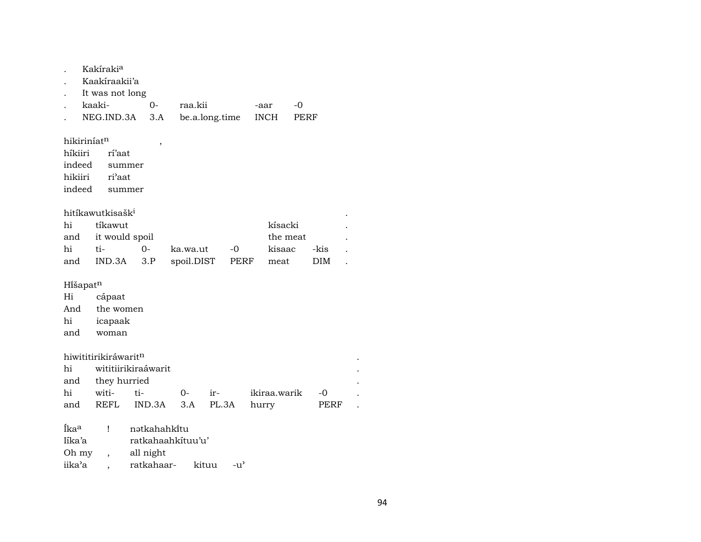|                         | Kakíraki <sup>a</sup>        |                     |            |                |              |      |      |  |  |  |  |  |  |
|-------------------------|------------------------------|---------------------|------------|----------------|--------------|------|------|--|--|--|--|--|--|
|                         | Kaakíraakii'a                |                     |            |                |              |      |      |  |  |  |  |  |  |
|                         | It was not long              |                     |            |                |              |      |      |  |  |  |  |  |  |
|                         | kaaki-                       | $0-$                | raa.kii    |                | -aar         | -0   |      |  |  |  |  |  |  |
|                         | NEG.IND.3A                   | 3.A                 |            | be.a.long.time | <b>INCH</b>  | PERF |      |  |  |  |  |  |  |
|                         |                              |                     |            |                |              |      |      |  |  |  |  |  |  |
| hikiriníat <sup>n</sup> |                              | ,                   |            |                |              |      |      |  |  |  |  |  |  |
| híkiiri                 | rí'aat                       |                     |            |                |              |      |      |  |  |  |  |  |  |
| indeed                  | summer                       |                     |            |                |              |      |      |  |  |  |  |  |  |
| hikiiri                 | ri'aat                       |                     |            |                |              |      |      |  |  |  |  |  |  |
| indeed                  | summer                       |                     |            |                |              |      |      |  |  |  |  |  |  |
|                         |                              |                     |            |                |              |      |      |  |  |  |  |  |  |
|                         | hitíkawutkisašk <sup>i</sup> |                     |            |                |              |      |      |  |  |  |  |  |  |
| hi                      | tíkawut                      |                     |            |                | kísacki      |      |      |  |  |  |  |  |  |
| and                     | it would spoil               |                     |            |                | the meat     |      |      |  |  |  |  |  |  |
| hi                      | ti-                          | 0-                  | ka.wa.ut   | -0             | kisaac       | -kis |      |  |  |  |  |  |  |
| and                     | IND.3A                       | 3.P                 | spoil.DIST | PERF           | meat         | DIM  |      |  |  |  |  |  |  |
|                         |                              |                     |            |                |              |      |      |  |  |  |  |  |  |
| Hišapatn                |                              |                     |            |                |              |      |      |  |  |  |  |  |  |
| Hi                      | cápaat                       |                     |            |                |              |      |      |  |  |  |  |  |  |
| And                     | the women                    |                     |            |                |              |      |      |  |  |  |  |  |  |
| hi                      | icapaak                      |                     |            |                |              |      |      |  |  |  |  |  |  |
| and                     | woman                        |                     |            |                |              |      |      |  |  |  |  |  |  |
|                         |                              |                     |            |                |              |      |      |  |  |  |  |  |  |
|                         | hiwititirikiráwaritn         |                     |            |                |              |      |      |  |  |  |  |  |  |
| hi                      |                              | wititiirikiraáwarit |            |                |              |      |      |  |  |  |  |  |  |
| and                     | they hurried                 |                     |            |                |              |      |      |  |  |  |  |  |  |
| hi                      | witi-                        | ti-                 | $0-$       | ir-            | ikiraa.warik |      | -0   |  |  |  |  |  |  |
| and                     | REFL                         | IND.3A              | 3.A        | PL.3A          | hurry        |      | PERF |  |  |  |  |  |  |
|                         |                              |                     |            |                |              |      |      |  |  |  |  |  |  |
| Íka <sup>a</sup>        | Ţ                            | nətkahahkitu        |            |                |              |      |      |  |  |  |  |  |  |
| líka'a                  |                              | ratkahaahkituu'u'   |            |                |              |      |      |  |  |  |  |  |  |
| Oh my                   | $\overline{\phantom{a}}$     | all night           |            |                |              |      |      |  |  |  |  |  |  |
| iika'a                  |                              | ratkahaar-          | kituu      | $-u^{\prime}$  |              |      |      |  |  |  |  |  |  |

94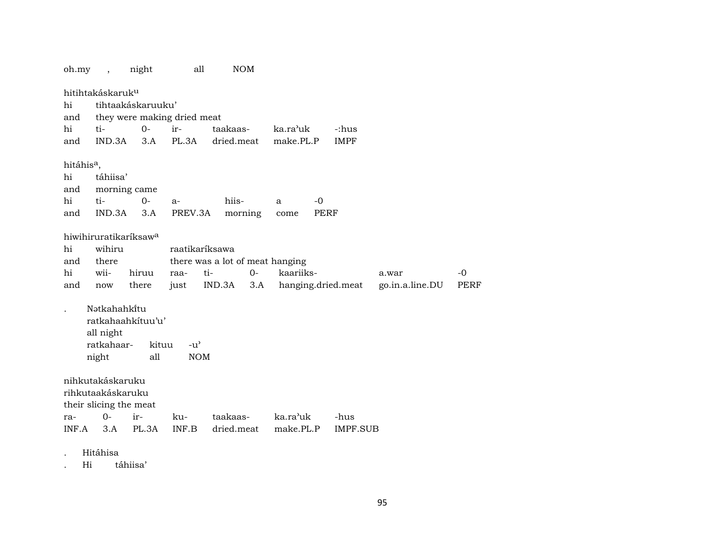| oh.my                  | $\overline{ }$ ,                  | night             | all                         | <b>NOM</b>                      |      |           |             |                    |                 |             |
|------------------------|-----------------------------------|-------------------|-----------------------------|---------------------------------|------|-----------|-------------|--------------------|-----------------|-------------|
|                        | hitihtakáskaruk <sup>u</sup>      |                   |                             |                                 |      |           |             |                    |                 |             |
| hi                     |                                   | tihtaakáskaruuku' |                             |                                 |      |           |             |                    |                 |             |
| and                    |                                   |                   | they were making dried meat |                                 |      |           |             |                    |                 |             |
| hi                     | ti-                               | $0-$              | ir-                         | taakaas-                        |      | ka.ra'uk  |             | -:hus              |                 |             |
| and                    | IND.3A                            | 3.A               | PL.3A                       | dried.meat                      |      | make.PL.P |             | <b>IMPF</b>        |                 |             |
|                        |                                   |                   |                             |                                 |      |           |             |                    |                 |             |
| hitáhis <sup>a</sup> , |                                   |                   |                             |                                 |      |           |             |                    |                 |             |
| hi                     | táhiisa'                          |                   |                             |                                 |      |           |             |                    |                 |             |
| and                    | morning came                      |                   |                             |                                 |      |           |             |                    |                 |             |
| hi                     | ti-                               | $0-$              | $a-$                        | hiis-                           |      | a         | $-0$        |                    |                 |             |
| and                    | IND.3A                            | 3.A               | PREV.3A                     | morning                         |      | come      | <b>PERF</b> |                    |                 |             |
|                        | hiwihiruratikaríksaw <sup>a</sup> |                   |                             |                                 |      |           |             |                    |                 |             |
| hi                     | wihiru                            |                   | raatikaríksawa              |                                 |      |           |             |                    |                 |             |
| and                    | there                             |                   |                             | there was a lot of meat hanging |      |           |             |                    |                 |             |
| hi                     | wii-                              | hiruu             | raa-                        | ti-                             | $0-$ | kaariiks- |             |                    | a.war           | $-0$        |
| and                    | now                               | there             | just                        | IND.3A                          | 3.A  |           |             | hanging.dried.meat | go.in.a.line.DU | <b>PERF</b> |
|                        |                                   |                   |                             |                                 |      |           |             |                    |                 |             |
|                        | Nətkahahkitu                      |                   |                             |                                 |      |           |             |                    |                 |             |
|                        | ratkahaahkituu'u'                 |                   |                             |                                 |      |           |             |                    |                 |             |
|                        | all night                         |                   |                             |                                 |      |           |             |                    |                 |             |
|                        | ratkahaar-                        | kituu             | $-u^{\prime}$               |                                 |      |           |             |                    |                 |             |
|                        | night                             | all               | <b>NOM</b>                  |                                 |      |           |             |                    |                 |             |
|                        |                                   |                   |                             |                                 |      |           |             |                    |                 |             |
|                        | nihkutakáskaruku                  |                   |                             |                                 |      |           |             |                    |                 |             |
|                        | rihkutaakáskaruku                 |                   |                             |                                 |      |           |             |                    |                 |             |
|                        | their slicing the meat            |                   |                             |                                 |      |           |             |                    |                 |             |
| ra-                    | $O -$                             | ir-               | ku-                         | taakaas-                        |      | ka.ra'uk  |             | -hus               |                 |             |
| INF.A                  | 3.A                               | PL.3A             | INF.B                       | dried.meat                      |      | make.PL.P |             | IMPF.SUB           |                 |             |
|                        |                                   |                   |                             |                                 |      |           |             |                    |                 |             |

. Hitáhisa

. Hi táhiisa'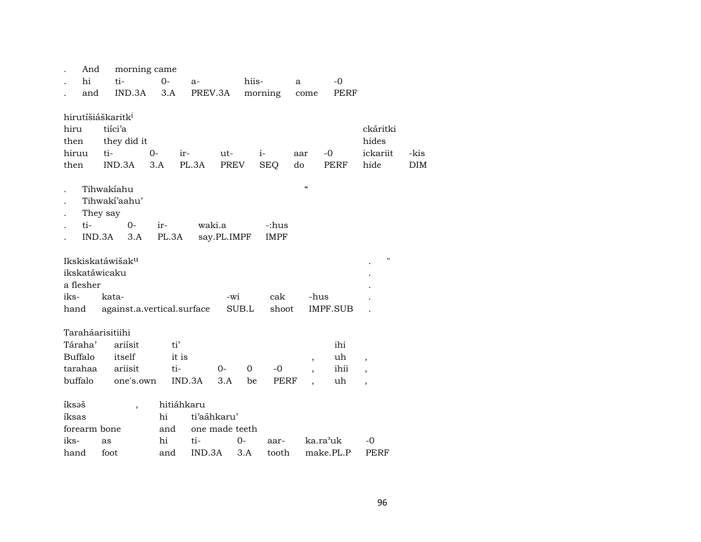|                               | And                           |       | morning came                                   |              |            |                |             |       |                    |           |                          |                 |                                       |                    |
|-------------------------------|-------------------------------|-------|------------------------------------------------|--------------|------------|----------------|-------------|-------|--------------------|-----------|--------------------------|-----------------|---------------------------------------|--------------------|
|                               | hi                            |       | ti-                                            |              | $O -$      | $a-$           |             | hiis- |                    | a         |                          | $-0$            |                                       |                    |
|                               | and                           |       | IND.3A                                         |              | 3.A        | PREV.3A        |             |       | morning            |           | come                     | PERF            |                                       |                    |
| hiru<br>then<br>hiruu<br>then | hirutíšiáškaritk <sup>i</sup> | ti-   | tiíci'a<br>they did it<br>IND.3A<br>Tihwakiahu | $O -$<br>3.A | $ir-$      | PL.3A          | ut-<br>PREV |       | $i-$<br><b>SEQ</b> | aar<br>do | $\epsilon\epsilon$       | $-0$<br>PERF    | ckáritki<br>hides<br>ickariit<br>hide | -kis<br><b>DIM</b> |
|                               |                               |       | Tihwaki'aahu'                                  |              |            |                |             |       |                    |           |                          |                 |                                       |                    |
|                               | They say                      |       |                                                |              |            |                |             |       |                    |           |                          |                 |                                       |                    |
|                               | ti-                           |       | $0 -$                                          |              | ir-        | waki.a         |             |       | -:hus              |           |                          |                 |                                       |                    |
|                               | IND.3A                        |       | 3.A                                            |              | PL.3A      |                | say.PL.IMPF |       | <b>IMPF</b>        |           |                          |                 |                                       |                    |
|                               | ikskatáwicaku<br>a flesher    |       | Ikskiskatáwišak <sup>u</sup>                   |              |            |                |             |       |                    |           |                          |                 | П                                     |                    |
| iks-                          |                               | kata- |                                                |              |            |                | -wi         |       | cak                |           | -hus                     |                 |                                       |                    |
|                               |                               |       | hand against.a.vertical.surface                |              |            |                |             | SUB.L | shoot              |           |                          | <b>IMPF.SUB</b> |                                       |                    |
|                               | Taraháarisitiihi              |       |                                                |              |            |                |             |       |                    |           |                          |                 |                                       |                    |
|                               | Táraha'                       |       | ariísit                                        |              | ti'        |                |             |       |                    |           |                          | ihi             |                                       |                    |
| <b>Buffalo</b>                |                               |       | itself                                         |              | it is      |                |             |       |                    |           | $\overline{\phantom{a}}$ | uh              | $\overline{\phantom{a}}$              |                    |
|                               | tarahaa                       |       | ariisit                                        |              | ti-        |                | 0-          | 0     | $-0$               |           |                          | ihii            |                                       |                    |
| buffalo                       |                               |       | one's.own                                      |              |            | IND.3A         | 3.A         | be    | <b>PERF</b>        |           |                          | uh              | $\overline{\phantom{a}}$              |                    |
| íksəš                         |                               |       | $\overline{ }$                                 |              | hitiáhkaru |                |             |       |                    |           |                          |                 |                                       |                    |
| íksas                         |                               |       |                                                |              | hi         | ti'aáhkaru'    |             |       |                    |           |                          |                 |                                       |                    |
|                               | forearm bone                  |       |                                                |              | and        | one made teeth |             |       |                    |           |                          |                 |                                       |                    |
| iks-                          |                               | as    |                                                |              | hi         | ti-            |             | 0-    | aar-               |           |                          | ka.ra'uk        | -0                                    |                    |
| hand                          |                               | foot  |                                                |              | and        | IND.3A         |             | 3.A   | tooth              |           |                          | make.PL.P       | PERF                                  |                    |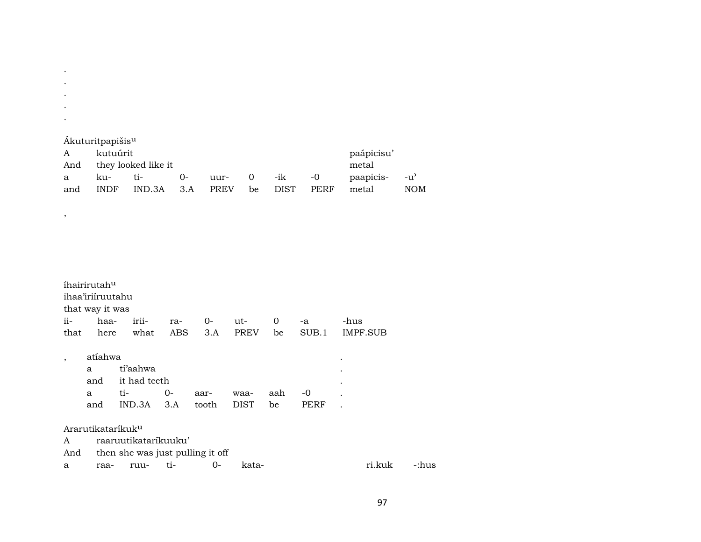| ٠   |                                                                    |                     |    |            |     |  |  |       |     |
|-----|--------------------------------------------------------------------|---------------------|----|------------|-----|--|--|-------|-----|
|     | Ákuturitpapišis <sup>u</sup>                                       |                     |    |            |     |  |  |       |     |
| А   | kutuúrit                                                           |                     |    | paápicisu' |     |  |  |       |     |
| And |                                                                    | they looked like it |    |            |     |  |  | metal |     |
| a   | ku-                                                                | ti-                 | -0 | paapicis-  | -u' |  |  |       |     |
| and | <b>DIST</b><br>PERF<br><b>PREV</b><br>3 A<br>INDF<br>IND 3A<br>he. |                     |    |            |     |  |  | metal | NOM |

 $\langle \cdot \rangle$  $\mathcal{A}^{\pm}$  $\mathcal{A}^{\pm}$  $\mathcal{L}$ 

 $\overline{\phantom{a}}$ 

|                          | íhairirutah <sup>u</sup>      |                                  |     |       |             |     |       |          |       |
|--------------------------|-------------------------------|----------------------------------|-----|-------|-------------|-----|-------|----------|-------|
|                          | ihaa'iriíruutahu              |                                  |     |       |             |     |       |          |       |
|                          | that way it was               |                                  |     |       |             |     |       |          |       |
| ii-                      | haa-                          | irii-                            | ra- | $O -$ | ut-         | 0   | $-a$  | -hus     |       |
| that                     | here                          | what                             | ABS | 3.A   | <b>PREV</b> | be  | SUB.1 | IMPF.SUB |       |
| $\overline{\phantom{a}}$ | atíahwa                       |                                  |     |       |             |     |       | ٠        |       |
|                          | a                             | tí'aahwa                         |     |       |             |     |       |          |       |
|                          | and                           | it had teeth                     |     |       |             |     |       |          |       |
|                          | a                             | ti-                              | 0-  | aar-  | waa-        | aah | -0    |          |       |
|                          | and                           | IND.3A                           | 3.A | tooth | <b>DIST</b> | be  | PERF  |          |       |
|                          | Ararutikataríkuk <sup>u</sup> |                                  |     |       |             |     |       |          |       |
| A                        |                               | raaruutikataríkuuku'             |     |       |             |     |       |          |       |
| And                      |                               | then she was just pulling it off |     |       |             |     |       |          |       |
| a                        | raa-                          | ruu-                             | ti- | $0-$  | kata-       |     |       | ri.kuk   | -:hus |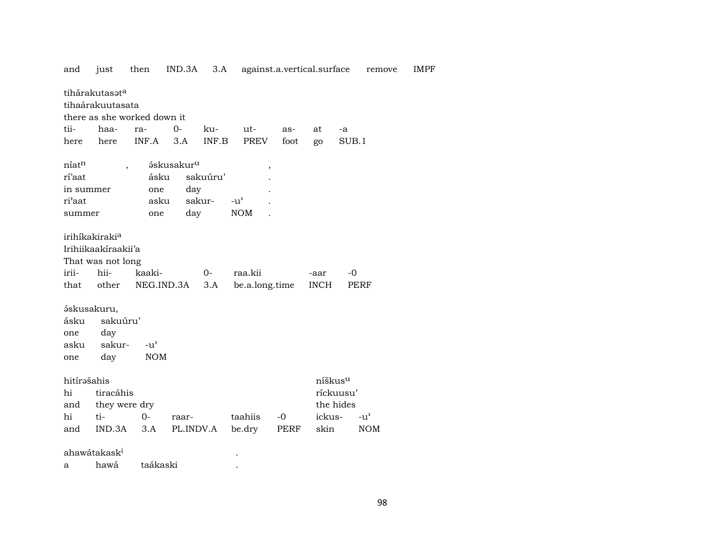| and                 | just                                                               | then                        | IND.3A                 | 3.A      | against.a.vertical.surface |      |                     |           | remove        | <b>IMPF</b> |
|---------------------|--------------------------------------------------------------------|-----------------------------|------------------------|----------|----------------------------|------|---------------------|-----------|---------------|-------------|
|                     | tihárakutasat <sup>a</sup><br>tihaárakuutasata                     | there as she worked down it |                        |          |                            |      |                     |           |               |             |
| tii-                | haa-                                                               | ra-                         | $0 -$                  | ku-      | ut-                        | as-  | at                  | -a        |               |             |
|                     |                                                                    | INF.A                       |                        |          |                            |      |                     |           |               |             |
| here                | here                                                               |                             | 3.A                    | INF.B    | PREV                       | foot | go                  | SUB.1     |               |             |
| níatn               |                                                                    | $\overline{\phantom{a}}$    | áskusakur <sup>u</sup> |          |                            |      |                     |           |               |             |
| rí'aat              |                                                                    | ásku                        |                        | sakuúru' | $\overline{\phantom{a}}$   |      |                     |           |               |             |
| in summer           |                                                                    | one                         | day                    |          |                            |      |                     |           |               |             |
| ri'aat              |                                                                    | asku                        | sakur-                 |          | $-u^{\prime}$              |      |                     |           |               |             |
|                     |                                                                    |                             | day                    |          | <b>NOM</b>                 |      |                     |           |               |             |
| summer              |                                                                    | one                         |                        |          |                            |      |                     |           |               |             |
| irii-               | irihíkakirakia<br>Irihiikaakiraakii'a<br>That was not long<br>hii- | kaaki-                      |                        | $0-$     | raa.kii                    |      | -aar                | $-0$      |               |             |
| that                | other                                                              | NEG.IND.3A                  |                        | 3.A      | be.a.long.time             |      | <b>INCH</b>         |           | PERF          |             |
| ásku<br>one<br>asku | áskusakuru,<br>sakuúru'<br>day<br>sakur-                           | $-u^{\prime}$               |                        |          |                            |      |                     |           |               |             |
| one                 | day                                                                | <b>NOM</b>                  |                        |          |                            |      |                     |           |               |             |
| hitírəšahis<br>hi   | tiracáhis                                                          |                             |                        |          |                            |      | níškus <sup>u</sup> | ríckuusu' |               |             |
| and                 | they were dry                                                      |                             |                        |          |                            |      |                     | the hides |               |             |
| hi                  | ti-                                                                | $0-$                        | raar-                  |          | taahiis                    | $-0$ | ickus-              |           | $-u^{\prime}$ |             |
| and                 | IND.3A                                                             | 3.A                         | PL.INDV.A              |          | be.dry                     | PERF | skin                |           | <b>NOM</b>    |             |
|                     | ahawátakask <sup>i</sup>                                           |                             |                        |          |                            |      |                     |           |               |             |

hawá taákaski  $\mathbf{a}$ **Contract Contract**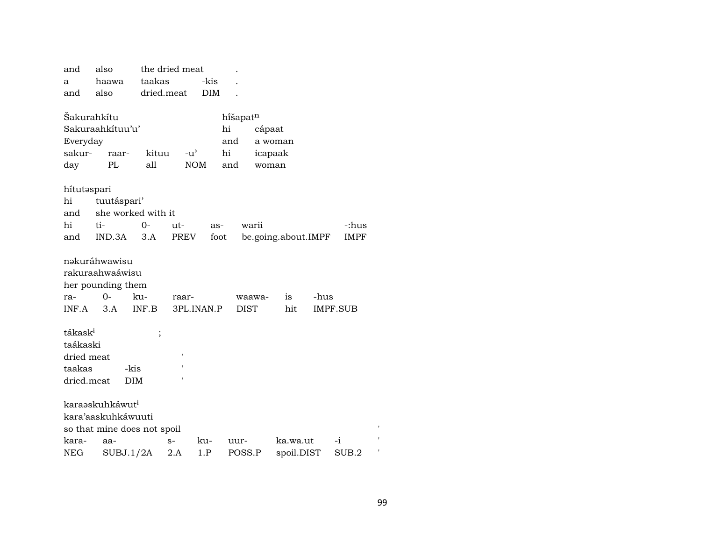| and                 | also                        |            | the dried meat |            |             |         |                     |      |                 |  |
|---------------------|-----------------------------|------------|----------------|------------|-------------|---------|---------------------|------|-----------------|--|
| a                   | haawa                       | taakas     |                | -kis       |             |         |                     |      |                 |  |
| and                 | also                        | dried.meat |                | <b>DIM</b> |             |         |                     |      |                 |  |
| Šakurahkítu         |                             |            |                |            | hišapatn    |         |                     |      |                 |  |
|                     | Sakuraahkítuu'u'            |            |                |            | hi          | cápaat  |                     |      |                 |  |
| Everyday            |                             |            |                |            | and         | a woman |                     |      |                 |  |
| sakur-              | raar-                       | kituu      | $-u^{\prime}$  |            | hi          | icapaak |                     |      |                 |  |
| day                 | PL                          | all        | <b>NOM</b>     |            | and         | woman   |                     |      |                 |  |
| hítutəspari         |                             |            |                |            |             |         |                     |      |                 |  |
| hi                  | tuutáspari'                 |            |                |            |             |         |                     |      |                 |  |
| and                 | she worked with it          |            |                |            |             |         |                     |      |                 |  |
| hi                  | ti-                         | 0-         | ut-            | as-        | warii       |         |                     |      | -:hus           |  |
| and                 | IND.3A                      | 3.A        | PREV           | foot       |             |         | be.going.about.IMPF |      | <b>IMPF</b>     |  |
|                     | nəkuráhwawisu               |            |                |            |             |         |                     |      |                 |  |
|                     | rakuraahwaáwisu             |            |                |            |             |         |                     |      |                 |  |
|                     | her pounding them           |            |                |            |             |         |                     |      |                 |  |
| ra-                 | $0-$                        | ku-        | raar-          |            |             | waawa-  | is                  | -hus |                 |  |
| INF.A               | 3.A                         | INF.B      | 3PL.INAN.P     |            | <b>DIST</b> |         | hit                 |      | <b>IMPF.SUB</b> |  |
| tákask <sup>i</sup> |                             | $\vdots$   |                |            |             |         |                     |      |                 |  |
| taákaski            |                             |            |                |            |             |         |                     |      |                 |  |
| dried meat          |                             |            |                |            |             |         |                     |      |                 |  |
| taakas              | -kis                        |            |                |            |             |         |                     |      |                 |  |
| dried.meat          | <b>DIM</b>                  |            |                |            |             |         |                     |      |                 |  |
|                     | karaaskuhkáwut <sup>i</sup> |            |                |            |             |         |                     |      |                 |  |
|                     | kara'aaskuhkáwuuti          |            |                |            |             |         |                     |      |                 |  |
|                     | so that mine does not spoil |            |                |            |             |         |                     |      |                 |  |
| kara-               | aa-                         |            | $S-$           | ku-        | uur-        |         | ka.wa.ut            |      | $-i$            |  |
| NEG                 | SUBJ.1/2A                   |            | 2.A            | 1.P        | POSS.P      |         | spoil.DIST          |      | SUB.2           |  |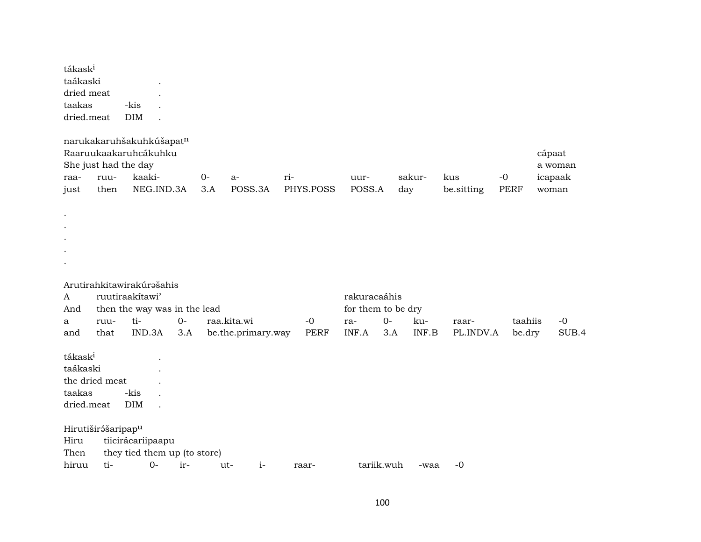| tákask <sup>i</sup><br>taákaski<br>dried meat<br>taakas<br>dried.meat |      | -kis<br>DIM               |                              |       |                    |             |                    |      |        |            |             |         |
|-----------------------------------------------------------------------|------|---------------------------|------------------------------|-------|--------------------|-------------|--------------------|------|--------|------------|-------------|---------|
|                                                                       |      | narukakaruhšakuhkúšapatn  |                              |       |                    |             |                    |      |        |            |             |         |
|                                                                       |      | Raaruukaakaruhcákuhku     |                              |       |                    |             |                    |      |        |            |             | cápaat  |
|                                                                       |      | She just had the day      |                              |       |                    |             |                    |      |        |            |             | a woman |
| raa-                                                                  | ruu- | kaaki-                    |                              | $O -$ | $a-$               | ri-         | uur-               |      | sakur- | kus        | $-0$        | icapaak |
| just                                                                  | then |                           | NEG.IND.3A                   | 3.A   | POSS.3A            | PHYS.POSS   | POSS.A             |      | day    | be.sitting | <b>PERF</b> | woman   |
|                                                                       |      |                           |                              |       |                    |             |                    |      |        |            |             |         |
| $\bullet$                                                             |      |                           |                              |       |                    |             |                    |      |        |            |             |         |
| $\bullet$<br>$\bullet$                                                |      |                           |                              |       |                    |             |                    |      |        |            |             |         |
|                                                                       |      |                           |                              |       |                    |             |                    |      |        |            |             |         |
|                                                                       |      |                           |                              |       |                    |             |                    |      |        |            |             |         |
|                                                                       |      |                           |                              |       |                    |             |                    |      |        |            |             |         |
|                                                                       |      | Arutirahkitawirakúrašahis |                              |       |                    |             |                    |      |        |            |             |         |
| A                                                                     |      | ruutiraakítawi'           |                              |       |                    |             | rakuracaáhis       |      |        |            |             |         |
| And                                                                   |      |                           | then the way was in the lead |       |                    |             | for them to be dry |      |        |            |             |         |
| a                                                                     | ruu- | ti-                       | $O -$                        |       | raa.kita.wi        | $-0$        | ra-                | $0-$ | ku-    | raar-      | taahiis     | $-0$    |
| and                                                                   | that | IND.3A                    | 3.A                          |       | be.the.primary.way | <b>PERF</b> | INF.A              | 3.A  | INF.B  | PL.INDV.A  | be.dry      | SUB.4   |
| tákask <sup>i</sup>                                                   |      |                           |                              |       |                    |             |                    |      |        |            |             |         |
| taákaski                                                              |      |                           |                              |       |                    |             |                    |      |        |            |             |         |
| the dried meat                                                        |      |                           |                              |       |                    |             |                    |      |        |            |             |         |
| taakas                                                                |      | -kis                      |                              |       |                    |             |                    |      |        |            |             |         |
| dried.meat                                                            |      | <b>DIM</b>                |                              |       |                    |             |                    |      |        |            |             |         |
|                                                                       |      |                           |                              |       |                    |             |                    |      |        |            |             |         |
| Hirutiširášaripap <sup>u</sup><br>Hiru                                |      | tiicirácariipaapu         |                              |       |                    |             |                    |      |        |            |             |         |
| Then                                                                  |      |                           | they tied them up (to store) |       |                    |             |                    |      |        |            |             |         |
| hiruu                                                                 |      |                           |                              |       |                    |             |                    |      |        |            |             |         |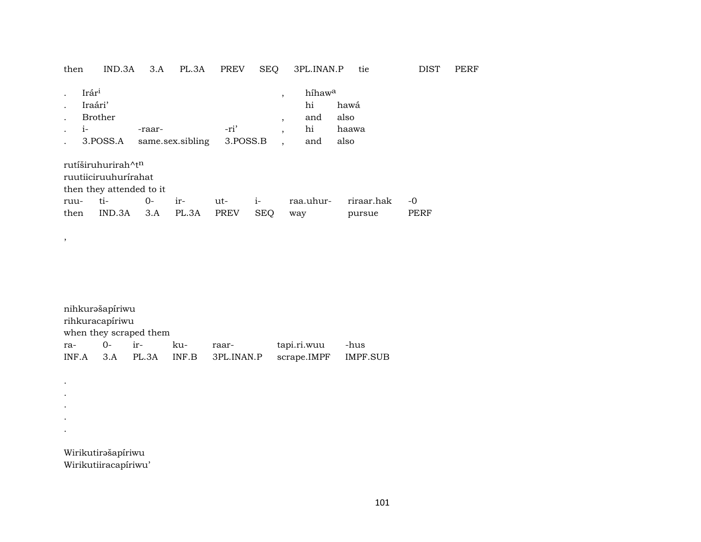| then         | IND.3A                                                                             | 3.A       | PL.3A            | <b>PREV</b>        | SEQ                 | 3PL.INAN.P                                                                    | tie                           | <b>DIST</b>  | <b>PERF</b> |
|--------------|------------------------------------------------------------------------------------|-----------|------------------|--------------------|---------------------|-------------------------------------------------------------------------------|-------------------------------|--------------|-------------|
| $1-$         | Irár <sup>i</sup><br>Iraári'<br>Brother<br>3.POSS.A                                | -raar-    | same.sex.sibling | -ri'<br>3.POSS.B   |                     | híhaw <sup>a</sup><br>$\cdot$<br>hi<br>and<br>$\cdot$<br>hi<br>$\cdot$<br>and | hawá<br>also<br>haawa<br>also |              |             |
|              | rutíširuhurirah^t <sup>n</sup><br>ruutiiciruuhurirahat<br>then they attended to it |           |                  |                    |                     |                                                                               |                               |              |             |
| ruu-<br>then | ti-<br>IND.3A                                                                      | 0-<br>3.A | $ir-$<br>PL.3A   | ut-<br><b>PREV</b> | $1 -$<br><b>SEQ</b> | raa.uhur-<br>way                                                              | riraar.hak<br>pursue          | $-0$<br>PERF |             |

| nihkurəšapíriwu |                        |  |     |                            |                      |      |  |  |  |  |  |
|-----------------|------------------------|--|-----|----------------------------|----------------------|------|--|--|--|--|--|
|                 | rihkuracapíriwu        |  |     |                            |                      |      |  |  |  |  |  |
|                 | when they scraped them |  |     |                            |                      |      |  |  |  |  |  |
| $ra-$           | $0-$ ir-               |  | ku- | raar-                      | tapi.ri.wuu          | -hus |  |  |  |  |  |
| INF.A           |                        |  |     | 3.A PL.3A INF.B 3PL.INAN.P | scrape.IMPF IMPF.SUB |      |  |  |  |  |  |

Wirikutirəšapíriwu Wirikutiiracapíriwu'

 $\overline{\phantom{a}}$ 

 $\mathcal{L}^{\pm}$  $\sim$  $\sim$  $\sim$  $\langle \bullet \rangle$  .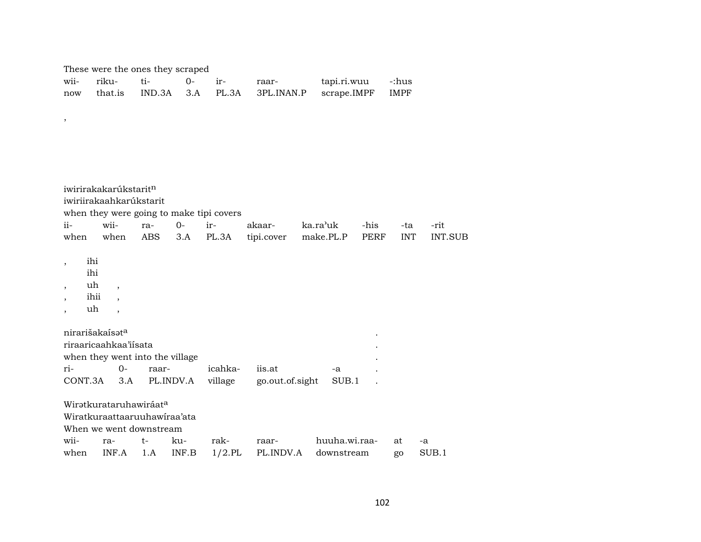These were the ones they scraped

,

|  |  | raar- | tapi.ri.wuu -:hus                                        |  |
|--|--|-------|----------------------------------------------------------|--|
|  |  |       | now that is IND.3A 3.A PL.3A 3PL.INAN.P scrape.IMPF IMPF |  |

iwirirakakarúkstarit $n$ iwiriirakaahkarúkstarit when they were going to make tipi covers ii- wii- ra- 0- ir- akaar- ka.ra"uk -his -ta -rit when when ABS 3.A PL.3A tipi.cover make.PL.P PERF INT INT.SUB , ihi ihi , uh , , ihii , , uh , nirarišakaís $\mathfrak s$ t $^{\rm a}$ riraaricaahkaa'iísata . when they went into the village ri- 0- raar- icahka- iis.at -a . CONT.3A 3.A PL.INDV.A village go.out.of.sight SUB.1 . Wiratkurataruhawiráat<sup>a</sup> Wiratkuraattaaruuhawíraa'ata When we went downstream wii- ra- t- ku- rak- raar- huuha.wi.raa- at -a when INF.A 1.A INF.B 1/2.PL PL.INDV.A downstream go SUB.1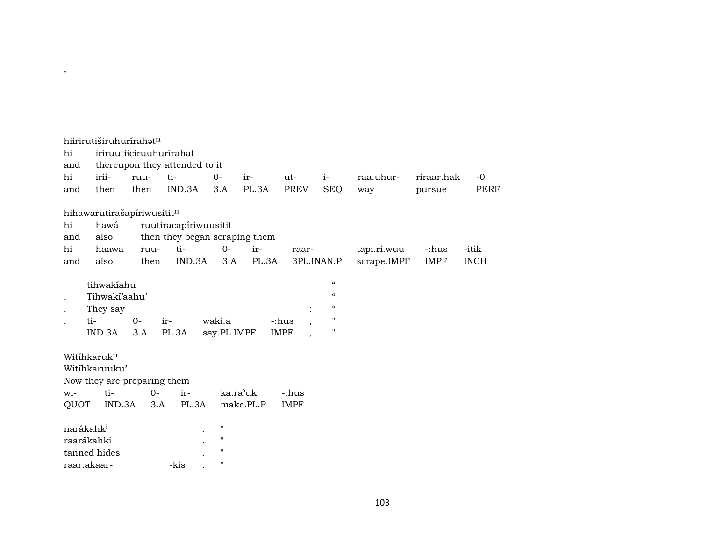|      | hiirirutiširuhurírahatn            |      |                               |             |           |                                         |                                        |             |             |             |
|------|------------------------------------|------|-------------------------------|-------------|-----------|-----------------------------------------|----------------------------------------|-------------|-------------|-------------|
| hi   |                                    |      | iriruutiiciruuhurírahat       |             |           |                                         |                                        |             |             |             |
| and  |                                    |      | thereupon they attended to it |             |           |                                         |                                        |             |             |             |
| hi   | irii-                              | ruu- | ti-                           | $0-$        | ir-       | ut-                                     | $i-$                                   | raa.uhur-   | riraar.hak  | $-0$        |
| and  | then                               | then | IND.3A                        | 3.A         | PL.3A     | PREV                                    | <b>SEQ</b>                             | way         | pursue      | PERF        |
|      | hihawarutirašapíriwusititn         |      |                               |             |           |                                         |                                        |             |             |             |
| hi   | hawá                               |      | ruutiracapíriwuusitit         |             |           |                                         |                                        |             |             |             |
| and  | also                               |      | then they began scraping them |             |           |                                         |                                        |             |             |             |
| hi   | haawa                              | ruu- | ti-                           | $0-$        | ir-       | raar-                                   |                                        | tapi.ri.wuu | -:hus       | -itik       |
| and  | also                               | then | IND.3A                        | 3.A         | PL.3A     |                                         | 3PL.INAN.P                             | scrape.IMPF | <b>IMPF</b> | <b>INCH</b> |
|      |                                    |      |                               |             |           |                                         |                                        |             |             |             |
|      | tihwakiahu                         |      |                               |             |           |                                         | $\boldsymbol{\zeta}\boldsymbol{\zeta}$ |             |             |             |
|      | Tihwaki'aahu'                      |      |                               |             |           |                                         | $\epsilon$                             |             |             |             |
|      | They say                           |      |                               |             |           |                                         | $\mathcal{C}$                          |             |             |             |
|      | ti-                                | $0-$ | ir-                           | waki.a      |           | -:hus                                   | $\mathbf H$                            |             |             |             |
|      | IND.3A                             | 3.A  | PL.3A                         | say.PL.IMPF |           | <b>IMPF</b><br>$\overline{\phantom{a}}$ | 11                                     |             |             |             |
|      |                                    |      |                               |             |           |                                         |                                        |             |             |             |
|      | Witihkaruku                        |      |                               |             |           |                                         |                                        |             |             |             |
|      | Witihkaruuku'                      |      |                               |             |           |                                         |                                        |             |             |             |
| wi-  | Now they are preparing them<br>ti- | $0-$ | ir-                           | ka.ra'uk    |           | -:hus                                   |                                        |             |             |             |
| QUOT | IND.3A                             | 3.A  | PL.3A                         |             | make.PL.P | <b>IMPF</b>                             |                                        |             |             |             |
|      |                                    |      |                               |             |           |                                         |                                        |             |             |             |
|      | narákahk <sup>i</sup>              |      |                               | 11          |           |                                         |                                        |             |             |             |
|      | raarákahki                         |      |                               | $\mathbf H$ |           |                                         |                                        |             |             |             |
|      | tanned hides                       |      |                               | 11          |           |                                         |                                        |             |             |             |
|      | raar.akaar-                        |      | -kis                          | 11          |           |                                         |                                        |             |             |             |

 $\overline{\phantom{a}}$ 

## 103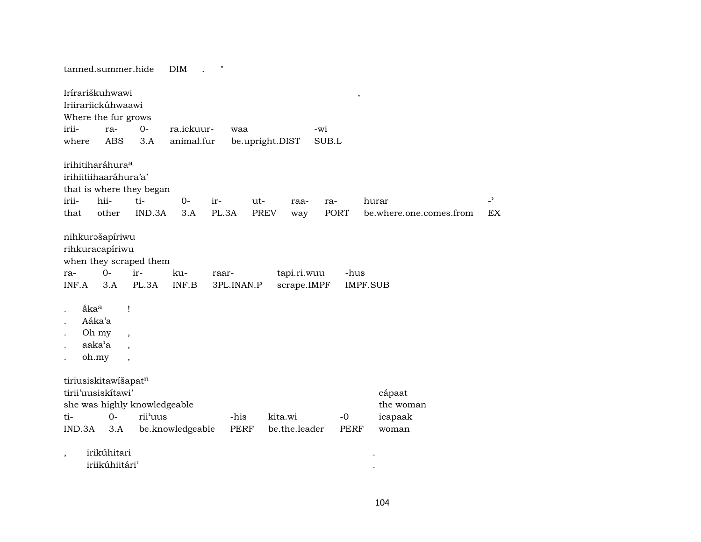|                                                             | tanned.summer.hide<br>"<br>DIM                                                                                                                                                  |                       |                      |                            |                         |                                |                          |  |  |  |  |  |
|-------------------------------------------------------------|---------------------------------------------------------------------------------------------------------------------------------------------------------------------------------|-----------------------|----------------------|----------------------------|-------------------------|--------------------------------|--------------------------|--|--|--|--|--|
| irii-                                                       | Irírariškuhwawi<br>$\,$<br>Iriirariickúhwaawi<br>Where the fur grows<br>$O -$<br>ra.ickuur-<br>ra-<br>waa<br>-wi<br><b>ABS</b><br>animal.fur<br>SUB.L<br>3.A<br>be.upright.DIST |                       |                      |                            |                         |                                |                          |  |  |  |  |  |
| where                                                       |                                                                                                                                                                                 |                       |                      |                            |                         |                                |                          |  |  |  |  |  |
| irihitiharáhura <sup>a</sup><br>irihiitiihaaráhura'a'       | that is where they began                                                                                                                                                        |                       |                      |                            |                         |                                |                          |  |  |  |  |  |
| irii-<br>hii-                                               | ti-                                                                                                                                                                             | $0-$<br>ir-           | ut-                  | raa-<br>ra-                |                         | hurar                          | $\overline{\phantom{0}}$ |  |  |  |  |  |
| that                                                        | other<br>IND.3A                                                                                                                                                                 | 3.A                   | PL.3A<br><b>PREV</b> | way                        | PORT                    | be.where.one.comes.from        | EX                       |  |  |  |  |  |
| nihkurašapíriwu<br>rihkuracapíriwu<br>$0 -$<br>ra-<br>INF.A | when they scraped them<br>ir-<br>3.A<br>PL.3A                                                                                                                                   | ku-<br>raar-<br>INF.B | 3PL.INAN.P           | tapi.ri.wuu<br>scrape.IMPF | -hus<br><b>IMPF.SUB</b> |                                |                          |  |  |  |  |  |
| åka <sup>a</sup><br>Aáka'a<br>Oh my<br>aaka'a<br>oh.my      | 1<br>$\overline{\phantom{a}}$<br>$\cdot$<br>$\overline{\phantom{a}}$                                                                                                            |                       |                      |                            |                         |                                |                          |  |  |  |  |  |
| tiriusiskitawišapatn<br>tirii'uusiskitawi'<br>ti-           | she was highly knowledgeable<br>$0-$<br>rii'uus                                                                                                                                 |                       | -his<br>kita.wi      |                            | $-0$                    | cápaat<br>the woman<br>icapaak |                          |  |  |  |  |  |
| IND.3A                                                      | 3.A                                                                                                                                                                             | be.knowledgeable      | <b>PERF</b>          | be.the.leader              | <b>PERF</b>             | woman                          |                          |  |  |  |  |  |
| $\overline{\phantom{a}}$                                    | irikúhitari<br>iriikúhiitári'                                                                                                                                                   |                       |                      |                            |                         |                                |                          |  |  |  |  |  |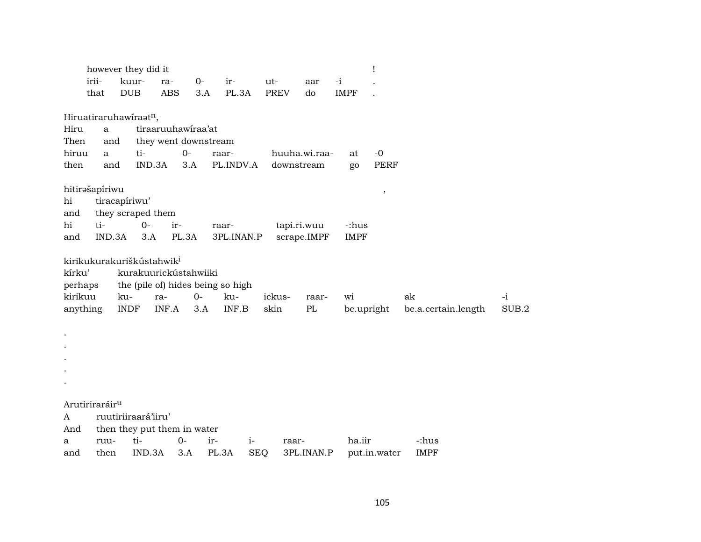|          | however they did it                   |               |                             |            |                      |                                   |             |               |      |             | ı            |                     |       |
|----------|---------------------------------------|---------------|-----------------------------|------------|----------------------|-----------------------------------|-------------|---------------|------|-------------|--------------|---------------------|-------|
|          | irii-                                 | kuur-         |                             | ra-        | $0-$                 | ir-                               | ut-         | aar           | $-i$ |             |              |                     |       |
|          | that                                  | DUB           |                             | <b>ABS</b> | 3.A                  | PL.3A                             | <b>PREV</b> | do            |      | <b>IMPF</b> |              |                     |       |
|          |                                       |               |                             |            |                      |                                   |             |               |      |             |              |                     |       |
|          | Hiruatiraruhawiraatn,                 |               |                             |            |                      |                                   |             |               |      |             |              |                     |       |
| Hiru     | a                                     |               | tiraaruuhawiraa'at          |            |                      |                                   |             |               |      |             |              |                     |       |
| Then     | and                                   |               |                             |            | they went downstream |                                   |             |               |      |             |              |                     |       |
| hiruu    | a                                     |               | ti-                         | $0-$       |                      | raar-                             |             | huuha.wi.raa- |      | at          | $-0$         |                     |       |
| then     | and                                   |               | IND.3A                      | 3.A        |                      | PL.INDV.A                         |             | downstream    |      | go          | <b>PERF</b>  |                     |       |
|          |                                       |               |                             |            |                      |                                   |             |               |      |             |              |                     |       |
|          | hitirašapíriwu                        |               |                             |            |                      |                                   |             |               |      |             | $\, ,$       |                     |       |
| hi       |                                       | tiracapíriwu' |                             |            |                      |                                   |             |               |      |             |              |                     |       |
| and      |                                       |               | they scraped them           |            |                      |                                   |             |               |      |             |              |                     |       |
| hi       | ti-                                   |               | $0-$                        | ir-        |                      | raar-                             |             | tapi.ri.wuu   |      | -:hus       |              |                     |       |
| and      | IND.3A                                |               | 3.A                         | PL.3A      |                      | 3PL.INAN.P                        |             | scrape.IMPF   |      | <b>IMPF</b> |              |                     |       |
|          |                                       |               |                             |            |                      |                                   |             |               |      |             |              |                     |       |
|          | kirikukurakuriškústahwik <sup>i</sup> |               |                             |            |                      |                                   |             |               |      |             |              |                     |       |
| kírku'   |                                       |               | kurakuurickústahwiiki       |            |                      |                                   |             |               |      |             |              |                     |       |
| perhaps  |                                       |               |                             |            |                      | the (pile of) hides being so high |             |               |      |             |              |                     |       |
| kirikuu  |                                       | ku-           | ra-                         |            | $O -$                | ku-                               | ickus-      | raar-         |      | wi          |              | ak                  | $-i$  |
| anything |                                       | <b>INDF</b>   |                             | INF.A      | 3.A                  | INF.B                             | skin        | PL            |      | be.upright  |              | be.a.certain.length | SUB.2 |
|          |                                       |               |                             |            |                      |                                   |             |               |      |             |              |                     |       |
|          |                                       |               |                             |            |                      |                                   |             |               |      |             |              |                     |       |
|          |                                       |               |                             |            |                      |                                   |             |               |      |             |              |                     |       |
|          |                                       |               |                             |            |                      |                                   |             |               |      |             |              |                     |       |
|          |                                       |               |                             |            |                      |                                   |             |               |      |             |              |                     |       |
|          |                                       |               |                             |            |                      |                                   |             |               |      |             |              |                     |       |
|          | Arutiriraráir <sup>u</sup>            |               |                             |            |                      |                                   |             |               |      |             |              |                     |       |
| A        |                                       |               | ruutiriiraará'iiru'         |            |                      |                                   |             |               |      |             |              |                     |       |
| And      |                                       |               | then they put them in water |            |                      |                                   |             |               |      |             |              |                     |       |
| a        | ruu-                                  |               | ti-                         | $0-$       | ir-                  | $i-$                              |             | raar-         |      | ha.iir      |              | -:hus               |       |
| and      | then                                  |               | IND.3A                      | 3.A        | PL.3A                | <b>SEQ</b>                        |             | 3PL.INAN.P    |      |             | put.in.water | <b>IMPF</b>         |       |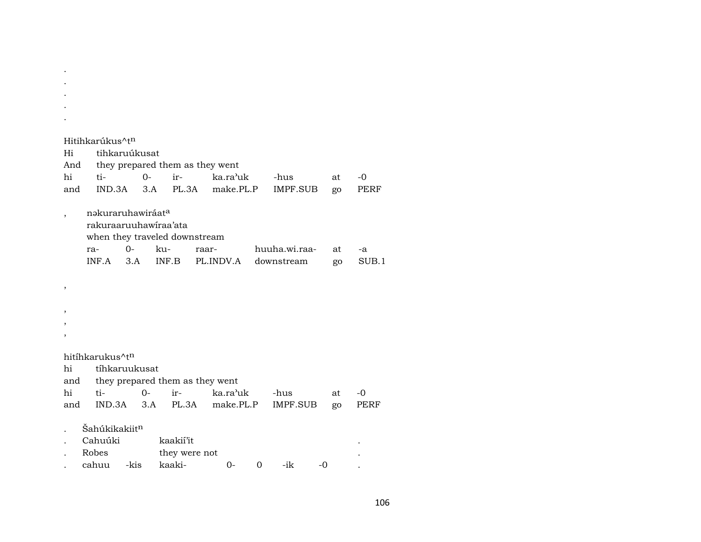. . Hitihkarúkus^t<sup>n</sup> Hi tihkaruúkusat And they prepared them as they went hi ti- 0- ir- ka.ra"uk -hus at -0 and IND.3A 3.A PL.3A make.PL.P IMPF.SUB go PERF , nəkuraruhawiráat<sup>a</sup> rakuraaruuhawíraa'ata when they traveled downstream ra- 0- ku- raar- huuha.wi.raa- at -a INF.A 3.A INF.B PL.INDV.A downstream go SUB.1 , , , , hitíhkarukus^t<sup>n</sup> hi tíhkaruukusat and they prepared them as they went hi ti- 0- ir- ka.ra"uk -hus at -0 and IND.3A 3.A PL.3A make.PL.P IMPF.SUB go PERF  $\check{\text{S}}$ ahúkikakiit $^n$ . Cahuúki kaakií'it . Robes they were not . cahuu -kis kaaki- 0- 0 -ik -0 .

. . .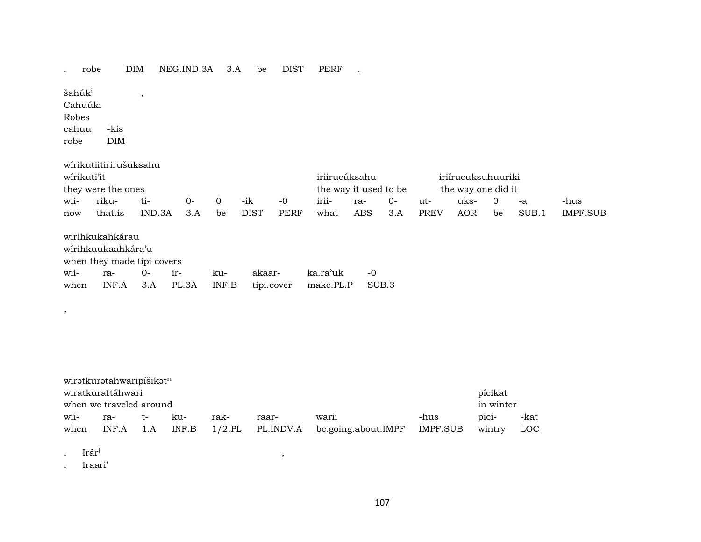| robe               |                            | DIM     | NEG.IND.3A | 3.A         | be          | DIST       | PERF                  |            |       |             |                    |              |       |                 |
|--------------------|----------------------------|---------|------------|-------------|-------------|------------|-----------------------|------------|-------|-------------|--------------------|--------------|-------|-----------------|
| šahúk <sup>i</sup> |                            | $\cdot$ |            |             |             |            |                       |            |       |             |                    |              |       |                 |
| Cahuúki            |                            |         |            |             |             |            |                       |            |       |             |                    |              |       |                 |
| Robes              |                            |         |            |             |             |            |                       |            |       |             |                    |              |       |                 |
| cahuu              | -kis                       |         |            |             |             |            |                       |            |       |             |                    |              |       |                 |
| robe               | <b>DIM</b>                 |         |            |             |             |            |                       |            |       |             |                    |              |       |                 |
|                    |                            |         |            |             |             |            |                       |            |       |             |                    |              |       |                 |
|                    | wírikutiitirirušuksahu     |         |            |             |             |            |                       |            |       |             |                    |              |       |                 |
| wirikuti'it        |                            |         |            |             |             |            | iriirucúksahu         |            |       |             | iriírucuksuhuuriki |              |       |                 |
|                    | they were the ones         |         |            |             |             |            | the way it used to be |            |       |             | the way one did it |              |       |                 |
| wii-               | riku-                      | ti-     | $0-$       | $\mathbf 0$ | -ik         | $-0$       | irii-                 | ra-        | $O -$ | ut-         | uks-               | $\mathbf{0}$ | -a    | -hus            |
| now                | that.is                    | IND.3A  | 3.A        | be          | <b>DIST</b> | PERF       | what                  | <b>ABS</b> | 3.A   | <b>PREV</b> | <b>AOR</b>         | be           | SUB.1 | <b>IMPF.SUB</b> |
|                    |                            |         |            |             |             |            |                       |            |       |             |                    |              |       |                 |
|                    | wirihkukahkárau            |         |            |             |             |            |                       |            |       |             |                    |              |       |                 |
|                    | wírihkuukaahkára'u         |         |            |             |             |            |                       |            |       |             |                    |              |       |                 |
|                    | when they made tipi covers |         |            |             |             |            |                       |            |       |             |                    |              |       |                 |
| wii-               | ra-                        | $0-$    | ir-        | ku-         | akaar-      |            | ka.ra'uk              | $-0$       |       |             |                    |              |       |                 |
| when               | INF.A                      | 3.A     | PL.3A      | INF.B       |             | tipi.cover | make.PL.P             |            | SUB.3 |             |                    |              |       |                 |
|                    |                            |         |            |             |             |            |                       |            |       |             |                    |              |       |                 |

|                                      | wirətkurətahwaripišikət <sup>n</sup> |     |       |      |       |                                      |          |        |      |  |
|--------------------------------------|--------------------------------------|-----|-------|------|-------|--------------------------------------|----------|--------|------|--|
| pícikat<br>wiratkurattáhwari         |                                      |     |       |      |       |                                      |          |        |      |  |
| in winter<br>when we traveled around |                                      |     |       |      |       |                                      |          |        |      |  |
| wii-                                 | ra-                                  | t – | ku-   | rak- | raar- | warii                                | -hus     | pici-  | -kat |  |
| when                                 | $INF.A$ 1.A                          |     | INF.B |      |       | 1/2.PL PL.INDV.A be.going.about.IMPF | IMPF.SUB | wintry | LOC  |  |

 $I \text{rár}^1$ ,  $I \text{rár}^1$ ,  $I \text{rár}^1$ ,  $I \text{rár}^1$ ,  $I \text{rár}^1$ ,  $I \text{rár}^1$ ,  $I \text{rár}^1$ ,  $I \text{rár}^1$ ,  $I \text{rár}^1$ ,  $I \text{rár}^1$ ,  $I \text{rár}^1$ ,  $I \text{rár}^1$ ,  $I \text{rár}^1$ ,  $I \text{rár}^1$ ,  $I \text{rár}^1$ ,  $I \text{rár}^1$ 

,

. Iraari'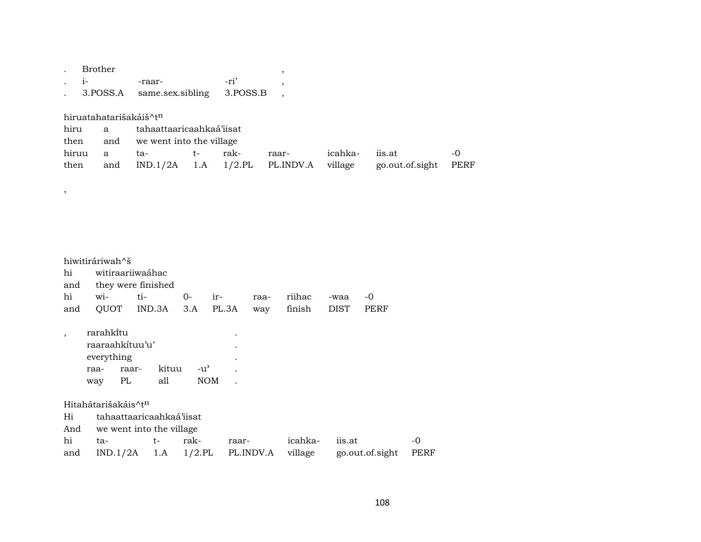| $i-$          | Brother<br>3.POSS.A    | -raar-<br>same.sex.sibling |               | -ri'<br>3.POSS.B | $\, ,$    |             |                 |                 |             |
|---------------|------------------------|----------------------------|---------------|------------------|-----------|-------------|-----------------|-----------------|-------------|
|               |                        |                            |               |                  |           |             |                 |                 |             |
|               | hiruatahatarišakáiš^tn |                            |               |                  |           |             |                 |                 |             |
| hiru          | a                      | tahaattaaricaahkaá'iisat   |               |                  |           |             |                 |                 |             |
| then          | and                    | we went into the village   |               |                  |           |             |                 |                 |             |
| hiruu         | a                      | ta-                        | $t-$          | rak-             | raar-     | icahka-     | iis.at          |                 | $-0$        |
| then          | and                    | IND.1/2A                   | 1.A           | $1/2$ .PL        | PL.INDV.A | village     |                 | go.out.of.sight | <b>PERF</b> |
|               |                        |                            |               |                  |           |             |                 |                 |             |
| $^\mathrm{,}$ |                        |                            |               |                  |           |             |                 |                 |             |
|               |                        |                            |               |                  |           |             |                 |                 |             |
|               |                        |                            |               |                  |           |             |                 |                 |             |
|               |                        |                            |               |                  |           |             |                 |                 |             |
|               |                        |                            |               |                  |           |             |                 |                 |             |
|               |                        |                            |               |                  |           |             |                 |                 |             |
|               | hiwitiráriwah^š        |                            |               |                  |           |             |                 |                 |             |
| hi            | witiraariiwaáhac       |                            |               |                  |           |             |                 |                 |             |
| and           |                        | they were finished         |               |                  |           |             |                 |                 |             |
| hi            | wi-                    | ti-                        | $O -$<br>ir-  | raa-             | riihac    | -waa        | $-0$            |                 |             |
| and           | QUOT                   | IND.3A                     | 3.A           | PL.3A<br>way     | finish    | <b>DIST</b> | <b>PERF</b>     |                 |             |
|               |                        |                            |               |                  |           |             |                 |                 |             |
|               | rarahkítu              |                            |               |                  |           |             |                 |                 |             |
|               | raaraahkituu'u'        |                            |               |                  |           |             |                 |                 |             |
|               | everything             |                            |               |                  |           |             |                 |                 |             |
|               | raa-                   | kituu<br>raar-             | $-u^{\prime}$ |                  |           |             |                 |                 |             |
|               | PL<br>way              | all                        | <b>NOM</b>    |                  |           |             |                 |                 |             |
|               |                        |                            |               |                  |           |             |                 |                 |             |
|               | Hitahátarišakáis^tn    |                            |               |                  |           |             |                 |                 |             |
| Hi            |                        | tahaattaaricaahkaá'iisat   |               |                  |           |             |                 |                 |             |
| And           |                        | we went into the village   |               |                  |           |             |                 |                 |             |
| hi            | ta-                    | t-                         | rak-          | raar-            | icahka-   | iis.at      |                 | $-0$            |             |
| and           | IND.1/2A               | 1.A                        | $1/2$ .PL     | PL.INDV.A        | village   |             | go.out.of.sight | <b>PERF</b>     |             |
|               |                        |                            |               |                  |           |             |                 |                 |             |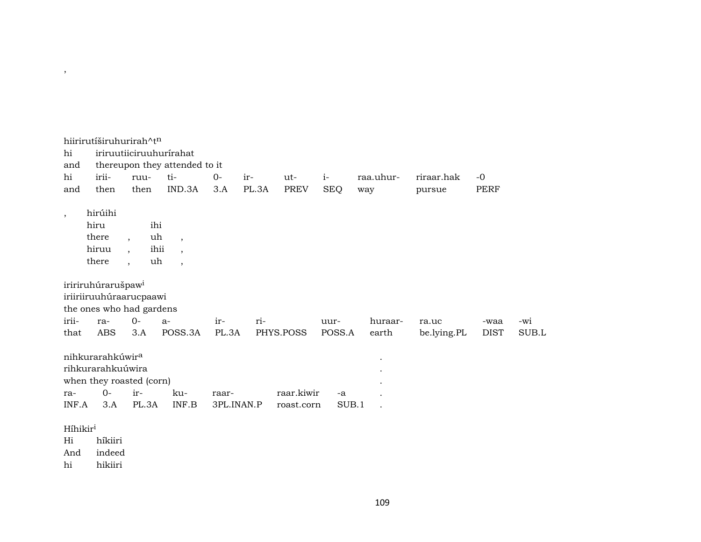| hi<br>and<br>hi<br>and                  | hiirirutíširuhurirah^tn<br>irii-<br>then                                                     | ruu-<br>then                                                                               | iriruutiiciruuhurírahat<br>thereupon they attended to it<br>ti-<br>IND.3A        | $0-$<br>3.A         | ir-<br>PL.3A | ut-<br><b>PREV</b>       | $i-$<br><b>SEQ</b> | raa.uhur-<br>way | riraar.hak<br>pursue | $-0$<br><b>PERF</b> |       |  |  |  |  |
|-----------------------------------------|----------------------------------------------------------------------------------------------|--------------------------------------------------------------------------------------------|----------------------------------------------------------------------------------|---------------------|--------------|--------------------------|--------------------|------------------|----------------------|---------------------|-------|--|--|--|--|
| $\cdot$                                 | hirúihi<br>hiru<br>there<br>hiruu<br>there                                                   | ihi<br>uh<br>$\overline{\phantom{a}}$<br>ihii<br>$\cdot$<br>uh<br>$\overline{\phantom{a}}$ | $\overline{\phantom{a}}$<br>$\overline{\phantom{a}}$<br>$\overline{\phantom{a}}$ |                     |              |                          |                    |                  |                      |                     |       |  |  |  |  |
|                                         | iririruhúrarušpaw <sup>i</sup><br>iriiriiruuhúraarucpaawi<br>the ones who had gardens        |                                                                                            |                                                                                  |                     |              |                          |                    |                  |                      |                     |       |  |  |  |  |
| irii-                                   | ra-                                                                                          | $0 -$                                                                                      | $a-$                                                                             | ir-                 | ri-          |                          | uur-               | huraar-          |                      |                     | -wi   |  |  |  |  |
| that                                    | ABS                                                                                          | 3.A                                                                                        | POSS.3A                                                                          | PL.3A               |              | PHYS.POSS                | POSS.A             | earth            | ra.uc<br>be.lying.PL | -waa<br><b>DIST</b> | SUB.L |  |  |  |  |
| ra-<br>INF.A                            | nihkurarahkúwir <sup>a</sup><br>rihkurarahkuúwira<br>when they roasted (corn)<br>$0-$<br>3.A | ir-<br>PL.3A                                                                               | ku-<br>INF.B                                                                     | raar-<br>3PL.INAN.P |              | raar.kiwir<br>roast.corn | -a<br>SUB.1        |                  |                      |                     |       |  |  |  |  |
| Híhikir <sup>i</sup><br>Hi<br>And<br>hi | híkiiri<br>indeed<br>hikiiri                                                                 |                                                                                            |                                                                                  |                     |              |                          |                    |                  |                      |                     |       |  |  |  |  |

 $\overline{\phantom{a}}$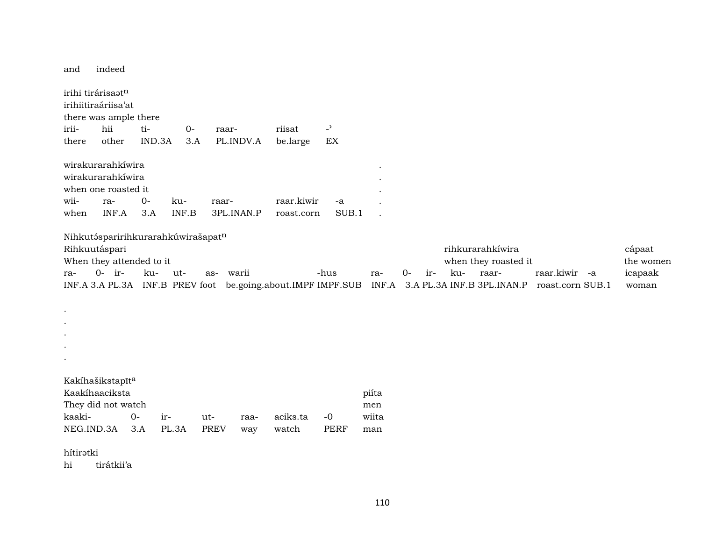| and                           | indeed                                                                                                                       |              |        |       |                     |      |                                                              |                            |               |                                         |      |     |                                                 |       |  |               |                  |                                         |
|-------------------------------|------------------------------------------------------------------------------------------------------------------------------|--------------|--------|-------|---------------------|------|--------------------------------------------------------------|----------------------------|---------------|-----------------------------------------|------|-----|-------------------------------------------------|-------|--|---------------|------------------|-----------------------------------------|
|                               | irihi tirárisaatn<br>irihiitiraáriisa'at<br>there was ample there<br>hii<br>$\overline{a}$<br>ti-<br>riisat<br>$0-$<br>raar- |              |        |       |                     |      |                                                              |                            |               |                                         |      |     |                                                 |       |  |               |                  |                                         |
| irii-                         |                                                                                                                              |              |        |       |                     |      |                                                              |                            |               |                                         |      |     |                                                 |       |  |               |                  |                                         |
| there                         | other                                                                                                                        |              | IND.3A | 3.A   | PL.INDV.A           |      | be.large                                                     | $\mathop{\rm EX}\nolimits$ |               |                                         |      |     |                                                 |       |  |               |                  |                                         |
| wii-<br>when                  | wirakurarahkíwira<br>wirakurarahkíwira<br>when one roasted it<br>ra-<br>INF.A                                                | $O -$<br>3.A | ku-    | INF.B | raar-<br>3PL.INAN.P |      | raar.kiwir<br>roast.corn                                     |                            | $-a$<br>SUB.1 |                                         |      |     |                                                 |       |  |               |                  |                                         |
| ra-<br>$\bullet$<br>$\bullet$ | Nihkutásparirihkurarahkúwirašapatn<br>Rihkuutáspari<br>When they attended to it<br>$0-$ ir-                                  | ku-          | ut-    |       | warii<br>as-        |      | INF.A 3.A PL.3A INF.B PREV foot be.going.about.IMPF IMPF.SUB | -hus                       |               | ra-<br>INF.A 3.A PL.3A INF.B 3PL.INAN.P | $0-$ | ir- | rihkurarahkíwira<br>when they roasted it<br>ku- | raar- |  | raar.kiwir -a | roast.corn SUB.1 | cápaat<br>the women<br>icapaak<br>woman |
|                               |                                                                                                                              |              |        |       |                     |      |                                                              |                            |               |                                         |      |     |                                                 |       |  |               |                  |                                         |
|                               |                                                                                                                              |              |        |       |                     |      |                                                              |                            |               |                                         |      |     |                                                 |       |  |               |                  |                                         |
| $\bullet$                     |                                                                                                                              |              |        |       |                     |      |                                                              |                            |               |                                         |      |     |                                                 |       |  |               |                  |                                         |
| kaaki-                        | Kakíhašikstapīta<br>Kaakíhaaciksta<br>They did not watch                                                                     | $O -$        | ir-    | ut-   |                     | raa- | aciks.ta                                                     | $-0$                       |               | piíta<br>men<br>wiita                   |      |     |                                                 |       |  |               |                  |                                         |
| NEG.IND.3A                    |                                                                                                                              | 3.A          | PL.3A  |       | <b>PREV</b>         | way  | watch                                                        | <b>PERF</b>                |               | man                                     |      |     |                                                 |       |  |               |                  |                                         |
| hítirətki                     |                                                                                                                              |              |        |       |                     |      |                                                              |                            |               |                                         |      |     |                                                 |       |  |               |                  |                                         |

hi tirátkii'a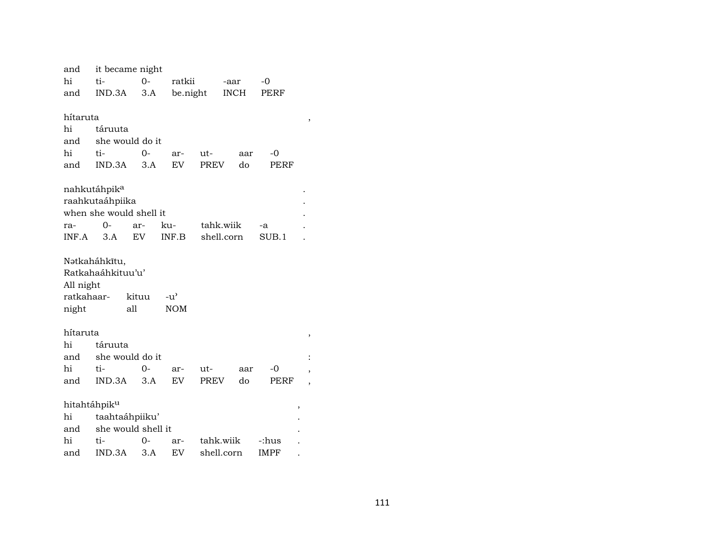| and                      | it became night          |       |                                     |             |             |     |             |   |
|--------------------------|--------------------------|-------|-------------------------------------|-------------|-------------|-----|-------------|---|
| hi                       | ti-                      | $O -$ | ratkii                              |             | -aar        |     | -0          |   |
| and                      | IND.3A                   | 3.A   | be.night                            |             | <b>INCH</b> |     | PERF        |   |
|                          |                          |       |                                     |             |             |     |             |   |
| hítaruta                 |                          |       |                                     |             |             |     |             | , |
| hi                       | táruuta                  |       |                                     |             |             |     |             |   |
| and                      | she would do it          |       |                                     |             |             |     |             |   |
| hi                       | ti-                      | $O -$ | ar-                                 | ut-         |             | aar | -0          |   |
| and                      | IND.3A                   | 3.A   | <b>EV</b>                           | <b>PREV</b> |             | do  | PERF        |   |
|                          | nahkutáhpik <sup>a</sup> |       |                                     |             |             |     |             |   |
|                          | raahkutaáhpiika          |       |                                     |             |             |     |             |   |
|                          | when she would shell it  |       |                                     |             |             |     |             |   |
| ra-                      | 0-                       | ar-   | ku-                                 | tahk.wiik   |             |     | -a          |   |
| INF.A                    | 3.A                      | EV    | INF.B                               | shell.corn  |             |     | SUB.1       |   |
|                          |                          |       |                                     |             |             |     |             |   |
|                          | Nətkaháhkītu,            |       |                                     |             |             |     |             |   |
|                          | Ratkahaáhkituu'u'        |       |                                     |             |             |     |             |   |
| All night                |                          |       |                                     |             |             |     |             |   |
| ratkahaar-               |                          | kituu | $-u$ <sup><math>\prime</math></sup> |             |             |     |             |   |
| night                    | all                      |       | <b>NOM</b>                          |             |             |     |             |   |
|                          |                          |       |                                     |             |             |     |             |   |
| hítaruta                 |                          |       |                                     |             |             |     |             | , |
| hi                       | táruuta                  |       |                                     |             |             |     |             |   |
| and                      | she would do it          |       |                                     |             |             |     |             |   |
| hi                       | ti-                      | 0-    | ar-                                 | ut-         |             | aar | -0          | , |
| and                      | IND.3A                   | 3.A   | EV                                  | PREV        |             | do  | PERF        |   |
|                          |                          |       |                                     |             |             |     |             |   |
| hitahtáhpik <sup>u</sup> |                          |       |                                     |             |             |     | ,           |   |
| hi                       | taahtaáhpiiku'           |       |                                     |             |             |     |             |   |
| and                      | she would shell it       |       |                                     |             |             |     |             |   |
| hi                       | ti-                      | $O -$ | ar-                                 | tahk.wiik   |             |     | -:hus       |   |
| and                      | IND.3A                   | 3.A   | EV                                  | shell.corn  |             |     | <b>IMPF</b> |   |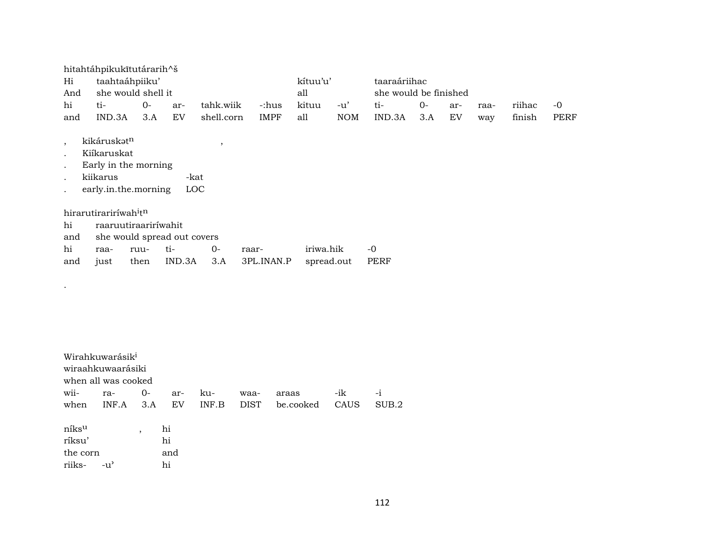| hitahtáhpikukītutárarih^š<br>taahtaáhpiiku'<br>kítuu'u'<br>taaraáriihac<br>Hi<br>she would shell it<br>she would be finished<br>all<br>And<br>hi<br>$O -$<br>ti-<br>$O -$<br>ti-<br>tahk.wiik<br>kituu<br>$-u'$<br>riihac<br>-:hus<br>ar-<br>ar-<br>raa- |                                                                                                    |      |                             |                        |             |            |     |        |     |    |     |        |      |  |
|----------------------------------------------------------------------------------------------------------------------------------------------------------------------------------------------------------------------------------------------------------|----------------------------------------------------------------------------------------------------|------|-----------------------------|------------------------|-------------|------------|-----|--------|-----|----|-----|--------|------|--|
|                                                                                                                                                                                                                                                          |                                                                                                    |      |                             |                        |             |            |     |        |     |    |     |        | $-0$ |  |
| and                                                                                                                                                                                                                                                      | IND.3A                                                                                             | 3.A  | <b>EV</b>                   | shell.corn             | <b>IMPF</b> | all        | NOM | IND.3A | 3.A | EV | way | finish | PERF |  |
| $\cdot$<br>$\bullet$<br>$\bullet$                                                                                                                                                                                                                        | kikáruskat <sup>n</sup><br>Kiíkaruskat<br>Early in the morning<br>kiikarus<br>early.in.the.morning |      |                             | $\cdot$<br>-kat<br>LOC |             |            |     |        |     |    |     |        |      |  |
|                                                                                                                                                                                                                                                          | hirarutirariríwah <sup>itn</sup>                                                                   |      |                             |                        |             |            |     |        |     |    |     |        |      |  |
| hi                                                                                                                                                                                                                                                       | raaruutiraaririwahit                                                                               |      |                             |                        |             |            |     |        |     |    |     |        |      |  |
| and                                                                                                                                                                                                                                                      |                                                                                                    |      | she would spread out covers |                        |             |            |     |        |     |    |     |        |      |  |
| hi                                                                                                                                                                                                                                                       | raa-                                                                                               | ruu- | ti-                         | $O-$                   | raar-       | iriwa.hik  |     | $-0$   |     |    |     |        |      |  |
| and                                                                                                                                                                                                                                                      | just                                                                                               | then | IND.3A                      | 3.A                    | 3PL.INAN.P  | spread.out |     | PERF   |     |    |     |        |      |  |

|                                       | Wirahkuwarásik <sup>i</sup><br>wiraahkuwaarásiki<br>when all was cooked |                          |                       |              |                     |                    |             |               |  |  |  |  |  |  |  |
|---------------------------------------|-------------------------------------------------------------------------|--------------------------|-----------------------|--------------|---------------------|--------------------|-------------|---------------|--|--|--|--|--|--|--|
| wii-<br>when                          | ra-<br>INF.A                                                            | $0-$<br>3.A              | ar-<br>EV             | ku-<br>INF.B | waa-<br><b>DIST</b> | araas<br>be.cooked | -ik<br>CAUS | $-i$<br>SUB.2 |  |  |  |  |  |  |  |
| níksu<br>ríksu'<br>the corn<br>riiks- | $-11'$                                                                  | $\overline{\phantom{a}}$ | hi<br>hi<br>and<br>hi |              |                     |                    |             |               |  |  |  |  |  |  |  |

.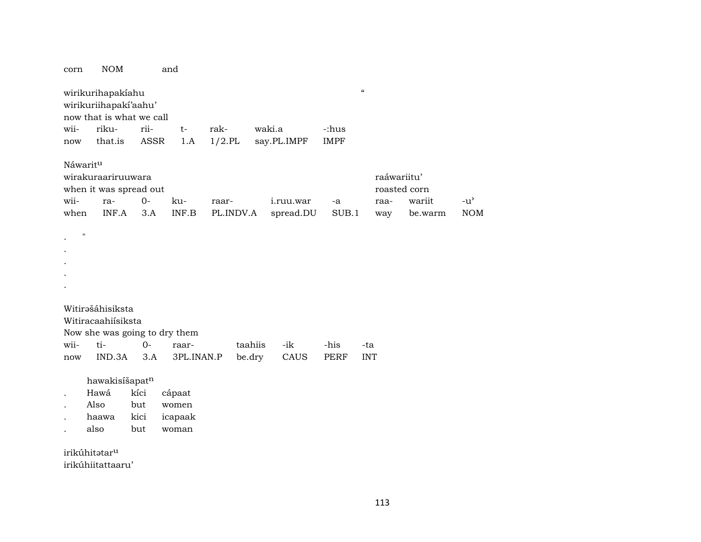| corn                     | <b>NOM</b>                                                                                 |                            | and                                 |                    |                   |                        |                      |                                            |                   |                             |
|--------------------------|--------------------------------------------------------------------------------------------|----------------------------|-------------------------------------|--------------------|-------------------|------------------------|----------------------|--------------------------------------------|-------------------|-----------------------------|
| wii-<br>now              | wirikurihapakíahu<br>wirikuriihapakí'aahu'<br>now that is what we call<br>riku-<br>that.is | rii-<br><b>ASSR</b>        | $t-$<br>1.A                         | rak-<br>$1/2$ .PL  |                   | waki.a<br>say.PL.IMPF  | -:hus<br><b>IMPF</b> | $\boldsymbol{\mathcal{C}}$                 |                   |                             |
| Náwaritu<br>wii-<br>when | wirakuraariruuwara<br>when it was spread out<br>ra-<br>INF.A                               | $0-$<br>3.A                | ku-<br>INF.B                        | raar-<br>PL.INDV.A |                   | i.ruu.war<br>spread.DU | -a<br>SUB.1          | raáwariitu'<br>roasted corn<br>raa-<br>way | wariit<br>be.warm | $-u^{\prime}$<br><b>NOM</b> |
|                          | $\pmb{\mathsf{H}}$                                                                         |                            |                                     |                    |                   |                        |                      |                                            |                   |                             |
| wii-<br>now              | Witirašáhisiksta<br>Witiracaahiisiksta<br>Now she was going to dry them<br>ti-<br>IND.3A   | $O -$<br>3.A               | raar-<br>3PL.INAN.P                 |                    | taahiis<br>be.dry | -ik<br>CAUS            | -his<br><b>PERF</b>  | -ta<br><b>INT</b>                          |                   |                             |
|                          | hawakisíšapatn<br>Hawá<br>Also<br>haawa<br>also<br>irikúhitatar <sup>u</sup>               | kíci<br>but<br>kici<br>but | cápaat<br>women<br>icapaak<br>woman |                    |                   |                        |                      |                                            |                   |                             |

irikúhiitattaaru'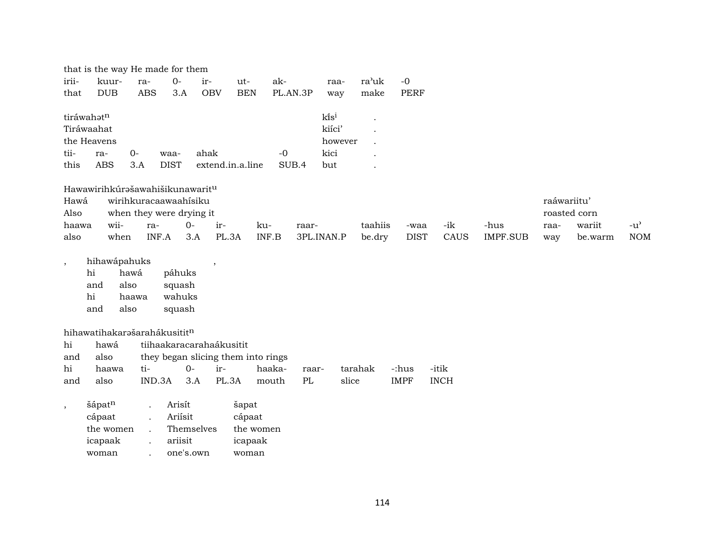|                          | that is the way He made for them<br>$0-$<br>kuur-<br>ir-<br>$-0$<br>ra-<br>ak-<br>ra'uk<br>$ut-$<br>raa-<br><b>PERF</b><br><b>DUB</b><br><b>ABS</b><br>3.A<br>OBV<br><b>BEN</b><br>PL.AN.3P<br>make<br>way |                                 |                   |                          |                                    |                 |            |                      |             |             |                 |      |         |                                   |
|--------------------------|------------------------------------------------------------------------------------------------------------------------------------------------------------------------------------------------------------|---------------------------------|-------------------|--------------------------|------------------------------------|-----------------|------------|----------------------|-------------|-------------|-----------------|------|---------|-----------------------------------|
| irii-                    |                                                                                                                                                                                                            |                                 |                   |                          |                                    |                 |            |                      |             |             |                 |      |         |                                   |
| that                     |                                                                                                                                                                                                            |                                 |                   |                          |                                    |                 |            |                      |             |             |                 |      |         |                                   |
|                          | tiráwahatn                                                                                                                                                                                                 |                                 |                   |                          |                                    |                 | kisi       |                      |             |             |                 |      |         |                                   |
|                          | Tiráwaahat                                                                                                                                                                                                 |                                 |                   |                          |                                    |                 | kiíci'     | $\ddot{\phantom{0}}$ |             |             |                 |      |         |                                   |
|                          | the Heavens                                                                                                                                                                                                |                                 |                   |                          |                                    |                 | however    |                      |             |             |                 |      |         |                                   |
| tii-                     | ra-                                                                                                                                                                                                        | $O -$                           | waa-              | ahak                     |                                    | $-0$            | kici       |                      |             |             |                 |      |         |                                   |
| this                     | <b>ABS</b>                                                                                                                                                                                                 | 3.A                             | <b>DIST</b>       |                          | extend.in.a.line                   | SUB.4           | but        |                      |             |             |                 |      |         |                                   |
|                          |                                                                                                                                                                                                            |                                 |                   |                          |                                    |                 |            |                      |             |             |                 |      |         |                                   |
|                          | Hawawirihkúrašawahišikunawaritu                                                                                                                                                                            |                                 |                   |                          |                                    |                 |            |                      |             |             |                 |      |         |                                   |
|                          | Hawá<br>wirihkuracaawaahisiku<br>raáwariitu'                                                                                                                                                               |                                 |                   |                          |                                    |                 |            |                      |             |             |                 |      |         |                                   |
| Also                     | when they were drying it<br>roasted corn                                                                                                                                                                   |                                 |                   |                          |                                    |                 |            |                      |             |             |                 |      |         |                                   |
| haawa                    | wii-                                                                                                                                                                                                       | ra-                             | $0-$              | ir-                      | ku-                                | raar-           |            | taahiis              | -waa        | -ik         | -hus            | raa- | wariit  | $-u$ <sup><math>\sim</math></sup> |
| also                     | when                                                                                                                                                                                                       | INF.A                           |                   | 3.A<br>PL.3A             |                                    | INF.B           | 3PL.INAN.P | be.dry               | <b>DIST</b> | CAUS        | <b>IMPF.SUB</b> | way  | be.warm | <b>NOM</b>                        |
|                          |                                                                                                                                                                                                            |                                 |                   |                          |                                    |                 |            |                      |             |             |                 |      |         |                                   |
| $\overline{\phantom{a}}$ | hihawápahuks<br>hi                                                                                                                                                                                         | hawá                            | páhuks            | $\overline{\phantom{a}}$ |                                    |                 |            |                      |             |             |                 |      |         |                                   |
|                          | and<br>also                                                                                                                                                                                                |                                 | squash            |                          |                                    |                 |            |                      |             |             |                 |      |         |                                   |
|                          | hi                                                                                                                                                                                                         | haawa                           | wahuks            |                          |                                    |                 |            |                      |             |             |                 |      |         |                                   |
|                          | and<br>also                                                                                                                                                                                                |                                 | squash            |                          |                                    |                 |            |                      |             |             |                 |      |         |                                   |
|                          |                                                                                                                                                                                                            |                                 |                   |                          |                                    |                 |            |                      |             |             |                 |      |         |                                   |
|                          | hihawatihakarašarahákusititn                                                                                                                                                                               |                                 |                   |                          |                                    |                 |            |                      |             |             |                 |      |         |                                   |
| hi                       | hawá                                                                                                                                                                                                       |                                 |                   | tiihaakaracarahaákusitit |                                    |                 |            |                      |             |             |                 |      |         |                                   |
| and                      | also                                                                                                                                                                                                       |                                 |                   |                          | they began slicing them into rings |                 |            |                      |             |             |                 |      |         |                                   |
| hi                       | haawa                                                                                                                                                                                                      | ti-                             | $0-$              | ir-                      |                                    | haaka-<br>raar- |            | tarahak              | -:hus       | -itik       |                 |      |         |                                   |
| and                      | also                                                                                                                                                                                                       | IND.3A                          |                   | 3.A<br>PL.3A             |                                    | PL<br>mouth     | slice      |                      | <b>IMPF</b> | <b>INCH</b> |                 |      |         |                                   |
|                          |                                                                                                                                                                                                            |                                 |                   |                          |                                    |                 |            |                      |             |             |                 |      |         |                                   |
| $\cdot$                  | šápatn<br>cápaat                                                                                                                                                                                           | $\ddot{\phantom{a}}$            | Arisít<br>Ariisit |                          | šapat<br>cápaat                    |                 |            |                      |             |             |                 |      |         |                                   |
|                          | the women                                                                                                                                                                                                  | $\ddot{\phantom{a}}$            | Themselves        |                          | the women                          |                 |            |                      |             |             |                 |      |         |                                   |
|                          | icapaak                                                                                                                                                                                                    | $\ddot{\phantom{a}}$<br>$\cdot$ | ariisit           |                          | icapaak                            |                 |            |                      |             |             |                 |      |         |                                   |
|                          | woman                                                                                                                                                                                                      |                                 | one's.own         |                          | woman                              |                 |            |                      |             |             |                 |      |         |                                   |
|                          |                                                                                                                                                                                                            |                                 |                   |                          |                                    |                 |            |                      |             |             |                 |      |         |                                   |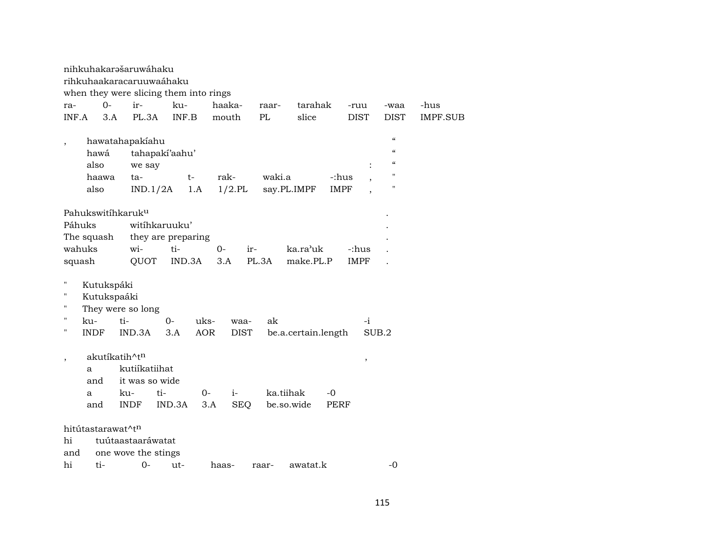|                                                           | nihkuhakarašaruwáhaku<br>rihkuhaakaracaruuwaáhaku<br>when they were slicing them into rings   |                    |             |                   |                       |                     |                      |                                                                       |                 |  |  |  |  |  |  |
|-----------------------------------------------------------|-----------------------------------------------------------------------------------------------|--------------------|-------------|-------------------|-----------------------|---------------------|----------------------|-----------------------------------------------------------------------|-----------------|--|--|--|--|--|--|
| ra-                                                       | $0-$<br>ir-                                                                                   | ku-                |             | haaka-            | raar-                 | tarahak             | -ruu                 | -waa                                                                  | -hus            |  |  |  |  |  |  |
| INF.A                                                     | 3.A<br>PL.3A                                                                                  | INF.B              |             | mouth             | PL                    | slice               | <b>DIST</b>          | <b>DIST</b>                                                           | <b>IMPF.SUB</b> |  |  |  |  |  |  |
| $\overline{\phantom{a}}$<br>hawá<br>also<br>haawa<br>also | hawatahapakiahu<br>we say<br>ta-<br>IND.1/2A                                                  | tahapakí'aahu'     | $t-$<br>1.A | rak-<br>$1/2$ .PL | waki.a<br>say.PL.IMPF |                     | -:hus<br><b>IMPF</b> | $\epsilon\epsilon$<br>$\epsilon$<br>$\epsilon$<br>$\blacksquare$<br>" |                 |  |  |  |  |  |  |
|                                                           | Pahukswitihkaruk <sup>u</sup>                                                                 |                    |             |                   |                       |                     |                      |                                                                       |                 |  |  |  |  |  |  |
| Páhuks                                                    |                                                                                               | witihkaruuku'      |             |                   |                       |                     |                      |                                                                       |                 |  |  |  |  |  |  |
| The squash                                                |                                                                                               | they are preparing |             |                   |                       |                     |                      |                                                                       |                 |  |  |  |  |  |  |
| wahuks                                                    | wi-                                                                                           | ti-                | $O -$       | ir-               |                       | ka.ra'uk            | -:hus                |                                                                       |                 |  |  |  |  |  |  |
| squash                                                    |                                                                                               |                    |             |                   |                       |                     | <b>IMPF</b>          |                                                                       |                 |  |  |  |  |  |  |
| Ħ<br>11<br>11                                             | IND.3A<br>PL.3A<br>make.PL.P<br>QUOT<br>3.A<br>Kutukspáki<br>Kutukspaáki<br>They were so long |                    |             |                   |                       |                     |                      |                                                                       |                 |  |  |  |  |  |  |
| $\pmb{\mathsf{H}}$<br>ku-                                 | ti-                                                                                           | $0-$               | uks-        | waa-              | ak                    |                     | -i                   |                                                                       |                 |  |  |  |  |  |  |
| $\pmb{\mathsf{H}}$<br><b>INDF</b>                         | IND.3A                                                                                        | 3.A                | <b>AOR</b>  | <b>DIST</b>       |                       | be.a.certain.length |                      | SUB.2                                                                 |                 |  |  |  |  |  |  |
| $\overline{ }$<br>a<br>and<br>a                           | akutíkatih^tn<br>kutiíkatiihat<br>it was so wide<br>ku-                                       | ti-                | $0-$        | $i-$              | ka.tiihak             | -0                  | $\, ,$               |                                                                       |                 |  |  |  |  |  |  |
| and                                                       | <b>INDF</b>                                                                                   | IND.3A             | 3.A         | <b>SEQ</b>        | be.so.wide            |                     | PERF                 |                                                                       |                 |  |  |  |  |  |  |
| hitútastarawat^t <sup>n</sup><br>hi<br>and                | tuútaastaaráwatat<br>one wove the stings                                                      |                    |             |                   |                       |                     |                      |                                                                       |                 |  |  |  |  |  |  |
| hi<br>ti-                                                 | $0 -$                                                                                         | ut-                | haas-       |                   | raar-                 | awatat.k            |                      | $-0$                                                                  |                 |  |  |  |  |  |  |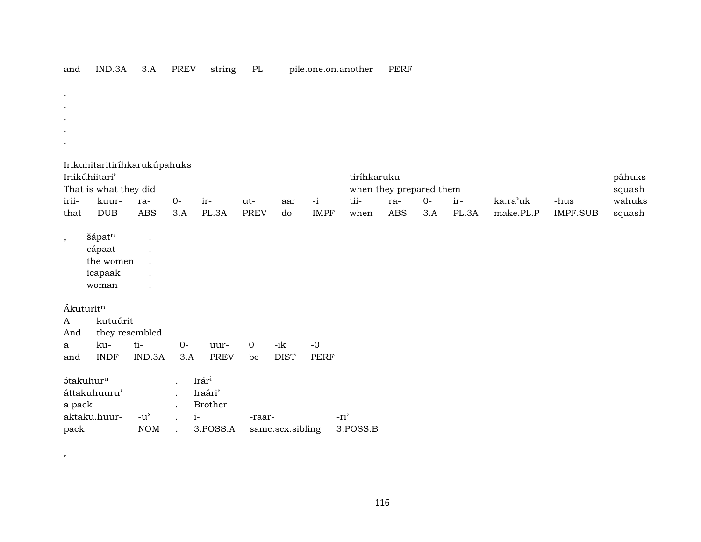| and                      | IND.3A                       | 3.A            | <b>PREV</b> | string            | PL             |                  |             | pile.one.on.another | PERF                    |      |       |           |                 |        |
|--------------------------|------------------------------|----------------|-------------|-------------------|----------------|------------------|-------------|---------------------|-------------------------|------|-------|-----------|-----------------|--------|
|                          |                              |                |             |                   |                |                  |             |                     |                         |      |       |           |                 |        |
| $\bullet$                |                              |                |             |                   |                |                  |             |                     |                         |      |       |           |                 |        |
|                          |                              |                |             |                   |                |                  |             |                     |                         |      |       |           |                 |        |
|                          |                              |                |             |                   |                |                  |             |                     |                         |      |       |           |                 |        |
| $\bullet$                |                              |                |             |                   |                |                  |             |                     |                         |      |       |           |                 |        |
|                          | Irikuhitaritiríhkarukúpahuks |                |             |                   |                |                  |             |                     |                         |      |       |           |                 |        |
|                          | Iriikúhiitari'               |                |             |                   |                |                  |             | tiríhkaruku         |                         |      |       |           |                 | páhuks |
|                          | That is what they did        |                |             |                   |                |                  |             |                     | when they prepared them |      |       |           |                 | squash |
| irii-                    | kuur-                        | ra-            | $O -$       | ir-               | ut-            | aar              | $-i$        | tii-                | ra-                     | $0-$ | ir-   | ka.ra'uk  | -hus            | wahuks |
| that                     | DUB                          | <b>ABS</b>     | 3.A         | PL.3A             | <b>PREV</b>    | do               | <b>IMPF</b> | when                | <b>ABS</b>              | 3.A  | PL.3A | make.PL.P | <b>IMPF.SUB</b> | squash |
|                          | šápatn                       |                |             |                   |                |                  |             |                     |                         |      |       |           |                 |        |
| $\overline{\phantom{a}}$ | cápaat                       |                |             |                   |                |                  |             |                     |                         |      |       |           |                 |        |
|                          | the women                    |                |             |                   |                |                  |             |                     |                         |      |       |           |                 |        |
|                          | icapaak                      |                |             |                   |                |                  |             |                     |                         |      |       |           |                 |        |
|                          | woman                        |                |             |                   |                |                  |             |                     |                         |      |       |           |                 |        |
|                          |                              |                |             |                   |                |                  |             |                     |                         |      |       |           |                 |        |
| Ákuturitn                |                              |                |             |                   |                |                  |             |                     |                         |      |       |           |                 |        |
| A                        | kutuúrit                     |                |             |                   |                |                  |             |                     |                         |      |       |           |                 |        |
| And                      |                              | they resembled |             |                   |                |                  |             |                     |                         |      |       |           |                 |        |
| a                        | ku-                          | ti-            | $O -$       | uur-              | $\overline{0}$ | $-ik$            | $-0$        |                     |                         |      |       |           |                 |        |
| and                      | <b>INDF</b>                  | IND.3A         | 3.A         | <b>PREV</b>       | be             | <b>DIST</b>      | <b>PERF</b> |                     |                         |      |       |           |                 |        |
| átakuhur <sup>u</sup>    |                              |                |             | Irár <sup>i</sup> |                |                  |             |                     |                         |      |       |           |                 |        |
|                          | áttakuhuuru'                 |                |             | Iraári'           |                |                  |             |                     |                         |      |       |           |                 |        |
| a pack                   |                              |                |             | Brother           |                |                  |             |                     |                         |      |       |           |                 |        |
|                          | aktaku.huur-                 | $-u^{\prime}$  | $i-$        |                   | -raar-         |                  |             | -ri'                |                         |      |       |           |                 |        |
| pack                     |                              | $\rm{NOM}$     |             | 3.POSS.A          |                | same.sex.sibling |             | 3.POSS.B            |                         |      |       |           |                 |        |

 $\overline{\phantom{a}}$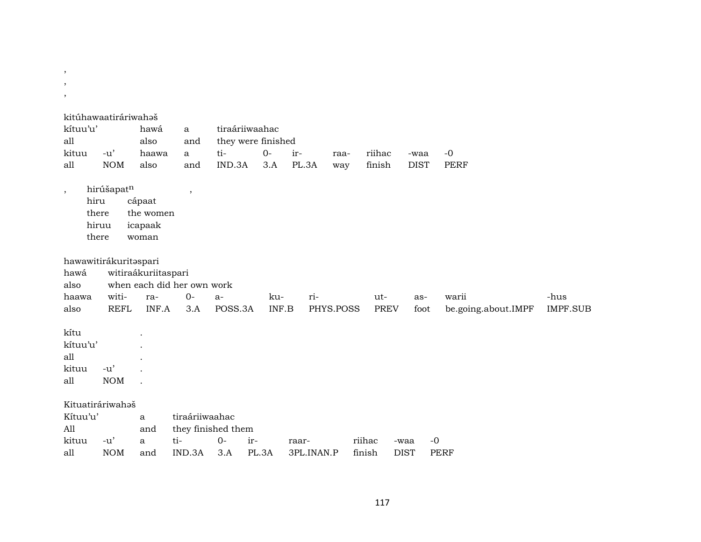| $\, ,$  |          |                       |                     |                            |                    |       |            |           |             |              |                     |                 |
|---------|----------|-----------------------|---------------------|----------------------------|--------------------|-------|------------|-----------|-------------|--------------|---------------------|-----------------|
| $\cdot$ |          |                       |                     |                            |                    |       |            |           |             |              |                     |                 |
| $\,$    |          |                       |                     |                            |                    |       |            |           |             |              |                     |                 |
|         |          | kitúhawaatiráriwahaš  |                     |                            |                    |       |            |           |             |              |                     |                 |
|         | kítuu'u' |                       | hawá                | a                          | tiraáriiwaahac     |       |            |           |             |              |                     |                 |
| all     |          |                       | also                | and                        | they were finished |       |            |           |             |              |                     |                 |
|         | kituu    | $-u'$                 | haawa               | $\mathbf{a}$               | ti-                | $0-$  | ir-        | raa-      | riihac      | -waa         | $-0$                |                 |
| all     |          | <b>NOM</b>            | also                | and                        | IND.3A             | 3.A   | PL.3A      | way       | finish      | <b>DIST</b>  | <b>PERF</b>         |                 |
|         |          |                       |                     |                            |                    |       |            |           |             |              |                     |                 |
| ,       |          | hirúšapatn            |                     | $\,$                       |                    |       |            |           |             |              |                     |                 |
|         | hiru     |                       | cápaat              |                            |                    |       |            |           |             |              |                     |                 |
|         |          | there                 | the women           |                            |                    |       |            |           |             |              |                     |                 |
|         |          | hiruu                 | icapaak             |                            |                    |       |            |           |             |              |                     |                 |
|         |          | there                 | woman               |                            |                    |       |            |           |             |              |                     |                 |
|         |          |                       |                     |                            |                    |       |            |           |             |              |                     |                 |
|         |          | hawawitirákuritaspari |                     |                            |                    |       |            |           |             |              |                     |                 |
|         | hawá     |                       | witiraákuriitaspari |                            |                    |       |            |           |             |              |                     |                 |
|         | also     |                       |                     | when each did her own work |                    |       |            |           |             |              |                     |                 |
|         | haawa    | witi-                 | ra-                 | $0-$                       | $a-$               | ku-   | ri-        |           | ut-         | as-          | warii               | -hus            |
|         | also     | <b>REFL</b>           | INF.A               | 3.A                        | POSS.3A            | INF.B |            | PHYS.POSS | <b>PREV</b> | foot         | be.going.about.IMPF | <b>IMPF.SUB</b> |
|         |          |                       |                     |                            |                    |       |            |           |             |              |                     |                 |
|         | kítu     |                       |                     |                            |                    |       |            |           |             |              |                     |                 |
|         | kítuu'u' |                       |                     |                            |                    |       |            |           |             |              |                     |                 |
| all     |          |                       |                     |                            |                    |       |            |           |             |              |                     |                 |
|         | kituu    | $-u'$                 |                     |                            |                    |       |            |           |             |              |                     |                 |
| all     |          | <b>NOM</b>            |                     |                            |                    |       |            |           |             |              |                     |                 |
|         |          |                       |                     |                            |                    |       |            |           |             |              |                     |                 |
|         |          | Kituatiráriwahoš      |                     |                            |                    |       |            |           |             |              |                     |                 |
|         | Kítuu'u' |                       | a                   | tiraáriiwaahac             |                    |       |            |           |             |              |                     |                 |
| All     |          |                       | and                 |                            | they finished them |       |            |           |             |              |                     |                 |
|         | kituu    | $-u'$                 | a                   | ti-                        | $O -$<br>ir-       |       | raar-      |           | riihac      | $-0$<br>-waa |                     |                 |
| all     |          | <b>NOM</b>            | and                 | IND.3A                     | 3.A                | PL.3A | 3PL.INAN.P |           | finish      | <b>DIST</b>  | <b>PERF</b>         |                 |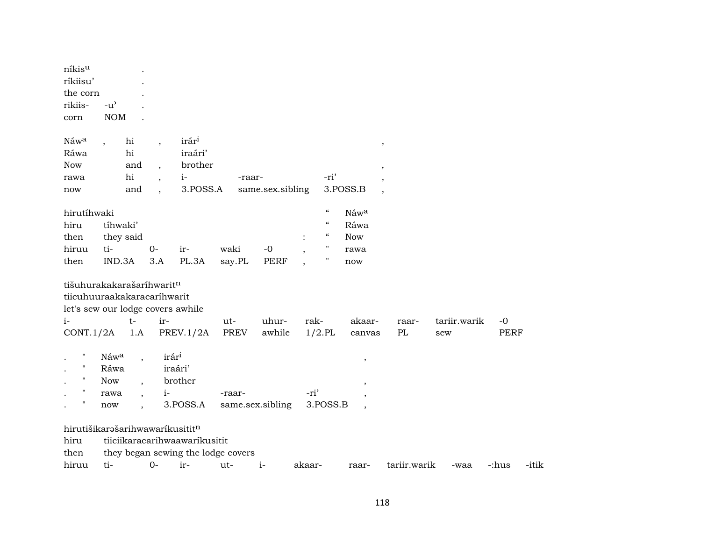| níkis <sup>u</sup><br>ríkiisu'<br>the corn<br>rikiis-<br>corn                             | $-u^{\prime}$<br><b>NOM</b>                                                                                   |                          |                                                             |                            |                     |        |                                                                      |                                             |              |                     |                |
|-------------------------------------------------------------------------------------------|---------------------------------------------------------------------------------------------------------------|--------------------------|-------------------------------------------------------------|----------------------------|---------------------|--------|----------------------------------------------------------------------|---------------------------------------------|--------------|---------------------|----------------|
| Náwa<br>Ráwa<br><b>Now</b><br>rawa<br>now                                                 | hi<br>hi<br>and<br>hi<br>and                                                                                  |                          | irár <sup>i</sup><br>iraári'<br>brother<br>$i-$<br>3.POSS.A | -raar-                     | same.sex.sibling    |        | -ri'                                                                 | 3.POSS.B                                    | $\,$         |                     |                |
| hirutíhwaki<br>hiru<br>then<br>hiruu<br>then                                              | tíhwaki'<br>they said<br>ti-<br>IND.3A                                                                        | $O -$<br>3.A             | ir-<br>PL.3A                                                | waki<br>say.PL             | $-0$<br><b>PERF</b> |        | $\epsilon\epsilon$<br>$\epsilon\epsilon$<br>$\mathcal{C}$<br>н<br>11 | Náwa<br>Ráwa<br><b>Now</b><br>rawa<br>now   |              |                     |                |
| $i-$<br>CONT.1/2A                                                                         | tišuhurakakarašaríhwaritn<br>tiicuhuuraakakaracaríhwarit<br>let's sew our lodge covers awhile<br>$t-$<br>1.A  | ir-                      | PREV.1/2A                                                   | ut-<br>PREV                | uhur-<br>awhile     | rak-   | $1/2$ .PL                                                            | akaar-<br>canvas                            | raar-<br>PL  | tariir.warik<br>sew | $-0$<br>PERF   |
| Ħ<br>$\pmb{\mathsf{H}}$<br>$\pmb{\mathsf{H}}$<br>$\pmb{\mathsf{H}}$<br>$\pmb{\mathsf{H}}$ | Náwa<br>Ráwa<br><b>Now</b><br>$\ddot{\phantom{1}}$<br>rawa<br>$\ddot{\phantom{0}}$<br>now                     | irári<br>iraári'<br>$i-$ | brother<br>3.POSS.A                                         | -raar-<br>same.sex.sibling |                     | -ri'   | 3.POSS.B                                                             | $\,$<br>$\cdot$<br>$\overline{\phantom{a}}$ |              |                     |                |
| hiru<br>then<br>hiruu                                                                     | hirutišikarašarihwawaríkusititn<br>tiiciikaracarihwaawaríkusitit<br>they began sewing the lodge covers<br>ti- | $0-$                     | ir-                                                         | ut-                        | $i-$                | akaar- |                                                                      | raar-                                       | tariir.warik | -waa                | -:hus<br>-itik |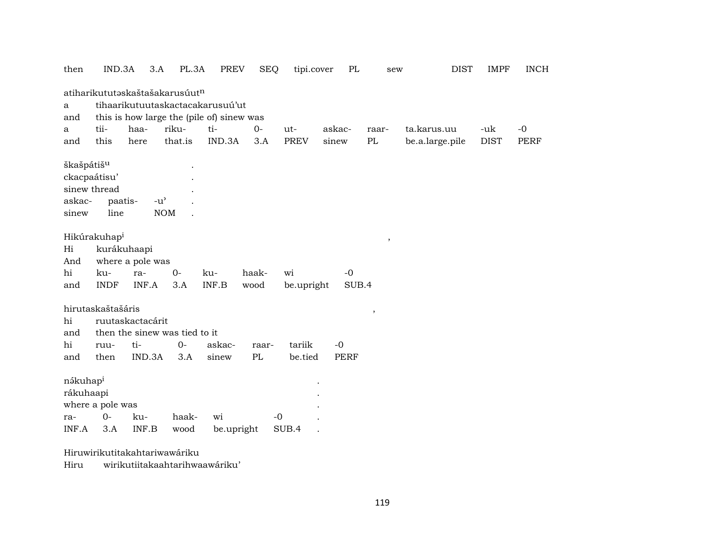| then                                      | IND.3A                                          | 3.A                                                                | PL.3A       | PREV                                                                          | <b>SEQ</b>                      | tipi.cover        | PL                  | sew    | <b>DIST</b>     | <b>IMPF</b> | <b>INCH</b> |
|-------------------------------------------|-------------------------------------------------|--------------------------------------------------------------------|-------------|-------------------------------------------------------------------------------|---------------------------------|-------------------|---------------------|--------|-----------------|-------------|-------------|
| a<br>and                                  |                                                 | atiharikututaskaštašakarusúutn                                     |             | tihaarikutuutaskactacakarusuú'ut<br>this is how large the (pile of) sinew was |                                 |                   |                     |        |                 |             |             |
| a                                         | tii-                                            | haa-                                                               | riku-       | ti-                                                                           | $0-$                            | ut-               | askac-              | raar-  | ta.karus.uu     | -uk         | $-0$        |
| and                                       | this                                            | here                                                               | that.is     | IND.3A                                                                        | 3.A                             | <b>PREV</b>       | sinew               | PL     | be.a.large.pile | <b>DIST</b> | <b>PERF</b> |
| škašpátiš <sup>u</sup><br>askac-<br>sinew | ckacpaátisu'<br>sinew thread<br>paatis-<br>line | $-u$ <sup><math>\prime</math></sup>                                | <b>NOM</b>  |                                                                               |                                 |                   |                     |        |                 |             |             |
| Hi<br>And                                 | Hikúrakuhap <sup>i</sup>                        | kurákuhaapi<br>where a pole was                                    |             |                                                                               |                                 |                   |                     | $\, ,$ |                 |             |             |
| hi                                        | ku-                                             | ra-                                                                | $0-$        | ku-                                                                           | haak-                           | wi                | $-0$                |        |                 |             |             |
| and                                       | <b>INDF</b>                                     | INF.A                                                              | 3.A         | INF.B                                                                         | wood                            | be.upright        |                     | SUB.4  |                 |             |             |
| hi<br>and<br>hi<br>and                    | hirutaskaštašáris<br>ruu-<br>then               | ruutaskactacárit<br>then the sinew was tied to it<br>ti-<br>IND.3A | $0-$<br>3.A | askac-<br>sinew                                                               | raar-<br>$\mathbf{P}\mathbf{L}$ | tariik<br>be.tied | $-0$<br><b>PERF</b> | $\,$   |                 |             |             |
| nákuhap <sup>i</sup><br>rákuhaapi         | where a pole was                                |                                                                    |             |                                                                               |                                 |                   |                     |        |                 |             |             |
| ra-                                       | $O -$                                           | ku-                                                                | haak-       | wi                                                                            | $-0$                            |                   |                     |        |                 |             |             |
| INF.A                                     | 3.A                                             | INF.B                                                              | wood        | be.upright                                                                    |                                 | SUB.4             |                     |        |                 |             |             |

Hiruwirikutitakahtariwawáriku

wirikutiitakaahtarihwaawáriku' Hiru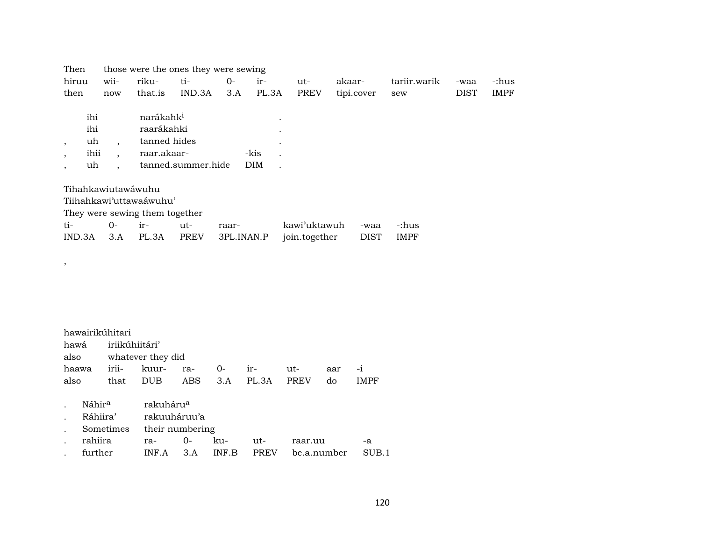| Then               |                                | those were the ones they were sewing |                                                                    |                    |            |                                 |               |             |              |             |             |  |  |  |
|--------------------|--------------------------------|--------------------------------------|--------------------------------------------------------------------|--------------------|------------|---------------------------------|---------------|-------------|--------------|-------------|-------------|--|--|--|
| hiruu              |                                | wii-                                 | riku-                                                              | ti-                | $0-$       | ir-                             | ut-           | akaar-      | tariir.warik | -waa        | -:hus       |  |  |  |
| then               |                                | now                                  | that.is                                                            | IND.3A             | 3.A        | PL.3A                           | <b>PREV</b>   | tipi.cover  | sew          | <b>DIST</b> | <b>IMPF</b> |  |  |  |
| $\cdot$<br>$\cdot$ | ihi<br>ihi<br>uh<br>ihii<br>uh |                                      | narákahk <sup>i</sup><br>raarákahki<br>tanned hides<br>raar.akaar- | tanned.summer.hide |            | $\bullet$<br>-kis<br><b>DIM</b> |               |             |              |             |             |  |  |  |
|                    |                                | Tihahkawiutawáwuhu                   |                                                                    |                    |            |                                 |               |             |              |             |             |  |  |  |
|                    |                                |                                      | Tiihahkawi'uttawaáwuhu'                                            |                    |            |                                 |               |             |              |             |             |  |  |  |
|                    |                                |                                      | They were sewing them together                                     |                    |            |                                 |               |             |              |             |             |  |  |  |
| ti-                |                                | $O -$                                | $ir-$                                                              | ut-                | raar-      |                                 | kawi'uktawuh  | -waa        | -:hus        |             |             |  |  |  |
| IND.3A             |                                | 3.A                                  | PL.3A                                                              | <b>PREV</b>        | 3PL.INAN.P |                                 | join.together | <b>DIST</b> | <b>IMPF</b>  |             |             |  |  |  |
|                    |                                |                                      |                                                                    |                    |            |                                 |               |             |              |             |             |  |  |  |

| hawairikúhitari |                                                     |                        |  |  |         |  |     |  |  |  |  |  |  |
|-----------------|-----------------------------------------------------|------------------------|--|--|---------|--|-----|--|--|--|--|--|--|
|                 | hawá iriikúhiitári'                                 |                        |  |  |         |  |     |  |  |  |  |  |  |
|                 |                                                     | also whatever they did |  |  |         |  |     |  |  |  |  |  |  |
| haawa           |                                                     | irii- kuur- ra- 0-     |  |  | ir- ut- |  | aar |  |  |  |  |  |  |
| also            | DUB ABS 3.A PL.3A PREV<br>that<br><b>IMPF</b><br>do |                        |  |  |         |  |     |  |  |  |  |  |  |

,

| $\mathbf{L}$               | Náhir <sup>a</sup> rakuháru <sup>a</sup> |                             |  |  |                                                |    |  |  |  |  |  |  |
|----------------------------|------------------------------------------|-----------------------------|--|--|------------------------------------------------|----|--|--|--|--|--|--|
| $\mathcal{L}^{\text{max}}$ | Ráhiira' rakuuháruu'a                    |                             |  |  |                                                |    |  |  |  |  |  |  |
|                            |                                          | . Sometimes their numbering |  |  |                                                |    |  |  |  |  |  |  |
|                            | . rahiira  ra-  0- ku-  ut-              |                             |  |  | raar.uu                                        | -a |  |  |  |  |  |  |
| $\mathbf{r}$               |                                          |                             |  |  | further INF.A 3.A INF.B PREV be.a.number SUB.1 |    |  |  |  |  |  |  |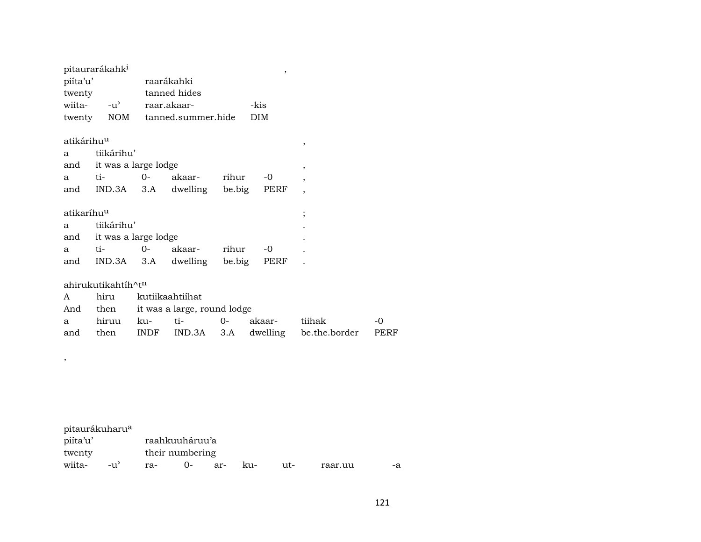| pitaurarákahk <sup>i</sup> |                                |             |                               |       | ,          |                          |      |
|----------------------------|--------------------------------|-------------|-------------------------------|-------|------------|--------------------------|------|
| piíta'u'                   |                                |             | raarákahki                    |       |            |                          |      |
| twenty                     |                                |             | tanned hides                  |       |            |                          |      |
| wiita-                     | $-u^{\prime}$                  |             | raar.akaar-                   |       | -kis       |                          |      |
|                            |                                |             | twenty NOM tanned.summer.hide |       | <b>DIM</b> |                          |      |
| atikárihu <sup>u</sup>     |                                |             |                               |       |            | ,                        |      |
| a                          | tiikárihu'                     |             |                               |       |            |                          |      |
|                            | and it was a large lodge       |             |                               |       |            | ,                        |      |
| a                          | ti-                            | $O -$       | akaar-                        | rihur | $-0$       | $\overline{ }$           |      |
| and                        | $IND.3A$ $3.A$                 |             | dwelling be.big               |       | PERF       | $\overline{\phantom{a}}$ |      |
| atikaríhu <sup>u</sup>     |                                |             |                               |       |            | $\vdots$                 |      |
| a                          | tiikárihu'                     |             |                               |       |            |                          |      |
| and                        | it was a large lodge           |             |                               |       |            |                          |      |
| a                          | ti-                            | $O -$       | akaar- rihur                  |       | $-0$       |                          |      |
| and                        | IND.3A                         | 3.A         | dwelling be.big               |       | PERF       |                          |      |
|                            | ahirukutikahtíh^t <sup>n</sup> |             |                               |       |            |                          |      |
| A                          | hiru                           |             | kutiikaahtiihat               |       |            |                          |      |
|                            |                                |             |                               |       |            |                          |      |
| And                        | then                           |             | it was a large, round lodge   |       |            |                          |      |
| a                          | hiruu                          | ku-         | ti-                           | $0 -$ | akaar-     | tiihak                   | -0   |
| and                        | then                           | <b>INDF</b> | IND.3A                        | 3.A   | dwelling   | be.the.border            | PERF |

,

pitaurákuharu<sup>a</sup><br>piíta'u' raahkuuháruu'a twenty<br>
wiita- -u' ra- 0- a -u' ra- 0- ar- ku- ut- raar.uu -a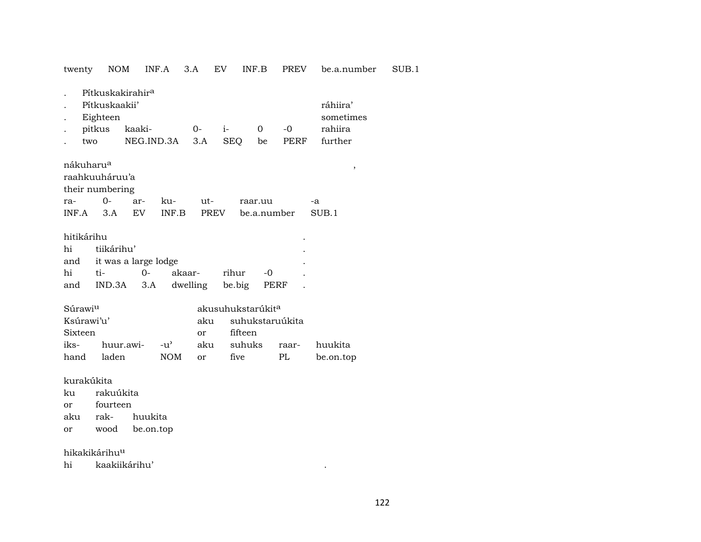twenty NOM INF.A 3.A EV INF.B PREV be.a.number SUB.1

. Pítkuskakirahir<sup>a</sup>

| Pitkuskaakii'   | ráhiira'                           |  |                 |  |  |         |  |  |  |  |  |  |
|-----------------|------------------------------------|--|-----------------|--|--|---------|--|--|--|--|--|--|
|                 | . Eighteen                         |  |                 |  |  |         |  |  |  |  |  |  |
| . pitkus kaaki- |                                    |  | $0 - i - 0 - 0$ |  |  | rahiira |  |  |  |  |  |  |
| two             | NEG.IND.3A 3.A SEO be PERF further |  |                 |  |  |         |  |  |  |  |  |  |

| nákuharu <sup>a</sup> |  |  |                                           |    |  |
|-----------------------|--|--|-------------------------------------------|----|--|
| raahkuuháruu'a        |  |  |                                           |    |  |
| their numbering       |  |  |                                           |    |  |
|                       |  |  | raar.uu                                   | -а |  |
|                       |  |  | INF.A 3.A EV INF.B PREV be.a.number SUB.1 |    |  |

| hitikárihu |                |                          |                                     |       |       |  |  |  |  |  |  |
|------------|----------------|--------------------------|-------------------------------------|-------|-------|--|--|--|--|--|--|
| hi         | tiikárihu'     |                          |                                     |       |       |  |  |  |  |  |  |
|            |                | and it was a large lodge |                                     |       |       |  |  |  |  |  |  |
| hi         | $t_{i}$ $\sim$ | $O-$                     | akaar-                              | rihur | $-()$ |  |  |  |  |  |  |
|            |                |                          | and IND.3A 3.A dwelling be.big PERF |       |       |  |  |  |  |  |  |

| Súrawi <sup>u</sup> |                                             |       | akusuhukstarúkit <sup>a</sup> |                     |    |           |  |  |  |  |
|---------------------|---------------------------------------------|-------|-------------------------------|---------------------|----|-----------|--|--|--|--|
| Ksúrawi'u'          |                                             |       |                               | aku suhukstaruúkita |    |           |  |  |  |  |
| Sixteen             |                                             |       | $\alpha$ r                    | fifteen             |    |           |  |  |  |  |
|                     | iks- huur.awi- -u' aku suhuks raar- huukita |       |                               |                     |    |           |  |  |  |  |
|                     | hand laden                                  | NOM – | or                            | five                | PL | be.on.top |  |  |  |  |

kurakúkita

ku rakuúkita

or fourteen

aku rak- huukita

or wood be.on.top

hikakikárihu<sup>u</sup>

hi kaakiikárihu' .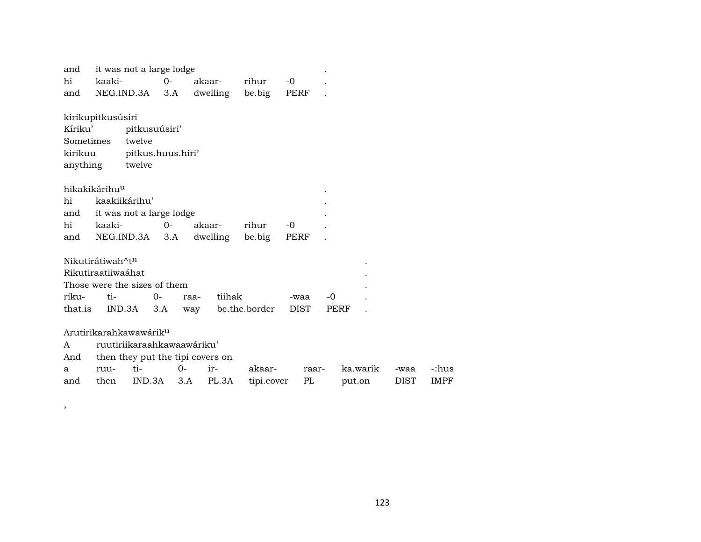| and          |                              | it was not a large lodge           |       |        |          |               |      |       |        |          |             |             |
|--------------|------------------------------|------------------------------------|-------|--------|----------|---------------|------|-------|--------|----------|-------------|-------------|
| hi           | kaaki-                       |                                    | $O -$ | akaar- |          | rihur         | $-0$ |       |        |          |             |             |
| and          |                              | NEG.IND.3A                         | 3.A   |        | dwelling | be.big        | PERF |       |        |          |             |             |
|              | kirikupitkusúsiri            |                                    |       |        |          |               |      |       |        |          |             |             |
| Kíriku'      |                              | pitkusuúsiri'                      |       |        |          |               |      |       |        |          |             |             |
| Sometimes    |                              | twelve                             |       |        |          |               |      |       |        |          |             |             |
| kirikuu      |                              | pitkus.huus.hiri'                  |       |        |          |               |      |       |        |          |             |             |
| anything     |                              | twelve                             |       |        |          |               |      |       |        |          |             |             |
|              | hikakikárihu <sup>u</sup>    |                                    |       |        |          |               |      |       |        |          |             |             |
| hi           |                              | kaakiikárihu'                      |       |        |          |               |      |       |        |          |             |             |
| and          |                              | it was not a large lodge           |       |        |          |               |      |       |        |          |             |             |
| hi           | kaaki-                       |                                    | $O -$ | akaar- |          | rihur         | $-0$ |       |        |          |             |             |
| and          |                              | NEG.IND.3A                         | 3.A   |        | dwelling | be.big        | PERF |       |        |          |             |             |
|              | Nikutirátiwah^t <sup>n</sup> |                                    |       |        |          |               |      |       |        |          |             |             |
|              | Rikutiraatiiwaáhat           |                                    |       |        |          |               |      |       |        |          |             |             |
|              |                              | Those were the sizes of them       |       |        |          |               |      |       |        |          |             |             |
| riku-        | ti-                          | $0-$                               |       | raa-   | tiihak   |               | -waa | $-0$  |        |          |             |             |
| that.is      |                              | IND.3A                             | 3.A   | way    |          | be.the.border | DIST |       | PERF   |          |             |             |
|              |                              | Arutirikarahkawawárik <sup>u</sup> |       |        |          |               |      |       |        |          |             |             |
| $\mathsf{A}$ |                              | ruutiriikaraahkawaawáriku'         |       |        |          |               |      |       |        |          |             |             |
| And          |                              | then they put the tipi covers on   |       |        |          |               |      |       |        |          |             |             |
| a            | ruu-                         | ti-                                | $O -$ | ir-    |          | akaar-        |      | raar- |        | ka.warik | -waa        | -:hus       |
| and          | then                         | IND.3A                             | 3.A   |        | PL.3A    | tipi.cover    |      | PL    | put.on |          | <b>DIST</b> | <b>IMPF</b> |

,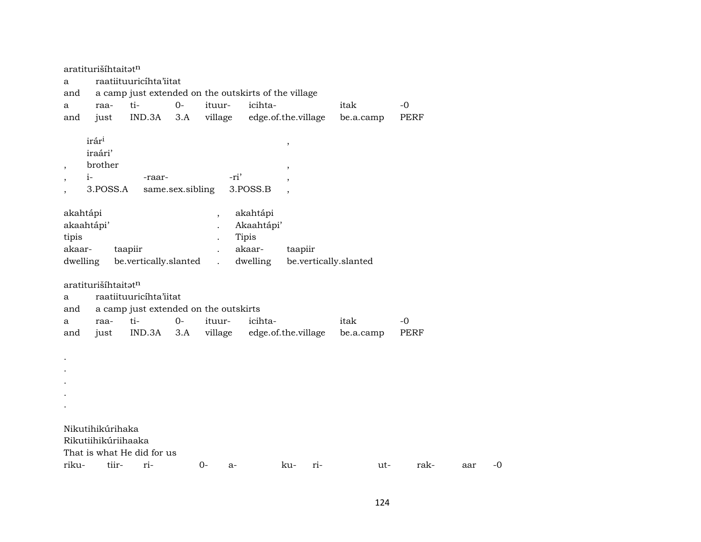|                 | aratiturišíhtaitatn                             |                                                                 |                  |                                                  |                                                       |                                                   |     |                       |             |     |    |
|-----------------|-------------------------------------------------|-----------------------------------------------------------------|------------------|--------------------------------------------------|-------------------------------------------------------|---------------------------------------------------|-----|-----------------------|-------------|-----|----|
| a               |                                                 | raatiituuricíhta'iitat                                          |                  |                                                  |                                                       |                                                   |     |                       |             |     |    |
| and             |                                                 | a camp just extended on the outskirts of the village            |                  |                                                  |                                                       |                                                   |     |                       |             |     |    |
| a               | raa-                                            | ti-                                                             | $0-$             | ituur-                                           | icihta-                                               |                                                   |     | itak                  | $-0$        |     |    |
| and             | just                                            | IND.3A                                                          | 3.A              | village                                          | edge.of.the.village                                   |                                                   |     | be.a.camp             | <b>PERF</b> |     |    |
| $\cdot$         | irári<br>iraári'<br>brother<br>$i-$<br>3.POSS.A | -raar-                                                          | same.sex.sibling | -ri'                                             | 3.POSS.B                                              | $^\mathrm{^{^\circ}}$<br>$\overline{\phantom{a}}$ |     |                       |             |     |    |
| tipis<br>akaar- | akahtápi<br>akaahtápi'<br>dwelling              | taapiir<br>be.vertically.slanted                                |                  | $\overline{\phantom{a}}$<br>$\ddot{\phantom{a}}$ | akahtápi<br>Akaahtápi'<br>Tipis<br>akaar-<br>dwelling | taapiir                                           |     | be.vertically.slanted |             |     |    |
| а<br>and        | aratiturišíhtaitatn                             | raatiituuricíhta'iitat<br>a camp just extended on the outskirts |                  |                                                  |                                                       |                                                   |     |                       |             |     |    |
| a               | raa-                                            | ti-                                                             | $0-$             | ituur-                                           | icihta-                                               |                                                   |     | itak                  | $-0$        |     |    |
| and             | just                                            | IND.3A                                                          | 3.A              | village                                          | edge.of.the.village                                   |                                                   |     | be.a.camp             | PERF        |     |    |
|                 | Nikutihikúrihaka                                |                                                                 |                  |                                                  |                                                       |                                                   |     |                       |             |     |    |
|                 | Rikutiihikúriihaaka                             |                                                                 |                  |                                                  |                                                       |                                                   |     |                       |             |     |    |
|                 |                                                 | That is what He did for us                                      |                  |                                                  |                                                       |                                                   |     |                       |             |     |    |
| riku-           | tiir-                                           | ri-                                                             |                  | $0-$<br>$a-$                                     |                                                       | ku-                                               | ri- | ut-                   | rak-        | aar | -0 |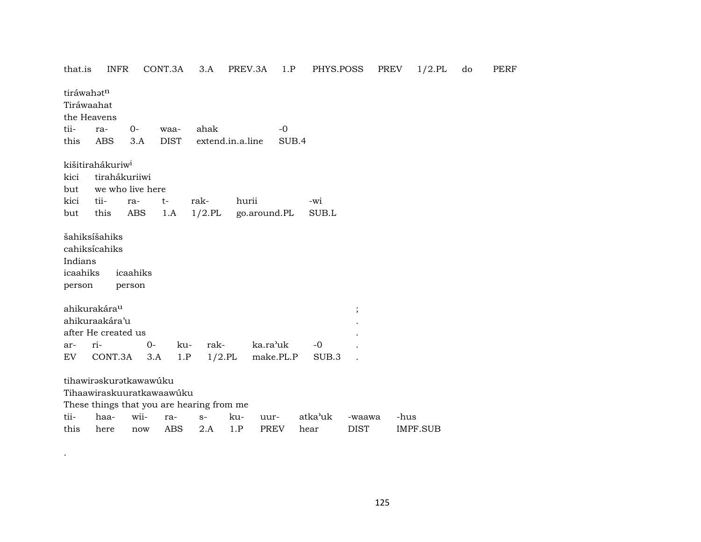| that.is                       | <b>INFR</b>                                                                       |                    | CONT.3A     | 3.A                                       | PREV.3A               | 1.P         | PHYS.POSS    |             | PREV | $1/2$ .PL       | do | PE |
|-------------------------------|-----------------------------------------------------------------------------------|--------------------|-------------|-------------------------------------------|-----------------------|-------------|--------------|-------------|------|-----------------|----|----|
| tiráwahatn                    | Tiráwaahat<br>the Heavens                                                         |                    |             |                                           |                       |             |              |             |      |                 |    |    |
| tii-                          | ra-                                                                               | 0-                 | waa-        | ahak                                      |                       | $-0$        |              |             |      |                 |    |    |
| this                          | <b>ABS</b>                                                                        | 3.A                | <b>DIST</b> |                                           | extend.in.a.line      | SUB.4       |              |             |      |                 |    |    |
| kici<br>but<br>kici<br>but    | kišitirahákuriw <sup>i</sup><br>tirahákuriiwi<br>we who live here<br>tii-<br>this | ra-<br><b>ABS</b>  | t-<br>1.A   | rak-<br>$1/2$ .PL                         | hurii<br>go.around.PL |             | -wi<br>SUB.L |             |      |                 |    |    |
| Indians<br>icaahiks<br>person | šahiksíšahiks<br>cahiksícahiks                                                    | icaahiks<br>person |             |                                           |                       |             |              |             |      |                 |    |    |
|                               | ahikurakára <sup>u</sup>                                                          |                    |             |                                           |                       |             |              | $\vdots$    |      |                 |    |    |
|                               | ahikuraakára'u                                                                    |                    |             |                                           |                       |             |              |             |      |                 |    |    |
|                               | after He created us                                                               |                    |             |                                           |                       |             |              |             |      |                 |    |    |
| ar-                           | ri-                                                                               | 0-                 | ku-         | rak-                                      | ka.ra'uk              |             | $-0$         |             |      |                 |    |    |
| EV.                           | CONT.3A                                                                           |                    | 1.P<br>3.A  | $1/2$ .PL                                 |                       | make.PL.P   | SUB.3        |             |      |                 |    |    |
|                               | tihawiraskuratkawawúku<br>Tihaawiraskuuratkawaawúku                               |                    |             | These things that you are hearing from me |                       |             |              |             |      |                 |    |    |
| tii-                          | haa-                                                                              | wii-               | ra-         | $S-$                                      | ku-<br>uur-           |             | atka'uk      | -waawa      | -hus |                 |    |    |
| this                          | here                                                                              | now                | <b>ABS</b>  | 2.A                                       | 1.P                   | <b>PREV</b> | hear         | <b>DIST</b> |      | <b>IMPF.SUB</b> |    |    |

 $\mathcal{L}^{\mathcal{L}}$  . The set of  $\mathcal{L}^{\mathcal{L}}$ 

that.is INFR CONT.3A 3.A PREV.3A 1.P PHYS.POSS PREV 1/2.PL do PERF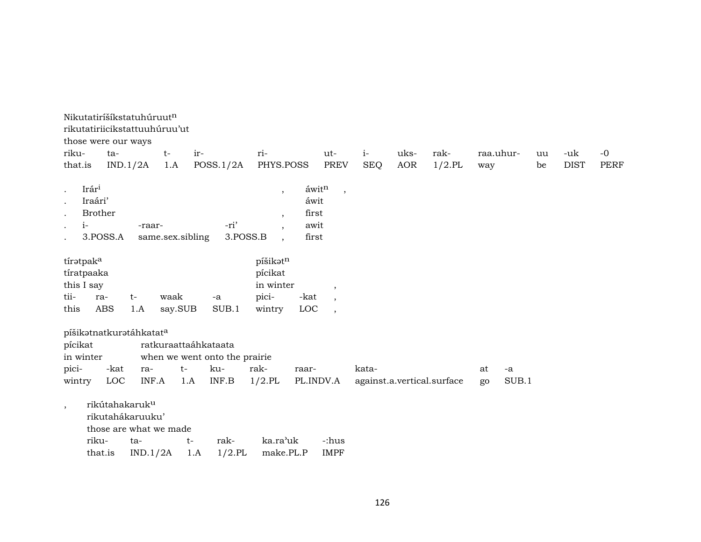| riku-<br>that.is                                          | Nikutatiríšíkstatuhúruutn<br>rikutatiriicikstattuuhúruu'ut<br>those were our ways<br>ta-     | IND.1/2A        | $t-$<br>1.A                         | ir-         | POSS.1/2A                                     | ri-<br>PHYS.POSS                                    |                                         | ut-<br><b>PREV</b>                                      | $i-$<br><b>SEQ</b> | uks-<br><b>AOR</b> | rak-<br>$1/2$ .PL          | raa.uhur-<br>way |             | uu<br>be | -uk<br><b>DIST</b> | $-0$<br><b>PERF</b> |
|-----------------------------------------------------------|----------------------------------------------------------------------------------------------|-----------------|-------------------------------------|-------------|-----------------------------------------------|-----------------------------------------------------|-----------------------------------------|---------------------------------------------------------|--------------------|--------------------|----------------------------|------------------|-------------|----------|--------------------|---------------------|
| $\bullet$<br>$\cdot$<br>$\bullet$<br>$\bullet$<br>$\cdot$ | Irár <sup>i</sup><br>Iraári'<br><b>Brother</b><br>$i-$<br>3.POSS.A                           | -raar-          | same.sex.sibling                    |             | -ri'<br>3.POSS.B                              | $\cdot$<br>$\cdot$<br>$\overline{\phantom{a}}$      | áwitn<br>áwit<br>first<br>awit<br>first | $\cdot$                                                 |                    |                    |                            |                  |             |          |                    |                     |
| tii-<br>this                                              | tíratpak <sup>a</sup><br>tíratpaaka<br>this I say<br>ra-<br><b>ABS</b>                       | $t-$<br>1.A     | waak<br>say.SUB                     |             | $\mbox{-a}$<br>SUB.1                          | píšikatn<br>pícikat<br>in winter<br>pici-<br>wintry | -kat<br>LOC                             | $\cdot$<br>$\overline{ }$ ,<br>$\overline{\phantom{a}}$ |                    |                    |                            |                  |             |          |                    |                     |
| pícikat<br>pici-<br>wintry                                | píšikatnatkuratáhkatata<br>in winter<br>-kat<br>LOC                                          | ra-<br>INF.A    | ratkuraattaáhkataata<br>$t-$<br>1.A |             | when we went onto the prairie<br>ku-<br>INF.B | rak-<br>$1/2$ .PL                                   | raar-<br>PL.INDV.A                      |                                                         | kata-              |                    | against.a.vertical.surface | at<br>go         | -a<br>SUB.1 |          |                    |                     |
| $\overline{ }$ ,                                          | rikútahakaruk <sup>u</sup><br>rikutahákaruuku'<br>those are what we made<br>riku-<br>that.is | ta-<br>IND.1/2A |                                     | $t-$<br>1.A | rak-<br>$1/2$ .PL                             | ka.ra'uk<br>make.PL.P                               |                                         | -:hus<br><b>IMPF</b>                                    |                    |                    |                            |                  |             |          |                    |                     |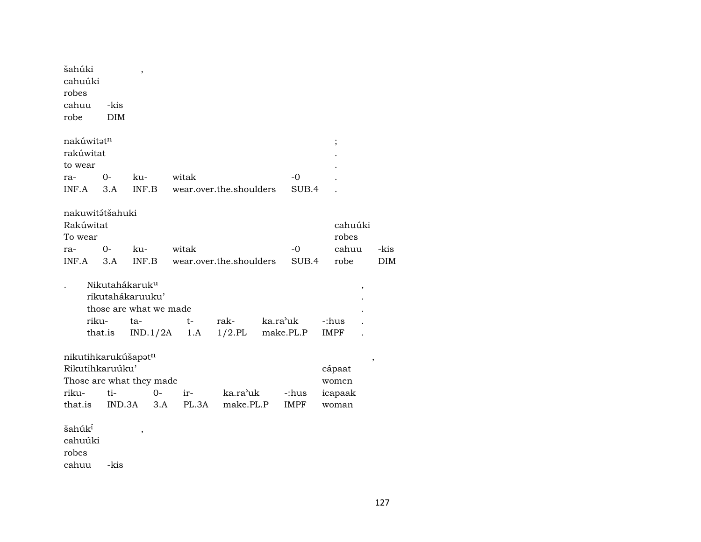| šahúki<br>cahuúki<br>robes                                                             |               |                                                                          |       |       |                         |          |                      |                                     |   |            |
|----------------------------------------------------------------------------------------|---------------|--------------------------------------------------------------------------|-------|-------|-------------------------|----------|----------------------|-------------------------------------|---|------------|
| cahuu                                                                                  | -kis          |                                                                          |       |       |                         |          |                      |                                     |   |            |
| robe                                                                                   | <b>DIM</b>    |                                                                          |       |       |                         |          |                      |                                     |   |            |
| nakúwitatn<br>rakúwitat<br>to wear<br>ra-<br>INF.A                                     | $O -$<br>3.A  | ku-<br>INF.B                                                             | witak |       | wear.over.the.shoulders |          | $-0$<br>SUB.4        | $\vdots$                            |   |            |
|                                                                                        |               |                                                                          |       |       |                         |          |                      |                                     |   |            |
| nakuwitátšahuki<br>Rakúwitat<br>To wear                                                |               |                                                                          |       |       |                         |          |                      | cahuúki<br>robes                    |   |            |
| ra-                                                                                    | $0-$          | ku-                                                                      | witak |       |                         |          | $-0$                 | cahuu                               |   | -kis       |
| INF.A                                                                                  | 3.A           | INF.B                                                                    |       |       | wear.over.the.shoulders |          | SUB.4                | robe                                |   | <b>DIM</b> |
|                                                                                        |               |                                                                          |       |       |                         |          |                      |                                     |   |            |
|                                                                                        |               | Nikutahákaruk <sup>u</sup><br>rikutahákaruuku'<br>those are what we made |       |       |                         |          |                      |                                     | , |            |
| riku-                                                                                  |               | ta-                                                                      | $t-$  |       | rak-                    | ka.ra'uk |                      | -:hus                               |   |            |
|                                                                                        | that.is       | IND.1/2A                                                                 |       | 1.A   | $1/2$ .PL               |          | make.PL.P            | IMPF                                |   |            |
| nikutihkarukúšapatn<br>Rikutihkaruúku'<br>Those are what they made<br>riku-<br>that.is | ti-<br>IND.3A | $0-$<br>3.A                                                              | ir-   | PL.3A | ka.ra'uk<br>make.PL.P   |          | -:hus<br><b>IMPF</b> | cápaat<br>women<br>icapaak<br>woman | , |            |
| šahúk <sup>í</sup><br>cahuúki<br>robes<br>cahuu                                        | -kis          | ,                                                                        |       |       |                         |          |                      |                                     |   |            |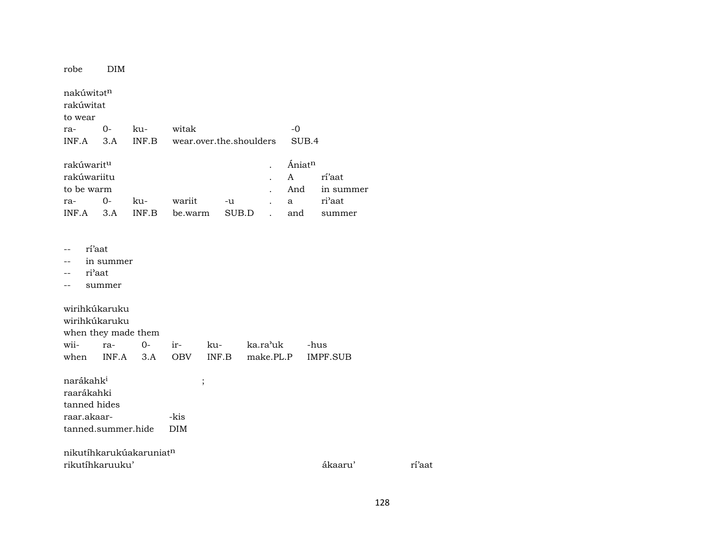| robe                                           | DIM   |       |                         |       |                    |           |
|------------------------------------------------|-------|-------|-------------------------|-------|--------------------|-----------|
| nakúwitət <sup>n</sup><br>rakúwitat<br>to wear |       |       |                         |       |                    |           |
| ra-                                            | $O -$ | ku-   | witak                   |       | -0                 |           |
| INF.A                                          | 3.A   | INF.B | wear.over.the.shoulders |       | SUB.4              |           |
| rakúwarit <sup>u</sup>                         |       |       |                         |       | Ániat <sup>n</sup> |           |
| rakúwariitu                                    |       |       |                         |       | A                  | rí'aat    |
| to be warm                                     |       |       |                         |       | And                | in summer |
| ra-                                            | $O -$ | ku-   | wariit                  | -u    | a                  | ri'aat    |
| INF.A                                          | 3.A   | INF.B | be.warm                 | SUB.D | and                | summer    |

- -- rí'aat
- -- in summer
- -- ri'aat
- -- summer

wirihkúkaruku wirihkúkaruku when they made them wii- ra- 0- ir- ku- ka.ra"uk -hus when INF.A 3.A OBV INF.B make.PL.P IMPF.SUB

 $n$ arákah $k^i$  ; raarákahki tanned hides raar.akaar- -kis tanned.summer.hide DIM

nikutíhkarukúakaruniat¶ rikutíhkaruuku' ákaaru' rí'aat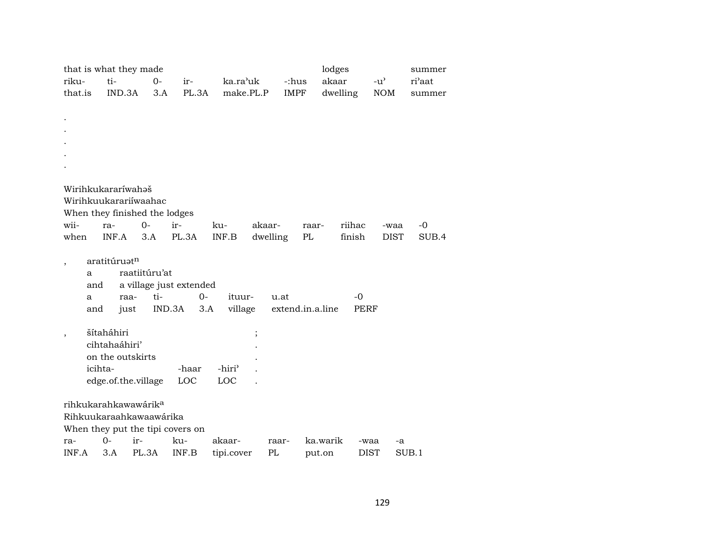|                          |         |                          | that is what they made           |                                  |                    |          |                  | lodges   | summer       |               |        |
|--------------------------|---------|--------------------------|----------------------------------|----------------------------------|--------------------|----------|------------------|----------|--------------|---------------|--------|
| riku-                    |         | ti-                      | $O -$                            | ir-                              | ka.ra'uk           |          | -:hus            | akaar    |              | $-u^{\prime}$ | ri'aat |
| that.is                  |         | IND.3A                   | 3.A                              | PL.3A                            | make.PL.P          |          | <b>IMPF</b>      | dwelling |              | <b>NOM</b>    | summer |
|                          |         |                          |                                  |                                  |                    |          |                  |          |              |               |        |
|                          |         |                          |                                  |                                  |                    |          |                  |          |              |               |        |
|                          |         |                          |                                  |                                  |                    |          |                  |          |              |               |        |
|                          |         |                          |                                  |                                  |                    |          |                  |          |              |               |        |
|                          |         |                          |                                  |                                  |                    |          |                  |          |              |               |        |
|                          |         |                          |                                  |                                  |                    |          |                  |          |              |               |        |
|                          |         |                          |                                  |                                  |                    |          |                  |          |              |               |        |
|                          |         | Wirihkukararíwahəš       |                                  |                                  |                    |          |                  |          |              |               |        |
|                          |         |                          | Wirihkuukarariíwaahac            |                                  |                    |          |                  |          |              |               |        |
|                          |         |                          | When they finished the lodges    |                                  |                    |          |                  |          |              |               |        |
| wii-                     |         | ra-                      | $0 -$                            | ir-                              | ku-                | akaar-   | raar-            |          | riihac       | -waa          | -0     |
| when                     |         | INF.A                    | 3.A                              | PL.3A                            | INF.B              | dwelling | PL               |          | finish       | <b>DIST</b>   | SUB.4  |
|                          |         |                          |                                  |                                  |                    |          |                  |          |              |               |        |
| $\overline{\phantom{a}}$ |         | aratitúruat <sup>n</sup> |                                  |                                  |                    |          |                  |          |              |               |        |
|                          | a       |                          | raatiitúru'at                    |                                  |                    |          |                  |          |              |               |        |
|                          | and     |                          |                                  | a village just extended          |                    |          |                  |          |              |               |        |
|                          | a       | raa-                     | ti-                              | $0 -$                            | ituur-             | u.at     |                  |          | $-0$<br>PERF |               |        |
|                          | and     | just                     |                                  | IND.3A                           | 3.A<br>village     |          | extend.in.a.line |          |              |               |        |
|                          |         | šítaháhiri               |                                  |                                  |                    | $\vdots$ |                  |          |              |               |        |
| $\overline{\phantom{a}}$ |         | cihtahaáhiri'            |                                  |                                  |                    |          |                  |          |              |               |        |
|                          |         | on the outskirts         |                                  |                                  |                    |          |                  |          |              |               |        |
|                          | icihta- |                          |                                  | -haar                            | -hiri <sup>3</sup> |          |                  |          |              |               |        |
|                          |         |                          | edge.of.the.village              | LOC                              | LOC                |          |                  |          |              |               |        |
|                          |         |                          |                                  |                                  |                    |          |                  |          |              |               |        |
|                          |         |                          | rihkukarahkawawárik <sup>a</sup> |                                  |                    |          |                  |          |              |               |        |
|                          |         |                          | Rihkuukaraahkawaawárika          |                                  |                    |          |                  |          |              |               |        |
|                          |         |                          |                                  | When they put the tipi covers on |                    |          |                  |          |              |               |        |
| ra-                      |         | $O -$                    | ir-                              | ku-                              | akaar-             | raar-    |                  | ka.warik | -waa         | -a            |        |
| INF.A                    |         | 3.A                      | PL.3A                            | INF.B                            | tipi.cover         | PL       |                  | put.on   | <b>DIST</b>  |               | SUB.1  |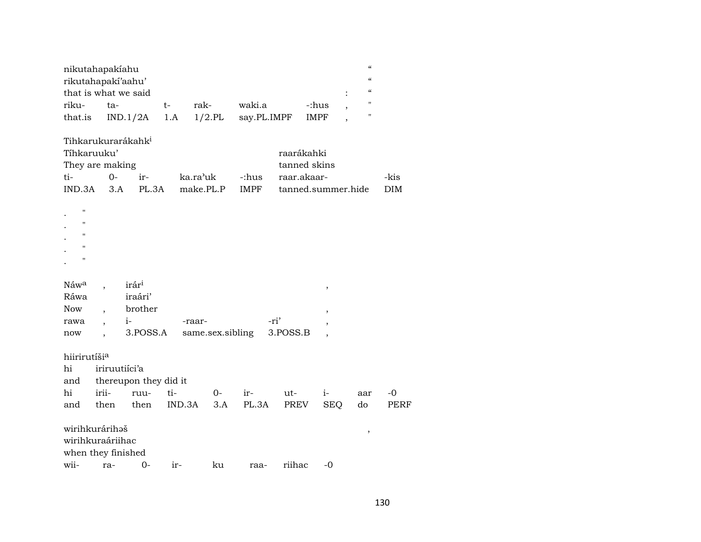|                                       | nikutahapakiahu<br>rikutahapakí'aahu'<br>that is what we said                    |             |                   |                       |                                                                 |                          | $\pmb{\zeta}\pmb{\zeta}$<br>$\epsilon\epsilon$<br>$\epsilon\epsilon$ |                    |  |
|---------------------------------------|----------------------------------------------------------------------------------|-------------|-------------------|-----------------------|-----------------------------------------------------------------|--------------------------|----------------------------------------------------------------------|--------------------|--|
| riku-<br>that.is                      | ta-<br>IND.1/2A                                                                  | $t-$<br>1.A | rak-<br>$1/2$ .PL | waki.a<br>say.PL.IMPF |                                                                 | -:hus<br><b>IMPF</b>     | П<br>$\pmb{\mathsf{H}}$                                              |                    |  |
| Tíhkaruuku'<br>ti-<br>IND.3A          | Tihkarukurarákahk <sup>i</sup><br>They are making<br>$0-$<br>ir-<br>PL.3A<br>3.A | ka.ra'uk    | make.PL.P         | -:hus<br><b>IMPF</b>  | raarákahki<br>tanned skins<br>raar.akaar-<br>tanned.summer.hide |                          |                                                                      | -kis<br><b>DIM</b> |  |
| $\blacksquare$<br>п<br>п<br>п<br>П    |                                                                                  |             |                   |                       |                                                                 |                          |                                                                      |                    |  |
| Náwa<br>Ráwa                          | irár <sup>i</sup><br>iraári'                                                     |             |                   |                       |                                                                 | $\,$                     |                                                                      |                    |  |
| <b>Now</b>                            | brother                                                                          |             |                   |                       |                                                                 | $\,$                     |                                                                      |                    |  |
| rawa                                  | $i-$<br>$\overline{\phantom{a}}$                                                 | -raar-      |                   | -ri'                  |                                                                 | ,                        |                                                                      |                    |  |
| now                                   | 3.POSS.A                                                                         |             | same.sex.sibling  |                       | 3.POSS.B                                                        | $\overline{\phantom{a}}$ |                                                                      |                    |  |
| hiirirutíši <sup>a</sup><br>hi<br>and | iriruutiíci'a<br>thereupon they did it                                           |             |                   |                       |                                                                 |                          |                                                                      |                    |  |
| hi                                    | irii-<br>ruu-                                                                    | ti-         | $0-$              | ir-                   | ut-                                                             | $i-$                     | aar                                                                  | $-0$               |  |
| and                                   | then<br>then                                                                     | IND.3A      | 3.A               | PL.3A                 | PREV                                                            | <b>SEQ</b>               | do                                                                   | PERF               |  |
| wirihkurárihəš                        | wirihkuraáriihac<br>when they finished                                           |             |                   |                       |                                                                 |                          | $\,$                                                                 |                    |  |
| wii-                                  | $0 -$<br>ra-                                                                     | ir-         | ku                | raa-                  | riihac                                                          | -0                       |                                                                      |                    |  |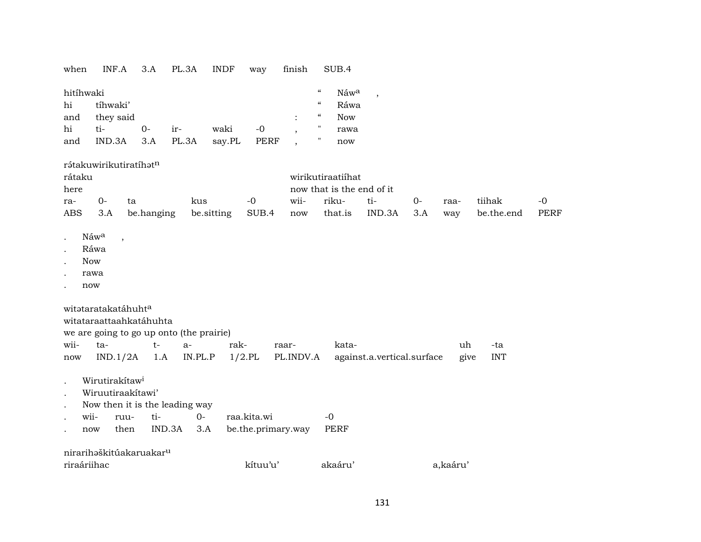| when                                                                                      | INF.A                                                                                                         | 3.A         | PL.3A        | <b>INDF</b>    | way                 | finish                                                                                                               | SUB.4                                                   |                            |      |             |            |             |
|-------------------------------------------------------------------------------------------|---------------------------------------------------------------------------------------------------------------|-------------|--------------|----------------|---------------------|----------------------------------------------------------------------------------------------------------------------|---------------------------------------------------------|----------------------------|------|-------------|------------|-------------|
| hitíhwaki<br>hi<br>and<br>hi<br>and                                                       | tíhwaki'<br>they said<br>ti-<br>IND.3A                                                                        | $0-$<br>3.A | ir-<br>PL.3A | waki<br>say.PL | $-0$<br><b>PERF</b> | $\zeta\zeta$<br>$\zeta\zeta$<br>$\epsilon\epsilon$<br>$\pmb{\mathsf{H}}$<br>$\mathbf{H}$<br>$\overline{\phantom{a}}$ | Náwa<br>Ráwa<br><b>Now</b><br>rawa<br>now               | $\overline{\phantom{a}}$   |      |             |            |             |
| rátaku<br>here                                                                            | rátakuwirikutiratíhatn<br>$0-$<br>ta                                                                          |             | kus          |                | $-0$                | wii-                                                                                                                 | wirikutiraatiihat<br>now that is the end of it<br>riku- | ti-                        | $0-$ |             | tiihak     | $-0$        |
| ra-<br><b>ABS</b>                                                                         | 3.A                                                                                                           | be.hanging  |              | be.sitting     | SUB.4               | now                                                                                                                  | that.is                                                 | IND.3A                     | 3.A  | raa-<br>way | be.the.end | <b>PERF</b> |
|                                                                                           |                                                                                                               |             |              |                |                     |                                                                                                                      |                                                         |                            |      |             |            |             |
| $\ddot{\phantom{0}}$<br>$\ddot{\phantom{a}}$<br><b>Now</b><br>$\ddot{\phantom{a}}$<br>now | Náw <sup>a</sup><br>$\overline{\phantom{a}}$<br>Ráwa<br>rawa                                                  |             |              |                |                     |                                                                                                                      |                                                         |                            |      |             |            |             |
| wii-                                                                                      | witataratakatáhuht <sup>a</sup><br>witataraattaahkatáhuhta<br>we are going to go up onto (the prairie)<br>ta- | $t-$        | $a-$         | rak-           |                     | raar-                                                                                                                | kata-                                                   |                            |      | uh          | -ta        |             |
| now                                                                                       | IND.1/2A                                                                                                      | 1.A         | IN.PL.P      |                | $1/2$ .PL           | PL.INDV.A                                                                                                            |                                                         | against.a.vertical.surface |      | give        | <b>INT</b> |             |
| $\bullet$<br>$\ddot{\phantom{0}}$<br>$\ddot{\phantom{a}}$                                 | Wirutirakítaw <sup>i</sup><br>Wiruutiraakítawi'<br>Now then it is the leading way                             |             |              |                |                     |                                                                                                                      |                                                         |                            |      |             |            |             |
| wii-                                                                                      | ruu-                                                                                                          | ti-         | $0-$         |                | raa.kita.wi         |                                                                                                                      | $-0$                                                    |                            |      |             |            |             |
| now                                                                                       | then                                                                                                          | IND.3A      | 3.A          |                | be.the.primary.way  |                                                                                                                      | <b>PERF</b>                                             |                            |      |             |            |             |
|                                                                                           | nirarihaškitúakaruakar <sup>u</sup>                                                                           |             |              |                |                     |                                                                                                                      |                                                         |                            |      |             |            |             |
| riraáriihac                                                                               |                                                                                                               |             |              |                | kítuu'u'            |                                                                                                                      | akaáru'                                                 |                            |      | a,kaáru'    |            |             |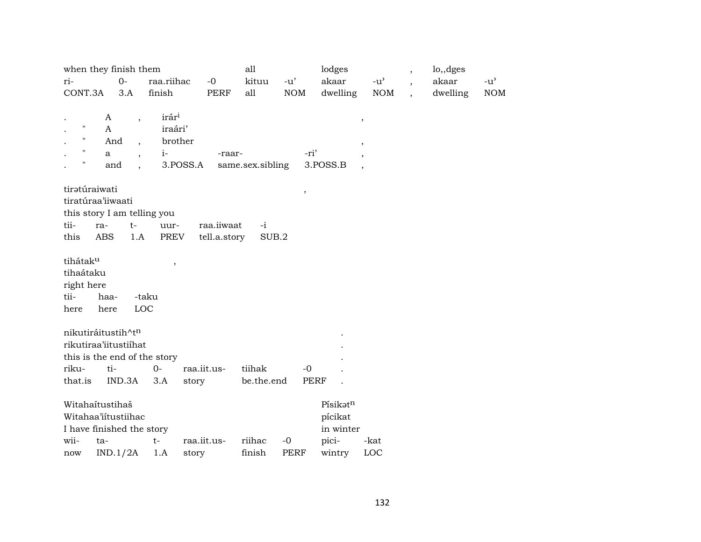|                    | when they finish them        |                          |                          |              | all              |             |             | lodges    |                      | $\overline{\phantom{a}}$ | lo,,dges |               |
|--------------------|------------------------------|--------------------------|--------------------------|--------------|------------------|-------------|-------------|-----------|----------------------|--------------------------|----------|---------------|
| ri-                |                              | $0-$                     | raa.riihac               | $-0$         | kituu            | $-u'$       |             | akaar     | $-u^{\prime}$        | $\overline{\phantom{a}}$ | akaar    | $-u^{\prime}$ |
| CONT.3A            |                              | 3.A                      | finish                   | PERF         | all              | NOM         |             | dwelling  | $\rm{NOM}$           | $\overline{\phantom{a}}$ | dwelling | $\rm{NOM}$    |
|                    |                              |                          |                          |              |                  |             |             |           |                      |                          |          |               |
|                    | A                            |                          | irár <sup>i</sup>        |              |                  |             |             |           | $\, ,$               |                          |          |               |
| $\pmb{\mathsf{H}}$ | $\mathsf{A}$                 |                          | iraári'                  |              |                  |             |             |           |                      |                          |          |               |
| 11                 | And                          | $\overline{\phantom{a}}$ | brother                  |              |                  |             |             |           | ,                    |                          |          |               |
| $\mathbf{H}$       | a                            |                          | $i-$                     | -raar-       |                  |             | -ri'        |           |                      |                          |          |               |
| п                  | and                          | $\ddot{\phantom{0}}$     | 3.POSS.A                 |              | same.sex.sibling |             | 3.POSS.B    |           | $\ddot{\phantom{0}}$ |                          |          |               |
|                    | tiratúraiwati                |                          |                          |              |                  |             | $\, ,$      |           |                      |                          |          |               |
|                    | tiratúraa'iiwaati            |                          |                          |              |                  |             |             |           |                      |                          |          |               |
|                    | this story I am telling you  |                          |                          |              |                  |             |             |           |                      |                          |          |               |
| tii-               | ra-                          | $t-$                     | uur-                     | raa.iiwaat   | $-i$             |             |             |           |                      |                          |          |               |
| this               | <b>ABS</b>                   | 1.A                      | PREV                     | tell.a.story | SUB.2            |             |             |           |                      |                          |          |               |
| tihátaku           |                              |                          |                          |              |                  |             |             |           |                      |                          |          |               |
| tihaátaku          |                              |                          | $\overline{\phantom{a}}$ |              |                  |             |             |           |                      |                          |          |               |
| right here         |                              |                          |                          |              |                  |             |             |           |                      |                          |          |               |
| tii-               | haa-                         |                          | -taku                    |              |                  |             |             |           |                      |                          |          |               |
| here               | here                         | LOC                      |                          |              |                  |             |             |           |                      |                          |          |               |
|                    |                              |                          |                          |              |                  |             |             |           |                      |                          |          |               |
|                    | nikutiráitustih^tn           |                          |                          |              |                  |             |             |           |                      |                          |          |               |
|                    | rikutiraa'iitustiihat        |                          |                          |              |                  |             |             |           |                      |                          |          |               |
|                    | this is the end of the story |                          |                          |              |                  |             |             |           |                      |                          |          |               |
| riku-              | ti-                          |                          | $0-$                     | raa.iit.us-  | tiihak           |             | $-0$        |           |                      |                          |          |               |
| that.is            |                              | IND.3A                   | 3.A                      | story        | be.the.end       |             | <b>PERF</b> |           |                      |                          |          |               |
|                    | Witahaítustihaš              |                          |                          |              |                  |             |             | Písikatn  |                      |                          |          |               |
|                    | Witahaa'iítustiihac          |                          |                          |              |                  |             |             | pícikat   |                      |                          |          |               |
|                    | I have finished the story    |                          |                          |              |                  |             |             | in winter |                      |                          |          |               |
| wii-               | ta-                          |                          | $t-$                     | raa.iit.us-  | riihac           | $-0$        |             | pici-     | -kat                 |                          |          |               |
| now                | IND.1/2A                     |                          | 1.A                      | story        | finish           | <b>PERF</b> |             | wintry    | LOC                  |                          |          |               |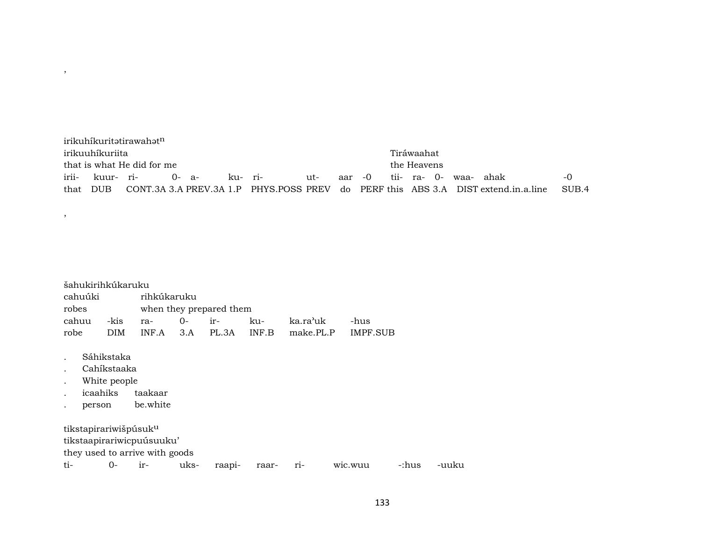irikuhíkuritatirawahatn irikuuhíkuriita Tiráwaahat that is what He did for me irii- kuur- ri- 0- a- ku- ri- ut- aar -0 tii- ra- 0- waa- ahak -0 that DUB CONT.3A 3.A PREV.3A 1.P PHYS.POSS PREV do PERF this ABS 3.A DIST extend.in.a.line SUB.4

| cahuúki<br>robes |                    | šahukirihkúkaruku                         | rihkúkaruku                    |      | when they prepared them |       |           |          |       |       |
|------------------|--------------------|-------------------------------------------|--------------------------------|------|-------------------------|-------|-----------|----------|-------|-------|
| cahuu            |                    | -kis                                      | ra-                            | 0-   | ir-                     | ku-   | ka.ra'uk  | -hus     |       |       |
| robe             |                    | <b>DIM</b>                                | INF.A                          | 3.A  | PL.3A                   | INF.B | make.PL.P | IMPF.SUB |       |       |
|                  | icaahiks<br>person | Sáhikstaka<br>Cahíkstaaka<br>White people | taakaar<br>be.white            |      |                         |       |           |          |       |       |
|                  |                    | tikstapirariwišpúsuk <sup>u</sup>         |                                |      |                         |       |           |          |       |       |
|                  |                    |                                           | tikstaapirariwicpuúsuuku'      |      |                         |       |           |          |       |       |
|                  |                    |                                           | they used to arrive with goods |      |                         |       |           |          |       |       |
| ti-              |                    | 0-                                        | ir-                            | uks- | raapi-                  | raar- | $ri-$     | wic.wuu  | -:hus | -uuku |

,

,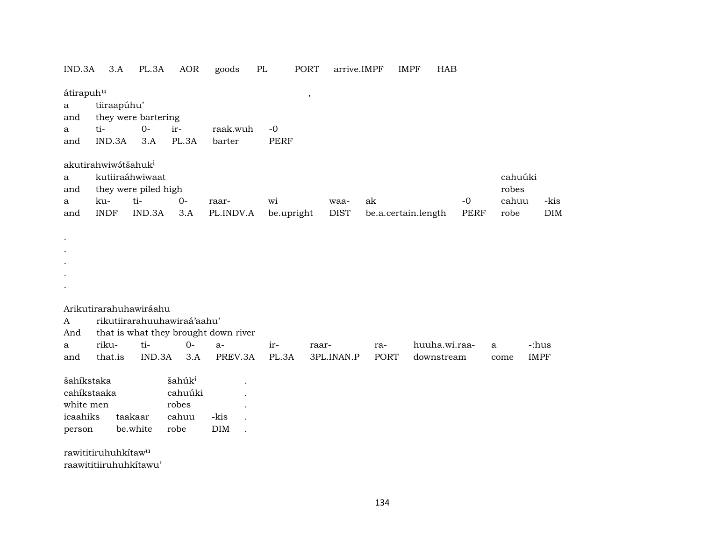| IND.3A                | 3.A                             | PL.3A                                   | AOR                         | goods                                | PL   | PORT          | arrive.IMPF |             | IMPF                | HAB           |             |                  |             |
|-----------------------|---------------------------------|-----------------------------------------|-----------------------------|--------------------------------------|------|---------------|-------------|-------------|---------------------|---------------|-------------|------------------|-------------|
| átirapuhu<br>a<br>and | tiiraapúhu'                     | they were bartering                     |                             |                                      |      | $^\mathrm{,}$ |             |             |                     |               |             |                  |             |
| a                     | ti-                             | $0-$                                    | ir-                         | raak.wuh                             | $-0$ |               |             |             |                     |               |             |                  |             |
| and                   | IND.3A                          | 3.A                                     | PL.3A                       | barter                               |      | <b>PERF</b>   |             |             |                     |               |             |                  |             |
|                       | akutirahwiwátšahuk <sup>i</sup> |                                         |                             |                                      |      |               |             |             |                     |               |             |                  |             |
| a<br>and              |                                 | kutiiraáhwiwaat<br>they were piled high |                             |                                      |      |               |             |             |                     |               |             | cahuúki<br>robes |             |
| a                     | ku-                             | ti-                                     | $0-$                        | raar-                                | wi   |               | waa-        | ak          |                     |               | $-0$        | cahuu            | -kis        |
| and                   | <b>INDF</b>                     | IND.3A                                  | 3.A                         | PL.INDV.A                            |      | be.upright    | <b>DIST</b> |             | be.a.certain.length |               | <b>PERF</b> | robe             | DIM         |
|                       |                                 |                                         |                             |                                      |      |               |             |             |                     |               |             |                  |             |
|                       |                                 |                                         |                             |                                      |      |               |             |             |                     |               |             |                  |             |
|                       |                                 |                                         |                             |                                      |      |               |             |             |                     |               |             |                  |             |
|                       |                                 |                                         |                             |                                      |      |               |             |             |                     |               |             |                  |             |
|                       |                                 |                                         |                             |                                      |      |               |             |             |                     |               |             |                  |             |
|                       | Arikutirarahuhawiráahu          |                                         |                             |                                      |      |               |             |             |                     |               |             |                  |             |
| A                     |                                 |                                         | rikutiirarahuuhawiraá'aahu' |                                      |      |               |             |             |                     |               |             |                  |             |
| And                   |                                 |                                         |                             | that is what they brought down river |      |               |             |             |                     |               |             |                  |             |
| a                     | riku-                           | ti-                                     | $0 -$                       | $a-$                                 | ir-  | raar-         |             | ra-         |                     | huuha.wi.raa- |             | a                | -:hus       |
| and                   | that.is                         | IND.3A                                  | 3.A                         | PREV.3A                              |      | PL.3A         | 3PL.INAN.P  | <b>PORT</b> |                     | downstream    |             | come             | <b>IMPF</b> |
| šahíkstaka            |                                 |                                         | šahúk <sup>i</sup>          |                                      |      |               |             |             |                     |               |             |                  |             |
|                       | cahíkstaaka                     |                                         | cahuúki                     |                                      |      |               |             |             |                     |               |             |                  |             |
| white men             |                                 |                                         | robes                       |                                      |      |               |             |             |                     |               |             |                  |             |
| icaahiks              |                                 | taakaar                                 | cahuu                       | -kis                                 |      |               |             |             |                     |               |             |                  |             |
| person                |                                 | be.white                                | robe                        | DIM                                  |      |               |             |             |                     |               |             |                  |             |
|                       | rawititiruhuhkítaw <sup>u</sup> |                                         |                             |                                      |      |               |             |             |                     |               |             |                  |             |
|                       | raawititiiruhuhkitawu'          |                                         |                             |                                      |      |               |             |             |                     |               |             |                  |             |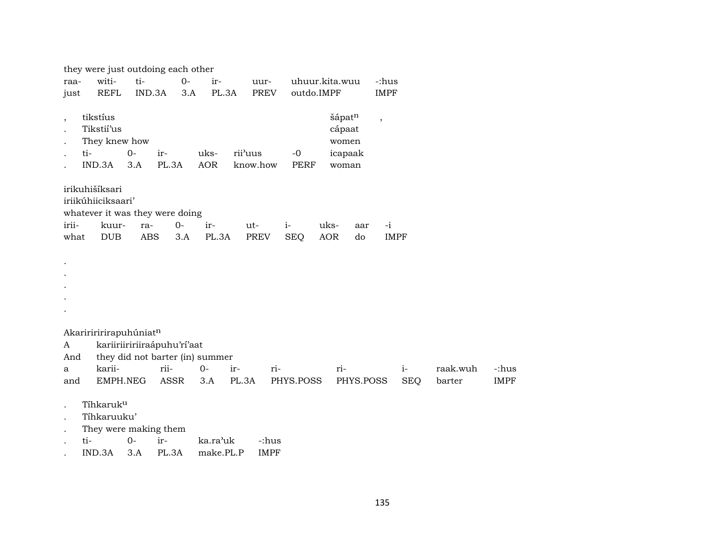|                                 | they were just outdoing each other                |             |                             |                                 |         |          |                     |      |                                               |                          |             |          |             |
|---------------------------------|---------------------------------------------------|-------------|-----------------------------|---------------------------------|---------|----------|---------------------|------|-----------------------------------------------|--------------------------|-------------|----------|-------------|
| raa-                            | witi-                                             | ti-         |                             | $0-$<br>ir-                     |         | uur-     | uhuur.kita.wuu      |      |                                               | -:hus                    |             |          |             |
| just                            | <b>REFL</b>                                       | IND.3A      |                             | 3.A                             | PL.3A   | PREV     | outdo.IMPF          |      |                                               | <b>IMPF</b>              |             |          |             |
| $\overline{\phantom{a}}$<br>ti- | tikstíus<br>Tikstií'us<br>They knew how<br>IND.3A | $0-$<br>3.A | ir-<br>PL.3A                | uks-<br><b>AOR</b>              | rii'uus | know.how | $-0$<br><b>PERF</b> |      | šápatn<br>cápaat<br>women<br>icapaak<br>woman | $\overline{\phantom{a}}$ |             |          |             |
|                                 | irikuhišíksari                                    |             |                             |                                 |         |          |                     |      |                                               |                          |             |          |             |
|                                 | iriikúhiiciksaari'                                |             |                             |                                 |         |          |                     |      |                                               |                          |             |          |             |
|                                 | whatever it was they were doing                   |             |                             |                                 |         |          |                     |      |                                               |                          |             |          |             |
| irii-                           | kuur-                                             | ra-         | $0-$                        | ir-                             |         | ut-      | $i-$                | uks- | aar                                           | $-i$                     |             |          |             |
| what                            | <b>DUB</b>                                        | ABS         | 3.A                         | PL.3A                           |         | PREV     | <b>SEQ</b>          | AOR  | do                                            |                          | <b>IMPF</b> |          |             |
|                                 |                                                   |             |                             |                                 |         |          |                     |      |                                               |                          |             |          |             |
|                                 | Akaririririrapuhúniatn                            |             |                             |                                 |         |          |                     |      |                                               |                          |             |          |             |
| A                               |                                                   |             | kariiriiririiraápuhu'rí'aat |                                 |         |          |                     |      |                                               |                          |             |          |             |
| And                             |                                                   |             |                             | they did not barter (in) summer |         |          |                     |      |                                               |                          |             |          |             |
| a                               | karii-                                            |             | rii-                        | $0-$                            | ir-     | ri-      |                     | ri-  |                                               |                          | $i-$        | raak.wuh | -:hus       |
| and                             | EMPH.NEG                                          |             | ASSR                        | 3.A                             | PL.3A   |          | PHYS.POSS           |      | PHYS.POSS                                     |                          | <b>SEQ</b>  | barter   | <b>IMPF</b> |
|                                 | Tíhkaruku<br>Tíhkaruuku'<br>They were making them |             |                             |                                 |         |          |                     |      |                                               |                          |             |          |             |

. ti- 0- ir- ka.ra"uk -:hus

. IND.3A 3.A PL.3A make.PL.P IMPF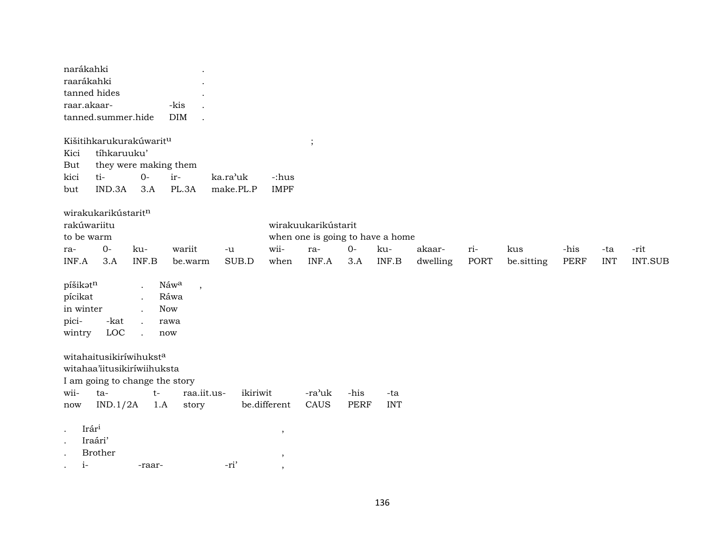| narákahki<br>raarákahki<br>raar.akaar-              | tanned hides<br>tanned.summer.hide                                                                                      |              | -kis<br><b>DIM</b>                                                    |                       |                                             |                                                                         |                     |                   |                    |             |                   |                     |                   |                        |
|-----------------------------------------------------|-------------------------------------------------------------------------------------------------------------------------|--------------|-----------------------------------------------------------------------|-----------------------|---------------------------------------------|-------------------------------------------------------------------------|---------------------|-------------------|--------------------|-------------|-------------------|---------------------|-------------------|------------------------|
| Kici<br>But<br>kici<br>but                          | Kišitihkarukurakúwaritu<br>tíhkaruuku'<br>they were making them<br>ti-<br>IND.3A                                        | $0-$<br>3.A  | ir-<br>PL.3A                                                          | ka.ra'uk<br>make.PL.P | -:hus<br><b>IMPF</b>                        | $\cdot$                                                                 |                     |                   |                    |             |                   |                     |                   |                        |
| rakúwariitu<br>to be warm<br>ra-<br>INF.A           | wirakukarikústaritn<br>$O -$<br>3.A                                                                                     | ku-<br>INF.B | wariit<br>be.warm                                                     | $-u$<br>SUB.D         | wii-<br>when                                | wirakuukarikústarit<br>when one is going to have a home<br>ra-<br>INF.A | $0-$<br>3.A         | ku-<br>INF.B      | akaar-<br>dwelling | ri-<br>PORT | kus<br>be sitting | -his<br><b>PERF</b> | -ta<br><b>INT</b> | -rit<br><b>INT.SUB</b> |
| píšikatn<br>pícikat<br>in winter<br>pici-<br>wintry | -kat<br>$_{\mathrm{LOC}}$                                                                                               |              | Náwa<br>$\overline{\phantom{a}}$<br>Ráwa<br><b>Now</b><br>rawa<br>now |                       |                                             |                                                                         |                     |                   |                    |             |                   |                     |                   |                        |
| wii-<br>now                                         | witahaitusikiríwihukst <sup>a</sup><br>witahaa'iitusikiríwiihuksta<br>I am going to change the story<br>ta-<br>IND.1/2A | $t-$<br>1.A  | raa.iit.us-<br>story                                                  | ikiriwit              | be.different                                | -ra'uk<br>CAUS                                                          | -his<br><b>PERF</b> | -ta<br><b>INT</b> |                    |             |                   |                     |                   |                        |
| $\bullet$<br>$\bullet$<br>$i-$<br>$\cdot$           | Irári<br>Iraári'<br><b>Brother</b>                                                                                      | -raar-       |                                                                       | -ri'                  | $\,$<br>$\overline{\phantom{a}}$<br>$\cdot$ |                                                                         |                     |                   |                    |             |                   |                     |                   |                        |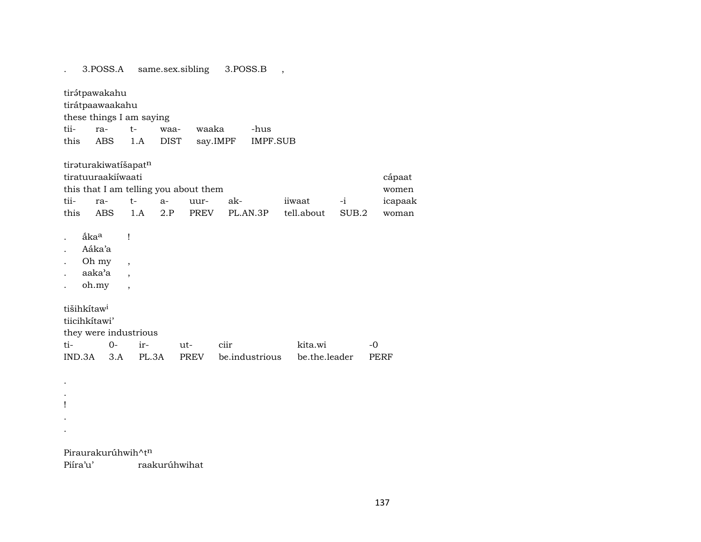. 3.POSS.A same.sex.sibling 3.POSS.B , tirátpawakahu tirátpaawaakahu these things I am saying tii- ra- t- waa- waaka -hus this ABS 1.A DIST say.IMPF IMPF.SUB tiraturakiwatíšapatn tiratuuraakiíwaati cápaat this that I am telling you about them women tii- ra- t- a- uur- ak- iiwaat -i icapaak this ABS 1.A 2.P PREV PL.AN.3P tell.about SUB.2 woman . åka<sup>a</sup> ! . Aáka'a . Oh my , . aaka'a , . oh.my , tišihkítaw<sup>i</sup> tiicihkítawi' they were industrious ti- 0- ir- ut- ciir kita.wi -0 IND.3A 3.A PL.3A PREV be.industrious be.the.leader PERF . . ! .

Piraurakurúhwih^tn

.

Piíra'u' raakurúhwihat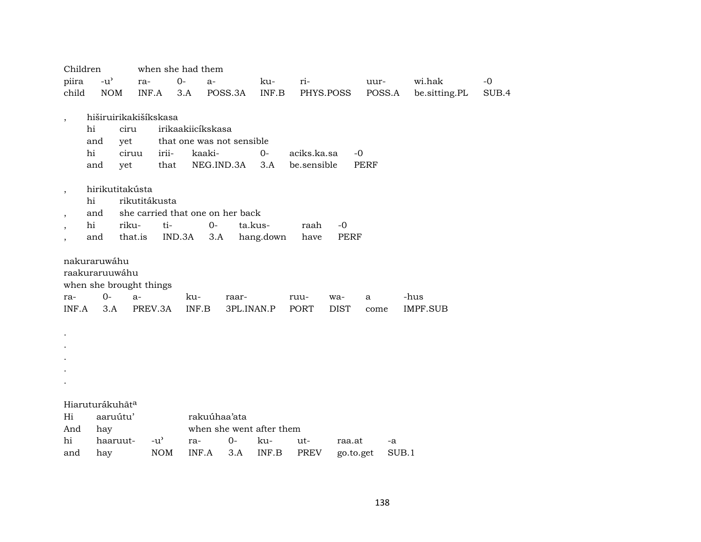|                          | Children                    |                 |                         | when she had them                |            |                          |             |             |             |                 |       |
|--------------------------|-----------------------------|-----------------|-------------------------|----------------------------------|------------|--------------------------|-------------|-------------|-------------|-----------------|-------|
| piira                    | $-u^{\prime}$               |                 | ra-                     | $O -$<br>$a-$                    |            | ku-                      | ri-         |             | uur-        | wi.hak          | $-0$  |
| child                    |                             | <b>NOM</b>      | INF.A                   | 3.A                              | POSS.3A    | INF.B                    |             | PHYS.POSS   | POSS.A      | be.sitting.PL   | SUB.4 |
|                          |                             |                 |                         |                                  |            |                          |             |             |             |                 |       |
| $\cdot$                  |                             |                 | hiširuirikakišíkskasa   |                                  |            |                          |             |             |             |                 |       |
|                          | hi                          | ciru            |                         | irikaakiicíkskasa                |            |                          |             |             |             |                 |       |
|                          | and                         | yet             |                         | that one was not sensible        |            |                          |             |             |             |                 |       |
|                          | hi                          | ciruu           | irii-                   | kaaki-                           |            | $0-$                     | aciks.ka.sa | $-0$        |             |                 |       |
|                          | and                         | yet             | that                    |                                  | NEG.IND.3A | 3.A                      | be.sensible |             | <b>PERF</b> |                 |       |
|                          |                             |                 |                         |                                  |            |                          |             |             |             |                 |       |
| $\cdot$                  |                             | hirikutitakústa |                         |                                  |            |                          |             |             |             |                 |       |
|                          | hi                          |                 | rikutitákusta           |                                  |            |                          |             |             |             |                 |       |
| $\overline{\phantom{a}}$ | and                         |                 |                         | she carried that one on her back |            |                          |             |             |             |                 |       |
| ,                        | hi                          | riku-           | ti-                     | $0-$                             |            | ta.kus-                  | raah        | $-0$        |             |                 |       |
|                          | and                         | that.is         |                         | IND.3A<br>3.A                    |            | hang.down                | have        | <b>PERF</b> |             |                 |       |
|                          | nakuraruwáhu                |                 |                         |                                  |            |                          |             |             |             |                 |       |
|                          | raakuraruuwáhu              |                 |                         |                                  |            |                          |             |             |             |                 |       |
|                          |                             |                 | when she brought things |                                  |            |                          |             |             |             |                 |       |
| ra-                      | $0-$                        | $a-$            |                         | ku-                              | raar-      |                          | ruu-        | wa-         | a           | -hus            |       |
| INF.A                    | 3.A                         |                 | PREV.3A                 | INF.B                            | 3PL.INAN.P |                          | PORT        | <b>DIST</b> | come        | <b>IMPF.SUB</b> |       |
|                          |                             |                 |                         |                                  |            |                          |             |             |             |                 |       |
|                          |                             |                 |                         |                                  |            |                          |             |             |             |                 |       |
|                          |                             |                 |                         |                                  |            |                          |             |             |             |                 |       |
|                          |                             |                 |                         |                                  |            |                          |             |             |             |                 |       |
|                          |                             |                 |                         |                                  |            |                          |             |             |             |                 |       |
|                          |                             |                 |                         |                                  |            |                          |             |             |             |                 |       |
|                          |                             |                 |                         |                                  |            |                          |             |             |             |                 |       |
|                          | Hiaruturákuhãt <sup>a</sup> |                 |                         |                                  |            |                          |             |             |             |                 |       |
| Hi                       |                             | aaruútu'        |                         | rakuúhaa'ata                     |            |                          |             |             |             |                 |       |
| And                      | hay                         |                 |                         |                                  |            | when she went after them |             |             |             |                 |       |
| hi                       |                             | haaruut-        | $-u^{\prime}$           | ra-                              | $0-$       | ku-                      | ut-         | raa.at      | -a          |                 |       |
| and                      | hay                         |                 | <b>NOM</b>              | INF.A                            | 3.A        | INF.B                    | <b>PREV</b> | go.to.get   |             | SUB.1           |       |
|                          |                             |                 |                         |                                  |            |                          |             |             |             |                 |       |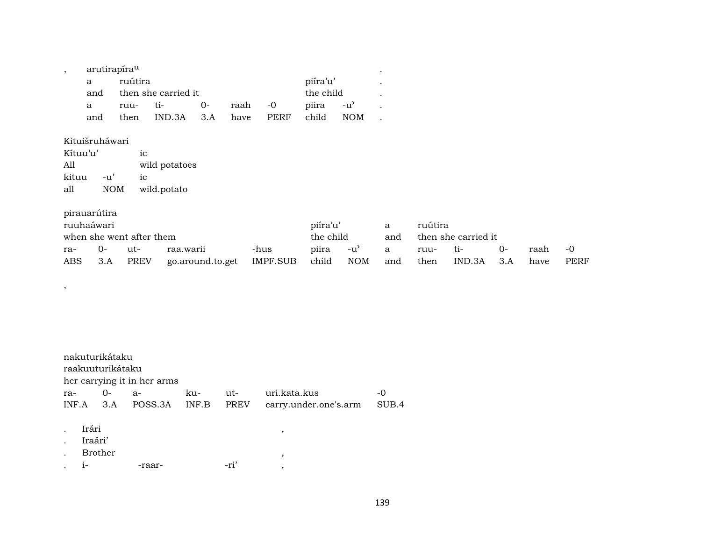| arutirapíra <sup>u</sup> |         |                     |      |         |           |          |      | ٠ |  |
|--------------------------|---------|---------------------|------|---------|-----------|----------|------|---|--|
| a                        | ruútira |                     |      |         |           | piíra'u' |      |   |  |
| and                      |         | then she carried it |      |         | the child |          |      |   |  |
| a                        | ruu-    | $t_1$               | $O-$ | raah -0 |           | piira    | -น'  |   |  |
| and                      | then    | $IND.3A$ $3.A$      |      | have    | PERF      | child    | NOM. |   |  |

Kituišruháwari Kítuu'u'  $\rm ic$ wild potatoes  $All$ kituu -u'  $\rm ic$ 

 $\overline{\phantom{a}}$ 

 $all$ wild.potato  $NOM$ 

|                          | pirauarútira                     |      |                              |       |                          |           |      |                     |       |      |      |    |
|--------------------------|----------------------------------|------|------------------------------|-------|--------------------------|-----------|------|---------------------|-------|------|------|----|
| ruuhaáwari               |                                  |      |                              |       | piíra'u'<br>ruútira<br>a |           |      |                     |       |      |      |    |
| when she went after them |                                  |      |                              |       |                          | the child |      | then she carried it |       |      |      |    |
| ra-                      | $O-$<br>raa.warii<br>-hus<br>ut- |      |                              |       |                          | -u'       | a    | ruu-                | $t_1$ |      | raah | -0 |
| ABS                      | 3.A                              | PREV | IMPF.SUB<br>go.around.to.get | child | NOM                      | and       | then | IND.3A              | 3.A   | have | PERF |    |

|     | nakuturikátaku<br>raakuuturikátaku<br>her carrying it in her arms |      |                           |              |                    |                                       |               |  |  |  |  |  |  |  |
|-----|-------------------------------------------------------------------|------|---------------------------|--------------|--------------------|---------------------------------------|---------------|--|--|--|--|--|--|--|
| ra- |                                                                   | $0-$ | $a-$<br>INF.A 3.A POSS.3A | ku-<br>INF.B | ut-<br><b>PREV</b> | uri.kata.kus<br>carry.under.one's.arm | $-0$<br>SUB.4 |  |  |  |  |  |  |  |
|     | Irári<br>Iraári'<br>Brother<br>$1-$                               |      | -raar-                    |              | -ri'               | ,<br>$\cdot$<br>3                     |               |  |  |  |  |  |  |  |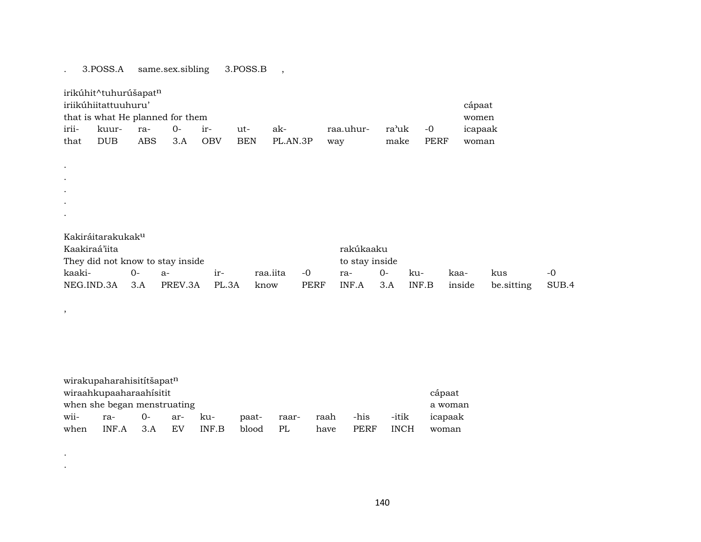## . 3.POSS.A same.sex.sibling 3.POSS.B ,

| irikúhit^tuhurúšapat <sup>n</sup>                                                                 |            |     |     |            |            |          |     |      |      |       |  |  |
|---------------------------------------------------------------------------------------------------|------------|-----|-----|------------|------------|----------|-----|------|------|-------|--|--|
| iriikúhiitattuuhuru'<br>cápaat                                                                    |            |     |     |            |            |          |     |      |      |       |  |  |
| that is what He planned for them<br>women                                                         |            |     |     |            |            |          |     |      |      |       |  |  |
| irii-<br>ra'uk<br>icapaak<br>-raa.uhur<br>$-0$<br>$()$ -<br>ak-<br>kuur-<br>$ut-$<br>ra-<br>$ir-$ |            |     |     |            |            |          |     |      |      |       |  |  |
| that                                                                                              | <b>DUB</b> | ABS | 3.A | <b>OBV</b> | <b>BEN</b> | PL.AN.3P | way | make | PERF | woman |  |  |

. Kakiráitarakukakµ

| Kaakiraá'iita                        |              |  |       | rakúkaaku      |      |                             |      |     |      |            |       |
|--------------------------------------|--------------|--|-------|----------------|------|-----------------------------|------|-----|------|------------|-------|
| They did not know to stay inside     |              |  |       | to stay inside |      |                             |      |     |      |            |       |
| kaaki-                               | $O-$<br>$a-$ |  | $ir-$ | raa.iita       | $-0$ | ra-                         | $O-$ | ku- | kaa- | kus        | $-()$ |
| NEG.IND.3A 3.A PREV.3A PL.3A<br>know |              |  |       |                |      | PERF INF.A 3.A INF.B inside |      |     |      | be.sitting | SUB.4 |

| wirakupaharahisitítšapat <sup>n</sup>                                                      |     |       |     |     |       |       |      |      |       |         |  |
|--------------------------------------------------------------------------------------------|-----|-------|-----|-----|-------|-------|------|------|-------|---------|--|
| wiraahkupaaharaahisitit<br>cápaat                                                          |     |       |     |     |       |       |      |      |       |         |  |
| when she began menstruating<br>a woman                                                     |     |       |     |     |       |       |      |      |       |         |  |
| wii-                                                                                       | ra- | $O -$ | ar- | -ku | paat- | raar- | raah | -his | -itik | icapaak |  |
| INF.A<br>EV<br>INF B<br>PERF<br><b>INCH</b><br>PL<br>blood<br>when<br>3.A<br>have<br>woman |     |       |     |     |       |       |      |      |       |         |  |

. .

. .

,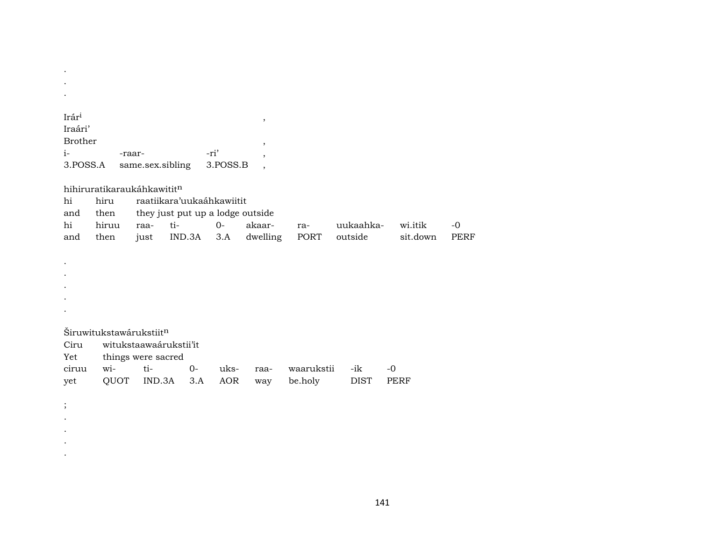| Irár <sup>i</sup> |                                        |                    |                                  |            | $^\mathrm{^{^\circ}}$    |            |             |             |             |
|-------------------|----------------------------------------|--------------------|----------------------------------|------------|--------------------------|------------|-------------|-------------|-------------|
| Iraári'           |                                        |                    |                                  |            |                          |            |             |             |             |
| <b>Brother</b>    |                                        |                    |                                  |            |                          |            |             |             |             |
| $i-$              | -raar-                                 |                    |                                  | -ri'       | $\overline{\phantom{a}}$ |            |             |             |             |
| 3.POSS.A          |                                        | same.sex.sibling   |                                  | 3.POSS.B   |                          |            |             |             |             |
|                   |                                        |                    |                                  |            | $\cdot$                  |            |             |             |             |
|                   | hihiruratikaraukáhkawitit <sup>n</sup> |                    |                                  |            |                          |            |             |             |             |
|                   |                                        |                    |                                  |            |                          |            |             |             |             |
| hi                | hiru                                   |                    | raatiikara'uukaáhkawiitit        |            |                          |            |             |             |             |
| and               | then                                   |                    | they just put up a lodge outside |            |                          |            |             |             |             |
| hi                | hiruu                                  | raa-               | ti-                              | $0 -$      | akaar-                   | ra-        | uukaahka-   | wi.itik     | $-0$        |
| and               | then                                   | just               | IND.3A                           | 3.A        | dwelling                 | PORT       | outside     | sit.down    | <b>PERF</b> |
|                   |                                        |                    |                                  |            |                          |            |             |             |             |
|                   |                                        |                    |                                  |            |                          |            |             |             |             |
|                   |                                        |                    |                                  |            |                          |            |             |             |             |
|                   |                                        |                    |                                  |            |                          |            |             |             |             |
|                   |                                        |                    |                                  |            |                          |            |             |             |             |
|                   |                                        |                    |                                  |            |                          |            |             |             |             |
|                   |                                        |                    |                                  |            |                          |            |             |             |             |
|                   | Širuwitukstawárukstiit <sup>n</sup>    |                    |                                  |            |                          |            |             |             |             |
| Ciru              |                                        |                    | witukstaawaárukstii'it           |            |                          |            |             |             |             |
| Yet               |                                        | things were sacred |                                  |            |                          |            |             |             |             |
| ciruu             | wi-                                    | ti-                | $0-$                             | uks-       | raa-                     | waarukstii | -ik         | $-0$        |             |
| yet               | QUOT                                   | IND.3A             | 3.A                              | <b>AOR</b> | way                      | be.holy    | <b>DIST</b> | <b>PERF</b> |             |
|                   |                                        |                    |                                  |            |                          |            |             |             |             |
|                   |                                        |                    |                                  |            |                          |            |             |             |             |
| $\vdots$          |                                        |                    |                                  |            |                          |            |             |             |             |

. . . .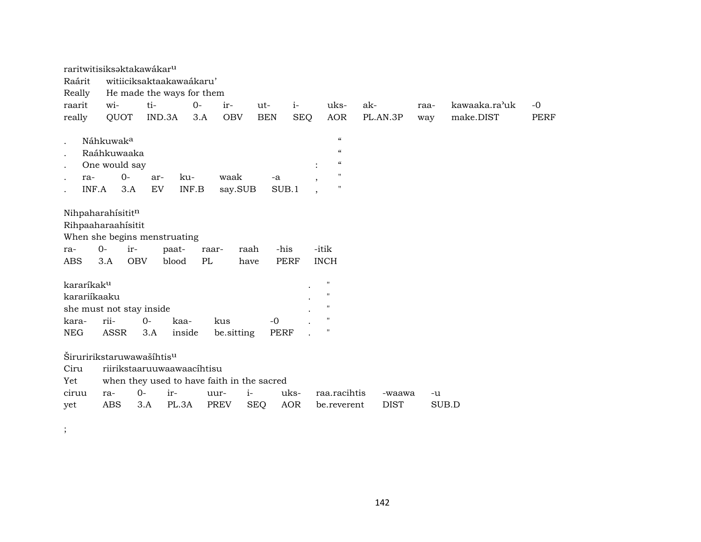|                        |                                       | raritwitisiksaktakawákar <sup>u</sup> |             |                                            |                    |                                   |                             |                       |      |               |             |
|------------------------|---------------------------------------|---------------------------------------|-------------|--------------------------------------------|--------------------|-----------------------------------|-----------------------------|-----------------------|------|---------------|-------------|
| Raárit                 |                                       | witiiciksaktaakawaákaru'              |             |                                            |                    |                                   |                             |                       |      |               |             |
| Really                 |                                       | He made the ways for them             |             |                                            |                    |                                   |                             |                       |      |               |             |
| raarit                 | wi-                                   | ti-                                   | $0-$        | ir-                                        | ut-                | $i-$                              | uks-                        | ak-                   | raa- | kawaaka.ra'uk | $-0$        |
| really                 | QUOT                                  | IND.3A                                | 3.A         | <b>OBV</b>                                 | <b>BEN</b>         | <b>SEQ</b>                        | <b>AOR</b>                  | PL.AN.3P              | way  | make.DIST     | <b>PERF</b> |
|                        |                                       |                                       |             |                                            |                    |                                   |                             |                       |      |               |             |
|                        | Náhkuwak <sup>a</sup>                 |                                       |             |                                            |                    |                                   | $\epsilon\epsilon$          |                       |      |               |             |
|                        | Raáhkuwaaka                           |                                       |             |                                            |                    |                                   | $\epsilon\epsilon$          |                       |      |               |             |
|                        | One would say                         |                                       |             |                                            |                    |                                   | $\epsilon\epsilon$          |                       |      |               |             |
| ra-                    | $O -$                                 | ar-                                   | ku-         | waak                                       | -a                 | $\cdot$                           | $\pmb{\mathsf{H}}$          |                       |      |               |             |
| INF.A                  | 3.A                                   | EV                                    | INF.B       | say.SUB                                    |                    | SUB.1<br>$\overline{\phantom{a}}$ | $\pmb{\mathsf{H}}$          |                       |      |               |             |
|                        |                                       |                                       |             |                                            |                    |                                   |                             |                       |      |               |             |
|                        | Nihpaharahisititn                     |                                       |             |                                            |                    |                                   |                             |                       |      |               |             |
|                        | Rihpaaharaahísitit                    |                                       |             |                                            |                    |                                   |                             |                       |      |               |             |
|                        | When she begins menstruating          |                                       |             |                                            |                    |                                   |                             |                       |      |               |             |
| ra-                    | $0-$<br>ir-                           |                                       | paat-       | raar-                                      | raah               | -his                              | -itik                       |                       |      |               |             |
| ABS                    | <b>OBV</b><br>3.A                     |                                       | PL<br>blood | have                                       |                    | <b>PERF</b>                       | <b>INCH</b>                 |                       |      |               |             |
|                        |                                       |                                       |             |                                            |                    |                                   |                             |                       |      |               |             |
|                        |                                       |                                       |             |                                            |                    |                                   |                             |                       |      |               |             |
| kararíkak <sup>u</sup> |                                       |                                       |             |                                            |                    |                                   | $\pmb{\mathsf{H}}$          |                       |      |               |             |
| karariíkaaku           |                                       |                                       |             |                                            |                    |                                   | $\mathsf{H}$                |                       |      |               |             |
|                        |                                       |                                       |             |                                            |                    |                                   | $\mathsf{H}$                |                       |      |               |             |
|                        | she must not stay inside              |                                       |             |                                            |                    |                                   | $\mathbf{H}$                |                       |      |               |             |
| kara-                  | rii-                                  | $0-$                                  | kaa-        | kus                                        | $-0$               |                                   | $\mathbf{H}$                |                       |      |               |             |
| NEG                    | ASSR                                  | 3.A                                   | inside      | be.sitting                                 | PERF               |                                   |                             |                       |      |               |             |
|                        |                                       |                                       |             |                                            |                    |                                   |                             |                       |      |               |             |
|                        | Širuririkstaruwawašíhtis <sup>u</sup> |                                       |             |                                            |                    |                                   |                             |                       |      |               |             |
| Ciru                   | riirikstaaruuwaawaacihtisu            |                                       |             |                                            |                    |                                   |                             |                       |      |               |             |
| Yet                    |                                       |                                       |             | when they used to have faith in the sacred |                    |                                   |                             |                       |      |               |             |
| ciruu<br>yet           | ra-<br><b>ABS</b>                     | $0-$<br>ir-<br>3.A                    | PL.3A       | uur-<br><b>PREV</b>                        | $i-$<br><b>SEQ</b> | uks-<br><b>AOR</b>                | raa.racihtis<br>be.reverent | -waawa<br><b>DIST</b> | -u   | SUB.D         |             |

142

 $\ddot{\cdot}$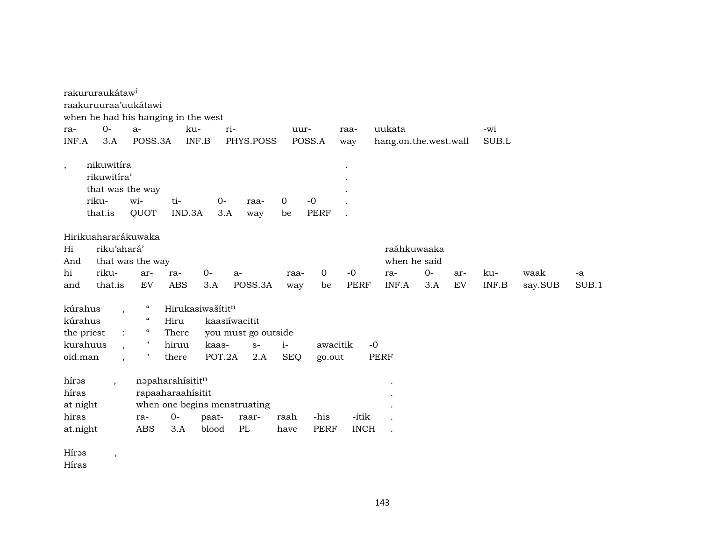|            | rakururaukátaw <sup>i</sup>                                       |                                        |                   |                  |                              |                      |                     |             |                          |      |     |                                      |         |       |
|------------|-------------------------------------------------------------------|----------------------------------------|-------------------|------------------|------------------------------|----------------------|---------------------|-------------|--------------------------|------|-----|--------------------------------------|---------|-------|
|            | raakuruuraa'uukátawi                                              |                                        |                   |                  |                              |                      |                     |             |                          |      |     |                                      |         |       |
|            | when he had his hanging in the west                               |                                        |                   |                  |                              |                      |                     |             |                          |      |     |                                      |         |       |
| ra-        | $0 -$                                                             | $a-$                                   |                   | ri-<br>ku-       |                              | uur-                 |                     | raa-        | uukata                   |      |     | -wi                                  |         |       |
| INF.A      | 3.A                                                               | POSS.3A                                |                   | INF.B            | PHYS.POSS                    |                      | POSS.A              | way         | hang.on.the.west.wall    |      |     | SUB.L                                |         |       |
| $\,$       | nikuwitíra<br>rikuwitíra'<br>that was the way<br>riku-<br>that.is | wi-<br>QUOT                            | ti-<br>IND.3A     | $0-$<br>3.A      | raa-<br>way                  | $\overline{0}$<br>be | $-0$<br><b>PERF</b> |             |                          |      |     |                                      |         |       |
|            | Hirikuahararákuwaka                                               |                                        |                   |                  |                              |                      |                     |             |                          |      |     |                                      |         |       |
| Hi         | riku'ahará'                                                       |                                        |                   |                  |                              |                      |                     |             | raáhkuwaaka              |      |     |                                      |         |       |
| And        |                                                                   | that was the way                       |                   |                  |                              |                      |                     |             | when he said             |      |     |                                      |         |       |
| hi         | riku-                                                             | ar-                                    | ra-               | $0-$             | $a-$                         | raa-                 | $\overline{0}$      | $-0$        | ra-                      | $0-$ | ar- | ku-                                  | waak    | -a    |
| and        | that.is                                                           | EV                                     | <b>ABS</b>        | 3.A              | POSS.3A                      | way                  | be                  | <b>PERF</b> | INF.A                    | 3.A  | EV  | $\ensuremath{\mathsf{INF.B}}\xspace$ | say.SUB | SUB.1 |
| kúrahus    | $\cdot$                                                           | $\epsilon\epsilon$                     |                   | Hirukasiwašítitn |                              |                      |                     |             |                          |      |     |                                      |         |       |
| kúrahus    |                                                                   | $\boldsymbol{\zeta}\boldsymbol{\zeta}$ | Hiru              |                  | kaasiíwacitit                |                      |                     |             |                          |      |     |                                      |         |       |
| the priest | $\ddot{\cdot}$                                                    | $\epsilon\epsilon$                     | There             |                  | you must go outside          |                      |                     |             |                          |      |     |                                      |         |       |
| kurahuus   |                                                                   | $\pmb{\mathsf{H}}$                     | hiruu             | kaas-            | $S-$                         | $i-$                 | awacitik            | $-0$        |                          |      |     |                                      |         |       |
| old.man    | $\overline{\phantom{a}}$                                          | $\pmb{\mathsf{H}}$                     | there             | POT.2A           | 2.A                          | <b>SEQ</b>           | go.out              |             | <b>PERF</b>              |      |     |                                      |         |       |
| hírəs      | $\overline{\phantom{a}}$                                          |                                        | napaharahísititn  |                  |                              |                      |                     |             |                          |      |     |                                      |         |       |
| híras      |                                                                   |                                        | rapaaharaahísitit |                  |                              |                      |                     |             |                          |      |     |                                      |         |       |
| at night   |                                                                   |                                        |                   |                  | when one begins menstruating |                      |                     |             |                          |      |     |                                      |         |       |
| hiras      |                                                                   | ra-                                    | $O -$             | paat-            | raar-                        | raah                 | -his                | -itik       |                          |      |     |                                      |         |       |
| at.night   |                                                                   | <b>ABS</b>                             | 3.A               | blood            | PL                           | have                 | <b>PERF</b>         | <b>INCH</b> | $\overline{\phantom{a}}$ |      |     |                                      |         |       |
| Hírəs      | $\overline{\phantom{a}}$                                          |                                        |                   |                  |                              |                      |                     |             |                          |      |     |                                      |         |       |

Híras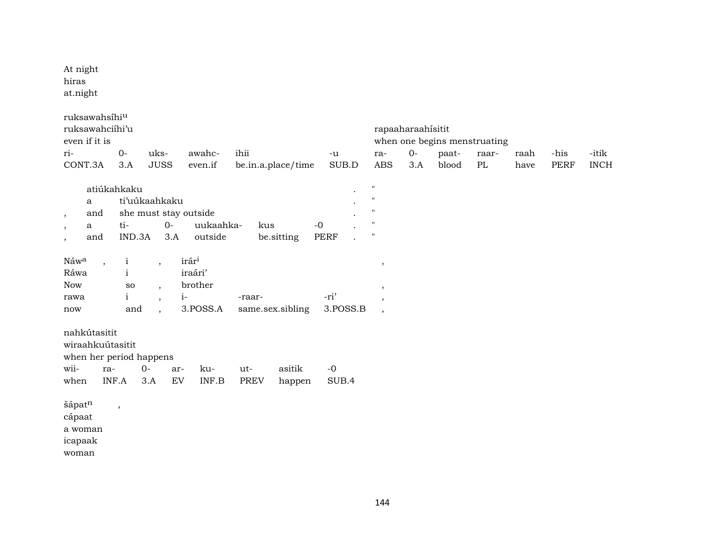At night hiras at.night

| ruksawahsíhi <sup>u</sup> |                         |        |                          |                       |                    |             |                          |                   |                              |       |      |      |             |
|---------------------------|-------------------------|--------|--------------------------|-----------------------|--------------------|-------------|--------------------------|-------------------|------------------------------|-------|------|------|-------------|
| ruksawahciíhi'u           |                         |        |                          |                       |                    |             |                          | rapaaharaahisitit |                              |       |      |      |             |
| even if it is             |                         |        |                          |                       |                    |             |                          |                   | when one begins menstruating |       |      |      |             |
| ri-                       | $O -$                   |        | uks-                     | awahc-                | ihii               | $-u$        | ra-                      | $O -$             | paat-                        | raar- | raah | -his | -itik       |
| CONT.3A                   | 3.A                     |        | <b>JUSS</b>              | even.if               | be.in.a.place/time | $\rm SUB.D$ | <b>ABS</b>               | 3.A               | blood                        | PL    | have | PERF | <b>INCH</b> |
|                           |                         |        |                          |                       |                    |             |                          |                   |                              |       |      |      |             |
|                           | atiúkahkaku             |        |                          |                       |                    |             | $\pmb{\mathsf{H}}$       |                   |                              |       |      |      |             |
| a                         |                         |        | ti'uúkaahkaku            |                       |                    |             | $\pmb{\mathsf{H}}$       |                   |                              |       |      |      |             |
| and<br>$\,$               |                         |        |                          | she must stay outside |                    |             | $\pmb{\mathsf{H}}$       |                   |                              |       |      |      |             |
| a<br>$\,$                 | ti-                     |        | $O-$                     | uukaahka-             | $-0$<br>kus        |             | $\mathsf{H}$             |                   |                              |       |      |      |             |
| and<br>$\cdot$            |                         | IND.3A | 3.A                      | outside               | be.sitting         | <b>PERF</b> | $\pmb{\mathsf{H}}$       |                   |                              |       |      |      |             |
|                           |                         |        |                          |                       |                    |             |                          |                   |                              |       |      |      |             |
| Náwa                      | $\mathbf{i}$<br>$\cdot$ |        | $\overline{ }$           | irár <sup>i</sup>     |                    |             | $\,$                     |                   |                              |       |      |      |             |
| Ráwa                      | $\mathbf{i}$            |        |                          | iraári'               |                    |             |                          |                   |                              |       |      |      |             |
| <b>Now</b>                | ${\bf SO}$              |        | $\overline{ }$           | brother               |                    |             | $\overline{\phantom{a}}$ |                   |                              |       |      |      |             |
| rawa                      | $\mathbf{i}$            |        | $\overline{\phantom{a}}$ | $i-$                  | -raar-             | -ri'        | $\cdot$                  |                   |                              |       |      |      |             |
| now                       |                         | and    | $\ddot{\phantom{0}}$     | 3.POSS.A              | same.sex.sibling   | 3.POSS.B    | $\overline{\phantom{a}}$ |                   |                              |       |      |      |             |
|                           |                         |        |                          |                       |                    |             |                          |                   |                              |       |      |      |             |
| nahkútasitit              |                         |        |                          |                       |                    |             |                          |                   |                              |       |      |      |             |
| wiraahkuútasitit          |                         |        |                          |                       |                    |             |                          |                   |                              |       |      |      |             |
| when her period happens   |                         |        |                          |                       |                    |             |                          |                   |                              |       |      |      |             |
| wii-                      | ra-                     | $O -$  | ar-                      | ku-                   | asitik<br>ut-      | $-0$        |                          |                   |                              |       |      |      |             |
| when                      | INF.A                   | 3.A    | EV                       | INF.B                 | PREV<br>happen     | SUB.4       |                          |                   |                              |       |      |      |             |
|                           |                         |        |                          |                       |                    |             |                          |                   |                              |       |      |      |             |
| šápatn                    |                         |        |                          |                       |                    |             |                          |                   |                              |       |      |      |             |
| cápaat                    | $\cdot$                 |        |                          |                       |                    |             |                          |                   |                              |       |      |      |             |
|                           |                         |        |                          |                       |                    |             |                          |                   |                              |       |      |      |             |
| a woman                   |                         |        |                          |                       |                    |             |                          |                   |                              |       |      |      |             |
| icapaak                   |                         |        |                          |                       |                    |             |                          |                   |                              |       |      |      |             |

 $\,$ woman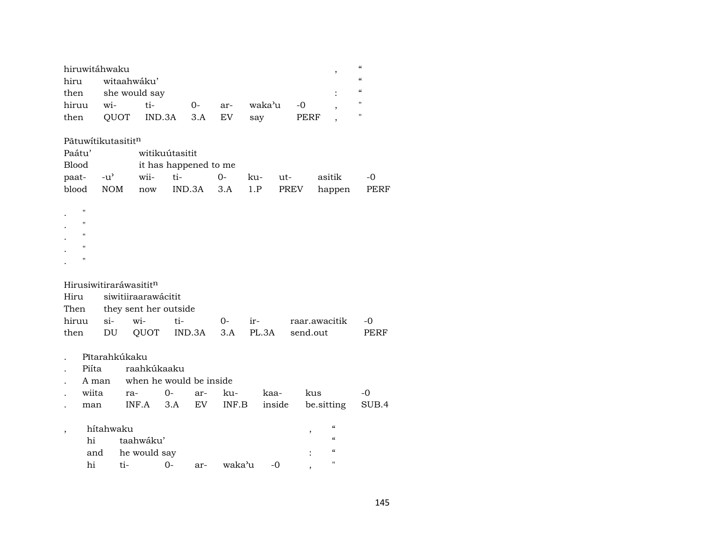| hiruwitáhwaku    |                                   |                            |  |  |  |  |  |  |  |  |  |
|------------------|-----------------------------------|----------------------------|--|--|--|--|--|--|--|--|--|
| hiru witaahwáku' |                                   |                            |  |  |  |  |  |  |  |  |  |
|                  | then she would say                |                            |  |  |  |  |  |  |  |  |  |
| hiruu            | $W1$ -                            | waka'u -0<br>ti-<br>0- ar- |  |  |  |  |  |  |  |  |  |
| then             | QUOT IND.3A 3.A EV<br>PERF<br>sav |                            |  |  |  |  |  |  |  |  |  |

## Pãtuwítikutasititn

 $\mathbf{.}$  "

| Paátu'    |     | witikuútasitit        |            |         |  |                                 |       |  |  |  |  |  |
|-----------|-----|-----------------------|------------|---------|--|---------------------------------|-------|--|--|--|--|--|
| Blood     |     | it has happened to me |            |         |  |                                 |       |  |  |  |  |  |
|           |     | paat- -u' wii- ti-    | $\Omega$ - | ku- ut- |  | asitik                          | $-()$ |  |  |  |  |  |
| blood NOM | now |                       |            |         |  | IND.3A 3.A 1.P PREV happen PERF |       |  |  |  |  |  |

# .  $"$  " .  $"$  " .  $"$  "  $\mathbb{R}^{n}$

# Hirusiwitiraráwasitit<sup>n</sup>

| Hiru siwitiiraarawácitit |                            |  |  |  |                                             |      |  |  |  |  |  |  |
|--------------------------|----------------------------|--|--|--|---------------------------------------------|------|--|--|--|--|--|--|
|                          | Then they sent her outside |  |  |  |                                             |      |  |  |  |  |  |  |
|                          |                            |  |  |  | hiruu si- wi- ti-  0- ir-  raar.awacitik -0 |      |  |  |  |  |  |  |
|                          |                            |  |  |  | then DU QUOT IND.3A 3.A PL.3A send.out      | PERF |  |  |  |  |  |  |

- 
- . Pītarahkúkaku<br>. Piíta raahk . Piíta raahkúkaaku
- . A man when he would be inside

|  |  |  | wiita ra- 0- ar- ku- kaa- kus -0                 |  |
|--|--|--|--------------------------------------------------|--|
|  |  |  | . man INF.A 3.A EV INF.B inside be.sitting SUB.4 |  |

| hítahwaku |                  | "  |       |         |       |   |
|-----------|------------------|----|-------|---------|-------|---|
| hi        | taahwáku'        |    |       |         |       | " |
|           | and he would say |    |       |         |       | " |
| hi        | $t_1-$           | () | $ar-$ | waka'11 | $-()$ | " |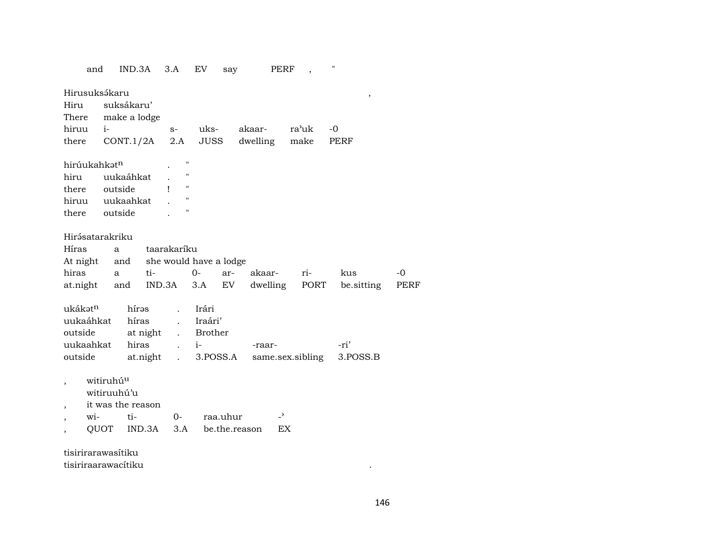| and                                                                                 |                                                        | IND.3A                                          | 3.A                                                                                          | EV                                         | say                       |                    | PERF                           | $\blacksquare$    |   |            |
|-------------------------------------------------------------------------------------|--------------------------------------------------------|-------------------------------------------------|----------------------------------------------------------------------------------------------|--------------------------------------------|---------------------------|--------------------|--------------------------------|-------------------|---|------------|
| Hirusuksákaru<br>Hiru<br>There<br>hiruu<br>there                                    | $i-$                                                   | suksákaru'<br>make a lodge<br>CONT.1/2A         | $S-$<br>2.A                                                                                  | uks-<br>JUSS                               |                           | akaar-<br>dwelling | ra'uk<br>make                  | $-0$<br>PERF      | , |            |
| hirúukahkatn<br>hiru<br>there outside<br>hiruu uukaahkat<br>there outside           |                                                        | uukaáhkat                                       | $\bar{\mathbf{H}}$<br>11<br>$\pmb{\mathsf{H}}$<br>ı<br>Н<br>п                                |                                            |                           |                    |                                |                   |   |            |
| Hirásatarakriku<br>Híras<br>At night<br>hiras<br>at.night and                       | a<br>a                                                 | and<br>ti-                                      | taarakaríku<br>she would have a lodge<br>IND.3A                                              | $0-$<br>3.A                                | ar-<br>EV                 | akaar-<br>dwelling | ri-<br>PORT                    | kus<br>be sitting |   | -0<br>PERF |
| ukákət <sup>n</sup><br>uukaáhkat<br>outside<br>uukaahkat<br>outside                 |                                                        | hírəs<br>híras<br>at night<br>hiras<br>at.night | $\ddot{\phantom{a}}$<br>$\mathbf{r}$<br>$\mathbf{L}$<br>$\ddot{\phantom{a}}$<br>$\mathbf{L}$ | Irári<br>Iraári'<br><b>Brother</b><br>$i-$ | 3.POSS.A                  | -raar-             | same.sex.sibling               | -ri'<br>3.POSS.B  |   |            |
| $\overline{\phantom{a}}$                                                            | witiruhú <sup>u</sup><br>witiruuhú'u<br>$W$ i-<br>QUOT | it was the reason<br>ti-<br>IND.3A              | $O-$<br>3.A                                                                                  |                                            | raa.uhur<br>be.the.reason |                    | $\overline{\phantom{0}}$<br>EX |                   |   |            |
| $+ i \cdot i \cdot i \cdot n \cdot n \cdot n \cdot n \cdot i + i 1 \cdot n \cdot n$ |                                                        |                                                 |                                                                                              |                                            |                           |                    |                                |                   |   |            |

tisirirarawasítiku

tisiriraarawacítiku .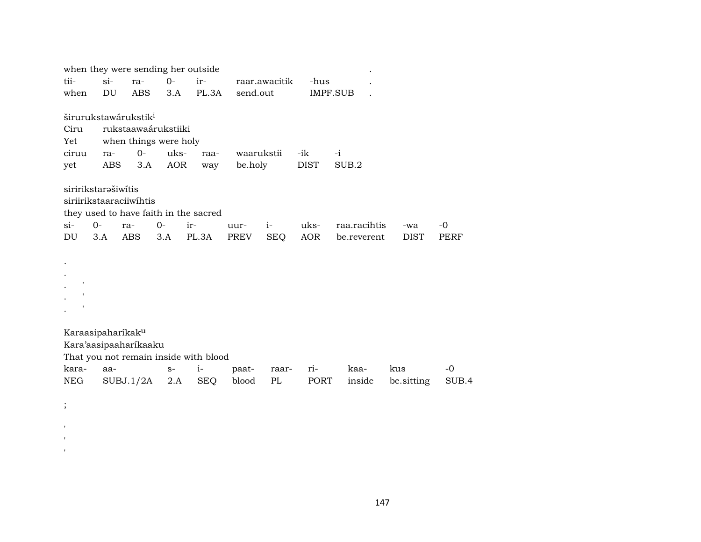|          |                               |                                  |            | when they were sending her outside    |            |               |             |              |             |       |
|----------|-------------------------------|----------------------------------|------------|---------------------------------------|------------|---------------|-------------|--------------|-------------|-------|
| tii-     | $si$ -                        | ra-                              | $0-$       | ir-                                   |            | raar.awacitik | -hus        |              |             |       |
| when     | DU                            | <b>ABS</b>                       | 3.A        | PL.3A                                 | send.out   |               | IMPF.SUB    |              |             |       |
|          |                               | širurukstawárukstik <sup>i</sup> |            |                                       |            |               |             |              |             |       |
| Ciru     |                               | rukstaawaárukstiiki              |            |                                       |            |               |             |              |             |       |
| Yet      |                               | when things were holy            |            |                                       |            |               |             |              |             |       |
| ciruu    | ra-                           | $0-$                             | uks-       | raa-                                  | waarukstii |               | -ik         | $-i$         |             |       |
| yet      | ABS                           | 3.A                              | <b>AOR</b> | way                                   | be.holy    |               | <b>DIST</b> | SUB.2        |             |       |
|          | siririkstarašiwitis           | siriirikstaaraciiwihtis          |            | they used to have faith in the sacred |            |               |             |              |             |       |
| $\sin$   | $0-$                          | ra-                              | $0-$       | ir-                                   | uur-       | $i-$          | uks-        | raa.racihtis | -wa         | $-0$  |
| DU       | 3.A                           | ABS.                             | 3.A        | PL.3A                                 | PREV       | <b>SEQ</b>    | <b>AOR</b>  | be.reverent  | <b>DIST</b> | PERF  |
|          |                               |                                  |            |                                       |            |               |             |              |             |       |
|          | Karaasipaharíkak <sup>u</sup> |                                  |            |                                       |            |               |             |              |             |       |
|          |                               | Kara'aasipaaharikaaku            |            |                                       |            |               |             |              |             |       |
|          |                               |                                  |            | That you not remain inside with blood |            |               |             |              |             |       |
| kara-    | aa-                           |                                  | $S-$       | $i-$                                  | paat-      | raar-         | ri-         | kaa-         | kus         | -0    |
| NEG      |                               | SUBJ.1/2A                        | 2.A        | <b>SEQ</b>                            | blood      | PL            | PORT        | inside       | be sitting  | SUB.4 |
| $\vdots$ |                               |                                  |            |                                       |            |               |             |              |             |       |

'' $\mathcal{C}$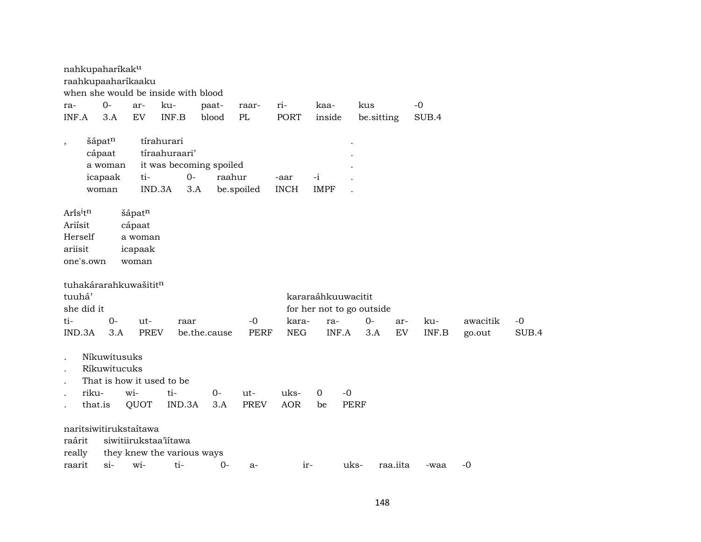| raahkupaaharikaaku<br>when she would be inside with blood<br>$0-$<br>$-0$<br>ku-<br>paat-<br>ri-<br>kaa-<br>kus<br>ar-<br>raar-<br>ra-<br>3.A<br>INF.B<br>PL<br><b>PORT</b><br>INF.A<br>EV<br>blood<br>inside<br>SUB.4<br>be.sitting<br>šápatn<br>tírahurari<br>$\overline{\phantom{a}}$<br>tíraahuraari'<br>cápaat<br>it was becoming spoiled<br>a woman<br>$O -$<br>raahur<br>icapaak<br>ti-<br>$-i$<br>-aar<br>IND.3A<br>be.spoiled<br><b>INCH</b><br><b>IMPF</b><br>3.A<br>woman<br>Arisitn<br>šápatn<br>Ariisit<br>cápaat<br>Herself<br>a woman<br>ariisit<br>icapaak<br>one's.own<br>woman<br>tuhakárarahkuwašititn<br>tuuhá'<br>kararaáhkuuwacitit<br>she did it<br>for her not to go outside<br>$0 -$<br>ti-<br>-0<br>kara-<br>0-<br>ku-<br>awacitik<br>-0<br>ut-<br>raar<br>ra-<br>ar-<br>3.A<br><b>PREV</b><br><b>PERF</b><br><b>NEG</b><br>INF.A<br>INF.B<br>SUB.4<br>IND.3A<br>be.the.cause<br>3.A<br>EV<br>go.out<br>Níkuwitusuks<br>$\ddot{\phantom{0}}$<br>Ríkuwitucuks<br>That is how it used to be<br>riku-<br>wi-<br>$\mathbf 0$<br>$-0$<br>ti-<br>$0-$<br>uks-<br>$ut-$<br>IND.3A<br><b>PREV</b><br><b>AOR</b><br><b>PERF</b><br>that.is<br>QUOT<br>3.A<br>be<br>naritsiwitirukstaítawa<br>siwitiirukstaa'iitawa | nahkupaharíkak <sup>u</sup> |  |  |  |  |  |  |
|-------------------------------------------------------------------------------------------------------------------------------------------------------------------------------------------------------------------------------------------------------------------------------------------------------------------------------------------------------------------------------------------------------------------------------------------------------------------------------------------------------------------------------------------------------------------------------------------------------------------------------------------------------------------------------------------------------------------------------------------------------------------------------------------------------------------------------------------------------------------------------------------------------------------------------------------------------------------------------------------------------------------------------------------------------------------------------------------------------------------------------------------------------------------------------------------------------------------------------------|-----------------------------|--|--|--|--|--|--|
|                                                                                                                                                                                                                                                                                                                                                                                                                                                                                                                                                                                                                                                                                                                                                                                                                                                                                                                                                                                                                                                                                                                                                                                                                                     |                             |  |  |  |  |  |  |
|                                                                                                                                                                                                                                                                                                                                                                                                                                                                                                                                                                                                                                                                                                                                                                                                                                                                                                                                                                                                                                                                                                                                                                                                                                     |                             |  |  |  |  |  |  |
|                                                                                                                                                                                                                                                                                                                                                                                                                                                                                                                                                                                                                                                                                                                                                                                                                                                                                                                                                                                                                                                                                                                                                                                                                                     |                             |  |  |  |  |  |  |
|                                                                                                                                                                                                                                                                                                                                                                                                                                                                                                                                                                                                                                                                                                                                                                                                                                                                                                                                                                                                                                                                                                                                                                                                                                     |                             |  |  |  |  |  |  |
|                                                                                                                                                                                                                                                                                                                                                                                                                                                                                                                                                                                                                                                                                                                                                                                                                                                                                                                                                                                                                                                                                                                                                                                                                                     |                             |  |  |  |  |  |  |
|                                                                                                                                                                                                                                                                                                                                                                                                                                                                                                                                                                                                                                                                                                                                                                                                                                                                                                                                                                                                                                                                                                                                                                                                                                     |                             |  |  |  |  |  |  |
|                                                                                                                                                                                                                                                                                                                                                                                                                                                                                                                                                                                                                                                                                                                                                                                                                                                                                                                                                                                                                                                                                                                                                                                                                                     |                             |  |  |  |  |  |  |
|                                                                                                                                                                                                                                                                                                                                                                                                                                                                                                                                                                                                                                                                                                                                                                                                                                                                                                                                                                                                                                                                                                                                                                                                                                     |                             |  |  |  |  |  |  |
|                                                                                                                                                                                                                                                                                                                                                                                                                                                                                                                                                                                                                                                                                                                                                                                                                                                                                                                                                                                                                                                                                                                                                                                                                                     |                             |  |  |  |  |  |  |
|                                                                                                                                                                                                                                                                                                                                                                                                                                                                                                                                                                                                                                                                                                                                                                                                                                                                                                                                                                                                                                                                                                                                                                                                                                     |                             |  |  |  |  |  |  |
|                                                                                                                                                                                                                                                                                                                                                                                                                                                                                                                                                                                                                                                                                                                                                                                                                                                                                                                                                                                                                                                                                                                                                                                                                                     |                             |  |  |  |  |  |  |
|                                                                                                                                                                                                                                                                                                                                                                                                                                                                                                                                                                                                                                                                                                                                                                                                                                                                                                                                                                                                                                                                                                                                                                                                                                     |                             |  |  |  |  |  |  |
|                                                                                                                                                                                                                                                                                                                                                                                                                                                                                                                                                                                                                                                                                                                                                                                                                                                                                                                                                                                                                                                                                                                                                                                                                                     |                             |  |  |  |  |  |  |
|                                                                                                                                                                                                                                                                                                                                                                                                                                                                                                                                                                                                                                                                                                                                                                                                                                                                                                                                                                                                                                                                                                                                                                                                                                     |                             |  |  |  |  |  |  |
|                                                                                                                                                                                                                                                                                                                                                                                                                                                                                                                                                                                                                                                                                                                                                                                                                                                                                                                                                                                                                                                                                                                                                                                                                                     |                             |  |  |  |  |  |  |
|                                                                                                                                                                                                                                                                                                                                                                                                                                                                                                                                                                                                                                                                                                                                                                                                                                                                                                                                                                                                                                                                                                                                                                                                                                     |                             |  |  |  |  |  |  |
|                                                                                                                                                                                                                                                                                                                                                                                                                                                                                                                                                                                                                                                                                                                                                                                                                                                                                                                                                                                                                                                                                                                                                                                                                                     |                             |  |  |  |  |  |  |
|                                                                                                                                                                                                                                                                                                                                                                                                                                                                                                                                                                                                                                                                                                                                                                                                                                                                                                                                                                                                                                                                                                                                                                                                                                     |                             |  |  |  |  |  |  |
|                                                                                                                                                                                                                                                                                                                                                                                                                                                                                                                                                                                                                                                                                                                                                                                                                                                                                                                                                                                                                                                                                                                                                                                                                                     |                             |  |  |  |  |  |  |
|                                                                                                                                                                                                                                                                                                                                                                                                                                                                                                                                                                                                                                                                                                                                                                                                                                                                                                                                                                                                                                                                                                                                                                                                                                     |                             |  |  |  |  |  |  |
|                                                                                                                                                                                                                                                                                                                                                                                                                                                                                                                                                                                                                                                                                                                                                                                                                                                                                                                                                                                                                                                                                                                                                                                                                                     |                             |  |  |  |  |  |  |
|                                                                                                                                                                                                                                                                                                                                                                                                                                                                                                                                                                                                                                                                                                                                                                                                                                                                                                                                                                                                                                                                                                                                                                                                                                     |                             |  |  |  |  |  |  |
|                                                                                                                                                                                                                                                                                                                                                                                                                                                                                                                                                                                                                                                                                                                                                                                                                                                                                                                                                                                                                                                                                                                                                                                                                                     |                             |  |  |  |  |  |  |
|                                                                                                                                                                                                                                                                                                                                                                                                                                                                                                                                                                                                                                                                                                                                                                                                                                                                                                                                                                                                                                                                                                                                                                                                                                     |                             |  |  |  |  |  |  |
|                                                                                                                                                                                                                                                                                                                                                                                                                                                                                                                                                                                                                                                                                                                                                                                                                                                                                                                                                                                                                                                                                                                                                                                                                                     |                             |  |  |  |  |  |  |
|                                                                                                                                                                                                                                                                                                                                                                                                                                                                                                                                                                                                                                                                                                                                                                                                                                                                                                                                                                                                                                                                                                                                                                                                                                     |                             |  |  |  |  |  |  |
|                                                                                                                                                                                                                                                                                                                                                                                                                                                                                                                                                                                                                                                                                                                                                                                                                                                                                                                                                                                                                                                                                                                                                                                                                                     |                             |  |  |  |  |  |  |
|                                                                                                                                                                                                                                                                                                                                                                                                                                                                                                                                                                                                                                                                                                                                                                                                                                                                                                                                                                                                                                                                                                                                                                                                                                     |                             |  |  |  |  |  |  |
|                                                                                                                                                                                                                                                                                                                                                                                                                                                                                                                                                                                                                                                                                                                                                                                                                                                                                                                                                                                                                                                                                                                                                                                                                                     | raárit                      |  |  |  |  |  |  |
| they knew the various ways<br>really                                                                                                                                                                                                                                                                                                                                                                                                                                                                                                                                                                                                                                                                                                                                                                                                                                                                                                                                                                                                                                                                                                                                                                                                |                             |  |  |  |  |  |  |
| $\sin$<br>ti-<br>raarit<br>wi-<br>$0-$<br>uks-<br>raa.iita<br>$-0$<br>$ir-$<br>$a-$<br>-waa                                                                                                                                                                                                                                                                                                                                                                                                                                                                                                                                                                                                                                                                                                                                                                                                                                                                                                                                                                                                                                                                                                                                         |                             |  |  |  |  |  |  |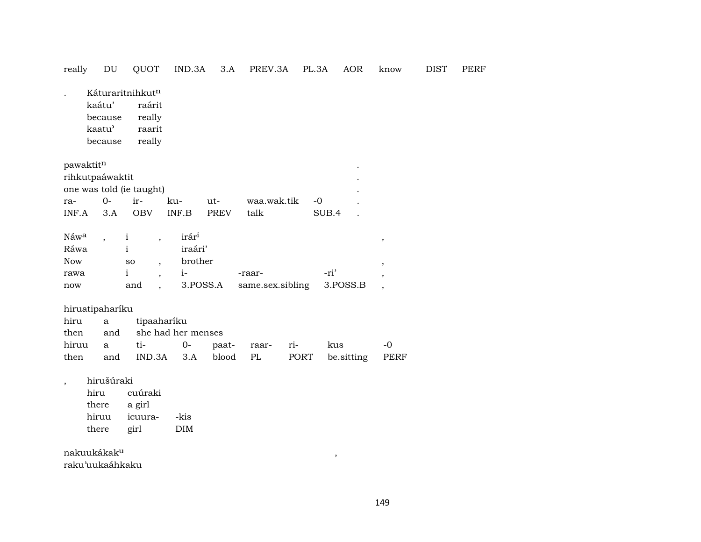### really  $\mathop{\rm DU}\nolimits$ QUOT IND.3A 3.A PREV.3A PL.3A AOR know **DIST** PERF

Káturaritnihkut<sup>n</sup>  $\mathbb{R}^2$ kaátu' raárit because really kaatu' raarit really because

| pawaktit <sup>n</sup>    |      |            |       |             |             |                  |  |  |  |  |  |
|--------------------------|------|------------|-------|-------------|-------------|------------------|--|--|--|--|--|
| rihkutpaáwaktit          |      |            |       |             |             |                  |  |  |  |  |  |
| one was told (ie taught) |      |            |       |             |             |                  |  |  |  |  |  |
| ra-                      | $O-$ | $1r-$      | ku-   | ut-         | waa.wak.tik | $-()$            |  |  |  |  |  |
| INF.A                    | 3.A  | <b>OBV</b> | INF B | <b>PREV</b> | talk        | SUB <sub>4</sub> |  |  |  |  |  |

| Náw <sup>a</sup> |     | irár <sup>i</sup> |                  |          |  |
|------------------|-----|-------------------|------------------|----------|--|
| Ráwa             |     | iraári'           |                  |          |  |
| Now              | so  | brother           |                  |          |  |
| rawa             |     |                   | -raar-           | -ri'     |  |
| now              | and | 3.POSS.A          | same.sex.sibling | 3.POSS.B |  |

hiruatipaharíku

|  |                                      | hiru a tipaaharíku          |  |  |  |                                                   |  |  |  |  |  |  |  |
|--|--------------------------------------|-----------------------------|--|--|--|---------------------------------------------------|--|--|--|--|--|--|--|
|  |                                      | then and she had her menses |  |  |  |                                                   |  |  |  |  |  |  |  |
|  | hiruu a ti-  0- paat- raar- ri-  kus |                             |  |  |  | $-()$                                             |  |  |  |  |  |  |  |
|  |                                      |                             |  |  |  | then and IND.3A 3.A blood PL PORT be sitting PERF |  |  |  |  |  |  |  |

hirušúraki  $\cdot$ 

> hiru cuúraki a girl there hiruu icuura- $-kis$ there girl  $\rm{DIM}$

nakuukákak<sup>u</sup> raku'uukaáhkaku

 $\, ,$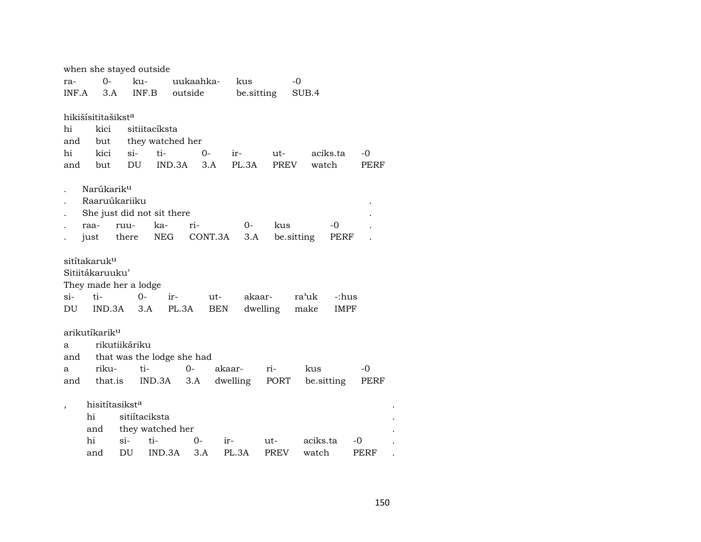|        | when she stayed outside        |                                    |                  |           |            |            |             |            |             |      |  |  |  |
|--------|--------------------------------|------------------------------------|------------------|-----------|------------|------------|-------------|------------|-------------|------|--|--|--|
| ra-    | $0-$                           | ku-                                |                  | uukaahka- |            | kus        |             | $-0$       |             |      |  |  |  |
| INF.A  | 3.A                            | INF.B                              |                  | outside   |            | be sitting |             | SUB.4      |             |      |  |  |  |
|        |                                |                                    |                  |           |            |            |             |            |             |      |  |  |  |
|        | hikišísititašikst <sup>a</sup> |                                    |                  |           |            |            |             |            |             |      |  |  |  |
| hi     | kici                           |                                    | sitiitacíksta    |           |            |            |             |            |             |      |  |  |  |
| and    | but                            |                                    | they watched her |           |            |            |             |            |             |      |  |  |  |
| hi     | kici                           | si-                                | ti-              |           | $0-$       | ir-        | ut-         |            | aciks.ta    | $-0$ |  |  |  |
| and    | but                            | DU                                 | IND.3A           |           | 3.A        | PL.3A      | PREV        | watch      |             | PERF |  |  |  |
|        |                                |                                    |                  |           |            |            |             |            |             |      |  |  |  |
|        | Narúkarik <sup>u</sup>         |                                    |                  |           |            |            |             |            |             |      |  |  |  |
|        | Raaruúkariiku                  |                                    |                  |           |            |            |             |            |             |      |  |  |  |
|        | raa-                           | She just did not sit there<br>ruu- | ka-              | ri-       |            | $0-$       | kus         |            | -0          |      |  |  |  |
|        | just                           | there                              | NEG              |           | CONT.3A    | 3.A        |             | be sitting | PERF        |      |  |  |  |
|        |                                |                                    |                  |           |            |            |             |            |             |      |  |  |  |
|        | sitítakaruk <sup>u</sup>       |                                    |                  |           |            |            |             |            |             |      |  |  |  |
|        | Sitiitákaruuku'                |                                    |                  |           |            |            |             |            |             |      |  |  |  |
|        |                                | They made her a lodge              |                  |           |            |            |             |            |             |      |  |  |  |
| $\sin$ | ti-                            | $0-$                               | ir-              |           | ut-        | akaar-     |             | ra'uk      | -:hus       |      |  |  |  |
| DU     | IND.3A                         | 3.A                                | PL.3A            |           | <b>BEN</b> |            | dwelling    | make       | <b>IMPF</b> |      |  |  |  |
|        |                                |                                    |                  |           |            |            |             |            |             |      |  |  |  |
|        | arikutíkarik <sup>u</sup>      |                                    |                  |           |            |            |             |            |             |      |  |  |  |
| a      |                                | rikutiikáriku                      |                  |           |            |            |             |            |             |      |  |  |  |
| and    |                                | that was the lodge she had         |                  |           |            |            |             |            |             |      |  |  |  |
| a      | riku-                          | ti-                                |                  | $0 -$     | akaar-     |            | ri-         | kus        |             | -0   |  |  |  |
| and    | that.is                        |                                    | IND.3A           | 3.A       |            | dwelling   | PORT        |            | be.sitting  | PERF |  |  |  |
|        |                                |                                    |                  |           |            |            |             |            |             |      |  |  |  |
|        | hisitítasikst <sup>a</sup>     |                                    |                  |           |            |            |             |            |             |      |  |  |  |
|        | hi                             | sitiítaciksta                      |                  |           |            |            |             |            |             |      |  |  |  |
|        | and                            |                                    | they watched her |           |            |            |             |            |             |      |  |  |  |
|        | hi                             | $\sin$                             | ti-              | 0-        | ir-        |            | ut-         | aciks.ta   |             | -0   |  |  |  |
|        | and                            | DU                                 | IND.3A           | 3.A       |            | PL.3A      | <b>PREV</b> | watch      |             | PERF |  |  |  |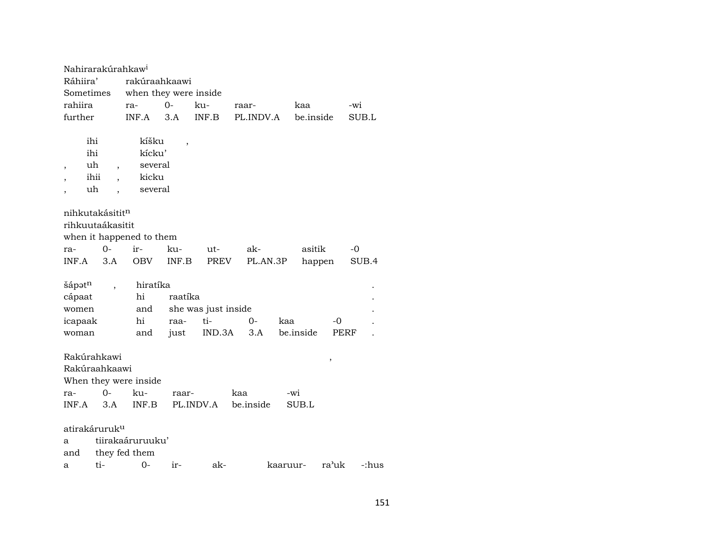| Nahirarakúrahkaw <sup>i</sup>                             |           |                                                |                         |                                      |                  |                  |            |       |
|-----------------------------------------------------------|-----------|------------------------------------------------|-------------------------|--------------------------------------|------------------|------------------|------------|-------|
| Ráhiira'                                                  |           | rakúraahkaawi                                  |                         |                                      |                  |                  |            |       |
| Sometimes                                                 |           | when they were inside                          |                         |                                      |                  |                  |            |       |
| rahiira                                                   |           | ra-                                            | $0-$                    | ku-                                  | raar-            | kaa              | -wi        |       |
| further                                                   |           | INF.A                                          | 3.A                     | INF.B                                | PL.INDV.A        | be.inside        | SUB.L      |       |
| ihi<br>ihi<br>uh<br>$\overline{\phantom{a}}$<br>uh        | ihii      | kíšku<br>kícku'<br>several<br>kicku<br>several | ,                       |                                      |                  |                  |            |       |
| nihkutakásititn<br>rihkuutaákasitit                       |           | when it happened to them                       |                         |                                      |                  |                  |            |       |
| ra-                                                       | $0 -$     | ir-                                            | ku-                     | ut-                                  | ak-              | asitik           | $-0$       |       |
| INF.A                                                     | 3.A       | OBV                                            | INF.B                   | PREV                                 | PL.AN.3P         | happen           |            | SUB.4 |
| šápət <sup>n</sup><br>cápaat<br>women<br>icapaak<br>woman |           | hiratíka<br>hi<br>and<br>hi<br>and             | raatíka<br>raa-<br>just | she was just inside<br>ti-<br>IND.3A | $0-$<br>3.A      | kaa<br>be.inside | -0<br>PERF |       |
| Rakúrahkawi<br>Rakúraahkaawi<br>ra-<br>INF.A              | 0-<br>3.A | When they were inside<br>ku-<br>INF.B          | raar-                   | PL.INDV.A                            | kaa<br>be.inside | -wi<br>SUB.L     | ,          |       |
| atirakáruruk <sup>u</sup>                                 |           |                                                |                         |                                      |                  |                  |            |       |
| a                                                         |           | tiirakaáruruuku'                               |                         |                                      |                  |                  |            |       |
| and                                                       |           | they fed them                                  |                         |                                      |                  |                  |            |       |
| a                                                         | ti-       | $0-$                                           | ir-                     | ak-                                  |                  | kaaruur-         | ra'uk      | -:hus |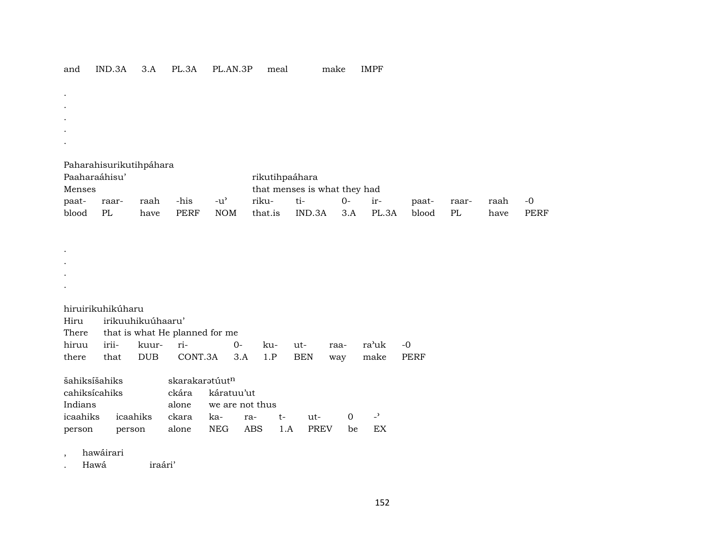| and | $- - - -$<br>"ND.<br>.3A | $\Lambda$<br>o.n | DT<br>L.3A | AN.3P<br>$PL_{\ell}$ | meal<br>$\sim$ | make | IMPF |
|-----|--------------------------|------------------|------------|----------------------|----------------|------|------|
|-----|--------------------------|------------------|------------|----------------------|----------------|------|------|

| $\cdot$       |                         |      |             |            |                |                              |      |       |       |       |      |             |
|---------------|-------------------------|------|-------------|------------|----------------|------------------------------|------|-------|-------|-------|------|-------------|
| $\bullet$     |                         |      |             |            |                |                              |      |       |       |       |      |             |
| $\bullet$     |                         |      |             |            |                |                              |      |       |       |       |      |             |
| $\cdot$       |                         |      |             |            |                |                              |      |       |       |       |      |             |
| $\cdot$       |                         |      |             |            |                |                              |      |       |       |       |      |             |
|               |                         |      |             |            |                |                              |      |       |       |       |      |             |
|               | Paharahisurikutihpáhara |      |             |            |                |                              |      |       |       |       |      |             |
| Paaharaáhisu' |                         |      |             |            | rikutihpaáhara |                              |      |       |       |       |      |             |
| Menses        |                         |      |             |            |                | that menses is what they had |      |       |       |       |      |             |
| paat-         | raar-                   | raah | -his        | -u'        | riku-          | ti-                          | $0-$ | ir-   | paat- | raar- | raah | $-0$        |
| blood         | PL                      | have | <b>PERF</b> | <b>NOM</b> | that.is        | IND.3A                       | 3.A  | PL.3A | blood | PL    | have | <b>PERF</b> |

| hiruirikuhikúharu |                                      |                                            |  |  |  |  |  |  |  |  |  |  |  |
|-------------------|--------------------------------------|--------------------------------------------|--|--|--|--|--|--|--|--|--|--|--|
|                   | Hiru irikuuhikuúhaaru'               |                                            |  |  |  |  |  |  |  |  |  |  |  |
|                   | There that is what He planned for me |                                            |  |  |  |  |  |  |  |  |  |  |  |
|                   |                                      |                                            |  |  |  |  |  |  |  |  |  |  |  |
| there             |                                      | that DUB CONT.3A 3.A 1.P BEN way make PERF |  |  |  |  |  |  |  |  |  |  |  |

| šahiksišahiks |                                    | skarakarətúut <sup>n</sup> |  |        |     |     |  |
|---------------|------------------------------------|----------------------------|--|--------|-----|-----|--|
| cahiksicahiks |                                    | ckára káratuu'ut           |  |        |     |     |  |
| Indians       |                                    | alone we are not thus      |  |        |     |     |  |
|               | icaahiks icaahiks ckara ka- ra- t- |                            |  | $11t-$ |     |     |  |
| person        | person alone NEG ABS 1.A           |                            |  | PREV   | he. | EX. |  |

, hawáirari

. . . .

. Hawá iraári'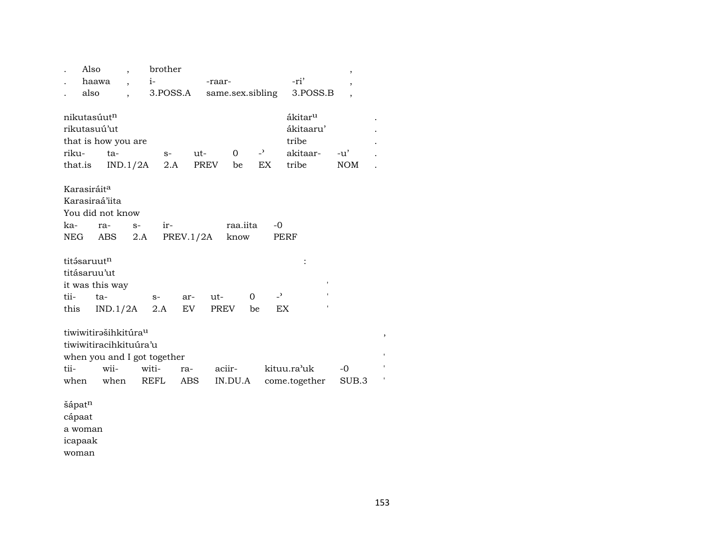|        | Also                    | $\cdot$                          |       | brother  |           |                  |          |                          |                     | ,              |                    |  |
|--------|-------------------------|----------------------------------|-------|----------|-----------|------------------|----------|--------------------------|---------------------|----------------|--------------------|--|
|        | haawa                   | $\overline{\phantom{a}}$         | $i-$  |          |           | -raar-           |          |                          | -ri'                | ,              |                    |  |
|        | also                    |                                  |       | 3.POSS.A |           | same.sex.sibling |          |                          | 3.POSS.B            | $\overline{ }$ |                    |  |
|        |                         |                                  |       |          |           |                  |          |                          |                     |                |                    |  |
|        | nikutasúutn             |                                  |       |          |           |                  |          |                          | ákitar <sup>u</sup> |                |                    |  |
|        | rikutasuú'ut            |                                  |       |          |           |                  |          |                          | ákitaaru'           |                |                    |  |
|        |                         | that is how you are              |       |          |           |                  |          |                          | tribe               |                |                    |  |
| riku-  |                         | ta-                              |       | $S-$     | ut-       | 0                |          | $\mathbb{R}^2$           | akitaar-            | $-u'$          |                    |  |
|        | that.is                 | IND.1/2A                         |       | 2.A      |           | PREV<br>be       |          | EX                       | tribe               | <b>NOM</b>     |                    |  |
|        |                         |                                  |       |          |           |                  |          |                          |                     |                |                    |  |
|        | Karasiráit <sup>a</sup> |                                  |       |          |           |                  |          |                          |                     |                |                    |  |
|        |                         | Karasiraá'iita                   |       |          |           |                  |          |                          |                     |                |                    |  |
|        |                         | You did not know                 |       |          |           |                  |          |                          |                     |                |                    |  |
| ka-    |                         | ra-                              | $S-$  | ir-      |           | raa.iita         |          | -0                       |                     |                |                    |  |
| NEG    |                         | ABS                              | 2.A   |          | PREV.1/2A | know             |          |                          | PERF                |                |                    |  |
|        |                         |                                  |       |          |           |                  |          |                          |                     |                |                    |  |
|        | titásaruutn             |                                  |       |          |           |                  |          |                          |                     |                |                    |  |
|        | titásaruu'ut            |                                  |       |          |           |                  |          |                          |                     |                |                    |  |
|        |                         | it was this way                  |       |          |           |                  |          |                          |                     |                |                    |  |
| tii-   |                         | ta-                              |       | $S-$     | ar-       | ut-              | $\Omega$ | $\overline{\phantom{0}}$ |                     |                |                    |  |
| this   |                         | IND.1/2A                         |       | 2.A      | EV        | PREV             | be       | EX                       |                     |                |                    |  |
|        |                         |                                  |       |          |           |                  |          |                          |                     |                |                    |  |
|        |                         | tiwiwitirašihkitúra <sup>u</sup> |       |          |           |                  |          |                          |                     |                | ,                  |  |
|        |                         | tiwiwitiracihkituúra'u           |       |          |           |                  |          |                          |                     |                |                    |  |
|        |                         | when you and I got together      |       |          |           |                  |          |                          |                     |                | $\pmb{\mathsf{I}}$ |  |
| tii-   |                         | wii-                             | witi- |          | ra-       | aciir-           |          |                          | kituu.ra'uk         | -0             |                    |  |
| when   |                         | when                             | REFL  |          | ABS       | IN.DU.A          |          |                          | come.together       | SUB.3          | ,                  |  |
|        |                         |                                  |       |          |           |                  |          |                          |                     |                |                    |  |
|        |                         |                                  |       |          |           |                  |          |                          |                     |                |                    |  |
| šápatn |                         |                                  |       |          |           |                  |          |                          |                     |                |                    |  |

 $\mathbf a$ woman

icapaak

woman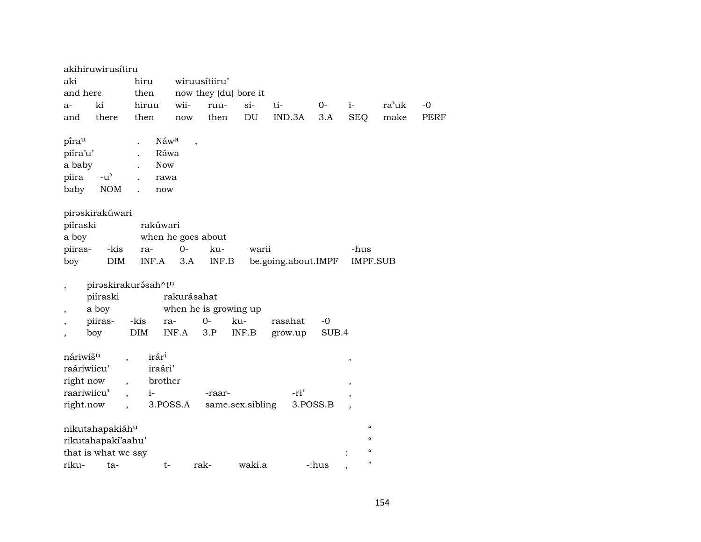|                                                                              | akihiruwirusítiru                            |                                                                   |                          |                            |        |                     |          |                                           |       |             |
|------------------------------------------------------------------------------|----------------------------------------------|-------------------------------------------------------------------|--------------------------|----------------------------|--------|---------------------|----------|-------------------------------------------|-------|-------------|
| aki                                                                          |                                              | hiru                                                              |                          | wiruusítiiru'              |        |                     |          |                                           |       |             |
| and here                                                                     |                                              | then                                                              |                          | now they (du) bore it      |        |                     |          |                                           |       |             |
| a-                                                                           | ki                                           | hiruu                                                             | wii-                     | ruu-                       | $si-$  | ti-                 | $0-$     | $i-$                                      | ra'uk | $-0$        |
| and                                                                          | there                                        | then                                                              | now                      | then                       | DU     | IND.3A              | 3.A      | <b>SEQ</b>                                | make  | <b>PERF</b> |
| pirau<br>piíra'u'<br>a baby<br>piira<br>baby                                 | $-u^{\prime}$<br><b>NOM</b>                  | Náwa<br>$\ddot{\phantom{a}}$<br>Ráwa<br><b>Now</b><br>rawa<br>now | $\overline{\phantom{a}}$ |                            |        |                     |          |                                           |       |             |
|                                                                              | pirəskirakúwari                              |                                                                   |                          |                            |        |                     |          |                                           |       |             |
| piíraski                                                                     |                                              | rakúwari                                                          |                          |                            |        |                     |          |                                           |       |             |
| a boy                                                                        |                                              |                                                                   | when he goes about       |                            |        |                     |          |                                           |       |             |
| piiras-                                                                      | -kis                                         | ra-                                                               | $O -$                    | ku-                        | warii  |                     |          | -hus                                      |       |             |
| boy                                                                          | DIM                                          | INF.A                                                             | 3.A                      | INF.B                      |        | be.going.about.IMPF |          | <b>IMPF.SUB</b>                           |       |             |
|                                                                              | piíraski<br>a boy                            | piraskirakurásah^tn                                               | rakurásahat              | when he is growing up      |        |                     |          |                                           |       |             |
|                                                                              | piiras-                                      | -kis                                                              | ra-                      | $0-$                       | ku-    | rasahat             | $-0$     |                                           |       |             |
| $\overline{\phantom{a}}$                                                     | boy                                          | <b>DIM</b>                                                        | INF.A                    | 3.P                        | INF.B  | grow.up             | SUB.4    |                                           |       |             |
| náriwiš <sup>u</sup><br>raáriwiicu'<br>right now<br>raariwiicu'<br>right.now | $\overline{ }$ ,<br>$\overline{\phantom{a}}$ | irár <sup>i</sup><br>iraári'<br>brother<br>$i-$                   | 3.POSS.A                 | -raar-<br>same.sex.sibling |        | -ri'                | 3.POSS.B | $^\mathrm{,}$<br>$\overline{\phantom{a}}$ |       |             |
|                                                                              | nikutahapakiáhu                              |                                                                   |                          |                            |        |                     |          | $\mathcal{C}\mathcal{C}$                  |       |             |
|                                                                              | rikutahapakí'aahu'                           |                                                                   |                          |                            |        |                     |          | $\epsilon$                                |       |             |
|                                                                              | that is what we say                          |                                                                   |                          |                            |        |                     |          | $\epsilon$                                |       |             |
| riku-                                                                        | ta-                                          | t-                                                                |                          | rak-                       | waki.a |                     | -:hus    | 11                                        |       |             |
|                                                                              |                                              |                                                                   |                          |                            |        |                     |          |                                           |       |             |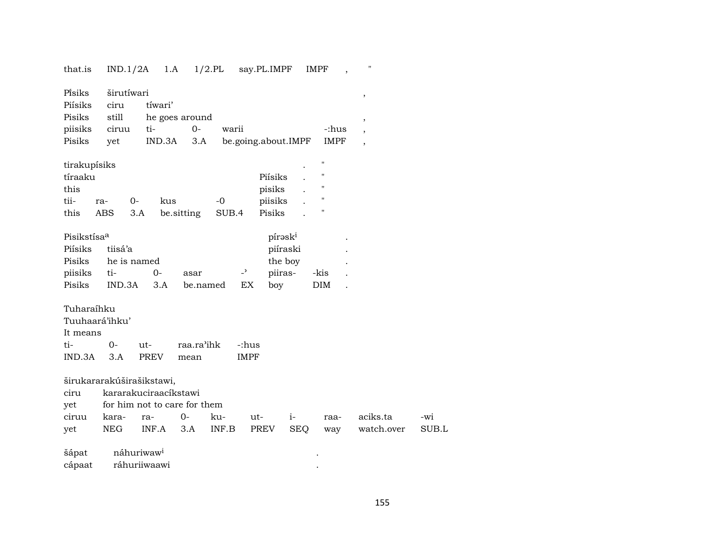| that.is                 | IND.1/2A           | 1.A                          |            | $1/2$ .PL | say.PL.IMPF         |            | <b>IMPF</b>    | 11                       |       |
|-------------------------|--------------------|------------------------------|------------|-----------|---------------------|------------|----------------|--------------------------|-------|
| Písiks<br>Piísiks       | širutíwari<br>ciru | tíwari'                      |            |           |                     |            |                | $^\mathrm{,}$            |       |
| Pisiks                  | still              | he goes around               |            |           |                     |            |                |                          |       |
| piisiks                 | ciruu              | ti-                          | $0-$       | warii     |                     |            | -:hus          | $^\mathrm{,}$            |       |
| Pisiks                  | yet                | IND.3A                       | 3.A        |           | be.going.about.IMPF |            | <b>IMPF</b>    |                          |       |
|                         |                    |                              |            |           |                     |            |                | $\overline{\phantom{a}}$ |       |
| tirakupísiks            |                    |                              |            |           |                     |            | п              |                          |       |
| tíraaku                 |                    |                              |            |           | Piísiks             |            | п              |                          |       |
| this                    |                    |                              |            |           | pisiks              |            | $\blacksquare$ |                          |       |
| tii-                    | 0-<br>ra-          | kus                          |            | $-0$      | piisiks             |            | П              |                          |       |
| this                    | ABS                | 3.A                          |            | SUB.4     | Pisiks              |            | П              |                          |       |
|                         |                    |                              | be.sitting |           |                     |            |                |                          |       |
| Pisikstísa <sup>a</sup> |                    |                              |            |           |                     | pírəski    |                |                          |       |
| Piísiks                 | tiisá'a            |                              |            |           |                     | piíraski   |                |                          |       |
| Pisiks                  | he is named        |                              |            |           |                     | the boy    |                |                          |       |
|                         | ti-                | $0-$                         |            |           | $\overline{a}$      |            |                |                          |       |
| piisiks<br>Pisiks       |                    |                              | asar       |           | piiras-             |            | -kis           |                          |       |
|                         | IND.3A             | 3.A                          | be.named   |           | EX<br>boy           |            | DIM            |                          |       |
| Tuharaíhku              |                    |                              |            |           |                     |            |                |                          |       |
| Tuuhaará'ihku'          |                    |                              |            |           |                     |            |                |                          |       |
| It means                |                    |                              |            |           |                     |            |                |                          |       |
| ti-                     | $0-$               | ut-                          | raa.ra'ihk |           | -:hus               |            |                |                          |       |
|                         |                    |                              |            |           |                     |            |                |                          |       |
| IND.3A                  | 3.A                | <b>PREV</b>                  | mean       |           | <b>IMPF</b>         |            |                |                          |       |
|                         |                    | širukararakúširašikstawi,    |            |           |                     |            |                |                          |       |
| ciru                    |                    | kararakuciraacíkstawi        |            |           |                     |            |                |                          |       |
| yet                     |                    | for him not to care for them |            |           |                     |            |                |                          |       |
| ciruu                   | kara-              | ra-                          | $O -$      | ku-       | ut-                 | $i-$       | raa-           | aciks.ta                 | -wi   |
|                         | NEG                | INF.A                        | 3.A        | INF.B     | PREV                | <b>SEQ</b> |                | watch.over               | SUB.L |
| yet                     |                    |                              |            |           |                     |            | way            |                          |       |
| šápat                   |                    | náhuriwaw <sup>i</sup>       |            |           |                     |            |                |                          |       |
| cápaat                  |                    | ráhuriiwaawi                 |            |           |                     |            |                |                          |       |
|                         |                    |                              |            |           |                     |            |                |                          |       |

### 155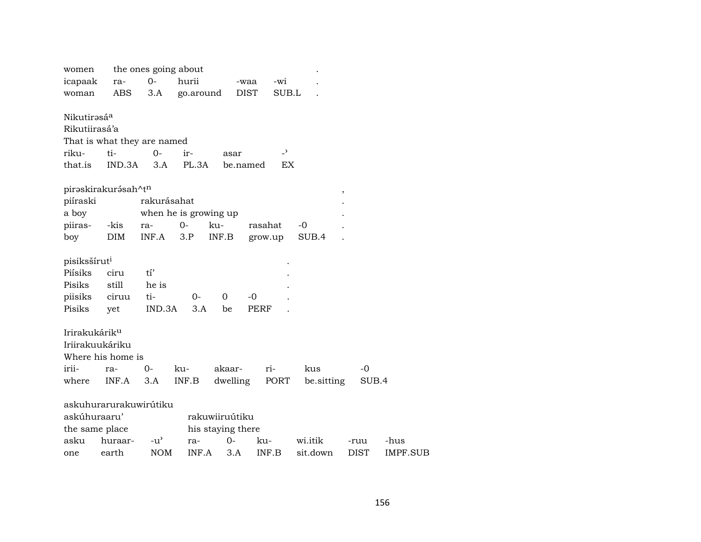| women                     |                        | the ones going about        |           |                   |             |                |            |             |             |
|---------------------------|------------------------|-----------------------------|-----------|-------------------|-------------|----------------|------------|-------------|-------------|
| icapaak                   | ra-                    | $O -$                       | hurii     |                   | -waa        | -wi            |            |             |             |
| woman                     | <b>ABS</b>             | 3.A                         | go.around |                   | DIST        | SUB.L          |            |             |             |
| Nikutirəsá <sup>a</sup>   |                        |                             |           |                   |             |                |            |             |             |
| Rikutiirasá'a             |                        |                             |           |                   |             |                |            |             |             |
|                           |                        | That is what they are named |           |                   |             |                |            |             |             |
| riku-                     | ti-                    | $O -$                       | ir-       | asar              |             | $\overline{a}$ |            |             |             |
| that.is                   | IND.3A                 | 3.A                         | PL.3A     |                   | be.named    | EX             |            |             |             |
|                           | piraskirakurásah^tn    |                             |           |                   |             |                |            | $\,$        |             |
| piíraski                  |                        | rakurásahat                 |           |                   |             |                |            |             |             |
| a boy                     |                        | when he is growing up       |           |                   |             |                |            |             |             |
| piiras-                   | -kis                   | ra-                         | $O-$      | ku-               | rasahat     |                | $-0$       |             |             |
| boy                       | <b>DIM</b>             | INF.A                       | 3.P       | INF.B             | grow.up     |                | SUB.4      |             |             |
| pisiksšírut <sup>i</sup>  |                        |                             |           |                   |             |                |            |             |             |
| Piísiks                   | ciru                   | $t1$ '                      |           |                   |             |                |            |             |             |
| Pisiks                    | still                  | he is                       |           |                   |             |                |            |             |             |
| piisiks                   | ciruu                  | ti-                         | $O -$     | $\Omega$          | $-0$        |                |            |             |             |
| Pisiks                    | yet                    | IND.3A                      | 3.A       | be                | <b>PERF</b> |                |            |             |             |
| Irirakukárik <sup>u</sup> |                        |                             |           |                   |             |                |            |             |             |
| Iriirakuukáriku           |                        |                             |           |                   |             |                |            |             |             |
|                           | Where his home is      |                             |           |                   |             |                |            |             |             |
| irii-                     | ra-                    | $0-$                        | ku-       | akaar-            |             | ri-            | kus        | -0          |             |
| where                     | INF.A                  | 3.A                         | INF.B     | dwelling          |             | PORT           | be sitting |             | SUB.4       |
|                           | askuhurarurakuwirútiku |                             |           |                   |             |                |            |             |             |
| askúhuraaru'              |                        |                             |           | rakuwiiruútiku    |             |                |            |             |             |
| the same place            |                        |                             |           | his staying there |             |                |            |             |             |
| asku                      | huraar-                | $-u^{\prime}$               | ra-       | $0-$              | ku-         |                | wi.itik    | -ruu        | -hus        |
| one                       | earth                  | <b>NOM</b>                  | INF.A     | 3.A               | INF.B       |                | sit.down   | <b>DIST</b> | <b>IMPI</b> |

IMPF.SUB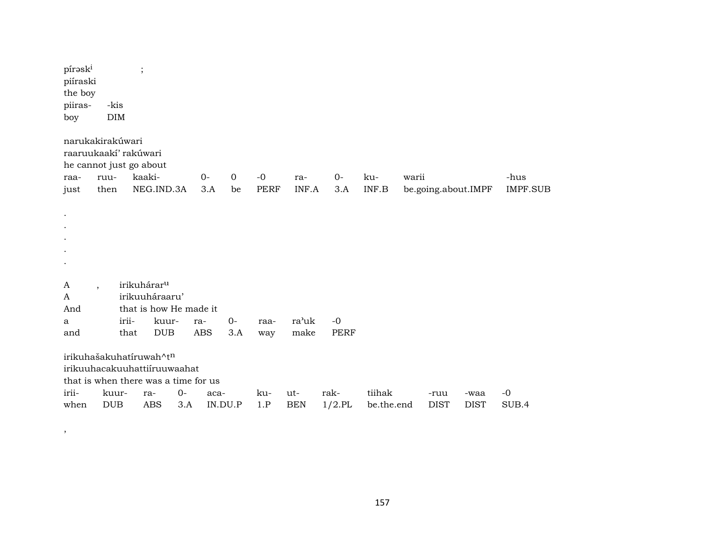| pírask <sup>i</sup><br>piíraski<br>the boy<br>piiras-<br>boy                                    | -kis<br>DIM          | $\vdots$ |                         |             |                 |             |             |                   |                   |                      |       |                     |                     |               |
|-------------------------------------------------------------------------------------------------|----------------------|----------|-------------------------|-------------|-----------------|-------------|-------------|-------------------|-------------------|----------------------|-------|---------------------|---------------------|---------------|
| narukakirakúwari<br>raaruukaakí' rakúwari<br>he cannot just go about                            |                      |          |                         |             |                 |             |             |                   |                   |                      |       |                     |                     |               |
| raa-                                                                                            | ruu-                 |          | kaaki-                  |             | $O -$           | $\mathbf 0$ | $-0$        | ra-               | $0-$              | ku-                  | warii |                     |                     | -hus          |
| just                                                                                            | then                 |          | NEG.IND.3A              |             | 3.A             | be          | <b>PERF</b> | INF.A             | 3.A               | INF.B                |       | be.going.about.IMPF |                     | IMPF.SUB      |
| $\bullet$                                                                                       |                      |          |                         |             |                 |             |             |                   |                   |                      |       |                     |                     |               |
| A                                                                                               | $\ddot{\phantom{0}}$ |          | irikuhárar <sup>u</sup> |             |                 |             |             |                   |                   |                      |       |                     |                     |               |
| A                                                                                               |                      |          | irikuuháraaru'          |             |                 |             |             |                   |                   |                      |       |                     |                     |               |
| And                                                                                             |                      | irii-    | that is how He made it  |             |                 | $0-$        |             | ra'uk             | $-0$              |                      |       |                     |                     |               |
| a<br>and                                                                                        |                      | that     | kuur-<br><b>DUB</b>     | ra-         | <b>ABS</b>      | 3.A         | raa-<br>way | make              | <b>PERF</b>       |                      |       |                     |                     |               |
| irikuhašakuhatíruwah^tn<br>irikuuhacakuuhattiiruuwaahat<br>that is when there was a time for us |                      |          |                         |             |                 |             |             |                   |                   |                      |       |                     |                     |               |
| irii-<br>when                                                                                   | kuur-<br><b>DUB</b>  |          | ra-<br><b>ABS</b>       | $0-$<br>3.A | aca-<br>IN.DU.P |             | ku-<br>1.P  | ut-<br><b>BEN</b> | rak-<br>$1/2$ .PL | tiihak<br>be.the.end |       | -ruu<br><b>DIST</b> | -waa<br><b>DIST</b> | $-0$<br>SUB.4 |
|                                                                                                 |                      |          |                         |             |                 |             |             |                   |                   |                      |       |                     |                     |               |

 $\rightarrow$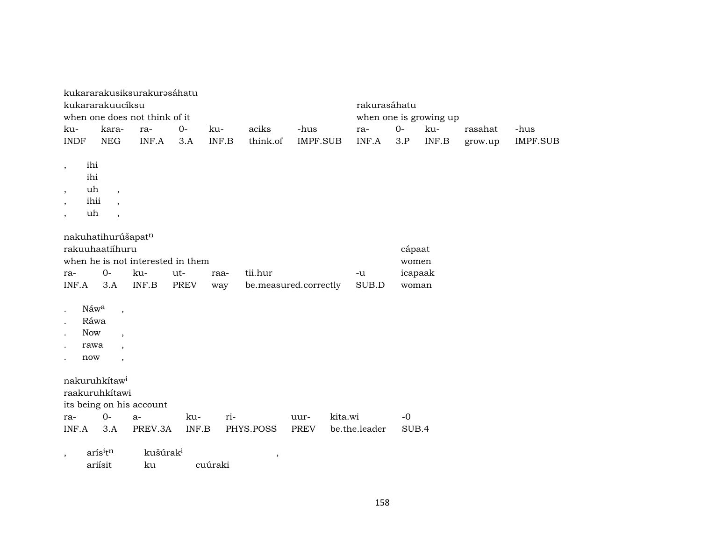|                                                                                                                               |                                                                                  | kukararakusiksurakurəsáhatu                       |                    |             |                                  |                     |         |               |                                     |                        |         |                 |
|-------------------------------------------------------------------------------------------------------------------------------|----------------------------------------------------------------------------------|---------------------------------------------------|--------------------|-------------|----------------------------------|---------------------|---------|---------------|-------------------------------------|------------------------|---------|-----------------|
|                                                                                                                               | kukararakuucíksu                                                                 |                                                   |                    |             |                                  |                     |         | rakurasáhatu  |                                     |                        |         |                 |
|                                                                                                                               |                                                                                  | when one does not think of it                     |                    |             |                                  |                     |         |               |                                     | when one is growing up |         |                 |
| ku-                                                                                                                           | kara-                                                                            | ra-                                               | $0-$               | ku-         | aciks                            | -hus                |         | ra-           | $0-$                                | ku-                    | rasahat | -hus            |
| <b>INDF</b>                                                                                                                   | <b>NEG</b>                                                                       | INF.A                                             | 3.A                | INF.B       | think.of                         | <b>IMPF.SUB</b>     |         | INF.A         | 3.P                                 | INF.B                  | grow.up | <b>IMPF.SUB</b> |
| ihi<br>$\overline{\phantom{a}}$<br>ihi<br>uh<br>$\overline{\phantom{a}}$<br>ihii<br>$\overline{\phantom{a}}$<br>uh<br>$\cdot$ | $\overline{\phantom{a}}$<br>$\overline{\phantom{a}}$<br>$\overline{\phantom{a}}$ |                                                   |                    |             |                                  |                     |         |               |                                     |                        |         |                 |
| ra-<br>INF.A                                                                                                                  | nakuhatihurúšapatn<br>rakuuhaatiihuru<br>$O -$<br>3.A                            | when he is not interested in them<br>ku-<br>INF.B | ut-<br><b>PREV</b> | raa-<br>way | tii.hur<br>be.measured.correctly |                     |         | -u<br>SUB.D   | cápaat<br>women<br>icapaak<br>woman |                        |         |                 |
| Náwa<br>Ráwa<br><b>Now</b><br>rawa<br>now                                                                                     | $\overline{\phantom{a}}$<br>$\overline{ }$<br>$\cdot$                            |                                                   |                    |             |                                  |                     |         |               |                                     |                        |         |                 |
| ra-<br>INF.A                                                                                                                  | nakuruhkítaw <sup>i</sup><br>raakuruhkítawi<br>$0-$<br>3.A                       | its being on his account<br>$a-$<br>PREV.3A       | ku-<br>INF.B       | ri-         | PHYS.POSS                        | uur-<br><b>PREV</b> | kita.wi | be.the.leader | $-0$<br>SUB.4                       |                        |         |                 |
| $\cdot$                                                                                                                       | arísitn                                                                          | kušúrak <sup>i</sup>                              |                    |             |                                  |                     |         |               |                                     |                        |         |                 |
|                                                                                                                               | ariísit                                                                          | ku                                                |                    | cuúraki     | $\, ,$                           |                     |         |               |                                     |                        |         |                 |
|                                                                                                                               |                                                                                  |                                                   |                    |             |                                  |                     |         |               |                                     |                        |         |                 |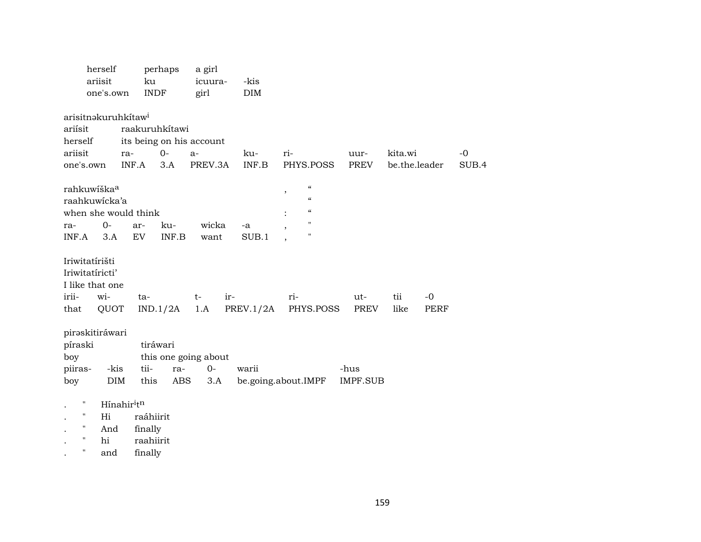|                                                                           | herself<br>ariisit<br>one's.own                               | perhaps<br>ku<br><b>INDF</b>                               |              | a girl<br>icuura-<br>girl           | -kis<br>DIM      |        |                                                                                                                          |                         |                          |                     |               |  |
|---------------------------------------------------------------------------|---------------------------------------------------------------|------------------------------------------------------------|--------------|-------------------------------------|------------------|--------|--------------------------------------------------------------------------------------------------------------------------|-------------------------|--------------------------|---------------------|---------------|--|
| ariísit<br>herself<br>ariisit<br>one's.own                                | arisitnakuruhkítaw <sup>i</sup><br>ra-<br>INF.A               | raakuruhkítawi<br>its being on his account<br>$O -$<br>3.A |              | $a-$<br>PREV.3A                     | ku-<br>INF.B     | ri-    | PHYS.POSS                                                                                                                | uur-<br><b>PREV</b>     | kita.wi<br>be.the.leader |                     | $-0$<br>SUB.4 |  |
| rahkuwiška <sup>a</sup><br>raahkuwicka'a<br>ra-<br>INF.A                  | when she would think<br>$0-$<br>3.A                           | ar-<br>EV                                                  | ku-<br>INF.B | wicka<br>want                       | -a<br>SUB.1      | $\, ,$ | $\boldsymbol{\mathcal{C}}$<br>$\boldsymbol{\zeta}\boldsymbol{\zeta}$<br>$\epsilon\epsilon$<br>$\mathbf H$<br>$\mathbf H$ |                         |                          |                     |               |  |
| Iriwitatírišti<br>Iriwitatíricti'<br>I like that one<br>irii-<br>that     | wi-<br>QUOT                                                   | ta-<br>IND.1/2A                                            |              | $t-$<br>1.A                         | ir-<br>PREV.1/2A | ri-    | PHYS.POSS                                                                                                                | ut-<br>PREV             | tii<br>like              | $-0$<br><b>PERF</b> |               |  |
| piraskitiráwari<br>píraski<br>boy<br>piiras-<br>boy                       | -kis<br>DIM                                                   | tiráwari<br>tii-<br>this                                   | ra-<br>ABS   | this one going about<br>$0-$<br>3.A | warii            |        | be.going.about.IMPF                                                                                                      | -hus<br><b>IMPF.SUB</b> |                          |                     |               |  |
| 11<br>$\pmb{\mathsf{H}}$<br>$\pmb{\mathsf{H}}$<br>$\pmb{\mathsf{H}}$<br>п | Hínahir <sup>i</sup> t <sup>n</sup><br>Hi<br>And<br>hi<br>and | raáhiirit<br>finally<br>raahiirit<br>finally               |              |                                     |                  |        |                                                                                                                          |                         |                          |                     |               |  |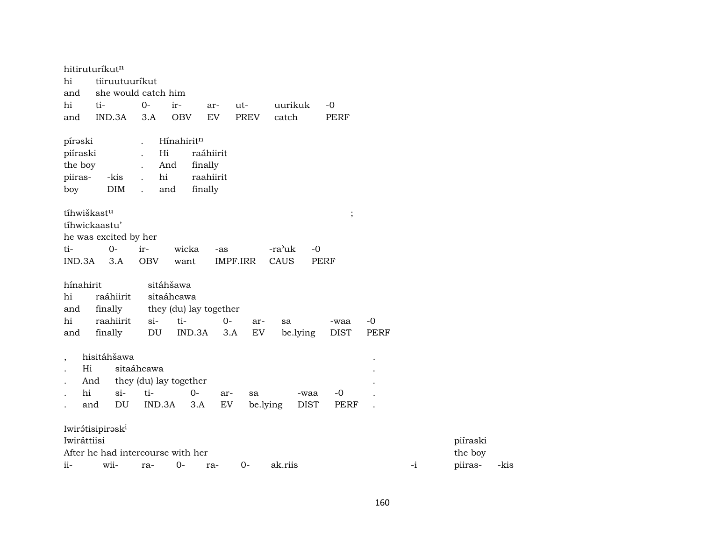|                | hitiruturíkutn                    |                            |                        |                            |             |                |             |      |      |          |      |
|----------------|-----------------------------------|----------------------------|------------------------|----------------------------|-------------|----------------|-------------|------|------|----------|------|
| hi             | tiiruutuuríkut                    |                            |                        |                            |             |                |             |      |      |          |      |
| and            | she would catch him               |                            |                        |                            |             |                |             |      |      |          |      |
| hi             | ti-                               | $0-$                       | ir-                    | ar-                        | ut-         | uurikuk        | $-0$        |      |      |          |      |
| and            | IND.3A                            | 3.A                        | <b>OBV</b>             | EV                         | <b>PREV</b> | catch          | <b>PERF</b> |      |      |          |      |
| pírəski        |                                   |                            | Hínahiritn             |                            |             |                |             |      |      |          |      |
| piíraski       |                                   | Hi                         |                        | raáhiirit                  |             |                |             |      |      |          |      |
| the boy        |                                   | And                        | finally                |                            |             |                |             |      |      |          |      |
| piiras-        | -kis                              | $\hbox{hi}$                |                        | raahiirit                  |             |                |             |      |      |          |      |
| boy            | DIM                               | and                        | finally                |                            |             |                |             |      |      |          |      |
|                | tíhwiškastu                       |                            |                        |                            |             |                | $\vdots$    |      |      |          |      |
|                | tíhwickaastu'                     |                            |                        |                            |             |                |             |      |      |          |      |
|                | he was excited by her             |                            |                        |                            |             |                |             |      |      |          |      |
| ti-            | $0 -$                             | ir-                        | wicka                  | -as                        |             | -ra'uk<br>$-0$ |             |      |      |          |      |
| IND.3A         | 3.A                               | <b>OBV</b>                 | want                   | <b>IMPF.IRR</b>            |             | CAUS           | <b>PERF</b> |      |      |          |      |
| hínahirit      |                                   |                            | sitáhšawa              |                            |             |                |             |      |      |          |      |
| hi             | raáhiirit                         |                            | sitaáhcawa             |                            |             |                |             |      |      |          |      |
| and            | finally                           |                            | they (du) lay together |                            |             |                |             |      |      |          |      |
| hi             | raahiirit                         | $si-$                      | ti-                    | $O -$                      | ar-         | sa             | -waa        | $-0$ |      |          |      |
| and            | finally                           | $\mathop{\rm DU}\nolimits$ | IND.3A                 | 3.A                        | EV          | be.lying       | <b>DIST</b> | PERF |      |          |      |
| $\overline{ }$ | hisitáhšawa                       |                            |                        |                            |             |                |             |      |      |          |      |
|                | Hi                                | sitaáhcawa                 |                        |                            |             |                |             |      |      |          |      |
|                | And                               |                            | they (du) lay together |                            |             |                |             |      |      |          |      |
|                | hi<br>$\sin$                      | ti-                        | $0-$                   | ar-                        | sa          | -waa           | $-0$        |      |      |          |      |
|                | DU<br>and                         | IND.3A                     | 3.A                    | $\mathop{\rm EV}\nolimits$ | be.lying    | <b>DIST</b>    | <b>PERF</b> |      |      |          |      |
|                | Iwirátisipirask <sup>i</sup>      |                            |                        |                            |             |                |             |      |      |          |      |
| Iwiráttiisi    |                                   |                            |                        |                            |             |                |             |      |      | piíraski |      |
|                | After he had intercourse with her |                            |                        |                            |             |                |             |      |      | the boy  |      |
| ii-            | wii-                              | ra-                        | $0-$                   | ra-                        | $0 -$       | ak.riis        |             |      | $-i$ | piiras-  | -kis |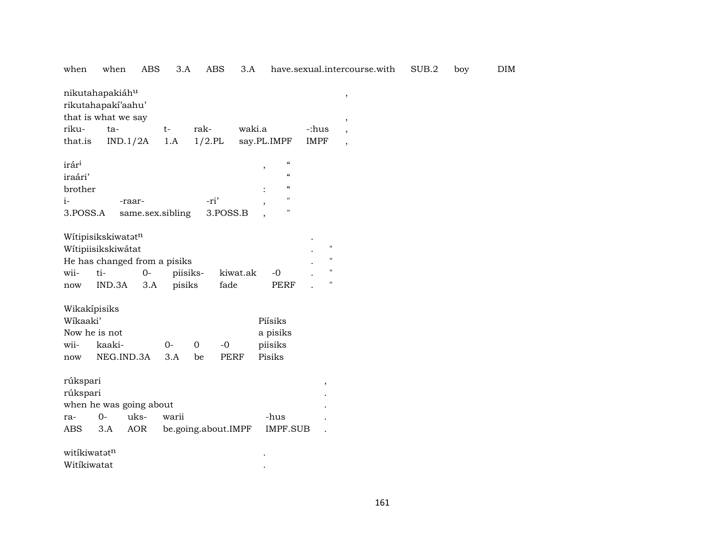| when                                                        | when                                                                                      | ABS                        | 3.A                | <b>ABS</b>                | 3.A         |                                                                                                                             |                                                                                | have.sexual.intercourse.with                                                            | SUB.2 | boy | <b>DIM</b> |
|-------------------------------------------------------------|-------------------------------------------------------------------------------------------|----------------------------|--------------------|---------------------------|-------------|-----------------------------------------------------------------------------------------------------------------------------|--------------------------------------------------------------------------------|-----------------------------------------------------------------------------------------|-------|-----|------------|
| riku-<br>that.is                                            | nikutahapakiáhu<br>rikutahapakí'aahu'<br>that is what we say<br>ta-<br>IND.1/2A           |                            | $t-$<br>1.A        | rak-<br>$1/2$ .PL         | waki.a      | say.PL.IMPF                                                                                                                 | -:hus<br><b>IMPF</b>                                                           | $\, ,$<br>$^\mathrm{^{^\circ}}$<br>$\overline{\phantom{a}}$<br>$\overline{\phantom{a}}$ |       |     |            |
| irár <sup>i</sup><br>iraári'<br>brother<br>$i-$<br>3.POSS.A |                                                                                           | -raar-<br>same.sex.sibling |                    | -ri'<br>3.POSS.B          |             | $\boldsymbol{\mathcal{C}}$<br>$^\mathrm{,}$<br>$\boldsymbol{\zeta}\boldsymbol{\zeta}$<br>$\mathcal{C}\mathcal{C}$<br>н<br>Н |                                                                                |                                                                                         |       |     |            |
| wii-<br>now                                                 | Witipisikskiwatatn<br>Wítipiisikskiwátat<br>He has changed from a pisiks<br>ti-<br>IND.3A | $0-$<br>3.A                | piisiks-<br>pisiks | fade                      | kiwat.ak    | $-0$<br>PERF                                                                                                                | $\pmb{\mathsf{H}}$<br>$\mathbf{H}$<br>$\pmb{\mathsf{H}}$<br>$\pmb{\mathsf{H}}$ |                                                                                         |       |     |            |
| Wikakípisiks<br>Wikaaki'<br>Now he is not<br>wii-<br>now    | kaaki-<br>NEG.IND.3A                                                                      |                            | $O -$<br>3.A       | $-0$<br>$\mathbf 0$<br>be | <b>PERF</b> | Piísiks<br>a pisiks<br>piisiks<br>Pisiks                                                                                    |                                                                                |                                                                                         |       |     |            |
| rúkspari<br>rúkspari<br>ra-<br>ABS                          | when he was going about<br>$0-$<br>3.A                                                    | uks-<br><b>AOR</b>         | warii              | be.going.about.IMPF       |             | -hus<br>IMPF.SUB                                                                                                            | $^\mathrm{^\mathrm{o}}$                                                        |                                                                                         |       |     |            |
| witikiwatatn<br>Witíkiwatat                                 |                                                                                           |                            |                    |                           |             |                                                                                                                             |                                                                                |                                                                                         |       |     |            |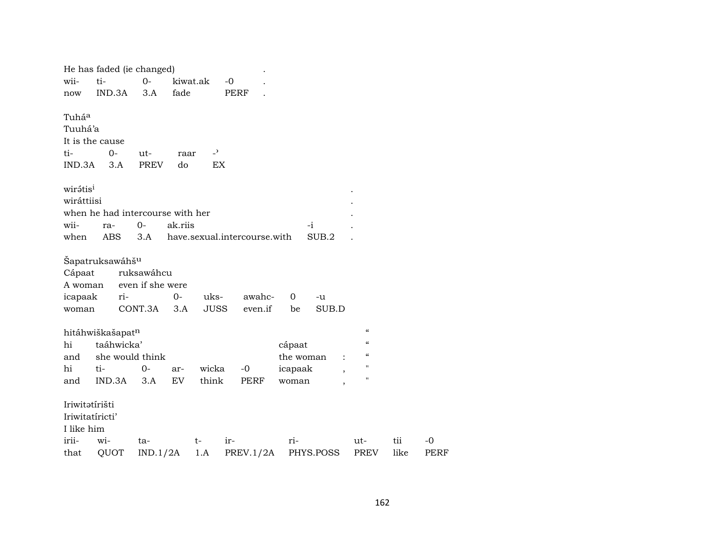|                      | He has faded (ie changed)        |                                |          |                |             |                              |           |           |                          |      |
|----------------------|----------------------------------|--------------------------------|----------|----------------|-------------|------------------------------|-----------|-----------|--------------------------|------|
| wii-                 | ti-                              | $O -$                          | kiwat.ak |                | $-0$        |                              |           |           |                          |      |
| now                  | IND.3A                           | 3.A                            | fade     |                | <b>PERF</b> |                              |           |           |                          |      |
| Tuháa                |                                  |                                |          |                |             |                              |           |           |                          |      |
| Tuuhá'a              |                                  |                                |          |                |             |                              |           |           |                          |      |
|                      | It is the cause                  |                                |          |                |             |                              |           |           |                          |      |
| ti-                  | $O -$                            | $ut-$                          | raar     | $\overline{a}$ |             |                              |           |           |                          |      |
| IND.3A               | 3.A                              | PREV                           | do       |                | EX          |                              |           |           |                          |      |
| wirátis <sup>i</sup> |                                  |                                |          |                |             |                              |           |           |                          |      |
| wiráttiisi           |                                  |                                |          |                |             |                              |           |           |                          |      |
|                      | when he had intercourse with her |                                |          |                |             |                              |           |           |                          |      |
| wii-                 | ra-                              | $0-$                           | ak.riis  |                |             |                              |           | $-i$      |                          |      |
| when                 | ABS                              | 3.A                            |          |                |             | have.sexual.intercourse.with |           | SUB.2     |                          |      |
| Cápaat<br>A woman    | Šapatruksawáhš <sup>u</sup>      | ruksawáhcu<br>even if she were |          |                |             |                              |           |           |                          |      |
| icapaak              | ri-                              |                                | $0-$     | uks-           |             | awahc-                       | 0         | -u        |                          |      |
| woman                |                                  | CONT.3A                        | 3.A      | <b>JUSS</b>    |             | even.if                      | be        | SUB.D     |                          |      |
|                      | hitáhwiškašapatn                 |                                |          |                |             |                              |           |           | $\pmb{\zeta}\pmb{\zeta}$ |      |
| hi                   | taáhwicka'                       |                                |          |                |             |                              | cápaat    |           | $\pmb{\zeta}\pmb{\zeta}$ |      |
| and                  | she would think                  |                                |          |                |             |                              | the woman |           | $\pmb{\zeta}\pmb{\zeta}$ |      |
| hi                   | ti-                              | $0-$                           | ar-      | wicka          |             | $-0$                         | icapaak   |           | $\pmb{\mathsf{H}}$       |      |
| and                  | IND.3A                           | 3.A                            | EV       | think          |             | PERF                         | woman     |           | $\pmb{\mathsf{H}}$       |      |
| Iriwitatírišti       |                                  |                                |          |                |             |                              |           |           |                          |      |
|                      | Iriwitatíricti'                  |                                |          |                |             |                              |           |           |                          |      |
| I like him           |                                  |                                |          |                |             |                              |           |           |                          |      |
| irii-                | wi-                              | ta-                            |          | $t-$           | ir-         |                              | ri-       |           | ut-                      | tii  |
| that                 | QUOT                             | IND.1/2A                       |          | 1.A            |             | PREV.1/2A                    |           | PHYS.POSS | PREV                     | like |

 $\mbox{-}0$ PERF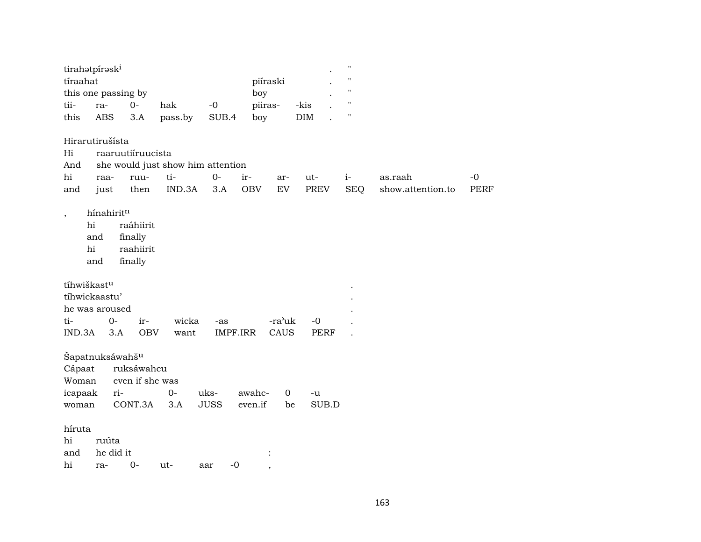|                          | tirahotpírosk <sup>i</sup>  |                   |                                   |             |            |             |             | $\pmb{\mathsf{H}}$ |                   |             |
|--------------------------|-----------------------------|-------------------|-----------------------------------|-------------|------------|-------------|-------------|--------------------|-------------------|-------------|
| tíraahat                 |                             |                   |                                   |             |            | piíraski    |             | $\bar{\mathbf{H}}$ |                   |             |
|                          | this one passing by         |                   |                                   |             | boy        |             |             | $\mathbf H$        |                   |             |
| tii-                     | ra-                         | $0-$              | hak                               | $-0$        | piiras-    |             | -kis        | $\mathbf{H}$       |                   |             |
| this                     | $\operatorname{ABS}$        | $3.A$             | pass.by                           | SUB.4       | boy        |             | $\rm{DIM}$  | п                  |                   |             |
|                          | Hirarutirušísta             |                   |                                   |             |            |             |             |                    |                   |             |
| Hi                       |                             | raaruutiíruucista |                                   |             |            |             |             |                    |                   |             |
| And                      |                             |                   | she would just show him attention |             |            |             |             |                    |                   |             |
| hi                       | raa-                        | ruu-              | ti-                               | $0-$        | ir-        | ar-         | ut-         | $i-$               | as.raah           | $-0$        |
| and                      | just                        | then              | IND.3A                            | 3.A         | <b>OBV</b> | EV          | <b>PREV</b> | <b>SEQ</b>         | show.attention.to | <b>PERF</b> |
| $\overline{\phantom{a}}$ | hínahiritn<br>hi            | raáhiirit         |                                   |             |            |             |             |                    |                   |             |
|                          |                             |                   |                                   |             |            |             |             |                    |                   |             |
|                          | and                         | finally           |                                   |             |            |             |             |                    |                   |             |
|                          | hi                          | raahiirit         |                                   |             |            |             |             |                    |                   |             |
|                          | and                         | finally           |                                   |             |            |             |             |                    |                   |             |
|                          | tíhwiškastu                 |                   |                                   |             |            |             |             |                    |                   |             |
|                          | tíhwickaastu'               |                   |                                   |             |            |             |             |                    |                   |             |
|                          | he was aroused              |                   |                                   |             |            |             |             |                    |                   |             |
| ti-                      | $0-$                        | ir-               | wicka                             | -as         |            | -ra'uk      | $-0$        |                    |                   |             |
| IND.3A                   | 3.A                         | <b>OBV</b>        | want                              | IMPF.IRR    |            | CAUS        | <b>PERF</b> |                    |                   |             |
|                          |                             |                   |                                   |             |            |             |             |                    |                   |             |
|                          | Šapatnuksáwahš <sup>u</sup> |                   |                                   |             |            |             |             |                    |                   |             |
| Cápaat                   |                             | ruksáwahcu        |                                   |             |            |             |             |                    |                   |             |
| Woman                    |                             | even if she was   |                                   |             |            |             |             |                    |                   |             |
| icapaak                  | ri-                         |                   | $O -$                             | uks-        | awahc-     | $\mathbf 0$ | -u          |                    |                   |             |
| woman                    |                             | CONT.3A           | 3.A                               | <b>JUSS</b> | even.if    | be          | SUB.D       |                    |                   |             |
|                          |                             |                   |                                   |             |            |             |             |                    |                   |             |
| híruta                   |                             |                   |                                   |             |            |             |             |                    |                   |             |
| hi                       | ruúta                       |                   |                                   |             |            |             |             |                    |                   |             |
| and                      | he did it                   |                   |                                   |             |            |             |             |                    |                   |             |
| hi                       | ra-                         | $O -$             | ut-                               | $-0$<br>aar |            |             |             |                    |                   |             |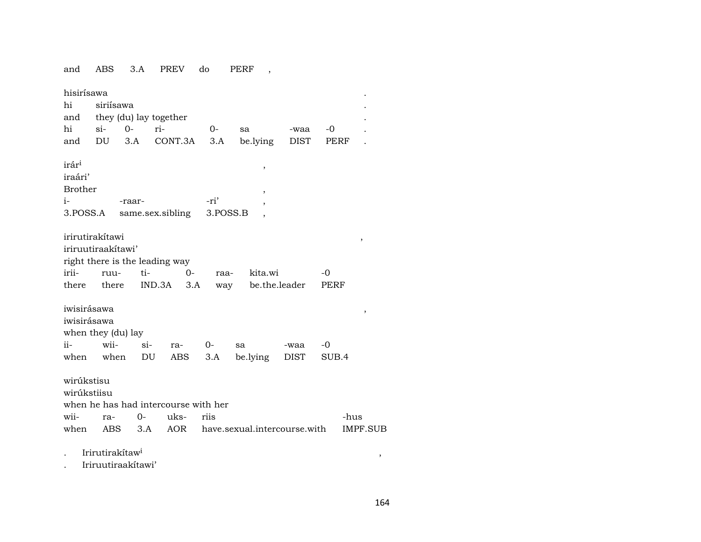and ABS 3.A PREV do PERF ,

| hisirísawa<br>hi<br>and<br>hi<br>and                                   | siriísawa<br>$\sin$<br>DU   | $0-$<br>3.A      | they (du) lay together<br>ri-<br>CONT.3A            | 0-<br>3.A    | sa                           | be.lying                 | -waa<br>DIST | -0<br>PERF   |                         |
|------------------------------------------------------------------------|-----------------------------|------------------|-----------------------------------------------------|--------------|------------------------------|--------------------------|--------------|--------------|-------------------------|
| irár <sup>i</sup><br>iraári'<br><b>Brother</b><br>$i-$<br>3.POSS.A     |                             | -raar-           | same.sex.sibling 3.POSS.B                           | -ri'         |                              | $\, ,$<br>,              |              |              |                         |
| irirutirakítawi<br>iriruutiraakitawi'<br>irii-<br>there                | ruu-<br>there               | ti-              | right there is the leading way<br>IND.3A            | $O -$<br>3.A | raa-<br>way                  | kita.wi<br>be.the.leader |              | $-0$<br>PERF | ,                       |
| iwisirásawa<br>iwisirásawa<br>when they (du) lay<br>$ii-$<br>when when | wii-                        | $\sin$           | ra-<br>DU<br>ABS                                    | $0-$<br>3.A  | sa                           | be.lying                 | -waa<br>DIST | -0<br>SUB.4  | $\, ,$                  |
| wirúkstisu<br>wirúkstiisu<br>wii-<br>when                              | ra-                         | $O -$<br>ABS 3.A | when he has had intercourse with her<br>uks-<br>AOR | riis         | have.sexual.intercourse.with |                          |              |              | -hus<br><b>IMPF.SUB</b> |
|                                                                        | Irirutirakítaw <sup>i</sup> |                  |                                                     |              |                              |                          |              |              | ,                       |

. Iriruutiraakítawi'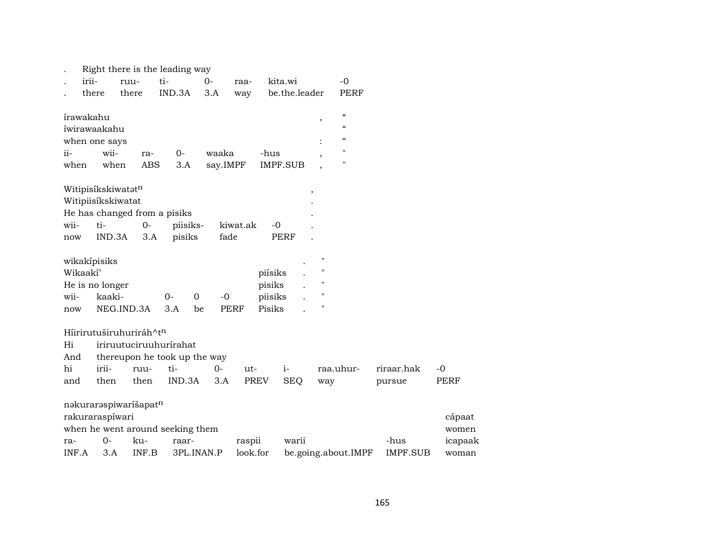|       |                         |            |                   | Right there is the leading way   |            |             |                  |               |                    |                          |                 |         |
|-------|-------------------------|------------|-------------------|----------------------------------|------------|-------------|------------------|---------------|--------------------|--------------------------|-----------------|---------|
|       | irii-                   | ruu-       |                   | ti-                              | 0-         | raa-        | kita.wi          |               |                    | $-0$                     |                 |         |
|       | there                   | there      |                   | IND.3A                           | 3.A        | way         |                  | be.the.leader |                    | PERF                     |                 |         |
|       |                         |            |                   |                                  |            |             |                  |               |                    | $\epsilon\epsilon$       |                 |         |
|       | írawakahu               |            |                   |                                  |            |             |                  |               | $\, ,$             | $\epsilon\epsilon$       |                 |         |
|       | íwirawaakahu            |            |                   |                                  |            |             |                  |               |                    | $\pmb{\zeta}\pmb{\zeta}$ |                 |         |
|       | when one says           | wii-       |                   |                                  |            |             |                  |               |                    | $\pmb{\mathsf{H}}$       |                 |         |
| ii-   |                         | when       | ra-<br><b>ABS</b> | $0-$                             | waaka      |             | -hus<br>IMPF.SUB |               |                    | $\pmb{\mathsf{H}}$       |                 |         |
| when  |                         |            |                   | 3.A                              | say.IMPF   |             |                  |               |                    |                          |                 |         |
|       | Witipisíkskiwatatn      |            |                   |                                  |            |             |                  |               | $\, ,$             |                          |                 |         |
|       | Witipiisíkskiwatat      |            |                   |                                  |            |             |                  |               |                    |                          |                 |         |
|       |                         |            |                   | He has changed from a pisiks     |            |             |                  |               |                    |                          |                 |         |
| wii-  | ti-                     |            | $O -$             | piisiks-                         |            | kiwat.ak    | $-0$             |               |                    |                          |                 |         |
| now   |                         | IND.3A     | 3.A               | pisiks                           |            | fade        | <b>PERF</b>      |               |                    |                          |                 |         |
|       |                         |            |                   |                                  |            |             |                  |               |                    |                          |                 |         |
|       | wikakipisiks            |            |                   |                                  |            |             |                  |               | $\pmb{\mathsf{H}}$ |                          |                 |         |
|       | Wikaakí'                |            |                   |                                  |            |             | piísiks          |               | $\pmb{\mathsf{H}}$ |                          |                 |         |
|       | He is no longer         |            |                   |                                  |            |             | pisiks           |               | $\pmb{\mathsf{H}}$ |                          |                 |         |
| wii-  |                         | kaaki-     |                   | $0-$<br>$\mathbf 0$              | $-0$       |             | piisiks          |               | $\pmb{\mathsf{H}}$ |                          |                 |         |
| now   |                         | NEG.IND.3A |                   | 3.A                              | be         | <b>PERF</b> | Pisiks           |               | $\pmb{\mathsf{H}}$ |                          |                 |         |
|       | Híirirutuširuhuriráh^tn |            |                   |                                  |            |             |                  |               |                    |                          |                 |         |
| Hi    |                         |            |                   | iriruutuciruuhurírahat           |            |             |                  |               |                    |                          |                 |         |
| And   |                         |            |                   | thereupon he took up the way     |            |             |                  |               |                    |                          |                 |         |
| hi    | irii-                   |            | ruu-              | ti-                              | $0-$       | $ut-$       |                  | $i-$          | raa.uhur-          |                          | riraar.hak      | $-0$    |
| and   | then                    |            | then              | IND.3A                           | 3.A        |             | <b>PREV</b>      | <b>SEQ</b>    | way                |                          | pursue          | PERF    |
|       | nakuraraspiwaríšapatn   |            |                   |                                  |            |             |                  |               |                    |                          |                 |         |
|       | rakuraraspíwari         |            |                   |                                  |            |             |                  |               |                    |                          |                 | cápaat  |
|       |                         |            |                   | when he went around seeking them |            |             |                  |               |                    |                          |                 | women   |
| ra-   | 0-                      |            | ku-               | raar-                            |            | raspii      |                  | warii         |                    |                          | -hus            | icapaak |
| INF.A |                         | 3.A        | INF.B             |                                  | 3PL.INAN.P | look.for    |                  |               |                    | be.going.about.IMPF      | <b>IMPF.SUB</b> | woman   |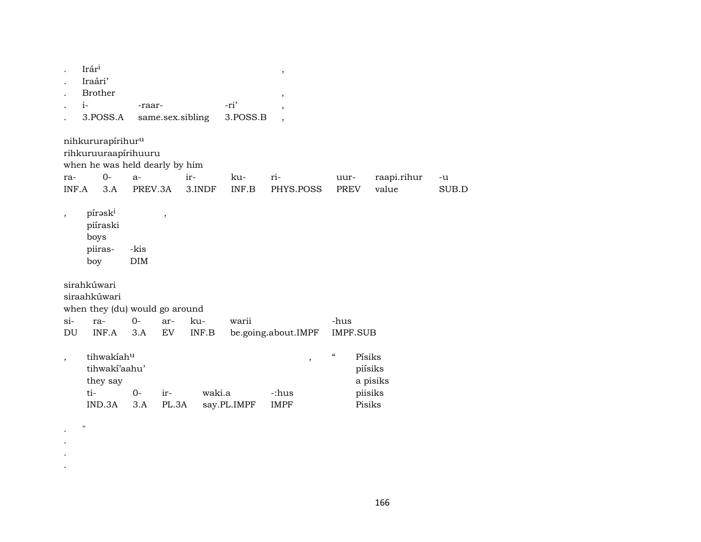|                          | Irári<br>Iraári'<br><b>Brother</b><br>$i-$<br>3.POSS.A                                          | -raar-                                |                          | same.sex.sibling | -ri'<br>3.POSS.B               | $\, ,$<br>$\,$<br>$\overline{\phantom{a}}$<br>$\overline{ }$ |                                                    |             |       |
|--------------------------|-------------------------------------------------------------------------------------------------|---------------------------------------|--------------------------|------------------|--------------------------------|--------------------------------------------------------------|----------------------------------------------------|-------------|-------|
| ra-                      | nihkururapírihur <sup>u</sup><br>rihkuruuraapírihuuru<br>when he was held dearly by him<br>$0-$ | $a-$                                  |                          | ir-              | ku-                            | ri-                                                          | uur-                                               | raapi.rihur | -u    |
| INF.A                    | 3.A                                                                                             | PREV.3A                               |                          | 3.INDF           | INF.B                          | PHYS.POSS                                                    | <b>PREV</b>                                        | value       | SUB.D |
| $\overline{\phantom{a}}$ | pírask <sup>i</sup><br>piíraski<br>boys<br>piiras-<br>boy                                       | -kis<br>DIM                           | $\overline{\phantom{a}}$ |                  |                                |                                                              |                                                    |             |       |
|                          | sirahkúwari<br>siraahkúwari                                                                     |                                       |                          |                  |                                |                                                              |                                                    |             |       |
|                          | when they (du) would go around                                                                  |                                       |                          |                  |                                |                                                              |                                                    |             |       |
| $si-$                    | ra-                                                                                             | $0 -$                                 | ar-                      | ku-              | warii                          |                                                              | -hus                                               |             |       |
| DU                       | INF.A                                                                                           | 3.A                                   | EV                       | INF.B            |                                | be.going.about.IMPF                                          | <b>IMPF.SUB</b>                                    |             |       |
| $\overline{ }$           | tihwakiahu<br>tihwakí'aahu'<br>they say<br>ti-<br>IND.3A                                        | $0-$<br>waki.a<br>ir-<br>PL.3A<br>3.A |                          | say.PL.IMPF      | $\, ,$<br>-:hus<br><b>IMPF</b> | $\boldsymbol{\mathcal{C}}$                                   | Písiks<br>piísiks<br>a pisiks<br>piisiks<br>Pisiks |             |       |
|                          |                                                                                                 |                                       |                          |                  |                                |                                                              |                                                    |             |       |

.  $"$ . . .

166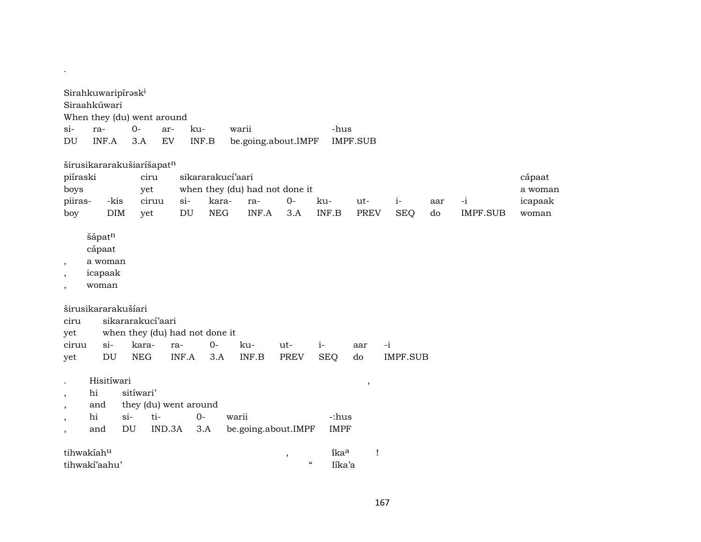|                                          | Sirahkuwaripirəsk <sup>1</sup>                  |                          |                                        |       |            |                                |             |                                                  |                 |                 |     |                 |         |
|------------------------------------------|-------------------------------------------------|--------------------------|----------------------------------------|-------|------------|--------------------------------|-------------|--------------------------------------------------|-----------------|-----------------|-----|-----------------|---------|
|                                          | Siraahkúwari                                    |                          |                                        |       |            |                                |             |                                                  |                 |                 |     |                 |         |
|                                          | When they (du) went around                      |                          |                                        |       |            |                                |             |                                                  |                 |                 |     |                 |         |
| $\sin$                                   | ra-                                             | $0-$                     | ar-                                    | ku-   |            | warii                          |             | -hus                                             |                 |                 |     |                 |         |
| DU                                       | INF.A                                           | 3.A                      | EV                                     |       | INF.B      | be.going.about.IMPF            |             |                                                  | <b>IMPF.SUB</b> |                 |     |                 |         |
|                                          | širusikararakušiaríšapatn                       |                          |                                        |       |            |                                |             |                                                  |                 |                 |     |                 |         |
| piíraski                                 |                                                 |                          | ciru                                   |       |            | sikararakucí'aari              |             |                                                  |                 |                 |     |                 | cápaat  |
| boys                                     |                                                 |                          | yet                                    |       |            | when they (du) had not done it |             |                                                  |                 |                 |     |                 | a woman |
| piiras-                                  | -kis                                            |                          | ciruu                                  | $si-$ | kara-      | ra-                            | $O -$       | ku-                                              | ut-             | $i-$            | aar | $-i$            | icapaak |
| boy                                      | <b>DIM</b>                                      |                          | yet                                    | DU    | <b>NEG</b> | INF.A                          | 3.A         | INF.B                                            | <b>PREV</b>     | <b>SEQ</b>      | do  | <b>IMPF.SUB</b> | woman   |
| $\overline{\phantom{a}}$<br>$\cdot$      | šápatn<br>cápaat<br>a woman<br>icapaak<br>woman |                          |                                        |       |            |                                |             |                                                  |                 |                 |     |                 |         |
| ciru                                     | širusikararakušíari                             |                          | sikararakucí'aari                      |       |            |                                |             |                                                  |                 |                 |     |                 |         |
| yet                                      |                                                 |                          | when they (du) had not done it         |       |            |                                |             |                                                  |                 |                 |     |                 |         |
| ciruu                                    | $\sin$                                          | kara-                    |                                        | ra-   | $0 -$      | ku-                            | $ut-$       | $i-$                                             | aar             | $-i$            |     |                 |         |
| yet                                      | DU                                              | <b>NEG</b>               |                                        | INF.A | 3.A        | INF.B                          | <b>PREV</b> | <b>SEQ</b>                                       | do              | <b>IMPF.SUB</b> |     |                 |         |
| $\cdot$<br>$\cdot$<br>$\cdot$<br>$\cdot$ | Hisitíwari<br>hi<br>and<br>hi<br>and            | sitíwari'<br>$si-$<br>DU | they (du) went around<br>ti-<br>IND.3A | $0-$  | 3.A        | warii<br>be.going.about.IMPF   |             | -:hus<br><b>IMPF</b>                             | ,               |                 |     |                 |         |
|                                          | tihwakiahu                                      |                          |                                        |       |            |                                | $\,$        | îka <sup>a</sup>                                 | $\mathbf{I}$    |                 |     |                 |         |
|                                          | tihwakí'aahu'                                   |                          |                                        |       |            |                                |             | $\boldsymbol{\zeta}\boldsymbol{\zeta}$<br>Iíka'a |                 |                 |     |                 |         |

.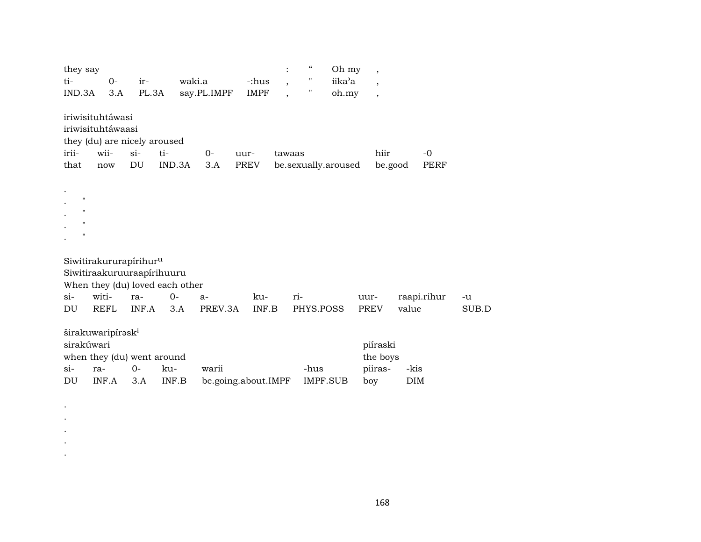| they say    |                                    |        |                                 |             |                     | $\ddot{\cdot}$           | $\epsilon\epsilon$ | Oh my               | $\overline{\phantom{a}}$ |            |             |       |
|-------------|------------------------------------|--------|---------------------------------|-------------|---------------------|--------------------------|--------------------|---------------------|--------------------------|------------|-------------|-------|
| ti-         | $O -$                              | ir-    | waki.a                          |             | -:hus               | $\overline{\phantom{a}}$ | $\pmb{\mathsf{H}}$ | iika'a              | $\overline{\phantom{a}}$ |            |             |       |
| IND.3A      | 3.A                                | PL.3A  |                                 | say.PL.IMPF | <b>IMPF</b>         | $\overline{ }$           | "                  | oh.my               | $\overline{\phantom{a}}$ |            |             |       |
|             | iriwisituhtáwasi                   |        |                                 |             |                     |                          |                    |                     |                          |            |             |       |
|             | iriwisituhtáwaasi                  |        |                                 |             |                     |                          |                    |                     |                          |            |             |       |
|             | they (du) are nicely aroused       |        |                                 |             |                     |                          |                    |                     |                          |            |             |       |
| irii-       | wii-                               | $\sin$ | ti-                             | $0-$        | uur-                | tawaas                   |                    |                     | hiir                     |            | $-0$        |       |
| that        | now                                | DU     | IND.3A                          | 3.A         | <b>PREV</b>         |                          |                    | be.sexually.aroused | be.good                  |            | PERF        |       |
|             |                                    |        |                                 |             |                     |                          |                    |                     |                          |            |             |       |
|             |                                    |        |                                 |             |                     |                          |                    |                     |                          |            |             |       |
| 11          |                                    |        |                                 |             |                     |                          |                    |                     |                          |            |             |       |
| п.          |                                    |        |                                 |             |                     |                          |                    |                     |                          |            |             |       |
| 11          |                                    |        |                                 |             |                     |                          |                    |                     |                          |            |             |       |
| $\mathbf H$ |                                    |        |                                 |             |                     |                          |                    |                     |                          |            |             |       |
|             |                                    |        |                                 |             |                     |                          |                    |                     |                          |            |             |       |
|             | Siwitirakururapírihur <sup>u</sup> |        |                                 |             |                     |                          |                    |                     |                          |            |             |       |
|             | Siwitiraakuruuraapirihuuru         |        |                                 |             |                     |                          |                    |                     |                          |            |             |       |
|             |                                    |        | When they (du) loved each other |             |                     |                          |                    |                     |                          |            |             |       |
| $\sin$      | witi-                              | ra-    | $O -$                           | $a-$        | ku-                 | ri-                      |                    |                     | uur-                     |            | raapi.rihur | -u    |
| DU          | <b>REFL</b>                        | INF.A  | 3.A                             | PREV.3A     | INF.B               |                          | PHYS.POSS          |                     | <b>PREV</b>              | value      |             | SUB.D |
|             | širakuwaripírask <sup>i</sup>      |        |                                 |             |                     |                          |                    |                     |                          |            |             |       |
| sirakúwari  |                                    |        |                                 |             |                     |                          |                    |                     | piíraski                 |            |             |       |
|             |                                    |        |                                 |             |                     |                          |                    |                     | the boys                 |            |             |       |
| $\sin$      | when they (du) went around<br>ra-  | $0-$   | ku-                             | warii       |                     |                          | -hus               |                     |                          | -kis       |             |       |
| DU          | INF.A                              |        | INF.B                           |             |                     |                          |                    | <b>IMPF.SUB</b>     | piiras-                  | <b>DIM</b> |             |       |
|             |                                    | 3.A    |                                 |             | be.going.about.IMPF |                          |                    |                     | boy                      |            |             |       |

. . . . .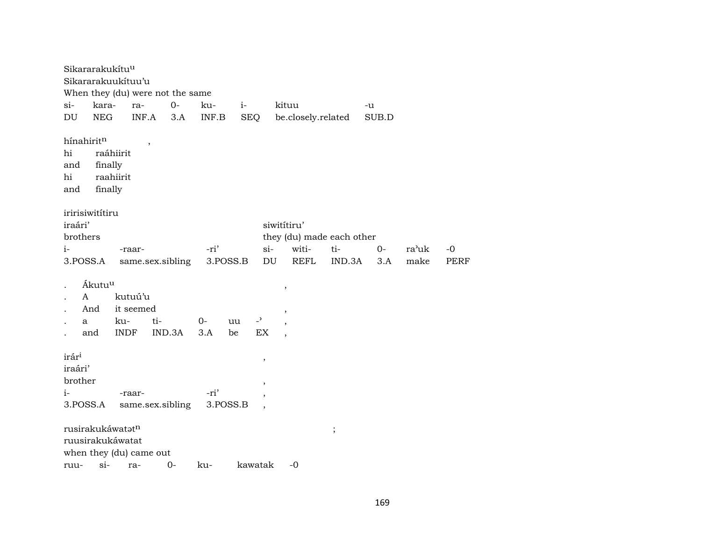Sikararakukítu<sup>u</sup> Sikararakuukítuu'u When they (du) were not the same si- kara- ra- 0- ku- i- kituu -u DU NEG INF.A 3.A INF.B SEQ be.closely.related SUB.D  $h$ ínahirit $^{\rm n}$ , hi raáhiirit and finally hi raahiirit and finally iririsiwitítiru iraári' siwitítiru' brothers they (du) made each other i- -raar- -ri' si- witi- ti- 0- ra"uk -0 3.POSS.A same.sex.sibling 3.POSS.B DU REFL IND.3A 3.A make PERF . Ákutuµ , . A kutuú'u And it seemed . a ku- ti- 0- uu -<sup>,</sup> , . and INDF IND.3A 3.A be EX ,  $\hat{\mathbf{r}}$ ár $\hat{\mathbf{r}}$ <sup>1</sup>,  $\hat{\mathbf{r}}$ iraári' brother , i- -raar- -ri' 3.POSS.A same.sex.sibling 3.POSS.B , rusirakukáwatŸt¶ ; ruusirakukáwatat when they (du) came out ruu- si- ra- 0- ku- kawatak -0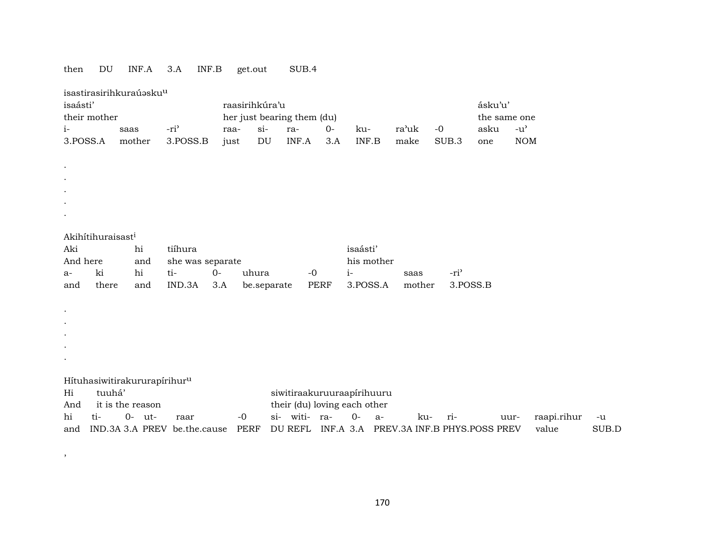# then DU INF.A 3.A INF.B get.out SUB.4

,  $\overline{\phantom{a}}$ 

|                      |                               | isastirasirihkuraúəsku <sup>u</sup> |                                          |      |                |                            |             |                                        |       |        |                  |              |               |             |       |
|----------------------|-------------------------------|-------------------------------------|------------------------------------------|------|----------------|----------------------------|-------------|----------------------------------------|-------|--------|------------------|--------------|---------------|-------------|-------|
| isaásti'             |                               |                                     |                                          |      | raasirihkúra'u |                            |             |                                        |       |        |                  | ásku'u'      |               |             |       |
|                      | their mother                  |                                     |                                          |      |                | her just bearing them (du) |             |                                        |       |        |                  | the same one |               |             |       |
| i-                   |                               | saas                                | -ri <sup>3</sup>                         | raa- | $si$ -         | ra-                        | $0 -$       | ku-                                    | ra'uk |        | $-0$             | asku         | $-u^{\prime}$ |             |       |
| 3.POSS.A             |                               | mother                              | 3.POSS.B                                 | just | DU             | INF.A                      | 3.A         | INF.B                                  | make  |        | SUB.3            | one          | <b>NOM</b>    |             |       |
|                      |                               |                                     |                                          |      |                |                            |             |                                        |       |        |                  |              |               |             |       |
| $\bullet$            |                               |                                     |                                          |      |                |                            |             |                                        |       |        |                  |              |               |             |       |
|                      |                               |                                     |                                          |      |                |                            |             |                                        |       |        |                  |              |               |             |       |
|                      |                               |                                     |                                          |      |                |                            |             |                                        |       |        |                  |              |               |             |       |
|                      |                               |                                     |                                          |      |                |                            |             |                                        |       |        |                  |              |               |             |       |
|                      |                               |                                     |                                          |      |                |                            |             |                                        |       |        |                  |              |               |             |       |
|                      |                               |                                     |                                          |      |                |                            |             |                                        |       |        |                  |              |               |             |       |
|                      | Akihítihuraisast <sup>i</sup> |                                     |                                          |      |                |                            |             |                                        |       |        |                  |              |               |             |       |
| Aki                  |                               | hi                                  | tiíhura                                  |      |                |                            |             | isaásti'                               |       |        |                  |              |               |             |       |
| And here             |                               | and                                 | she was separate                         |      |                |                            |             | his mother                             |       |        |                  |              |               |             |       |
| a-                   | ki                            | hi                                  | ti-                                      | $0-$ | uhura          |                            | $-0$        | $i-$                                   |       | saas   | -ri <sup>3</sup> |              |               |             |       |
| and                  | there                         | and                                 | IND.3A                                   | 3.A  |                | be.separate                | <b>PERF</b> | 3.POSS.A                               |       | mother | 3.POSS.B         |              |               |             |       |
|                      |                               |                                     |                                          |      |                |                            |             |                                        |       |        |                  |              |               |             |       |
| ٠                    |                               |                                     |                                          |      |                |                            |             |                                        |       |        |                  |              |               |             |       |
| $\bullet$            |                               |                                     |                                          |      |                |                            |             |                                        |       |        |                  |              |               |             |       |
| $\ddot{\phantom{0}}$ |                               |                                     |                                          |      |                |                            |             |                                        |       |        |                  |              |               |             |       |
|                      |                               |                                     |                                          |      |                |                            |             |                                        |       |        |                  |              |               |             |       |
|                      |                               |                                     |                                          |      |                |                            |             |                                        |       |        |                  |              |               |             |       |
|                      |                               |                                     |                                          |      |                |                            |             |                                        |       |        |                  |              |               |             |       |
|                      |                               |                                     | Hítuhasiwitirakururapírihur <sup>u</sup> |      |                |                            |             |                                        |       |        |                  |              |               |             |       |
| Hi                   | tuuhá'                        |                                     |                                          |      |                |                            |             | siwitiraakuruuraapirihuuru             |       |        |                  |              |               |             |       |
| And                  |                               | it is the reason                    |                                          |      |                |                            |             | their (du) loving each other           |       |        |                  |              |               |             |       |
| hi                   | ti-                           | $0-$ ut-                            | raar                                     |      | $-0$           | si- witi- ra-              |             | $O -$<br>$a-$                          |       | ku-    | ri-              |              | uur-          | raapi.rihur | $-u$  |
|                      |                               |                                     | and IND.3A 3.A PREV be.the.cause         |      | PERF           | DU REFL                    |             | INF.A 3.A PREV.3A INF.B PHYS.POSS PREV |       |        |                  |              |               | value       | SUB.D |

170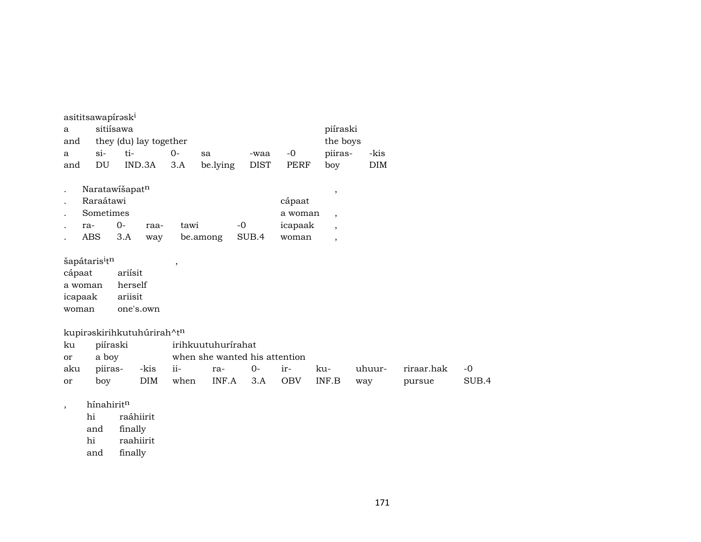|                          | asititsawapírəsk <sup>1</sup> |           |                            |                          |                               |             |            |                          |            |            |       |
|--------------------------|-------------------------------|-----------|----------------------------|--------------------------|-------------------------------|-------------|------------|--------------------------|------------|------------|-------|
| a                        |                               | sitiísawa |                            |                          |                               |             |            | piíraski                 |            |            |       |
| and                      |                               |           | they (du) lay together     |                          |                               |             |            | the boys                 |            |            |       |
| a                        | $\sin$                        | ti-       |                            | $0-$                     | sa                            | -waa        | $-0$       | piiras-                  | -kis       |            |       |
| and                      | DU                            |           | IND.3A                     | 3.A                      | be.lying                      | <b>DIST</b> | PERF       | boy                      | <b>DIM</b> |            |       |
|                          | Naratawišapatn                |           |                            |                          |                               |             |            | $\overline{\phantom{a}}$ |            |            |       |
|                          | Raraátawi                     |           |                            |                          |                               |             | cápaat     |                          |            |            |       |
|                          | Sometimes                     |           |                            |                          |                               |             | a woman    | $\overline{\phantom{a}}$ |            |            |       |
|                          | ra-                           | $0-$      | raa-                       | tawi                     |                               | $-0$        | icapaak    | $\overline{\phantom{a}}$ |            |            |       |
|                          | ABS                           | 3.A       | way                        |                          | be.among                      | SUB.4       | woman      | $\overline{\phantom{a}}$ |            |            |       |
|                          | šapátarisitn                  |           |                            | $\overline{\phantom{a}}$ |                               |             |            |                          |            |            |       |
| cápaat                   |                               | ariísit   |                            |                          |                               |             |            |                          |            |            |       |
|                          | a woman                       | herself   |                            |                          |                               |             |            |                          |            |            |       |
|                          | icapaak                       | ariisit   |                            |                          |                               |             |            |                          |            |            |       |
| woman                    |                               |           | one's.own                  |                          |                               |             |            |                          |            |            |       |
|                          |                               |           | kupiraskirihkutuhúrirah^tn |                          |                               |             |            |                          |            |            |       |
| ku                       |                               | piíraski  |                            |                          | irihkuutuhurirahat            |             |            |                          |            |            |       |
| or                       | a boy                         |           |                            |                          | when she wanted his attention |             |            |                          |            |            |       |
| aku                      | piiras-                       |           | -kis                       | $ii-$                    | ra-                           | $0-$        | ir-        | ku-                      | uhuur-     | riraar.hak | $-0$  |
| or                       | boy                           |           | <b>DIM</b>                 | when                     | INF.A                         | 3.A         | <b>OBV</b> | INF.B                    | way        | pursue     | SUB.4 |
| $\overline{\phantom{a}}$ | hínahiritn                    |           |                            |                          |                               |             |            |                          |            |            |       |
|                          | hi                            |           | raáhiirit                  |                          |                               |             |            |                          |            |            |       |
|                          | and                           | finally   |                            |                          |                               |             |            |                          |            |            |       |
|                          | 1.3                           |           | and a late of the state    |                          |                               |             |            |                          |            |            |       |

hi raahiirit

and finally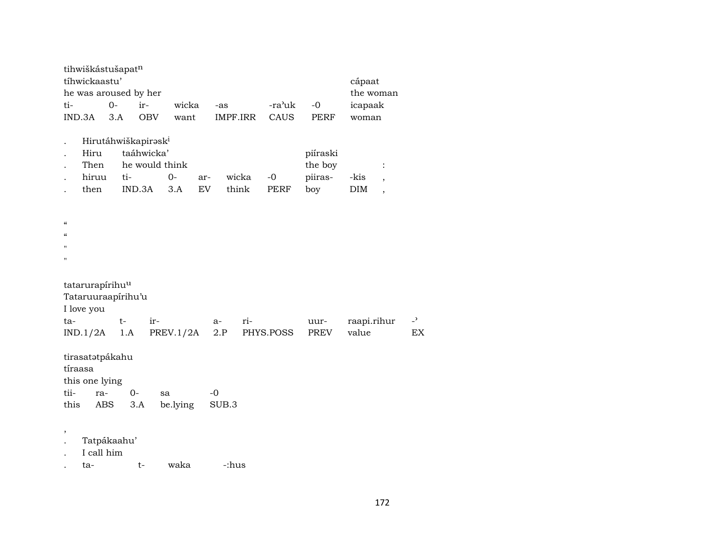| tihwiškástušapatn                                               |                                                  |                              |                                  |                |     |                     |                                       |                    |                                                    |                |
|-----------------------------------------------------------------|--------------------------------------------------|------------------------------|----------------------------------|----------------|-----|---------------------|---------------------------------------|--------------------|----------------------------------------------------|----------------|
| tíhwickaastu'                                                   |                                                  |                              |                                  |                |     |                     |                                       | cápaat             |                                                    |                |
| he was aroused by her                                           |                                                  |                              |                                  |                |     |                     |                                       | the woman          |                                                    |                |
| ti-                                                             | $0-$                                             | ir-                          | wicka                            | -as            |     | -ra'uk              | $-0$                                  | icapaak            |                                                    |                |
| IND.3A                                                          | 3.A                                              | <b>OBV</b>                   | want                             | IMPF.IRR       |     | CAUS                | PERF                                  | woman              |                                                    |                |
| Hiru<br>Then<br>hiruu<br>then                                   | Hirutáhwiškapirask <sup>i</sup><br>ti-<br>IND.3A | taáhwicka'<br>he would think | $O -$<br>ar-<br><b>EV</b><br>3.A | wicka<br>think |     | $-0$<br><b>PERF</b> | piíraski<br>the boy<br>piiras-<br>boy | -kis<br><b>DIM</b> | $\ddot{\cdot}$<br>$\overline{ }$<br>$\overline{ }$ |                |
| $\boldsymbol{\mathcal{C}}$                                      |                                                  |                              |                                  |                |     |                     |                                       |                    |                                                    |                |
| $\epsilon$                                                      |                                                  |                              |                                  |                |     |                     |                                       |                    |                                                    |                |
| $^{\prime\prime}$                                               |                                                  |                              |                                  |                |     |                     |                                       |                    |                                                    |                |
| $^{\prime}$                                                     |                                                  |                              |                                  |                |     |                     |                                       |                    |                                                    |                |
| tatarurapírihu <sup>u</sup><br>Tataruuraapírihu'u<br>I love you |                                                  |                              |                                  |                |     |                     |                                       |                    |                                                    |                |
| ta-                                                             | $t-$                                             | ir-                          |                                  | $a-$           | ri- |                     | uur-                                  | raapi.rihur        |                                                    | $\overline{a}$ |
| IND.1/2A                                                        | 1.A                                              |                              | PREV.1/2A                        | 2.P            |     | PHYS.POSS           | PREV                                  | value              |                                                    | EX.            |
| tirasatatpákahu<br>tíraasa<br>this one lying<br>tii-            | $0-$                                             |                              |                                  | $-0$           |     |                     |                                       |                    |                                                    |                |
| ra-                                                             |                                                  | sa                           |                                  |                |     |                     |                                       |                    |                                                    |                |
| this<br>ABS                                                     | 3.A                                              |                              | be.lying                         | SUB.3          |     |                     |                                       |                    |                                                    |                |
| $\, ,$<br>I call him                                            | Tatpákaahu'                                      |                              |                                  |                |     |                     |                                       |                    |                                                    |                |
| ta-                                                             |                                                  | $t-$                         | waka                             | -:hus          |     |                     |                                       |                    |                                                    |                |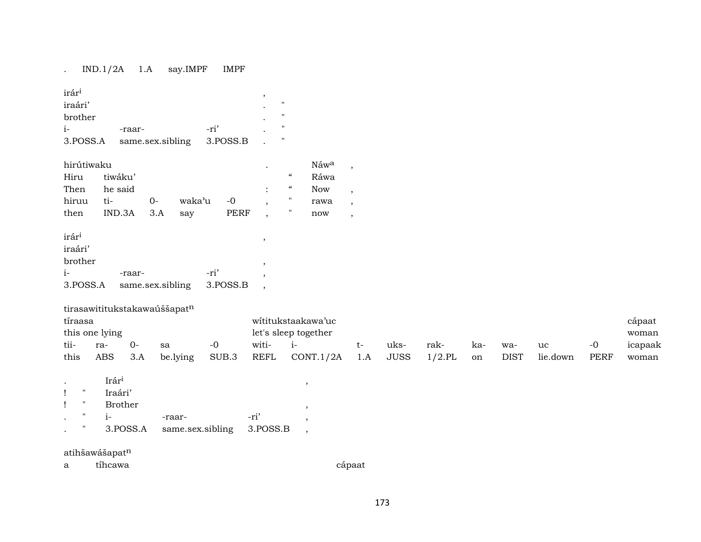# . IND.1/2A 1.A say.IMPF IMPF

| irári                     |                              |                  |                  |                  |       |          | $\cdot$              |                            |                          |                          |             |           |     |             |          |             |         |
|---------------------------|------------------------------|------------------|------------------|------------------|-------|----------|----------------------|----------------------------|--------------------------|--------------------------|-------------|-----------|-----|-------------|----------|-------------|---------|
| iraári'                   |                              |                  |                  |                  |       |          |                      | $\pmb{\mathsf{H}}$         |                          |                          |             |           |     |             |          |             |         |
| brother                   |                              |                  |                  |                  |       |          |                      | $\mathbf{H}$               |                          |                          |             |           |     |             |          |             |         |
| $i-$                      |                              | -raar-           |                  |                  | -ri'  |          |                      | п.                         |                          |                          |             |           |     |             |          |             |         |
| 3.POSS.A                  |                              |                  | same.sex.sibling |                  |       | 3.POSS.B |                      | $\mathbf H$                |                          |                          |             |           |     |             |          |             |         |
| hirútiwaku                |                              |                  |                  |                  |       |          |                      |                            | Náwa                     | $\cdot$                  |             |           |     |             |          |             |         |
| Hiru                      |                              | tiwáku'          |                  |                  |       |          |                      | $\mathcal{C}\mathcal{C}$   | Ráwa                     |                          |             |           |     |             |          |             |         |
| Then                      |                              | he said          |                  |                  |       |          |                      | $\boldsymbol{\mathcal{G}}$ | <b>Now</b>               | $\overline{\phantom{a}}$ |             |           |     |             |          |             |         |
| hiruu                     | ti-                          |                  | $0-$             | waka'u           |       | $-0$     | ,                    | $\pmb{\mathsf{H}}$         | rawa                     | $\,$                     |             |           |     |             |          |             |         |
| then                      |                              | IND.3A           | 3.A              | say              |       | PERF     | $\cdot$              | $\pmb{\mathsf{H}}$         | now                      | $\,$                     |             |           |     |             |          |             |         |
| irár <sup>i</sup>         |                              |                  |                  |                  |       |          | $\,$                 |                            |                          |                          |             |           |     |             |          |             |         |
| iraári'                   |                              |                  |                  |                  |       |          |                      |                            |                          |                          |             |           |     |             |          |             |         |
| brother                   |                              |                  |                  |                  |       |          | ,                    |                            |                          |                          |             |           |     |             |          |             |         |
| $i-$                      |                              | -raar-           |                  |                  | -ri'  |          | ,                    |                            |                          |                          |             |           |     |             |          |             |         |
| 3.POSS.A                  |                              | same.sex.sibling |                  |                  |       | 3.POSS.B | $\cdot$              |                            |                          |                          |             |           |     |             |          |             |         |
|                           | tirasawititukstakawaúššapatn |                  |                  |                  |       |          |                      |                            |                          |                          |             |           |     |             |          |             |         |
| tíraasa                   |                              |                  |                  |                  |       |          |                      |                            | wititukstaakawa'uc       |                          |             |           |     |             |          |             | cápaat  |
|                           | this one lying               |                  |                  |                  |       |          | let's sleep together |                            |                          |                          |             |           |     |             |          |             | woman   |
| tii-                      | ra-                          | $0-$             | sa               |                  | $-0$  |          | witi-                | $i-$                       |                          | $t-$                     | uks-        | rak-      | ka- | wa-         | uc       | $-0$        | icapaak |
| this                      | <b>ABS</b>                   | 3.A              |                  | be.lying         | SUB.3 |          | <b>REFL</b>          |                            | CONT.1/2A                | 1.A                      | <b>JUSS</b> | $1/2$ .PL | on  | <b>DIST</b> | lie.down | <b>PERF</b> | woman   |
| $\bullet$                 | Irári                        |                  |                  |                  |       |          |                      |                            | $\,$                     |                          |             |           |     |             |          |             |         |
| $\mathbf{H}$<br>Ţ         | Iraári'                      |                  |                  |                  |       |          |                      |                            |                          |                          |             |           |     |             |          |             |         |
| $\mathbf{H}$<br>Ţ         |                              | <b>Brother</b>   |                  |                  |       |          |                      |                            | $\cdot$                  |                          |             |           |     |             |          |             |         |
| $\mathbf{H}$<br>$\bullet$ | $i-$                         |                  |                  | -raar-           |       |          | -ri'                 |                            | $\cdot$                  |                          |             |           |     |             |          |             |         |
| $\pmb{\mathsf{H}}$        |                              | 3.POSS.A         |                  | same.sex.sibling |       |          | 3.POSS.B             |                            | $\overline{\phantom{a}}$ |                          |             |           |     |             |          |             |         |
|                           | atihšawášapatn               |                  |                  |                  |       |          |                      |                            |                          |                          |             |           |     |             |          |             |         |
| a                         | tíhcawa                      |                  |                  |                  |       |          |                      |                            |                          | cápaat                   |             |           |     |             |          |             |         |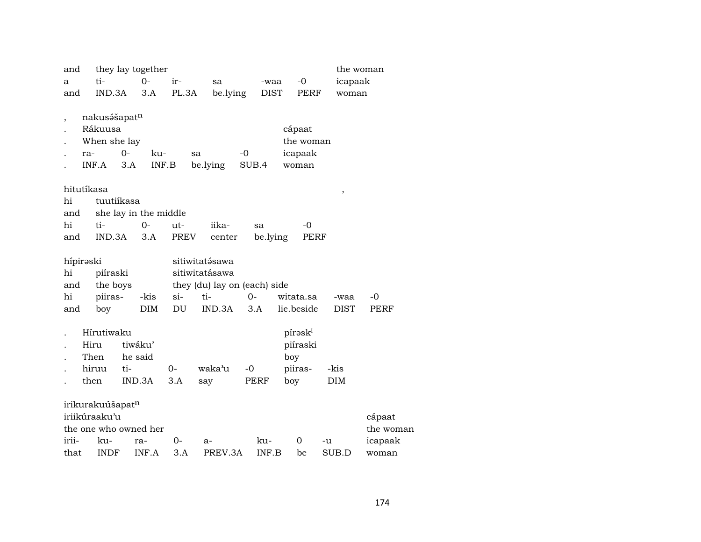| and   |            |                              | they lay together     |       |                              |          |             |                     | the woman   |           |
|-------|------------|------------------------------|-----------------------|-------|------------------------------|----------|-------------|---------------------|-------------|-----------|
| a     |            | ti-                          | $O -$                 | ir-   | sa                           |          | -waa        | $-0$                | icapaak     |           |
| and   |            | IND.3A                       | 3.A                   | PL.3A | be.lying                     |          | <b>DIST</b> | PERF                | woman       |           |
|       |            |                              |                       |       |                              |          |             |                     |             |           |
|       |            | nakusášapat <sup>n</sup>     |                       |       |                              |          |             |                     |             |           |
|       |            | Rákuusa                      |                       |       |                              |          | cápaat      |                     |             |           |
|       |            | When she lay                 |                       |       |                              |          |             | the woman           |             |           |
|       | ra-        | $O -$                        | ku-                   |       | sa                           | $-0$     |             | icapaak             |             |           |
|       | INF.A      | 3.A                          |                       | INF.B | be.lying                     | SUB.4    |             | woman               |             |           |
|       |            |                              |                       |       |                              |          |             |                     |             |           |
|       | hitutíkasa |                              |                       |       |                              |          |             |                     | $\, ,$      |           |
| hi    |            | tuutiikasa                   |                       |       |                              |          |             |                     |             |           |
| and   |            |                              | she lay in the middle |       |                              |          |             |                     |             |           |
| hi    |            | ti-                          | $O -$                 | ut-   | iika-                        | sa       |             | -0                  |             |           |
| and   |            | IND.3A                       | 3.A                   | PREV  | center                       | be.lying |             | PERF                |             |           |
|       | hípirəski  |                              |                       |       | sitiwitatásawa               |          |             |                     |             |           |
| hi    |            | piíraski                     |                       |       | sitiwitatásawa               |          |             |                     |             |           |
| and   |            | the boys                     |                       |       | they (du) lay on (each) side |          |             |                     |             |           |
| hi    |            | piiras-                      | -kis                  | si-   | ti-                          | $0-$     | witata.sa   |                     | -waa        | -0        |
| and   |            | boy                          | <b>DIM</b>            | DU    | IND.3A                       | 3.A      | lie.beside  |                     | <b>DIST</b> | PERF      |
|       |            |                              |                       |       |                              |          |             |                     |             |           |
|       |            | Hírutiwaku                   |                       |       |                              |          |             | pírəsk <sup>i</sup> |             |           |
|       | Hiru       |                              | tiwáku'               |       |                              |          |             | piíraski            |             |           |
|       | Then       |                              | he said               |       |                              |          | boy         |                     |             |           |
|       | hiruu      | ti-                          |                       | 0-    | waka'u                       | $-0$     | piiras-     |                     | -kis        |           |
|       | then       |                              | IND.3A                | 3.A   | say                          | PERF     | boy         |                     | DIM         |           |
|       |            |                              |                       |       |                              |          |             |                     |             |           |
|       |            | irikurakuúšapat <sup>n</sup> |                       |       |                              |          |             |                     |             |           |
|       |            | iriikúraaku'u                |                       |       |                              |          |             |                     |             | cápaat    |
|       |            |                              | the one who owned her |       |                              |          |             |                     |             | the woman |
| irii- |            | ku-                          | ra-                   | 0-    | a-                           | ku-      |             | 0                   | -u          | icapaak   |
| that  |            | <b>INDF</b>                  | INF.A                 | 3.A   | PREV.3A                      | INF.B    |             | be                  | SUB.D       | woman     |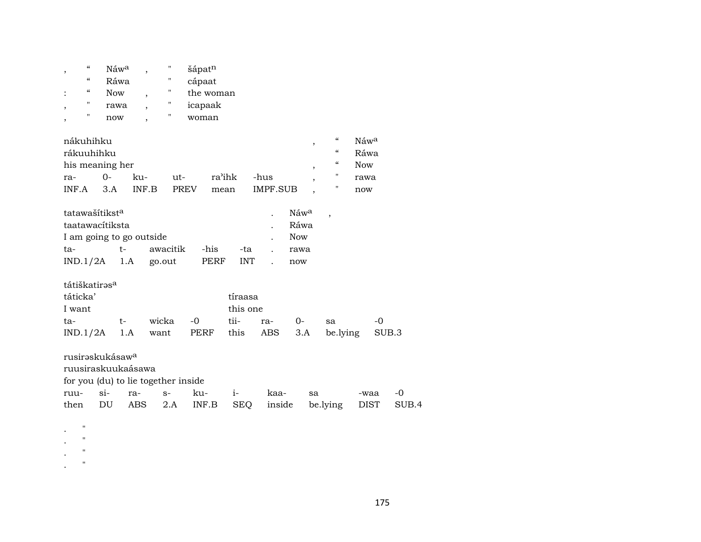| $\boldsymbol{\zeta}\boldsymbol{\zeta}$<br>, |            | Náw <sup>a</sup>                    |                          | П        | šápatn    |            |                 |        |            |                          |                                        |                  |       |       |
|---------------------------------------------|------------|-------------------------------------|--------------------------|----------|-----------|------------|-----------------|--------|------------|--------------------------|----------------------------------------|------------------|-------|-------|
| $\boldsymbol{\zeta}\boldsymbol{\zeta}$      |            | Ráwa                                |                          | Η        | cápaat    |            |                 |        |            |                          |                                        |                  |       |       |
| $\epsilon\epsilon$<br>$\ddot{\cdot}$        | <b>Now</b> |                                     | $\overline{\phantom{a}}$ | н        | the woman |            |                 |        |            |                          |                                        |                  |       |       |
| $\pmb{\mathsf{H}}$<br>,                     |            | rawa                                | $\overline{\phantom{a}}$ | н        | icapaak   |            |                 |        |            |                          |                                        |                  |       |       |
| Η<br>,                                      |            | now                                 |                          | Η        | woman     |            |                 |        |            |                          |                                        |                  |       |       |
| nákuhihku                                   |            |                                     |                          |          |           |            |                 |        |            | $^\mathrm{,}$            | $\boldsymbol{\zeta}\boldsymbol{\zeta}$ | Náw <sup>a</sup> |       |       |
| rákuuhihku                                  |            |                                     |                          |          |           |            |                 |        |            |                          | $\boldsymbol{\zeta}\boldsymbol{\zeta}$ | Ráwa             |       |       |
| his meaning her                             |            |                                     |                          |          |           |            |                 |        |            | $^\mathrm{,}$            | $\boldsymbol{\zeta}\boldsymbol{\zeta}$ | <b>Now</b>       |       |       |
| ra-                                         | $0 -$      | ku-                                 |                          | ut-      |           | ra'ihk     | -hus            |        |            | $\overline{\phantom{a}}$ | $\pmb{\mathsf{H}}$                     | rawa             |       |       |
| INF.A                                       | 3.A        |                                     | INF.B                    | PREV     | mean      |            | <b>IMPF.SUB</b> |        |            |                          | н                                      | now              |       |       |
| tatawašítiksta                              |            |                                     |                          |          |           |            |                 |        | Náwa       |                          | $\overline{\phantom{a}}$               |                  |       |       |
| taatawacítiksta                             |            |                                     |                          |          |           |            |                 |        | Ráwa       |                          |                                        |                  |       |       |
|                                             |            | I am going to go outside            |                          |          |           |            |                 |        | <b>Now</b> |                          |                                        |                  |       |       |
| ta-                                         |            | $t-$                                |                          | awacitik | -his      | -ta        |                 |        | rawa       |                          |                                        |                  |       |       |
| IND.1/2A                                    |            | 1.A                                 | go.out                   |          | PERF      | <b>INT</b> |                 |        | now        |                          |                                        |                  |       |       |
| tátiškatirəs <sup>a</sup>                   |            |                                     |                          |          |           |            |                 |        |            |                          |                                        |                  |       |       |
| táticka'                                    |            |                                     |                          |          |           | tíraasa    |                 |        |            |                          |                                        |                  |       |       |
| I want                                      |            |                                     |                          |          |           | this one   |                 |        |            |                          |                                        |                  |       |       |
| ta-                                         |            | t-                                  | wicka                    |          | $-0$      | tii-       | ra-             |        | $0-$       |                          | sa                                     |                  | -0    |       |
| IND.1/2A                                    |            | 1.A                                 | want                     |          | PERF      | this       | ABS             |        | 3.A        |                          | be.lying                               |                  | SUB.3 |       |
| rusirəskukásaw <sup>a</sup>                 |            |                                     |                          |          |           |            |                 |        |            |                          |                                        |                  |       |       |
|                                             |            | ruusiraskuukaásawa                  |                          |          |           |            |                 |        |            |                          |                                        |                  |       |       |
|                                             |            | for you (du) to lie together inside |                          |          |           |            |                 |        |            |                          |                                        |                  |       |       |
| ruu-                                        | $si-$      | ra-                                 | $S-$                     |          | ku-       | $i-$       |                 | kaa-   |            | sa                       |                                        | -waa             |       | $-0$  |
| then                                        | DU         | ABS                                 |                          | 2.A      | INF.B     | <b>SEQ</b> |                 | inside |            |                          | be.lying                               | <b>DIST</b>      |       | SUB.4 |
| $\pmb{\mathsf{H}}$                          |            |                                     |                          |          |           |            |                 |        |            |                          |                                        |                  |       |       |
|                                             |            |                                     |                          |          |           |            |                 |        |            |                          |                                        |                  |       |       |

- $\mathbf{r}$  .  $\mathbf{r}$
- $\langle \cdot \rangle$
- $\cdot$  "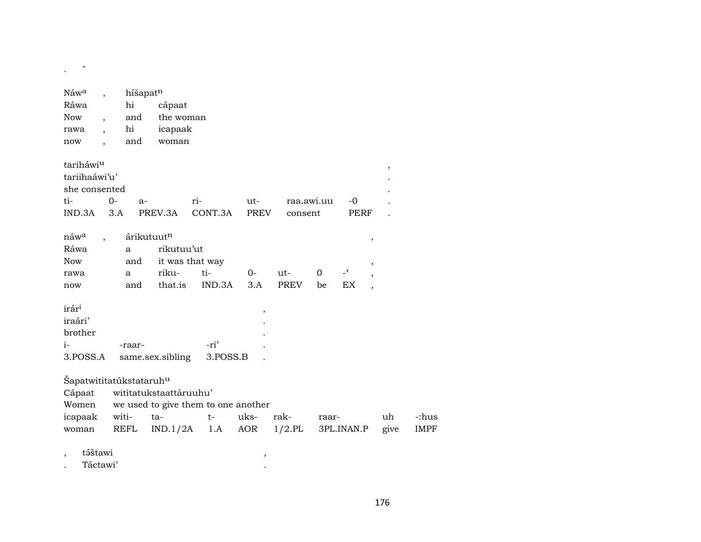| $\pmb{\mathsf{H}}$                  |                          |          |                        |                                     |        |             |            |                          |        |        |             |
|-------------------------------------|--------------------------|----------|------------------------|-------------------------------------|--------|-------------|------------|--------------------------|--------|--------|-------------|
| Náw <sup>a</sup>                    | $\overline{\phantom{a}}$ | híšapatn |                        |                                     |        |             |            |                          |        |        |             |
| Ráwa                                |                          | hi       | cápaat                 |                                     |        |             |            |                          |        |        |             |
| <b>Now</b>                          | $\overline{\phantom{a}}$ | and      | the woman              |                                     |        |             |            |                          |        |        |             |
| rawa                                | $\overline{\phantom{a}}$ | hi       | icapaak                |                                     |        |             |            |                          |        |        |             |
| now                                 | $\ddot{\phantom{0}}$     | and      | woman                  |                                     |        |             |            |                          |        |        |             |
|                                     |                          |          |                        |                                     |        |             |            |                          |        |        |             |
| tariháwiu                           |                          |          |                        |                                     |        |             |            |                          |        | $\, ,$ |             |
| tariihaáwi'u'                       |                          |          |                        |                                     |        |             |            |                          |        |        |             |
| she consented                       |                          |          |                        |                                     |        |             |            |                          |        |        |             |
| ti-                                 | $0 -$                    | $a-$     |                        | ri-                                 | $ut-$  |             | raa.awi.uu | $-0$                     |        |        |             |
| IND.3A                              | 3.A                      |          | PREV.3A                | CONT.3A                             | PREV   | consent     |            | PERF                     |        |        |             |
|                                     |                          |          |                        |                                     |        |             |            |                          |        |        |             |
| náw <sup>a</sup>                    | $\overline{\phantom{a}}$ |          | árikutuutn             |                                     |        |             |            |                          | $\, ,$ |        |             |
| Ráwa                                |                          | a        | rikutuu'ut             |                                     |        |             |            |                          |        |        |             |
| <b>Now</b>                          |                          | and      |                        | it was that way                     |        |             |            |                          | ,      |        |             |
| rawa                                |                          | a        | riku-                  | ti-                                 | $0-$   | ut-         | 0          | $\overline{\phantom{0}}$ |        |        |             |
| now                                 |                          | and      | that.is                | IND.3A                              | 3.A    | <b>PREV</b> | be         | EX                       |        |        |             |
| irár <sup>i</sup>                   |                          |          |                        |                                     |        |             |            |                          |        |        |             |
| iraári'                             |                          |          |                        |                                     | $\, ,$ |             |            |                          |        |        |             |
| brother                             |                          |          |                        |                                     |        |             |            |                          |        |        |             |
| $i-$                                |                          | -raar-   |                        | -ri'                                |        |             |            |                          |        |        |             |
| 3.POSS.A                            |                          |          | same.sex.sibling       | 3.POSS.B                            |        |             |            |                          |        |        |             |
|                                     |                          |          |                        |                                     |        |             |            |                          |        |        |             |
| Šapatwititatúkstataruh <sup>u</sup> |                          |          |                        |                                     |        |             |            |                          |        |        |             |
| Cápaat                              |                          |          | wititatukstaattáruuhu' |                                     |        |             |            |                          |        |        |             |
| Women                               |                          |          |                        | we used to give them to one another |        |             |            |                          |        |        |             |
| icapaak                             |                          | witi-    | ta-                    | $t-$                                | uks-   | rak-        | raar-      |                          |        | uh     | -:hus       |
| woman                               |                          | REFL     | IND.1/2A               | 1.A                                 | AOR    | $1/2$ .PL   |            | 3PL.INAN.P               |        | give   | <b>IMPF</b> |
|                                     |                          |          |                        |                                     |        |             |            |                          |        |        |             |

 $\overline{\phantom{a}}$ 

 $\sim$ 

táštawi  $\,$ 

Táctawi'  $\cdot$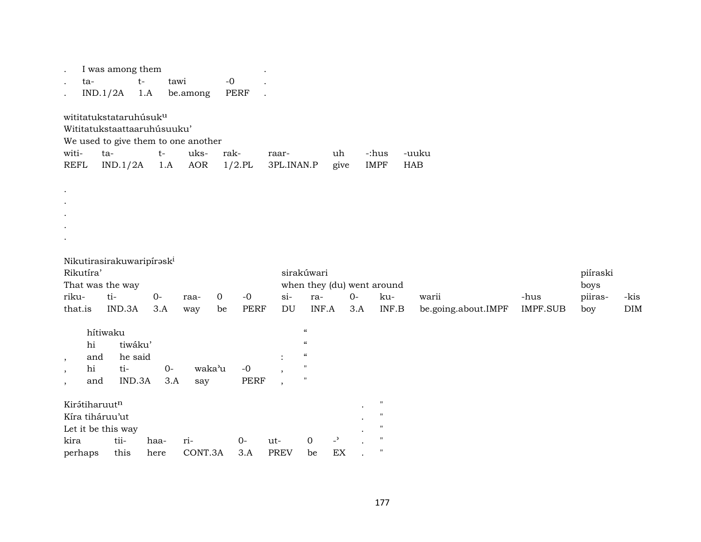| I was among them<br>$\bullet$<br>$t-$<br>ta-<br>IND.1/2A                                                                                            | tawi<br>1.A<br>be.among    | $-{\bf 0}$<br>PERF                          |                                                                                                                |                                                     |                                                                                                            |                              |                         |                                    |                    |
|-----------------------------------------------------------------------------------------------------------------------------------------------------|----------------------------|---------------------------------------------|----------------------------------------------------------------------------------------------------------------|-----------------------------------------------------|------------------------------------------------------------------------------------------------------------|------------------------------|-------------------------|------------------------------------|--------------------|
| wititatukstataruhúsuk <sup>u</sup><br>Wititatukstaattaaruhúsuuku'<br>We used to give them to one another<br>witi-<br>ta-<br><b>REFL</b><br>IND.1/2A | $t-$<br>1.A                | uks-<br>rak-<br><b>AOR</b><br>$1/2$ .PL     | raar-<br>3PL.INAN.P                                                                                            | uh<br>give                                          | -:hus<br><b>IMPF</b><br><b>HAB</b>                                                                         | -uuku                        |                         |                                    |                    |
|                                                                                                                                                     |                            |                                             |                                                                                                                |                                                     |                                                                                                            |                              |                         |                                    |                    |
| Nikutirasirakuwaripiraski<br>Rikutíra'<br>That was the way<br>ti-<br>riku-<br>IND.3A<br>that.is                                                     | $0-$<br>raa-<br>3.A<br>way | $\overline{0}$<br>$-0$<br><b>PERF</b><br>be | sirakúwari<br>$si-$<br>ra-<br>$\mathop{\rm DU}\nolimits$                                                       | when they (du) went around<br>$O -$<br>INF.A<br>3.A | ku-<br>$\ensuremath{\mathsf{INF}}.\ensuremath{\mathsf{B}}$                                                 | warii<br>be.going.about.IMPF | -hus<br><b>IMPF.SUB</b> | piíraski<br>boys<br>piiras-<br>boy | -kis<br><b>DIM</b> |
| hítiwaku<br>tiwáku'<br>hi<br>he said<br>and<br>$\overline{\phantom{a}}$<br>hi<br>ti-<br>IND.3A<br>and                                               | $O-$<br>3.A                | waka'u<br>$-0$<br><b>PERF</b><br>say        | $\boldsymbol{\mathcal{U}}$<br>$\boldsymbol{\mathcal{U}}$<br>$\epsilon\epsilon$<br>$\mathbf{H}$<br>$\mathbf{H}$ |                                                     |                                                                                                            |                              |                         |                                    |                    |
| Kirátiharuutn<br>Kíra tiháruu'ut<br>Let it be this way<br>kira<br>tii-<br>perhaps<br>this                                                           | ri-<br>haa-<br>here        | $0-$<br>CONT.3A<br>3.A                      | $\mathbf 0$<br>ut-<br><b>PREV</b><br>be                                                                        | $\overline{\phantom{0}}$<br>EX                      | $\pmb{\mathsf{H}}$<br>$\pmb{\mathsf{H}}$<br>$\pmb{\mathsf{H}}$<br>$\pmb{\mathsf{H}}$<br>$\pmb{\mathsf{H}}$ |                              |                         |                                    |                    |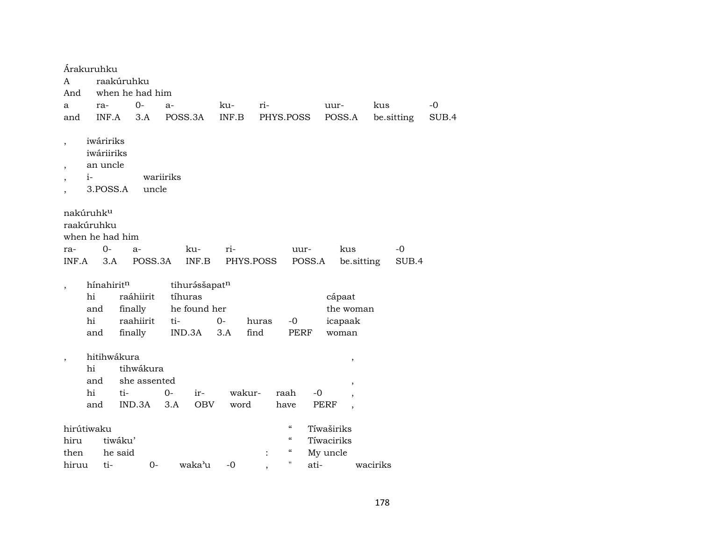| Árakuruhku                                                    |                                                 |                 |                          |           |                                        |                          |                          |            |       |
|---------------------------------------------------------------|-------------------------------------------------|-----------------|--------------------------|-----------|----------------------------------------|--------------------------|--------------------------|------------|-------|
| A                                                             |                                                 | raakúruhku      |                          |           |                                        |                          |                          |            |       |
| And                                                           |                                                 | when he had him |                          |           |                                        |                          |                          |            |       |
| a                                                             | ra-                                             | $0-$            | $a-$                     | ku-       | ri-                                    |                          | uur-                     | kus        | -0    |
| and                                                           | INF.A                                           | 3.A             | POSS.3A                  | INF.B     | PHYS.POSS                              |                          | POSS.A                   | be.sitting | SUB.4 |
| $\overline{\phantom{a}}$<br>$i-$<br>,                         | iwáririks<br>iwáriiriks<br>an uncle<br>3.POSS.A | uncle           | wariiriks                |           |                                        |                          |                          |            |       |
| nakúruhk <sup>u</sup><br>raakúruhku<br>when he had him<br>ra- | $0-$                                            | $a-$            | ku-                      | ri-       |                                        | uur-                     | kus                      | -0         |       |
| INF.A                                                         | 3.A                                             | POSS.3A         | INF.B                    | PHYS.POSS |                                        | POSS.A                   | be.sitting               | SUB.4      |       |
|                                                               |                                                 |                 |                          |           |                                        |                          |                          |            |       |
| hi                                                            | hínahiritn                                      | raáhiirit       | tihurásšapatn<br>tíhuras |           |                                        |                          | cápaat                   |            |       |
|                                                               | and                                             | finally         | he found her             |           |                                        |                          | the woman                |            |       |
| hi                                                            |                                                 | raahiirit       | ti-                      | $0-$      | huras<br>$-0$                          |                          | icapaak                  |            |       |
|                                                               | and                                             | finally         | IND.3A                   | 3.A       | find                                   | <b>PERF</b>              | woman                    |            |       |
|                                                               |                                                 |                 |                          |           |                                        |                          |                          |            |       |
| ,                                                             | hitihwákura                                     |                 |                          |           |                                        |                          | $^\mathrm{^{^\circ}}$    |            |       |
| hi                                                            |                                                 | tihwákura       |                          |           |                                        |                          |                          |            |       |
|                                                               | and                                             | she assented    |                          |           |                                        |                          | $\overline{\phantom{a}}$ |            |       |
| hi                                                            |                                                 | ti-             | $0-$<br>ir-              | wakur-    | raah                                   | $-0$                     |                          |            |       |
|                                                               | and                                             | IND.3A          | <b>OBV</b><br>3.A        | word      | have                                   | PERF                     | $\cdot$                  |            |       |
|                                                               |                                                 |                 |                          |           | $\boldsymbol{\mathcal{C}}$             |                          |                          |            |       |
| hirútiwaku                                                    | tiwáku'                                         |                 |                          |           | $\boldsymbol{\zeta}\boldsymbol{\zeta}$ | Tíwaširiks<br>Tíwaciriks |                          |            |       |
| hiru<br>then                                                  | he said                                         |                 |                          |           | $\epsilon\epsilon$                     | My uncle                 |                          |            |       |
| hiruu                                                         | ti-                                             | $0-$            | waka'u                   | -0        | $\mathbf{H}$                           | ati-                     |                          | waciriks   |       |
|                                                               |                                                 |                 |                          |           |                                        |                          |                          |            |       |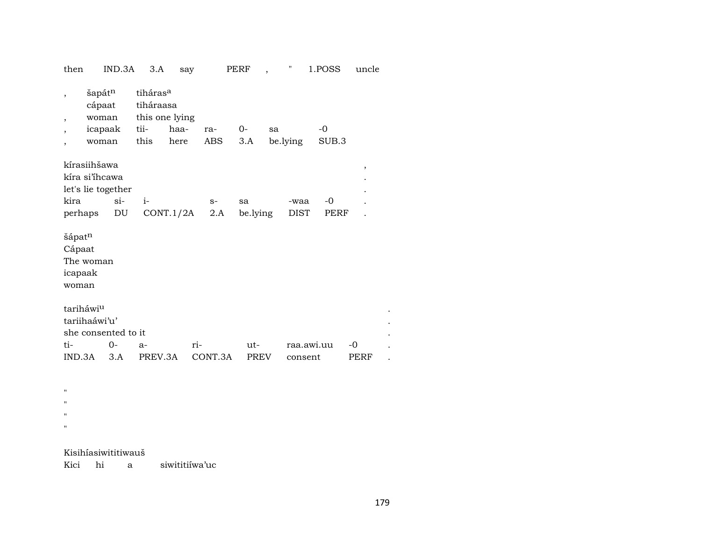| then                                                                    | IND.3A                                        | 3.A                                                                 | say          |             | PERF               |    | "                   | 1.POSS        | uncle      |  |  |
|-------------------------------------------------------------------------|-----------------------------------------------|---------------------------------------------------------------------|--------------|-------------|--------------------|----|---------------------|---------------|------------|--|--|
| $\overline{\phantom{a}}$<br>,                                           | šapátn<br>cápaat<br>woman<br>icapaak<br>woman | tiháras <sup>a</sup><br>tiháraasa<br>this one lying<br>tii-<br>this | haa-<br>here | ra-<br>ABS  | $0-$<br>3.A        | sa | be.lying            | $-0$<br>SUB.3 |            |  |  |
| kírasiihšawa<br>kíra si'ihcawa<br>let's lie together<br>kira<br>perhaps | $\sin$<br>DU                                  | $i-$                                                                | CONT.1/2A    | $S-$<br>2.A | sa<br>be.lying     |    | -waa<br><b>DIST</b> | $-0$<br>PERF  | ,          |  |  |
| šápat <sup>n</sup><br>Cápaat<br>The woman<br>icapaak<br>woman           |                                               |                                                                     |              |             |                    |    |                     |               |            |  |  |
| tariháwiu<br>tariihaáwi'u'<br>she consented to it<br>ti-<br>IND.3A      | 0-<br>3.A                                     | $a-$<br>PREV.3A                                                     | ri-          | CONT.3A     | ut-<br><b>PREV</b> |    | consent             | raa.awi.uu    | -0<br>PERF |  |  |

 $\bar{u}$  $\bar{\mathbf{u}}$ "  $\bar{\mathbf{u}}$ 

## Kisihíasiwititiwauš

Kici hi a siwititiíwa'uc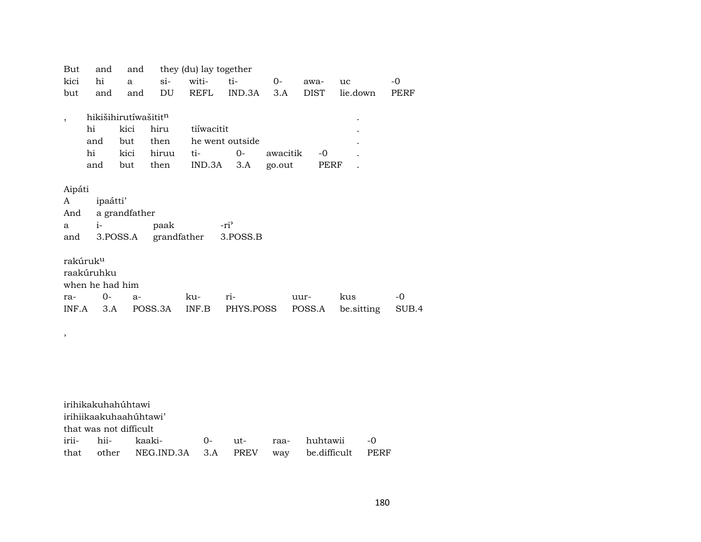| But    | and                    | and                  |         | they (du) lay together |                 |          |             |            |       |
|--------|------------------------|----------------------|---------|------------------------|-----------------|----------|-------------|------------|-------|
| kici   | hi                     | a                    | si      | witi-                  | ti-             | $0-$     | awa-        | uc         | $-0$  |
| but    | and                    | and                  | DU      | <b>REFL</b>            | IND.3A          | 3.A      | <b>DIST</b> | lie.down   | PERF  |
|        |                        | hikišihirutíwašititn |         |                        |                 |          |             |            |       |
| $\, ,$ | hi                     | kici                 | hiru    | tiíwacitit             |                 |          |             |            |       |
|        | and                    | but                  | then    |                        | he went outside |          |             |            |       |
|        | hi                     | kici                 | hiruu   | ti-                    | $O -$           | awacitik | -0          |            |       |
|        | and                    | but                  | then    | IND.3A                 | 3.A             | go.out   | PERF        |            |       |
|        |                        |                      |         |                        |                 |          |             |            |       |
| Aipáti |                        |                      |         |                        |                 |          |             |            |       |
| A      | ipaátti'               |                      |         |                        |                 |          |             |            |       |
| And    |                        | a grandfather        |         |                        |                 |          |             |            |       |
| a      | $i-$                   |                      | paak    | grandfather            | $-ri$           |          |             |            |       |
| and    |                        | 3.POSS.A             |         |                        | 3.POSS.B        |          |             |            |       |
|        | rakúruk <sup>u</sup>   |                      |         |                        |                 |          |             |            |       |
|        | raakúruhku             |                      |         |                        |                 |          |             |            |       |
|        | when he had him        |                      |         |                        |                 |          |             |            |       |
| ra-    | $0-$                   | $a-$                 |         | ku-                    | ri-             |          | uur-        | kus        | $-0$  |
| INF.A  | 3.A                    |                      | POSS.3A | INF.B                  | PHYS.POSS       |          | POSS.A      | be sitting | SUB.4 |
|        |                        |                      |         |                        |                 |          |             |            |       |
| $\, ,$ |                        |                      |         |                        |                 |          |             |            |       |
|        |                        |                      |         |                        |                 |          |             |            |       |
|        |                        |                      |         |                        |                 |          |             |            |       |
|        |                        |                      |         |                        |                 |          |             |            |       |
|        |                        |                      |         |                        |                 |          |             |            |       |
|        |                        |                      |         |                        |                 |          |             |            |       |
|        | irihikakuhahúhtawi     |                      |         |                        |                 |          |             |            |       |
|        | irihiikaakuhaahúhtawi' |                      |         |                        |                 |          |             |            |       |
|        | that was not difficult |                      |         |                        |                 |          |             |            |       |

|  | that other NEG.IND.3A 3.A PREV way be.difficult PERF |  |  |  |
|--|------------------------------------------------------|--|--|--|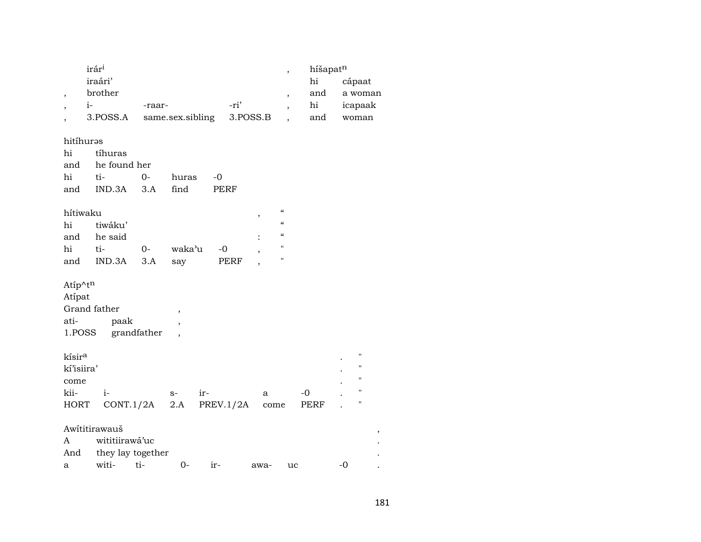|                          | irár <sup>i</sup> |        |                  |      |          | $\cdot$                  | híšapatn |         |  |
|--------------------------|-------------------|--------|------------------|------|----------|--------------------------|----------|---------|--|
|                          | iraári'           |        |                  |      |          |                          | hi       | cápaat  |  |
| $\overline{ }$           | brother           |        |                  |      |          | $\overline{\phantom{a}}$ | and      | a woman |  |
| $\overline{\phantom{a}}$ | $i-$              | -raar- |                  |      | -ri'     | $\overline{\phantom{a}}$ | hi       | icapaak |  |
|                          | 3.POSS.A          |        | same.sex.sibling |      | 3.POSS.B |                          | and      | woman   |  |
|                          |                   |        |                  |      |          |                          |          |         |  |
| hitíhurəs                |                   |        |                  |      |          |                          |          |         |  |
| hi                       | tíhuras           |        |                  |      |          |                          |          |         |  |
| and                      | he found her      |        |                  |      |          |                          |          |         |  |
| hi                       | ti-               | $0-$   | huras            | $-0$ |          |                          |          |         |  |
| and                      | IND.3A            | 3.A    | find             |      | PERF     |                          |          |         |  |
|                          |                   |        |                  |      |          |                          |          |         |  |
| $1.511$ $-1.71$          |                   |        |                  |      |          | "                        |          |         |  |

| hítiwaku |                |      |        |      |   | "          |
|----------|----------------|------|--------|------|---|------------|
| hi       | tiwáku'        |      |        |      |   | $\epsilon$ |
|          | and he said    |      |        |      | ٠ | "          |
| hi       | ti-            | $O-$ | waka'u | $-0$ |   | "          |
|          | and IND.3A 3.A |      | say    | PERF |   |            |

Atip^ $t^n$ 

| Atipat       |             |  |
|--------------|-------------|--|
| Grand father |             |  |
| ati-         | paak        |  |
| 1.POSS       | grandfather |  |

| kísir <sup>a</sup> |                                   |      |       |   |      | $\bullet$ |  |
|--------------------|-----------------------------------|------|-------|---|------|-----------|--|
| kí'isiira'         |                                   |      |       |   |      | $\bullet$ |  |
| come               |                                   |      |       |   |      | $\bullet$ |  |
| kii-               |                                   | $S-$ | $ir-$ | a | $-0$ |           |  |
|                    | HORT CONT.1/2A 2.A PREV.1/2A come |      |       |   | PERF |           |  |

# Awititirawauš

|     | A wititiirawá'uc      |              |  |       |      |      |       |  |  |
|-----|-----------------------|--------------|--|-------|------|------|-------|--|--|
|     | And they lay together |              |  |       |      |      |       |  |  |
| a a |                       | witi- ti- 0- |  | $ir-$ | awa- | uc u | $-()$ |  |  |

 $\, ,$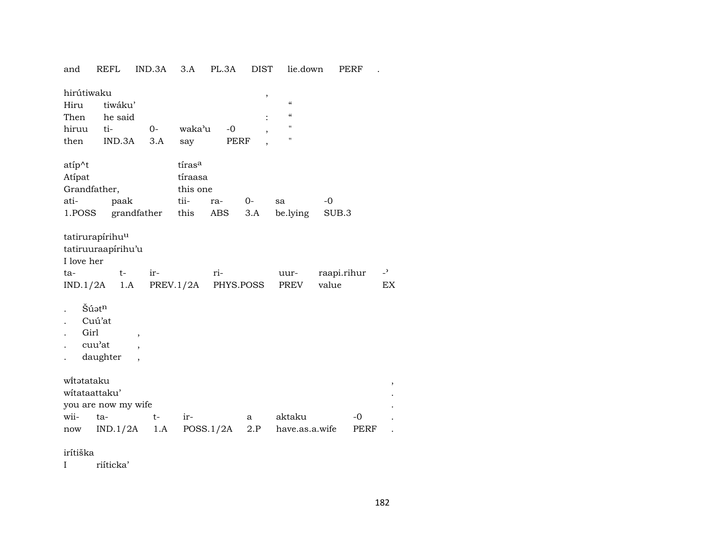| and                                      | <b>REFL</b>                                                                 | IND.3A                           | 3.A                                   | PL.3A              | <b>DIST</b> | lie.down                                                |                      | PERF |            |
|------------------------------------------|-----------------------------------------------------------------------------|----------------------------------|---------------------------------------|--------------------|-------------|---------------------------------------------------------|----------------------|------|------------|
| hirútiwaku<br>Hiru<br>Then               | tiwáku'<br>he said                                                          |                                  |                                       |                    | $\, ,$      | $\mathcal{C}$<br>$\boldsymbol{\zeta}\boldsymbol{\zeta}$ |                      |      |            |
| hiruu                                    | ti-                                                                         | $O -$                            | waka'u                                | $-0$               |             | $\pmb{\mathsf{H}}$                                      |                      |      |            |
| then                                     | IND.3A                                                                      | 3.A                              | say                                   | PERF               |             | $\pmb{\mathsf{H}}$                                      |                      |      |            |
| atíp^t<br>Atípat<br>Grandfather,<br>ati- | paak                                                                        |                                  | tírasa<br>tíraasa<br>this one<br>tii- | ra-                | $0-$        | sa                                                      | -0                   |      |            |
| 1.POSS                                   |                                                                             | grandfather                      | this                                  | ABS                | 3.A         | be.lying                                                | SUB.3                |      |            |
| I love her<br>ta-                        | tatirurapírihu <sup>u</sup><br>tatiruuraapirihu'u<br>$t-$<br>$IND.1/2A$ 1.A | ir-                              | PREV.1/2A                             | ri-                | PHYS.POSS   | uur-<br>PREV                                            | raapi.rihur<br>value |      | $-2$<br>EX |
| Girl                                     | Šúatn<br>Cuú'at<br>cuu'at<br>daughter                                       | $\,$<br>$\overline{\phantom{a}}$ |                                       |                    |             |                                                         |                      |      |            |
| witataku<br>witataattaku'                | you are now my wife                                                         |                                  |                                       |                    |             |                                                         |                      |      |            |
| wii-                                     | ta-                                                                         | t-                               | ir-                                   |                    | a           | aktaku                                                  |                      | $-0$ |            |
| now                                      | IND.1/2A                                                                    |                                  |                                       | $1.A$ POSS. $1/2A$ | 2.P         | have.as.a.wife                                          |                      | PERF |            |

irítiška

 $\mathbf{I}$ riíticka'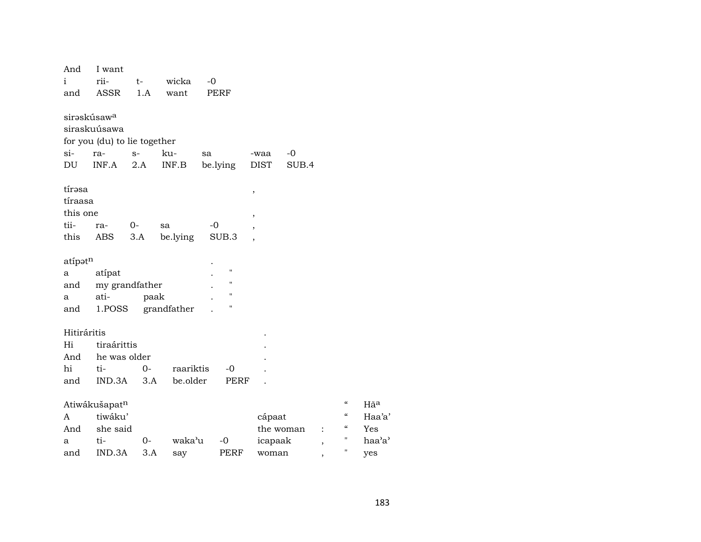| And                     | I want                       |      |             |                    |                               |           |                          |                          |
|-------------------------|------------------------------|------|-------------|--------------------|-------------------------------|-----------|--------------------------|--------------------------|
| i                       | rii-                         | t-   | wicka       | $-0$               |                               |           |                          |                          |
| and                     | ASSR                         | 1.A  | want        | PERF               |                               |           |                          |                          |
|                         |                              |      |             |                    |                               |           |                          |                          |
| sirəskúsaw <sup>a</sup> |                              |      |             |                    |                               |           |                          |                          |
|                         | siraskuúsawa                 |      |             |                    |                               |           |                          |                          |
| si-                     | for you (du) to lie together |      |             |                    |                               |           |                          |                          |
|                         | ra-<br>INF.A                 | $S-$ | ku-         | sa                 | -waa<br><b>DIST</b>           | $-0$      |                          |                          |
| DU                      |                              | 2.A  | INF.B       | be.lying           |                               | SUB.4     |                          |                          |
| tírəsa                  |                              |      |             |                    |                               |           |                          |                          |
| tíraasa                 |                              |      |             |                    | ,                             |           |                          |                          |
| this one                |                              |      |             |                    |                               |           |                          |                          |
| tii-                    | ra-                          | $0-$ | sa          | $-0$               | ,<br>$\overline{\phantom{a}}$ |           |                          |                          |
| this                    | ABS                          | 3.A  | be.lying    | SUB.3              |                               |           |                          |                          |
|                         |                              |      |             |                    |                               |           |                          |                          |
| atípatn                 |                              |      |             |                    |                               |           |                          |                          |
| а                       | atípat                       |      |             | $\pmb{\mathsf{H}}$ |                               |           |                          |                          |
| and                     | my grandfather               |      |             | $\pmb{\mathsf{H}}$ |                               |           |                          |                          |
| a                       | ati-                         | paak |             | $\pmb{\mathsf{H}}$ |                               |           |                          |                          |
| and                     | 1.POSS                       |      | grandfather | $\pmb{\mathsf{H}}$ |                               |           |                          |                          |
|                         |                              |      |             |                    |                               |           |                          |                          |
| Hitiráritis             |                              |      |             |                    |                               |           |                          |                          |
| Hi                      | tiraárittis                  |      |             |                    |                               |           |                          |                          |
| And                     | he was older                 |      |             |                    |                               |           |                          |                          |
| hi                      | ti-                          | $0-$ | raariktis   | -0                 |                               |           |                          |                          |
| and                     | $IND.3A$ $3.A$               |      | be.older    | PERF               |                               |           |                          |                          |
|                         |                              |      |             |                    |                               |           |                          | $\pmb{\zeta}\pmb{\zeta}$ |
|                         | Atiwákušapatn                |      |             |                    |                               |           |                          | $\pmb{\zeta}\pmb{\zeta}$ |
| A                       | tiwáku'                      |      |             |                    | cápaat                        |           |                          | $\zeta\zeta$             |
| And                     | she said                     | $0-$ |             |                    |                               | the woman | $\ddot{\cdot}$           | $\blacksquare$           |
| a                       | ti-                          |      | waka'u      | $-0$               | icapaak                       |           | $\overline{\phantom{a}}$ | $\blacksquare$           |
| and                     | IND.3A                       | 3.A  | say         | PERF               | woman                         |           | $\overline{ }$           |                          |

 $\rm H\tilde{a}^a$ Haa'a' Yes haa'a' yes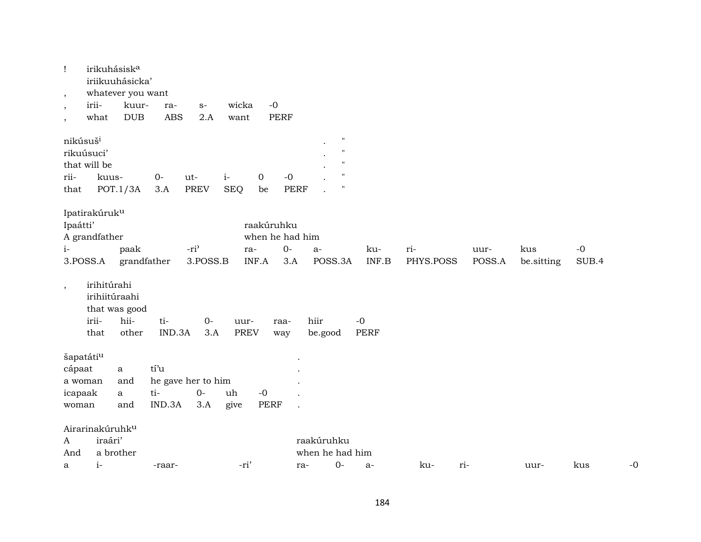| Ţ<br>$\,$<br>$\, ,$<br>$\, ,$        | irikuhásisk <sup>a</sup><br>irii-<br>what              | iriikuuhásicka'<br>whatever you want<br>kuur-<br><b>DUB</b> | ra-<br><b>ABS</b>     | $S-$<br>2.A                        | wicka<br>want       | $-0$<br><b>PERF</b>                           |                                                                                                         |                     |                  |                |                   |               |      |
|--------------------------------------|--------------------------------------------------------|-------------------------------------------------------------|-----------------------|------------------------------------|---------------------|-----------------------------------------------|---------------------------------------------------------------------------------------------------------|---------------------|------------------|----------------|-------------------|---------------|------|
| nikúsuš <sup>i</sup><br>rii-<br>that | rikuúsuci'<br>that will be<br>kuus-                    | POT.1/3A                                                    | $O -$<br>3.A          | ut-<br><b>PREV</b>                 | $i-$<br><b>SEQ</b>  | $-0$<br>0<br><b>PERF</b><br>be                | $\pmb{\mathsf{H}}$<br>$^{\prime\prime}$<br>$^{\prime\prime}$<br>$^{\prime\prime}$<br>$\pmb{\mathsf{H}}$ |                     |                  |                |                   |               |      |
| Ipaátti'<br>$i-$                     | Ipatirakúruk <sup>u</sup><br>A grandfather<br>3.POSS.A | paak<br>grandfather                                         |                       | $-ri2$<br>3.POSS.B                 | ra-<br>INF.A        | raakúruhku<br>when he had him<br>$O -$<br>3.A | $a-$<br>POSS.3A                                                                                         | ku-<br>INF.B        | ri-<br>PHYS.POSS | uur-<br>POSS.A | kus<br>be.sitting | $-0$<br>SUB.4 |      |
| $^\mathrm{,}$                        | irihitúrahi<br>irihiitúraahi<br>irii-<br>that          | that was good<br>hii-<br>other                              | ti-<br>IND.3A         | $0-$<br>3.A                        | uur-<br><b>PREV</b> | raa-<br>way                                   | hiir<br>be.good                                                                                         | $-0$<br><b>PERF</b> |                  |                |                   |               |      |
| cápaat<br>icapaak<br>woman           | šapatátiu<br>a woman                                   | a<br>and<br>a<br>and                                        | tí'u<br>ti-<br>IND.3A | he gave her to him<br>$O -$<br>3.A | uh<br>give          | $-0$<br><b>PERF</b>                           |                                                                                                         |                     |                  |                |                   |               |      |
| A<br>And<br>a                        | Airarinakúruhk <sup>u</sup><br>iraári'<br>$i-$         | a brother                                                   | -raar-                |                                    | -ri'                |                                               | raakúruhku<br>when he had him<br>$0-$<br>ra-                                                            | $a-$                | ku-              | ri-            | uur-              | kus           | $-0$ |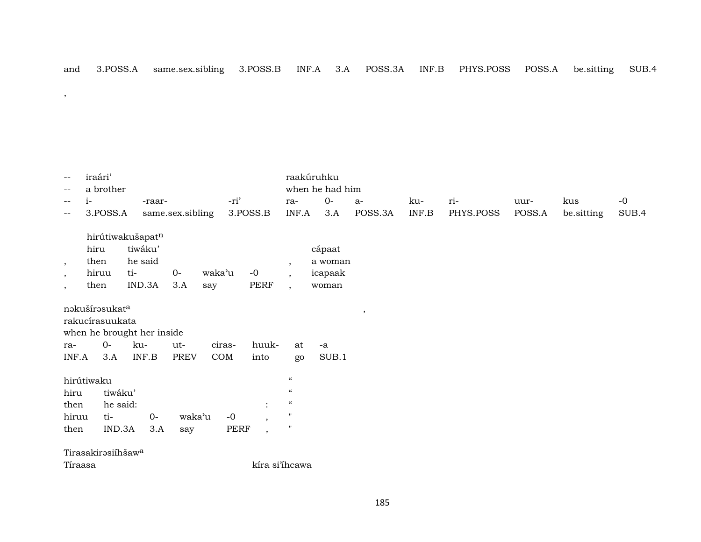,

| $- -$                    | iraári'                        |                            |                  |        |                          |                             | raakúruhku      |         |       |           |        |            |       |
|--------------------------|--------------------------------|----------------------------|------------------|--------|--------------------------|-----------------------------|-----------------|---------|-------|-----------|--------|------------|-------|
| $- -$                    | a brother                      |                            |                  |        |                          |                             | when he had him |         |       |           |        |            |       |
| $\qquad \qquad -$        | $i-$                           | -raar-                     |                  | -ri'   |                          | ra-                         | $O-$            | $a-$    | ku-   | ri-       | uur-   | kus        | $-0$  |
| $-\,-$                   | 3.POSS.A                       |                            | same.sex.sibling |        | 3.POSS.B                 | INF.A                       | 3.A             | POSS.3A | INF.B | PHYS.POSS | POSS.A | be.sitting | SUB.4 |
|                          |                                | hirútiwakušapatn           |                  |        |                          |                             |                 |         |       |           |        |            |       |
|                          | hiru                           | tiwáku'                    |                  |        |                          |                             | cápaat          |         |       |           |        |            |       |
|                          | then                           | he said                    |                  |        |                          |                             | a woman         |         |       |           |        |            |       |
| $\overline{\phantom{a}}$ | hiruu                          | ti-                        | $0-$             | waka'u | $-0$                     | $\cdot$<br>$\overline{ }$ , | icapaak         |         |       |           |        |            |       |
| $\cdot$                  | then                           | IND.3A                     | 3.A              | say    | PERF                     | $\overline{ }$ ,            | woman           |         |       |           |        |            |       |
| $\cdot$                  |                                |                            |                  |        |                          |                             |                 |         |       |           |        |            |       |
|                          | nakušírasukata                 |                            |                  |        |                          |                             |                 | $\,$    |       |           |        |            |       |
|                          | rakucírasuukata                |                            |                  |        |                          |                             |                 |         |       |           |        |            |       |
|                          |                                | when he brought her inside |                  |        |                          |                             |                 |         |       |           |        |            |       |
| ra-                      | $0-$                           | ku-                        | ut-              | ciras- | huuk-                    | at                          | $-a$            |         |       |           |        |            |       |
| INF.A                    | 3.A                            | INF.B                      | <b>PREV</b>      | COM    | into                     | go                          | SUB.1           |         |       |           |        |            |       |
|                          | hirútiwaku                     |                            |                  |        |                          | $\boldsymbol{\mathcal{C}}$  |                 |         |       |           |        |            |       |
| hiru                     | tiwáku'                        |                            |                  |        |                          | $\boldsymbol{\mathcal{C}}$  |                 |         |       |           |        |            |       |
| then                     | he said:                       |                            |                  |        | ٠                        | $\boldsymbol{\mathcal{C}}$  |                 |         |       |           |        |            |       |
| hiruu                    | ti-                            | $O -$                      | waka'u           | $-0$   |                          | $\mathbf{H}$                |                 |         |       |           |        |            |       |
| then                     | IND.3A                         | 3.A                        |                  | PERF   | $\overline{\phantom{a}}$ | $\pmb{\mathsf{H}}$          |                 |         |       |           |        |            |       |
|                          |                                |                            | say              |        | $\overline{\phantom{a}}$ |                             |                 |         |       |           |        |            |       |
|                          | Tirasakirəsiíhšaw <sup>a</sup> |                            |                  |        |                          |                             |                 |         |       |           |        |            |       |
|                          | Tíraasa                        |                            |                  |        | kíra si'ihcawa           |                             |                 |         |       |           |        |            |       |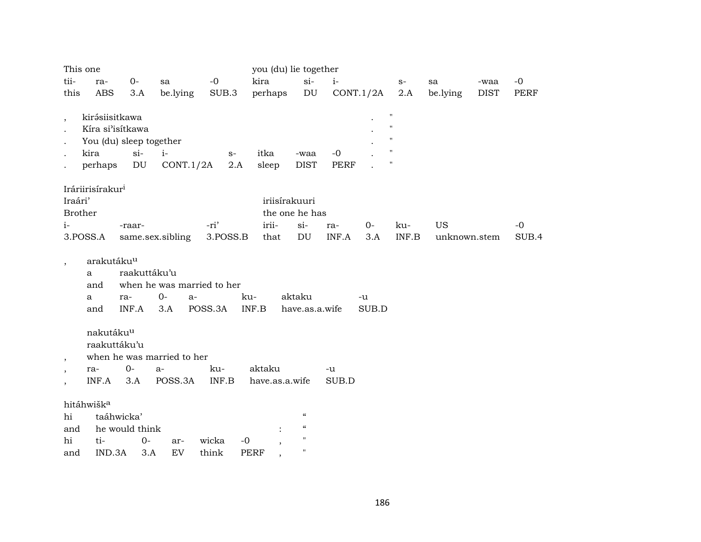|                          | This one                     |                         |                            |          | you (du) lie together |                                        |             |           |                    |              |             |       |
|--------------------------|------------------------------|-------------------------|----------------------------|----------|-----------------------|----------------------------------------|-------------|-----------|--------------------|--------------|-------------|-------|
| tii-                     | ra-                          | $0-$                    | sa                         | $-0$     | kira                  | $si-$                                  | $i-$        |           | $S-$               | sa           | -waa        | $-0$  |
| this                     | <b>ABS</b>                   | 3.A                     | be.lying                   | SUB.3    | perhaps               | $\mathop{\rm DU}\nolimits$             |             | CONT.1/2A | 2.A                | be.lying     | <b>DIST</b> | PERF  |
|                          |                              |                         |                            |          |                       |                                        |             |           |                    |              |             |       |
| $\overline{\phantom{a}}$ | kirásiisitkawa               |                         |                            |          |                       |                                        |             |           | $\pmb{\mathsf{H}}$ |              |             |       |
|                          | Kíra si'isítkawa             |                         |                            |          |                       |                                        |             |           | $\pmb{\mathsf{H}}$ |              |             |       |
|                          |                              | You (du) sleep together |                            |          |                       |                                        |             |           | $\pmb{\mathsf{H}}$ |              |             |       |
|                          | kira                         | $si$ -                  | $i-$                       | $S-$     | itka                  | -waa                                   | $-0$        |           | $\pmb{\mathsf{H}}$ |              |             |       |
|                          | perhaps                      | DU                      | CONT.1/2A                  | 2.A      | sleep                 | <b>DIST</b>                            | <b>PERF</b> |           | $\pmb{\mathsf{H}}$ |              |             |       |
|                          |                              |                         |                            |          |                       |                                        |             |           |                    |              |             |       |
| Iraári'                  | Iráriirisírakur <sup>i</sup> |                         |                            |          |                       | iriisírakuuri                          |             |           |                    |              |             |       |
| <b>Brother</b>           |                              |                         |                            |          |                       | the one he has                         |             |           |                    |              |             |       |
| $i-$                     |                              | -raar-                  |                            | -ri'     | irii-                 | $si-$                                  | ra-         | $O-$      | ku-                | US           |             | $-0$  |
|                          | 3.POSS.A                     |                         | same.sex.sibling           | 3.POSS.B | that                  | DU                                     | INF.A       | 3.A       | INF.B              | unknown.stem |             | SUB.4 |
|                          |                              |                         |                            |          |                       |                                        |             |           |                    |              |             |       |
| $\overline{\phantom{a}}$ | arakutáku <sup>u</sup>       |                         |                            |          |                       |                                        |             |           |                    |              |             |       |
|                          | a                            | raakuttáku'u            |                            |          |                       |                                        |             |           |                    |              |             |       |
|                          | and                          |                         | when he was married to her |          |                       |                                        |             |           |                    |              |             |       |
|                          | a                            | ra-                     | $0-$<br>a-                 |          | ku-                   | aktaku                                 |             | -u        |                    |              |             |       |
|                          | and                          | INF.A                   | 3.A                        | POSS.3A  | INF.B                 | have.as.a.wife                         |             | SUB.D     |                    |              |             |       |
|                          |                              |                         |                            |          |                       |                                        |             |           |                    |              |             |       |
|                          | nakutáku <sup>u</sup>        |                         |                            |          |                       |                                        |             |           |                    |              |             |       |
|                          | raakuttáku'u                 |                         |                            |          |                       |                                        |             |           |                    |              |             |       |
| $\cdot$                  |                              |                         | when he was married to her |          |                       |                                        |             |           |                    |              |             |       |
|                          | ra-                          | $0-$                    | a-                         | ku-      | aktaku                |                                        | -u          |           |                    |              |             |       |
|                          | INF.A                        | 3.A                     | POSS.3A                    | INF.B    | have.as.a.wife        |                                        | SUB.D       |           |                    |              |             |       |
|                          | hitáhwišk <sup>a</sup>       |                         |                            |          |                       |                                        |             |           |                    |              |             |       |
| hi                       |                              | taáhwicka'              |                            |          |                       | $\boldsymbol{\zeta}\boldsymbol{\zeta}$ |             |           |                    |              |             |       |
| and                      |                              | he would think          |                            |          |                       | $\boldsymbol{\zeta}\boldsymbol{\zeta}$ |             |           |                    |              |             |       |
| hi                       | ti-                          | $0-$                    | ar-                        | wicka    | $-0$                  | "                                      |             |           |                    |              |             |       |
| and                      | IND.3A                       | 3.A                     | ${\rm EV}$                 | think    | <b>PERF</b>           | $\pmb{\mathsf{H}}$                     |             |           |                    |              |             |       |
|                          |                              |                         |                            |          |                       |                                        |             |           |                    |              |             |       |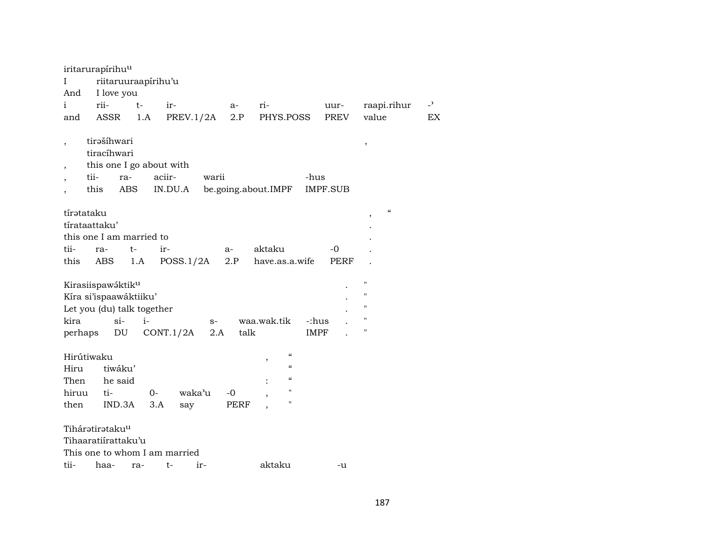| iritarurapírihu <sup>u</sup><br>$\mathbf I$<br>And                                           | riitaruuraapirihu'u<br>I love you                                    |             |                                     |             |                   |                                                                                                       |                      |            |                                                                                                            |                |
|----------------------------------------------------------------------------------------------|----------------------------------------------------------------------|-------------|-------------------------------------|-------------|-------------------|-------------------------------------------------------------------------------------------------------|----------------------|------------|------------------------------------------------------------------------------------------------------------|----------------|
| i                                                                                            | rii-                                                                 | $t-$        | ir-                                 |             | a-                | ri-                                                                                                   |                      | uur-       | raapi.rihur                                                                                                | $\overline{a}$ |
| and                                                                                          | ASSR                                                                 | 1.A         | PREV.1/2A                           |             | 2.P               | PHYS.POSS                                                                                             |                      | PREV       | value                                                                                                      | EX             |
| $\overline{\phantom{a}}$<br>tii-<br>this                                                     | tirašíhwari<br>tiracíhwari<br>this one I go about with<br>ra-<br>ABS |             | aciir-<br>IN.DU.A                   | warii       |                   | be.going.about.IMPF                                                                                   | -hus                 | IMPF.SUB   | $^\mathrm{,}$                                                                                              |                |
| tírətataku<br>tírataattaku'<br>this one I am married to<br>tii-<br>this                      | ra-<br><b>ABS</b>                                                    | $t-$<br>1.A | ir-<br>POSS.1/2A                    |             | $a-$<br>2.P       | aktaku<br>have.as.a.wife                                                                              |                      | -0<br>PERF | $\epsilon\epsilon$<br>$\overline{\phantom{a}}$                                                             |                |
| Kirasiispawáktiku<br>Kíra si'ispaawáktiiku'<br>Let you (du) talk together<br>kira<br>perhaps | $si-$<br>DU                                                          | $i-$        | CONT.1/2A                           | $S-$<br>2.A | talk              | waa.wak.tik                                                                                           | -:hus<br><b>IMPF</b> |            | $\pmb{\mathsf{H}}$<br>$\pmb{\mathsf{H}}$<br>$\pmb{\mathsf{H}}$<br>$\pmb{\mathsf{H}}$<br>$\pmb{\mathsf{H}}$ |                |
| Hirútiwaku<br>Hiru<br>Then<br>hiruu<br>then                                                  | tiwáku'<br>he said<br>ti-<br>IND.3A                                  | $0-$<br>3.A | waka'u<br>say                       |             | -0<br><b>PERF</b> | $\pmb{\zeta}\pmb{\zeta}$<br>$\epsilon\epsilon$<br>$\mathcal{C}$<br>$\mathbf{H}$<br>$\pmb{\mathsf{H}}$ |                      |            |                                                                                                            |                |
| Tiháratirataku <sup>u</sup><br>Tihaaratiírattaku'u<br>tii-                                   | haa-                                                                 | ra-         | This one to whom I am married<br>t- | ir-         |                   | aktaku                                                                                                |                      | -u         |                                                                                                            |                |
|                                                                                              |                                                                      |             |                                     |             |                   |                                                                                                       |                      |            |                                                                                                            |                |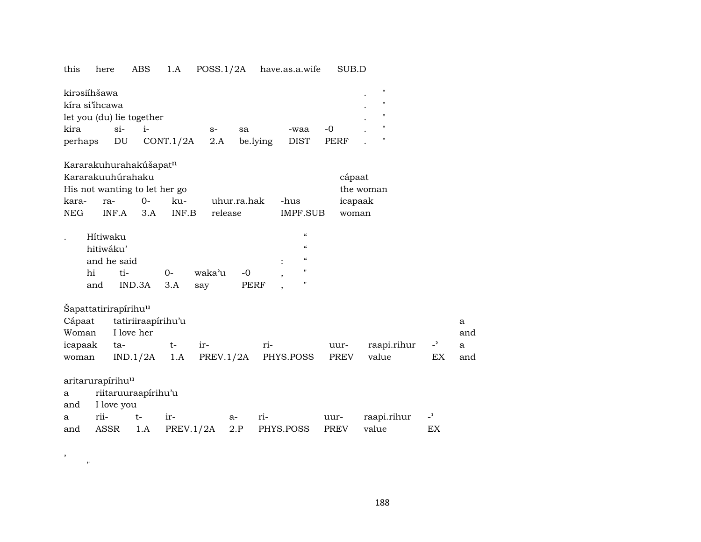## this here ABS 1.A POSS.1/2A have.as.a.wife SUB.D

| kirəsiíhšawa              |       |                 |      |          |      |             | $\bullet$ |  |
|---------------------------|-------|-----------------|------|----------|------|-------------|-----------|--|
| kíra si'ihcawa            |       |                 |      |          |      |             |           |  |
| let you (du) lie together |       |                 |      |          |      |             |           |  |
| kira                      | $S1-$ |                 | $S-$ | sa       | -waa | $-()$       |           |  |
| perhaps                   | DU    | $CONT.1/2A$ 2.A |      | be.lying | DIST | <b>PERF</b> |           |  |

|         |           | Kararakuhurahakúšapatn           |      |       |             |      |     |           |                                        |             |             |                |
|---------|-----------|----------------------------------|------|-------|-------------|------|-----|-----------|----------------------------------------|-------------|-------------|----------------|
|         |           | Kararakuuhúrahaku                |      |       |             |      |     |           |                                        | cápaat      |             |                |
|         |           | His not wanting to let her go    |      |       |             |      |     |           |                                        | the woman   |             |                |
| kara-   | ra-       |                                  | $0-$ | ku-   | uhur.ra.hak |      |     | -hus      |                                        | icapaak     |             |                |
| NEG     |           | INF.A                            | 3.A  | INF.B | release     |      |     |           | IMPF.SUB                               | woman       |             |                |
| $\cdot$ | Hítiwaku  |                                  |      |       |             |      |     |           | $\boldsymbol{\zeta}\boldsymbol{\zeta}$ |             |             |                |
|         | hitiwáku' |                                  |      |       |             |      |     |           | $\epsilon$                             |             |             |                |
|         |           | and he said                      |      |       |             |      |     |           | $\boldsymbol{\zeta}\boldsymbol{\zeta}$ |             |             |                |
|         | hi        | ti-                              |      | $0-$  | waka'u      | $-0$ |     | $\cdot$   | $^{\prime\prime}$                      |             |             |                |
|         | and       | IND.3A                           |      | 3.A   | say         | PERF |     |           | $^{\prime\prime}$                      |             |             |                |
|         |           | Sapattatirirapírihu <sup>u</sup> |      |       |             |      |     |           |                                        |             |             |                |
| Cápaat  |           | tatiriiraapirihu'u               |      |       |             |      |     |           |                                        |             |             |                |
| Woman   |           | I love her                       |      |       |             |      |     |           |                                        |             |             |                |
| icapaak |           | ta-                              |      | $t-$  | ir-         |      | ri- |           |                                        | uur-        | raapi.rihur | $\overline{ }$ |
| woman   |           | IND.1/2A                         |      | 1.A   | PREV.1/2A   |      |     | PHYS.POSS |                                        | <b>PREV</b> | value       | EX             |
|         |           | aritarurapírihu <sup>u</sup>     |      |       |             |      |     |           |                                        |             |             |                |

|                | a riitaruuraapírihu'u |  |  |                                                 |  |  |     |  |  |  |  |
|----------------|-----------------------|--|--|-------------------------------------------------|--|--|-----|--|--|--|--|
| and I love you |                       |  |  |                                                 |  |  |     |  |  |  |  |
|                |                       |  |  | a rii- t- ir- a- ri- uur- raapi.rihur -'        |  |  |     |  |  |  |  |
|                |                       |  |  | and ASSR 1.A PREV.1/2A 2.P PHYS.POSS PREV value |  |  | EX. |  |  |  |  |

 $\begin{pmatrix} 1 \\ 0 \end{pmatrix}$ 

 $\mathbf{a}$ and  $\mathbf{a}$ and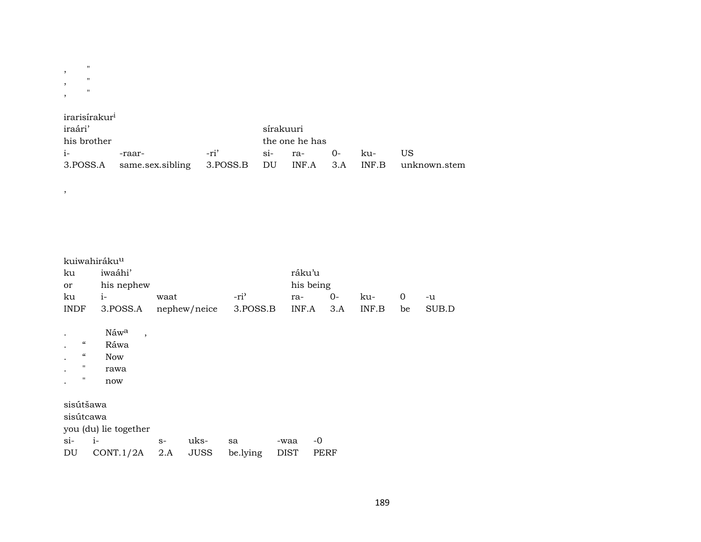| , | $^{\prime}$ |  |
|---|-------------|--|
| , | $^{\prime}$ |  |
| , | $^{\prime}$ |  |

|  |  | irarisirakur <sup>i</sup> |
|--|--|---------------------------|

| iraári'     |                                                                      |        | sírakuuri      |            |  |      |    |  |  |
|-------------|----------------------------------------------------------------------|--------|----------------|------------|--|------|----|--|--|
| his brother |                                                                      |        | the one he has |            |  |      |    |  |  |
| $i-$        | -raar-                                                               | $-ri'$ |                | si- ra- O- |  | k11- | US |  |  |
|             | 3. POSS.A same.sex.sibling 3. POSS.B DU INF.A 3.A INF.B unknown.stem |        |                |            |  |      |    |  |  |

kuiwahiráku<sup>u</sup>

 $\overline{\phantom{a}}$ 

| ku                                                            | iwaáhi'                                                        |             |                     |                |                     | ráku'u |      |       |    |       |
|---------------------------------------------------------------|----------------------------------------------------------------|-------------|---------------------|----------------|---------------------|--------|------|-------|----|-------|
| or                                                            | his nephew                                                     | his being   |                     |                |                     |        |      |       |    |       |
| ku                                                            | $i-$                                                           | waat        |                     | $-ri3$         | ra-                 |        | $0-$ | ku-   | 0  | -u    |
| <b>INDF</b>                                                   | 3.POSS.A                                                       |             | nephew/neice        | 3.POSS.B       |                     | INF.A  | 3.A  | INF.B | be | SUB.D |
| "<br>$\epsilon\epsilon$<br>$\pmb{\mathsf{H}}$<br>$\mathbf{H}$ | Náwa<br>$\overline{\phantom{a}}$<br>Ráwa<br>Now<br>rawa<br>now |             |                     |                |                     |        |      |       |    |       |
| sisútšawa<br>sisútcawa<br>$i-$<br>$\sin$<br>DU                | you (du) lie together<br>CONT.1/2A                             | $S-$<br>2.A | uks-<br><b>JUSS</b> | sa<br>be.lying | -waa<br><b>DIST</b> | -0     | PERF |       |    |       |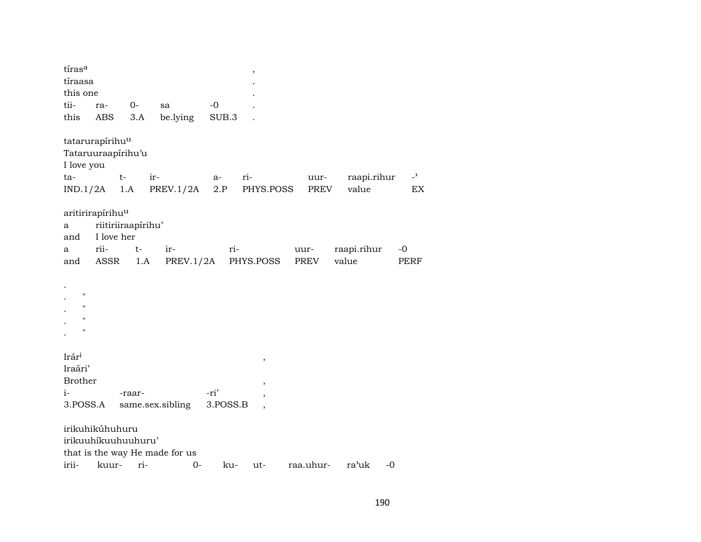| tíras <sup>a</sup><br>tíraasa<br>this one<br>tii-<br>this     | ra-<br>ABS                                                                       | 0-<br>3.A   | sa<br>be.lying                          | $-0$<br>SUB.3    | ,                                            |              |                      |                                |
|---------------------------------------------------------------|----------------------------------------------------------------------------------|-------------|-----------------------------------------|------------------|----------------------------------------------|--------------|----------------------|--------------------------------|
| I love you<br>ta-<br>IND.1/2A                                 | tatarurapírihu <sup>u</sup><br>Tataruuraapírihu'u<br>t-                          | 1.A         | ir-<br>PREV.1/2A                        | $a-$<br>2.P      | ri-<br>PHYS.POSS                             | uur-<br>PREV | raapi.rihur<br>value | $\overline{\phantom{0}}$<br>EX |
| а<br>and<br>a<br>and                                          | aritirirapírihu <sup>u</sup><br>riitiriiraapirihu'<br>I love her<br>rii-<br>ASSR | $t-$<br>1.A | ir-<br>PREV.1/2A                        | ri-              | PHYS.POSS                                    | uur-<br>PREV | raapi.rihur<br>value | $-0$<br>PERF                   |
| "<br>$\mathbf{H}$<br>$\pmb{\mathsf{H}}$<br>$\pmb{\mathsf{H}}$ |                                                                                  |             |                                         |                  |                                              |              |                      |                                |
| Irári<br>Iraári'<br><b>Brother</b><br>i-<br>3.POSS.A          |                                                                                  | -raar-      | same.sex.sibling                        | -ri'<br>3.POSS.B | $\, ,$<br>,<br>,<br>$\overline{\phantom{a}}$ |              |                      |                                |
| irii-                                                         | irikuhikúhuhuru<br>irikuuhikuuhuuhuru'<br>kuur-                                  | ri-         | that is the way He made for us<br>$O -$ | ku-              | ut-                                          | raa.uhur-    | ra'uk                | $-0$                           |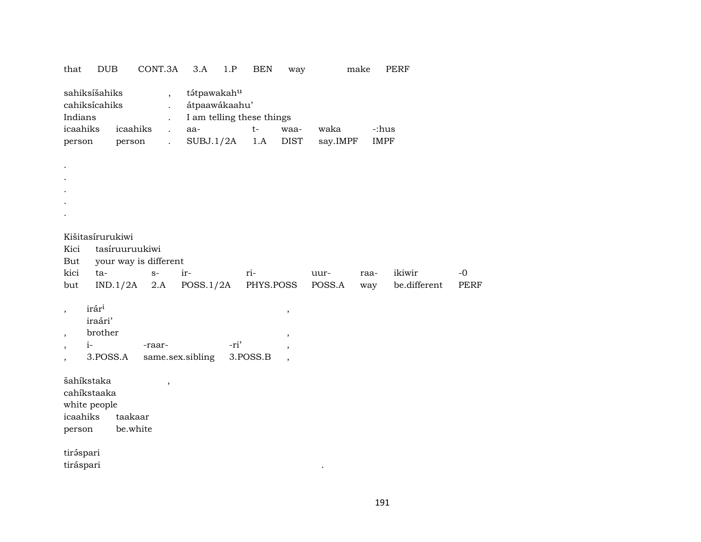| that                                                                                                         | <b>DUB</b>                                                                                                                                                                                                                                                                                                                                                   |                     | CONT.3A | 3.A              | 1.P  | <b>BEN</b> | way                                                            |           | make | <b>PERF</b>  |             |  |  |  |
|--------------------------------------------------------------------------------------------------------------|--------------------------------------------------------------------------------------------------------------------------------------------------------------------------------------------------------------------------------------------------------------------------------------------------------------------------------------------------------------|---------------------|---------|------------------|------|------------|----------------------------------------------------------------|-----------|------|--------------|-------------|--|--|--|
|                                                                                                              | sahiksíšahiks<br>tátpawakahu<br>$\overline{\phantom{a}}$<br>cahiksícahiks<br>átpaawákaahu'<br>I am telling these things<br>Indians<br>$\ddot{\phantom{0}}$<br>icaahiks<br>icaahiks<br>$t-$<br>waka<br>-:hus<br>aa-<br>waa-<br>$\ddot{\phantom{a}}$<br>SUBJ.1/2A<br><b>DIST</b><br><b>IMPF</b><br>1.A<br>say.IMPF<br>person<br>person<br>$\ddot{\phantom{a}}$ |                     |         |                  |      |            |                                                                |           |      |              |             |  |  |  |
|                                                                                                              |                                                                                                                                                                                                                                                                                                                                                              |                     |         |                  |      |            |                                                                |           |      |              |             |  |  |  |
|                                                                                                              |                                                                                                                                                                                                                                                                                                                                                              |                     |         |                  |      |            |                                                                |           |      |              |             |  |  |  |
| Kici<br>But                                                                                                  | Kišitasírurukiwi<br>tasíruuruukiwi<br>your way is different<br>kici<br>ikiwir<br>ta-<br>ir-<br>ri-<br>$-0$<br>$S-$<br>uur-<br>raa-                                                                                                                                                                                                                           |                     |         |                  |      |            |                                                                |           |      |              |             |  |  |  |
| but                                                                                                          |                                                                                                                                                                                                                                                                                                                                                              | IND.1/2A            | $2.A$   | POSS.1/2A        |      | PHYS.POSS  |                                                                | POSS.A    | way  | be.different | <b>PERF</b> |  |  |  |
| $\overline{\phantom{a}}$<br>$\overline{\phantom{a}}$<br>$\overline{\phantom{a}}$<br>$\overline{\phantom{a}}$ | irári<br>iraári'<br>brother<br>$i-$<br>3.POSS.A                                                                                                                                                                                                                                                                                                              |                     | -raar-  | same.sex.sibling | -ri' | 3.POSS.B   | $\, ,$<br>$\overline{\phantom{a}}$<br>$\overline{\phantom{a}}$ |           |      |              |             |  |  |  |
| icaahiks<br>person                                                                                           | šahíkstaka<br>cahíkstaaka<br>white people                                                                                                                                                                                                                                                                                                                    | taakaar<br>be.white | $\, ,$  |                  |      |            |                                                                |           |      |              |             |  |  |  |
| tiráspari<br>tiráspari                                                                                       |                                                                                                                                                                                                                                                                                                                                                              |                     |         |                  |      |            |                                                                | $\bullet$ |      |              |             |  |  |  |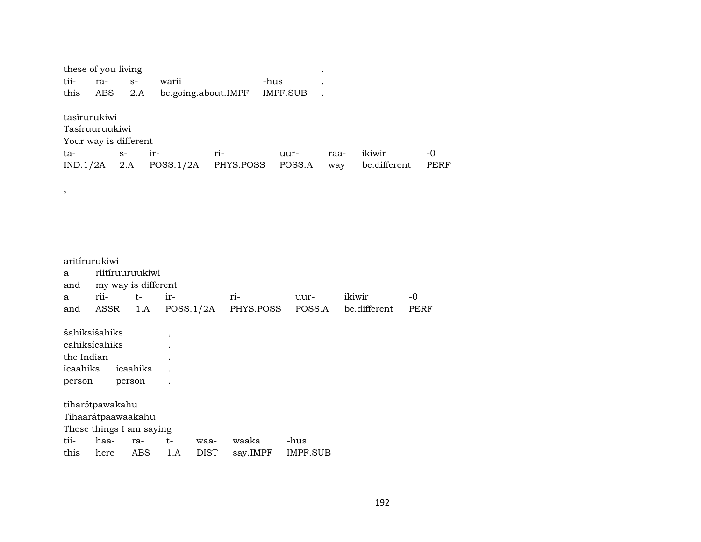| tii-<br>this                     | these of you living<br>ra-<br><b>ABS</b>                          | $S-$               | 2.A                                                   | warii<br>be.going.about.IMPF |                     |                   | -hus | IMPF.SUB                |             |        |                        |                     |                     |
|----------------------------------|-------------------------------------------------------------------|--------------------|-------------------------------------------------------|------------------------------|---------------------|-------------------|------|-------------------------|-------------|--------|------------------------|---------------------|---------------------|
| ta-<br>IND.1/2A                  | tasírurukiwi<br>Tasíruuruukiwi<br>Your way is different           | $S-$<br>2.A        | ir-                                                   | POSS.1/2A                    | ri-                 | PHYS.POSS         |      | uur-<br>POSS.A          | raa-<br>way |        | ikiwir<br>be.different |                     | $-0$<br><b>PERF</b> |
| $\,$                             |                                                                   |                    |                                                       |                              |                     |                   |      |                         |             |        |                        |                     |                     |
| a<br>and<br>a<br>and             | aritírurukiwi<br>rii-<br>ASSR                                     |                    | riitíruuruukiwi<br>my way is different<br>$t-$<br>1.A | ir-<br>POSS.1/2A             |                     | ri-<br>PHYS.POSS  |      | uur-<br>POSS.A          |             | ikiwir | be.different           | $-0$<br><b>PERF</b> |                     |
| the Indian<br>icaahiks<br>person | šahiksíšahiks<br>cahiksícahiks                                    | icaahiks<br>person |                                                       | $\overline{\phantom{a}}$     |                     |                   |      |                         |             |        |                        |                     |                     |
|                                  | tiharátpawakahu<br>Tihaarátpaawaakahu<br>These things I am saying |                    |                                                       |                              |                     |                   |      |                         |             |        |                        |                     |                     |
| tii-<br>this                     | haa-<br>here                                                      |                    | ra-<br><b>ABS</b>                                     | $t-$<br>1.A                  | waa-<br><b>DIST</b> | waaka<br>say.IMPF |      | -hus<br><b>IMPF.SUB</b> |             |        |                        |                     |                     |

192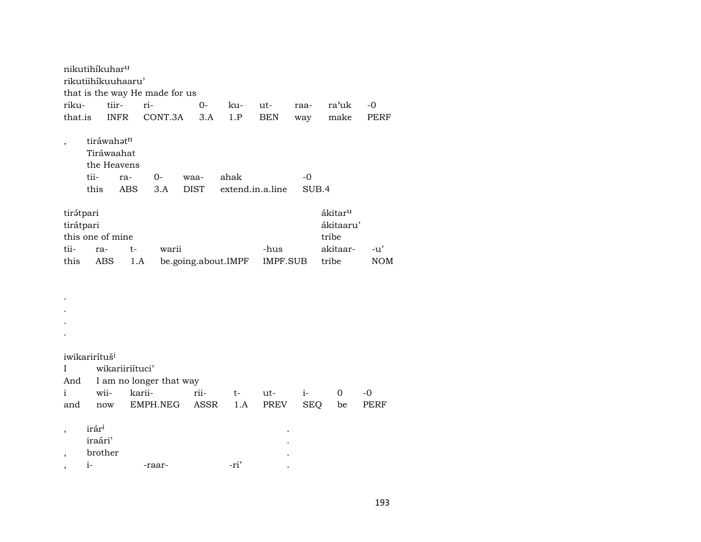nikutihíkuhar<sup>u</sup> rikutiihíkuuhaaru' that is the way He made for us rikutiir $ri 0$ ra'uk  $-0$ kuutraa-INFR CONT.3A  $3.A$ **BEN** make PERF that.is  $1.P$ way tiráwahətn  $\overline{\phantom{a}}$ Tiráwaahat the Heavens tiiahak  $-0$ ra- $O$ waathis **ABS**  $3.A$ **DIST** extend.in.a.line SUB.4 tirətpari  $\hat{\text{a}}\text{kitar}^{\text{u}}$ ákitaaru' tirátpari this one of mine tribe akitaar- $-u'$ tiira $t$ warii -hus this be.going.about.IMPF **IMPF.SUB** tribe  $NOM$ ABS  $1.A$  $\cdot$  $\cdot$  $\cdot$  $\bullet$ iwikarirítuš<sup>i</sup> wikariiriítuci'  $\mathbf{I}$ And I am no longer that way kariirii $i \mathbf{i}$ wii- $\mathbf 0$  $-0$  $t$ ut-

| and | now               | EMPH.NEG ASSR 1.A PREV |        |   | <b>SEO</b> | be |
|-----|-------------------|------------------------|--------|---|------------|----|
|     | irár <sup>i</sup> |                        |        | ٠ |            |    |
|     | iraári'           |                        |        | ٠ |            |    |
|     | brother           |                        |        | ٠ |            |    |
|     | 1 –               | -raar-                 | $-ri'$ |   |            |    |

PERF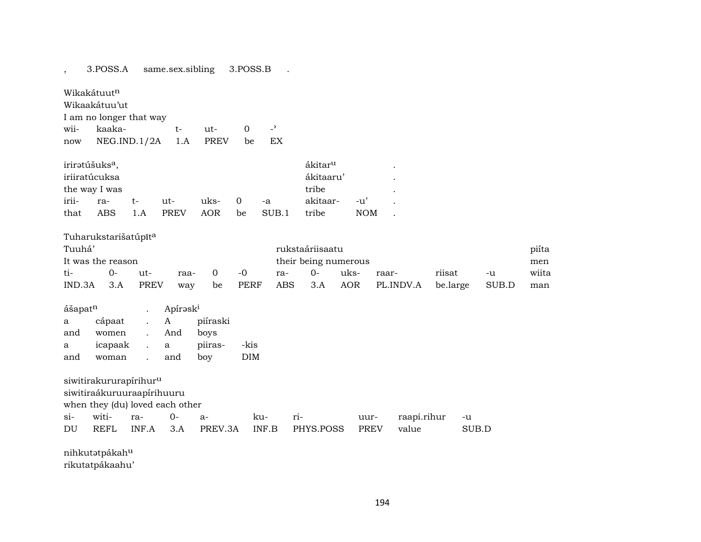same.sex.sibling 3.POSS.A 3.POSS.B  $\mathbb{R}^2$  $\overline{\phantom{a}}$ 

Wikakátuutn

Wikaakátuu'ut

I am no longer that way  $\overline{\phantom{a}}$ kaakawii $t$  $ut \overline{0}$ NEG.IND.1/2A 1.A PREV EX be now

| irirətúšuks <sup>a</sup> , |      |     |             | ákitar <sup>u</sup> |    |       |           |        |                          |
|----------------------------|------|-----|-------------|---------------------|----|-------|-----------|--------|--------------------------|
| iriiratúcuksa              |      |     |             |                     |    |       | ákitaaru' |        |                          |
| the way I was              |      |     |             |                     |    |       | tribe     |        | $\overline{\phantom{a}}$ |
| irii-                      | ra-  | t – | $11t -$     | uks-                |    | $-a$  | akitaar-  | $-11'$ |                          |
| that                       | ABS. | 1.A | <b>PREV</b> | AOR.                | be | SUB.1 | tribe     | NOM.   |                          |

| Tuharukstarišatúpīt <sup>a</sup> |      |      |      |                      |      |     |                 |      |                       |          |       |       |
|----------------------------------|------|------|------|----------------------|------|-----|-----------------|------|-----------------------|----------|-------|-------|
| Tuuhá'                           |      |      |      |                      |      |     | rukstaáriisaatu |      |                       |          |       | piíta |
| It was the reason                |      |      |      | their being numerous |      |     |                 |      |                       |          |       |       |
| ti-                              | $0-$ | ut-  | raa- | . O                  | $-0$ | ra- | $O -$           | uks- | raar-                 | riisat   | -u    | wiita |
| IND.3A                           | 3.A  | PREV | way  | be                   | PERF |     |                 |      | ABS 3.A AOR PL.INDV.A | be.large | SUB.D | man   |

| ášapat <sup>n</sup> |         | Apiraski |          |      |  |  |
|---------------------|---------|----------|----------|------|--|--|
| a                   | cápaat  | А        | piíraski |      |  |  |
| and                 | women   | And      | boys     |      |  |  |
| a                   | icapaak | a        | piiras-  | -kis |  |  |
| and                 | woman   | and      | bov      | DIM  |  |  |

siwitirakururapírihur<sup>u</sup>

siwitiraákuruuraapírihuuru

when they (du) loved each other

| $Si-$ | witi- |  |  |                                        | uur- | raapi.rihur | -u |
|-------|-------|--|--|----------------------------------------|------|-------------|----|
| DU    | REFL  |  |  | INF.A 3.A PREV.3A INF.B PHYS.POSS PREV |      | value       |    |

nihkutətpákah $\rm ^u$ rikutatpákaahu'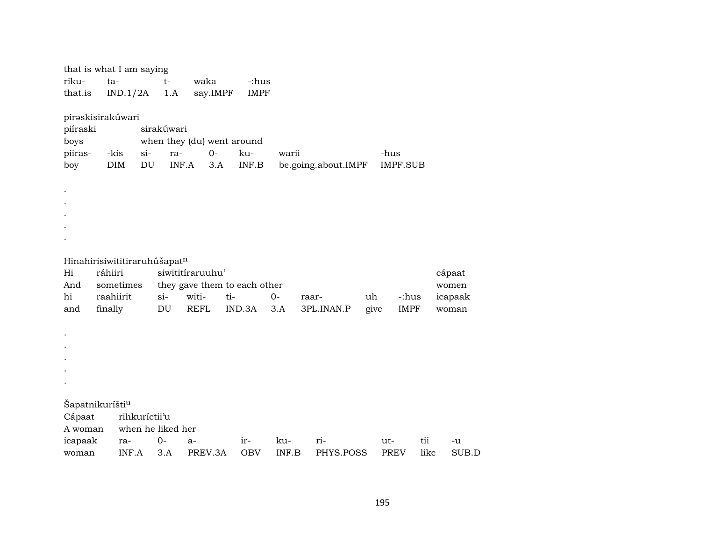| that is what I am saying<br>riku-<br>that.is                         | ta-<br>IND.1/2A                              |                                     | $t-$<br>1.A                      | waka<br>say.IMPF                         | -:hus<br><b>IMPF</b>                          |                           |                     |            |                      |                                     |
|----------------------------------------------------------------------|----------------------------------------------|-------------------------------------|----------------------------------|------------------------------------------|-----------------------------------------------|---------------------------|---------------------|------------|----------------------|-------------------------------------|
| pirəskisirakúwari<br>piíraski<br>boys<br>piiras-<br>boy              | -kis<br><b>DIM</b>                           | $si-$<br>$\mathop{\rm DU}\nolimits$ | sirakúwari<br>ra-<br>INF.A       | $0-$<br>3.A                              | when they (du) went around<br>ku-<br>INF.B    | warii                     | be.going.about.IMPF | -hus       | IMPF.SUB             |                                     |
|                                                                      |                                              |                                     |                                  |                                          |                                               |                           |                     |            |                      |                                     |
| Hinahirisiwititiraruhúšapatn<br>Hi<br>And<br>hi<br>and               | ráhiiri<br>sometimes<br>raahiirit<br>finally |                                     | $si-$<br>DU                      | siwititiraruuhu'<br>witi-<br><b>REFL</b> | they gave them to each other<br>ti-<br>IND.3A | $O -$<br>3.A              | raar-<br>3PL.INAN.P | uh<br>give | -:hus<br><b>IMPF</b> | cápaat<br>women<br>icapaak<br>woman |
|                                                                      |                                              |                                     |                                  |                                          |                                               |                           |                     |            |                      |                                     |
| Šapatnikuríšti <sup>u</sup><br>Cápaat<br>A woman<br>icapaak<br>woman | ra-<br>INF.A                                 | rihkuríctii'u                       | when he liked her<br>$0-$<br>3.A | $a-$<br>PREV.3A                          | ir-<br><b>OBV</b>                             | ku-<br>$\textsf{INF.B}{}$ | ri-<br>PHYS.POSS    | ut-        | tii<br><b>PREV</b>   | -u<br>like<br>SUB.D                 |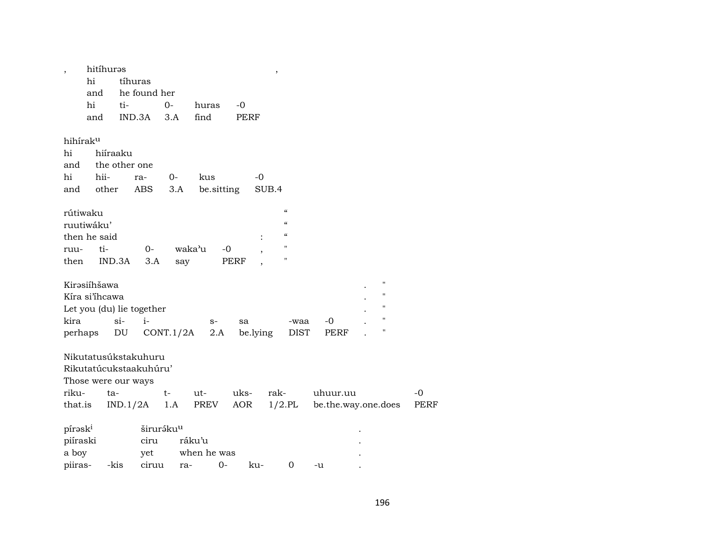| $\overline{\phantom{a}}$ | hitíhuras           |               |                           |                       |             |      | $\, ,$         |                    |          |                     |             |
|--------------------------|---------------------|---------------|---------------------------|-----------------------|-------------|------|----------------|--------------------|----------|---------------------|-------------|
|                          | hi                  |               | tíhuras                   |                       |             |      |                |                    |          |                     |             |
|                          | and                 |               | he found her              |                       |             |      |                |                    |          |                     |             |
|                          | hi                  | ti-           |                           | $0-$                  | huras       | $-0$ |                |                    |          |                     |             |
|                          | and                 |               | IND.3A                    | 3.A                   | find        | PERF |                |                    |          |                     |             |
|                          |                     |               |                           |                       |             |      |                |                    |          |                     |             |
| hihíraku                 |                     |               |                           |                       |             |      |                |                    |          |                     |             |
| hi                       |                     | hiíraaku      |                           |                       |             |      |                |                    |          |                     |             |
| and                      |                     | the other one |                           |                       |             |      |                |                    |          |                     |             |
| hi                       | hii-                |               | ra-                       | $0-$                  | kus         |      | $-0$           |                    |          |                     |             |
| and                      | other               |               | ABS                       | 3.A                   | be sitting  |      | SUB.4          |                    |          |                     |             |
|                          |                     |               |                           |                       |             |      |                |                    |          |                     |             |
| rútiwaku                 |                     |               |                           |                       |             |      |                | $\epsilon$         |          |                     |             |
|                          | ruutiwáku'          |               |                           |                       |             |      |                | $\epsilon\epsilon$ |          |                     |             |
|                          | then he said        |               |                           |                       |             |      | $\ddot{\cdot}$ | $\epsilon\epsilon$ |          |                     |             |
| ruu-                     | ti-                 |               | $0-$                      |                       | waka'u      | -0   |                | $\pmb{\mathsf{H}}$ |          |                     |             |
| then                     |                     | IND.3A        | 3.A                       | say                   |             | PERF |                | н                  |          |                     |             |
|                          |                     |               |                           |                       |             |      |                |                    |          |                     |             |
|                          | Kirəsiíhšawa        |               |                           |                       |             |      |                |                    |          | $\pmb{\mathsf{H}}$  |             |
|                          | Kíra si'ihcawa      |               |                           |                       |             |      |                |                    |          | 11                  |             |
|                          |                     |               | Let you (du) lie together |                       |             |      |                |                    |          | $\pmb{\mathsf{H}}$  |             |
| kira                     |                     | $\sin$        | $i-$                      |                       | $S-$        | sa   |                | -waa               | -0       | $\pmb{\mathsf{H}}$  |             |
| perhaps                  |                     | DU            |                           | CONT.1/2A             | 2.A         |      | be.lying       | <b>DIST</b>        | PERF     | п                   |             |
|                          |                     |               |                           |                       |             |      |                |                    |          |                     |             |
|                          |                     |               | Nikutatusúkstakuhuru      |                       |             |      |                |                    |          |                     |             |
|                          |                     |               | Rikutatúcukstaakuhúru'    |                       |             |      |                |                    |          |                     |             |
|                          | Those were our ways |               |                           |                       |             |      |                |                    |          |                     |             |
| riku-                    |                     | ta-           |                           | $t-$                  | ut-         | uks- | rak-           |                    | uhuur.uu |                     | $-0$        |
| that.is                  |                     |               | IND.1/2A                  | 1.A                   | PREV        | AOR  |                | $1/2$ .PL          |          | be.the.way.one.does | <b>PERF</b> |
|                          |                     |               |                           |                       |             |      |                |                    |          |                     |             |
| pírask <sup>i</sup>      |                     |               |                           | širuráku <sup>u</sup> |             |      |                |                    |          |                     |             |
| piíraski                 |                     |               | ciru                      |                       | ráku'u      |      |                |                    |          |                     |             |
| a boy                    |                     |               | yet                       |                       | when he was |      |                |                    |          |                     |             |
| piiras-                  |                     | -kis          | ciruu                     | ra-                   | $0-$        |      | ku-            | $\mathbf 0$        | -u       |                     |             |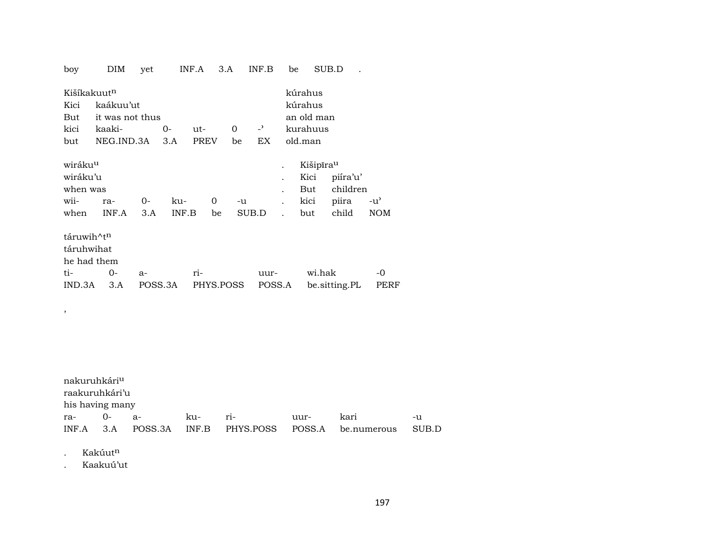| boy                      | DIM             | yet     |       | INF.A       | 3.A       |       | INF.B          | be                   |                       | SUB.D         |      |
|--------------------------|-----------------|---------|-------|-------------|-----------|-------|----------------|----------------------|-----------------------|---------------|------|
| Kišíkakuut <sup>n</sup>  |                 |         |       |             |           |       |                |                      | kúrahus               |               |      |
| Kici                     | kaákuu'ut       |         |       |             |           |       |                |                      | kúrahus               |               |      |
| But                      | it was not thus |         |       |             |           |       |                |                      | an old man            |               |      |
| kici                     | kaaki-          |         | $0-$  | ut-         | 0         |       | $\overline{a}$ |                      | kurahuus              |               |      |
| but                      | NEG.IND.3A      |         | 3.A   | <b>PREV</b> | be        |       | EX             |                      | old.man               |               |      |
|                          |                 |         |       |             |           |       |                |                      |                       |               |      |
| wiráku <sup>u</sup>      |                 |         |       |             |           |       |                |                      | Kišipīra <sup>u</sup> |               |      |
| wiráku'u                 |                 |         |       |             |           |       |                |                      | Kici                  | piíra'u'      |      |
| when was                 |                 |         |       |             |           |       |                |                      | But                   | children      |      |
| wii-                     | ra-             | 0-      | ku-   |             | 0         | -u    |                | $\ddot{\phantom{a}}$ | kici                  | piira         | -น'  |
| when                     | INF.A           | 3.A     | INF.B |             | be        | SUB.D |                |                      | but                   | child         | NOM  |
|                          |                 |         |       |             |           |       |                |                      |                       |               |      |
| táruwih^tn               |                 |         |       |             |           |       |                |                      |                       |               |      |
| táruhwihat               |                 |         |       |             |           |       |                |                      |                       |               |      |
| he had them              |                 |         |       |             |           |       |                |                      |                       |               |      |
| ti-                      | $0 -$           | $a-$    |       | ri-         |           |       | uur-           |                      | wi.hak                |               | $-0$ |
| IND.3A                   | 3.A             | POSS.3A |       |             | PHYS.POSS |       | POSS.A         |                      |                       | be.sitting.PL | PERF |
|                          |                 |         |       |             |           |       |                |                      |                       |               |      |
|                          |                 |         |       |             |           |       |                |                      |                       |               |      |
| $\overline{\phantom{a}}$ |                 |         |       |             |           |       |                |                      |                       |               |      |

| nakuruhkári <sup>u</sup> |  |        |     |          |                                                      |       |
|--------------------------|--|--------|-----|----------|------------------------------------------------------|-------|
| raakuruhkári'u           |  |        |     |          |                                                      |       |
| his having many          |  |        |     |          |                                                      |       |
| ra- 0- a-                |  | $k11-$ | ri- | $1111r-$ | kari                                                 | -11   |
|                          |  |        |     |          | INF.A 3.A POSS.3A INF.B PHYS.POSS POSS.A be.numerous | SUB.D |

. Kakúut<sup>n</sup>

. Kaakuú'ut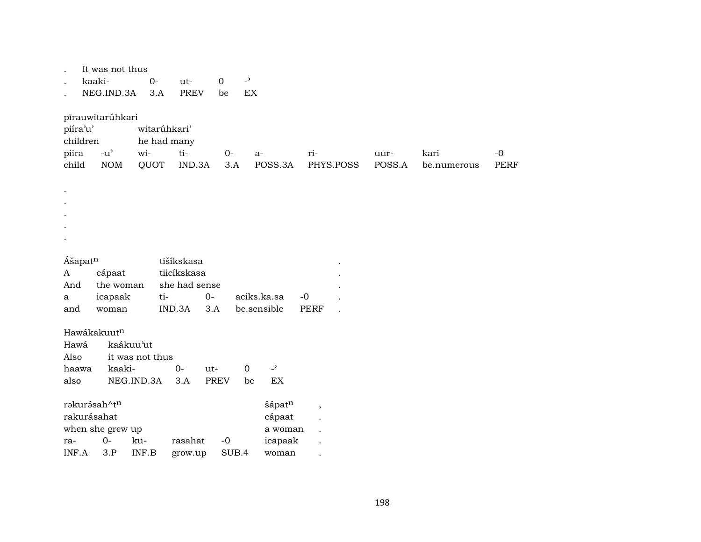|                     | It was not thus                     |                 |               |             |                                  |                          |        |             |             |
|---------------------|-------------------------------------|-----------------|---------------|-------------|----------------------------------|--------------------------|--------|-------------|-------------|
|                     | kaaki-                              | $O -$           | ut-           | $\mathbf 0$ | $\overline{\phantom{0}}$         |                          |        |             |             |
|                     | NEG.IND.3A                          | 3.A             | <b>PREV</b>   | be          | EX                               |                          |        |             |             |
|                     |                                     |                 |               |             |                                  |                          |        |             |             |
|                     | pīrauwitarúhkari                    |                 |               |             |                                  |                          |        |             |             |
| piíra'u'            |                                     | witarúhkari'    |               |             |                                  |                          |        |             |             |
| children            |                                     | he had many     |               |             |                                  |                          |        |             |             |
| piira               | $-u$ <sup><math>\prime</math></sup> | wi-             | ti-           | $O -$       | a-                               | ri-                      | uur-   | kari        | $-0$        |
| child               | $\rm{NOM}$                          | QUOT            | IND.3A        | 3.A         | POSS.3A                          | PHYS.POSS                | POSS.A | be.numerous | <b>PERF</b> |
|                     |                                     |                 |               |             |                                  |                          |        |             |             |
|                     |                                     |                 |               |             |                                  |                          |        |             |             |
|                     |                                     |                 |               |             |                                  |                          |        |             |             |
|                     |                                     |                 |               |             |                                  |                          |        |             |             |
|                     |                                     |                 |               |             |                                  |                          |        |             |             |
|                     |                                     |                 |               |             |                                  |                          |        |             |             |
|                     |                                     |                 |               |             |                                  |                          |        |             |             |
| Ášapat <sup>n</sup> |                                     |                 | tišíkskasa    |             |                                  |                          |        |             |             |
| A                   | cápaat                              |                 | tiicíkskasa   |             |                                  |                          |        |             |             |
| And                 | the woman                           |                 | she had sense |             |                                  |                          |        |             |             |
| a                   | icapaak                             | ti-             | $0-$          |             | aciks.ka.sa                      | $-0$                     |        |             |             |
| and                 | woman                               |                 | IND.3A        | 3.A         | be.sensible                      | <b>PERF</b>              |        |             |             |
|                     |                                     |                 |               |             |                                  |                          |        |             |             |
|                     | Hawákakuutn                         |                 |               |             |                                  |                          |        |             |             |
| Hawá                | kaákuu'ut                           |                 |               |             |                                  |                          |        |             |             |
| Also                |                                     | it was not thus |               |             |                                  |                          |        |             |             |
| haawa               | kaaki-                              |                 | $O -$<br>ut-  |             | $\overline{\phantom{a}}$<br>0    |                          |        |             |             |
| also                |                                     | NEG.IND.3A      | 3.A           | <b>PREV</b> | $\mathop{\rm EX}\nolimits$<br>be |                          |        |             |             |
|                     |                                     |                 |               |             |                                  |                          |        |             |             |
|                     | rakurásah^tn                        |                 |               |             | šápatn                           | $\overline{\phantom{a}}$ |        |             |             |
|                     | rakurásahat                         |                 |               |             | cápaat                           |                          |        |             |             |
|                     | when she grew up                    |                 |               |             | a woman                          |                          |        |             |             |
| ra-                 | $0-$                                | ku-             | rasahat       | $-0$        | icapaak                          |                          |        |             |             |
| INF.A               | 3.P                                 | INF.B           | grow.up       | SUB.4       | woman                            |                          |        |             |             |
|                     |                                     |                 |               |             |                                  |                          |        |             |             |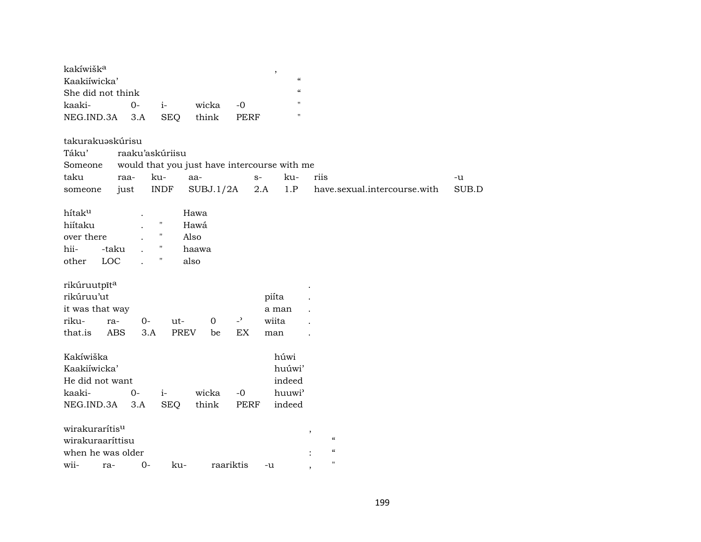| kakíwišk <sup>a</sup>         |      |      |          |  |  |                   |  |  |  |
|-------------------------------|------|------|----------|--|--|-------------------|--|--|--|
| Kaakiiwicka'                  |      |      |          |  |  |                   |  |  |  |
| She did not think             |      |      |          |  |  | $\epsilon$        |  |  |  |
| kaaki-                        | $O-$ | $-1$ | wicka -0 |  |  | $^{\prime\prime}$ |  |  |  |
| NEG.IND.3A 3.A SEO think PERF |      |      |          |  |  | $^{\prime\prime}$ |  |  |  |

| takurakuəskúrisu   |                 |                    |             |                |                                              |      |                              |       |
|--------------------|-----------------|--------------------|-------------|----------------|----------------------------------------------|------|------------------------------|-------|
| Táku'              | raaku'askúriisu |                    |             |                |                                              |      |                              |       |
| Someone            |                 |                    |             |                | would that you just have intercourse with me |      |                              |       |
| taku               | raa-            | ku-                | aa-         | $S-$           | ku-                                          | riis |                              | -u    |
| someone            | just            | <b>INDF</b>        | SUBJ.1/2A   |                | 2.A<br>1.P                                   |      | have.sexual.intercourse.with | SUB.D |
| hítak <sup>u</sup> |                 |                    | Hawa        |                |                                              |      |                              |       |
| hiítaku            |                 | $\pmb{\mathsf{H}}$ | Hawá        |                |                                              |      |                              |       |
| over there         |                 | $\pmb{\mathsf{H}}$ | Also        |                |                                              |      |                              |       |
| hii-<br>-taku      |                 | $\pmb{\mathsf{H}}$ | haawa       |                |                                              |      |                              |       |
| LOC<br>other       |                 | П                  | also        |                |                                              |      |                              |       |
|                    |                 |                    |             |                |                                              |      |                              |       |
| rikúruutpīta       |                 |                    |             |                |                                              |      |                              |       |
| rikúruu'ut         |                 |                    |             |                | piíta                                        |      |                              |       |
| it was that way    |                 |                    |             |                | a man                                        |      |                              |       |
| riku-<br>ra-       | 0-              | ut-                | $\mathbf 0$ | $\overline{a}$ | wiita                                        |      |                              |       |
| that.is<br>ABS     | 3.A             | <b>PREV</b>        | be          | EX             | man                                          |      |                              |       |
|                    |                 |                    |             |                |                                              |      |                              |       |
| Kakíwiška          |                 |                    |             |                | húwi                                         |      |                              |       |
| Kaakiíwicka'       |                 |                    |             |                | huúwi'                                       |      |                              |       |
| He did not want    |                 |                    |             |                | indeed                                       |      |                              |       |
| kaaki-             | $O -$           | $i-$               | wicka       | $-0$           | huuwi'                                       |      |                              |       |
| NEG.IND.3A         | 3.A             | <b>SEQ</b>         | think       | <b>PERF</b>    | indeed                                       |      |                              |       |
|                    |                 |                    |             |                |                                              |      |                              |       |
| wirakurarítisu     |                 |                    |             |                |                                              | ,    |                              |       |
| wirakuraaríttisu   |                 |                    |             |                |                                              |      | $\epsilon\epsilon$           |       |
| when he was older  |                 |                    |             |                |                                              |      | $\epsilon\epsilon$           |       |
| wii-<br>ra-        | $0-$            | ku-                |             | raariktis      | -u                                           | ,    | $^{\prime\prime}$            |       |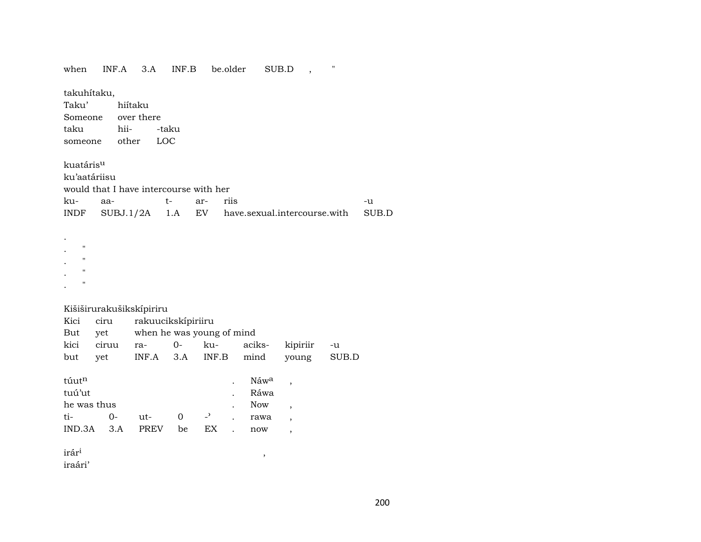| when                                               | INF.A                                  | 3.A                                             | INF.B |                | be.older |                            | SUB.D                         | Ħ     |       |
|----------------------------------------------------|----------------------------------------|-------------------------------------------------|-------|----------------|----------|----------------------------|-------------------------------|-------|-------|
| takuhítaku,<br>Taku'<br>Someone<br>taku<br>someone | hii-<br>other                          | hiítaku<br>over there<br>LOC                    | -taku |                |          |                            |                               |       |       |
| kuatáris <sup>u</sup>                              |                                        |                                                 |       |                |          |                            |                               |       |       |
| ku'aatáriisu                                       |                                        |                                                 |       |                |          |                            |                               |       |       |
|                                                    | would that I have intercourse with her |                                                 |       |                |          |                            |                               |       |       |
| ku-                                                | aa-                                    |                                                 | $t-$  | ar-            | riis     |                            |                               |       | -u    |
| INDF                                               | SUBJ.1/2A                              |                                                 | 1.A   | EV             |          |                            | have.sexual.intercourse.with  |       | SUB.D |
| Ħ<br>н<br>Ħ<br>П                                   |                                        |                                                 |       |                |          |                            |                               |       |       |
| Kici                                               | Kišiširurakušikskípiriru               |                                                 |       |                |          |                            |                               |       |       |
| But                                                | ciru<br>yet                            | rakuucikskípiriiru<br>when he was young of mind |       |                |          |                            |                               |       |       |
| kici                                               | ciruu                                  | ra-                                             | $0-$  | ku-            |          | aciks-                     | kipiriir                      | -u    |       |
| but                                                | yet                                    | INF.A                                           | 3.A   | INF.B          |          | mind                       | young                         | SUB.D |       |
| túutn<br>tuú'ut<br>he was thus                     |                                        |                                                 |       |                |          | Náwa<br>Ráwa<br><b>Now</b> | ,<br>$\overline{\phantom{a}}$ |       |       |
| ti-                                                | $0-$                                   | ut-                                             | 0     | $\overline{a}$ |          | rawa                       | ,                             |       |       |
| IND.3A                                             | 3.A                                    | PREV                                            | be    | EX             |          | now                        | $\overline{\phantom{a}}$      |       |       |
| irár <sup>i</sup>                                  |                                        |                                                 |       |                |          | ,                          |                               |       |       |

iraári'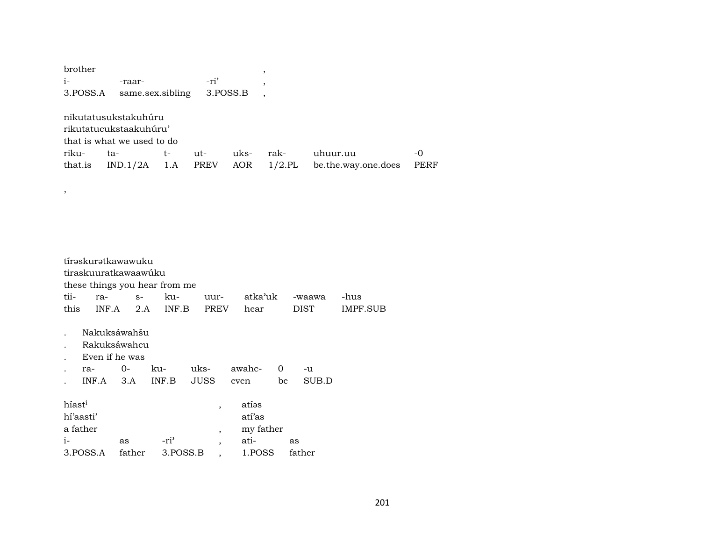| brother  |                            |     |      |          | ,         |                     |             |
|----------|----------------------------|-----|------|----------|-----------|---------------------|-------------|
| $i-$     | -raar-                     |     | -ri' |          | ,         |                     |             |
| 3.POSS.A | same.sex.sibling           |     |      | 3.POSS.B |           |                     |             |
|          |                            |     |      |          |           |                     |             |
|          | nikutatusukstakuhúru       |     |      |          |           |                     |             |
|          | rikutatucukstaakuhúru'     |     |      |          |           |                     |             |
|          | that is what we used to do |     |      |          |           |                     |             |
| riku-    | ta-                        | t-  | ut-  | uks-     | rak-      | uhuur.uu            | -0          |
| that.is  | IND.1/2A                   | 1.A | PREV | AOR      | $1/2$ .PL | be.the.way.one.does | <b>PERF</b> |
|          |                            |     |      |          |           |                     |             |
| ,        |                            |     |      |          |           |                     |             |
|          |                            |     |      |          |           |                     |             |
|          |                            |     |      |          |           |                     |             |

|                    | tírəskurətkawawuku   |        |                               |                |           |    |        |          |
|--------------------|----------------------|--------|-------------------------------|----------------|-----------|----|--------|----------|
|                    | tiraskuuratkawaawúku |        |                               |                |           |    |        |          |
|                    |                      |        | these things you hear from me |                |           |    |        |          |
| tii-               | ra-                  | $S-$   | ku-                           | uur-           | atka'uk   |    | -waawa | -hus     |
| this               | INF.A                | 2.A    | INF.B                         | <b>PREV</b>    | hear      |    | DIST   | IMPF.SUB |
|                    | Nakuksáwahšu         |        |                               |                |           |    |        |          |
|                    | Rakuksáwahcu         |        |                               |                |           |    |        |          |
|                    | Even if he was       |        |                               |                |           |    |        |          |
|                    | ra-                  | $O -$  | ku-                           | uks-           | awahc-    | 0  | -u     |          |
|                    | INF.A                | 3.A    | INF.B                         | <b>JUSS</b>    | even      | be | SUB.D  |          |
| híast <sup>i</sup> |                      |        |                               | $\overline{ }$ | atíəs     |    |        |          |
| hí'aasti'          |                      |        |                               |                | atí'as    |    |        |          |
|                    | a father             |        |                               | $\overline{ }$ | my father |    |        |          |
| $i-$               |                      | as     | $-ri^2$                       | $\cdot$        | ati-      | as |        |          |
|                    | 3.POSS.A             | father | 3.POSS.B                      |                | 1.POSS    |    | father |          |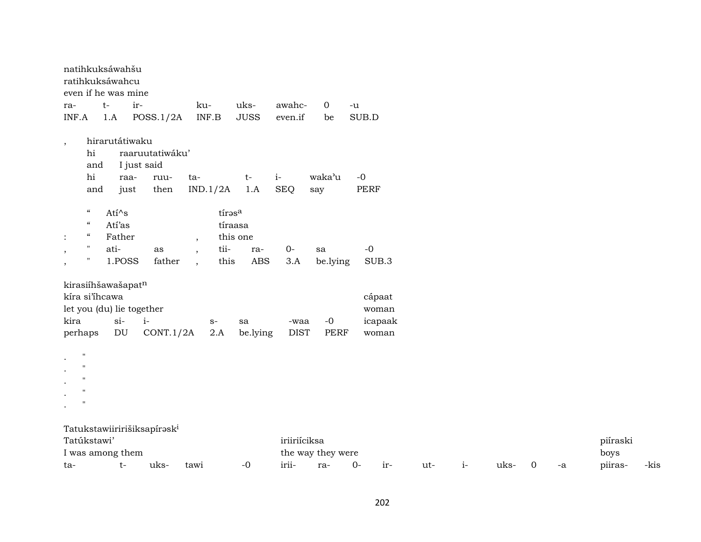| natihkuksáwahšu<br>ratihkuksáwahcu<br>even if he was mine                                                                                                       |                                                                                  |                                                                       |                                          |                          |                                     |     |      |      |   |    |                             |      |
|-----------------------------------------------------------------------------------------------------------------------------------------------------------------|----------------------------------------------------------------------------------|-----------------------------------------------------------------------|------------------------------------------|--------------------------|-------------------------------------|-----|------|------|---|----|-----------------------------|------|
| $t-$<br>ra-<br>INF.A<br>1.A                                                                                                                                     | ir-<br>POSS.1/2A                                                                 | ku-<br>INF.B                                                          | uks-<br>awahc-<br><b>JUSS</b><br>even.if | $\mathbf{0}$<br>be       | $-u$<br>SUB.D                       |     |      |      |   |    |                             |      |
| $\overline{\phantom{a}}$<br>hi<br>and<br>$\hbox{hi}$<br>and                                                                                                     | hirarutátiwaku<br>raaruutatiwáku'<br>I just said<br>raa-<br>ruu-<br>just<br>then | ta-<br>IND.1/2A                                                       | $i-$<br>$t-$<br>1.A<br><b>SEQ</b>        | waka'u<br>say            | $-0$<br>PERF                        |     |      |      |   |    |                             |      |
| $\epsilon\epsilon$<br>$\epsilon\epsilon$<br>$\mathcal{C}\mathcal{C}$<br>$\ddot{\cdot}$<br>ati-<br>$\pmb{\mathsf{H}}$<br>$\, ,$<br>$\pmb{\mathsf{H}}$<br>$\cdot$ | Ati^s<br>Atí'as<br>Father<br>as<br>1.POSS<br>father                              | tírasa<br>tíraasa<br>this one<br>$\overline{ }$<br>$\rm ti$ -<br>this | $0-$<br>ra-<br>$\overline{ABS}$<br>3.A   | sa<br>be.lying           | $\mbox{-}0$<br>SUB.3                |     |      |      |   |    |                             |      |
| kirasiíhšawašapatn<br>kíra si'ihcawa<br>let you (du) lie together<br>kira<br>perhaps                                                                            | $si-$<br>$i-$<br>DU<br>CONT.1/2A                                                 | $S-$<br>2.A                                                           | -waa<br>sa<br><b>DIST</b><br>be.lying    | $-0$<br><b>PERF</b>      | cápaat<br>woman<br>icapaak<br>woman |     |      |      |   |    |                             |      |
| $\mathbf{H}$<br>$^{\prime}$<br>$^{\prime}$<br>$^{\prime}$                                                                                                       |                                                                                  |                                                                       |                                          |                          |                                     |     |      |      |   |    |                             |      |
| Tatúkstawi'<br>I was among them<br>ta-                                                                                                                          | Tatukstawiiririšiksapírask <sup>i</sup><br>$t-$<br>uks-                          | tawi                                                                  | iriiriíciksa<br>irii-<br>$-0$            | the way they were<br>ra- | $0-$<br>ir-                         | ut- | $i-$ | uks- | 0 | -a | piíraski<br>boys<br>piiras- | -kis |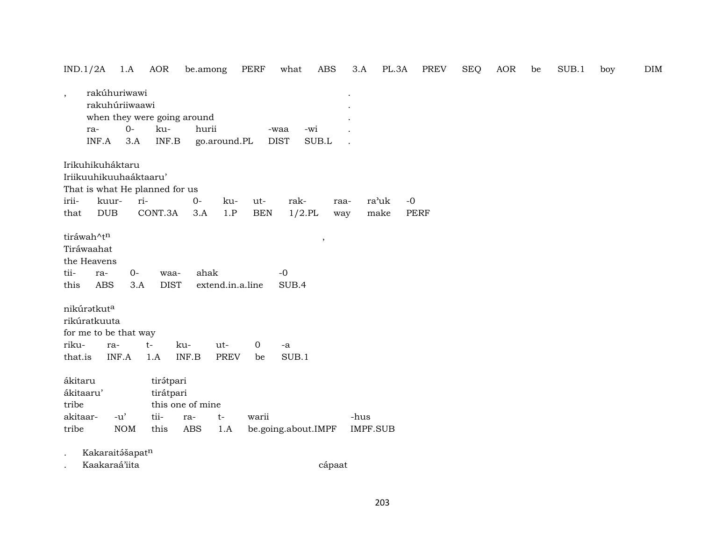| IND.1/2A                                                |                                                | 1.A                  | AOR                    | be.among                             |                  | PERF         | what                       | $\operatorname{ABS}$ | 3.A  | PL.3A           | PREV        | <b>SEQ</b> | AOR | be | SUB.1 | boy | <b>DIM</b> |
|---------------------------------------------------------|------------------------------------------------|----------------------|------------------------|--------------------------------------|------------------|--------------|----------------------------|----------------------|------|-----------------|-------------|------------|-----|----|-------|-----|------------|
| $\overline{\phantom{a}}$                                | rakúhuriwawi<br>rakuhúriiwaawi<br>ra-<br>INF.A | $O -$<br>3.A         | ku-<br>INF.B           | when they were going around<br>hurii | go.around.PL     |              | -wi<br>-waa<br><b>DIST</b> | SUB.L                |      |                 |             |            |     |    |       |     |            |
|                                                         | Irikuhikuháktaru                               |                      |                        |                                      |                  |              |                            |                      |      |                 |             |            |     |    |       |     |            |
|                                                         | Iriikuuhikuuhaáktaaru'                         |                      |                        |                                      |                  |              |                            |                      |      |                 |             |            |     |    |       |     |            |
|                                                         | That is what He planned for us                 |                      |                        |                                      |                  |              |                            |                      |      |                 |             |            |     |    |       |     |            |
| irii-                                                   | kuur-                                          | ri-                  |                        | $0-$                                 | ku-              | ut-          | rak-                       | raa-                 |      | ra'uk           | $-0$        |            |     |    |       |     |            |
| that                                                    | <b>DUB</b>                                     |                      | CONT.3A                | 3.A                                  | 1.P              | <b>BEN</b>   | $1/2$ .PL                  | way                  |      | make            | <b>PERF</b> |            |     |    |       |     |            |
| tiráwah^tn<br>Tiráwaahat<br>tii-<br>this<br>nikúratkuta | the Heavens<br>ra-<br>ABS                      | $O -$<br>3.A         | waa-<br><b>DIST</b>    | ahak                                 | extend.in.a.line |              | $-0$<br>SUB.4              | $\, ,$               |      |                 |             |            |     |    |       |     |            |
|                                                         | rikúratkuuta                                   |                      |                        |                                      |                  |              |                            |                      |      |                 |             |            |     |    |       |     |            |
|                                                         | for me to be that way                          |                      |                        |                                      |                  |              |                            |                      |      |                 |             |            |     |    |       |     |            |
| riku-                                                   | ra-                                            |                      | $t-$                   | ku-                                  | ut-              | $\mathbf{0}$ | $-a$                       |                      |      |                 |             |            |     |    |       |     |            |
| that.is                                                 | INF.A                                          |                      | 1.A                    | INF.B                                | <b>PREV</b>      | be           | SUB.1                      |                      |      |                 |             |            |     |    |       |     |            |
| ákitaru<br>ákitaaru'<br>tribe                           |                                                |                      | tirátpari<br>tirátpari | this one of mine                     |                  |              |                            |                      |      |                 |             |            |     |    |       |     |            |
| akitaar-                                                |                                                | $-u'$                | tii-                   | ra-                                  | $t-$             | warii        |                            |                      | -hus |                 |             |            |     |    |       |     |            |
| tribe                                                   |                                                | <b>NOM</b>           | this                   | <b>ABS</b>                           | 1.A              |              | be.going.about.IMPF        |                      |      | <b>IMPF.SUB</b> |             |            |     |    |       |     |            |
|                                                         | Kakaraitášapatn                                |                      |                        |                                      |                  |              |                            |                      |      |                 |             |            |     |    |       |     |            |
|                                                         |                                                | $\sim$ $\sim$ $\sim$ |                        |                                      |                  |              |                            |                      |      |                 |             |            |     |    |       |     |            |

. Kaakaraá'iita cápaat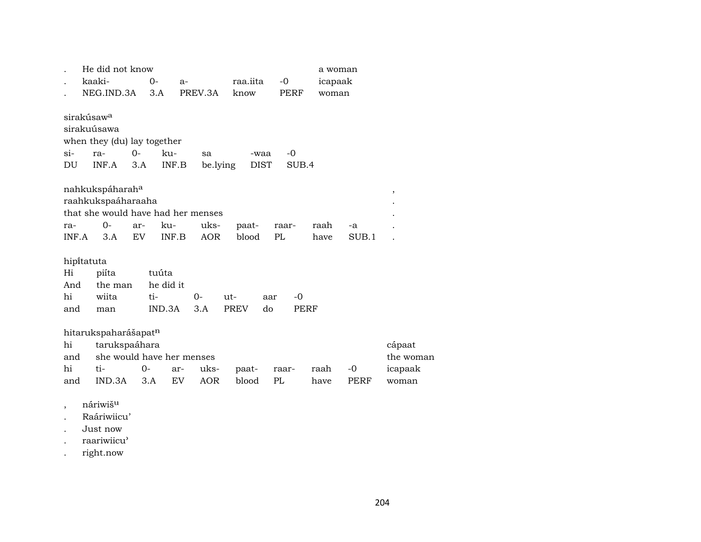|       | He did not know                    |            |           |            |             |             | a woman |       |           |
|-------|------------------------------------|------------|-----------|------------|-------------|-------------|---------|-------|-----------|
|       | kaaki-                             | 0-<br>$a-$ |           |            | raa.iita    | $-0$        | icapaak |       |           |
|       | NEG.IND.3A                         | 3.A        |           | PREV.3A    | know        | PERF        | woman   |       |           |
|       |                                    |            |           |            |             |             |         |       |           |
|       | sirakúsaw <sup>a</sup>             |            |           |            |             |             |         |       |           |
|       | sirakuúsawa                        |            |           |            |             |             |         |       |           |
|       | when they (du) lay together        |            |           |            |             |             |         |       |           |
| si-   | ra-                                | $O -$      | ku-       | sa         | -waa        | -0          |         |       |           |
| DU    | INF.A                              | 3.A        | INF.B     | be.lying   | <b>DIST</b> | SUB.4       |         |       |           |
|       |                                    |            |           |            |             |             |         |       |           |
|       | nahkukspáharah <sup>a</sup>        |            |           |            |             |             |         |       | $\,$      |
|       | raahkukspaáharaaha                 |            |           |            |             |             |         |       |           |
|       | that she would have had her menses |            |           |            |             |             |         |       |           |
| ra-   | $O -$                              | ar-        | ku-       | uks-       | paat-       | raar-       | raah    | -a    |           |
| INF.A | 3.A                                | <b>EV</b>  | INF.B     | <b>AOR</b> | blood       | PL          | have    | SUB.1 |           |
|       |                                    |            |           |            |             |             |         |       |           |
|       | hipitatuta                         |            |           |            |             |             |         |       |           |
| Hi    | piíta                              | tuúta      |           |            |             |             |         |       |           |
| And   | the man                            |            | he did it |            |             |             |         |       |           |
| hi    | wiita                              | ti-        |           | 0-         | ut-         | $-0$<br>aar |         |       |           |
| and   | man                                |            | IND.3A    | 3.A        | <b>PREV</b> | do<br>PERF  |         |       |           |
|       |                                    |            |           |            |             |             |         |       |           |
|       | hitarukspaharášapatn               |            |           |            |             |             |         |       |           |
| hi    | tarukspaáhara                      |            |           |            |             |             |         |       | cápaat    |
| and   | she would have her menses          |            |           |            |             |             |         |       | the woman |
| hi    | ti-                                | 0-         | ar-       | uks-       | paat-       | raar-       | raah    | -0    | icapaak   |
| and   | IND.3A                             | 3.A        | <b>EV</b> | <b>AOR</b> | blood       | PL          | have    | PERF  | woman     |
|       |                                    |            |           |            |             |             |         |       |           |

- , náriwiš<sup>u</sup>
- . Raáriwiicu'
- . Just now
- . raariwiicu"
- . right.now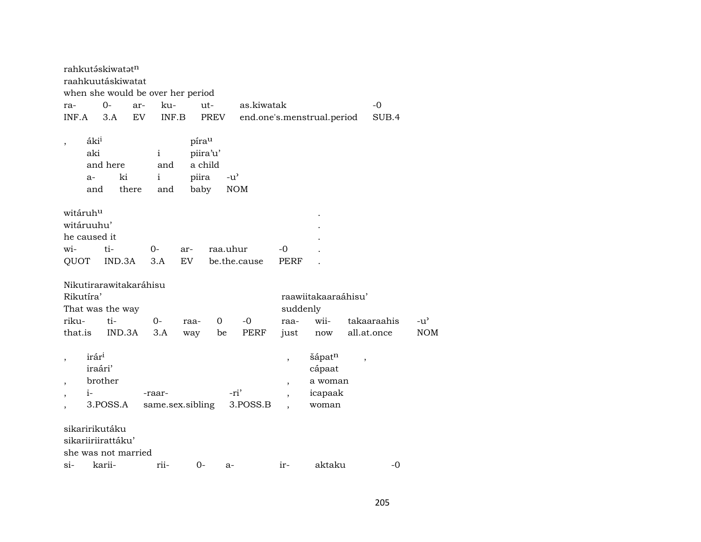|                                                    |                                        | rahkutáskiwatatn                                            |     |                                   |                                               |          |                             |                          |                                                 |             |             |                             |
|----------------------------------------------------|----------------------------------------|-------------------------------------------------------------|-----|-----------------------------------|-----------------------------------------------|----------|-----------------------------|--------------------------|-------------------------------------------------|-------------|-------------|-----------------------------|
|                                                    |                                        | raahkuutáskiwatat                                           |     |                                   |                                               |          |                             |                          |                                                 |             |             |                             |
|                                                    |                                        |                                                             |     | when she would be over her period |                                               |          |                             |                          |                                                 |             |             |                             |
| ra-                                                |                                        | 0-                                                          | ar- | ku-                               | ut-                                           |          | as.kiwatak                  |                          |                                                 |             | $-0$        |                             |
| INF.A                                              |                                        | 3.A                                                         | EV  | INF.B                             |                                               | PREV     |                             |                          | end.one's.menstrual.period                      |             | SUB.4       |                             |
| $\, ,$                                             | áki <sup>i</sup><br>aki<br>$a-$<br>and | and here<br>ki<br>there                                     |     | $\mathbf{i}$<br>and<br>i<br>and   | pírau<br>piira'u'<br>a child<br>piira<br>baby |          | $-u^{\prime}$<br><b>NOM</b> |                          |                                                 |             |             |                             |
| witáruhu                                           |                                        |                                                             |     |                                   |                                               |          |                             |                          |                                                 |             |             |                             |
| witáruuhu'                                         |                                        |                                                             |     |                                   |                                               |          |                             |                          |                                                 |             |             |                             |
| he caused it                                       |                                        |                                                             |     |                                   |                                               |          |                             |                          |                                                 |             |             |                             |
| wi-                                                |                                        | ti-                                                         |     | $0-$                              | ar-                                           | raa.uhur |                             | -0                       |                                                 |             |             |                             |
| QUOT                                               |                                        | IND.3A                                                      |     | 3.A                               | EV                                            |          | be.the.cause                | <b>PERF</b>              |                                                 |             |             |                             |
| Rikutíra'<br>riku-<br>that.is                      |                                        | Nikutirarawitakaráhisu<br>That was the way<br>ti-<br>IND.3A |     | $0-$<br>3.A                       | raa-<br>way                                   | 0<br>be  | $-0$<br><b>PERF</b>         | suddenly<br>raa-<br>just | raawiitakaaraáhisu'<br>wii-<br>now              | all.at.once | takaaraahis | $-u^{\prime}$<br><b>NOM</b> |
| $\,$<br>$\overline{\phantom{a}}$<br>$\overline{ }$ | irári<br>iraári'<br>$i-$               | brother<br>3.POSS.A<br>sikaririkutáku                       |     | -raar-<br>same.sex.sibling        |                                               |          | -ri'<br>3.POSS.B            | $\, ,$<br>$\cdot$        | šápatn<br>cápaat<br>a woman<br>icapaak<br>woman | $\, ,$      |             |                             |
|                                                    |                                        | sikariiriirattáku'                                          |     |                                   |                                               |          |                             |                          |                                                 |             |             |                             |
|                                                    |                                        | she was not married                                         |     |                                   |                                               |          |                             |                          |                                                 |             |             |                             |
| $\sin$                                             |                                        | karii-                                                      |     | rii-                              | $0-$                                          | a-       |                             | ir-                      | aktaku                                          |             | -0          |                             |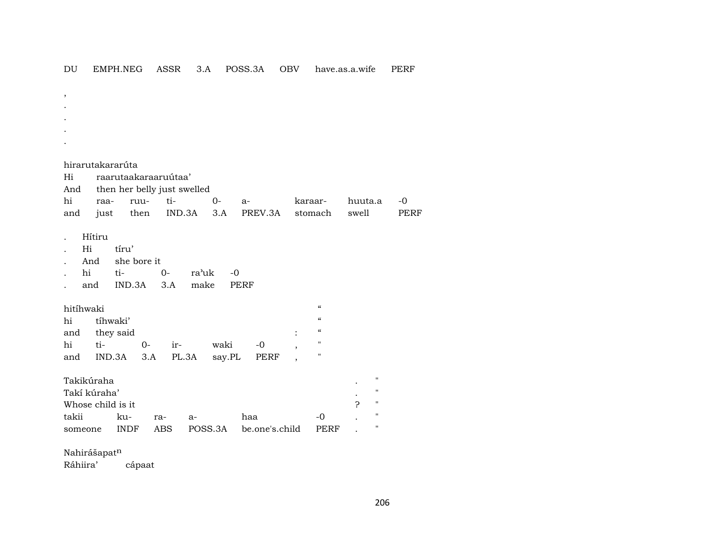$\mathop{\rm DU}\nolimits$ EMPH.NEG ASSR 3.A POSS.3A OBV have.as.a.wife **PERF** 

 $\cdot$ hirarutakararúta raarutaakaraaruutaa' Hi then her belly just swelled And  $0 -0$ hi tiraaruu $a$ karaarhuuta.a PERF just  $3.A$ PREV.3A swell and then IND.3A stomach Hítiru  $\bullet$ Hi tíru' she bore it And  $\sim$  $t_{i-}$ hi  $O$ ra'uk  $-0$  $\cdot$  $3.A$ **PERF** IND.3A make and hitíhwaki  $\boldsymbol{\mathcal{U}}$ tíhwaki'  $\alpha$ hi they said  $\boldsymbol{\mathcal{U}}$ and  $\cdot$  $ti O -0$  $\mathbf{u}$ hi irwaki IND.3A  $3.A$ PL.3A say.PL PERF  $\mathbf{u}$ and  $\overline{\phantom{a}}$ Takikúraha  $\mathbf{H}$ Takí kúraha'  $\mathbf{u}$ Whose child is it ?  $\mathbf{H}$ takii ku- $-0$  $\pmb{\mathsf{H}}$ ra $a$ haa **PERF**  $\mathbf{H}$ **INDF ABS** POSS.3A be.one's.child someone  $\overline{a}$ 

Nahirášapatn

Ráhiira' cápaat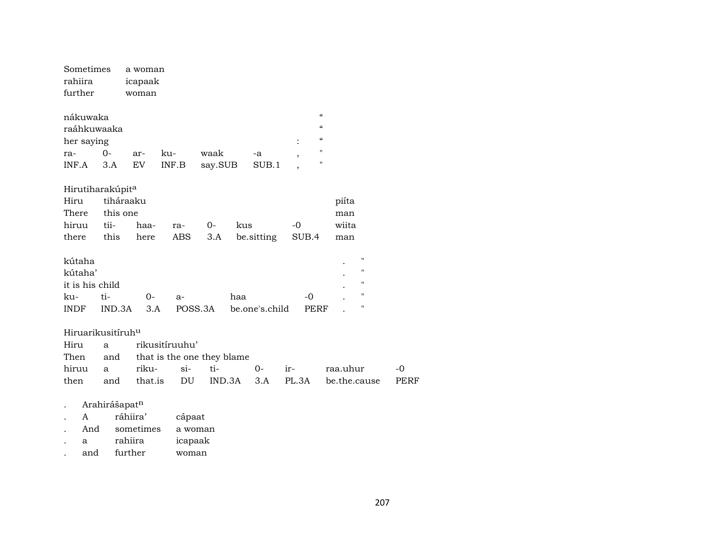| Sometimes<br>rahiira<br>further                                 |                                        | a woman<br>icapaak<br>woman       |                                                             |                 |     |                |                     |                                                                                                                                       |              |
|-----------------------------------------------------------------|----------------------------------------|-----------------------------------|-------------------------------------------------------------|-----------------|-----|----------------|---------------------|---------------------------------------------------------------------------------------------------------------------------------------|--------------|
| nákuwaka<br>raáhkuwaaka<br>her saying<br>ra-<br>INF.A           | $0 -$<br>3.A                           | ar-<br>$\mathop{\rm EV}\nolimits$ | ku-<br>$\textsf{INF}.\textsf{B}$                            | waak<br>say.SUB |     | -a<br>SUB.1    | $\ddot{\cdot}$<br>, | $\boldsymbol{\zeta}\boldsymbol{\zeta}$<br>$\boldsymbol{\zeta}\boldsymbol{\zeta}$<br>$\boldsymbol{\zeta}\boldsymbol{\zeta}$<br>"<br>11 |              |
| Hirutiharakúpit <sup>a</sup><br>Hiru<br>There<br>hiruu<br>there | tiháraaku<br>this one<br>tii-<br>this  | haa-<br>here                      | ra-<br>ABS                                                  | $0-$<br>3.A     | kus | be sitting     | $-0$<br>SUB.4       | piíta<br>man<br>wiita<br>man                                                                                                          |              |
| kútaha<br>kútaha'<br>it is his child<br>ku-<br><b>INDF</b>      | ti-<br>IND.3A                          | 0-<br>3.A                         | $a-$                                                        | POSS.3A         | haa | be.one's.child | $-0$<br><b>PERF</b> | $\pmb{\mathsf{H}}$<br>$\pmb{\mathsf{H}}$<br>$\pmb{\mathsf{H}}$<br>$\mathbf H$<br>11                                                   |              |
| Hiruarikusitíruh <sup>u</sup><br>Hiru<br>Then<br>hiruu<br>then  | a<br>and<br>a<br>and                   | riku-<br>that.is                  | rikusitíruuhu'<br>that is the one they blame<br>$si-$<br>DU | ti-<br>IND.3A   |     | $0-$<br>3.A    | ir-<br>PL.3A        | raa.uhur<br>be.the.cause                                                                                                              | $-0$<br>PERF |
| A<br>And                                                        | Arahirášapatn<br>ráhiira'<br>sometimes | cápaat                            | a woman                                                     |                 |     |                |                     |                                                                                                                                       |              |

- $\mathbf{a}$ rahiira icapaak  $\mathcal{L}^{\text{max}}$
- further and woman  $\mathcal{L}^{\pm}$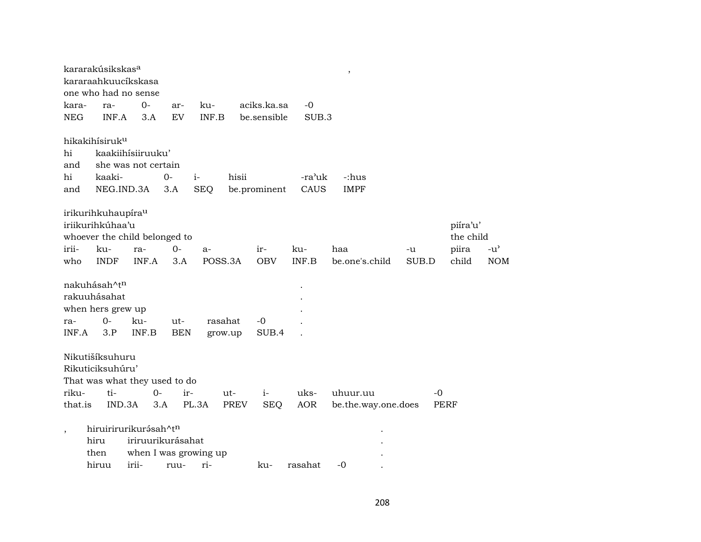|            | kararakúsikskas <sup>a</sup><br>kararaahkuucíkskasa<br>one who had no sense         |                     |            |                       |             |              |            | ,                   |       |      |                       |               |
|------------|-------------------------------------------------------------------------------------|---------------------|------------|-----------------------|-------------|--------------|------------|---------------------|-------|------|-----------------------|---------------|
| kara-      | ra-                                                                                 | $0-$                | ar-        | ku-                   |             | aciks.ka.sa  | $-0$       |                     |       |      |                       |               |
| <b>NEG</b> | INF.A                                                                               | 3.A                 | EV         | INF.B                 |             | be.sensible  | SUB.3      |                     |       |      |                       |               |
|            | hikakihísiruk <sup>u</sup>                                                          |                     |            |                       |             |              |            |                     |       |      |                       |               |
| hi         |                                                                                     | kaakiihisiiruuku'   |            |                       |             |              |            |                     |       |      |                       |               |
| and        |                                                                                     | she was not certain |            |                       |             |              |            |                     |       |      |                       |               |
| hi         | kaaki-                                                                              |                     | 0-         | $i-$                  | hisii       |              | -ra'uk     | -:hus               |       |      |                       |               |
| and        | NEG.IND.3A                                                                          |                     | 3.A        | <b>SEQ</b>            |             | be.prominent | CAUS       | <b>IMPF</b>         |       |      |                       |               |
|            | irikurihkuhaupíra <sup>u</sup><br>iriikurihkúhaa'u<br>whoever the child belonged to |                     |            |                       |             |              |            |                     |       |      | piíra'u'<br>the child |               |
| irii-      | ku-                                                                                 | ra-                 | $0-$       | a-                    |             | $ir-$        | ku-        | haa                 | -u    |      | piira                 | $-u^{\prime}$ |
| who        | <b>INDF</b>                                                                         | INF.A               | 3.A        | POSS.3A               |             | <b>OBV</b>   | INF.B      | be.one's.child      | SUB.D |      | child                 | <b>NOM</b>    |
| ra-        | nakuhásah^t <sup>n</sup><br>rakuuhásahat<br>when hers grew up<br>$0-$               | ku-                 | ut-        | rasahat               |             | -0           |            |                     |       |      |                       |               |
| INF.A      | 3.P                                                                                 | INF.B               | <b>BEN</b> | grow.up               |             | SUB.4        |            |                     |       |      |                       |               |
|            | Nikutišíksuhuru<br>Rikuticiksuhúru'<br>That was what they used to do                |                     |            |                       |             |              |            |                     |       |      |                       |               |
| riku-      | ti-                                                                                 | 0-                  | ir-        |                       | ut-         | $i-$         | uks-       | uhuur.uu            |       | $-0$ |                       |               |
| that.is    | IND.3A                                                                              |                     | 3.A        | PL.3A                 | <b>PREV</b> | <b>SEQ</b>   | <b>AOR</b> | be.the.way.one.does |       | PERF |                       |               |
| $\,$       | hiruirirurikurásah^tn<br>hiru<br>then                                               | iriruurikurásahat   |            | when I was growing up |             |              |            |                     |       |      |                       |               |
|            | hiruu                                                                               | irii-               | ruu-       | ri-                   |             | ku-          | rasahat    | $-0$                |       |      |                       |               |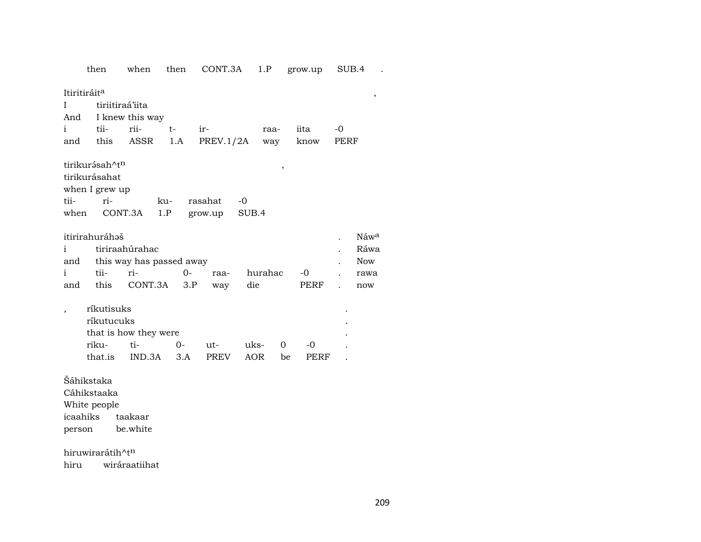then when then CONT.3A 1.P grow.up SUB.4 .

 $\text{I}\text{tritiráit}^{\text{a}}\qquad \qquad \text{,} \qquad \qquad \text{,} \qquad \qquad \text{,} \qquad \qquad \text{,} \qquad \qquad \text{,} \qquad \qquad \text{,} \qquad \qquad \text{,} \qquad \qquad \text{,} \qquad \qquad \text{,} \qquad \text{,} \qquad \text{,} \qquad \text{,} \qquad \text{,} \qquad \text{,} \qquad \text{,} \qquad \text{,} \qquad \text{,} \qquad \text{,} \qquad \text{,} \qquad \text{,} \qquad \text{,} \qquad \text{$ I tiriitiraá'iita And I knew this way i tii- rii- t- ir- raa- iita -0 and this ASSR 1.A PREV.1/2A way know PERF

tirikur<br/>ə́sah^t<code>n</code>  $\,$  ,  $\,$  , tirikurásahat when I grew up<br>tiitii- ri- ku- rasahat -0 when CONT.3A 1.P grow.up SUB.4

|                           | itirirahuráhəš |                              |  |  |     |      |  |     |  |  |  |  |
|---------------------------|----------------|------------------------------|--|--|-----|------|--|-----|--|--|--|--|
|                           |                | i tiriraahúrahac             |  |  |     |      |  |     |  |  |  |  |
|                           |                | and this way has passed away |  |  |     |      |  |     |  |  |  |  |
| $\mathbf{i}$ $\mathbf{j}$ | tii-           |                              |  |  |     |      |  |     |  |  |  |  |
| and                       |                | this CONT.3A 3.P way         |  |  | die | PERF |  | now |  |  |  |  |

| ríkutisuks |                       |          |        |        |               |       | ٠ |
|------------|-----------------------|----------|--------|--------|---------------|-------|---|
| ríkutucuks |                       |          |        |        |               |       | ٠ |
|            | that is how they were |          |        |        |               |       | ٠ |
| riku-      | ti-                   | $\Omega$ | $11t-$ | uks- 0 |               | $-()$ |   |
| that is    | IND 3A 3.A PREV       |          |        | AOR    | <sub>be</sub> | PERF  |   |

Šáhikstaka

Cáhikstaaka

White people

icaahiks taakaar person be.white

hiruwirarátih^tn hiru wiráraatiihat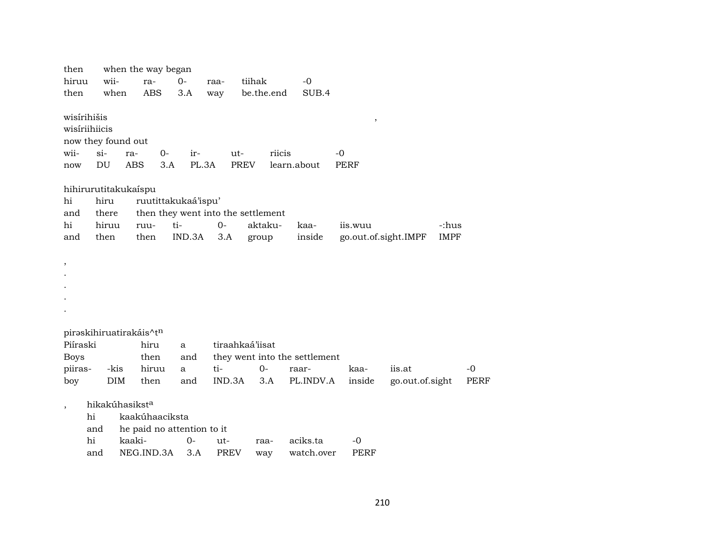| then                     |       |                            | when the way began                 |        |             |                 |            |                               |                      |                 |             |      |
|--------------------------|-------|----------------------------|------------------------------------|--------|-------------|-----------------|------------|-------------------------------|----------------------|-----------------|-------------|------|
| hiruu                    |       | wii-                       | ra-                                | $O -$  | raa-        | tiihak          |            | $-0$                          |                      |                 |             |      |
| then                     |       | when                       | <b>ABS</b>                         | 3.A    | way         |                 | be.the.end | SUB.4                         |                      |                 |             |      |
| wisírihišis              |       |                            |                                    |        |             |                 |            |                               | $\, ,$               |                 |             |      |
| wisíriihiicis            |       |                            |                                    |        |             |                 |            |                               |                      |                 |             |      |
|                          |       | now they found out         |                                    |        |             |                 |            |                               |                      |                 |             |      |
| wii-                     | $si-$ |                            | $0-$<br>ra-                        | ir-    |             | $ut-$           | riicis     |                               | -0                   |                 |             |      |
| now                      | DU    |                            | <b>ABS</b><br>3.A                  | PL.3A  |             | <b>PREV</b>     |            | learn.about                   | <b>PERF</b>          |                 |             |      |
|                          |       | hihirurutitakukaispu       |                                    |        |             |                 |            |                               |                      |                 |             |      |
| hi                       |       | hiru                       | ruutittakukaá'ispu'                |        |             |                 |            |                               |                      |                 |             |      |
| and                      |       | there                      | then they went into the settlement |        |             |                 |            |                               |                      |                 |             |      |
| hi                       |       | hiruu                      | ruu-                               | ti-    | $0-$        | aktaku-         |            | kaa-                          | iis.wuu              |                 | -:hus       |      |
| and                      |       | then                       | then                               | IND.3A | 3.A         | group           |            | inside                        | go.out.of.sight.IMPF |                 | <b>IMPF</b> |      |
|                          |       |                            |                                    |        |             |                 |            |                               |                      |                 |             |      |
| $\, ,$                   |       |                            |                                    |        |             |                 |            |                               |                      |                 |             |      |
|                          |       |                            |                                    |        |             |                 |            |                               |                      |                 |             |      |
|                          |       |                            |                                    |        |             |                 |            |                               |                      |                 |             |      |
|                          |       |                            |                                    |        |             |                 |            |                               |                      |                 |             |      |
|                          |       |                            |                                    |        |             |                 |            |                               |                      |                 |             |      |
|                          |       |                            | piraskihiruatirakáis^tn            |        |             |                 |            |                               |                      |                 |             |      |
| Piíraski                 |       |                            | hiru                               | a      |             | tiraahkaá'iisat |            |                               |                      |                 |             |      |
| <b>Boys</b>              |       |                            | then                               | and    |             |                 |            | they went into the settlement |                      |                 |             |      |
| piiras-                  |       | -kis                       | hiruu                              | a      | ti-         | $0-$            |            | raar-                         | kaa-                 | iis.at          |             | $-0$ |
| boy                      |       | <b>DIM</b>                 | then                               | and    | IND.3A      |                 | 3.A        | PL.INDV.A                     | inside               | go.out.of.sight |             | PERF |
| $\overline{\phantom{a}}$ |       | hikakúhasikst <sup>a</sup> |                                    |        |             |                 |            |                               |                      |                 |             |      |
|                          | hi    |                            | kaakúhaaciksta                     |        |             |                 |            |                               |                      |                 |             |      |
|                          | and   |                            | he paid no attention to it         |        |             |                 |            |                               |                      |                 |             |      |
|                          | hi    |                            | kaaki-                             | $0-$   | ut-         | raa-            |            | aciks.ta                      | -0                   |                 |             |      |
|                          | and   |                            | NEG.IND.3A                         | 3.A    | <b>PREV</b> | way             |            | watch.over                    | PERF                 |                 |             |      |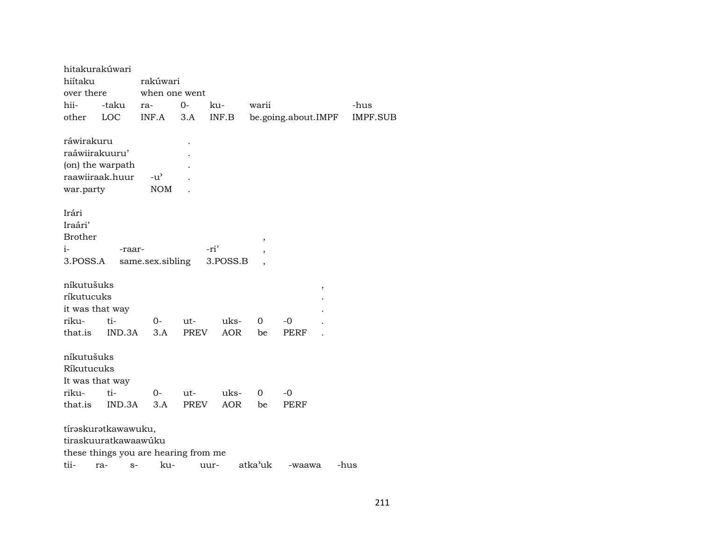| hitakurakúwari  |                      |                                      |             |            |         |                     |                 |
|-----------------|----------------------|--------------------------------------|-------------|------------|---------|---------------------|-----------------|
| hiítaku         |                      | rakúwari                             |             |            |         |                     |                 |
| over there      |                      | when one went                        |             |            |         |                     |                 |
| hii-            | -taku                | ra-                                  | $0-$        | ku-        | warii   |                     | -hus            |
| other           | LOC                  | INF.A                                | 3.A         | INF.B      |         | be.going.about.IMPF | <b>IMPF.SUB</b> |
| ráwirakuru      |                      |                                      |             |            |         |                     |                 |
| raáwiirakuuru'  |                      |                                      |             |            |         |                     |                 |
|                 | (on) the warpath     |                                      |             |            |         |                     |                 |
|                 | raawiiraak.huur      | $-u^{\prime}$                        |             |            |         |                     |                 |
| war.party       |                      | <b>NOM</b>                           |             |            |         |                     |                 |
| Irári           |                      |                                      |             |            |         |                     |                 |
| Iraári'         |                      |                                      |             |            |         |                     |                 |
| <b>Brother</b>  |                      |                                      |             |            |         |                     |                 |
| $i-$            | -raar-               |                                      |             | -ri'       | ,       |                     |                 |
| 3.POSS.A        |                      | same.sex.sibling                     |             | 3.POSS.B   |         |                     |                 |
|                 |                      |                                      |             |            |         |                     |                 |
| níkutušuks      |                      |                                      |             |            |         | ,                   |                 |
| ríkutucuks      |                      |                                      |             |            |         |                     |                 |
| it was that way |                      |                                      |             |            |         |                     |                 |
| riku-           | ti-                  | $0-$                                 | ut-         | uks-       | 0       | -0                  |                 |
| that.is         | IND.3A               | 3.A                                  | PREV        | <b>AOR</b> | be      | <b>PERF</b>         |                 |
| níkutušuks      |                      |                                      |             |            |         |                     |                 |
| Ríkutucuks      |                      |                                      |             |            |         |                     |                 |
| It was that way |                      |                                      |             |            |         |                     |                 |
| riku-           | ti-                  | 0-                                   | ut-         | uks-       | 0       | $-0$                |                 |
| that.is         | IND.3A               | 3.A                                  | <b>PREV</b> | <b>AOR</b> | be      | <b>PERF</b>         |                 |
|                 | tírəskurətkawawuku,  |                                      |             |            |         |                     |                 |
|                 | tiraskuuratkawaawúku |                                      |             |            |         |                     |                 |
|                 |                      | these things you are hearing from me |             |            |         |                     |                 |
| tii-            | ra-<br>$S-$          | ku-                                  |             | uur-       | atka'uk | -waawa              | -hus            |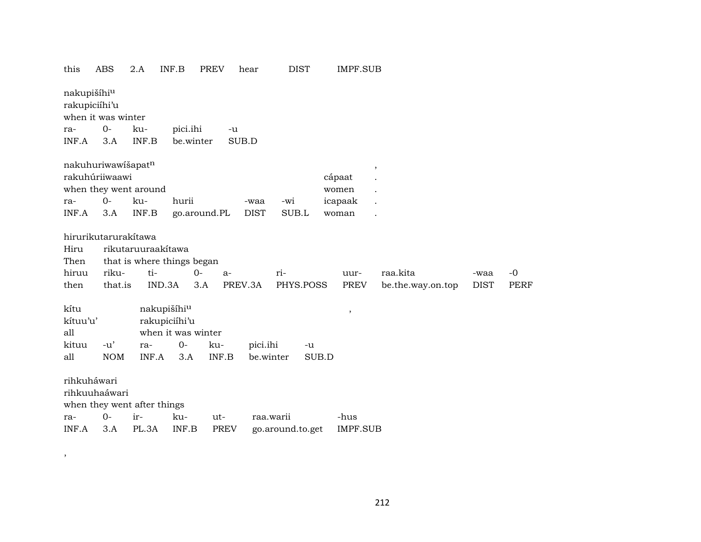| this                                     | ABS                  | 2.A                         | INF.B              | <b>PREV</b> | hear                | DIST             | IMPF.SUB        |                   |             |             |
|------------------------------------------|----------------------|-----------------------------|--------------------|-------------|---------------------|------------------|-----------------|-------------------|-------------|-------------|
| nakupišíhi <sup>u</sup><br>rakupiciíhi'u | when it was winter   |                             |                    |             |                     |                  |                 |                   |             |             |
|                                          | $0-$                 | ku-                         |                    |             |                     |                  |                 |                   |             |             |
| ra-                                      |                      | INF.B                       | pici.ihi           | -u          |                     |                  |                 |                   |             |             |
| INF.A                                    | 3.A                  |                             | be.winter          |             | SUB.D               |                  |                 |                   |             |             |
|                                          | nakuhuriwawišapatn   |                             |                    |             |                     |                  |                 |                   |             |             |
|                                          | rakuhúriiwaawi       |                             |                    |             |                     |                  | cápaat          | $\,$              |             |             |
|                                          |                      | when they went around       |                    |             |                     |                  | women           |                   |             |             |
|                                          | $0-$                 | ku-                         | hurii              |             |                     | -wi              |                 |                   |             |             |
| ra-<br>INF.A                             | 3.A                  | INF.B                       |                    |             | -waa<br><b>DIST</b> | SUB.L            | icapaak         |                   |             |             |
|                                          |                      |                             | go.around.PL       |             |                     |                  | woman           |                   |             |             |
|                                          | hirurikutarurakítawa |                             |                    |             |                     |                  |                 |                   |             |             |
| Hiru                                     |                      | rikutaruuraakitawa          |                    |             |                     |                  |                 |                   |             |             |
| Then                                     |                      | that is where things began  |                    |             |                     |                  |                 |                   |             |             |
| hiruu                                    | riku-                | ti-                         | $0 -$              | $a-$        |                     | ri-              | uur-            | raa.kita          | -waa        | $-0$        |
| then                                     | that.is              | IND.3A                      | 3.A                |             | PREV.3A             | PHYS.POSS        | <b>PREV</b>     | be.the.way.on.top | <b>DIST</b> | <b>PERF</b> |
|                                          |                      |                             |                    |             |                     |                  |                 |                   |             |             |
| kítu                                     |                      |                             | nakupišíhiu        |             |                     |                  |                 |                   |             |             |
| kítuu'u'                                 |                      |                             | rakupiciíhi'u      |             |                     |                  | $\, ,$          |                   |             |             |
| all                                      |                      |                             | when it was winter |             |                     |                  |                 |                   |             |             |
| kituu                                    | $-u'$                | ra-                         | $0-$               | ku-         | pici.ihi            | -u               |                 |                   |             |             |
| all                                      | <b>NOM</b>           | INF.A                       | 3.A                | INF.B       | be.winter           | SUB.D            |                 |                   |             |             |
|                                          |                      |                             |                    |             |                     |                  |                 |                   |             |             |
| rihkuháwari                              |                      |                             |                    |             |                     |                  |                 |                   |             |             |
|                                          | rihkuuhaáwari        |                             |                    |             |                     |                  |                 |                   |             |             |
|                                          |                      | when they went after things |                    |             |                     |                  |                 |                   |             |             |
| ra-                                      | $0 -$                | ir-                         | ku-                | ut-         |                     | raa.warii        | -hus            |                   |             |             |
| INF.A                                    | 3.A                  | PL.3A                       | INF.B              | <b>PREV</b> |                     | go.around.to.get | <b>IMPF.SUB</b> |                   |             |             |
|                                          |                      |                             |                    |             |                     |                  |                 |                   |             |             |

 $\qquad \qquad$ 

212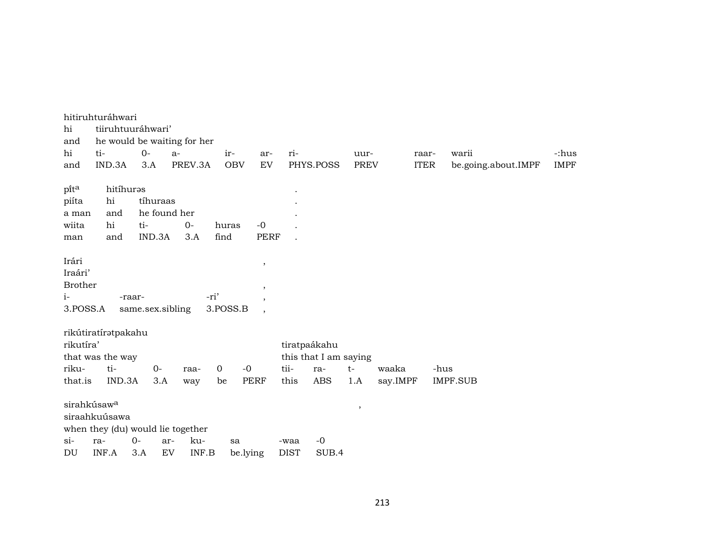| hi<br>and                                              | hitiruhturáhwari<br>tiiruhtuuráhwari'    |                            | he would be waiting for her       |                  |                                                                        |             |                       |         |          |             |                     |             |
|--------------------------------------------------------|------------------------------------------|----------------------------|-----------------------------------|------------------|------------------------------------------------------------------------|-------------|-----------------------|---------|----------|-------------|---------------------|-------------|
| hi                                                     | ti-                                      | $O -$                      | $a-$                              | ir-              | ar-                                                                    | ri-         |                       | uur-    |          | raar-       | warii               | -:hus       |
| and                                                    | IND.3A                                   | 3.A                        | PREV.3A                           | <b>OBV</b>       | EV                                                                     |             | PHYS.POSS             | PREV    |          | <b>ITER</b> | be.going.about.IMPF | <b>IMPF</b> |
| pita                                                   | hitíhuras                                |                            |                                   |                  |                                                                        |             |                       |         |          |             |                     |             |
| piíta                                                  | hi                                       | tíhuraas                   |                                   |                  |                                                                        |             |                       |         |          |             |                     |             |
|                                                        | and                                      |                            | he found her                      |                  |                                                                        |             |                       |         |          |             |                     |             |
| a man                                                  | hi                                       | ti-                        | $O -$                             |                  | $-0$                                                                   |             |                       |         |          |             |                     |             |
| wiita                                                  |                                          |                            |                                   | huras            |                                                                        |             |                       |         |          |             |                     |             |
| man                                                    | and                                      | IND.3A                     | 3.A                               | find             | <b>PERF</b>                                                            |             |                       |         |          |             |                     |             |
| Irári<br>Iraári'<br><b>Brother</b><br>$i-$<br>3.POSS.A |                                          | -raar-<br>same.sex.sibling |                                   | -ri'<br>3.POSS.B | $\, ,$<br>$\,$<br>$\overline{\phantom{a}}$<br>$\overline{\phantom{a}}$ |             |                       |         |          |             |                     |             |
|                                                        | rikútiratíratpakahu                      |                            |                                   |                  |                                                                        |             |                       |         |          |             |                     |             |
| rikutíra'                                              |                                          |                            |                                   |                  |                                                                        |             | tiratpaákahu          |         |          |             |                     |             |
|                                                        | that was the way                         |                            |                                   |                  |                                                                        |             | this that I am saying |         |          |             |                     |             |
| riku-                                                  | ti-                                      | $0-$                       | raa-                              | $\mathbf 0$      | $-0$                                                                   | tii-        | ra-                   | $t-$    | waaka    |             | -hus                |             |
| that.is                                                | IND.3A                                   | 3.A                        | way                               | be               | <b>PERF</b>                                                            | this        | ABS                   | 1.A     | say.IMPF |             | <b>IMPF.SUB</b>     |             |
|                                                        | sirahkúsaw <sup>a</sup><br>siraahkuúsawa |                            | when they (du) would lie together |                  |                                                                        |             |                       | $\cdot$ |          |             |                     |             |
| $\sin$                                                 | ra-                                      | $0 -$                      | ku-<br>ar-                        | sa               |                                                                        | -waa        | $-0$                  |         |          |             |                     |             |
| DU                                                     | INF.A                                    | 3.A                        | EV<br>INF.B                       |                  | be.lying                                                               | <b>DIST</b> | SUB.4                 |         |          |             |                     |             |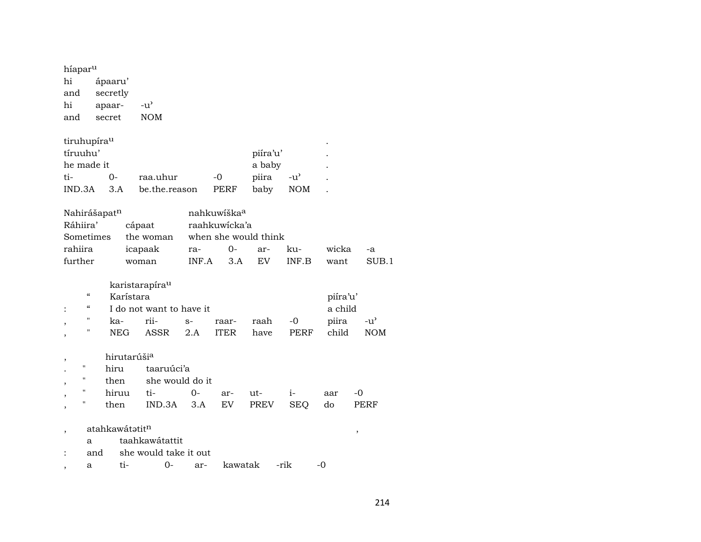| híapar <sup>u</sup><br>hi<br>and<br>hi<br>and                      | apaar-<br>secret                                                       | ápaaru'<br>secretly                                      | $-u^{\prime}$<br><b>NOM</b>                                            |              |                                                       |                                     |                             |                                       |                             |
|--------------------------------------------------------------------|------------------------------------------------------------------------|----------------------------------------------------------|------------------------------------------------------------------------|--------------|-------------------------------------------------------|-------------------------------------|-----------------------------|---------------------------------------|-----------------------------|
| tiruhupíra <sup>u</sup><br>tíruuhu'<br>he made it<br>ti-<br>IND.3A |                                                                        | 0-<br>3.A                                                | raa.uhur<br>be.the.reason                                              |              | $-0$<br>PERF                                          | piíra'u'<br>a baby<br>piira<br>baby | $-u^{\prime}$<br><b>NOM</b> |                                       |                             |
| Nahirášapatn<br>Ráhiira'<br>Sometimes<br>rahiira<br>further        |                                                                        |                                                          | cápaat<br>the woman<br>icapaak<br>woman                                | ra-<br>INF.A | nahkuwíška <sup>a</sup><br>raahkuwicka'a<br>0-<br>3.A | when she would think<br>ar-<br>EV   | ku-<br>INF.B                | wicka<br>want                         | -a<br>SUB.1                 |
|                                                                    | $\boldsymbol{\zeta}\boldsymbol{\zeta}$<br>"<br>$^{\prime\prime}$<br>11 | Karístara<br>ka-<br>NEG                                  | karistarapíra <sup>u</sup><br>I do not want to have it<br>rii-<br>ASSR | $S-$<br>2.A  | raar-<br><b>ITER</b>                                  | raah<br>have                        | -0<br>PERF                  | piíra'u'<br>a child<br>piira<br>child | $-u^{\prime}$<br><b>NOM</b> |
| ,<br>Н<br>н<br>П<br>Н                                              |                                                                        | hirutarúši <sup>a</sup><br>hiru<br>then<br>hiruu<br>then | taaruúci'a<br>she would do it<br>ti-<br>IND.3A                         | 0-<br>3.A    | ar-<br>EV                                             | ut-<br>PREV                         | $i-$<br><b>SEQ</b>          | aar<br>do                             | -0<br>PERF                  |
| ,<br>,                                                             | a<br>and<br>a                                                          | atahkawátatitn<br>ti-                                    | taahkawátattit<br>she would take it out<br>$0-$                        | ar-          | kawatak                                               |                                     | -rik                        | $-0$                                  | ,                           |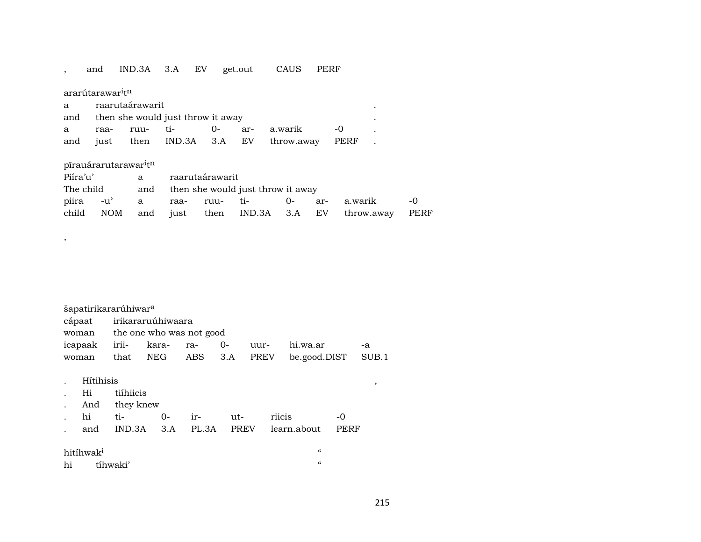#### , and IND.3A 3.A EV get.out CAUS PERF

# ararútarawar $^{\rm i}{\rm t}^{\rm n}$

| a raarutaárawarit                     |  |  |  |  |                                               |  |  |
|---------------------------------------|--|--|--|--|-----------------------------------------------|--|--|
| and then she would just throw it away |  |  |  |  |                                               |  |  |
|                                       |  |  |  |  | a raa- ruu- ti-  0- ar- a.warik  -0           |  |  |
|                                       |  |  |  |  | and just then IND.3A 3.A EV throw.away PERF . |  |  |

## pīrauárarutarawar<sup>i</sup>tn

,

| Piíra'u' a raarutaárawarit |  |  |  |                                       |  |  |  |                                                       |  |  |  |
|----------------------------|--|--|--|---------------------------------------|--|--|--|-------------------------------------------------------|--|--|--|
| The child                  |  |  |  | and then she would just throw it away |  |  |  |                                                       |  |  |  |
|                            |  |  |  |                                       |  |  |  | piira -u' a raa- ruu- ti-  0- ar- a.warik  -0         |  |  |  |
|                            |  |  |  |                                       |  |  |  | child NOM and just then IND.3A 3.A EV throw.away PERF |  |  |  |

|       | šapatirikararúhiwar <sup>a</sup> |                   |                          |         |    |             |              |       |  |  |  |
|-------|----------------------------------|-------------------|--------------------------|---------|----|-------------|--------------|-------|--|--|--|
|       | cápaat                           | irikararuúhiwaara |                          |         |    |             |              |       |  |  |  |
|       | woman                            |                   | the one who was not good |         |    |             |              |       |  |  |  |
|       | icapaak                          | irii-             | kara-                    | ra-     | 0- | uur-        | hi.wa.ar     | $-a$  |  |  |  |
| woman |                                  | that              | NEG                      | ABS 3.A |    | <b>PREV</b> | be.good.DIST | SUB.1 |  |  |  |
|       |                                  |                   |                          |         |    |             |              |       |  |  |  |
|       | Hítihisis                        |                   |                          |         |    |             |              |       |  |  |  |
|       | Hi                               |                   | tiíhiicis                |         |    |             |              |       |  |  |  |
|       | And                              | they knew         |                          |         |    |             |              |       |  |  |  |

|  |  |  | hi ti- 0- ir- ut- riicis                   |  |
|--|--|--|--------------------------------------------|--|
|  |  |  | and IND.3A 3.A PL.3A PREV learn.about PERF |  |

| hitíhwak <sup>i</sup> |          |  |
|-----------------------|----------|--|
| hi                    | tihwaki' |  |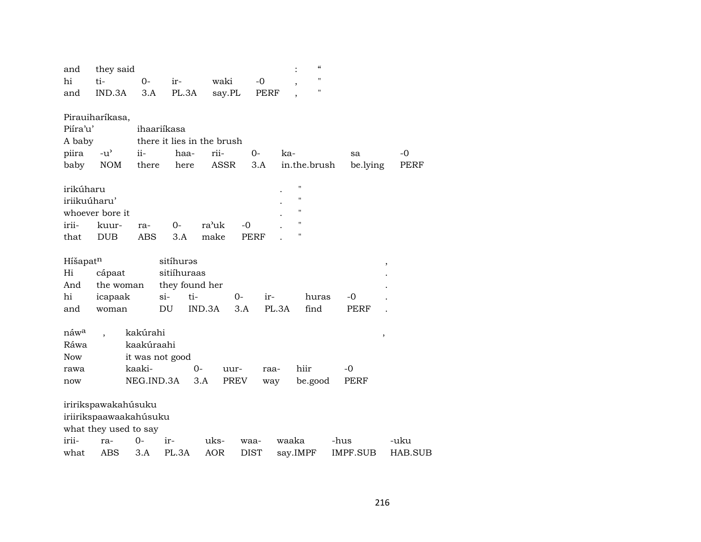| and              | they said              |            |                 |                            |             |                          | $\boldsymbol{\mathcal{C}}$ |          |                     |
|------------------|------------------------|------------|-----------------|----------------------------|-------------|--------------------------|----------------------------|----------|---------------------|
| hi               | ti-                    | $0-$       | ir-             | waki                       | $-0$        | $\overline{\phantom{a}}$ | $^{\prime}$                |          |                     |
| and              | IND.3A                 | 3.A        | PL.3A           | say.PL                     | PERF        |                          | "                          |          |                     |
|                  |                        |            |                 |                            |             |                          |                            |          |                     |
|                  | Pirauiharíkasa,        |            |                 |                            |             |                          |                            |          |                     |
| Piíra'u'         |                        |            | ihaariíkasa     |                            |             |                          |                            |          |                     |
| A baby           |                        |            |                 | there it lies in the brush |             |                          |                            |          |                     |
| piira            | $-u^{\prime}$          | ii-        | haa-            | rii-                       | $O -$       | ka-                      |                            | sa       | -0                  |
| baby             | <b>NOM</b>             | there      | here            | <b>ASSR</b>                | 3.A         |                          | in.the.brush               | be.lying | PERF                |
|                  |                        |            |                 |                            |             |                          |                            |          |                     |
| irikúharu        |                        |            |                 |                            |             |                          | П                          |          |                     |
| iriikuúharu'     |                        |            |                 |                            |             |                          | $\pmb{\mathsf{H}}$         |          |                     |
|                  | whoever bore it        |            |                 |                            |             |                          | $\pmb{\mathsf{H}}$         |          |                     |
| irii-            | kuur-                  | ra-        | $0-$            | ra'uk                      | -0          |                          | $\pmb{\mathsf{H}}$         |          |                     |
| that             | <b>DUB</b>             | <b>ABS</b> | 3.A             | make                       | <b>PERF</b> |                          | "                          |          |                     |
|                  |                        |            |                 |                            |             |                          |                            |          |                     |
| Híšapatn         |                        |            | sitíhuras       |                            |             |                          |                            |          | $\, ,$              |
| Hi               | cápaat                 |            | sitiíhuraas     |                            |             |                          |                            |          |                     |
| And              | the woman              |            | they found her  |                            |             |                          |                            |          |                     |
| hi               | icapaak                |            | si-<br>ti-      |                            | $0-$<br>ir- |                          | huras                      | -0       |                     |
| and              | woman                  |            | DU              | IND.3A                     | 3.A         | PL.3A                    | find                       | PERF     |                     |
| náw <sup>a</sup> |                        | kakúrahi   |                 |                            |             |                          |                            |          |                     |
| Ráwa             |                        | kaakúraahi |                 |                            |             |                          |                            |          | $\pmb{\mathcal{I}}$ |
| <b>Now</b>       |                        |            | it was not good |                            |             |                          |                            |          |                     |
| rawa             |                        | kaaki-     |                 | $0-$<br>uur-               | raa-        |                          | hiir                       | -0       |                     |
| now              |                        | NEG.IND.3A |                 | 3.A<br>PREV                | way         |                          | be.good                    | PERF     |                     |
|                  |                        |            |                 |                            |             |                          |                            |          |                     |
|                  | iririkspawakahúsuku    |            |                 |                            |             |                          |                            |          |                     |
|                  | iriirikspaawaakahúsuku |            |                 |                            |             |                          |                            |          |                     |
|                  | what they used to say  |            |                 |                            |             |                          |                            |          |                     |
| irii-            | ra-                    | $0-$       | ir-             | uks-                       | waa-        | waaka                    |                            | -hus     | -uku                |
| what             | ABS                    | 3.A        | PL.3A           | <b>AOR</b>                 | <b>DIST</b> | say.IMPF                 |                            | IMPF.SUB | HAB.SUB             |
|                  |                        |            |                 |                            |             |                          |                            |          |                     |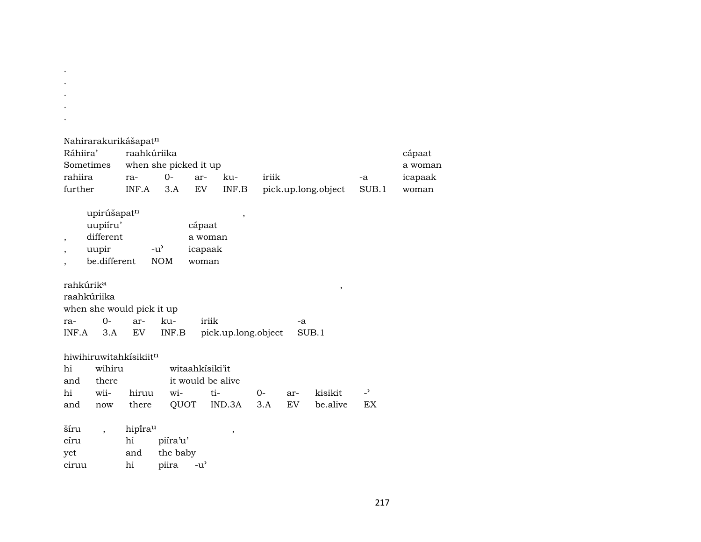| Nahirarakurikášapat <sup>n</sup> |                       |        |       |       |                     |       |         |  |  |  |
|----------------------------------|-----------------------|--------|-------|-------|---------------------|-------|---------|--|--|--|
| Ráhiira'                         | raahkúriika           |        |       |       |                     |       | cápaat  |  |  |  |
| Sometimes                        | when she picked it up |        |       |       |                     |       | a woman |  |  |  |
| rahiira                          | $ra-$                 | $()$ - | $ar-$ | k11-  | iriik               | -a    | icapaak |  |  |  |
| further                          | INF.A                 | 3.A    | EV    | INF.B | pick.up.long.object | SUB.1 | woman   |  |  |  |

| upirúšapatn  |                    |         |  |
|--------------|--------------------|---------|--|
| uupiíru'     |                    | cápaat  |  |
| different    |                    | a woman |  |
| uupir        | $-11$ <sup>2</sup> | icapaak |  |
| be different | NOM.               | woman   |  |
|              |                    |         |  |

. . . . .

| rahkúrik <sup>a</sup>     |  |  |                    |                     |       |  |  |  |  |
|---------------------------|--|--|--------------------|---------------------|-------|--|--|--|--|
| raahkúriika               |  |  |                    |                     |       |  |  |  |  |
| when she would pick it up |  |  |                    |                     |       |  |  |  |  |
| ra- 0- ar- ku-            |  |  |                    | iriik               | -a    |  |  |  |  |
|                           |  |  | INF.A 3.A EV INF.B | pick.up.long.object | SUB.1 |  |  |  |  |

|  | hiwihiruwitahkisikiit <sup>n</sup> |                             |                 |  |  |                                                      |  |  |  |
|--|------------------------------------|-----------------------------|-----------------|--|--|------------------------------------------------------|--|--|--|
|  | hi wihiru                          |                             | witaahkisiki'it |  |  |                                                      |  |  |  |
|  |                                    | and there it would be alive |                 |  |  |                                                      |  |  |  |
|  |                                    |                             |                 |  |  | hi wii- hiruu wi- ti-  0- ar- kisikit - <sup>5</sup> |  |  |  |
|  |                                    |                             |                 |  |  | and now there QUOT IND.3A 3.A EV be.alive EX         |  |  |  |

| šíru  | hipira <sup>u</sup> |              |  |
|-------|---------------------|--------------|--|
| círu  | hi                  | piíra'u'     |  |
| yet   | and                 | the baby     |  |
| ciruu | hi                  | piira<br>-น' |  |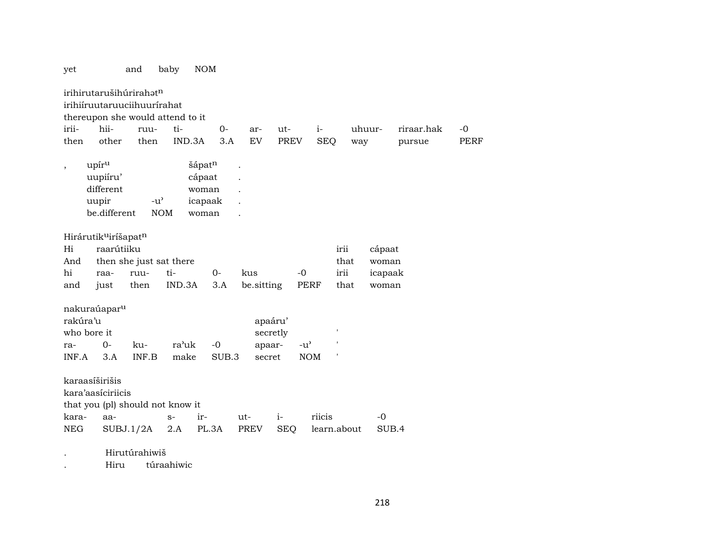yet and baby NOM

irihirutarušihúrirahatn irihiíruutaruuciihuurírahat thereupon she would attend to it irii- hii- ruu- ti- 0- ar- ut- i- uhuur- riraar.hak -0 then other then IND.3A 3.A EV PREV SEQ way pursue PERF , upír<sup>u</sup> šápat<sup>n</sup> . uupiíru' cápaat . different woman . uupir -u' icapaak . be.different NOM woman . Hirárutik<sup>u</sup>iríšapat<sup>n</sup> Hi raarútiiku irii cápaat And then she just sat there that woman hi raa- ruu- ti- 0- kus -0 irii icapaak and just then IND.3A 3.A be.sitting PERF that woman nakuraúapar<sup>u</sup> rakúra'u apaáru' who bore it secretly secretly ra- 0- ku- ra'uk -0 apaar- -u' INF.A 3.A INF.B make SUB.3 secret NOM ' karaasíširišis kara'aasíciriicis that you (pl) should not know it kara- aa- s- ir- ut- i- riicis -0 NEG SUBJ.1/2A 2.A PL.3A PREV SEQ learn.about SUB.4 . Hirutúrahiwiš

. Hiru túraahiwic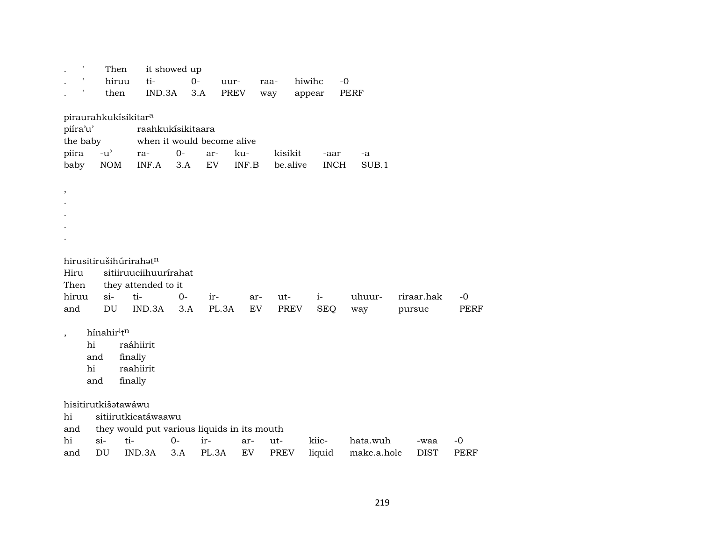| $\mathbf{r}$             | Then                             |                                             | it showed up |                            |             |             |             |             |             |             |
|--------------------------|----------------------------------|---------------------------------------------|--------------|----------------------------|-------------|-------------|-------------|-------------|-------------|-------------|
|                          | hiruu                            | ti-                                         | $0-$         | uur-                       |             | raa-        | hiwihc      | $-0$        |             |             |
|                          | then                             | IND.3A                                      | 3.A          |                            | <b>PREV</b> | way         | appear      | <b>PERF</b> |             |             |
|                          |                                  |                                             |              |                            |             |             |             |             |             |             |
|                          | piraurahkukísikitar <sup>a</sup> |                                             |              |                            |             |             |             |             |             |             |
| piíra'u'                 |                                  | raahkukisikitaara                           |              |                            |             |             |             |             |             |             |
| the baby                 |                                  |                                             |              | when it would become alive |             |             |             |             |             |             |
| piira                    | $-u^{\prime}$                    | ra-                                         | $0-$         | ar-                        | ku-         | kisikit     | -aar        | -a          |             |             |
| baby                     | <b>NOM</b>                       | INF.A                                       | 3.A          | ${\rm EV}$                 | INF.B       | be.alive    | <b>INCH</b> | SUB.1       |             |             |
|                          |                                  |                                             |              |                            |             |             |             |             |             |             |
| ,                        |                                  |                                             |              |                            |             |             |             |             |             |             |
|                          |                                  |                                             |              |                            |             |             |             |             |             |             |
|                          |                                  |                                             |              |                            |             |             |             |             |             |             |
|                          |                                  |                                             |              |                            |             |             |             |             |             |             |
|                          |                                  |                                             |              |                            |             |             |             |             |             |             |
|                          |                                  |                                             |              |                            |             |             |             |             |             |             |
|                          | hirusitirušihúrirahatn           |                                             |              |                            |             |             |             |             |             |             |
| Hiru                     |                                  | sitiiruuciihuurírahat                       |              |                            |             |             |             |             |             |             |
| Then                     |                                  | they attended to it                         |              |                            |             |             |             |             |             |             |
| hiruu                    | $si$ -                           | ti-                                         | $O -$        | ir-                        | ar-         | ut-         | $i-$        | uhuur-      | riraar.hak  | $-0$        |
| and                      | DU                               | IND.3A                                      | 3.A          | PL.3A                      | EV.         | <b>PREV</b> | <b>SEQ</b>  | way         | pursue      | PERF        |
|                          |                                  |                                             |              |                            |             |             |             |             |             |             |
| $\overline{\phantom{a}}$ | hínahiritn                       |                                             |              |                            |             |             |             |             |             |             |
| hi                       |                                  | raáhiirit                                   |              |                            |             |             |             |             |             |             |
|                          | and                              | finally                                     |              |                            |             |             |             |             |             |             |
| hi                       |                                  | raahiirit                                   |              |                            |             |             |             |             |             |             |
|                          | and                              | finally                                     |              |                            |             |             |             |             |             |             |
|                          |                                  |                                             |              |                            |             |             |             |             |             |             |
|                          | hisitirutkišatawáwu              |                                             |              |                            |             |             |             |             |             |             |
| hi                       |                                  | sitiirutkicatáwaawu                         |              |                            |             |             |             |             |             |             |
| and                      |                                  | they would put various liquids in its mouth |              |                            |             |             |             |             |             |             |
| hi                       | ti-<br>$\sin$                    |                                             | $0-$         | ir-                        | ar-         | ut-         | kiic-       | hata.wuh    | -waa        | $-0$        |
| and                      | DU                               | IND.3A                                      | 3.A          | PL.3A                      | EV          | <b>PREV</b> | liquid      | make.a.hole | <b>DIST</b> | <b>PERF</b> |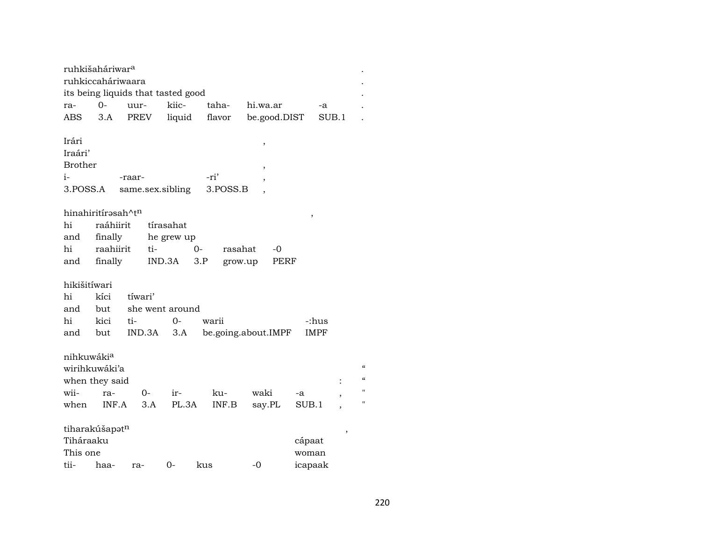| ruhkišaháriwar <sup>a</sup><br>ruhkiccaháriwaara              |              | its being liquids that tasted good |              |                  |                     |                 |                                                                                                              |
|---------------------------------------------------------------|--------------|------------------------------------|--------------|------------------|---------------------|-----------------|--------------------------------------------------------------------------------------------------------------|
| ra-                                                           | $0 -$        | uur-                               | kiic-        | taha-            | hi.wa.ar            | -a              |                                                                                                              |
| ABS                                                           | 3.A          | PREV                               | liquid       | flavor           | be.good.DIST        | SUB.1           |                                                                                                              |
| Irári<br>Iraári'<br><b>Brother</b><br>i-<br>3.POSS.A          |              | -raar-<br>same.sex.sibling         |              | -ri'<br>3.POSS.B | ,<br>,              |                 |                                                                                                              |
| hinahiritírasah^tn                                            |              |                                    |              |                  |                     |                 |                                                                                                              |
| hi                                                            | raáhiirit    |                                    | tírasahat    |                  |                     | ,               |                                                                                                              |
| and                                                           | finally      |                                    | he grew up   |                  |                     |                 |                                                                                                              |
| hi                                                            | raahiirit    | ti-                                |              | $0-$<br>rasahat  | -0                  |                 |                                                                                                              |
| and                                                           | finally      |                                    | IND.3A       | 3.P              | PERF<br>grow.up     |                 |                                                                                                              |
|                                                               |              |                                    |              |                  |                     |                 |                                                                                                              |
| hikišitíwari                                                  |              |                                    |              |                  |                     |                 |                                                                                                              |
| hi                                                            | kíci         | tíwari'                            |              |                  |                     |                 |                                                                                                              |
| and                                                           | but          | she went around                    |              |                  |                     |                 |                                                                                                              |
| hi                                                            | kici         | ti-                                | $0-$         | warii            |                     | -:hus           |                                                                                                              |
| and                                                           | but          | IND.3A                             | 3.A          |                  | be.going.about.IMPF | <b>IMPF</b>     |                                                                                                              |
| nihkuwákia<br>wirihkuwáki'a<br>when they said<br>wii-<br>when | ra-<br>INF.A | 0-<br>3.A                          | ir-<br>PL.3A | ku-<br>INF.B     | waki<br>say.PL      | -a<br>SUB.1     | $\boldsymbol{\zeta}\boldsymbol{\zeta}$<br>$\pmb{\zeta}\pmb{\zeta}$<br>$^{\prime\prime}$<br>$^{\prime\prime}$ |
|                                                               |              |                                    |              |                  |                     |                 |                                                                                                              |
| tiharakúšapatn<br>Tiháraaku<br>This one                       |              |                                    |              |                  |                     | cápaat<br>woman | $\overline{\phantom{a}}$                                                                                     |
| tii-                                                          | haa-         | ra-                                | 0-           | kus              | -0                  | icapaak         |                                                                                                              |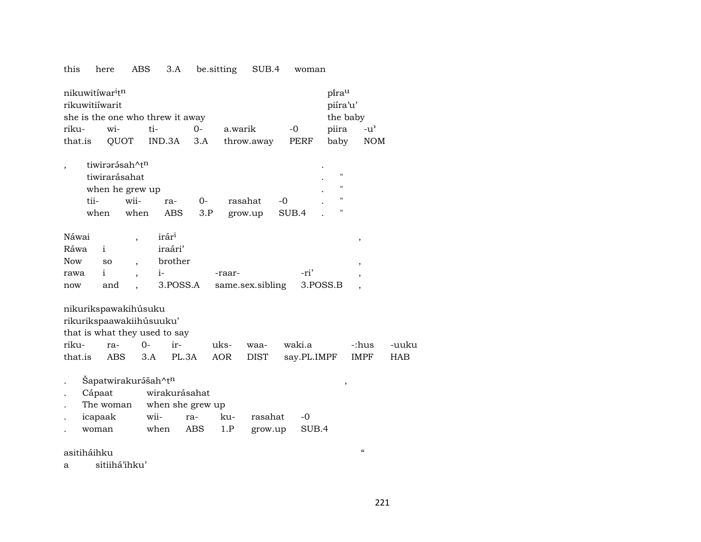## this here ABS 3.A be.sitting SUB.4 woman

| nikuwitíwar <sup>i</sup> t <sup>n</sup> | pi̇̃ra <sup>u</sup> |        |                            |      |           |     |
|-----------------------------------------|---------------------|--------|----------------------------|------|-----------|-----|
| rikuwitiíwarit                          | piíra'u'            |        |                            |      |           |     |
| she is the one who threw it away        | the baby            |        |                            |      |           |     |
| riku- wi-                               | ti-                 | $()$ - | a.warik                    | $-0$ | piira -u' |     |
| that.is                                 |                     |        | QUOT IND.3A 3.A throw.away | PERF | baby      | NOM |

| tiwirərəsah^t <sup>n</sup> |                 |         |    |         |       | ٠ |   |  |
|----------------------------|-----------------|---------|----|---------|-------|---|---|--|
| tiwirarásahat              |                 |         |    |         |       |   | " |  |
|                            | when he grew up |         |    |         |       |   | " |  |
| tii-                       | wii-            | ra-     | () | rasahat | $-0$  |   | " |  |
| when                       | when            | ABS 3.P |    | grow.up | SUB.4 |   |   |  |

| Náwai      |           | irár <sup>1</sup> |                                    |      |  |
|------------|-----------|-------------------|------------------------------------|------|--|
| Ráwa       |           | iraári'           |                                    |      |  |
| <b>Now</b> | <b>SO</b> | brother           |                                    |      |  |
| rawa       |           | $1 -$             | -raar-                             | -ri' |  |
| now        | and       |                   | 3.POSS.A same.sex.sibling 3.POSS.B |      |  |

nikurikspawakihúsuku

rikurikspaawakiihúsuuku'

that is what they used to say

|  |  |  | riku- ra- 0- ir- uks- waa- waki.a  -:hus -uuku      |  |
|--|--|--|-----------------------------------------------------|--|
|  |  |  | that.is ABS 3.A PL.3A AOR DIST say.PL.IMPF IMPF HAB |  |

- . Šapatwirakur<br/><br> šapatwirakurášah^tn $\qquad \qquad ,$
- . Cápaat wirakurásahat
- The woman when she grew up
- . icapaak wii- ra- ku- rasahat -0 . woman when ABS 1.P grow.up SUB.4

asitiháihku "

a sitiihá'ihku'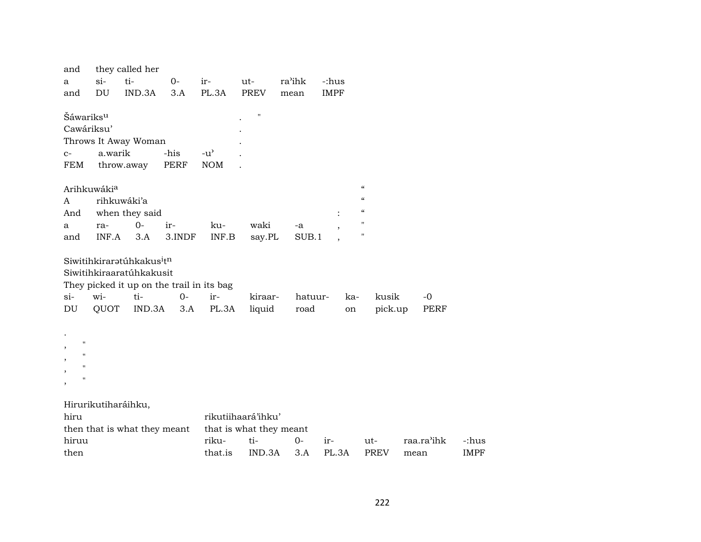| and                                      |         | they called her                                   |                                           |                                     |                         |         |             |                                        |            |             |
|------------------------------------------|---------|---------------------------------------------------|-------------------------------------------|-------------------------------------|-------------------------|---------|-------------|----------------------------------------|------------|-------------|
| a                                        | $si-$   | ti-                                               | $0-$                                      | ir-                                 | $ut-$                   | ra'ihk  | -:hus       |                                        |            |             |
| and                                      | DU      | IND.3A                                            | 3.A                                       | PL.3A                               | <b>PREV</b>             | mean    | <b>IMPF</b> |                                        |            |             |
|                                          |         |                                                   |                                           |                                     |                         |         |             |                                        |            |             |
| Šáwariks <sup>u</sup>                    |         |                                                   |                                           |                                     | $\pmb{\mathsf{H}}$      |         |             |                                        |            |             |
| Cawáriksu'                               |         |                                                   |                                           |                                     |                         |         |             |                                        |            |             |
|                                          |         | Throws It Away Woman                              |                                           |                                     |                         |         |             |                                        |            |             |
| $C-$                                     | a.warik |                                                   | -his                                      | $-u$ <sup><math>\prime</math></sup> |                         |         |             |                                        |            |             |
| FEM                                      |         | throw.away                                        | <b>PERF</b>                               | <b>NOM</b>                          |                         |         |             |                                        |            |             |
|                                          |         |                                                   |                                           |                                     |                         |         |             |                                        |            |             |
| Arihkuwákia                              |         |                                                   |                                           |                                     |                         |         |             | $\boldsymbol{\zeta}\boldsymbol{\zeta}$ |            |             |
| A                                        |         | rihkuwáki'a                                       |                                           |                                     |                         |         |             | $\boldsymbol{\zeta}\boldsymbol{\zeta}$ |            |             |
| And                                      |         | when they said                                    |                                           |                                     |                         |         |             | $\boldsymbol{\zeta}\boldsymbol{\zeta}$ |            |             |
| a                                        | ra-     | $0 -$                                             | ir-                                       | ku-                                 | waki                    | -a      |             | $\pmb{\mathsf{H}}$                     |            |             |
| and                                      | INF.A   | 3.A                                               | 3.INDF                                    | INF.B                               | say.PL                  | SUB.1   |             | $\pmb{\mathsf{H}}$                     |            |             |
|                                          |         |                                                   |                                           |                                     |                         |         |             |                                        |            |             |
|                                          |         | Siwitihkiraratúhkakus <sup>i</sup> t <sup>n</sup> |                                           |                                     |                         |         |             |                                        |            |             |
|                                          |         | Siwitihkiraaratúhkakusit                          |                                           |                                     |                         |         |             |                                        |            |             |
|                                          |         |                                                   | They picked it up on the trail in its bag |                                     |                         |         |             |                                        |            |             |
| $si$ -                                   | wi-     | ti-                                               | $0-$                                      | ir-                                 | kiraar-                 | hatuur- | ka-         | kusik                                  | $-0$       |             |
| DU                                       | QUOT    | IND.3A                                            | 3.A                                       | PL.3A                               | liquid                  | road    | on          | pick.up                                | PERF       |             |
|                                          |         |                                                   |                                           |                                     |                         |         |             |                                        |            |             |
|                                          |         |                                                   |                                           |                                     |                         |         |             |                                        |            |             |
| $\mathbf{H}$<br>$\overline{\phantom{a}}$ |         |                                                   |                                           |                                     |                         |         |             |                                        |            |             |
| $\pmb{\mathsf{H}}$<br>,                  |         |                                                   |                                           |                                     |                         |         |             |                                        |            |             |
| $\pmb{\mathsf{H}}$<br>,                  |         |                                                   |                                           |                                     |                         |         |             |                                        |            |             |
| $\pmb{\mathsf{H}}$<br>$\, ,$             |         |                                                   |                                           |                                     |                         |         |             |                                        |            |             |
|                                          |         |                                                   |                                           |                                     |                         |         |             |                                        |            |             |
| Hirurikutiharáihku,                      |         |                                                   |                                           |                                     |                         |         |             |                                        |            |             |
| hiru                                     |         |                                                   |                                           |                                     | rikutiihaará'ihku'      |         |             |                                        |            |             |
|                                          |         | then that is what they meant                      |                                           |                                     | that is what they meant |         |             |                                        |            |             |
| hiruu                                    |         |                                                   |                                           | riku-                               | ti-                     | $0-$    | ir-         | ut-                                    | raa.ra'ihk | -:hus       |
| then                                     |         |                                                   |                                           | that.is                             | IND.3A                  | 3.A     | PL.3A       | PREV                                   | mean       | <b>IMPF</b> |
|                                          |         |                                                   |                                           |                                     |                         |         |             |                                        |            |             |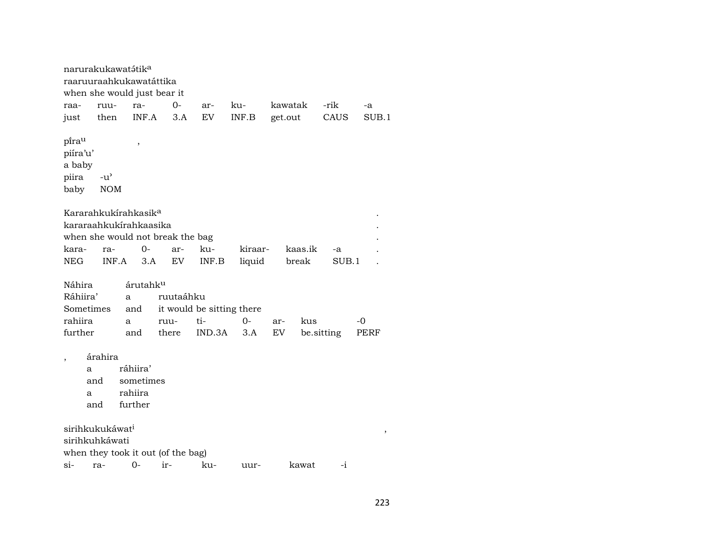narurakukawatátik<sup>a</sup> raaruuraahkukawatáttika when she would just bear it raa- ruu- ra- 0- ar- ku- kawatak -rik -a just then INF.A 3.A EV INF.B get.out CAUS SUB.1  $\mathsf{p} \mathsf{f} \mathsf{r} \mathsf{a}^\mathsf{u}$  , piíra'u' a baby piira -u" baby NOM Kararahkukírahkasik<sup>a</sup> kararaahkukírahkaasika . when she would not break the bag kara- ra- 0- ar- ku- kiraar- kaas.ik -a . NEG INF.A 3.A EV INF.B liquid break SUB.1 . Náhira árutahk<sup>u</sup> Ráhiira' a ruutaáhku Sometimes and it would be sitting there rahiira a ruu- ti- 0- ar- kus -0 further and there IND.3A 3.A EV be.sitting PERF , árahira a ráhiira' and sometimes a rahiira and further sirihkukukáwat³ , sirihkuhkáwati when they took it out (of the bag) si- ra- 0- ir- ku- uur- kawat -i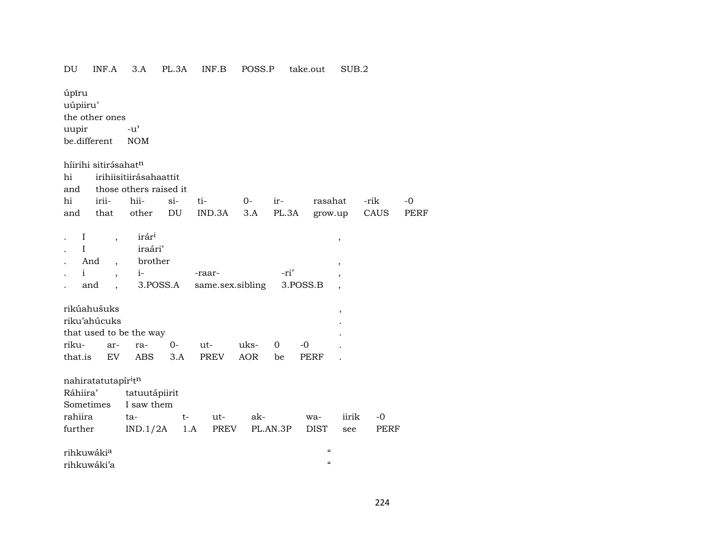## DU INF.A 3.A PL.3A INF.B POSS.P take.out SUB.2

úpīru uúpiiru' the other ones uupir  $-u^{\prime}$ be.different NOM

|                        | híirihi sitirásahat <sup>n</sup> |                         |        |                                    |      |             |                                        |                          |      |      |
|------------------------|----------------------------------|-------------------------|--------|------------------------------------|------|-------------|----------------------------------------|--------------------------|------|------|
| hi                     |                                  | irihiisitiirásahaattit  |        |                                    |      |             |                                        |                          |      |      |
| and                    |                                  | those others raised it  |        |                                    |      |             |                                        |                          |      |      |
| hi                     | irii-                            | hii-                    | $\sin$ | ti-                                | $O-$ | ir-         | rasahat                                |                          | -rik | $-0$ |
| and                    | that                             | other                   | DU     | IND.3A                             | 3.A  |             | PL.3A grow.up                          |                          | CAUS | PERF |
|                        |                                  |                         |        |                                    |      |             |                                        |                          |      |      |
| $\bf{I}$               |                                  | irár <sup>i</sup>       |        |                                    |      |             |                                        |                          |      |      |
|                        | $\overline{ }$                   |                         |        |                                    |      |             |                                        | ,                        |      |      |
| I                      |                                  | iraári'                 |        |                                    |      |             |                                        |                          |      |      |
|                        | And<br>$\overline{ }$ ,          | brother                 |        |                                    |      |             |                                        | $^\mathrm{,}$            |      |      |
| $\mathbf{i}$           | $\overline{ }$ ,                 | $i-$                    |        | -raar-                             |      | -ri'        |                                        | $\overline{\phantom{a}}$ |      |      |
|                        | and<br>$\overline{\phantom{a}}$  |                         |        | 3.POSS.A same.sex.sibling 3.POSS.B |      |             |                                        | $\overline{\phantom{a}}$ |      |      |
|                        |                                  |                         |        |                                    |      |             |                                        |                          |      |      |
|                        | rikúahušuks                      |                         |        |                                    |      |             |                                        | $\,$                     |      |      |
|                        | riku'ahúcuks                     |                         |        |                                    |      |             |                                        |                          |      |      |
|                        |                                  | that used to be the way |        |                                    |      |             |                                        |                          |      |      |
| riku-                  | ar-                              | ra-                     | $0-$   | ut-                                | uks- | $\mathbf 0$ | $-0$                                   |                          |      |      |
| that.is                | EV                               | ABS                     | 3.A    | PREV                               | AOR  | be          | PERF                                   |                          |      |      |
|                        |                                  |                         |        |                                    |      |             |                                        |                          |      |      |
|                        | nahiratatutapír <sup>i</sup> tn  |                         |        |                                    |      |             |                                        |                          |      |      |
| Ráhiira'               |                                  | tatuutápiirit           |        |                                    |      |             |                                        |                          |      |      |
|                        |                                  | Sometimes I saw them    |        |                                    |      |             |                                        |                          |      |      |
| rahiira                |                                  | ta-                     | $t-$   | ut-                                | ak-  |             |                                        | iirik                    | -0   |      |
|                        |                                  |                         |        |                                    |      |             | wa-                                    |                          |      |      |
| further                |                                  | $IND.1/2A$ 1.A          |        | PREV                               |      | PL.AN.3P    | <b>DIST</b>                            | see                      | PERF |      |
|                        |                                  |                         |        |                                    |      |             | $\boldsymbol{\zeta}\boldsymbol{\zeta}$ |                          |      |      |
| rihkuwáki <sup>a</sup> |                                  |                         |        |                                    |      |             |                                        |                          |      |      |
| rihkuwáki'a            |                                  |                         |        |                                    |      |             | $\boldsymbol{\zeta}\boldsymbol{\zeta}$ |                          |      |      |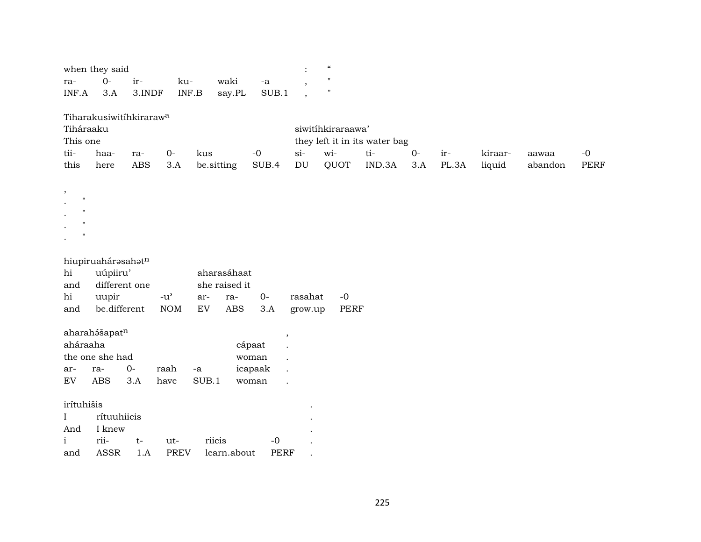| when they said |  |                                            |          |  |    |  |  |  |
|----------------|--|--------------------------------------------|----------|--|----|--|--|--|
| ra- 0- ir-     |  |                                            | ku- waki |  | -a |  |  |  |
|                |  | $INF.A$ 3.A 3. INDF $INF.B$ say. PL SUB. 1 |          |  |    |  |  |  |

Tiharakusiwitíhkiraraw<sup>a</sup>

| Tiháraaku |      |     |      |                                                          |                               | siwitíhkiraraawa' |        |       |          |  |         |         |       |
|-----------|------|-----|------|----------------------------------------------------------|-------------------------------|-------------------|--------|-------|----------|--|---------|---------|-------|
| This one  |      |     |      |                                                          | they left it in its water bag |                   |        |       |          |  |         |         |       |
| tii-      | haa- | ra- | - O- | kus                                                      | $-()$                         | $Si-$             | $W1$ - | $+i-$ | $0-$ ir- |  | kiraar- | aawaa   | $-()$ |
| this      | here |     |      | ABS 3.A be sitting SUB.4 DU QUOT IND.3A 3.A PL.3A liquid |                               |                   |        |       |          |  |         | abandon | PERF  |

|                | п |  |
|----------------|---|--|
|                | п |  |
|                | п |  |
| $\bullet$<br>г |   |  |

, .  $\mathbb{R}^{n\times n}$ 

|  |  | hiupiruahárəsahət <sup>n</sup> |  |
|--|--|--------------------------------|--|
|  |  |                                |  |

| hi uúpiiru'                                  |  | aharasáhaat   |  |  |
|----------------------------------------------|--|---------------|--|--|
| and different one                            |  | she raised it |  |  |
| hi uupir -u' ar- ra- 0- rasahat -0           |  |               |  |  |
| and be.different NOM EV ABS 3.A grow.up PERF |  |               |  |  |

aharah<br/>ášapat $^{\rm n}$  ,  $^{\rm },$ 

| aháraaha |                 |        |      |         | cápaat    |  |
|----------|-----------------|--------|------|---------|-----------|--|
|          | the one she had |        |      |         | woman     |  |
| $ar-$    | ra-             | $()$ - | raah | $-a$    | icapaak . |  |
| EV.      | ABS.            | 3.A    | have | – SUB 1 | woman     |  |

irítuhišis .

| I rítuuhiicis |  |                                    |                |  |
|---------------|--|------------------------------------|----------------|--|
| And I knew    |  |                                    |                |  |
|               |  | i rii- t- ut- riicis               | $\overline{a}$ |  |
|               |  | and ASSR 1.A PREV learn.about PERF |                |  |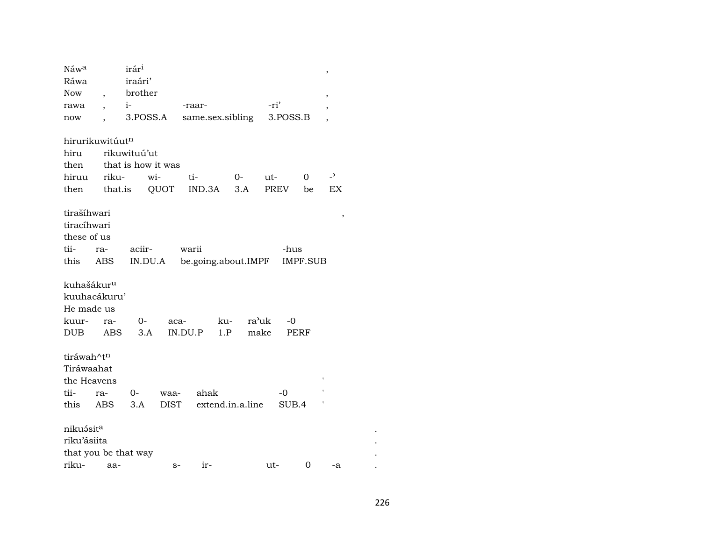| Náwa                   |                          | irár <sup>i</sup>    |             |                     |                  |       |          |                 | $\,$                     |
|------------------------|--------------------------|----------------------|-------------|---------------------|------------------|-------|----------|-----------------|--------------------------|
| Ráwa                   |                          | iraári'              |             |                     |                  |       |          |                 |                          |
| Now                    | $\overline{\phantom{a}}$ | brother              |             |                     |                  |       |          |                 | ,                        |
| rawa                   | $\overline{\phantom{a}}$ | $i-$                 |             | -raar-              |                  |       | -ri'     |                 | ,                        |
| now                    | $\overline{\phantom{a}}$ | 3.POSS.A             |             | same.sex.sibling    |                  |       | 3.POSS.B |                 | $\overline{ }$           |
|                        |                          |                      |             |                     |                  |       |          |                 |                          |
| hirurikuwitúutn        |                          |                      |             |                     |                  |       |          |                 |                          |
| hiru                   |                          | rikuwituú'ut         |             |                     |                  |       |          |                 |                          |
| then                   |                          | that is how it was   |             |                     |                  |       |          |                 |                          |
| hiruu                  | riku-                    | wi-                  |             | ti-                 |                  | 0-    | ut-      | 0               | $\overline{\phantom{0}}$ |
| then                   | that.is                  |                      | QUOT        | IND.3A              |                  | 3.A   | PREV     | be              | EX                       |
|                        |                          |                      |             |                     |                  |       |          |                 |                          |
| tirašíhwari            |                          |                      |             |                     |                  |       |          |                 | ,                        |
| tiracíhwari            |                          |                      |             |                     |                  |       |          |                 |                          |
| these of us            |                          |                      |             |                     |                  |       |          |                 |                          |
| tii-                   | ra-                      | aciir-               |             | warii               |                  |       | -hus     |                 |                          |
| this                   | ABS                      | IN.DU.A              |             | be.going.about.IMPF |                  |       |          | <b>IMPF.SUB</b> |                          |
|                        |                          |                      |             |                     |                  |       |          |                 |                          |
| kuhašákur <sup>u</sup> |                          |                      |             |                     |                  |       |          |                 |                          |
| kuuhacákuru'           |                          |                      |             |                     |                  |       |          |                 |                          |
| He made us             |                          |                      |             |                     |                  |       |          |                 |                          |
| kuur-                  | ra-                      | 0-                   | aca-        |                     | ku-              | ra'uk | -0       |                 |                          |
| DUB                    | ABS                      | 3.A                  |             | IN.DU.P             | 1.P              | make  |          | PERF            |                          |
|                        |                          |                      |             |                     |                  |       |          |                 |                          |
| tiráwah^t <sup>n</sup> |                          |                      |             |                     |                  |       |          |                 |                          |
| Tiráwaahat             |                          |                      |             |                     |                  |       |          |                 |                          |
| the Heavens            |                          |                      |             |                     |                  |       |          |                 | $\mathbf{I}$             |
| tii-                   | ra-                      | 0-                   | waa-        | ahak                |                  |       | -0       |                 |                          |
| this                   | ABS                      | 3.A                  | <b>DIST</b> |                     | extend.in.a.line |       | SUB.4    |                 |                          |
|                        |                          |                      |             |                     |                  |       |          |                 |                          |
| nikuásit <sup>a</sup>  |                          |                      |             |                     |                  |       |          |                 |                          |
| riku'ásiita            |                          |                      |             |                     |                  |       |          |                 |                          |
|                        |                          | that you be that way |             |                     |                  |       |          |                 |                          |
| riku-                  | aa-                      |                      | $S-$        | ir-                 |                  |       | ut-      | 0               | -a                       |

 $\bullet$  $\cdot$ 

 $\cdot$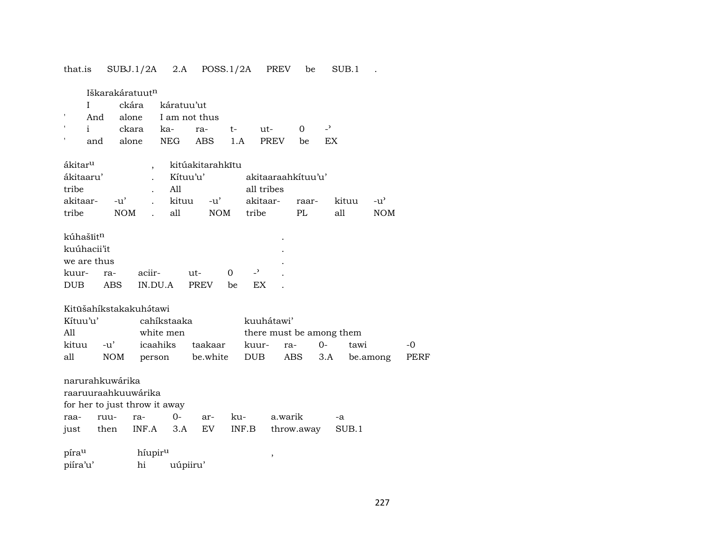that.is SUBJ.1/2A 2.A POSS.1/2A PREV be SUB.1 .

Iškarakáratuut¶

|  | I ckára káratuu'ut               |  |  |  |
|--|----------------------------------|--|--|--|
|  | ' And alone I am not thus        |  |  |  |
|  | ' i ckara ka- ra- t- ut- 0 -'    |  |  |  |
|  | and alone NEG ABS 1.A PREV be EX |  |  |  |

| ákitar <sup>u</sup> |            |          | kitúakitarahkītu |                    |       |       |            |
|---------------------|------------|----------|------------------|--------------------|-------|-------|------------|
| ákitaaru'           |            | Kítuu'u' |                  | akitaaraahkituu'u' |       |       |            |
| tribe               |            | All      |                  | all tribes         |       |       |            |
| akitaar-            | -ນ'        | kituu    | -u'              | akitaar-           | raar- | kituu | $-11'$     |
| tribe               | <b>NOM</b> | all      | <b>NOM</b>       | tribe              | PL.   | all   | <b>NOM</b> |

| kúhašīit <sup>n</sup> |     |         |         |          |     | $\bullet$ |
|-----------------------|-----|---------|---------|----------|-----|-----------|
| kuúhacii'it           |     |         |         |          |     | $\bullet$ |
| we are thus           |     |         |         |          |     | $\bullet$ |
| kuur- ra-             |     | aciir-  | $11t -$ | $\Omega$ |     |           |
| DUB -                 | ABS | IN.DU.A | PREV    | he.      | EX. |           |

Kitūšahíkstakakuh átawi

| Kítuu'u'  |     | cahikstaaka |                                | kuuhátawi'               |  |                                           |       |  |  |
|-----------|-----|-------------|--------------------------------|--------------------------|--|-------------------------------------------|-------|--|--|
| All       |     | white men   |                                | there must be among them |  |                                           |       |  |  |
| kituu -u' |     |             | icaahiks taakaar kuur- ra-  0- |                          |  | tawi                                      | $-()$ |  |  |
| all       | NOM |             |                                |                          |  | person be.white DUB ABS 3.A be.among PERF |       |  |  |

| narurahkuwárika               |  |  |  |  |                                               |    |  |  |  |  |
|-------------------------------|--|--|--|--|-----------------------------------------------|----|--|--|--|--|
| raaruuraahkuuwárika           |  |  |  |  |                                               |    |  |  |  |  |
| for her to just throw it away |  |  |  |  |                                               |    |  |  |  |  |
|                               |  |  |  |  |                                               | -а |  |  |  |  |
|                               |  |  |  |  | just then INF.A 3.A EV INF.B throw.away SUB.1 |    |  |  |  |  |

 $\mathsf{pira}^\mathsf{u}$  ,  $\qquad \qquad$  ,  $\qquad \qquad$ piíra'u' hi uúpiiru'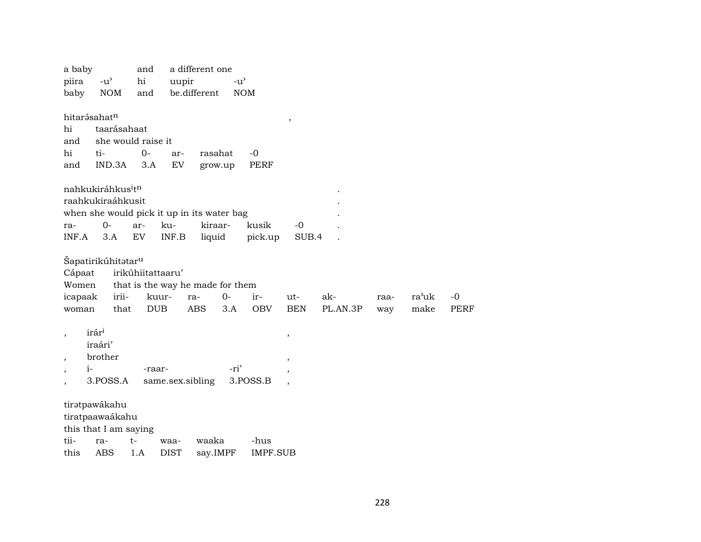| a baby                           |                                            | and                              |                  | a different one |               |                 |                          |          |      |       |             |
|----------------------------------|--------------------------------------------|----------------------------------|------------------|-----------------|---------------|-----------------|--------------------------|----------|------|-------|-------------|
| piira                            | $-u$ <sup><math>\prime</math></sup>        | hi                               | uupir            |                 | $-u^{\prime}$ |                 |                          |          |      |       |             |
| baby                             | <b>NOM</b>                                 | and                              |                  | be.different    | <b>NOM</b>    |                 |                          |          |      |       |             |
|                                  |                                            |                                  |                  |                 |               |                 |                          |          |      |       |             |
| hitarásahat <sup>n</sup>         |                                            |                                  |                  |                 |               |                 | $\, ,$                   |          |      |       |             |
| hi                               | taarásahaat                                |                                  |                  |                 |               |                 |                          |          |      |       |             |
| and                              |                                            | she would raise it               |                  |                 |               |                 |                          |          |      |       |             |
| hi                               | ti-                                        | $0-$                             | ar-              | rasahat         |               | $-0$            |                          |          |      |       |             |
| and                              | IND.3A                                     | 3.A                              | EV               | grow.up         |               | PERF            |                          |          |      |       |             |
|                                  |                                            |                                  |                  |                 |               |                 |                          |          |      |       |             |
|                                  | nahkukiráhkus <sup>i</sup> tn              |                                  |                  |                 |               |                 |                          |          |      |       |             |
|                                  | raahkukiraáhkusit                          |                                  |                  |                 |               |                 |                          |          |      |       |             |
|                                  | when she would pick it up in its water bag |                                  |                  |                 |               |                 |                          |          |      |       |             |
| ra-                              | $O -$                                      | ar-                              | ku-              | kiraar-         |               | kusik           | $-0$                     |          |      |       |             |
| INF.A                            | 3.A                                        | EV                               | INF.B            | liquid          |               | pick.up         | SUB.4                    |          |      |       |             |
|                                  |                                            |                                  |                  |                 |               |                 |                          |          |      |       |             |
|                                  | Šapatirikúhitətar <sup>u</sup>             |                                  |                  |                 |               |                 |                          |          |      |       |             |
| Cápaat                           |                                            | irikúhiitattaaru'                |                  |                 |               |                 |                          |          |      |       |             |
| Women                            |                                            | that is the way he made for them |                  |                 |               |                 |                          |          |      |       |             |
| icapaak                          | irii-                                      | kuur-                            |                  | ra-             | $O -$         | ir-             | ut-                      | ak-      | raa- | ra'uk | $-0$        |
| woman                            | that                                       | <b>DUB</b>                       |                  | <b>ABS</b>      | 3.A           | <b>OBV</b>      | <b>BEN</b>               | PL.AN.3P | way  | make  | <b>PERF</b> |
|                                  |                                            |                                  |                  |                 |               |                 |                          |          |      |       |             |
| $\overline{\phantom{a}}$         | irár <sup>i</sup>                          |                                  |                  |                 |               |                 | $\, ,$                   |          |      |       |             |
|                                  | iraári'                                    |                                  |                  |                 |               |                 |                          |          |      |       |             |
| $\overline{ }$                   | brother                                    |                                  |                  |                 |               |                 | $\cdot$                  |          |      |       |             |
| $i-$<br>$\overline{\phantom{a}}$ |                                            | -raar-                           |                  |                 | -ri'          |                 | $\overline{\phantom{a}}$ |          |      |       |             |
|                                  | 3.POSS.A                                   |                                  | same.sex.sibling |                 |               | 3.POSS.B        |                          |          |      |       |             |
|                                  |                                            |                                  |                  |                 |               |                 |                          |          |      |       |             |
|                                  | tiratpawákahu                              |                                  |                  |                 |               |                 |                          |          |      |       |             |
|                                  | tiratpaawaákahu                            |                                  |                  |                 |               |                 |                          |          |      |       |             |
|                                  | this that I am saying                      |                                  |                  |                 |               |                 |                          |          |      |       |             |
| tii-                             | ra-                                        | t-                               | waa-             | waaka           |               | -hus            |                          |          |      |       |             |
| this                             | ABS                                        | 1.A                              | <b>DIST</b>      | say.IMPF        |               | <b>IMPF.SUB</b> |                          |          |      |       |             |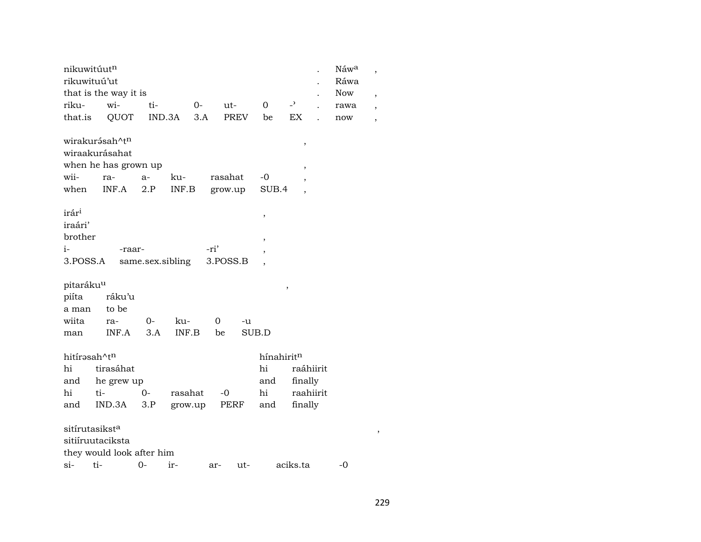| nikuwitúutn              |                            |      |                  |          |       |            |                          | $\ddot{\phantom{0}}$ | Náwa       | $\overline{\phantom{a}}$ |  |
|--------------------------|----------------------------|------|------------------|----------|-------|------------|--------------------------|----------------------|------------|--------------------------|--|
| rikuwituú'ut             |                            |      |                  |          |       |            |                          |                      | Ráwa       |                          |  |
|                          | that is the way it is      |      |                  |          |       |            |                          |                      | <b>Now</b> | $\overline{\phantom{a}}$ |  |
| riku-                    | wi-                        | ti-  | $O -$            |          | ut-   | $\Omega$   | $-2$                     |                      | rawa       | $\overline{\phantom{a}}$ |  |
| that.is                  | QUOT                       |      | IND.3A           | 3.A      | PREV  | be         | EX                       | $\overline{a}$       | now        | $\overline{\phantom{a}}$ |  |
|                          | wirakurásah^tn             |      |                  |          |       |            | $\, ,$                   |                      |            |                          |  |
|                          | wiraakurásahat             |      |                  |          |       |            |                          |                      |            |                          |  |
|                          | when he has grown up       |      |                  |          |       |            | $\overline{\phantom{a}}$ |                      |            |                          |  |
| wii-                     | ra-                        | $a-$ | ku-              | rasahat  |       | -0         | $\overline{\phantom{a}}$ |                      |            |                          |  |
| when                     | INF.A                      | 2.P  | INF.B            | grow.up  |       | SUB.4      |                          |                      |            |                          |  |
|                          |                            |      |                  |          |       |            |                          |                      |            |                          |  |
| irár <sup>i</sup>        |                            |      |                  |          |       | $\, ,$     |                          |                      |            |                          |  |
| iraári'                  |                            |      |                  |          |       |            |                          |                      |            |                          |  |
| brother                  |                            |      |                  |          |       | $\, ,$     |                          |                      |            |                          |  |
| $i-$                     | -raar-                     |      |                  | -ri'     |       | $\, ,$     |                          |                      |            |                          |  |
| 3.POSS.A                 |                            |      | same.sex.sibling | 3.POSS.B |       |            |                          |                      |            |                          |  |
|                          |                            |      |                  |          |       |            |                          |                      |            |                          |  |
| pitaráku <sup>u</sup>    |                            |      |                  |          |       |            | $\, ,$                   |                      |            |                          |  |
| piíta                    | ráku'u                     |      |                  |          |       |            |                          |                      |            |                          |  |
| a man                    | to be                      |      |                  |          |       |            |                          |                      |            |                          |  |
| wiita                    | ra-                        | $0-$ | ku-              | 0        | -u    |            |                          |                      |            |                          |  |
| man                      | INF.A                      | 3.A  | INF.B            | be       |       | SUB.D      |                          |                      |            |                          |  |
|                          |                            |      |                  |          |       |            |                          |                      |            |                          |  |
| hitírasah^t <sup>n</sup> |                            |      |                  |          |       | hínahiritn |                          |                      |            |                          |  |
| hi                       | tirasáhat                  |      |                  |          |       | hi         | raáhiirit                |                      |            |                          |  |
| and                      | he grew up                 |      |                  |          |       | and        | finally                  |                      |            |                          |  |
| hi                       | ti-                        | $0-$ | rasahat          | $-0$     |       | hi         | raahiirit                |                      |            |                          |  |
| and                      | IND.3A                     | 3.P  | grow.up          |          | PERF  | and        | finally                  |                      |            |                          |  |
|                          |                            |      |                  |          |       |            |                          |                      |            |                          |  |
|                          | sitírutasikst <sup>a</sup> |      |                  |          |       |            |                          |                      |            | ,                        |  |
|                          | sitiíruutaciksta           |      |                  |          |       |            |                          |                      |            |                          |  |
|                          | they would look after him  |      |                  |          |       |            |                          |                      |            |                          |  |
| $si-$                    | ti-                        | $0-$ | ir-              | ar-      | $ut-$ |            | aciks.ta                 |                      | $-0$       |                          |  |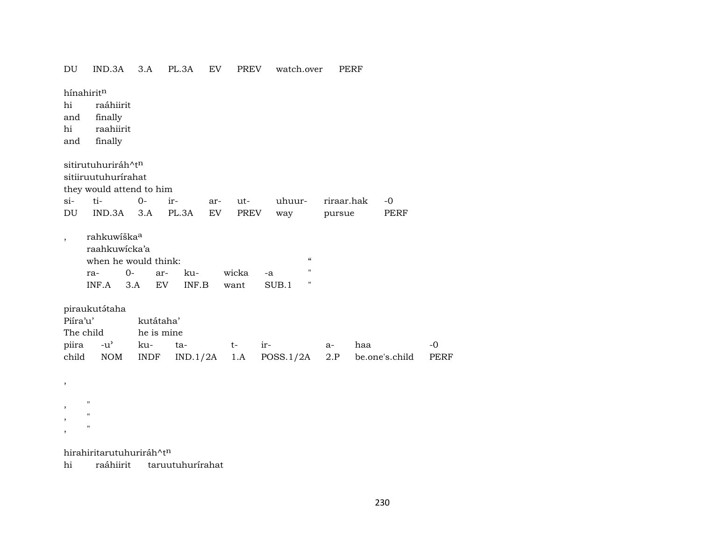| DU             | IND.3A                                                                                   | 3.A              | PL.3A        | EV  | <b>PREV</b>   | watch.over                                          |            | PERF |                |             |  |
|----------------|------------------------------------------------------------------------------------------|------------------|--------------|-----|---------------|-----------------------------------------------------|------------|------|----------------|-------------|--|
| hi             | hínahiritn<br>raáhiirit                                                                  |                  |              |     |               |                                                     |            |      |                |             |  |
| and            | finally                                                                                  |                  |              |     |               |                                                     |            |      |                |             |  |
| hi             | raahiirit                                                                                |                  |              |     |               |                                                     |            |      |                |             |  |
| and            | finally                                                                                  |                  |              |     |               |                                                     |            |      |                |             |  |
|                |                                                                                          |                  |              |     |               |                                                     |            |      |                |             |  |
|                | sitirutuhuriráh^tn                                                                       |                  |              |     |               |                                                     |            |      |                |             |  |
|                | sitiiruutuhurirahat                                                                      |                  |              |     |               |                                                     |            |      |                |             |  |
|                | they would attend to him                                                                 |                  |              |     |               |                                                     |            |      |                |             |  |
| $si$ -         | ti-                                                                                      | $0-$             | ir-          | ar- | ut-           | uhuur-                                              | riraar.hak |      | $-0$           |             |  |
| DU             | IND.3A                                                                                   | 3.A              | PL.3A        | EV  | PREV          | way                                                 | pursue     |      | PERF           |             |  |
| $\overline{ }$ | rahkuwíška <sup>a</sup><br>raahkuwicka'a<br>when he would think:<br>$0-$<br>ra-<br>INF.A | ar-<br>3.A<br>EV | ku-<br>INF.B |     | wicka<br>want | $\boldsymbol{\mathcal{C}}$<br>п<br>-a<br>н<br>SUB.1 |            |      |                |             |  |
|                | piraukutátaha                                                                            |                  |              |     |               |                                                     |            |      |                |             |  |
| Piíra'u'       |                                                                                          | kutátaha'        |              |     |               |                                                     |            |      |                |             |  |
|                | The child                                                                                | he is mine       |              |     |               |                                                     |            |      |                |             |  |
| piira          | $-u^{\prime}$                                                                            | ku-              | ta-          |     | $t-$          | ir-                                                 | $a-$       | haa  |                | $-0$        |  |
| child          | <b>NOM</b>                                                                               | INDF             | IND.1/2A     |     | 1.A           | POSS.1/2A                                           | 2.P        |      | be.one's.child | <b>PERF</b> |  |
|                |                                                                                          |                  |              |     |               |                                                     |            |      |                |             |  |
| $\,$           |                                                                                          |                  |              |     |               |                                                     |            |      |                |             |  |
|                | $\pmb{\mathsf{H}}$                                                                       |                  |              |     |               |                                                     |            |      |                |             |  |
| ,              | $\pmb{\mathsf{H}}$                                                                       |                  |              |     |               |                                                     |            |      |                |             |  |

hirahiritarutuhuriráh $^{\wedge}$ t $^{\text{n}}$ 

, "

hi raáhiirit taruutuhurírahat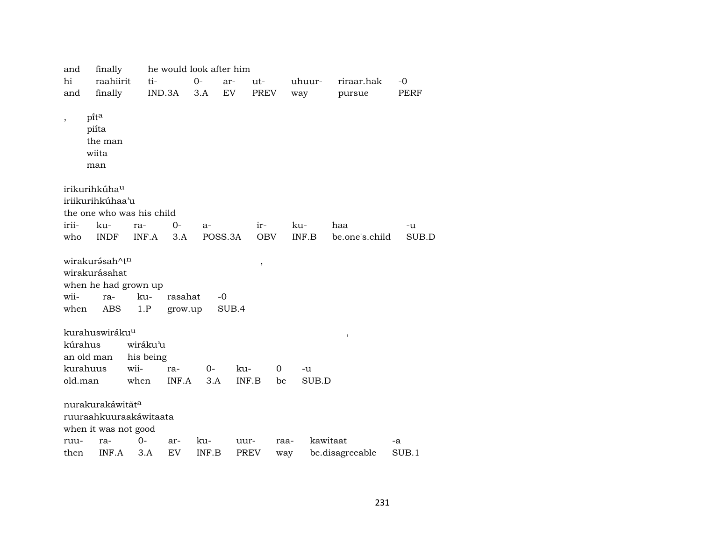| and                      | finally                                                                           |            | he would look after him |       |               |             |          |          |                 |             |  |  |
|--------------------------|-----------------------------------------------------------------------------------|------------|-------------------------|-------|---------------|-------------|----------|----------|-----------------|-------------|--|--|
| hi                       | raahiirit                                                                         | ti-        |                         | $0-$  | ar-           | ut-         |          | uhuur-   | riraar.hak      | $-0$        |  |  |
| and                      | finally                                                                           |            | IND.3A                  | 3.A   | EV            | <b>PREV</b> |          | way      | pursue          | <b>PERF</b> |  |  |
| $\overline{\phantom{a}}$ | pita<br>piíta<br>the man<br>wiita<br>man                                          |            |                         |       |               |             |          |          |                 |             |  |  |
|                          | irikurihkúha <sup>u</sup>                                                         |            |                         |       |               |             |          |          |                 |             |  |  |
|                          | iriikurihkúhaa'u                                                                  |            |                         |       |               |             |          |          |                 |             |  |  |
|                          | the one who was his child                                                         |            |                         |       |               |             |          |          |                 |             |  |  |
| irii-                    | ku-                                                                               | ra-        | $0-$                    | $a-$  |               | ir-         |          | ku-      | haa             | -u          |  |  |
| who                      | <b>INDF</b>                                                                       | INF.A      | 3.A                     |       | POSS.3A       | <b>OBV</b>  |          | INF.B    | be.one's.child  | SUB.D       |  |  |
| wii-<br>when             | wirakurásah^t <sup>n</sup><br>wirakurásahat<br>when he had grown up<br>ra-<br>ABS | ku-<br>1.P | rasahat<br>grow.up      |       | $-0$<br>SUB.4 | $\, ,$      |          |          |                 |             |  |  |
|                          | kurahuswiráku <sup>u</sup>                                                        |            |                         |       |               |             |          |          | $\, ,$          |             |  |  |
| kúrahus                  |                                                                                   | wiráku'u   |                         |       |               |             |          |          |                 |             |  |  |
|                          | an old man                                                                        | his being  |                         |       |               |             |          |          |                 |             |  |  |
|                          | kurahuus                                                                          | wii-       | ra-                     | $O -$ | ku-           |             | $\Omega$ | -u       |                 |             |  |  |
| old.man                  |                                                                                   | when       | INF.A                   | 3.A   | INF.B         |             | be       | SUB.D    |                 |             |  |  |
|                          | nurakurakáwitāta<br>ruuraahkuuraakáwitaata<br>when it was not good                |            |                         |       |               |             |          |          |                 |             |  |  |
| ruu-                     | ra-                                                                               | 0-         | ar-                     | ku-   | uur-          |             | raa-     | kawitaat |                 | -a          |  |  |
| then                     | INF.A                                                                             | 3.A        | EV                      | INF.B | <b>PREV</b>   |             | way      |          | be.disagreeable | SUB.1       |  |  |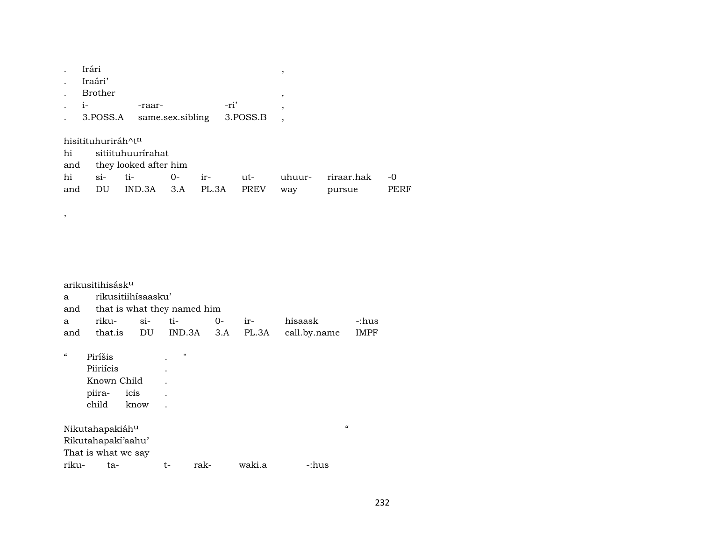|      | Irári              |                       |                  |       |      |             | ,      |            |
|------|--------------------|-----------------------|------------------|-------|------|-------------|--------|------------|
|      | Iraári'            |                       |                  |       |      |             |        |            |
|      | <b>Brother</b>     |                       |                  |       |      |             | ,      |            |
| $1-$ |                    | -raar-                |                  |       | -ri' |             | ,      |            |
|      | 3.POSS.A           |                       | same.sex.sibling |       |      | 3.POSS.B    |        |            |
|      |                    |                       |                  |       |      |             |        |            |
|      | hisitituhuriráh^tn |                       |                  |       |      |             |        |            |
| hi   |                    | sitiituhuurírahat     |                  |       |      |             |        |            |
| and  |                    | they looked after him |                  |       |      |             |        |            |
| hi   | $\sin$             | ti-                   | $0-$             | $ir-$ |      | ut-         | uhuur- | riraar.hak |
| and  | DU                 | IND.3A                | 3.A              | PL.3A |      | <b>PREV</b> | way    | pursue     |

 $\overline{\phantom{a}}$ 

|            | arikusitihisásk <sup>u</sup> |                                 |                |      |     |        |              |                          |             |
|------------|------------------------------|---------------------------------|----------------|------|-----|--------|--------------|--------------------------|-------------|
| a          |                              | rikusitiihisaasku'              |                |      |     |        |              |                          |             |
|            |                              | and that is what they named him |                |      |     |        |              |                          |             |
| a          | riku-                        |                                 | si- ti-        |      | 0-  | ir-    | hisaask      |                          | -:hus       |
| and        | that.is                      |                                 | DU IND.3A      |      | 3.A | PL.3A  | call.by.name |                          | <b>IMPF</b> |
| $\epsilon$ | Piríšis                      |                                 | $\blacksquare$ |      |     |        |              |                          |             |
|            | Piiriícis                    |                                 |                |      |     |        |              |                          |             |
|            | Known Child                  |                                 |                |      |     |        |              |                          |             |
|            | piira-                       | icis                            |                |      |     |        |              |                          |             |
|            | child                        | know                            |                |      |     |        |              |                          |             |
|            | Nikutahapakiáh <sup>u</sup>  |                                 |                |      |     |        |              | $\mathcal{C}\mathcal{C}$ |             |
|            | Rikutahapakí'aahu'           |                                 |                |      |     |        |              |                          |             |
|            | That is what we say          |                                 |                |      |     |        |              |                          |             |
| riku-      | ta-                          |                                 | t-             | rak- |     | waki.a | -:hus        |                          |             |

 $\mbox{-}0$ PERF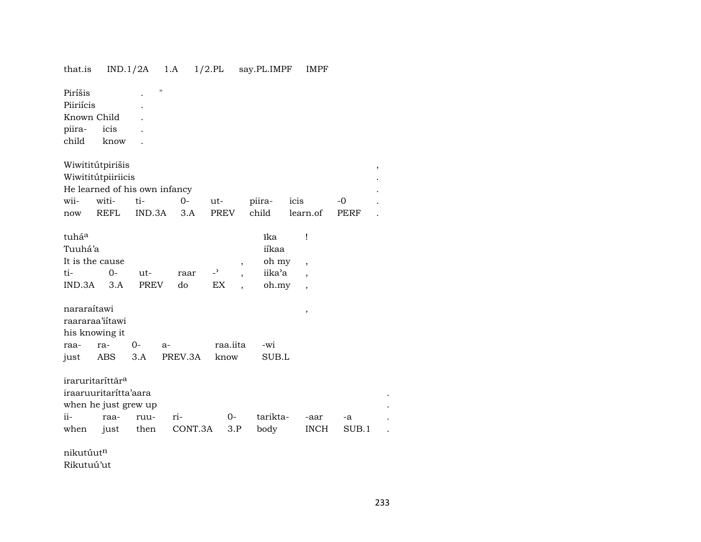## that.is IND.1/2A 1.A 1/2.PL say.PL.IMPF IMPF

| Piríšis     |      | " |  |
|-------------|------|---|--|
| Piiriícis   |      |   |  |
| Known Child |      |   |  |
| piira- icis |      |   |  |
| child       | know |   |  |

| Wiwititútpirišis              |       |                   |  |      |        |          |             |  |  |  |
|-------------------------------|-------|-------------------|--|------|--------|----------|-------------|--|--|--|
| Wiwititútpiiriicis            |       |                   |  |      |        |          |             |  |  |  |
| He learned of his own infancy |       |                   |  |      |        |          |             |  |  |  |
|                               |       | wii- witi- ti- 0- |  | ut-  | piira- | icis     | $-$ ()      |  |  |  |
| now                           | REFL. | IND.3A 3.A        |  | PREV | child  | learn.of | <b>PERF</b> |  |  |  |

|         |                                   |      |     |               | ĩka    |                |  |  |  |
|---------|-----------------------------------|------|-----|---------------|--------|----------------|--|--|--|
| Tuuhá'a |                                   |      |     |               |        |                |  |  |  |
|         |                                   |      |     |               | oh my  |                |  |  |  |
| $()$ -  | $ut-$                             | raar |     |               | iika'a |                |  |  |  |
|         |                                   | do   | EX. |               |        |                |  |  |  |
|         | It is the cause<br>$IND.3A$ $3.A$ | PREV |     | $\rightarrow$ |        | iíkaa<br>oh.my |  |  |  |

| nararaítawi     |                |        |                           |              |       |  |  |  |  |
|-----------------|----------------|--------|---------------------------|--------------|-------|--|--|--|--|
| raararaa'iitawi |                |        |                           |              |       |  |  |  |  |
|                 | his knowing it |        |                           |              |       |  |  |  |  |
|                 | raa- ra-       | $()$ - | $a-$                      | raa.iita -wi |       |  |  |  |  |
|                 |                |        | just ABS 3.A PREV.3A know |              | SUB.L |  |  |  |  |

|               | iraruritaríttár <sup>a</sup> |               |                            |                 |    |  |
|---------------|------------------------------|---------------|----------------------------|-----------------|----|--|
|               | iraaruuritaritta'aara        |               |                            |                 |    |  |
|               | when he just grew up         |               |                            |                 |    |  |
| $\mathbf{ii}$ |                              | raa- ruu- ri- | $\Omega$                   | tarikta- -aar   | -а |  |
|               |                              |               | when just then CONT.3A 3.P | body INCH SUB.1 |    |  |

nikutúutn

Rikutuú'ut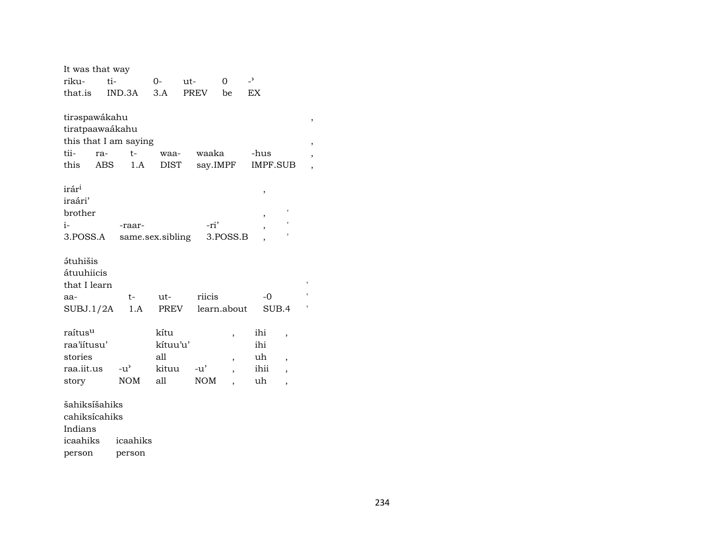| It was that way              |                       |                  |        |                          |                          |                          |   |
|------------------------------|-----------------------|------------------|--------|--------------------------|--------------------------|--------------------------|---|
| riku-                        | ti-                   | 0-               | ut-    | 0                        | $\overline{\phantom{0}}$ |                          |   |
| that.is                      | IND.3A                | 3.A              | PREV   | be                       | EX                       |                          |   |
|                              |                       |                  |        |                          |                          |                          |   |
| tirəspawákahu                |                       |                  |        |                          |                          |                          | , |
| tiratpaawaákahu              |                       |                  |        |                          |                          |                          |   |
|                              | this that I am saying |                  |        |                          |                          |                          |   |
| tii-<br>ra-                  | $t-$                  | waa-             | waaka  |                          | -hus                     |                          | , |
| this                         | ABS<br>1.A            | DIST             |        | say.IMPF                 | <b>IMPF.SUB</b>          |                          | , |
|                              |                       |                  |        |                          |                          |                          |   |
| irár <sup>i</sup><br>iraári' |                       |                  |        |                          | ,                        |                          |   |
| brother                      |                       |                  |        |                          |                          |                          |   |
| i-                           |                       |                  | -ri'   |                          | ,                        |                          |   |
| 3.POSS.A                     | -raar-                |                  |        | 3.POSS.B                 | ,                        |                          |   |
|                              |                       | same.sex.sibling |        |                          |                          |                          |   |
| <i><b>átuhišis</b></i>       |                       |                  |        |                          |                          |                          |   |
| átuuhiicis                   |                       |                  |        |                          |                          |                          |   |
| that I learn                 |                       |                  |        |                          |                          |                          |   |
| aa-                          | t-                    | ut-              | riicis |                          | $-0$                     |                          |   |
| SUBJ.1/2A                    | 1.A                   | PREV             |        | learn.about              | SUB.4                    |                          |   |
|                              |                       |                  |        |                          |                          |                          |   |
| raítus <sup>u</sup>          |                       | kítu             |        | ,                        | ihi                      | $\overline{\phantom{a}}$ |   |
| raa'iitusu'                  |                       | kítuu'u'         |        |                          | ihi                      |                          |   |
| stories                      |                       | all              |        | $\overline{\phantom{a}}$ | uh                       | $\overline{\phantom{a}}$ |   |
| raa.iit.us                   | $-u^{\prime}$         | kituu            | $-u'$  | $\overline{\phantom{a}}$ | ihii                     | $\overline{\phantom{a}}$ |   |
| story                        | <b>NOM</b>            | all              | NOM    |                          | uh                       | $\overline{\phantom{a}}$ |   |
|                              |                       |                  |        |                          |                          |                          |   |
| šahiksíšahiks                |                       |                  |        |                          |                          |                          |   |
| cahiksícahiks                |                       |                  |        |                          |                          |                          |   |
| Indians                      |                       |                  |        |                          |                          |                          |   |
| icaahiks                     | icaahiks              |                  |        |                          |                          |                          |   |

person person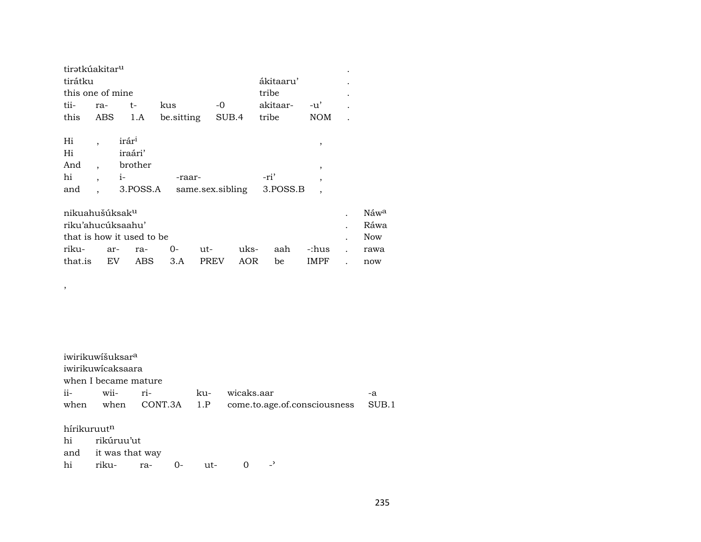| tirətkúakitar <sup>u</sup> |     |                   |            |       |           |                          |           |
|----------------------------|-----|-------------------|------------|-------|-----------|--------------------------|-----------|
| tirátku                    |     |                   |            |       | ákitaaru' |                          |           |
| this one of mine           |     |                   |            |       | tribe     |                          |           |
| tii-                       | ra- | t-                | kus        | -0    | akitaar-  | $-u'$                    | $\bullet$ |
| this                       |     | ABS 1.A           | be sitting | SUB.4 | tribe     | <b>NOM</b>               |           |
|                            |     |                   |            |       |           |                          |           |
| Hi                         |     | irár <sup>i</sup> |            |       |           |                          |           |
| Hi                         |     | iraári'           |            |       |           |                          |           |
| And                        |     | brother           |            |       |           | $\overline{\phantom{a}}$ |           |
| hi                         | ,   | $1-$              | -raar-     |       | -ri'      |                          |           |

| nikuahušúksak <sup>u</sup> |  |                                |  |                | $N$ áw <sup>a</sup> |
|----------------------------|--|--------------------------------|--|----------------|---------------------|
| riku'ahucúksaahu'          |  |                                |  |                | Ráwa                |
| that is how it used to be  |  |                                |  |                | Now \               |
| riku- ar- ra- 0-           |  | $11t-$                         |  | uks- aah -:hus | rawa                |
|                            |  | that is EV ABS 3.A PREV AOR be |  | <b>IMPF</b>    | now                 |

3.POSS.A same.sex.sibling 3.POSS.B ,

|                         | iwirikuwišuksar <sup>a</sup> |              |                                                          |    |
|-------------------------|------------------------------|--------------|----------------------------------------------------------|----|
|                         | iwirikuwicaksaara            |              |                                                          |    |
|                         | when I became mature         |              |                                                          |    |
|                         |                              | ii- wii- ri- | ku- wicaks.aar                                           | -a |
|                         |                              |              | when when CONT.3A 1.P come.to.age.of.consciousness SUB.1 |    |
| hírikuruut <sup>n</sup> |                              |              |                                                          |    |

 $hi$ rikúruu'ut and it was that way  $0-$  ut-  $0$ hi rikura-

and,

 $\overline{\phantom{a}}$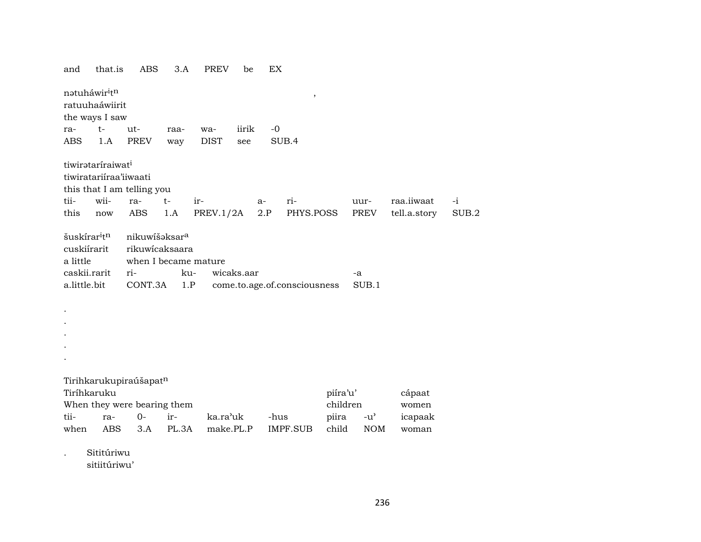| and                                                                                             | that.is                       | ABS                                                                                   | 3.A        | PREV        | be         | EX   |                              |          |               |              |       |
|-------------------------------------------------------------------------------------------------|-------------------------------|---------------------------------------------------------------------------------------|------------|-------------|------------|------|------------------------------|----------|---------------|--------------|-------|
| natuháwir <sup>i</sup> tn<br>ratuuhaáwiirit                                                     | the ways I saw                |                                                                                       |            |             |            |      | $\, ,$                       |          |               |              |       |
| ra-                                                                                             | $t-$                          | ut-                                                                                   | raa-       | wa-         | iirik      | $-0$ |                              |          |               |              |       |
| ABS                                                                                             | 1.A                           | PREV                                                                                  | way        | <b>DIST</b> | see        |      | SUB.4                        |          |               |              |       |
|                                                                                                 | tiwirataríraiwat <sup>i</sup> |                                                                                       |            |             |            |      |                              |          |               |              |       |
|                                                                                                 | tiwiratariiraa'iiwaati        |                                                                                       |            |             |            |      |                              |          |               |              |       |
|                                                                                                 |                               | this that I am telling you                                                            |            |             |            |      |                              |          |               |              |       |
| tii-                                                                                            | wii-                          | ra-                                                                                   | $t-$       | ir-         |            | a-   | ri-                          |          | uur-          | raa.iiwaat   | $-i$  |
| this                                                                                            | now                           | ABS                                                                                   | 1.A        | PREV.1/2A   |            | 2.P  | PHYS.POSS                    |          | PREV          | tell.a.story | SUB.2 |
| šuskírar <sup>i</sup> t <sup>n</sup><br>cuskiírarit<br>a little<br>caskii.rarit<br>a.little.bit |                               | nikuwišaksar <sup>a</sup><br>rikuwicaksaara<br>when I became mature<br>ri-<br>CONT.3A | ku-<br>1.P |             | wicaks.aar |      | come.to.age.of.consciousness |          | -a<br>SUB.1   |              |       |
| Tiríhkaruku                                                                                     |                               | Tirihkarukupiraúšapatn                                                                |            |             |            |      |                              | piíra'u' |               | cápaat       |       |
|                                                                                                 |                               | When they were bearing them                                                           |            |             |            |      |                              | children |               | women        |       |
| tii-                                                                                            | ra-                           | $0-$                                                                                  | ir-        | ka.ra'uk    |            | -hus |                              | piira    | $-u^{\prime}$ | icapaak      |       |
| when                                                                                            | <b>ABS</b>                    | 3.A                                                                                   | PL.3A      | make.PL.P   |            |      | <b>IMPF.SUB</b>              | child    | <b>NOM</b>    | woman        |       |
|                                                                                                 | Sititúriwu                    |                                                                                       |            |             |            |      |                              |          |               |              |       |

sitiitúriwu'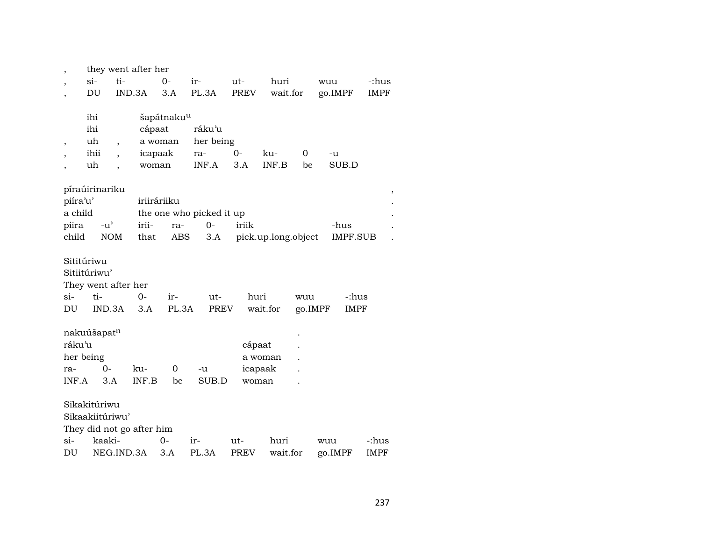|                          |                           |                          | they went after her |                        |                          |             |                     |         |         |                       |
|--------------------------|---------------------------|--------------------------|---------------------|------------------------|--------------------------|-------------|---------------------|---------|---------|-----------------------|
|                          | $\sin$                    | ti-                      |                     | $0-$                   | ir-                      | ut-         | huri                |         | wuu     | -:hus                 |
| $\overline{\phantom{a}}$ | DU                        | IND.3A                   |                     | 3.A                    | PL.3A                    | <b>PREV</b> | wait.for            |         | go.IMPF | <b>IMPF</b>           |
|                          |                           |                          |                     |                        |                          |             |                     |         |         |                       |
|                          | ihi                       |                          |                     | šapátnaku <sup>u</sup> |                          |             |                     |         |         |                       |
|                          | ihi                       |                          | cápaat              |                        | ráku'u                   |             |                     |         |         |                       |
| ,                        | uh                        | $\overline{\phantom{a}}$ | a woman             |                        | her being                |             |                     |         |         |                       |
|                          | ihii                      |                          | icapaak             |                        | ra-                      | 0-          | ku-                 | 0       | -u      |                       |
| $\overline{ }$           | uh                        |                          | woman               |                        | INF.A                    | 3.A         | INF.B               | be      | SUB.D   |                       |
|                          |                           |                          |                     |                        |                          |             |                     |         |         |                       |
|                          | píraúirinariku            |                          |                     |                        |                          |             |                     |         |         | $^\mathrm{^{^\circ}}$ |
| piíra'u'                 |                           |                          | iriiráriiku         |                        |                          |             |                     |         |         |                       |
| a child                  |                           |                          |                     |                        | the one who picked it up |             |                     |         |         |                       |
| piira                    | $-u^{\prime}$             |                          | irii-               | ra-                    | $0-$                     | iriik       |                     |         | -hus    |                       |
| child                    | <b>NOM</b>                |                          | that                | ABS                    | 3.A                      |             | pick.up.long.object |         |         | <b>IMPF.SUB</b>       |
|                          |                           |                          |                     |                        |                          |             |                     |         |         |                       |
|                          | Sititúriwu                |                          |                     |                        |                          |             |                     |         |         |                       |
|                          | Sitiitúriwu'              |                          |                     |                        |                          |             |                     |         |         |                       |
|                          | They went after her       |                          |                     |                        |                          |             |                     |         |         |                       |
| si-                      | ti-                       |                          | 0-                  | ir-                    | ut-                      | huri        |                     | wuu     |         | -:hus                 |
| DU                       | IND.3A                    |                          | 3.A                 | PL.3A                  | <b>PREV</b>              |             | wait.for            | go.IMPF |         | <b>IMPF</b>           |
|                          | nakuúšapatn               |                          |                     |                        |                          |             |                     |         |         |                       |
| ráku'u                   |                           |                          |                     |                        |                          | cápaat      |                     |         |         |                       |
|                          | her being                 |                          |                     |                        |                          |             | a woman             |         |         |                       |
| ra-                      | $0 -$                     |                          | ku-                 | 0                      | -u                       |             | icapaak             |         |         |                       |
| INF.A                    | 3.A                       |                          | INF.B               | be                     | SUB.D                    | woman       |                     |         |         |                       |
|                          |                           |                          |                     |                        |                          |             |                     |         |         |                       |
|                          | Sikakitúriwu              |                          |                     |                        |                          |             |                     |         |         |                       |
|                          | Sikaakiitúriwu'           |                          |                     |                        |                          |             |                     |         |         |                       |
|                          | They did not go after him |                          |                     |                        |                          |             |                     |         |         |                       |
| si-                      | kaaki-                    |                          |                     | $O -$                  | ir-                      | ut-         | huri                |         | wuu     | -:hus                 |
| DU                       |                           | NEG.IND.3A               |                     | 3.A                    | PL.3A                    | <b>PREV</b> | wait.for            |         | go.IMPF | <b>IMPF</b>           |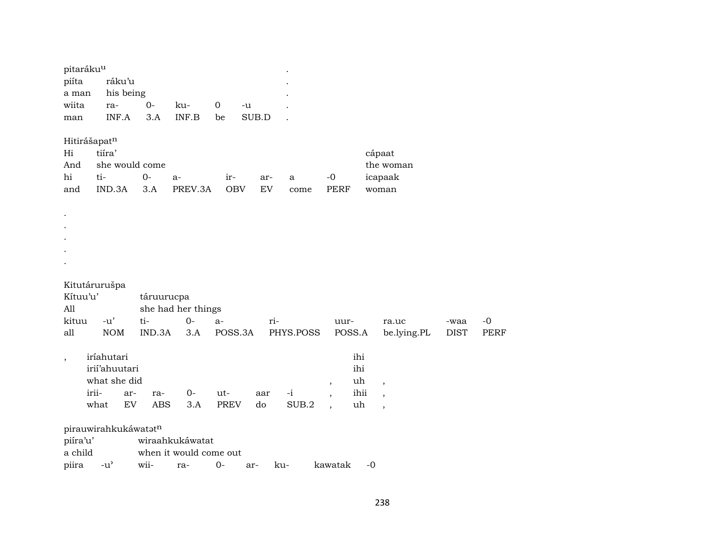| pitaráku <sup>u</sup><br>piíta<br>a man |       | ráku'u<br>his being                 |     |                      |                        |             |       |                            |           |                          |        |                          |             |             |             |
|-----------------------------------------|-------|-------------------------------------|-----|----------------------|------------------------|-------------|-------|----------------------------|-----------|--------------------------|--------|--------------------------|-------------|-------------|-------------|
| wiita                                   |       | ra-                                 |     | $0-$                 | ku-                    | $\mathbf 0$ | -u    |                            |           |                          |        |                          |             |             |             |
| man                                     |       | INF.A                               |     | 3.A                  | INF.B                  | be          | SUB.D |                            |           |                          |        |                          |             |             |             |
| Hitirášapatn                            |       |                                     |     |                      |                        |             |       |                            |           |                          |        |                          |             |             |             |
| Hi                                      |       | tiíra'                              |     |                      |                        |             |       |                            |           |                          |        | cápaat                   |             |             |             |
| And                                     |       |                                     |     | she would come       |                        |             |       |                            |           |                          |        | the woman                |             |             |             |
| hi                                      | ti-   |                                     |     | $0-$                 | a-                     | $ir-$       |       | ar-                        | a         | $-0$                     |        | icapaak                  |             |             |             |
| and                                     |       | IND.3A                              |     | 3.A                  | PREV.3A                | <b>OBV</b>  |       | $\mathop{\rm EV}\nolimits$ | come      | <b>PERF</b>              |        | woman                    |             |             |             |
|                                         |       |                                     |     |                      |                        |             |       |                            |           |                          |        |                          |             |             |             |
|                                         |       |                                     |     |                      |                        |             |       |                            |           |                          |        |                          |             |             |             |
|                                         |       |                                     |     |                      |                        |             |       |                            |           |                          |        |                          |             |             |             |
|                                         |       |                                     |     |                      |                        |             |       |                            |           |                          |        |                          |             |             |             |
|                                         |       |                                     |     |                      |                        |             |       |                            |           |                          |        |                          |             |             |             |
|                                         |       |                                     |     |                      |                        |             |       |                            |           |                          |        |                          |             |             |             |
|                                         |       | Kitutárurušpa                       |     |                      |                        |             |       |                            |           |                          |        |                          |             |             |             |
| Kítuu'u'                                |       |                                     |     | táruurucpa           |                        |             |       |                            |           |                          |        |                          |             |             |             |
| All                                     |       |                                     |     |                      | she had her things     |             |       |                            |           |                          |        |                          |             |             |             |
| kituu                                   |       | $-u'$                               |     | ti-                  | $0-$                   | $a-$        |       | ri-                        |           | uur-                     |        | ra.uc                    |             | -waa        | $-0$        |
| all                                     |       | <b>NOM</b>                          |     | IND.3A               | 3.A                    | POSS.3A     |       |                            | PHYS.POSS |                          | POSS.A |                          | be.lying.PL | <b>DIST</b> | <b>PERF</b> |
|                                         |       | iríahutari                          |     |                      |                        |             |       |                            |           |                          | ihi    |                          |             |             |             |
| $\, ,$                                  |       | irií'ahuutari                       |     |                      |                        |             |       |                            |           |                          | ihi    |                          |             |             |             |
|                                         |       | what she did                        |     |                      |                        |             |       |                            |           | $\, ,$                   | uh     | $\, ,$                   |             |             |             |
|                                         | irii- |                                     | ar- | ra-                  | $0-$                   | ut-         |       | aar                        | $-i$      | $\overline{\phantom{a}}$ | ihii   | $\overline{\phantom{a}}$ |             |             |             |
|                                         | what  |                                     | EV  | ABS                  | 3.A                    | <b>PREV</b> |       | do                         | SUB.2     |                          | uh     | $\overline{\phantom{a}}$ |             |             |             |
|                                         |       |                                     |     | pirauwirahkukáwatatn |                        |             |       |                            |           |                          |        |                          |             |             |             |
| piíra'u'                                |       |                                     |     |                      | wiraahkukáwatat        |             |       |                            |           |                          |        |                          |             |             |             |
| a child                                 |       |                                     |     |                      | when it would come out |             |       |                            |           |                          |        |                          |             |             |             |
| piira                                   |       | $-u$ <sup><math>\prime</math></sup> |     | wii-                 | ra-                    | $0-$        | ar-   |                            | ku-       | kawatak                  |        | $-0$                     |             |             |             |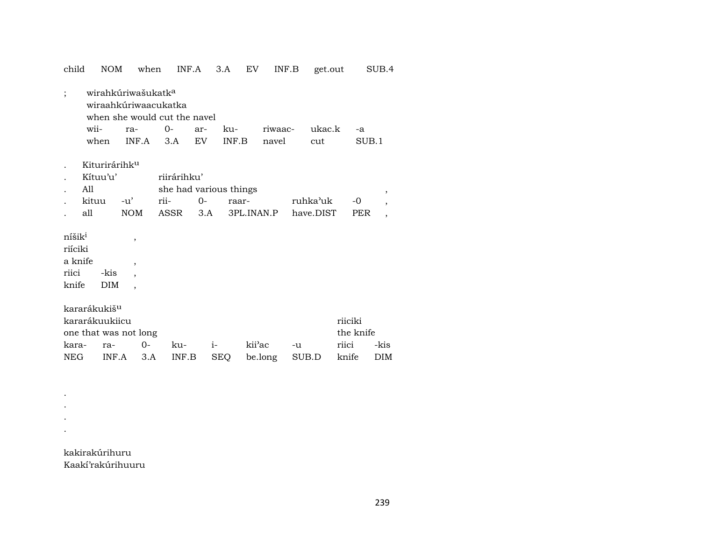| child                                                      | NOM                                                          | when                                                                   |                                                       | INF.A       | 3.A          | EV                | INF.B            |                       | get.out        |                      | SUB.4                                      |
|------------------------------------------------------------|--------------------------------------------------------------|------------------------------------------------------------------------|-------------------------------------------------------|-------------|--------------|-------------------|------------------|-----------------------|----------------|----------------------|--------------------------------------------|
| $\vdots$                                                   | wii-<br>when                                                 | wirahkúriwašukatk <sup>a</sup><br>wiraahkúriwaacukatka<br>ra-<br>INF.A | when she would cut the navel<br>$O -$<br>3.A          | ar-<br>EV   | ku-<br>INF.B |                   | riwaac-<br>navel | cut                   | ukac.k         | $-a$<br>SUB.1        |                                            |
|                                                            | Kiturirárihk <sup>u</sup><br>Kítuu'u'<br>All<br>kituu<br>all | -u'<br>NOM                                                             | riirárihku'<br>she had various things<br>rii-<br>ASSR | $0-$<br>3.A | raar-        |                   | 3PL.INAN.P       | ruhka'uk<br>have.DIST |                | $-0$<br><b>PER</b>   | $\overline{\phantom{a}}$<br>$\overline{ }$ |
| níšik <sup>i</sup><br>riíciki<br>a knife<br>riici<br>knife | -kis<br><b>DIM</b>                                           | $\overline{ }$<br>$\overline{ }$<br>$\overline{\phantom{a}}$           |                                                       |             |              |                   |                  |                       |                |                      |                                            |
| kara-<br><b>NEG</b>                                        | kararákukiš <sup>u</sup><br>kararákuukiicu<br>ra-<br>INF.A   | one that was not long<br>0-<br>3.A                                     | ku-<br>INF.B                                          | $i-$        | <b>SEQ</b>   | kii'ac<br>be.long |                  | -u<br>SUB.D           | riici<br>knife | riiciki<br>the knife | -kis<br>DIM                                |

kakirakúrihuru Kaakí'rakúrihuuru

 $\mathcal{A}^{\text{max}}_{\text{max}}$  . The  $\mathcal{A}^{\text{max}}_{\text{max}}$  $\mathcal{F}_{\text{max}}$  . . .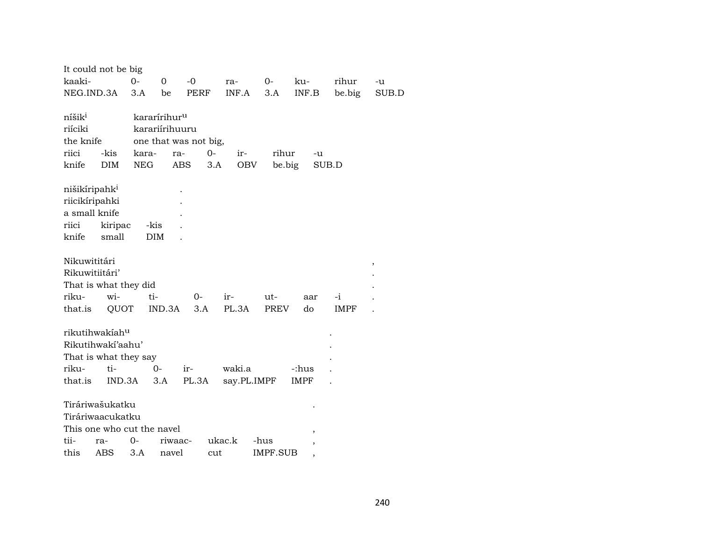|                                 | It could not be big        |            |                          |                       |             |          |             |        |        |
|---------------------------------|----------------------------|------------|--------------------------|-----------------------|-------------|----------|-------------|--------|--------|
| kaaki-                          |                            | $O -$      | 0                        | $-0$                  | ra-         | $0-$     | ku-         | rihur  | -u     |
| NEG.IND.3A                      |                            | 3.A        | be                       | PERF                  | INF.A       | 3.A      | INF.B       | be.big | SUB.D  |
|                                 |                            |            |                          |                       |             |          |             |        |        |
| níšik <sup>i</sup>              |                            |            | kararírihur <sup>u</sup> |                       |             |          |             |        |        |
| riíciki                         |                            |            | karariírihuuru           |                       |             |          |             |        |        |
| the knife                       |                            |            |                          | one that was not big, |             |          |             |        |        |
| riici                           | -kis                       | kara-      | ra-                      | $0-$                  | ir-         | rihur    | -u          |        |        |
| knife                           | <b>DIM</b>                 | <b>NEG</b> | <b>ABS</b>               | 3.A                   | <b>OBV</b>  | be.big   | SUB.D       |        |        |
|                                 |                            |            |                          |                       |             |          |             |        |        |
| nišikíripahk <sup>i</sup>       |                            |            |                          |                       |             |          |             |        |        |
| riicikíripahki<br>a small knife |                            |            |                          |                       |             |          |             |        |        |
|                                 |                            |            |                          |                       |             |          |             |        |        |
| riici                           | kiripac                    | -kis       |                          |                       |             |          |             |        |        |
| knife                           | small                      | <b>DIM</b> |                          |                       |             |          |             |        |        |
| Nikuwititári                    |                            |            |                          |                       |             |          |             |        |        |
| Rikuwitiitári'                  |                            |            |                          |                       |             |          |             |        | $\, ,$ |
|                                 | That is what they did      |            |                          |                       |             |          |             |        |        |
| riku-                           | wi-                        | ti-        |                          | $0-$                  | ir-         | ut-      | aar         | -i     |        |
| that.is                         | QUOT                       |            | IND.3A                   | 3.A                   | PL.3A       | PREV     | do          | IMPF   |        |
|                                 |                            |            |                          |                       |             |          |             |        |        |
|                                 | rikutihwakíah <sup>u</sup> |            |                          |                       |             |          |             |        |        |
|                                 | Rikutihwakí'aahu'          |            |                          |                       |             |          |             |        |        |
|                                 | That is what they say      |            |                          |                       |             |          |             |        |        |
| riku-                           | $ti-$                      |            | $0 -$                    | ir-                   | waki.a      |          | -:hus       |        |        |
| that.is                         | IND.3A                     |            | 3.A                      | PL.3A                 | say.PL.IMPF |          | <b>IMPF</b> |        |        |
|                                 |                            |            |                          |                       |             |          |             |        |        |
|                                 | Tiráriwašukatku            |            |                          |                       |             |          |             |        |        |
|                                 | Tiráriwaacukatku           |            |                          |                       |             |          |             |        |        |
|                                 | This one who cut the navel |            |                          |                       |             |          |             |        |        |
| tii-                            | ra-                        | 0-         | riwaac-                  |                       | ukac.k      | -hus     | ,           |        |        |
| this                            | ABS                        | 3.A        | navel                    | cut                   |             | IMPF.SUB |             |        |        |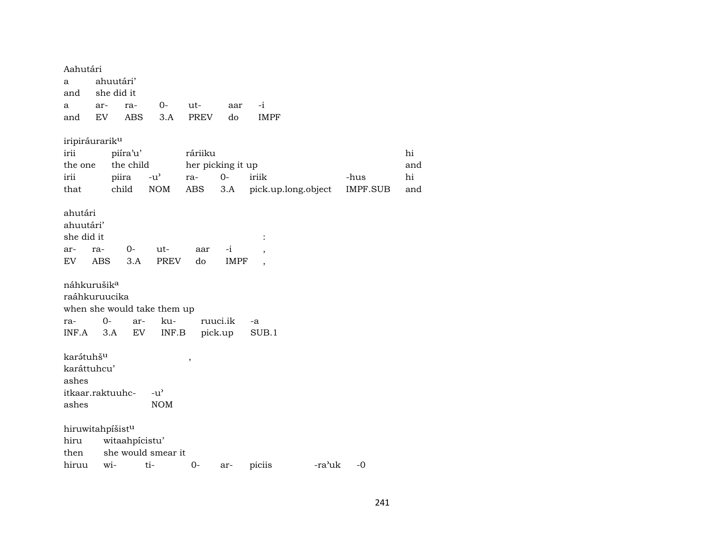Aahutári a ahuutári' and she did it a ar- ra- 0- ut- aar -i and EV ABS 3.A PREV do IMPF iripiráurarikµ irii piíra'u' ráriiku hi the one the child her picking it up and and and irii piira -u' ra- 0- iriik -hus hi that child NOM ABS 3.A pick.up.long.object IMPF.SUB and ahutári ahuutári' she did it  $\qquad \qquad$  : ar- ra- 0- ut- aar -i , EV ABS 3.A PREV do IMPF , náhkurušik<sup>a</sup> raáhkuruucika when she would take them up ra- 0- ar- ku- ruuci.ik -a INF.A 3.A EV INF.B pick.up SUB.1 kar¿tuhšµ , karáttuhcu' ashes itkaar.raktuuhc- -u" ashes NOM hiruwitahpíšist<sup>u</sup> hiru witaahpícistu' then she would smear it hiruu wi- ti- 0- ar- piciis -ra<sup>,</sup>uk -0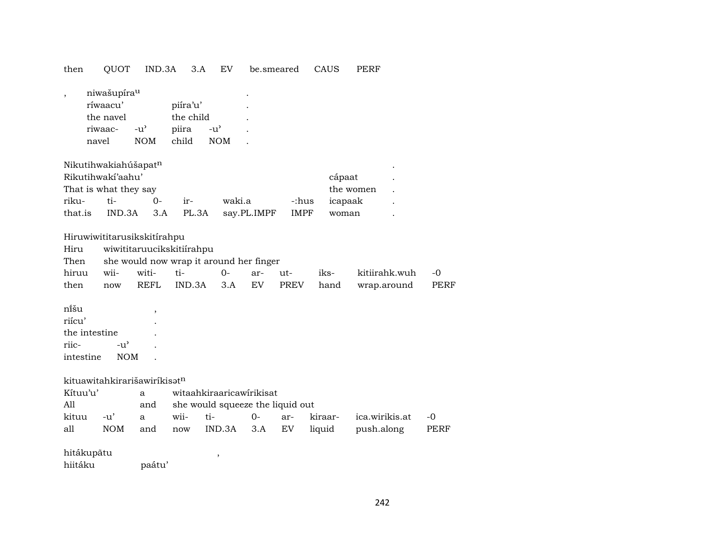| then                                                  |       | QUOT                                                                                | IND.3A                                            | 3.A                                     | EV                                                                  |             | be.smeared           | CAUS                       | PERF                         |              |
|-------------------------------------------------------|-------|-------------------------------------------------------------------------------------|---------------------------------------------------|-----------------------------------------|---------------------------------------------------------------------|-------------|----------------------|----------------------------|------------------------------|--------------|
|                                                       | navel | niwašupíra <sup>u</sup><br>ríwaacu'<br>the navel<br>riwaac-                         | $-u^{\prime}$<br><b>NOM</b>                       | piíra'u'<br>the child<br>piira<br>child | $-u^{\prime}$<br><b>NOM</b>                                         |             |                      |                            |                              |              |
| riku-<br>that.is                                      |       | Nikutihwakiahúšapatn<br>Rikutihwakí'aahu'<br>That is what they say<br>ti-<br>IND.3A | $0-$<br>3.A                                       | ir-<br>PL.3A                            | waki.a                                                              | say.PL.IMPF | -:hus<br><b>IMPF</b> | cápaat<br>icapaak<br>woman | the women                    |              |
| Hiru<br>Then<br>hiruu<br>then                         |       | Hiruwiwititarusikskitírahpu<br>wii-<br>now                                          | wiwititaruucikskitiírahpu<br>witi-<br><b>REFL</b> | ti-<br>IND.3A                           | she would now wrap it around her finger<br>$O -$<br>3.A             | ar-<br>EV   | ut-<br>PREV          | iks-<br>hand               | kitiirahk.wuh<br>wrap.around | $-0$<br>PERF |
| nîšu<br>riícu'<br>the intestine<br>riic-<br>intestine |       | $-u^{\prime}$<br><b>NOM</b>                                                         | $\overline{ }$                                    |                                         |                                                                     |             |                      |                            |                              |              |
| Kítuu'u'<br>All<br>kituu                              |       | kituawitahkirarišawiríkisatn<br>$-u'$                                               | a<br>and<br>a                                     | wii-                                    | witaahkiraaricawirikisat<br>she would squeeze the liquid out<br>ti- | $O -$       | ar-                  | kiraar-                    | ica.wirikis.at               | -0           |
| all                                                   |       | <b>NOM</b>                                                                          | and                                               | now                                     | IND.3A                                                              | 3.A         | EV                   | liquid                     | push.along                   | <b>PERF</b>  |
| hitákupātu<br>hiitáku                                 |       |                                                                                     | paátu'                                            |                                         | $\,$                                                                |             |                      |                            |                              |              |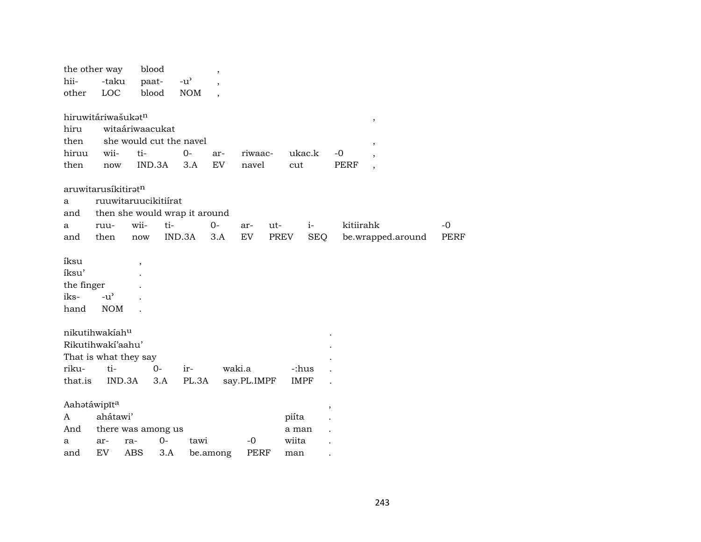|              | the other way                       | blood                   |        |                                     | $^\mathrm{,}$            |             |             |             |                          |             |                          |      |
|--------------|-------------------------------------|-------------------------|--------|-------------------------------------|--------------------------|-------------|-------------|-------------|--------------------------|-------------|--------------------------|------|
| hii-         | -taku                               | paat-                   |        | $-u$ <sup><math>\prime</math></sup> |                          |             |             |             |                          |             |                          |      |
| other        | LOC                                 | blood                   |        | <b>NOM</b>                          | $\overline{\phantom{a}}$ |             |             |             |                          |             |                          |      |
|              | hiruwitáriwašukatn                  |                         |        |                                     |                          |             |             |             |                          |             |                          |      |
| hiru         |                                     | witaáriwaacukat         |        |                                     |                          |             |             |             |                          |             | $\, ,$                   |      |
|              |                                     | she would cut the navel |        |                                     |                          |             |             |             |                          |             |                          |      |
| then         |                                     |                         |        |                                     |                          |             |             |             |                          |             | $\, ,$                   |      |
| hiruu        | wii-                                | ti-                     |        | $0-$                                | ar-                      | riwaac-     |             | ukac.k      |                          | -0          |                          |      |
| then         | now                                 | IND.3A                  |        | 3.A                                 | EV                       | navel       |             | cut         |                          | <b>PERF</b> | $\overline{\phantom{a}}$ |      |
|              | aruwitarusíkitirat <sup>n</sup>     |                         |        |                                     |                          |             |             |             |                          |             |                          |      |
| a            | ruuwitaruucikitiirat                |                         |        |                                     |                          |             |             |             |                          |             |                          |      |
| and          | then she would wrap it around       |                         |        |                                     |                          |             |             |             |                          |             |                          |      |
| a            | ruu-                                | wii-                    | ti-    |                                     | $O -$                    | ar-         | ut-         |             | $i-$                     | kitiirahk   |                          | $-0$ |
| and          | then                                | now                     | IND.3A |                                     | 3.A                      | <b>EV</b>   | <b>PREV</b> |             | <b>SEQ</b>               |             | be.wrapped.around        | PERF |
| íksu         |                                     |                         |        |                                     |                          |             |             |             |                          |             |                          |      |
| íksu'        |                                     |                         |        |                                     |                          |             |             |             |                          |             |                          |      |
|              |                                     |                         |        |                                     |                          |             |             |             |                          |             |                          |      |
| the finger   |                                     |                         |        |                                     |                          |             |             |             |                          |             |                          |      |
| iks-         | $-u$ <sup><math>\prime</math></sup> |                         |        |                                     |                          |             |             |             |                          |             |                          |      |
| hand         | <b>NOM</b>                          |                         |        |                                     |                          |             |             |             |                          |             |                          |      |
|              | nikutihwakiahu                      |                         |        |                                     |                          |             |             |             |                          |             |                          |      |
|              | Rikutihwakí'aahu'                   |                         |        |                                     |                          |             |             |             |                          |             |                          |      |
|              | That is what they say               |                         |        |                                     |                          |             |             |             |                          |             |                          |      |
| riku-        | ti-                                 |                         | $O -$  | ir-                                 | waki.a                   |             |             | -:hus       |                          |             |                          |      |
| that.is      | IND.3A                              |                         | 3.A    | PL.3A                               |                          | say.PL.IMPF |             | <b>IMPF</b> |                          |             |                          |      |
|              |                                     |                         |        |                                     |                          |             |             |             |                          |             |                          |      |
| Aahatáwipīta |                                     |                         |        |                                     |                          |             |             |             | $\overline{\phantom{a}}$ |             |                          |      |
| A            | ahátawi'                            |                         |        |                                     |                          |             |             | piíta       |                          |             |                          |      |
| And          | there was among us                  |                         |        |                                     |                          |             |             | a man       |                          |             |                          |      |
| a            | ar-                                 | ra-                     | $0 -$  | tawi                                |                          | $-0$        |             | wiita       |                          |             |                          |      |
| and          | EV                                  | ABS                     | 3.A    |                                     | be.among                 | <b>PERF</b> |             | man         |                          |             |                          |      |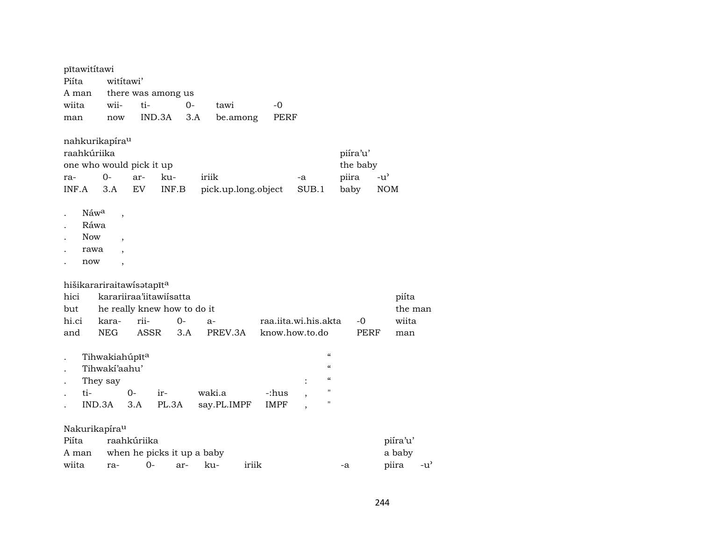| pītawititawi                |                                                                                                          |              |                                                                       |        |                     |       |                      |                                        |                                                                                                |                           |              |                     |                                  |                                     |
|-----------------------------|----------------------------------------------------------------------------------------------------------|--------------|-----------------------------------------------------------------------|--------|---------------------|-------|----------------------|----------------------------------------|------------------------------------------------------------------------------------------------|---------------------------|--------------|---------------------|----------------------------------|-------------------------------------|
| Piíta                       | wititawi'                                                                                                |              |                                                                       |        |                     |       |                      |                                        |                                                                                                |                           |              |                     |                                  |                                     |
| A man                       |                                                                                                          |              | there was among us                                                    |        |                     |       |                      |                                        |                                                                                                |                           |              |                     |                                  |                                     |
| wiita                       | wii-                                                                                                     | ti-          |                                                                       | $0-$   | tawi                |       | $-0$                 |                                        |                                                                                                |                           |              |                     |                                  |                                     |
| man                         | now                                                                                                      |              | IND.3A                                                                | 3.A    | be.among            |       | <b>PERF</b>          |                                        |                                                                                                |                           |              |                     |                                  |                                     |
| raahkúriika<br>ra-<br>INF.A | nahkurikapíra <sup>u</sup><br>one who would pick it up<br>$0-$<br>3.A                                    | ar-<br>EV    | ku-<br>INF.B                                                          | iriik  | pick.up.long.object |       |                      | $-a$<br>SUB.1                          |                                                                                                | piíra'u'<br>piira<br>baby | the baby     | $-u'$<br><b>NOM</b> |                                  |                                     |
| <b>Now</b><br>now           | Náwa<br>$\overline{\phantom{a}}$<br>Ráwa<br>$\overline{\phantom{a}}$<br>rawa<br>$\overline{\phantom{a}}$ |              |                                                                       |        |                     |       |                      |                                        |                                                                                                |                           |              |                     |                                  |                                     |
| hici<br>but<br>hi.ci<br>and | hišikarariraitawisatapīta<br>kara-<br><b>NEG</b>                                                         | rii-<br>ASSR | karariiraa'iitawiisatta<br>he really knew how to do it<br>$0-$<br>3.A | $a-$   | PREV.3A             |       |                      | raa.iita.wi.his.akta<br>know.how.to.do |                                                                                                |                           | $-0$<br>PERF |                     | piíta<br>the man<br>wiita<br>man |                                     |
| ti-                         | Tihwakiahúpīta<br>Tihwaki'aahu'<br>They say<br>IND.3A                                                    | $O -$<br>3.A | ir-<br>PL.3A                                                          | waki.a | say.PL.IMPF         |       | -:hus<br><b>IMPF</b> |                                        | $\epsilon$<br>$\epsilon\epsilon$<br>$\boldsymbol{\zeta}\boldsymbol{\zeta}$<br>п<br>$^{\prime}$ |                           |              |                     |                                  |                                     |
|                             | Nakurikapíra <sup>u</sup>                                                                                |              |                                                                       |        |                     |       |                      |                                        |                                                                                                |                           |              |                     |                                  |                                     |
| Piíta                       |                                                                                                          | raahkúriika  |                                                                       |        |                     |       |                      |                                        |                                                                                                |                           |              |                     | piíra'u'                         |                                     |
| A man                       |                                                                                                          |              | when he picks it up a baby                                            |        |                     |       |                      |                                        |                                                                                                |                           |              |                     | a baby                           |                                     |
| wiita                       | ra-                                                                                                      | $0-$         | ar-                                                                   | ku-    |                     | iriik |                      |                                        |                                                                                                | -a                        |              |                     | piira                            | $-u$ <sup><math>\prime</math></sup> |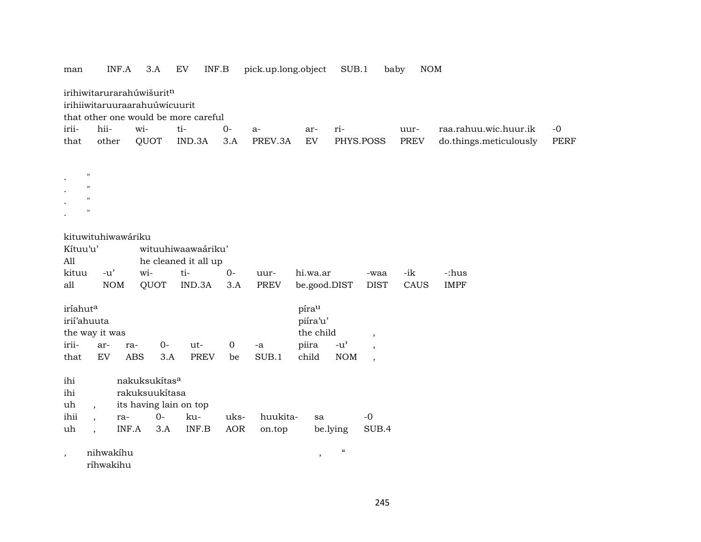| man      |                    | INF.A      | 3.A                                                        | EV<br>INF.B                          |             | pick.up.long.object |              | SUB.1                               | baby                     | NOM         |                        |             |
|----------|--------------------|------------|------------------------------------------------------------|--------------------------------------|-------------|---------------------|--------------|-------------------------------------|--------------------------|-------------|------------------------|-------------|
|          |                    |            | irihiwitarurarahúwišuritn<br>irihiiwitaruuraarahuúwicuurit |                                      |             |                     |              |                                     |                          |             |                        |             |
|          |                    |            |                                                            | that other one would be more careful |             |                     |              |                                     |                          |             |                        |             |
| irii-    | hii-               |            | wi-                                                        | ti-                                  | $0-$        | a-                  | ar-          | ri-                                 |                          | uur-        | raa.rahuu.wic.huur.ik  | $-0$        |
| that     | other              |            | QUOT                                                       | IND.3A                               | 3.A         | PREV.3A             | EV           | PHYS.POSS                           |                          | <b>PREV</b> | do.things.meticulously | <b>PERF</b> |
|          |                    |            |                                                            |                                      |             |                     |              |                                     |                          |             |                        |             |
|          |                    |            |                                                            |                                      |             |                     |              |                                     |                          |             |                        |             |
|          | "                  |            |                                                            |                                      |             |                     |              |                                     |                          |             |                        |             |
|          | $^{\prime}$        |            |                                                            |                                      |             |                     |              |                                     |                          |             |                        |             |
|          | "                  |            |                                                            |                                      |             |                     |              |                                     |                          |             |                        |             |
|          |                    |            |                                                            |                                      |             |                     |              |                                     |                          |             |                        |             |
|          | kituwituhiwawáriku |            |                                                            |                                      |             |                     |              |                                     |                          |             |                        |             |
| Kítuu'u' |                    |            |                                                            | wituuhiwaawaáriku'                   |             |                     |              |                                     |                          |             |                        |             |
| All      |                    |            |                                                            | he cleaned it all up                 |             |                     |              |                                     |                          |             |                        |             |
| kituu    | $-u'$              |            | wi-                                                        | ti-                                  | $0-$        | uur-                | hi.wa.ar     |                                     | -waa                     | -ik         | -:hus                  |             |
| all      |                    | <b>NOM</b> | QUOT                                                       | IND.3A                               | 3.A         | <b>PREV</b>         | be.good.DIST |                                     | <b>DIST</b>              | CAUS        | <b>IMPF</b>            |             |
|          |                    |            |                                                            |                                      |             |                     |              |                                     |                          |             |                        |             |
| iríahuta |                    |            |                                                            |                                      |             |                     | pírau        |                                     |                          |             |                        |             |
|          | irií'ahuuta        |            |                                                            |                                      |             |                     | piíra'u'     |                                     |                          |             |                        |             |
|          | the way it was     |            |                                                            |                                      |             |                     | the child    |                                     | $\overline{\phantom{a}}$ |             |                        |             |
| irii-    | ar-                | ra-        | $0 -$                                                      | ut-                                  | $\mathbf 0$ | -a                  | piira        | $-u$ <sup><math>\prime</math></sup> |                          |             |                        |             |
| that     | EV                 | ABS        | 3.A                                                        | <b>PREV</b>                          | be          | SUB.1               | child        | <b>NOM</b>                          | $\overline{\phantom{a}}$ |             |                        |             |
| ihi      |                    |            | nakuksukítas <sup>a</sup>                                  |                                      |             |                     |              |                                     |                          |             |                        |             |
| ihi      |                    |            | rakuksuukítasa                                             |                                      |             |                     |              |                                     |                          |             |                        |             |
| uh       |                    |            | its having lain on top                                     |                                      |             |                     |              |                                     |                          |             |                        |             |
| ihii     |                    | ra-        | $O -$                                                      | ku-                                  | uks-        | huukita-            | sa           |                                     | $-0$                     |             |                        |             |
| uh       |                    | INF.A      | 3.A                                                        | INF.B                                | <b>AOR</b>  | on.top              |              | be.lying                            | SUB.4                    |             |                        |             |
|          |                    |            |                                                            |                                      |             |                     |              |                                     |                          |             |                        |             |
| $\cdot$  | nihwakihu          |            |                                                            |                                      |             |                     | $\,$         | $\epsilon\epsilon$                  |                          |             |                        |             |
|          | ríhwakihu          |            |                                                            |                                      |             |                     |              |                                     |                          |             |                        |             |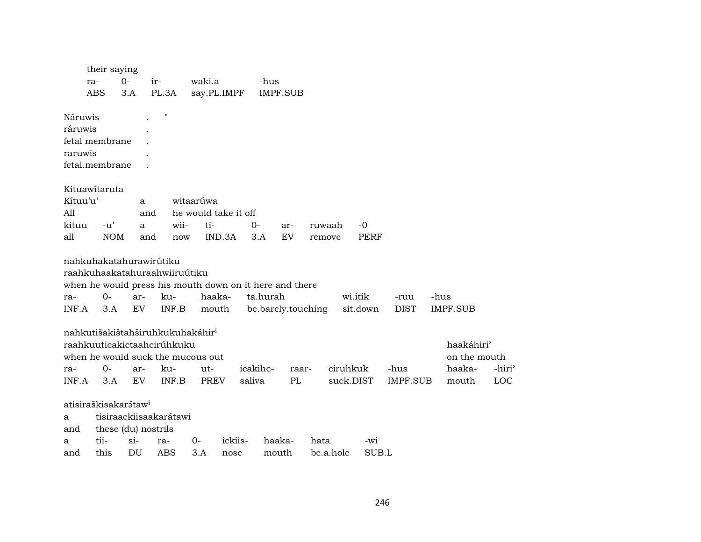|          | their saying                     |        |                                              |       |             |                                                         |                    |          |           |           |             |                 |      |              |        |
|----------|----------------------------------|--------|----------------------------------------------|-------|-------------|---------------------------------------------------------|--------------------|----------|-----------|-----------|-------------|-----------------|------|--------------|--------|
|          | ra-                              | $0-$   | ir-                                          |       | waki.a      |                                                         | -hus               |          |           |           |             |                 |      |              |        |
|          | ABS                              | 3.A    | PL.3A                                        |       | say.PL.IMPF |                                                         |                    | IMPF.SUB |           |           |             |                 |      |              |        |
|          |                                  |        |                                              |       |             |                                                         |                    |          |           |           |             |                 |      |              |        |
| Náruwis  |                                  |        | $\pmb{\mathsf{H}}$                           |       |             |                                                         |                    |          |           |           |             |                 |      |              |        |
| ráruwis  |                                  |        |                                              |       |             |                                                         |                    |          |           |           |             |                 |      |              |        |
|          | fetal membrane                   |        |                                              |       |             |                                                         |                    |          |           |           |             |                 |      |              |        |
| raruwis  |                                  |        |                                              |       |             |                                                         |                    |          |           |           |             |                 |      |              |        |
|          | fetal.membrane                   |        |                                              |       |             |                                                         |                    |          |           |           |             |                 |      |              |        |
|          |                                  |        |                                              |       |             |                                                         |                    |          |           |           |             |                 |      |              |        |
|          | Kituawitaruta                    |        |                                              |       |             |                                                         |                    |          |           |           |             |                 |      |              |        |
| Kítuu'u' |                                  |        | a                                            |       | witaarúwa   |                                                         |                    |          |           |           |             |                 |      |              |        |
| All      |                                  |        | and                                          |       |             | he would take it off                                    |                    |          |           |           |             |                 |      |              |        |
| kituu    | $-u'$                            |        | a                                            | wii-  | ti-         |                                                         | $0-$               | ar-      | ruwaah    |           | $-0$        |                 |      |              |        |
| all      | <b>NOM</b>                       |        | and                                          | now   |             | IND.3A                                                  | 3.A                | EV       | remove    |           | <b>PERF</b> |                 |      |              |        |
|          |                                  |        |                                              |       |             |                                                         |                    |          |           |           |             |                 |      |              |        |
|          |                                  |        | nahkuhakatahurawirútiku                      |       |             |                                                         |                    |          |           |           |             |                 |      |              |        |
|          |                                  |        | raahkuhaakatahuraahwiiruútiku                |       |             |                                                         |                    |          |           |           |             |                 |      |              |        |
|          |                                  |        |                                              |       |             | when he would press his mouth down on it here and there |                    |          |           |           |             |                 |      |              |        |
| ra-      | $O -$                            |        | ar-                                          | ku-   | haaka-      |                                                         | ta.hurah           |          |           |           | wi.itik     | -ruu            | -hus |              |        |
| INF.A    | 3.A                              |        | EV                                           | INF.B | mouth       |                                                         | be.barely.touching |          |           |           | sit.down    | <b>DIST</b>     |      | IMPF.SUB     |        |
|          |                                  |        |                                              |       |             |                                                         |                    |          |           |           |             |                 |      |              |        |
|          |                                  |        | nahkutišakištahširuhkukuhakáhir <sup>i</sup> |       |             |                                                         |                    |          |           |           |             |                 |      |              |        |
|          |                                  |        | raahkuuticakictaahcirúhkuku                  |       |             |                                                         |                    |          |           |           |             |                 |      | haakáhiri'   |        |
|          |                                  |        | when he would suck the mucous out            |       |             |                                                         |                    |          |           |           |             |                 |      | on the mouth |        |
| ra-      | $0-$                             |        | ar-                                          | ku-   | ut-         |                                                         | icakihc-           | raar-    |           | ciruhkuk  |             | -hus            |      | haaka-       | -hiri' |
| INF.A    | 3.A                              |        | EV                                           | INF.B | <b>PREV</b> | saliva                                                  |                    | PL       |           | suck.DIST |             | <b>IMPF.SUB</b> |      | mouth        | LOC    |
|          |                                  |        |                                              |       |             |                                                         |                    |          |           |           |             |                 |      |              |        |
|          | atisiraškisakarátaw <sup>i</sup> |        |                                              |       |             |                                                         |                    |          |           |           |             |                 |      |              |        |
| a        |                                  |        | tisiraackiisaakarátawi                       |       |             |                                                         |                    |          |           |           |             |                 |      |              |        |
| and      |                                  |        | these (du) nostrils                          |       |             |                                                         |                    |          |           |           |             |                 |      |              |        |
| a        | tii-                             | $\sin$ | ra-                                          |       | 0-          | ickiis-                                                 | haaka-             |          | hata      |           | -wi         |                 |      |              |        |
| and      | this                             | DU     | ABS                                          |       | 3.A         | nose                                                    | mouth              |          | be.a.hole |           | SUB.L       |                 |      |              |        |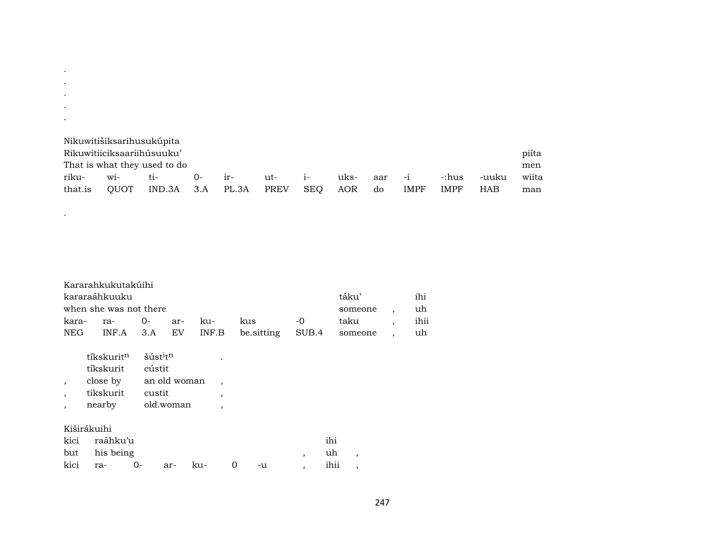|         |                                     | Nikuwitišiksarihusukúpita    |        |       |      |            |      |     |             |             |            |       |
|---------|-------------------------------------|------------------------------|--------|-------|------|------------|------|-----|-------------|-------------|------------|-------|
|         | piíta<br>Rikuwitiiciksaariihúsuuku' |                              |        |       |      |            |      |     |             |             |            |       |
|         |                                     | That is what they used to do |        |       |      |            |      |     |             |             |            | men   |
| riku-   | $W1-$                               | ti-                          | $()$ - | $ir-$ | ut-  | $1 -$      | uks- | aar | $-1$        | -:hus       | -uuku      | wiita |
| that.is | OUOT                                | $IND.3A$ $3.A$               |        | PL.3A | PREV | <b>SEO</b> | AOR  | do  | <b>IMPF</b> | <b>IMPF</b> | <b>HAB</b> | man   |

|               | Kararahkukutakúihi     |  |                                                   |          |      |
|---------------|------------------------|--|---------------------------------------------------|----------|------|
| kararaáhkuuku |                        |  |                                                   | táku'    | ihi  |
|               | when she was not there |  |                                                   | someone, | uh   |
|               |                        |  | kus -0                                            | taku     | ihii |
|               |                        |  | NEG INF.A 3.A EV INF.B be. sitting SUB.4 someone, |          | uh   |

| tíkskurit <sup>n</sup> | šúst <sup>i</sup> t <sup>n</sup> |   |
|------------------------|----------------------------------|---|
| tíkskurit              | cústit                           |   |
| close by               | an old woman                     |   |
| tikskurit              | custit                           | , |
| nearby                 | old.woman                        |   |
|                        |                                  |   |

## Kiširákuihi

. . . . .

.

| kici raáhku'u       |  |                         |             | ihi |  |
|---------------------|--|-------------------------|-------------|-----|--|
| but his being       |  |                         |             | uh, |  |
| kici ra- 0- ar- ku- |  | $\overline{\mathbf{0}}$ | -u , ihii , |     |  |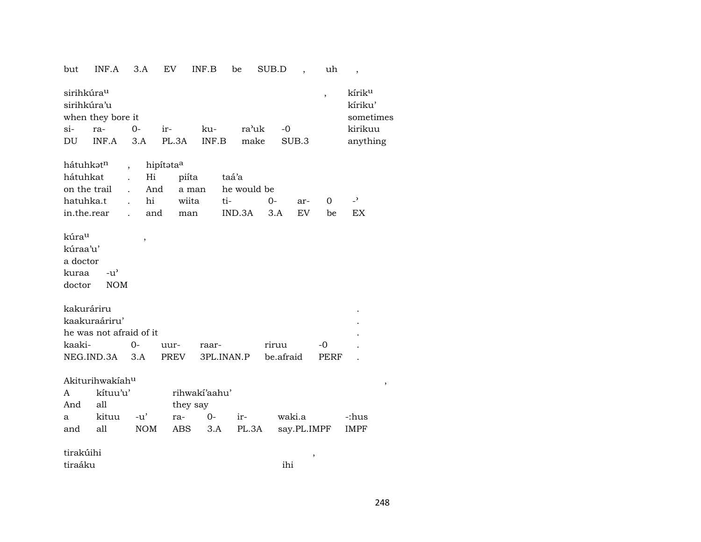but INF.A 3.A EV INF.B be SUB.D , uh ,

|        | sirihkúra <sup>u</sup><br>sirihkúra'u |        |                   |       |       |           | kírik <sup>u</sup><br>kíriku' |
|--------|---------------------------------------|--------|-------------------|-------|-------|-----------|-------------------------------|
|        | when they bore it                     |        |                   |       |       |           | sometimes                     |
| $\sin$ | ra-                                   | $()$ - | $ir-$             | ku-   | ra'uk | $-\Omega$ | kirikuu                       |
| DU     |                                       |        | $INF.A$ 3.A PL.3A | INF.B | make  | SUB.3     | anything                      |

| hátuhkət <sup>n</sup> , hipítəta <sup>a</sup>                 |  |  |  |  |
|---------------------------------------------------------------|--|--|--|--|
| hátuhkat . Hi piíta taá'a                                     |  |  |  |  |
| on the trail                And       a man       he would be |  |  |  |  |
| hatuhka.t . hi wiita ti-    0- ar-   0   - <sup>&gt;</sup>    |  |  |  |  |
| in.the.rear . and man IND.3A 3.A EV be EX                     |  |  |  |  |

kúra<sup>u</sup>, kúraa'u' a doctor kuraa -u"

doctor NOM

| kakuráriru              |    |          |                 |           |       |  |
|-------------------------|----|----------|-----------------|-----------|-------|--|
| kaakuraáriru'           |    |          |                 |           |       |  |
| he was not afraid of it |    |          |                 |           |       |  |
| kaaki-                  | ∩– | $1111r-$ | raar-           | riruu     | $-()$ |  |
| NEG.IND.3A 3.A          |    |          | PREV 3PL.INAN.P | be afraid | PERF  |  |

 $A {\bf k} {\bf i} {\bf t} {\bf u} {\bf n} {\bf k} {\bf i} {\bf k} {\bf n} {\bf k} {\bf n} {\bf k} {\bf n} {\bf k} {\bf n} {\bf k} {\bf n} {\bf k} {\bf n} {\bf k} {\bf n} {\bf k} {\bf n} {\bf k} {\bf n} {\bf k} {\bf n} {\bf k} {\bf n} {\bf k} {\bf n} {\bf k} {\bf n} {\bf k} {\bf n} {\bf k} {\bf n} {\bf k} {\bf n} {\bf k} {\bf n} {\bf k} {\bf n} {\bf k} {\bf n} {\bf k} {\bf n} {\bf k} {\bf n} {\bf k} {\bf n} {\bf k} {\bf n} {\bf k} {\bf n$ 

| A   | kítuu'u'               | rihwaki'aahu' |  |                                    |       |
|-----|------------------------|---------------|--|------------------------------------|-------|
| And | all                    | they say      |  |                                    |       |
|     | a kituu -u' ra- 0- ir- |               |  | waki.a                             | -:hus |
| and | all                    |               |  | NOM ABS 3.A PL.3A say.PL.IMPF IMPF |       |

tirakúihi ,

tiraáku ihi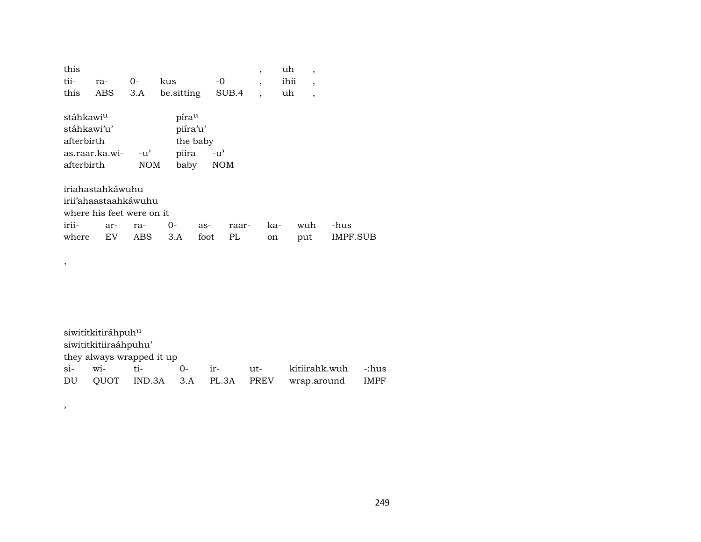| this<br>tii-<br>this                                             | ra-<br>ABS                                                                         | $O -$<br>3.A               | kus<br>be sitting                  | -0                        | SUB.4       | $\overline{\phantom{a}}$<br>$\overline{\phantom{a}}$<br>$\overline{\phantom{a}}$ | uh<br>ihii<br>uh | ,<br>$\overline{ }$<br>$\overline{ }$ |                  |
|------------------------------------------------------------------|------------------------------------------------------------------------------------|----------------------------|------------------------------------|---------------------------|-------------|----------------------------------------------------------------------------------|------------------|---------------------------------------|------------------|
| stáhkawi <sup>u</sup><br>stáhkawi'u'<br>afterbirth<br>afterbirth | as.raar.ka.wi-                                                                     | $-u^{\flat}$<br><b>NOM</b> | pírau<br>piíra'u'<br>piira<br>baby | the baby<br>$-u^{\prime}$ | <b>NOM</b>  |                                                                                  |                  |                                       |                  |
| irii-<br>where                                                   | iriahastahkáwuhu<br>irii'ahaastaahkáwuhu<br>where his feet were on it<br>ar-<br>EV | ra-<br>ABS                 | 0-<br>3.A                          | as-<br>foot               | raar-<br>PL | on                                                                               | ka-              | wuh<br>put                            | -hus<br>IMPF.SUB |

,

,

siwitítkitiráhpuh<br/> $\rm ^u$ siwititkitiiraáhpuhu' they always wrapped it up<br>si- wi-<br>ti-<br>0ir- ut- kitiirahk.wuh -:hus<br>PL.3A PREV wrap.around IMPF DU QUOT IND.3A 3.A PL.3A PREV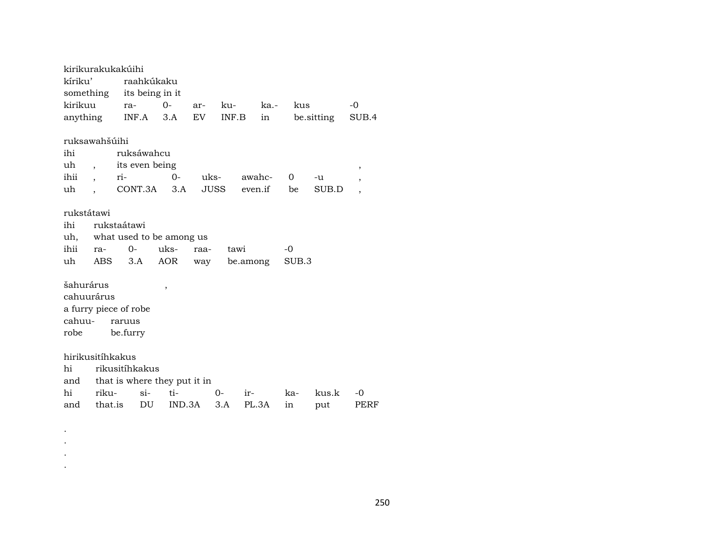kirikurakukakúihi kíriku' raahkúkaku something its being in it kirikuu ra- 0- ar- ku- ka.- kus -0 anything INF.A 3.A EV INF.B in be.sitting SUB.4 ruksawahšúihi ihi ruksáwahcu uh , its even being , ihii , ri- 0- uks- awahc- 0 -u , uh , CONT.3A 3.A JUSS even.if be SUB.D , rukstátawi ihi rukstaátawi uh, what used to be among us ihii ra- 0- uks- raa- tawi -0 uh ABS 3.A AOR way be.among SUB.3 šahurárus , cahuurárus a furry piece of robe cahuu- raruus robe be.furry hirikusitíhkakus hi rikusitíhkakus and that is where they put it in hi riku- si- ti- 0- ir- ka- kus.k -0 and that.is DU IND.3A 3.A PL.3A in put PERF

. . . .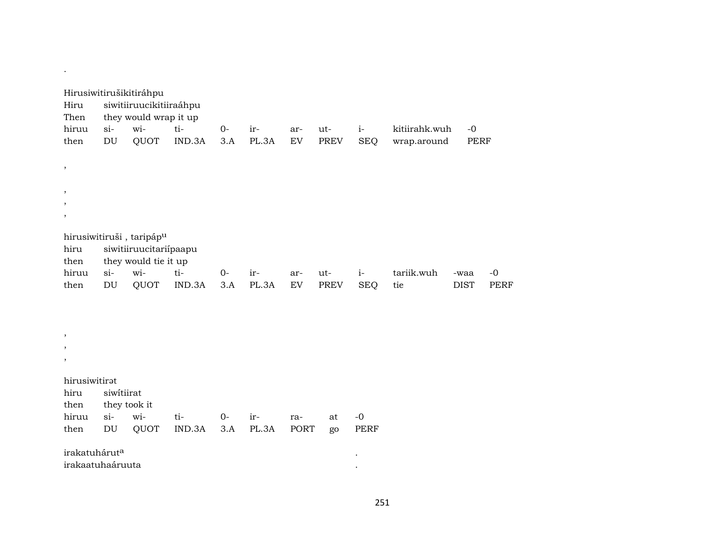| Hiru<br>Then<br>hiruu<br>then                 | $si-$<br>$\mathop{\rm DU}\nolimits$  | Hirusiwitirušikitiráhpu<br>siwitiiruucikitiiraáhpu<br>they would wrap it up<br>wi-<br>QUOT | ti-<br>IND.3A | $0-$<br>3.A | ir-<br>PL.3A | ar-<br>${\rm EV}$ | ut-<br>PREV | $i-$<br><b>SEQ</b>  | kitiirahk.wuh<br>wrap.around | $-0$<br>PERF        |                     |
|-----------------------------------------------|--------------------------------------|--------------------------------------------------------------------------------------------|---------------|-------------|--------------|-------------------|-------------|---------------------|------------------------------|---------------------|---------------------|
| $\pmb{\mathcal{I}}$                           |                                      |                                                                                            |               |             |              |                   |             |                     |                              |                     |                     |
| ,<br>,<br>,                                   |                                      |                                                                                            |               |             |              |                   |             |                     |                              |                     |                     |
| hiru<br>then                                  |                                      | hirusiwitiruši, taripáp <sup>u</sup><br>siwitiiruucitariipaapu<br>they would tie it up     |               |             |              |                   |             |                     |                              |                     |                     |
| hiruu<br>then                                 | $si$ -<br>$\mathop{\rm DU}\nolimits$ | wi-<br>QUOT                                                                                | ti-<br>IND.3A | $0-$<br>3.A | ir-<br>PL.3A | ar-<br>${\rm EV}$ | ut-<br>PREV | $i-$<br><b>SEQ</b>  | tariik.wuh<br>tie            | -waa<br><b>DIST</b> | $-0$<br><b>PERF</b> |
|                                               |                                      |                                                                                            |               |             |              |                   |             |                     |                              |                     |                     |
| ,<br>,<br>,                                   |                                      |                                                                                            |               |             |              |                   |             |                     |                              |                     |                     |
| hirusiwitirat<br>hiru<br>then                 | siwitiirat                           | they took it                                                                               |               |             |              |                   |             |                     |                              |                     |                     |
| hiruu<br>then                                 | $si-$<br>$\mathop{\rm DU}\nolimits$  | wi-<br>QUOT                                                                                | ti-<br>IND.3A | $0-$<br>3.A | ir-<br>PL.3A | ra-<br>PORT       | at<br>go    | $-0$<br><b>PERF</b> |                              |                     |                     |
| irakatuhárut <sup>a</sup><br>irakaatuhaáruuta |                                      |                                                                                            |               |             |              |                   |             |                     |                              |                     |                     |

.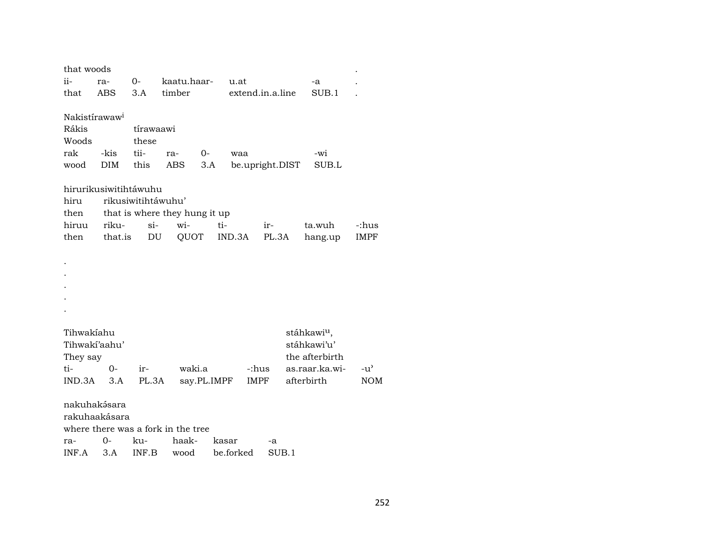| that woods                   |                                       |                     |                                    |             |        |                  |                         |               |  |
|------------------------------|---------------------------------------|---------------------|------------------------------------|-------------|--------|------------------|-------------------------|---------------|--|
| ii-                          | ra-                                   | 0- kaatu.haar- u.at |                                    |             |        |                  | -a                      |               |  |
| that                         | ABS                                   |                     | 3.A timber                         |             |        | extend.in.a.line | SUB.1                   |               |  |
|                              |                                       |                     |                                    |             |        |                  |                         |               |  |
| Nakistírawaw <sup>i</sup>    |                                       |                     |                                    |             |        |                  |                         |               |  |
| Rákis                        |                                       | tírawaawi           |                                    |             |        |                  |                         |               |  |
| Woods                        |                                       | these               |                                    |             |        |                  |                         |               |  |
| rak                          | -kis                                  | tii-                | ra-                                | $0-$        | waa    |                  | -wi                     |               |  |
| wood                         | DIM                                   | this                | ABS                                | 3.A         |        | be.upright.DIST  | SUB.L                   |               |  |
|                              | hirurikusiwitihtáwuhu                 |                     |                                    |             |        |                  |                         |               |  |
| rikusiwitihtáwuhu'<br>hiru   |                                       |                     |                                    |             |        |                  |                         |               |  |
|                              | that is where they hung it up<br>then |                     |                                    |             |        |                  |                         |               |  |
| hiruu                        | riku-                                 | $\sin$              | wi-                                | ti-         |        | ir-              | ta.wuh                  | -:hus         |  |
| then                         | that.is                               |                     | QUOT<br>DU                         |             | IND.3A | PL.3A            | hang.up                 | <b>IMPF</b>   |  |
|                              |                                       |                     |                                    |             |        |                  |                         |               |  |
|                              |                                       |                     |                                    |             |        |                  |                         |               |  |
|                              |                                       |                     |                                    |             |        |                  |                         |               |  |
|                              |                                       |                     |                                    |             |        |                  |                         |               |  |
|                              |                                       |                     |                                    |             |        |                  |                         |               |  |
|                              |                                       |                     |                                    |             |        |                  |                         |               |  |
|                              |                                       |                     |                                    |             |        |                  |                         |               |  |
| Tihwakíahu                   |                                       |                     |                                    |             |        |                  | stáhkawi <sup>u</sup> , |               |  |
| stáhkawi'u'<br>Tihwaki'aahu' |                                       |                     |                                    |             |        |                  |                         |               |  |
| They say                     |                                       |                     |                                    |             |        |                  | the afterbirth          |               |  |
| ti-                          | $O -$                                 | $ir-$               | waki.a                             |             |        | -:hus            | as.raar.ka.wi-          | $-u^{\prime}$ |  |
| IND.3A                       | 3.A                                   | PL.3A               |                                    | say.PL.IMPF | IMPF   |                  | afterbirth              | <b>NOM</b>    |  |
|                              |                                       |                     |                                    |             |        |                  |                         |               |  |
|                              | nakuhakésara                          |                     |                                    |             |        |                  |                         |               |  |
|                              | rakuhaakásara                         |                     |                                    |             |        |                  |                         |               |  |
|                              |                                       |                     | where there was a fork in the tree |             |        |                  |                         |               |  |
| ra-                          | 0-                                    | ku-                 | haak-                              |             | kasar  | -a               |                         |               |  |

|  |  | INF.A 3.A INF.B wood be.forked SUB.1 |  |
|--|--|--------------------------------------|--|
|  |  |                                      |  |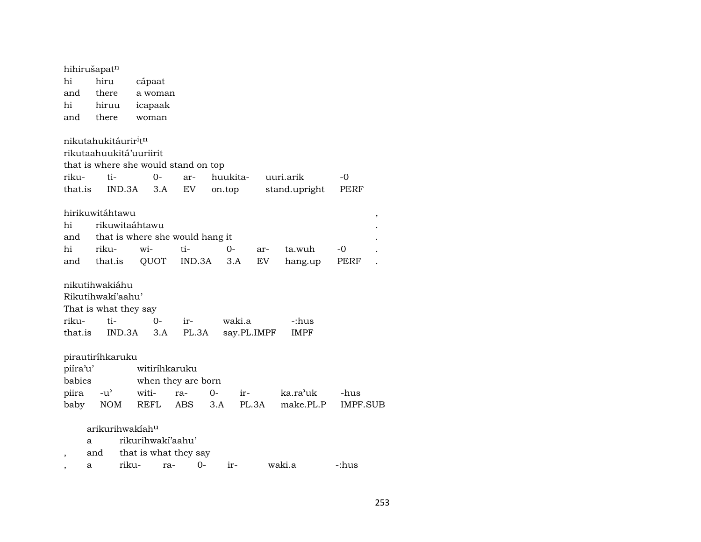| hi                       | hihirušapatn<br>hiru |                                              | cápaat        |                    |       |             |       |               |                 |   |
|--------------------------|----------------------|----------------------------------------------|---------------|--------------------|-------|-------------|-------|---------------|-----------------|---|
| and                      | there                |                                              | a woman       |                    |       |             |       |               |                 |   |
| hi                       | hiruu                |                                              | icapaak       |                    |       |             |       |               |                 |   |
| and                      | there                |                                              | woman         |                    |       |             |       |               |                 |   |
|                          |                      | nikutahukitáurir <sup>i</sup> t <sup>n</sup> |               |                    |       |             |       |               |                 |   |
|                          |                      | rikutaahuukitá'uuriirit                      |               |                    |       |             |       |               |                 |   |
|                          |                      | that is where she would stand on top         |               |                    |       |             |       |               |                 |   |
| riku-                    | ti-                  |                                              | $O -$         | ar-                |       | huukita-    |       | uuri.arik     | -0              |   |
| that.is                  |                      | IND.3A                                       | 3.A           | EV                 |       | on.top      |       | stand.upright | PERF            |   |
|                          | hirikuwitáhtawu      |                                              |               |                    |       |             |       |               |                 | , |
| hi                       |                      | rikuwitaáhtawu                               |               |                    |       |             |       |               |                 |   |
| and                      |                      | that is where she would hang it              |               |                    |       |             |       |               |                 |   |
| hi                       | riku-                | wi-                                          |               | ti-                |       | $O-$        | ar-   | ta.wuh        | -0              |   |
|                          | and that.is          |                                              | QUOT          | IND.3A             |       | 3.A         | EV.   | hang.up       | PERF            |   |
|                          | nikutihwakiáhu       |                                              |               |                    |       |             |       |               |                 |   |
|                          | Rikutihwakí'aahu'    |                                              |               |                    |       |             |       |               |                 |   |
|                          |                      | That is what they say                        |               |                    |       |             |       |               |                 |   |
| riku-                    | ti-                  |                                              | 0-            | ir-                |       | waki.a      |       | -:hus         |                 |   |
| that.is                  |                      | IND.3A                                       | 3.A           | PL.3A              |       | say.PL.IMPF |       | <b>IMPF</b>   |                 |   |
|                          |                      |                                              |               |                    |       |             |       |               |                 |   |
|                          | pirautiríhkaruku     |                                              |               |                    |       |             |       |               |                 |   |
| piíra'u'                 |                      |                                              | witiríhkaruku |                    |       |             |       |               |                 |   |
| babies                   |                      |                                              |               | when they are born |       |             |       |               |                 |   |
| piira                    | $-u^{\prime}$        | witi-                                        |               | ra-                | $O -$ | $ir-$       |       | ka.ra'uk      | -hus            |   |
| baby                     | <b>NOM</b>           | <b>REFL</b>                                  |               | <b>ABS</b>         | 3.A   |             | PL.3A | make.PL.P     | <b>IMPF.SUB</b> |   |
|                          |                      | arikurihwakíah <sup>u</sup>                  |               |                    |       |             |       |               |                 |   |
|                          | a                    | rikurihwaki'aahu'                            |               |                    |       |             |       |               |                 |   |
| $\overline{\phantom{a}}$ | and                  | that is what they say                        |               |                    |       |             |       |               |                 |   |
|                          | a                    | riku-                                        | ra-           | 0-                 |       | ir-         |       | waki.a        | -:hus           |   |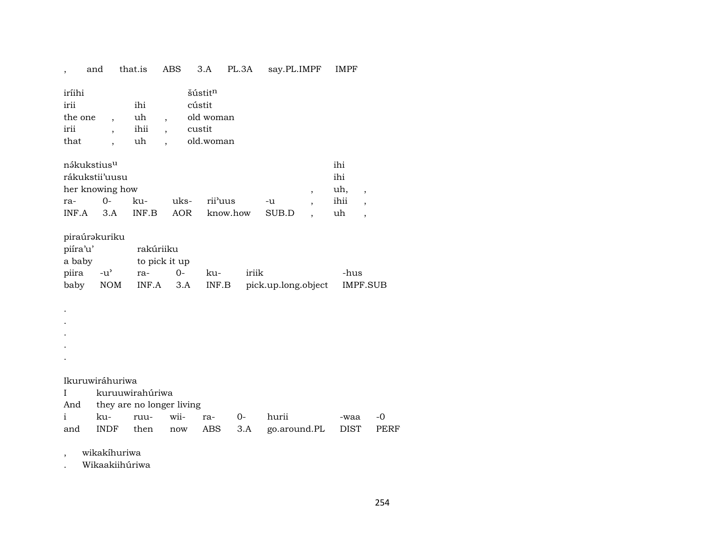## , and that.is ABS 3.A PL.3A say.PL.IMPF IMPF

| iríihi  |      | šústitn   |
|---------|------|-----------|
| irii    | ihi  | cústit    |
| the one | uh   | old woman |
| irii    | ihii | custit    |
| that    | uh   | old.woman |

| nákukstius <sup>u</sup> |             |     |      |                      |       |  | ihi  |  |  |
|-------------------------|-------------|-----|------|----------------------|-------|--|------|--|--|
| rákukstii'uusu<br>ihi   |             |     |      |                      |       |  |      |  |  |
| her knowing how         |             |     |      |                      |       |  | uh,  |  |  |
| $ra-$                   | $\Omega$    | ku- | uks- | rii <sup>3</sup> uus | -u    |  | ihii |  |  |
| INF A                   | $\beta$ . A |     |      | INF.B AOR know.how   | SUB.D |  | uh   |  |  |

## piraúrakuriku

| piíra'u' | rakúriiku     |        |     |                                                       |      |
|----------|---------------|--------|-----|-------------------------------------------------------|------|
| a baby   | to pick it up |        |     |                                                       |      |
|          | piira -u' ra- | $()$ - | ku- | iriik                                                 | -hus |
|          |               |        |     | baby NOM INF.A 3.A INF.B pick.up.long.object IMPF.SUB |      |

. .

.

.

.

Ikuruwiráhuriwa

I kuruuwirahúriwa

And they are no longer living

|  |  |  | i ku- ruu- wii- ra- 0- hurii                     | -waa -0 |  |
|--|--|--|--------------------------------------------------|---------|--|
|  |  |  | and INDF then now ABS 3.A go.around.PL DIST PERF |         |  |

, wikakíhuriwa

. Wikaakiihúriwa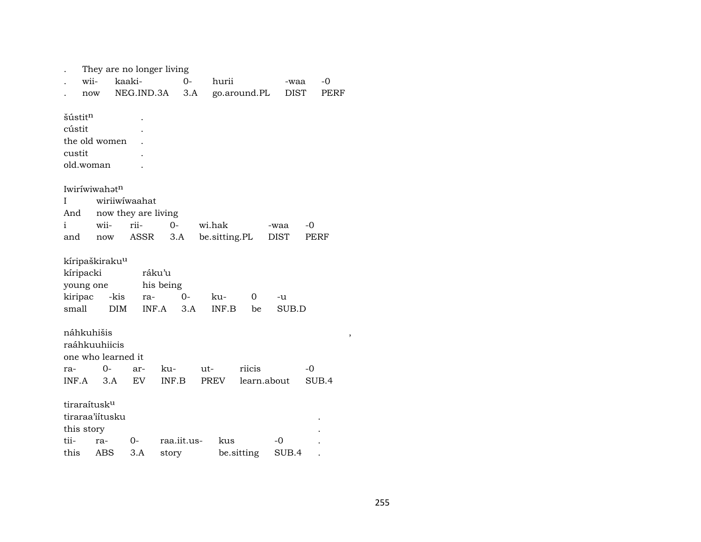|                                            | wii-<br>now                                                    | kaaki-             | They are no longer living<br>NEG.IND.3A              |                      | $0 -$<br>3.A |     | hurii                   | go.around.PL          |                     | -waa<br><b>DIST</b> |              | $-0$<br>PERF |
|--------------------------------------------|----------------------------------------------------------------|--------------------|------------------------------------------------------|----------------------|--------------|-----|-------------------------|-----------------------|---------------------|---------------------|--------------|--------------|
| šústit <sup>n</sup><br>cústit<br>custit    | the old women<br>old.woman                                     |                    |                                                      |                      |              |     |                         |                       |                     |                     |              |              |
| Ι<br>And<br>i<br>and                       | Iwiríwiwahat <sup>n</sup><br>wii-<br>now                       |                    | wiriiwiwaahat<br>now they are living<br>rii-<br>ASSR | $0-$<br>3.A          |              |     | wi.hak<br>be.sitting.PL |                       | -waa<br><b>DIST</b> |                     | $-0$<br>PERF |              |
| kíripacki<br>young one<br>kiripac<br>small | kíripaškiraku <sup>u</sup>                                     | -kis<br><b>DIM</b> | ráku'u<br>ra-                                        | his being<br>INF.A   | 0-<br>3.A    |     | ku-<br>INF.B            | 0<br>be               |                     | -u<br>SUB.D         |              |              |
| ra-<br>INF.A                               | náhkuhišis<br>raáhkuuhiicis<br>one who learned it<br>0-<br>3.A |                    | ar-<br>EV                                            | ku-<br>INF.B         |              | ut- | PREV                    | riicis<br>learn.about |                     |                     | $-0$         | SUB.4        |
| this story<br>tii-<br>this                 | tiraraítusk <sup>u</sup><br>tiraraa'iitusku<br>ra-<br>ABS      |                    | 0-<br>3.A                                            | raa.iit.us-<br>story |              |     | kus                     | be.sitting            | -0                  | SUB.4               |              |              |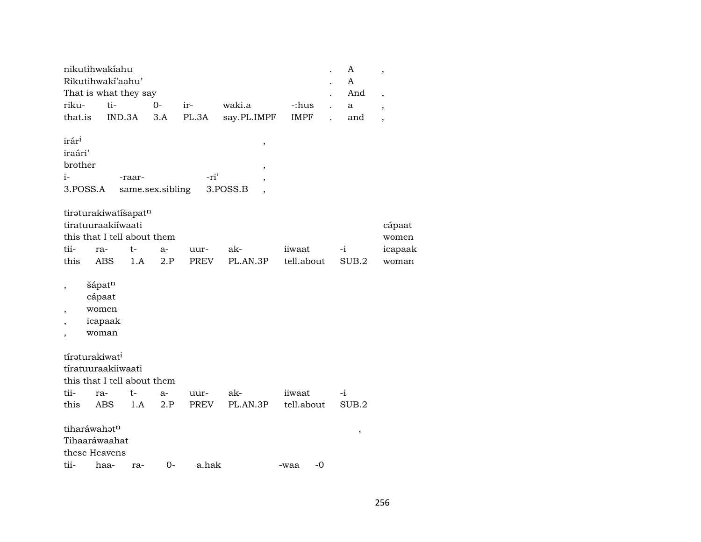|                                                                                                              | nikutihwakíahu<br>Rikutihwakí'aahu'                                              |        |                  |       |                                     |              | A<br>A   | $\, ,$                     |
|--------------------------------------------------------------------------------------------------------------|----------------------------------------------------------------------------------|--------|------------------|-------|-------------------------------------|--------------|----------|----------------------------|
| riku-                                                                                                        | That is what they say<br>ti-                                                     |        | $O -$            | ir-   | waki.a                              | -:hus        | And<br>a | $\overline{\phantom{a}}$   |
| that.is                                                                                                      | IND.3A                                                                           |        | 3.A              | PL.3A | say.PL.IMPF                         | <b>IMPF</b>  | and      | $\overline{\phantom{a}}$   |
| irár <sup>i</sup><br>iraári'<br>brother<br>$i-$<br>3.POSS.A                                                  |                                                                                  | -raar- | same.sex.sibling | -ri'  | ,<br>$^\mathrm{,}$<br>,<br>3.POSS.B |              |          | $\overline{\phantom{a}}$   |
| tii-                                                                                                         | tiraturakiwatíšapatn<br>tiratuuraakiíwaati<br>this that I tell about them<br>ra- | t-     | $a-$             | uur-  | ak-                                 | iiwaat       | $-i$     | cápaat<br>women<br>icapaak |
| this                                                                                                         | <b>ABS</b>                                                                       | 1.A    | 2.P              | PREV  | PL.AN.3P                            | tell.about   | SUB.2    | woman                      |
| $\overline{\phantom{a}}$<br>$\overline{\phantom{a}}$<br>$\overline{\phantom{a}}$<br>$\overline{\phantom{a}}$ | šápatn<br>cápaat<br>women<br>icapaak<br>woman                                    |        |                  |       |                                     |              |          |                            |
|                                                                                                              | tíraturakiwat <sup>i</sup><br>tíratuuraakiiwaati<br>this that I tell about them  |        |                  |       |                                     |              |          |                            |
| tii-                                                                                                         | ra-                                                                              | t-     | a-               | uur-  | ak-                                 | iiwaat       | $-i$     |                            |
| this                                                                                                         | <b>ABS</b>                                                                       | 1.A    | 2.P              | PREV  | PL.AN.3P                            | tell.about   | SUB.2    |                            |
|                                                                                                              | tiharáwahatn<br>Tihaaráwaahat<br>these Heavens                                   |        |                  |       |                                     |              | ,        |                            |
| tii-                                                                                                         | haa-                                                                             | ra-    | $0-$             | a.hak |                                     | $-0$<br>-waa |          |                            |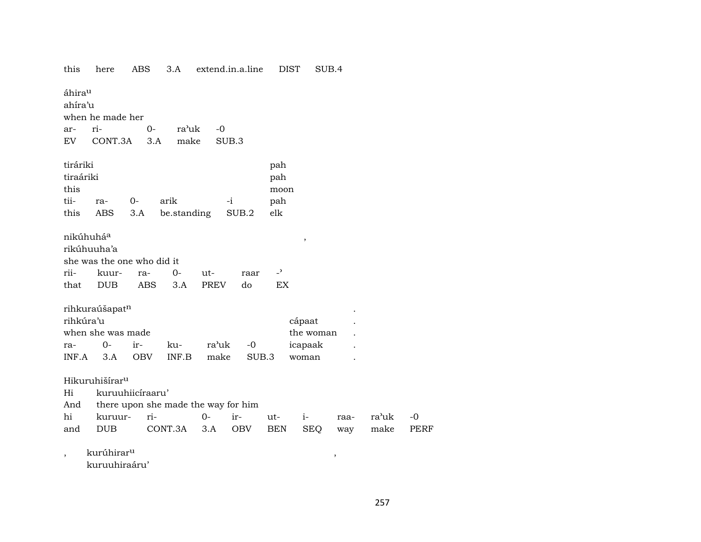| this                                  | here                                                             | ABS               | 3.A                                 |                    | extend.in.a.line | <b>DIST</b>                    | SUB.4               |      |       |  |  |
|---------------------------------------|------------------------------------------------------------------|-------------------|-------------------------------------|--------------------|------------------|--------------------------------|---------------------|------|-------|--|--|
|                                       | áhira <sup>u</sup><br>ahíra'u<br>when he made her<br>ra'uk       |                   |                                     |                    |                  |                                |                     |      |       |  |  |
| ar-                                   | ri-                                                              | 0-                |                                     | $-0$               |                  |                                |                     |      |       |  |  |
| EV                                    | CONT.3A                                                          | 3.A               | make                                |                    | SUB.3            |                                |                     |      |       |  |  |
| tiráriki<br>tiraáriki<br>this<br>tii- | ra-                                                              | $0-$              | arik                                |                    | $-i$             | pah<br>pah<br>moon<br>pah      |                     |      |       |  |  |
| this                                  | ABS                                                              | 3.A               | be.standing                         |                    | SUB.2            | elk                            |                     |      |       |  |  |
|                                       |                                                                  |                   |                                     |                    |                  |                                |                     |      |       |  |  |
| nikúhuháa<br>rii-<br>that             | rikúhuuha'a<br>she was the one who did it<br>kuur-<br><b>DUB</b> | ra-<br><b>ABS</b> | 0-<br>3.A                           | ut-<br><b>PREV</b> | raar<br>do       | $\overline{\phantom{0}}$<br>EX | $\,$                |      |       |  |  |
| rihkúra'u                             | rihkuraúšapat <sup>n</sup><br>when she was made                  |                   |                                     |                    |                  |                                | cápaat<br>the woman |      |       |  |  |
| ra-                                   | $0-$                                                             | ir-               | ku-                                 | ra'uk              | $-0$             |                                | icapaak             |      |       |  |  |
| INF.A                                 | 3.A                                                              | <b>OBV</b>        | INF.B                               | make               | SUB.3            |                                | woman               |      |       |  |  |
| Hi                                    | Hikuruhišírar <sup>u</sup>                                       | kuruuhiicíraaru'  |                                     |                    |                  |                                |                     |      |       |  |  |
| And                                   |                                                                  |                   | there upon she made the way for him |                    |                  |                                |                     |      |       |  |  |
| hi                                    | kuruur-                                                          | ri-               |                                     | $0-$               | ir-              | ut-                            | $i-$                | raa- | ra'uk |  |  |
| and                                   | <b>DUB</b>                                                       |                   | CONT.3A                             | 3.A                | OBV              | BEN                            | <b>SEQ</b>          | way  | make  |  |  |
| ,                                     | kurúhirar <sup>u</sup><br>kuruuhiraáru'                          |                   |                                     |                    |                  |                                |                     | ,    |       |  |  |

257

 $-0$ PERF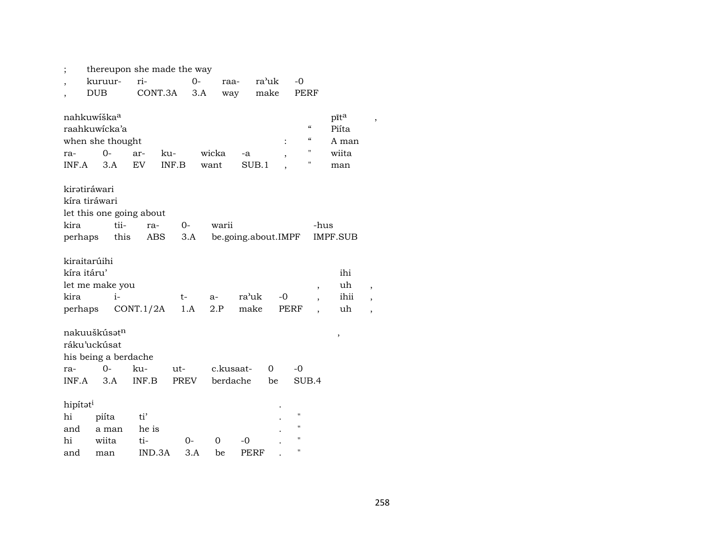| ;                                              |                                                                                  | thereupon she made the way |                    |               |                       |                      |                                       |                                        |                                                                |
|------------------------------------------------|----------------------------------------------------------------------------------|----------------------------|--------------------|---------------|-----------------------|----------------------|---------------------------------------|----------------------------------------|----------------------------------------------------------------|
|                                                | kuruur-                                                                          | ri-                        | $0-$               |               | raa-                  | ra'uk<br>$-0$        |                                       |                                        |                                                                |
| $\overline{ }$                                 | <b>DUB</b>                                                                       | CONT.3A                    |                    | 3.A           | way                   | make                 | PERF                                  |                                        |                                                                |
| ra-<br>INF.A                                   | nahkuwíška <sup>a</sup><br>raahkuwicka'a<br>when she thought<br>$0-$<br>3.A      | ku-<br>ar-<br><b>EV</b>    | INF.B              | wicka<br>want | -a<br>SUB.1           | ,                    | $\boldsymbol{\mathcal{C}}$<br>11<br>п | pīta<br>Piíta<br>A man<br>wiita<br>man |                                                                |
| kiratiráwari                                   |                                                                                  |                            |                    |               |                       |                      |                                       |                                        |                                                                |
| kíra tiráwari                                  |                                                                                  |                            |                    |               |                       |                      |                                       |                                        |                                                                |
|                                                |                                                                                  | let this one going about   |                    |               |                       |                      |                                       |                                        |                                                                |
| kira                                           | tii-                                                                             | ra-                        | $0-$               | warii         |                       |                      | -hus                                  |                                        |                                                                |
| perhaps                                        | this                                                                             | ABS                        | 3.A                |               |                       | be.going.about.IMPF  |                                       | <b>IMPF.SUB</b>                        |                                                                |
| kiraitarúihi<br>kíra itáru'<br>kira<br>perhaps | let me make you<br>$i-$                                                          | CONT.1/2A                  | t-<br>1.A          | a-<br>2.P     | ra'uk<br>make         | -0<br>PERF           | $\overline{\phantom{a}}$              | ihi<br>uh<br>ihii<br>uh                | $\, ,$<br>$\overline{\phantom{a}}$<br>$\overline{\phantom{a}}$ |
| ra-<br>INF.A                                   | nakuuškúsət <sup>n</sup><br>ráku'uckúsat<br>his being a berdache<br>$0 -$<br>3.A | ku-<br>INF.B               | ut-<br><b>PREV</b> |               | c.kusaat-<br>berdache | $\Omega$<br>-0<br>be | SUB.4                                 | $\, ,$                                 |                                                                |
| hipítat <sup>i</sup>                           |                                                                                  |                            |                    |               |                       |                      |                                       |                                        |                                                                |
| hi                                             | piíta                                                                            | ti'                        |                    |               |                       | $\pmb{\mathsf{H}}$   |                                       |                                        |                                                                |
| and                                            | a man                                                                            | he is                      |                    |               |                       | п                    |                                       |                                        |                                                                |
| hi                                             | wiita                                                                            | ti-                        | $0-$               | 0             | -0                    | п                    |                                       |                                        |                                                                |
| and                                            | man                                                                              | IND.3A                     | 3.A                | be            | PERF                  | П                    |                                       |                                        |                                                                |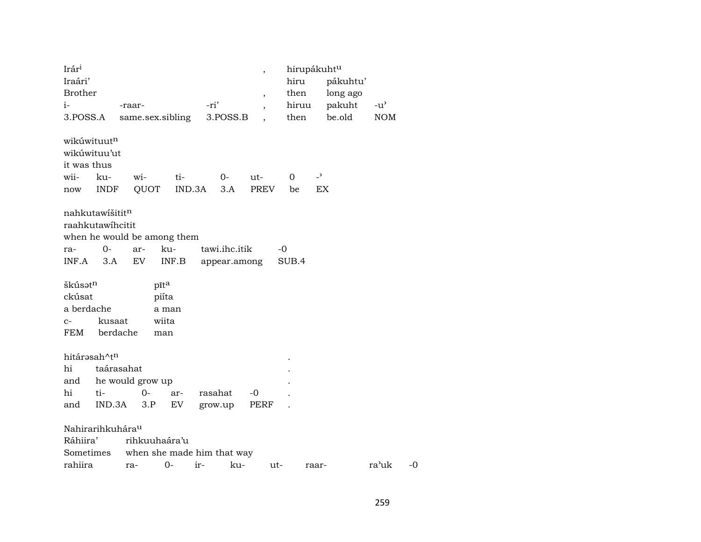| Irár <sup>i</sup><br>Iraári'                                                   |                    |                            |               |               |         |               | $\overline{\phantom{a}}$           |      | hirupákuht <sup>u</sup><br>hiru |                                | pákuhtu' |               |
|--------------------------------------------------------------------------------|--------------------|----------------------------|---------------|---------------|---------|---------------|------------------------------------|------|---------------------------------|--------------------------------|----------|---------------|
| <b>Brother</b>                                                                 |                    |                            |               |               |         |               |                                    |      | then                            |                                | long ago |               |
| $i-$                                                                           |                    | -raar-                     |               |               | -ri'    |               | $\, ,$<br>$\overline{\phantom{a}}$ |      | hiruu                           |                                | pakuht   | $-u^{\prime}$ |
| 3.POSS.A                                                                       |                    | same.sex.sibling           |               |               |         | 3.POSS.B      |                                    |      | then                            |                                | be.old   | <b>NOM</b>    |
| wikúwituut <sup>n</sup><br>wikúwituu'ut<br>it was thus<br>wii-<br>now          | ku-<br><b>INDF</b> | wi-<br>QUOT                |               | ti-<br>IND.3A |         | $0 -$<br>3.A  | ut-<br><b>PREV</b>                 |      | 0<br>be                         | $\overline{\phantom{0}}$<br>EX |          |               |
| nahkutawišitit <sup>n</sup><br>raahkutawihcitit<br>when he would be among them |                    |                            |               |               |         |               |                                    |      |                                 |                                |          |               |
| ra-                                                                            | 0-                 | ar-                        | ku-           |               |         | tawi.ihc.itik |                                    | $-0$ |                                 |                                |          |               |
| INF.A                                                                          | 3.A                | EV                         |               | INF.B         |         | appear.among  |                                    |      | SUB.4                           |                                |          |               |
| škúsət <sup>n</sup><br>ckúsat                                                  |                    |                            | pīta<br>piíta |               |         |               |                                    |      |                                 |                                |          |               |
| a berdache                                                                     |                    |                            | a man         |               |         |               |                                    |      |                                 |                                |          |               |
| $C-$                                                                           | kusaat             |                            | wiita         |               |         |               |                                    |      |                                 |                                |          |               |
| FEM                                                                            | berdache           |                            | man           |               |         |               |                                    |      |                                 |                                |          |               |
| hitárasah^tn                                                                   |                    |                            |               |               |         |               |                                    |      |                                 |                                |          |               |
| hi                                                                             | taárasahat         |                            |               |               |         |               |                                    |      |                                 |                                |          |               |
| and                                                                            |                    | he would grow up           |               |               |         |               |                                    |      |                                 |                                |          |               |
| hi                                                                             | ti-                | $0-$                       |               | ar-           | rasahat |               | -0                                 |      |                                 |                                |          |               |
| and                                                                            | IND.3A             | 3.P                        |               | EV            | grow.up |               | PERF                               |      |                                 |                                |          |               |
| Nahirarihkuhára <sup>u</sup><br>Ráhiira'                                       |                    | rihkuuhaára'u              |               |               |         |               |                                    |      |                                 |                                |          |               |
| Sometimes                                                                      |                    | when she made him that way |               |               |         |               |                                    |      |                                 |                                |          |               |
| rahiira                                                                        |                    | ra-                        | $0 -$         | ir-           |         | ku-           |                                    | ut-  |                                 | raar-                          |          | ra'uk         |

 $-0$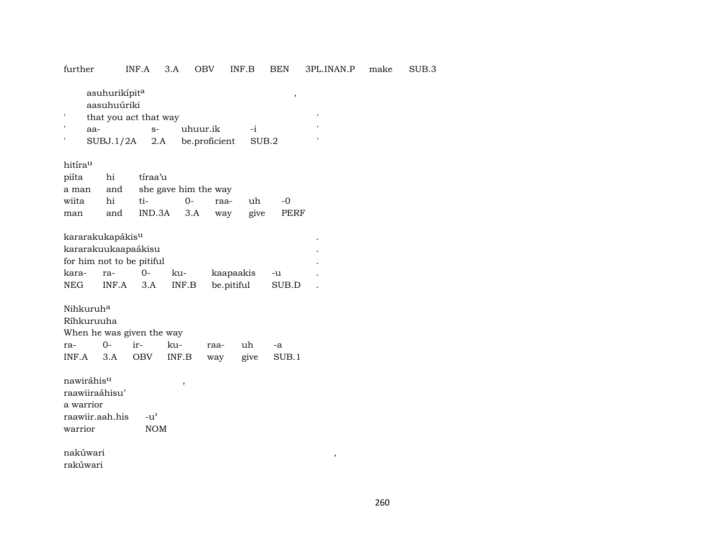further INF.A 3.A OBV INF.B BEN 3PL.INAN.P make SUB.3

 $\begin{aligned} \text{as} \text{uhurikípit}^{\text{a}} \end{aligned} \qquad ,$ 

aasuhuúriki

| that you act that way |      |                                   |  |  |  |  |  |
|-----------------------|------|-----------------------------------|--|--|--|--|--|
| аа-                   | $S-$ | uhuur.ik -i                       |  |  |  |  |  |
|                       |      | SUBJ.1/2A 2.A be.proficient SUB.2 |  |  |  |  |  |

hitíraµ

| piíta hi tíraa'u |                                |  |       |
|------------------|--------------------------------|--|-------|
|                  | a man and she gave him the way |  |       |
|                  | wiita hi ti- 0- raa- uh        |  | $-()$ |
| man              | and IND.3A 3.A way give PERF   |  |       |

|       | kararakukapákis <sup>u</sup> |        |       |            |       |  |
|-------|------------------------------|--------|-------|------------|-------|--|
|       | kararakuukaapaákisu          |        |       |            |       |  |
|       | for him not to be pitiful    |        |       |            |       |  |
| kara- | ra-                          | $()$ - | ku-   | kaapaakis  | -u    |  |
| NEG   | $INF.A$ 3.A                  |        | INF.B | be.pitiful | SUB.D |  |

Nihkuruh°

| Ríhkuruuha                |  |  |                                    |  |  |    |  |  |  |  |
|---------------------------|--|--|------------------------------------|--|--|----|--|--|--|--|
| When he was given the way |  |  |                                    |  |  |    |  |  |  |  |
|                           |  |  | ra- 0- ir- ku- raa- uh             |  |  | -a |  |  |  |  |
|                           |  |  | INF.A 3.A OBV INF.B way give SUB.1 |  |  |    |  |  |  |  |

nawiráhisµ , raawiiraáhisu' a warrior raawiir.aah.his -u" warrior NOM

nakúwari , rakúwari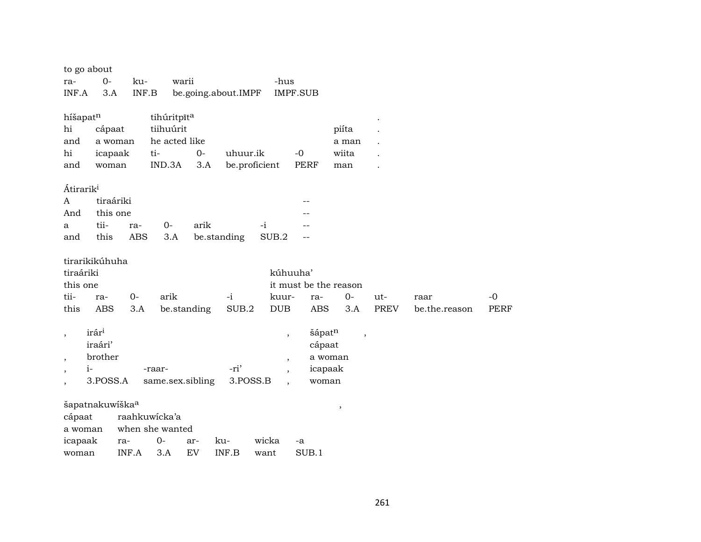| to go about              |                             |            |                  |             |                     |               |                          |                          |      |               |             |
|--------------------------|-----------------------------|------------|------------------|-------------|---------------------|---------------|--------------------------|--------------------------|------|---------------|-------------|
| ra-                      | $0-$                        | ku-        |                  | warii       |                     | -hus          |                          |                          |      |               |             |
| INF.A                    | 3.A                         |            | INF.B            |             | be.going.about.IMPF |               | <b>IMPF.SUB</b>          |                          |      |               |             |
|                          |                             |            |                  |             |                     |               |                          |                          |      |               |             |
| híšapatn                 |                             |            | tihúritpīta      |             |                     |               |                          |                          |      |               |             |
| hi                       | cápaat                      |            | tiihuúrit        |             |                     |               |                          | piíta                    |      |               |             |
| and                      | a woman                     |            | he acted like    |             |                     |               |                          | a man                    |      |               |             |
| hi                       | icapaak                     |            | ti-              | $0-$        | uhuur.ik            |               | $-0$                     | wiita                    |      |               |             |
| and                      | woman                       |            | IND.3A           | 3.A         |                     | be.proficient | PERF                     | man                      |      |               |             |
| Átirarik <sup>i</sup>    |                             |            |                  |             |                     |               |                          |                          |      |               |             |
| A                        | tiraáriki                   |            |                  |             |                     |               |                          |                          |      |               |             |
| And                      | this one                    |            |                  |             |                     |               |                          |                          |      |               |             |
| a                        | tii-                        | ra-        | $O-$             | arik        |                     | $-i$          |                          |                          |      |               |             |
| and                      | this                        | <b>ABS</b> | 3.A              |             | be.standing         | SUB.2         |                          |                          |      |               |             |
|                          |                             |            |                  |             |                     |               |                          |                          |      |               |             |
|                          | tirarikikúhuha              |            |                  |             |                     |               |                          |                          |      |               |             |
| tiraáriki                |                             |            |                  |             |                     |               | kúhuuha'                 |                          |      |               |             |
| this one                 |                             |            |                  |             |                     |               |                          | it must be the reason    |      |               |             |
| tii-                     | ra-                         | $0-$       | arik             |             | $-i$                | kuur-         | ra-                      | $0-$                     | ut-  | raar          | $-0$        |
| this                     | <b>ABS</b>                  | 3.A        |                  | be.standing | SUB.2               | <b>DUB</b>    | ABS                      | 3.A                      | PREV | be.the.reason | <b>PERF</b> |
|                          |                             |            |                  |             |                     |               |                          |                          |      |               |             |
| $\overline{\phantom{a}}$ | irár <sup>i</sup>           |            |                  |             |                     |               | šápatn<br>$\, ,$         | $\overline{\phantom{a}}$ |      |               |             |
|                          | iraári'                     |            |                  |             |                     |               | cápaat                   |                          |      |               |             |
| $\cdot$                  | brother                     |            |                  |             |                     |               | $^\circ$                 | a woman                  |      |               |             |
| $i-$                     |                             |            | -raar-           |             | -ri'                |               |                          | icapaak                  |      |               |             |
|                          | 3.POSS.A                    |            | same.sex.sibling |             |                     | 3.POSS.B      | $\overline{\phantom{a}}$ | woman                    |      |               |             |
|                          | šapatnakuwíška <sup>a</sup> |            |                  |             |                     |               |                          | $\,$                     |      |               |             |
| cápaat                   |                             |            | raahkuwicka'a    |             |                     |               |                          |                          |      |               |             |
| a woman                  |                             |            | when she wanted  |             |                     |               |                          |                          |      |               |             |
| icapaak                  |                             | ra-        | $0-$             | ar-         | ku-                 | wicka         | -a                       |                          |      |               |             |
| woman                    |                             | INF.A      | 3.A              | EV          | INF.B               | want          | SUB.1                    |                          |      |               |             |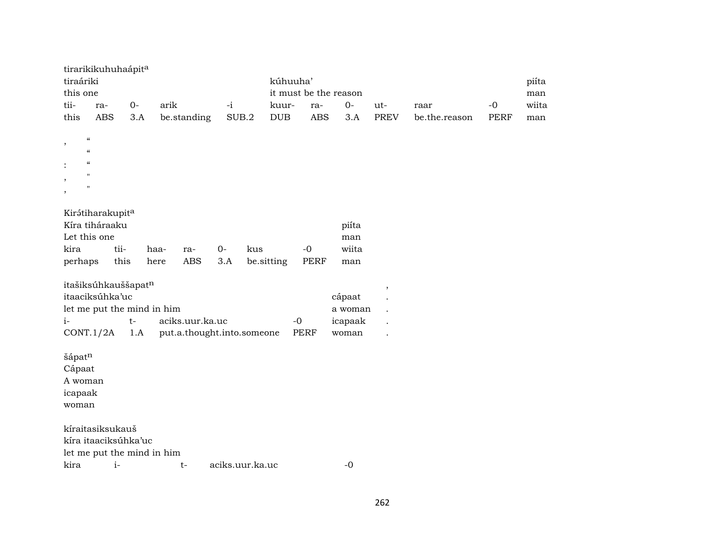|                   | tirarikikuhuhaápita                                    |      |      |                            |                 |     |            |            |                       |                          |               |             |       |
|-------------------|--------------------------------------------------------|------|------|----------------------------|-----------------|-----|------------|------------|-----------------------|--------------------------|---------------|-------------|-------|
| tiraáriki         |                                                        |      |      |                            |                 |     | kúhuuha'   |            |                       |                          |               |             | piíta |
| this one          |                                                        |      |      |                            |                 |     |            |            | it must be the reason |                          |               |             | man   |
| tii-              | ra-                                                    | $0-$ | arik |                            | $-i$            |     | kuur-      | ra-        | $0-$                  | ut-                      | raar          | $-0$        | wiita |
| this              | <b>ABS</b>                                             | 3.A  |      | be.standing                | SUB.2           |     | <b>DUB</b> | <b>ABS</b> | 3.A                   | <b>PREV</b>              | be.the.reason | <b>PERF</b> | man   |
|                   |                                                        |      |      |                            |                 |     |            |            |                       |                          |               |             |       |
| ,                 | $\zeta\zeta$<br>$\boldsymbol{\zeta}\boldsymbol{\zeta}$ |      |      |                            |                 |     |            |            |                       |                          |               |             |       |
|                   | $\pmb{\zeta}\pmb{\zeta}$                               |      |      |                            |                 |     |            |            |                       |                          |               |             |       |
|                   | $\mathbf{H}$                                           |      |      |                            |                 |     |            |            |                       |                          |               |             |       |
| $\overline{ }$    | $^{\prime}$                                            |      |      |                            |                 |     |            |            |                       |                          |               |             |       |
|                   |                                                        |      |      |                            |                 |     |            |            |                       |                          |               |             |       |
|                   | Kirátiharakupita                                       |      |      |                            |                 |     |            |            |                       |                          |               |             |       |
|                   | Kíra tiháraaku                                         |      |      |                            |                 |     |            |            | piíta                 |                          |               |             |       |
|                   | Let this one                                           |      |      |                            |                 |     |            |            | man                   |                          |               |             |       |
| kira              | tii-                                                   |      | haa- | ra-                        | $0-$            | kus |            | $-0$       | wiita                 |                          |               |             |       |
| perhaps           |                                                        | this | here | ABS                        | 3.A             |     | be.sitting | PERF       | man                   |                          |               |             |       |
|                   | itašiksúhkauššapatn                                    |      |      |                            |                 |     |            |            |                       |                          |               |             |       |
|                   | itaaciksúhka'uc                                        |      |      |                            |                 |     |            |            | cápaat                | $\overline{\phantom{a}}$ |               |             |       |
|                   | let me put the mind in him                             |      |      |                            |                 |     |            |            | a woman               |                          |               |             |       |
| $i-$              |                                                        | $t-$ |      | aciks.uur.ka.uc            |                 |     |            | $-0$       | icapaak               |                          |               |             |       |
|                   | CONT.1/2A                                              | 1.A  |      | put.a.thought.into.someone |                 |     |            | PERF       | woman                 | $\ddot{\phantom{a}}$     |               |             |       |
|                   |                                                        |      |      |                            |                 |     |            |            |                       |                          |               |             |       |
| šápatn            |                                                        |      |      |                            |                 |     |            |            |                       |                          |               |             |       |
| Cápaat<br>A woman |                                                        |      |      |                            |                 |     |            |            |                       |                          |               |             |       |
| icapaak           |                                                        |      |      |                            |                 |     |            |            |                       |                          |               |             |       |
| woman             |                                                        |      |      |                            |                 |     |            |            |                       |                          |               |             |       |
|                   |                                                        |      |      |                            |                 |     |            |            |                       |                          |               |             |       |
|                   | kíraitasiksukauš                                       |      |      |                            |                 |     |            |            |                       |                          |               |             |       |
|                   | kíra itaaciksúhka'uc                                   |      |      |                            |                 |     |            |            |                       |                          |               |             |       |
|                   | let me put the mind in him                             |      |      |                            |                 |     |            |            |                       |                          |               |             |       |
| kira              | $i-$                                                   |      |      | $t-$                       | aciks.uur.ka.uc |     |            |            | $-0$                  |                          |               |             |       |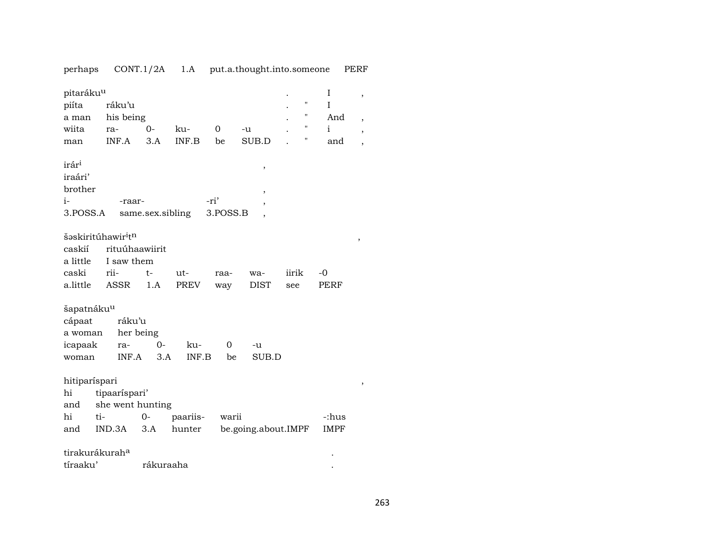perhaps CONT.1/2A 1.A put.a.thought.into.someone PERF

| pitaráku <sup>u</sup><br>piíta<br>a man    |        | ráku'u<br>his being |                  |          |      |          |                     |       | $\pmb{\mathsf{H}}$<br>П | I<br>$\rm I$<br>And | , |
|--------------------------------------------|--------|---------------------|------------------|----------|------|----------|---------------------|-------|-------------------------|---------------------|---|
| wiita                                      | ra-    |                     | $0-$             | ku-      | 0    |          | -u                  |       | н                       | $\mathbf{i}$        | , |
|                                            |        | INF.A               | 3.A              | INF.B    | be   |          | SUB.D               |       | П                       | and                 | , |
| man                                        |        |                     |                  |          |      |          |                     |       |                         |                     |   |
| irár <sup>i</sup>                          |        |                     |                  |          |      |          |                     |       |                         |                     |   |
|                                            |        |                     |                  |          |      |          | $\, ,$              |       |                         |                     |   |
| iraári'                                    |        |                     |                  |          |      |          |                     |       |                         |                     |   |
| brother                                    |        |                     |                  |          |      |          | ,                   |       |                         |                     |   |
| $i-$                                       |        | -raar-              |                  |          | -ri' |          | ,                   |       |                         |                     |   |
| 3.POSS.A                                   |        |                     | same.sex.sibling |          |      | 3.POSS.B |                     |       |                         |                     |   |
| šəskiritúhawir <sup>i</sup> t <sup>n</sup> |        |                     |                  |          |      |          |                     |       |                         |                     | , |
| caskií                                     |        | rituúhaawiirit      |                  |          |      |          |                     |       |                         |                     |   |
| a little                                   |        | I saw them          |                  |          |      |          |                     |       |                         |                     |   |
| caski                                      | rii-   |                     | $t-$             | ut-      |      | raa-     | wa-                 | iirik |                         | $-0$                |   |
| a.little                                   |        | <b>ASSR</b>         | 1.A              | PREV     |      | way      | <b>DIST</b>         | see   |                         | PERF                |   |
|                                            |        |                     |                  |          |      |          |                     |       |                         |                     |   |
| šapatnáku <sup>u</sup>                     |        |                     |                  |          |      |          |                     |       |                         |                     |   |
| cápaat                                     |        | ráku'u              |                  |          |      |          |                     |       |                         |                     |   |
| a woman                                    |        | her being           |                  |          |      |          |                     |       |                         |                     |   |
| icapaak                                    |        | ra-                 | $0-$             | ku-      |      | 0        | -u                  |       |                         |                     |   |
| woman                                      |        | INF.A               | 3.A              | INF.B    |      | be       | SUB.D               |       |                         |                     |   |
|                                            |        |                     |                  |          |      |          |                     |       |                         |                     |   |
| hitiparíspari                              |        |                     |                  |          |      |          |                     |       |                         |                     | , |
| hi                                         |        | tipaaríspari'       |                  |          |      |          |                     |       |                         |                     |   |
| and                                        |        | she went hunting    |                  |          |      |          |                     |       |                         |                     |   |
| hi                                         | ti-    |                     | $0-$             | paariis- |      | warii    |                     |       |                         | -:hus               |   |
| and                                        | IND.3A |                     | 3.A              | hunter   |      |          | be.going.about.IMPF |       |                         | <b>IMPF</b>         |   |
|                                            |        |                     |                  |          |      |          |                     |       |                         |                     |   |
| tirakurákurah <sup>a</sup>                 |        |                     |                  |          |      |          |                     |       |                         |                     |   |
| tíraaku'                                   |        |                     | rákuraaha        |          |      |          |                     |       |                         |                     |   |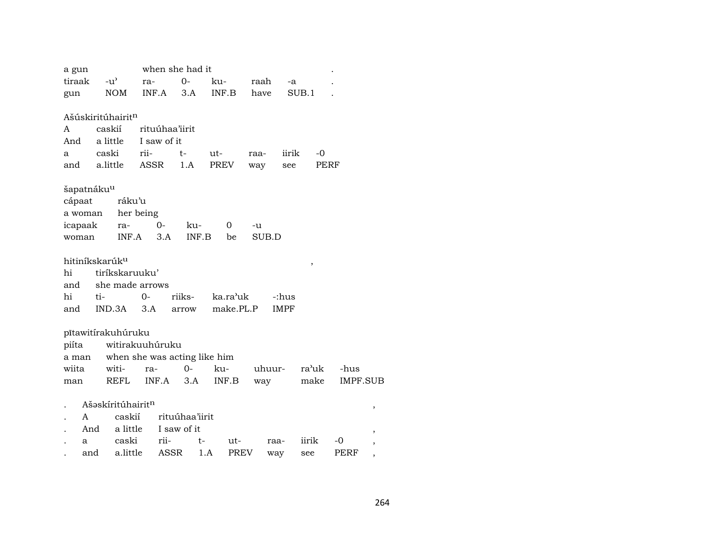| a gun                         |               |                   |       | when she had it              |       |             |        |             |       |                 |   |
|-------------------------------|---------------|-------------------|-------|------------------------------|-------|-------------|--------|-------------|-------|-----------------|---|
| tiraak                        | $-u^{\prime}$ |                   | ra-   | $O -$                        |       | ku-         | raah   | -a          |       |                 |   |
| gun                           |               | <b>NOM</b>        | INF.A | 3.A                          |       | INF.B       | have   |             | SUB.1 |                 |   |
|                               |               |                   |       |                              |       |             |        |             |       |                 |   |
| Ašúskiritúhairit <sup>n</sup> |               |                   |       |                              |       |             |        |             |       |                 |   |
| A                             | caskií        |                   |       | rituúhaa'iirit               |       |             |        |             |       |                 |   |
| And                           | a little      |                   |       | I saw of it                  |       |             |        |             |       |                 |   |
| a                             | caski         |                   | rii-  | t-                           |       | ut-         | raa-   | iirik       | -0    |                 |   |
| and                           |               | a.little          | ASSR  | 1.A                          |       | PREV        | way    | see         | PERF  |                 |   |
|                               |               |                   |       |                              |       |             |        |             |       |                 |   |
| šapatnáku <sup>u</sup>        |               |                   |       |                              |       |             |        |             |       |                 |   |
| cápaat                        |               | ráku'u            |       |                              |       |             |        |             |       |                 |   |
| a woman                       |               | her being         |       |                              |       |             |        |             |       |                 |   |
| icapaak                       |               | ra-               |       | $0-$                         | ku-   | 0           | -u     |             |       |                 |   |
| woman                         |               | INF.A             |       | 3.A                          | INF.B | be          | SUB.D  |             |       |                 |   |
|                               |               |                   |       |                              |       |             |        |             |       |                 |   |
| hitiníkskarúk <sup>u</sup>    |               |                   |       |                              |       |             |        |             | ,     |                 |   |
| hi                            |               | tiríkskaruuku'    |       |                              |       |             |        |             |       |                 |   |
| and                           |               | she made arrows   |       |                              |       |             |        |             |       |                 |   |
| hi                            | ti-           |                   | 0-    | riiks-                       |       | ka.ra'uk    |        | -:hus       |       |                 |   |
| and                           |               | IND.3A            | 3.A   | arrow                        |       | make.PL.P   |        | <b>IMPF</b> |       |                 |   |
|                               |               |                   |       |                              |       |             |        |             |       |                 |   |
| pítawitírakuhúruku            |               |                   |       |                              |       |             |        |             |       |                 |   |
| piíta                         |               | witirakuuhúruku   |       |                              |       |             |        |             |       |                 |   |
| a man                         |               |                   |       | when she was acting like him |       |             |        |             |       |                 |   |
| wiita                         |               | witi-             | ra-   | $0 -$                        |       | ku-         | uhuur- |             | ra'uk | -hus            |   |
| man                           |               | REFL              | INF.A |                              | 3.A   | INF.B       | way    |             | make  | <b>IMPF.SUB</b> |   |
|                               |               | Ašaskíritúhairitn |       |                              |       |             |        |             |       |                 |   |
| A                             |               | caskií            |       | rituúhaa'iirit               |       |             |        |             |       |                 | , |
|                               | And           | a little          |       | I saw of it                  |       |             |        |             |       |                 |   |
| a                             |               | caski             |       | rii-                         | t-    | ut-         |        | raa-        | iirik | -0              |   |
|                               |               |                   |       |                              |       |             |        |             |       |                 |   |
|                               | and           | a.little          |       | ASSR                         | 1.A   | <b>PREV</b> |        | way         | see   | PERF            |   |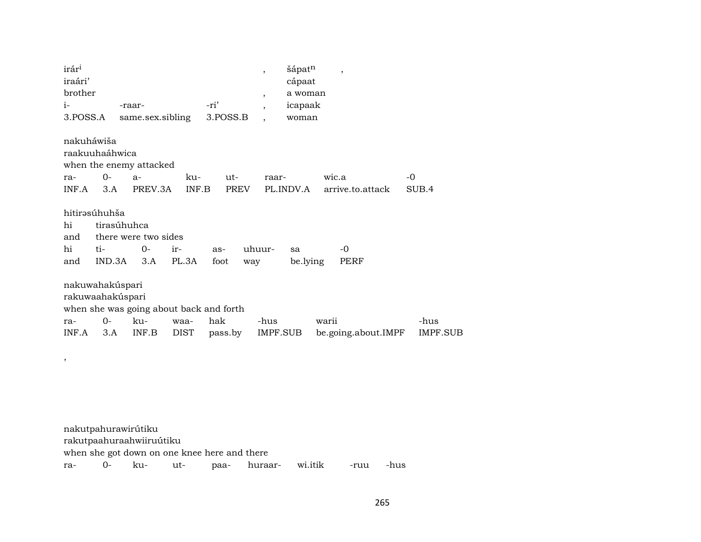| irár <sup>i</sup><br>iraári'            |               |                                                    |              |             | $\cdot$        | šápatn<br>cápaat | $\overline{\phantom{a}}$ |                 |
|-----------------------------------------|---------------|----------------------------------------------------|--------------|-------------|----------------|------------------|--------------------------|-----------------|
| brother                                 |               |                                                    |              |             | $\overline{ }$ | a woman          |                          |                 |
| $i-$                                    |               | -raar-                                             |              | -ri'        | $\overline{ }$ | icapaak          |                          |                 |
| 3.POSS.A                                |               | same.sex.sibling                                   |              | 3.POSS.B    |                | woman            |                          |                 |
| nakuháwiša<br>raakuuhaáhwica<br>ra-     | $0-$          | when the enemy attacked<br>$a-$                    | ku-          | ut-         | raar-          |                  | wic.a                    | -0              |
| INF.A                                   | 3.A           | PREV.3A                                            | INF.B        | PREV        |                | PL.INDV.A        | arrive.to.attack         | SUB.4           |
| hitirəsúhuhša<br>hi<br>and<br>hi<br>and | ti-<br>IND.3A | tirasúhuhca<br>there were two sides<br>$0-$<br>3.A | ir-<br>PL.3A | as-<br>foot | uhuur-<br>way  | sa<br>be.lying   | $-0$<br>PERF             |                 |
| nakuwahakúspari<br>rakuwaahakúspari     |               | when she was going about back and forth            |              |             |                |                  |                          |                 |
| ra-                                     | $0-$          | ku-                                                | waa-         | hak         | -hus           |                  | warii                    | -hus            |
| INF.A                                   | 3.A           | INF.B                                              | <b>DIST</b>  | pass.by     | IMPF.SUB       |                  | be.going.about.IMPF      | <b>IMPF.SUB</b> |
|                                         |               |                                                    |              |             |                |                  |                          |                 |

|  |                          |                                              | ra- 0- ku- ut- paa- huraar- wi.itik -ruu -hus |  |  |
|--|--------------------------|----------------------------------------------|-----------------------------------------------|--|--|
|  |                          | when she got down on one knee here and there |                                               |  |  |
|  | rakutpaahuraahwiiruútiku |                                              |                                               |  |  |
|  | nakutpahurawirútiku      |                                              |                                               |  |  |

,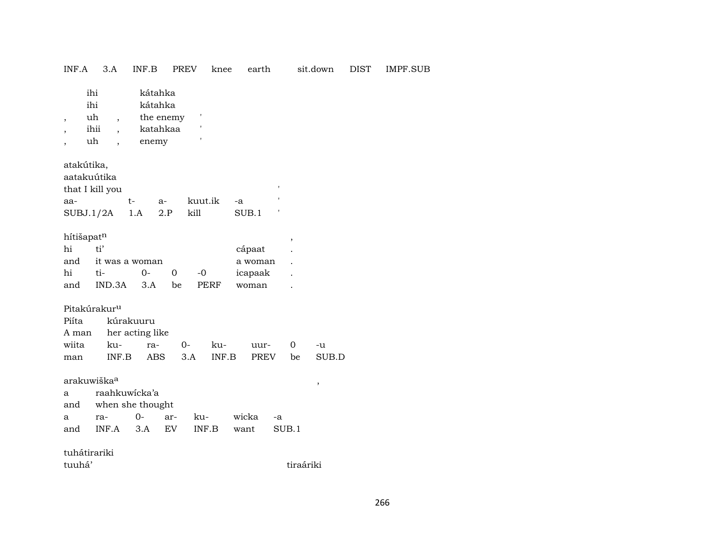| INF.A                                         | 3.A                                                                                    | INF.B                                                | PREV                           | knee         | earth                                 |                          | sit.down    | DIST | IMPF.SUB |
|-----------------------------------------------|----------------------------------------------------------------------------------------|------------------------------------------------------|--------------------------------|--------------|---------------------------------------|--------------------------|-------------|------|----------|
| ,<br>$\overline{\phantom{a}}$                 | ihi<br>ihi<br>uh<br>$\overline{\phantom{a}}$<br>ihii<br>uh<br>$\overline{\phantom{a}}$ | kátahka<br>kátahka<br>the enemy<br>katahkaa<br>enemy | t                              |              |                                       |                          |             |      |          |
| atakútika,<br>aatakuútika<br>aa-<br>SUBJ.1/2A | that I kill you                                                                        | $t-$<br>$a-$<br>1.A                                  | 2.P<br>kill                    | kuut.ik      | -a<br>SUB.1                           |                          |             |      |          |
| hítišapatn<br>hi<br>and<br>hi<br>and          | ti'<br>it was a woman<br>ti-<br>IND.3A                                                 | $0-$<br>3.A                                          | $\boldsymbol{0}$<br>$-0$<br>be | PERF         | cápaat<br>a woman<br>icapaak<br>woman | $\overline{\phantom{a}}$ |             |      |          |
| Piíta<br>A man<br>wiita<br>man                | Pitakúrakur <sup>u</sup><br>ku-<br>INF.B                                               | kúrakuuru<br>her acting like<br>ra-<br>ABS           | $0-$<br>3.A                    | ku-<br>INF.B | uur-<br>PREV                          | 0<br>be                  | -u<br>SUB.D |      |          |
| a<br>and<br>a<br>and                          | arakuwiška <sup>a</sup><br>raahkuwicka'a<br>when she thought<br>ra-<br>INF.A           | $0-$<br>3.A                                          | ar-<br>ku-<br>EV               | INF.B        | wicka<br>want                         | -a<br>SUB.1              | ,           |      |          |
| tuhátirariki<br>tuuhá'                        |                                                                                        |                                                      |                                |              |                                       |                          | tiraáriki   |      |          |
|                                               |                                                                                        |                                                      |                                |              |                                       |                          |             |      |          |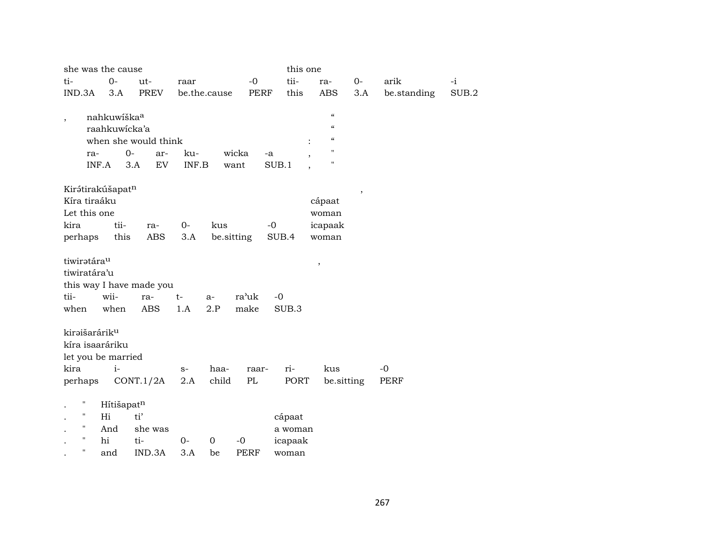|                           | she was the cause       |                          |              |            |               | this one |                                        |                          |             |       |
|---------------------------|-------------------------|--------------------------|--------------|------------|---------------|----------|----------------------------------------|--------------------------|-------------|-------|
| ti-                       | $0-$                    | ut-                      | raar         |            | $-0$          | tii-     | ra-                                    | $O -$                    | arik        | $-i$  |
| IND.3A                    | 3.A                     | <b>PREV</b>              | be.the.cause |            | <b>PERF</b>   | this     | <b>ABS</b>                             | 3.A                      | be.standing | SUB.2 |
|                           |                         |                          |              |            |               |          |                                        |                          |             |       |
| $\overline{\phantom{a}}$  | nahkuwíška <sup>a</sup> |                          |              |            |               |          | $\epsilon$                             |                          |             |       |
|                           | raahkuwicka'a           |                          |              |            |               |          | $\boldsymbol{\zeta}\boldsymbol{\zeta}$ |                          |             |       |
|                           |                         | when she would think     |              |            |               |          | $\boldsymbol{\zeta}\boldsymbol{\zeta}$ |                          |             |       |
| ra-                       |                         | $O -$<br>ar-             | ku-          | wicka      | -a            |          | П                                      |                          |             |       |
|                           | INF.A                   | EV<br>3.A                | INF.B        | want       | SUB.1         |          | 11                                     |                          |             |       |
|                           |                         |                          |              |            |               |          |                                        |                          |             |       |
|                           | Kirátirakúšapatn        |                          |              |            |               |          |                                        | $\overline{\phantom{a}}$ |             |       |
| Kíra tiraáku              |                         |                          |              |            |               |          | cápaat                                 |                          |             |       |
| Let this one              |                         |                          |              |            |               |          | woman                                  |                          |             |       |
| kira                      | tii-                    | ra-                      | $0-$         | kus        | $-0$          |          | icapaak                                |                          |             |       |
| perhaps                   | this                    | ABS                      | 3.A          | be.sitting |               | SUB.4    | woman                                  |                          |             |       |
|                           |                         |                          |              |            |               |          |                                        |                          |             |       |
| tiwiratára <sup>u</sup>   |                         |                          |              |            |               |          | ,                                      |                          |             |       |
| tiwiratára'u              |                         |                          |              |            |               |          |                                        |                          |             |       |
|                           |                         | this way I have made you |              |            |               |          |                                        |                          |             |       |
| tii-                      | wii-                    | ra-                      | $t-$         | a-         | ra'uk<br>$-0$ |          |                                        |                          |             |       |
| when                      | when                    | <b>ABS</b>               | 1.A          | 2.P        | make          | SUB.3    |                                        |                          |             |       |
| kiraišarárik <sup>u</sup> |                         |                          |              |            |               |          |                                        |                          |             |       |
|                           | kíra isaaráriku         |                          |              |            |               |          |                                        |                          |             |       |
|                           | let you be married      |                          |              |            |               |          |                                        |                          |             |       |
| kira                      | $i-$                    |                          | $S-$         | haa-       | raar-         | ri-      | kus                                    |                          | $-0$        |       |
| perhaps                   |                         | CONT.1/2A                | 2.A          | child      | $\rm PL$      | PORT     | be.sitting                             |                          | <b>PERF</b> |       |
|                           |                         |                          |              |            |               |          |                                        |                          |             |       |
| П                         | Hítišapatn              |                          |              |            |               |          |                                        |                          |             |       |
| н.                        | Hi                      | ti'                      |              |            |               | cápaat   |                                        |                          |             |       |
| н                         | And                     | she was                  |              |            |               | a woman  |                                        |                          |             |       |
| н                         | hi                      | ti-                      | $0-$         | 0<br>$-0$  |               | icapaak  |                                        |                          |             |       |
| н                         | and                     | IND.3A                   | 3.A          | be         | PERF          | woman    |                                        |                          |             |       |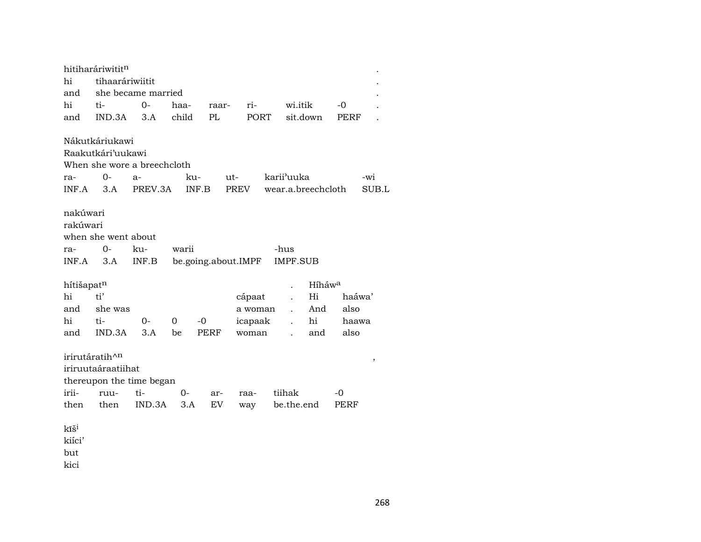|                                                    | hitiharáriwititn                                                 |                                           |           |                     |      |             |                         |                    |            |        |  |
|----------------------------------------------------|------------------------------------------------------------------|-------------------------------------------|-----------|---------------------|------|-------------|-------------------------|--------------------|------------|--------|--|
| hi                                                 | tihaaráriwiitit                                                  |                                           |           |                     |      |             |                         |                    |            |        |  |
| and                                                |                                                                  | she became married                        |           |                     |      |             |                         |                    |            |        |  |
| hi                                                 | ti-                                                              | $O -$                                     | haa-      | raar-               |      | ri-         | wi.itik                 |                    | -0         |        |  |
| and                                                | IND.3A                                                           | 3.A                                       | child     | PL                  |      | PORT        |                         | sit.down           | PERF       |        |  |
|                                                    | Nákutkáriukawi                                                   |                                           |           |                     |      |             |                         |                    |            |        |  |
|                                                    | Raakutkári'uukawi                                                |                                           |           |                     |      |             |                         |                    |            |        |  |
|                                                    |                                                                  | When she wore a breechcloth               |           |                     |      |             |                         |                    |            |        |  |
| ra-                                                | 0-                                                               | $a-$                                      | ku-       |                     | ut-  |             | karii'uuka              |                    |            | -wi    |  |
| INF.A                                              | 3.A                                                              | PREV.3A                                   |           | INF.B               | PREV |             |                         | wear.a.breechcloth |            | SUB.L  |  |
| nakúwari<br>rakúwari<br>ra-<br>INF.A               | when she went about<br>$0-$<br>3.A                               | ku-<br>INF.B                              | warii     | be.going.about.IMPF |      |             | -hus<br><b>IMPF.SUB</b> |                    |            |        |  |
| hítišapatn                                         |                                                                  |                                           |           |                     |      |             |                         | Híháw <sup>a</sup> |            |        |  |
| hi                                                 | ti'                                                              |                                           |           |                     |      | cápaat      |                         | Hi                 |            | haáwa' |  |
| and                                                | she was                                                          |                                           |           |                     |      | a woman     | $\ddot{\phantom{a}}$    | And                | also       |        |  |
| hi                                                 | ti-                                                              | $0-$                                      | 0         | $-0$                |      | icapaak     |                         | hi                 |            | haawa  |  |
| and                                                | IND.3A                                                           | 3.A                                       | be        | PERF                |      | woman       | $\ddot{\phantom{a}}$    | and                | also       |        |  |
| irii-<br>then<br>kĩš <sup>i</sup><br>kiíci'<br>but | irirutáratih^ <sup>n</sup><br>iriruutaáraatiihat<br>ruu-<br>then | thereupon the time began<br>ti-<br>IND.3A | 0-<br>3.A | ar-<br>EV           |      | raa-<br>way | tiihak<br>be.the.end    |                    | -0<br>PERF | $\, ,$ |  |
| kici                                               |                                                                  |                                           |           |                     |      |             |                         |                    |            |        |  |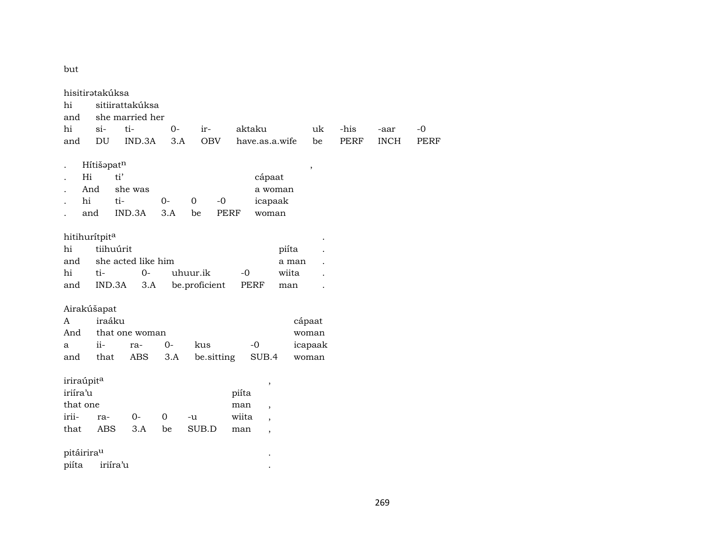but

|                        | hisitirətakúksa |                    |             |               |        |                          |                |             |             |             |
|------------------------|-----------------|--------------------|-------------|---------------|--------|--------------------------|----------------|-------------|-------------|-------------|
| hi                     |                 | sitiirattakúksa    |             |               |        |                          |                |             |             |             |
| and                    |                 | she married her    |             |               |        |                          |                |             |             |             |
| hi                     | $si-$           | ti-                | $O -$       | ir-           | aktaku |                          | uk             | -his        | -aar        | $-0$        |
| and                    | DU              | IND.3A             | 3.A         | <b>OBV</b>    |        | have.as.a.wife           | be             | <b>PERF</b> | <b>INCH</b> | <b>PERF</b> |
|                        |                 |                    |             |               |        |                          |                |             |             |             |
|                        | Hítišapatn      |                    |             |               |        |                          | $\overline{ }$ |             |             |             |
| Hi                     | ti'             |                    |             |               |        | cápaat                   |                |             |             |             |
|                        | And             | she was            |             |               |        | a woman                  |                |             |             |             |
| hi                     | ti-             |                    | $0-$        | $-0$<br>0     |        | icapaak                  |                |             |             |             |
|                        | and             | IND.3A             | 3.A         | be            | PERF   | woman                    |                |             |             |             |
|                        |                 |                    |             |               |        |                          |                |             |             |             |
| hitihurítpita          |                 |                    |             |               |        |                          |                |             |             |             |
| hi                     | tiihuúrit       |                    |             |               |        | piíta                    |                |             |             |             |
| and                    |                 | she acted like him |             |               |        | a man                    |                |             |             |             |
| hi                     | ti-             | $O -$              |             | uhuur.ik      | $-0$   | wiita                    |                |             |             |             |
| and                    | IND.3A          | 3.A                |             | be.proficient | PERF   | man                      |                |             |             |             |
|                        |                 |                    |             |               |        |                          |                |             |             |             |
|                        | Airakúšapat     |                    |             |               |        |                          |                |             |             |             |
| A                      | iraáku          |                    |             |               |        |                          | cápaat         |             |             |             |
| And                    |                 | that one woman     |             |               |        |                          | woman          |             |             |             |
| a                      | $\rm ii$ -      | ra-                | $0-$        | kus           | $-0$   |                          | icapaak        |             |             |             |
| and                    | that            | ABS                | 3.A         | be.sitting    |        | SUB.4                    | woman          |             |             |             |
|                        |                 |                    |             |               |        |                          |                |             |             |             |
| iriraúpit <sup>a</sup> |                 |                    |             |               |        | ,                        |                |             |             |             |
| iriíra'u               |                 |                    |             |               | piíta  |                          |                |             |             |             |
| that one               |                 |                    |             |               | man    | $\overline{\phantom{a}}$ |                |             |             |             |
| irii-                  | ra-             | $O -$              | $\mathbf 0$ | -u            | wiita  | $\overline{\phantom{a}}$ |                |             |             |             |
| that                   | ABS             | 3.A                | be          | SUB.D         | man    | $\overline{\phantom{a}}$ |                |             |             |             |
|                        |                 |                    |             |               |        |                          |                |             |             |             |
| pitáirirau             |                 |                    |             |               |        |                          |                |             |             |             |
| piíta                  | iriíra'u        |                    |             |               |        |                          |                |             |             |             |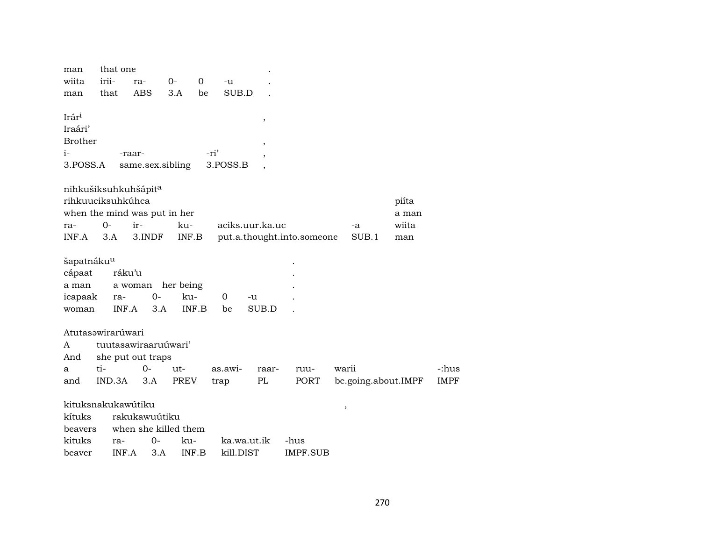| man                                            | that one                       |                                               |              |             |                 |        |                            |             |                                |             |
|------------------------------------------------|--------------------------------|-----------------------------------------------|--------------|-------------|-----------------|--------|----------------------------|-------------|--------------------------------|-------------|
| wiita                                          | irii-                          | ra-                                           | $0-$         | 0<br>-u     |                 |        |                            |             |                                |             |
| man                                            | that                           | <b>ABS</b>                                    | 3.A          | be          | SUB.D           |        |                            |             |                                |             |
| Irár <sup>i</sup><br>Iraári'<br><b>Brother</b> |                                |                                               |              |             |                 | ,<br>, |                            |             |                                |             |
| i-                                             |                                | -raar-                                        |              | -ri'        |                 |        |                            |             |                                |             |
| 3.POSS.A                                       |                                | same.sex.sibling                              |              | 3.POSS.B    |                 |        |                            |             |                                |             |
|                                                | nihkušiksuhkuhšápita           |                                               |              |             |                 |        |                            |             |                                |             |
| ra-<br>INF.A                                   | rihkuuciksuhkúhca<br>0-<br>3.A | when the mind was put in her<br>ir-<br>3.INDF | ku-<br>INF.B |             | aciks.uur.ka.uc |        | put.a.thought.into.someone | -a<br>SUB.1 | piíta<br>a man<br>wiita<br>man |             |
| šapatnáku <sup>u</sup>                         |                                |                                               |              |             |                 |        |                            |             |                                |             |
| cápaat                                         | ráku'u                         |                                               |              |             |                 |        |                            |             |                                |             |
| a man                                          |                                | a woman                                       | her being    |             |                 |        |                            |             |                                |             |
| icapaak                                        | ra-                            | $0-$                                          | ku-          | $\mathbf 0$ | -u              |        |                            |             |                                |             |
| woman                                          | INF.A                          | 3.A                                           | INF.B        | be          | SUB.D           |        |                            |             |                                |             |
|                                                | Atutasawirarúwari              |                                               |              |             |                 |        |                            |             |                                |             |
| A                                              |                                | tuutasawiraaruúwari'                          |              |             |                 |        |                            |             |                                |             |
| And                                            |                                | she put out traps                             |              |             |                 |        |                            |             |                                |             |
| a                                              | ti-                            | $O -$                                         | ut-          | as.awi-     |                 | raar-  | ruu-                       | warii       |                                | -:hus       |
| and                                            | IND.3A                         | 3.A                                           | PREV         | trap        |                 | PL     | PORT                       |             | be.going.about.IMPF            | <b>IMPF</b> |
|                                                |                                |                                               |              |             |                 |        |                            |             |                                |             |
|                                                | kituksnakukawútiku             |                                               |              |             |                 |        |                            | $\, ,$      |                                |             |
| kítuks                                         |                                | rakukawuútiku                                 |              |             |                 |        |                            |             |                                |             |
| beavers                                        |                                | when she killed them                          |              |             |                 |        |                            |             |                                |             |
| kituks                                         | ra-                            | $O -$                                         | ku-          |             | ka.wa.ut.ik     |        | -hus                       |             |                                |             |

beaver INF.A 3.A INF.B kill.DIST IMPF.SUB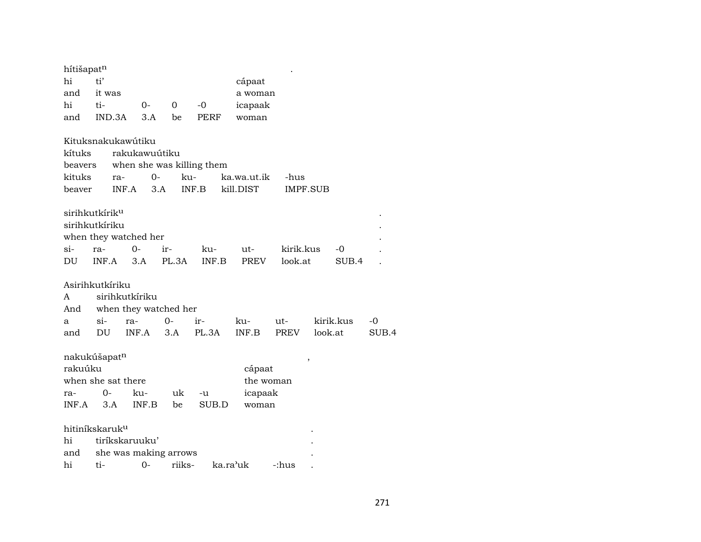| hítišapatn<br>hi<br>and<br>hi<br>and | ti'<br>it was<br>ti-<br>IND.3A                               | $0-$<br>3.A                                             | 0<br>be             | $-0$<br><b>PERF</b>       | cápaat<br>a woman<br>icapaak<br>woman   |                      |                          |               |             |
|--------------------------------------|--------------------------------------------------------------|---------------------------------------------------------|---------------------|---------------------------|-----------------------------------------|----------------------|--------------------------|---------------|-------------|
| kítuks<br>beavers<br>kituks          | ra-                                                          | Kituksnakukawútiku<br>rakukawuútiku<br>$0-$             | ku-                 | when she was killing them | ka.wa.ut.ik                             | -hus                 |                          |               |             |
| beaver<br>si-<br>DU                  | sirihkutkírik <sup>u</sup><br>sirihkutkíriku<br>ra-<br>INF.A | INF.A<br>when they watched her<br>$0-$<br>3.A           | 3.A<br>ir-<br>PL.3A | INF.B<br>ku-<br>INF.B     | kill.DIST<br>ut-<br><b>PREV</b>         | kirik.kus<br>look.at | <b>IMPF.SUB</b>          | $-0$<br>SUB.4 |             |
| A<br>And<br>a<br>and                 | Asirihkutkíriku<br>si-<br>DU                                 | sirihkutkíriku<br>when they watched her<br>ra-<br>INF.A | $0-$<br>3.A         | ir-<br>PL.3A              | ku-<br>INF.B                            | ut-<br>PREV          | look.at                  | kirik.kus     | -0<br>SUB.4 |
| rakuúku<br>ra-<br>INF.A              | nakukúšapatn<br>when she sat there<br>0-<br>3.A              | ku-<br>INF.B                                            | uk<br>be            | -u<br>SUB.D               | cápaat<br>the woman<br>icapaak<br>woman |                      | $\overline{\phantom{a}}$ |               |             |
| hi<br>and<br>hi                      | hitiníkskaruk <sup>u</sup><br>ti-                            | tiríkskaruuku'<br>she was making arrows<br>$0-$         | riiks-              | ka.ra'uk                  |                                         | -:hus                |                          |               |             |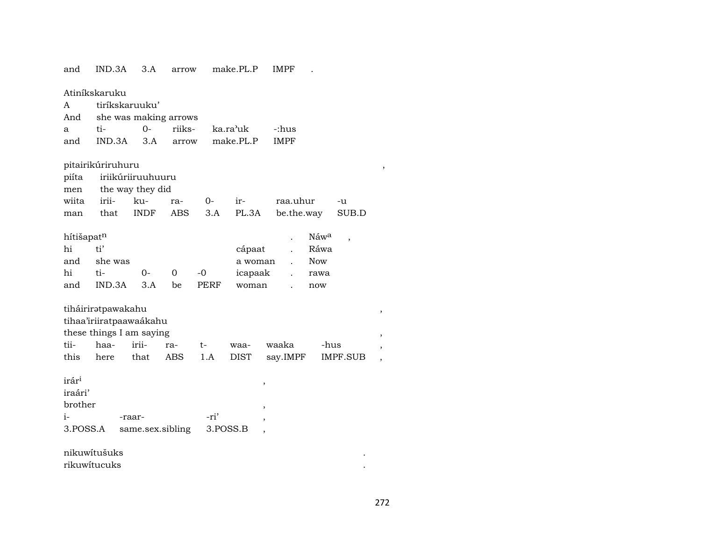| and               | IND.3A                   | 3.A                   | arrow      |       | make.PL.P                            | <b>IMPF</b>                        |                 |                          |
|-------------------|--------------------------|-----------------------|------------|-------|--------------------------------------|------------------------------------|-----------------|--------------------------|
|                   | Atiníkskaruku            |                       |            |       |                                      |                                    |                 |                          |
| A                 | tiríkskaruuku'           |                       |            |       |                                      |                                    |                 |                          |
| And               |                          | she was making arrows |            |       |                                      |                                    |                 |                          |
| а                 | ti-                      | $O -$                 | riiks-     |       | ka.ra'uk                             | -:hus                              |                 |                          |
| and               | IND.3A                   | 3.A                   | arrow      |       | make.PL.P                            | <b>IMPF</b>                        |                 |                          |
|                   | pitairikúriruhuru        |                       |            |       |                                      |                                    |                 | ,                        |
| piíta             |                          | iriikúriiruuhuuru     |            |       |                                      |                                    |                 |                          |
| men               |                          | the way they did      |            |       |                                      |                                    |                 |                          |
| wiita             | irii-                    | ku-                   | ra-        | $O -$ | ir-                                  | raa.uhur                           | -u              |                          |
| man               | that                     | <b>INDF</b>           | <b>ABS</b> | 3.A   | PL.3A                                | be.the.way                         | SUB.D           |                          |
| hítišapatn        |                          |                       |            |       |                                      | Náwa                               | ,               |                          |
| hi                | ti'                      |                       |            |       | cápaat                               | Ráwa                               |                 |                          |
| and               | she was                  |                       |            |       | a woman                              | <b>Now</b><br>$\ddot{\phantom{a}}$ |                 |                          |
| hi                | ti-                      | 0-                    | 0          | $-0$  | icapaak                              | rawa                               |                 |                          |
| and               | IND.3A                   | 3.A                   | be         | PERF  | woman                                | now                                |                 |                          |
|                   | tiháiriratpawakahu       |                       |            |       |                                      |                                    |                 | $^\mathrm{^\mathrm{o}}$  |
|                   | tihaa'iriiratpaawaákahu  |                       |            |       |                                      |                                    |                 |                          |
|                   | these things I am saying |                       |            |       |                                      |                                    |                 | ,                        |
| tii-              | haa-                     | irii-                 | ra-        | $t-$  | waa-                                 | waaka                              | -hus            | ,                        |
| this              | here                     | that                  | ABS        | 1.A   | <b>DIST</b>                          | say.IMPF                           | <b>IMPF.SUB</b> | $\overline{\phantom{a}}$ |
| irár <sup>i</sup> |                          |                       |            |       | ,                                    |                                    |                 |                          |
| iraári'           |                          |                       |            |       |                                      |                                    |                 |                          |
| brother           |                          |                       |            |       | ,                                    |                                    |                 |                          |
| $i-$              |                          | -raar-                |            | -ri'  | ,                                    |                                    |                 |                          |
| 3.POSS.A          |                          | same.sex.sibling      |            |       | 3.POSS.B<br>$\overline{\phantom{a}}$ |                                    |                 |                          |
|                   | nikuwítušuks             |                       |            |       |                                      |                                    |                 |                          |
| rikuwitucuks      |                          |                       |            |       |                                      |                                    |                 |                          |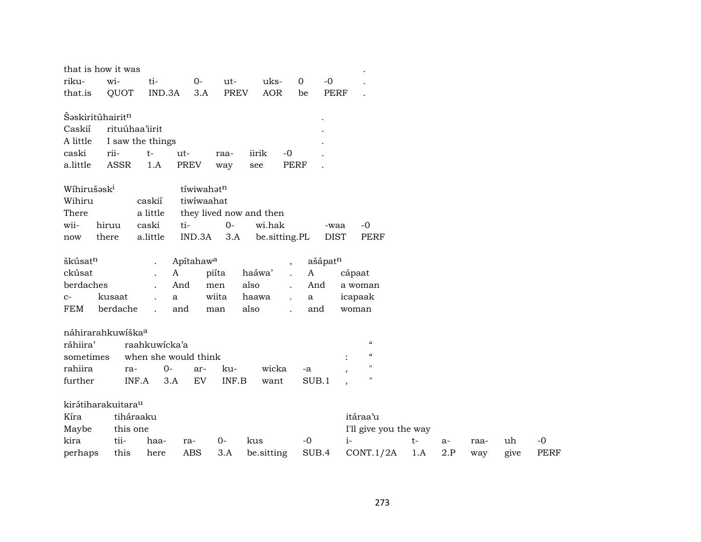| that is how it was                                                                                                            |                                                |                                                                |                                                       |                              |                                                           |                                                         |                                                                                                  |     |      |      |      |             |
|-------------------------------------------------------------------------------------------------------------------------------|------------------------------------------------|----------------------------------------------------------------|-------------------------------------------------------|------------------------------|-----------------------------------------------------------|---------------------------------------------------------|--------------------------------------------------------------------------------------------------|-----|------|------|------|-------------|
| riku-                                                                                                                         | wi-                                            | ti-                                                            | $0-$                                                  | ut-                          | uks-                                                      | $\mathbf 0$<br>$-0$                                     |                                                                                                  |     |      |      |      |             |
| that.is                                                                                                                       | QUOT                                           | IND.3A                                                         | 3.A                                                   | <b>PREV</b>                  | <b>AOR</b>                                                | <b>PERF</b><br>be                                       |                                                                                                  |     |      |      |      |             |
| Šəskiritúhairit <sup>n</sup><br>Caskií<br>A little<br>caski<br>a.little<br>Wíhirušəsk <sup>i</sup><br>Wihiru<br>There<br>wii- | rituúhaa'iirit<br>rii-<br><b>ASSR</b><br>hiruu | I saw the things<br>$t-$<br>1.A<br>caskií<br>a little<br>caski | ut-<br><b>PREV</b><br>tíwiwahatn<br>tiwiwaahat<br>ti- | raa-<br>way<br>$O -$         | iirik<br>$-0$<br>see<br>they lived now and then<br>wi.hak | <b>PERF</b><br>-waa                                     | $-0$                                                                                             |     |      |      |      |             |
| now                                                                                                                           | there                                          | a.little                                                       | IND.3A                                                | 3.A                          | be.sitting.PL                                             | <b>DIST</b>                                             | PERF                                                                                             |     |      |      |      |             |
| škúsat <sup>n</sup><br>ckúsat<br>berdaches<br>$C-$<br>FEM                                                                     | kusaat<br>berdache                             | $\ddot{\phantom{a}}$<br>$\mathbf A$<br>a<br>$\mathbf{r}$       | Apítahaw <sup>a</sup><br>And<br>and                   | piíta<br>men<br>wiita<br>man | $\overline{ }$<br>haáwa'<br>also<br>haawa<br>also         | ašápatn<br>$\boldsymbol{\mathsf{A}}$<br>And<br>a<br>and | cápaat<br>a woman<br>icapaak<br>woman                                                            |     |      |      |      |             |
| náhirarahkuwíška <sup>a</sup><br>ráhiira'<br>sometimes<br>rahiira<br>further                                                  | ra-<br>INF.A                                   | raahkuwicka'a<br>when she would think<br>$0-$<br>3.A           | ar-<br>EV                                             | ku-<br>INF.B                 | wicka<br>want                                             | -a<br>SUB.1                                             | $\pmb{\zeta}\pmb{\zeta}$<br>$\mathcal{C}$<br>$\ddot{\cdot}$<br>$^{\prime\prime}$<br>$\mathbf{H}$ |     |      |      |      |             |
| kirátiharakuitara <sup>u</sup><br>Kíra<br>Maybe                                                                               | tiháraaku<br>this one                          |                                                                |                                                       |                              |                                                           |                                                         | itáraa'u<br>I'll give you the way                                                                |     |      |      |      |             |
| kira                                                                                                                          | tii-                                           | haa-                                                           | ra-                                                   | $0-$                         | kus                                                       | $-0$                                                    | $i-$                                                                                             | t-  | $a-$ | raa- | uh   | $-0$        |
| perhaps                                                                                                                       | this                                           | here                                                           | <b>ABS</b>                                            | 3.A                          | be.sitting                                                | SUB.4                                                   | CONT.1/2A                                                                                        | 1.A | 2.P  | way  | give | <b>PERF</b> |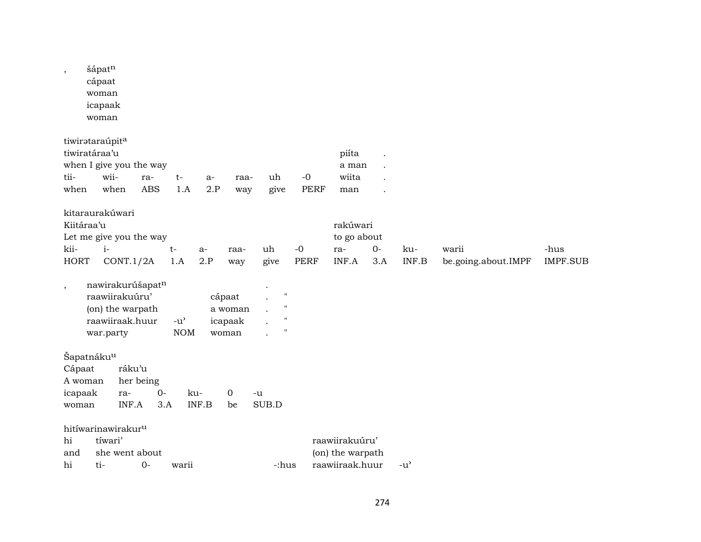| $\,$                                  | šápatn<br>cápaat<br>woman<br>icapaak<br>woman                                          |                                     |                   |                             |              |                                       |                                                                                      |                     |                                                       |             |               |                              |                         |
|---------------------------------------|----------------------------------------------------------------------------------------|-------------------------------------|-------------------|-----------------------------|--------------|---------------------------------------|--------------------------------------------------------------------------------------|---------------------|-------------------------------------------------------|-------------|---------------|------------------------------|-------------------------|
| tii-<br>when                          | tiwirataraúpita<br>tiwiratáraa'u<br>when I give you the way<br>wii-<br>when            |                                     | ra-<br><b>ABS</b> | $t-$<br>1.A                 | $a-$<br>2.P  | raa-<br>way                           | uh<br>give                                                                           | $-0$<br><b>PERF</b> | piíta<br>a man<br>wiita<br>man                        |             |               |                              |                         |
| Kiitáraa'u<br>kii-<br><b>HORT</b>     | kitaraurakúwari<br>Let me give you the way<br>$i-$                                     | CONT.1/2A                           |                   | $t-$<br>1.A                 | $a-$<br>2.P  | raa-<br>way                           | uh<br>give                                                                           | $-0$<br><b>PERF</b> | rakúwari<br>to go about<br>ra-<br>INF.A               | $0-$<br>3.A | ku-<br>INF.B  | warii<br>be.going.about.IMPF | -hus<br><b>IMPF.SUB</b> |
| $\,$                                  | nawirakurúšapatn<br>raawiirakuúru'<br>(on) the warpath<br>raawiiraak.huur<br>war.party |                                     |                   | $-u^{\prime}$<br><b>NOM</b> |              | cápaat<br>a woman<br>icapaak<br>woman | $\pmb{\mathsf{H}}$<br>$\pmb{\mathsf{H}}$<br>$\pmb{\mathsf{H}}$<br>$\pmb{\mathsf{H}}$ |                     |                                                       |             |               |                              |                         |
| Cápaat<br>A woman<br>icapaak<br>woman | Šapatnáku <sup>u</sup>                                                                 | ráku'u<br>her being<br>ra-<br>INF.A | $0 -$<br>3.A      |                             | ku-<br>INF.B | $\mathbf 0$<br>be                     | -u<br>SUB.D                                                                          |                     |                                                       |             |               |                              |                         |
| hi<br>and<br>hi                       | hitíwarinawirakur <sup>u</sup><br>tíwari'<br>ti-                                       | she went about                      | $0-$              | warii                       |              |                                       | -:hus                                                                                |                     | raawiirakuúru'<br>(on) the warpath<br>raawiiraak.huur |             | $-u^{\prime}$ |                              |                         |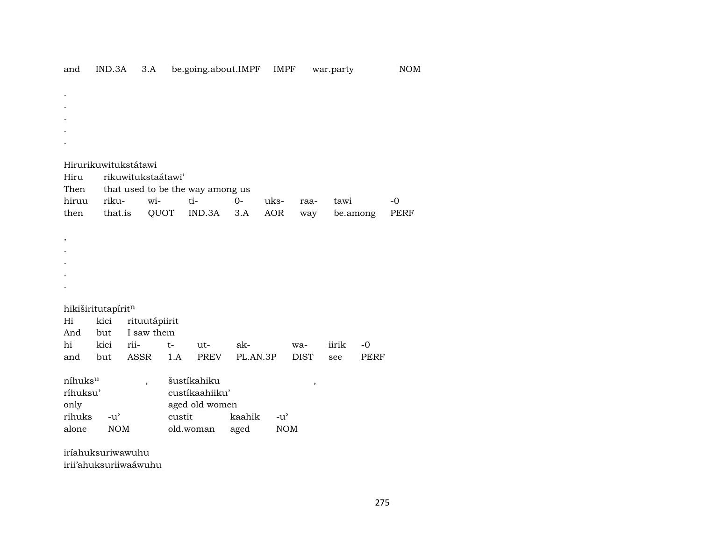| Hirurikuwitukstátawi<br>Hiru<br>rikuwitukstaátawi'                                       |
|------------------------------------------------------------------------------------------|
|                                                                                          |
|                                                                                          |
|                                                                                          |
|                                                                                          |
|                                                                                          |
|                                                                                          |
| Then<br>that used to be the way among us                                                 |
| hiruu<br>riku-<br>ti-<br>$O -$<br>wi-<br>uks-<br>tawi<br>$-0$<br>raa-                    |
| that.is<br>QUOT<br>IND.3A<br><b>AOR</b><br>then<br>3.A<br><b>PERF</b><br>be.among<br>way |
|                                                                                          |
| $\, ,$                                                                                   |
|                                                                                          |
|                                                                                          |
|                                                                                          |
|                                                                                          |
| hikiširitutapíritn                                                                       |
| kici<br>Hi<br>rituutápiirit                                                              |
| I saw them<br>And<br>but                                                                 |
| kici<br>hi<br>rii-<br>$-0$<br>ak-<br>iirik<br>$t-$<br>$ut-$<br>wa-                       |
| ASSR<br>PL.AN.3P<br>but<br>1.A<br>PREV<br><b>DIST</b><br><b>PERF</b><br>and<br>see       |
| níhuksu<br>šustíkahiku<br>$\overline{\phantom{a}}$<br>$\, ,$                             |
| ríhuksu'<br>custíkaahiiku'                                                               |
| only<br>aged old women                                                                   |
| rihuks<br>custit<br>$-u^{\prime}$<br>kaahik<br>$-u^{\prime}$                             |
| <b>NOM</b><br><b>NOM</b><br>alone<br>old.woman<br>aged                                   |
| iríahuksuriwawuhu                                                                        |

IND.3A 3.A be.going.about.IMPF IMPF

irii'ahuksuriiwaáwuhu

and

 $\rm{NOM}$ 

war.party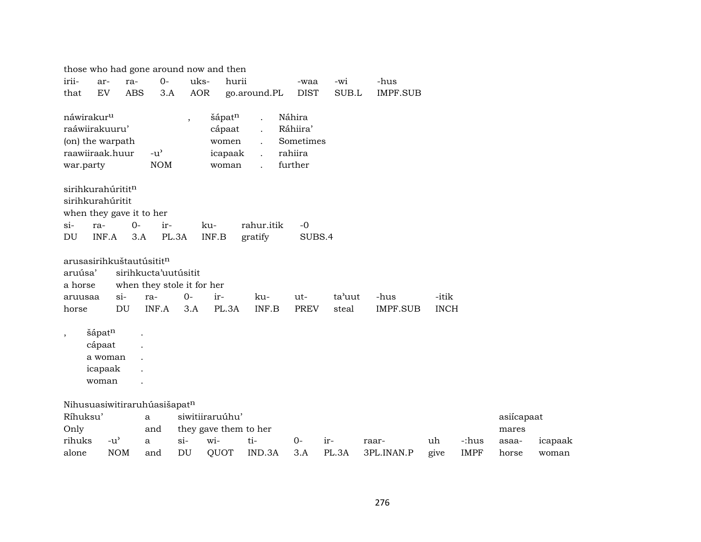|                         |                   |            |                                      |                          | those who had gone around now and then |                      |             |        |                 |             |             |            |         |
|-------------------------|-------------------|------------|--------------------------------------|--------------------------|----------------------------------------|----------------------|-------------|--------|-----------------|-------------|-------------|------------|---------|
| irii-                   | ar-               | ra-        | $O -$                                | uks-                     | hurii                                  |                      | -waa        | -wi    | -hus            |             |             |            |         |
| that                    | EV                | <b>ABS</b> | 3.A                                  | <b>AOR</b>               |                                        | go.around.PL         | <b>DIST</b> | SUB.L  | <b>IMPF.SUB</b> |             |             |            |         |
| náwirakur <sup>u</sup>  |                   |            |                                      | $\overline{\phantom{a}}$ | šápatn                                 | $\ddot{\phantom{a}}$ | Náhira      |        |                 |             |             |            |         |
| raáwiirakuuru'          |                   |            |                                      |                          | cápaat                                 | $\ddot{\phantom{a}}$ | Ráhiira'    |        |                 |             |             |            |         |
|                         | (on) the warpath  |            |                                      |                          | women                                  |                      | Sometimes   |        |                 |             |             |            |         |
| raawiiraak.huur         |                   |            | $-u$ <sup><math>\prime</math></sup>  |                          | icapaak                                | $\mathbf{r}$         | rahiira     |        |                 |             |             |            |         |
| war.party               |                   |            | <b>NOM</b>                           |                          | woman                                  |                      | further     |        |                 |             |             |            |         |
|                         | sirihkurahúrititn |            |                                      |                          |                                        |                      |             |        |                 |             |             |            |         |
| sirihkurahúritit        |                   |            |                                      |                          |                                        |                      |             |        |                 |             |             |            |         |
|                         |                   |            | when they gave it to her             |                          |                                        |                      |             |        |                 |             |             |            |         |
| $\sin$                  | ra-               | $0-$       | ir-                                  |                          | ku-                                    | rahur.itik           | $-0$        |        |                 |             |             |            |         |
| DU                      | INF.A             | 3.A        |                                      | PL.3A                    | INF.B                                  | gratify              | SUBS.4      |        |                 |             |             |            |         |
|                         |                   |            | arusasirihkuštautúsitit <sup>n</sup> |                          |                                        |                      |             |        |                 |             |             |            |         |
| aruúsa'                 |                   |            | sirihkucta'uutúsitit                 |                          |                                        |                      |             |        |                 |             |             |            |         |
| a horse                 |                   |            | when they stole it for her           |                          |                                        |                      |             |        |                 |             |             |            |         |
| aruusaa                 |                   | $\sin$     | ra-                                  | $0-$                     | ir-                                    | ku-                  | ut-         | ta'uut | -hus            | -itik       |             |            |         |
| horse                   |                   | DU         | INF.A                                | 3.A                      | PL.3A                                  | INF.B                | <b>PREV</b> | steal  | <b>IMPF.SUB</b> | <b>INCH</b> |             |            |         |
| $^\mathrm{^\mathrm{o}}$ | šápatn            |            |                                      |                          |                                        |                      |             |        |                 |             |             |            |         |
|                         | cápaat            |            |                                      |                          |                                        |                      |             |        |                 |             |             |            |         |
|                         | a woman           |            |                                      |                          |                                        |                      |             |        |                 |             |             |            |         |
|                         | icapaak           |            |                                      |                          |                                        |                      |             |        |                 |             |             |            |         |
|                         | woman             |            |                                      |                          |                                        |                      |             |        |                 |             |             |            |         |
|                         |                   |            | Nihusuasiwitiraruhúasišapatn         |                          |                                        |                      |             |        |                 |             |             |            |         |
| Ríhuksu'                |                   |            | a                                    |                          | siwitiiraruúhu'                        |                      |             |        |                 |             |             | asiícapaat |         |
| Only                    |                   |            | and                                  |                          | they gave them to her                  |                      |             |        |                 |             |             | mares      |         |
| rihuks                  | $-u^{\prime}$     |            | a                                    | $\sin$                   | wi-                                    | ti-                  | $0-$        | ir-    | raar-           | uh          | -:hus       | asaa-      | icapaak |
| alone                   |                   | <b>NOM</b> | and                                  | DU                       | QUOT                                   | IND.3A               | 3.A         | PL.3A  | 3PL.INAN.P      | give        | <b>IMPF</b> | horse      | woman   |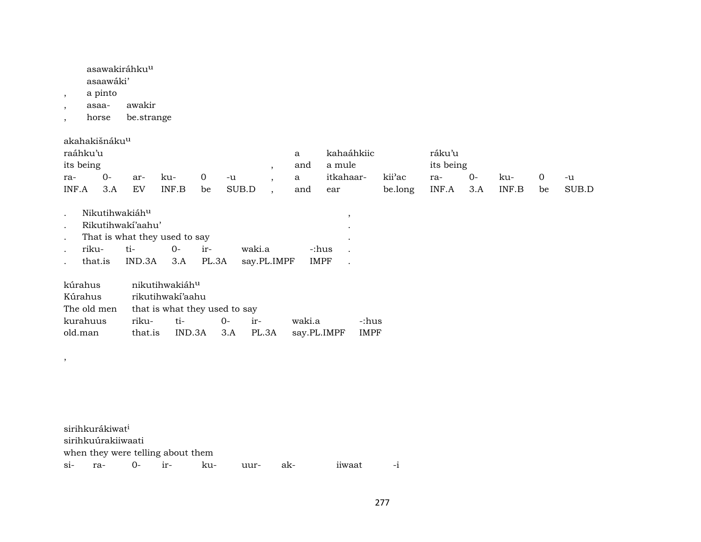asawakiráhku<sup>u</sup>

asaawáki'

- , a pinto
- , asaa- awakir
- , horse be.strange

akahakišnáku<sup>u</sup>

,

| raáhku'u  |        |     |       |                |       |     | kahaáhkiic |                     | ráku'u    |    |       |    |       |
|-----------|--------|-----|-------|----------------|-------|-----|------------|---------------------|-----------|----|-------|----|-------|
| its being |        |     |       |                |       | and | a mule     |                     | its being |    |       |    |       |
| ra-       | 0-     | ar- | -ku   | $\overline{0}$ | -u    | a a | itkahaar-  | kii <sup>›</sup> ac | ra-       | -0 | ku-   |    | $-11$ |
| INF.A     | 3.A EV |     | INF.B | be             | SUB.D | and | ear        | be.long INF.A 3.A   |           |    | INF.B | be | SUB.D |

| Nikutihwakiáh <sup>u</sup> |                                 |                |       |                                           |       |  |
|----------------------------|---------------------------------|----------------|-------|-------------------------------------------|-------|--|
|                            | Rikutihwakí'aahu'               |                |       |                                           |       |  |
|                            | . That is what they used to say |                |       |                                           |       |  |
| riku-                      | $t_{i-1}$                       | $\overline{O}$ | $ir-$ | waki a                                    | -:hus |  |
|                            |                                 |                |       | that.is IND.3A 3.A PL.3A say.PL.IMPF IMPF |       |  |

| kúrahus     | nikutihwakiáh <sup>u</sup> |                               |           |       |             |       |  |  |  |  |  |
|-------------|----------------------------|-------------------------------|-----------|-------|-------------|-------|--|--|--|--|--|
| Kúrahus     |                            | rikutihwakí'aahu              |           |       |             |       |  |  |  |  |  |
| The old men |                            | that is what they used to say |           |       |             |       |  |  |  |  |  |
| kurahuus    | riku-                      | ti-                           | <u>ດ-</u> | $ir-$ | waki.a      | -:hus |  |  |  |  |  |
| old.man     |                            | that.is IND.3A 3.A PL.3A      |           |       | say.PL.IMPF | IMPF  |  |  |  |  |  |

sirihkurákiwat<sup>i</sup> sirihkuúrakiiwaati when they were telling about them si- ra- 0- ir- ku- uur- ak- iiwaat -i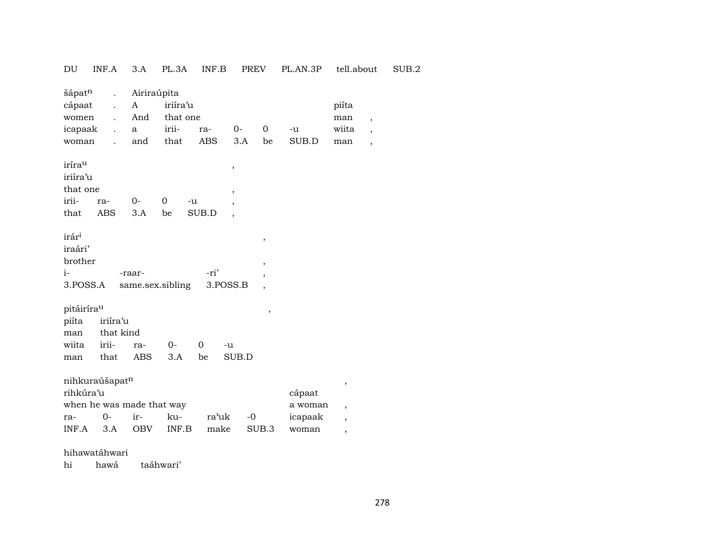| $\mathop{\rm DU}\nolimits$                      | INF.A                                       | 3.A               | PL.3A            | $\textsf{INF}.\textsf{B}$ | PREV        |                          | PL.AN.3P          | tell.about                    |                          | SUB.2 |
|-------------------------------------------------|---------------------------------------------|-------------------|------------------|---------------------------|-------------|--------------------------|-------------------|-------------------------------|--------------------------|-------|
| šápatn                                          | $\ddot{\phantom{a}}$                        | Airiraúpita       |                  |                           |             |                          |                   |                               |                          |       |
| cápaat                                          | $\ddot{\phantom{a}}$                        | $\mathbf{A}$      | iriíra'u         |                           |             |                          |                   | piíta                         |                          |       |
| women                                           | $\ddot{\phantom{a}}$                        | And               | that one         |                           |             |                          |                   | man                           | $\overline{\phantom{a}}$ |       |
| icapaak                                         | $\ddot{\phantom{a}}$                        | a                 | irii-            | ra-                       | $0-$        | $\mathbf 0$              | $-u$              | wiita                         | $\overline{\phantom{a}}$ |       |
| woman                                           |                                             | and               | that             | ABS                       | 3.A         | be                       | SUB.D             | man                           | $\overline{\phantom{a}}$ |       |
| irírau                                          |                                             |                   |                  |                           | $\,$        |                          |                   |                               |                          |       |
| iriíra'u                                        |                                             |                   |                  |                           |             |                          |                   |                               |                          |       |
| that one                                        |                                             |                   |                  |                           | ,           |                          |                   |                               |                          |       |
| irii-                                           | ra-                                         | $O -$             | 0<br>-u          |                           |             |                          |                   |                               |                          |       |
| that                                            | <b>ABS</b>                                  | 3.A               | be               | SUB.D                     |             |                          |                   |                               |                          |       |
| irár <sup>i</sup><br>iraári'<br>brother<br>$i-$ |                                             | -raar-            |                  | -ri'                      |             | $\, ,$<br>$\,$<br>,      |                   |                               |                          |       |
| 3.POSS.A                                        |                                             |                   | same.sex.sibling | 3.POSS.B                  |             | $\overline{\phantom{a}}$ |                   |                               |                          |       |
| pitáirírau<br>piíta<br>man<br>wiita<br>man      | iriíra'u<br>that kind<br>irii-<br>that      | ra-<br><b>ABS</b> | $O -$<br>3.A     | 0<br>be                   | -u<br>SUB.D | $\,$                     |                   |                               |                          |       |
| rihkúra'u                                       | nihkuraúšapatn<br>when he was made that way |                   |                  |                           |             |                          | cápaat<br>a woman | $\,$                          |                          |       |
| ra-                                             | $O -$                                       | ir-               | ku-              | ra'uk                     | $-0$        |                          | icapaak           | $\overline{\phantom{a}}$<br>, |                          |       |
| INF.A                                           | 3.A                                         | OBV               | INF.B            | make                      |             | SUB.3                    | woman             | $\overline{\phantom{a}}$      |                          |       |
| 1.11                                            | $\sim$ $\sim$ $\sim$ $\sim$                 |                   |                  |                           |             |                          |                   |                               |                          |       |

## hihawatáhwari

hi hawá taáhwari'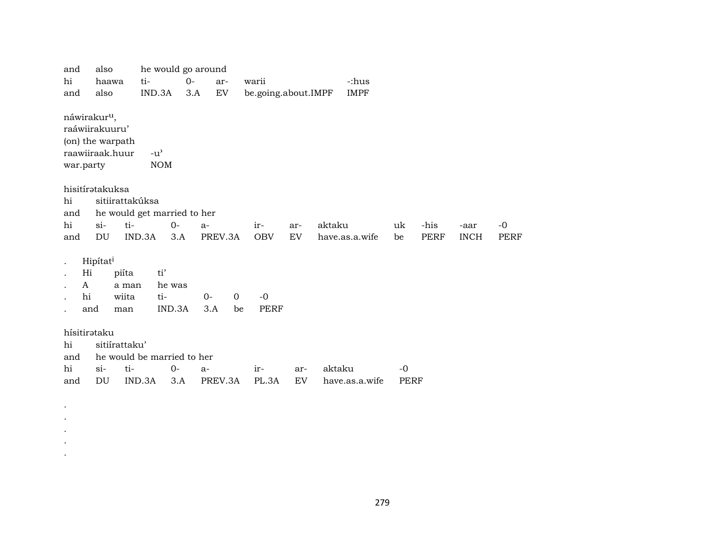| and                                    | also                                                                              |                                                | he would go around |               |                |                     |           |        |                |              |             |             |             |
|----------------------------------------|-----------------------------------------------------------------------------------|------------------------------------------------|--------------------|---------------|----------------|---------------------|-----------|--------|----------------|--------------|-------------|-------------|-------------|
| hi                                     | haawa                                                                             | ti-                                            | $0-$               | ar-           |                | warii               |           |        | -:hus          |              |             |             |             |
| and                                    | also                                                                              | IND.3A                                         | 3.A                | EV            |                | be.going.about.IMPF |           |        | <b>IMPF</b>    |              |             |             |             |
| war.party                              | náwirakur <sup>u</sup> ,<br>raáwiirakuuru'<br>(on) the warpath<br>raawiiraak.huur | $-u^{\prime}$<br><b>NOM</b>                    |                    |               |                |                     |           |        |                |              |             |             |             |
| hi<br>and                              | hisitírətakuksa                                                                   | sitiirattakúksa<br>he would get married to her |                    |               |                |                     |           |        |                |              |             |             |             |
| hi                                     | $si$ -                                                                            | ti-                                            | $0-$               | $a-$          |                | ir-                 | ar-       | aktaku |                | uk           | -his        | -aar        | $-0$        |
| and                                    | DU                                                                                | IND.3A                                         | 3.A                | PREV.3A       |                | <b>OBV</b>          | EV        |        | have.as.a.wife | be           | <b>PERF</b> | <b>INCH</b> | <b>PERF</b> |
| Hi<br>A<br>hi                          | Hipítat <sup>i</sup><br>and                                                       | ti'<br>piíta<br>a man<br>wiita<br>ti-<br>man   | he was<br>IND.3A   | $0 -$<br>3.A  | $\Omega$<br>be | $-0$<br><b>PERF</b> |           |        |                |              |             |             |             |
| hísitirataku<br>hi<br>and<br>hi<br>and | sitiírattaku'<br>$si-$<br>DU                                                      | he would be married to her<br>ti-<br>IND.3A    | 0-<br>3.A          | a-<br>PREV.3A |                | ir-<br>PL.3A        | ar-<br>EV | aktaku | have.as.a.wife | $-0$<br>PERF |             |             |             |

. . . . .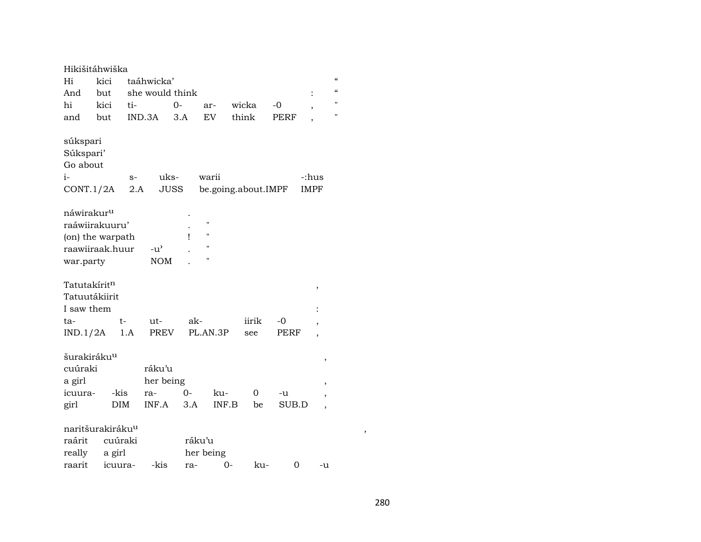| Hikišitáhwiška                                       |                   |             |                     |        |                |                     |             |                               |                            |
|------------------------------------------------------|-------------------|-------------|---------------------|--------|----------------|---------------------|-------------|-------------------------------|----------------------------|
| Hi                                                   | kici              | taáhwicka'  |                     |        |                |                     |             |                               | $\boldsymbol{\mathcal{C}}$ |
| And                                                  | but               |             | she would think     |        |                |                     |             | $\ddot{\cdot}$                | $\epsilon$                 |
| hi                                                   | kici              | ti-         | 0-                  |        | ar-            | wicka               | $-0$        | $\overline{\phantom{a}}$      | н                          |
| and                                                  | but               | IND.3A      |                     | 3.A    | EV             | think               | PERF        |                               | $\pmb{\mathsf{H}}$         |
| súkspari<br>Súkspari'<br>Go about<br>i-<br>CONT.1/2A |                   | $S-$<br>2.A | uks-<br><b>JUSS</b> |        | warii          | be.going.about.IMPF |             | -:hus<br><b>IMPF</b>          |                            |
| náwirakur <sup>u</sup>                               |                   |             |                     |        |                |                     |             |                               |                            |
| raáwiirakuuru'                                       |                   |             |                     |        | $\blacksquare$ |                     |             |                               |                            |
| (on) the warpath                                     |                   |             |                     | Ţ      | $\blacksquare$ |                     |             |                               |                            |
| raawiiraak.huur                                      |                   |             | $-u^{\prime}$       |        | "              |                     |             |                               |                            |
| war.party                                            |                   |             | <b>NOM</b>          |        | 11             |                     |             |                               |                            |
| Tatutakíritn<br>Tatuutákiirit<br>I saw them<br>ta-   | t-                |             | ut-                 | ak-    |                | iirik               | -0          | $\, ,$                        |                            |
|                                                      |                   |             | <b>PREV</b>         |        |                |                     |             | $\overline{\phantom{a}}$      |                            |
| IND.1/2A<br>šurakiráku <sup>u</sup>                  |                   | 1.A         |                     |        | PL.AN.3P       | see                 | <b>PERF</b> | $\overline{\phantom{a}}$<br>, |                            |
| cuúraki                                              |                   |             | ráku'u              |        |                |                     |             |                               |                            |
| a girl                                               |                   |             | her being           |        |                |                     |             | ,                             |                            |
| icuura-                                              | -kis              | ra-         |                     | 0-     | ku-            | 0                   | -u          | ,                             |                            |
| girl                                                 | DIM               |             | INF.A               | 3.A    | INF.B          | be                  | SUB.D       | $\overline{\phantom{a}}$      |                            |
| naritšurakiráku <sup>u</sup><br>raárit<br>really     | cuúraki<br>a girl |             |                     | ráku'u | her being      |                     |             |                               | ,                          |
| raarit                                               | icuura-           |             | -kis                | ra-    | 0-             | ku-                 | 0           | -u                            |                            |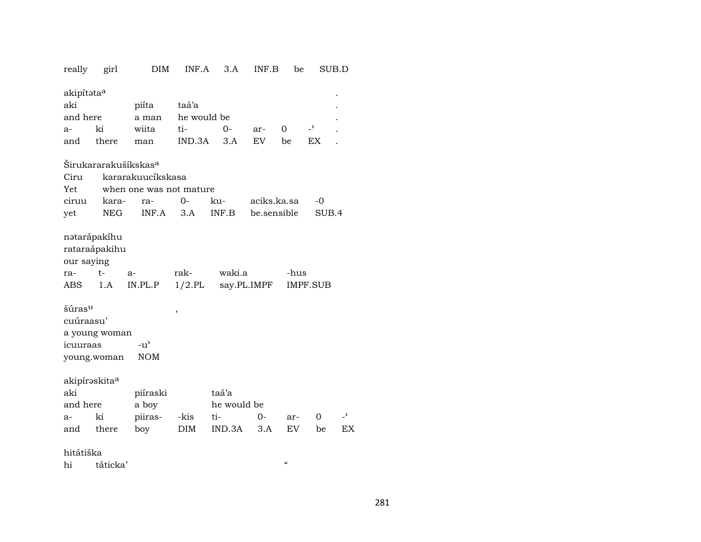| really                    | girl                             | DIM                     | INF.A       | 3.A         | INF.B       | be                 |                | SUB.D                    |  |  |  |  |  |
|---------------------------|----------------------------------|-------------------------|-------------|-------------|-------------|--------------------|----------------|--------------------------|--|--|--|--|--|
| akipítataa                |                                  |                         |             |             |             |                    |                |                          |  |  |  |  |  |
| aki                       |                                  | piíta                   | taá'a       |             |             |                    |                |                          |  |  |  |  |  |
| and here                  |                                  | a man                   | he would be |             |             |                    |                |                          |  |  |  |  |  |
| a-                        | ki                               | wiita                   | ti-         | 0-          | ar-         | $\Omega$           | $\overline{z}$ |                          |  |  |  |  |  |
| and                       | there                            | man                     | IND.3A      | 3.A         | <b>EV</b>   | be                 | EX             |                          |  |  |  |  |  |
|                           | Širukararakušíkskas <sup>a</sup> |                         |             |             |             |                    |                |                          |  |  |  |  |  |
| Ciru<br>kararakuucíkskasa |                                  |                         |             |             |             |                    |                |                          |  |  |  |  |  |
| Yet                       |                                  | when one was not mature |             |             |             |                    |                |                          |  |  |  |  |  |
| ciruu                     | kara-                            | ra-                     | 0-          | ku-         | aciks.ka.sa |                    | -0             |                          |  |  |  |  |  |
| yet                       | <b>NEG</b>                       | INF.A                   | 3.A         | INF.B       | be.sensible |                    | SUB.4          |                          |  |  |  |  |  |
|                           | nətarápakíhu                     |                         |             |             |             |                    |                |                          |  |  |  |  |  |
|                           | rataraápakihu                    |                         |             |             |             |                    |                |                          |  |  |  |  |  |
| our saying                |                                  |                         |             |             |             |                    |                |                          |  |  |  |  |  |
| ra-                       | $t-$                             | a-                      | rak-        | waki.a      |             | -hus               |                |                          |  |  |  |  |  |
| ABS                       | 1.A                              | IN.PL.P                 | $1/2$ .PL   |             | say.PL.IMPF |                    | IMPF.SUB       |                          |  |  |  |  |  |
| šúras <sup>u</sup>        |                                  |                         | ,           |             |             |                    |                |                          |  |  |  |  |  |
| cuúraasu'                 |                                  |                         |             |             |             |                    |                |                          |  |  |  |  |  |
|                           | a young woman                    |                         |             |             |             |                    |                |                          |  |  |  |  |  |
| icuuraas                  |                                  | $-u^{\prime}$           |             |             |             |                    |                |                          |  |  |  |  |  |
|                           | young.woman                      | <b>NOM</b>              |             |             |             |                    |                |                          |  |  |  |  |  |
| akipíraskita <sup>a</sup> |                                  |                         |             |             |             |                    |                |                          |  |  |  |  |  |
| aki                       |                                  | piíraski                |             | taá'a       |             |                    |                |                          |  |  |  |  |  |
| and here                  |                                  | a boy                   |             | he would be |             |                    |                |                          |  |  |  |  |  |
| a-                        | ki                               | piiras-                 | -kis        | ti-         | $O -$       | ar-                | 0              | $\overline{\phantom{0}}$ |  |  |  |  |  |
| and                       | there                            | boy                     | DIM         | IND.3A      | 3.A         | EV                 | be             | EX                       |  |  |  |  |  |
| hitátiška                 |                                  |                         |             |             |             |                    |                |                          |  |  |  |  |  |
|                           | hi táticka'                      |                         |             |             |             | $\epsilon\epsilon$ |                |                          |  |  |  |  |  |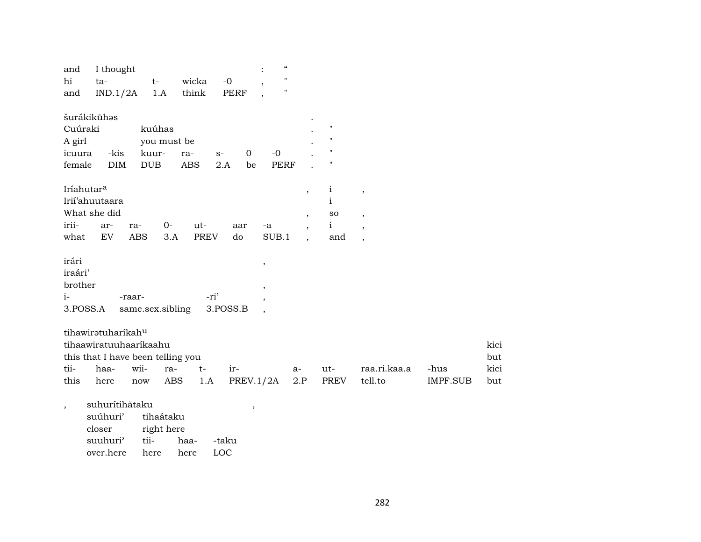| and<br>hi<br>and            | I thought<br>ta-<br>IND.1/2A                                                      | $t-$             | 1.A                     | wicka<br>think | $-0$<br><b>PERF</b> |                          | $\mathcal{C}\mathcal{C}$<br>$\pmb{\mathsf{H}}$<br>Н |                          |                              |                          |                 |             |
|-----------------------------|-----------------------------------------------------------------------------------|------------------|-------------------------|----------------|---------------------|--------------------------|-----------------------------------------------------|--------------------------|------------------------------|--------------------------|-----------------|-------------|
| Cuúraki                     | šurákikūhas                                                                       | kuúhas           |                         |                |                     |                          |                                                     |                          | Ħ                            |                          |                 |             |
| A girl<br>icuura            | -kis                                                                              | kuur-            | you must be<br>ra-      |                | $S-$                | 0                        | $-0$                                                |                          | 11<br>п                      |                          |                 |             |
| female                      | <b>DIM</b>                                                                        | <b>DUB</b>       |                         | <b>ABS</b>     | 2.A                 | be                       | <b>PERF</b>                                         |                          | Ħ                            |                          |                 |             |
| Iríahutar <sup>a</sup>      | Irií'ahuutaara                                                                    |                  |                         |                |                     |                          |                                                     | $\cdot$                  | $\mathbf{i}$<br>$\mathbf{i}$ | $\, ,$                   |                 |             |
|                             | What she did                                                                      |                  |                         |                |                     |                          |                                                     | $\overline{\phantom{a}}$ | so                           | $\overline{\phantom{a}}$ |                 |             |
| irii-                       | ar-                                                                               | ra-              | $0-$                    | ut-            | aar                 | -a                       |                                                     | $\overline{\phantom{a}}$ | $\mathbf{i}$                 | $\overline{\phantom{a}}$ |                 |             |
| what                        | EV                                                                                | <b>ABS</b>       | 3.A                     | <b>PREV</b>    | do                  |                          | SUB.1                                               | $\overline{\phantom{a}}$ | and                          | $\overline{\phantom{a}}$ |                 |             |
| irári<br>iraári'<br>brother |                                                                                   |                  |                         |                |                     | $\, ,$<br>,              |                                                     |                          |                              |                          |                 |             |
| $i-$                        |                                                                                   | -raar-           |                         | -ri'           |                     | $\overline{ }$           |                                                     |                          |                              |                          |                 |             |
| 3.POSS.A                    |                                                                                   | same.sex.sibling |                         |                | 3.POSS.B            | $\overline{\phantom{a}}$ |                                                     |                          |                              |                          |                 |             |
|                             | tihawiratuharikahu<br>tihaawiratuuhaarikaahu<br>this that I have been telling you |                  |                         |                |                     |                          |                                                     |                          |                              |                          |                 | kici<br>but |
| tii-                        | haa-                                                                              | wii-             | ra-                     | $t-$           | ir-                 |                          |                                                     | $a-$                     | ut-                          | raa.ri.kaa.a             | -hus            | kici        |
| this                        | here                                                                              | now              | ABS                     | 1.A            |                     | PREV.1/2A                |                                                     | 2.P                      | PREV                         | tell.to                  | <b>IMPF.SUB</b> | but         |
| $\overline{\phantom{a}}$    | suhurítihãtaku<br>suúhuri'<br>closer<br>suuhuri'                                  | tii-             | tihaátaku<br>right here | haa-           | -taku               | $\overline{\phantom{a}}$ |                                                     |                          |                              |                          |                 |             |

over.here here here LOC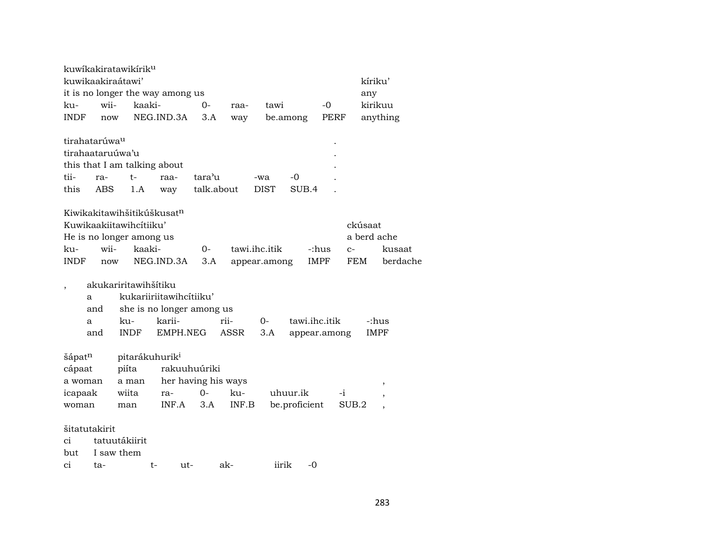|                           |      | kuwikakiratawikirik <sup>u</sup> |                                        |              |                     |               |               |              |             |             |
|---------------------------|------|----------------------------------|----------------------------------------|--------------|---------------------|---------------|---------------|--------------|-------------|-------------|
|                           |      | kuwikaakiraátawi'                |                                        |              |                     |               |               |              | kíriku'     |             |
|                           |      |                                  | it is no longer the way among us       |              |                     |               |               |              | any         |             |
| ku-                       | wii- |                                  | kaaki-                                 | 0-           | raa-                | tawi          |               | $-0$         |             | kirikuu     |
| <b>INDF</b>               | now  |                                  | NEG.IND.3A                             | 3.A          | way                 |               | be.among      | PERF         |             | anything    |
|                           |      |                                  |                                        |              |                     |               |               |              |             |             |
| tirahatarúwa <sup>u</sup> |      |                                  |                                        |              |                     |               |               |              |             |             |
| tirahaataruúwa'u          |      |                                  |                                        |              |                     |               |               |              |             |             |
|                           |      |                                  | this that I am talking about           |              |                     |               |               |              |             |             |
| tii-                      | ra-  | $t-$                             | raa-                                   | tara'u       |                     | -wa           | $-0$          |              |             |             |
| this                      | ABS  | 1.A                              | way                                    |              | talk.about          | DIST          | SUB.4         |              |             |             |
|                           |      |                                  |                                        |              |                     |               |               |              |             |             |
|                           |      |                                  | Kiwikakitawihšitikúškusat <sup>n</sup> |              |                     |               |               |              |             |             |
|                           |      | Kuwikaakiitawihcítiiku'          |                                        |              |                     |               |               |              | ckúsaat     |             |
|                           |      | He is no longer among us         |                                        |              |                     |               |               |              | a berd ache |             |
| ku-                       | wii- |                                  | kaaki-                                 | 0-           |                     | tawi.ihc.itik |               | -:hus        | $C-$        | kusaat      |
| <b>INDF</b>               | now  |                                  | NEG.IND.3A                             | 3.A          |                     | appear.among  |               | <b>IMPF</b>  | FEM         | berdache    |
|                           |      |                                  |                                        |              |                     |               |               |              |             |             |
|                           |      | akukariritawihšítiku             |                                        |              |                     |               |               |              |             |             |
| a                         |      |                                  | kukariiriitawihcitiiku'                |              |                     |               |               |              |             |             |
|                           | and  |                                  | she is no longer among us              |              |                     |               |               |              |             |             |
| a                         |      | ku-                              | karii-                                 |              | rii-                | $O -$         | tawi.ihc.itik |              |             | -:hus       |
|                           | and  | <b>INDF</b>                      | EMPH.NEG                               |              | ASSR                | 3.A           |               | appear.among |             | <b>IMPF</b> |
|                           |      |                                  |                                        |              |                     |               |               |              |             |             |
| šápatn                    |      |                                  | pitarákuhurik <sup>i</sup>             |              |                     |               |               |              |             |             |
| cápaat                    |      | piíta                            |                                        | rakuuhuúriki |                     |               |               |              |             |             |
| a woman                   |      | a man                            |                                        |              | her having his ways |               |               |              |             | ,           |
| icapaak                   |      | wiita                            | ra-                                    | $0-$         | ku-                 |               | uhuur.ik      | -i           |             |             |
| woman                     |      | man                              | INF.A                                  | 3.A          | INF.B               |               | be.proficient |              | SUB.2       |             |
|                           |      |                                  |                                        |              |                     |               |               |              |             |             |
| šitatutakirit             |      |                                  |                                        |              |                     |               |               |              |             |             |
| ci                        |      | tatuutákiirit                    |                                        |              |                     |               |               |              |             |             |
| but                       |      | I saw them                       |                                        |              |                     |               |               |              |             |             |
| ci                        | ta-  |                                  | $t-$<br>ut-                            |              | ak-                 | iirik         | -0            |              |             |             |
|                           |      |                                  |                                        |              |                     |               |               |              |             |             |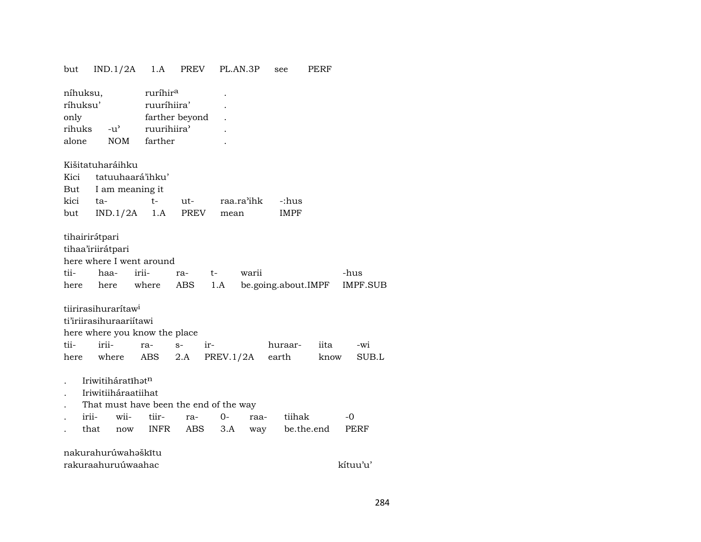| but                                                                                  | IND.1/2A                                                                                                                                                                                                           | 1.A                                                                             | <b>PREV</b>      | PL.AN.3P |       | see                 | PERF       |                         |  |  |  |  |
|--------------------------------------------------------------------------------------|--------------------------------------------------------------------------------------------------------------------------------------------------------------------------------------------------------------------|---------------------------------------------------------------------------------|------------------|----------|-------|---------------------|------------|-------------------------|--|--|--|--|
| níhuksu,<br>ríhuksu'<br>only<br>rihuks<br>alone                                      | $-u^{\prime}$<br><b>NOM</b>                                                                                                                                                                                        | ruríhir <sup>a</sup><br>ruuríhiira'<br>farther beyond<br>ruurihiira'<br>farther |                  |          |       |                     |            |                         |  |  |  |  |
| Kišitatuharáihku<br>tatuuhaará'ihku'<br>Kici<br>But<br>I am meaning it<br>raa.ra'ihk |                                                                                                                                                                                                                    |                                                                                 |                  |          |       |                     |            |                         |  |  |  |  |
| kici                                                                                 | ta-                                                                                                                                                                                                                | $t-$                                                                            | ut-              |          |       | -:hus               |            |                         |  |  |  |  |
| but                                                                                  | IND.1/2A                                                                                                                                                                                                           | 1.A                                                                             | PREV             | mean     |       | <b>IMPF</b>         |            |                         |  |  |  |  |
| tii-<br>here                                                                         | tihairirátpari<br>tihaa'iriirátpari<br>here where I went around<br>haa-<br>here                                                                                                                                    | irii-<br>where                                                                  | t-<br>ra-<br>ABS | 1.A      | warii | be.going.about.IMPF |            | -hus<br><b>IMPF.SUB</b> |  |  |  |  |
|                                                                                      | tiirirasihurarítaw <sup>i</sup>                                                                                                                                                                                    |                                                                                 |                  |          |       |                     |            |                         |  |  |  |  |
|                                                                                      | ti'iriirasihuraariitawi                                                                                                                                                                                            |                                                                                 |                  |          |       |                     |            |                         |  |  |  |  |
| tii-                                                                                 | here where you know the place<br>irii-                                                                                                                                                                             | $S-$<br>ra-                                                                     | ir-              |          |       | huraar-             | iita       | -wi                     |  |  |  |  |
| here                                                                                 |                                                                                                                                                                                                                    |                                                                                 |                  |          |       |                     |            |                         |  |  |  |  |
|                                                                                      | PREV.1/2A<br>where<br>ABS<br>2.A<br>earth<br>SUB.L<br>know<br>Iriwitiháratíhatn<br>Iriwitiiháraatiihat<br>That must have been the end of the way<br>irii-<br>wii-<br>tiir-<br>$O -$<br>tiihak<br>-0<br>ra-<br>raa- |                                                                                 |                  |          |       |                     |            |                         |  |  |  |  |
|                                                                                      | that<br>now                                                                                                                                                                                                        | INFR                                                                            | <b>ABS</b>       | 3.A      | way   |                     | be.the.end | PERF                    |  |  |  |  |
|                                                                                      | nakurahurúwahəškītu                                                                                                                                                                                                |                                                                                 |                  |          |       |                     |            |                         |  |  |  |  |

| rakuraahuruúwaahac | kítuu'u' |
|--------------------|----------|
|--------------------|----------|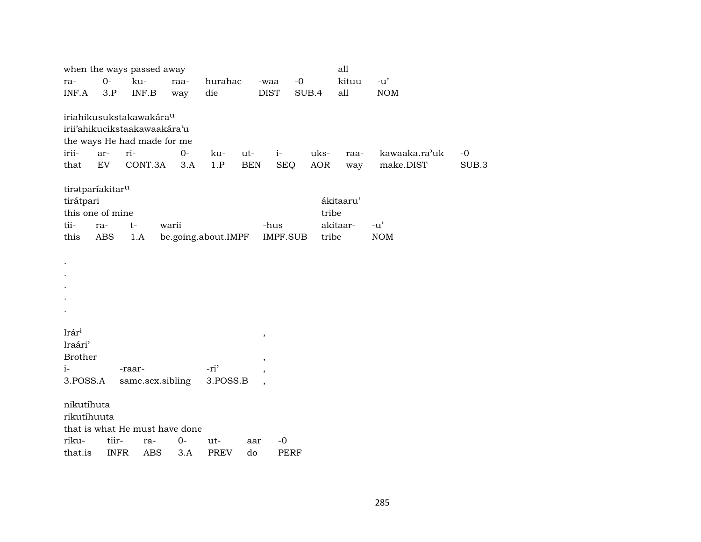|                              |       | when the ways passed away           |       |                     |            |                          |             | all        |           |               |       |
|------------------------------|-------|-------------------------------------|-------|---------------------|------------|--------------------------|-------------|------------|-----------|---------------|-------|
| ra-                          | $0-$  | ku-                                 | raa-  | hurahac             |            | -waa                     | $-0$        |            | kituu     | $-u'$         |       |
| INF.A                        | 3.P   | INF.B                               | way   | die                 |            | <b>DIST</b>              | SUB.4       |            | all       | <b>NOM</b>    |       |
|                              |       |                                     |       |                     |            |                          |             |            |           |               |       |
|                              |       | iriahikusukstakawakára <sup>u</sup> |       |                     |            |                          |             |            |           |               |       |
|                              |       | irii'ahikucikstaakawaakára'u        |       |                     |            |                          |             |            |           |               |       |
|                              |       | the ways He had made for me         |       |                     |            |                          |             |            |           |               |       |
| irii-                        | ar-   | ri-                                 | $0-$  | ku-                 | ut-        | $i-$                     |             | uks-       | raa-      | kawaaka.ra'uk | $-0$  |
| that                         | EV    | CONT.3A                             | 3.A   | 1.P                 | <b>BEN</b> | <b>SEQ</b>               |             | <b>AOR</b> | way       | make.DIST     | SUB.3 |
| tiratparíakitar <sup>u</sup> |       |                                     |       |                     |            |                          |             |            |           |               |       |
| tirátpari                    |       |                                     |       |                     |            |                          |             |            | ákitaaru' |               |       |
| this one of mine             |       |                                     |       |                     |            |                          |             | tribe      |           |               |       |
| tii-                         | ra-   | $t-$                                | warii |                     |            | -hus                     |             |            | akitaar-  | $-u'$         |       |
| this                         | ABS   | 1.A                                 |       | be.going.about.IMPF |            | IMPF.SUB                 |             | tribe      |           | <b>NOM</b>    |       |
|                              |       |                                     |       |                     |            |                          |             |            |           |               |       |
|                              |       |                                     |       |                     |            |                          |             |            |           |               |       |
|                              |       |                                     |       |                     |            |                          |             |            |           |               |       |
|                              |       |                                     |       |                     |            |                          |             |            |           |               |       |
|                              |       |                                     |       |                     |            |                          |             |            |           |               |       |
|                              |       |                                     |       |                     |            |                          |             |            |           |               |       |
|                              |       |                                     |       |                     |            |                          |             |            |           |               |       |
| Irári                        |       |                                     |       |                     |            | $^\mathrm{,}$            |             |            |           |               |       |
| Iraári'                      |       |                                     |       |                     |            |                          |             |            |           |               |       |
| <b>Brother</b>               |       |                                     |       |                     |            | $^\mathrm{,}$            |             |            |           |               |       |
| $i-$                         |       | -raar-                              |       | -ri'                |            | $\overline{\phantom{a}}$ |             |            |           |               |       |
| 3.POSS.A                     |       | same.sex.sibling                    |       | 3.POSS.B            |            | $\overline{\phantom{a}}$ |             |            |           |               |       |
| nikutíhuta                   |       |                                     |       |                     |            |                          |             |            |           |               |       |
| rikutíhuuta                  |       |                                     |       |                     |            |                          |             |            |           |               |       |
|                              |       | that is what He must have done      |       |                     |            |                          |             |            |           |               |       |
| riku-                        | tiir- | ra-                                 | $0-$  | ut-                 | aar        | $-0$                     |             |            |           |               |       |
| that.is —                    |       | INFR ABS 3.A                        |       | <b>PREV</b>         | do         |                          | <b>PERF</b> |            |           |               |       |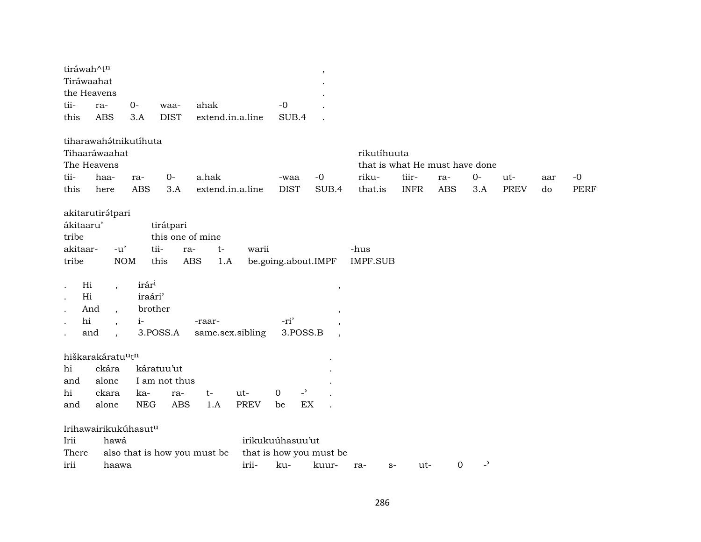| tiráwah^tn |                               |                   |                     |                              |                  |                               | $\cdot$                  |                                |             |             |                          |             |     |             |
|------------|-------------------------------|-------------------|---------------------|------------------------------|------------------|-------------------------------|--------------------------|--------------------------------|-------------|-------------|--------------------------|-------------|-----|-------------|
| Tiráwaahat |                               |                   |                     |                              |                  |                               |                          |                                |             |             |                          |             |     |             |
| tii-       | the Heavens                   | $0-$              |                     | ahak                         |                  | $-0$                          |                          |                                |             |             |                          |             |     |             |
|            | ra-<br><b>ABS</b>             |                   | waa-<br><b>DIST</b> |                              |                  |                               |                          |                                |             |             |                          |             |     |             |
| this       |                               | 3.A               |                     |                              | extend.in.a.line | SUB.4                         |                          |                                |             |             |                          |             |     |             |
|            | tiharawahátnikutíhuta         |                   |                     |                              |                  |                               |                          |                                |             |             |                          |             |     |             |
|            | Tihaaráwaahat                 |                   |                     |                              |                  |                               |                          | rikutíhuuta                    |             |             |                          |             |     |             |
|            | The Heavens                   |                   |                     |                              |                  |                               |                          | that is what He must have done |             |             |                          |             |     |             |
| tii-       | haa-                          | ra-               | $0-$                | a.hak                        |                  | -waa                          | $-0$                     | riku-                          | tiir-       | ra-         | $0-$                     | ut-         | aar | $-0$        |
| this       | here                          | ABS               | 3.A                 |                              | extend.in.a.line | <b>DIST</b>                   | SUB.4                    | that.is                        | <b>INFR</b> | <b>ABS</b>  | 3.A                      | <b>PREV</b> | do  | <b>PERF</b> |
|            | akitarutirátpari              |                   |                     |                              |                  |                               |                          |                                |             |             |                          |             |     |             |
| ákitaaru'  |                               |                   | tirátpari           |                              |                  |                               |                          |                                |             |             |                          |             |     |             |
| tribe      |                               |                   | this one of mine    |                              |                  |                               |                          |                                |             |             |                          |             |     |             |
| akitaar-   | $-u'$                         |                   | tii-                | $t-$<br>ra-                  | warii            |                               |                          | -hus                           |             |             |                          |             |     |             |
| tribe      |                               | $\rm{NOM}$        | this                | <b>ABS</b><br>1.A            |                  | be.going.about.IMPF           |                          | <b>IMPF.SUB</b>                |             |             |                          |             |     |             |
|            |                               |                   |                     |                              |                  |                               |                          |                                |             |             |                          |             |     |             |
| Hi         |                               | irár <sup>i</sup> |                     |                              |                  |                               |                          |                                |             |             |                          |             |     |             |
| Hi         | $\cdot$                       | iraári'           |                     |                              |                  |                               | $\overline{\phantom{a}}$ |                                |             |             |                          |             |     |             |
|            | And                           | brother           |                     |                              |                  |                               |                          |                                |             |             |                          |             |     |             |
| hi         | $\ddot{\phantom{1}}$          | $i-$              |                     | -raar-                       |                  | -ri'                          |                          |                                |             |             |                          |             |     |             |
|            | and                           |                   | 3.POSS.A            |                              | same.sex.sibling | 3.POSS.B                      |                          |                                |             |             |                          |             |     |             |
|            |                               |                   |                     |                              |                  |                               |                          |                                |             |             |                          |             |     |             |
|            | hiškarakáratu <sup>u</sup> tn |                   |                     |                              |                  |                               |                          |                                |             |             |                          |             |     |             |
| hi         | ckára                         |                   | káratuu'ut          |                              |                  |                               |                          |                                |             |             |                          |             |     |             |
| and        | alone                         |                   | I am not thus       |                              |                  |                               |                          |                                |             |             |                          |             |     |             |
| hi         | ckara                         | ka-               | ra-                 | $t-$                         | ut-              | $\overline{a}$<br>$\mathbf 0$ |                          |                                |             |             |                          |             |     |             |
| and        | alone                         | <b>NEG</b>        | <b>ABS</b>          | 1.A                          | <b>PREV</b>      | be                            | EX                       |                                |             |             |                          |             |     |             |
|            | Irihawairikukúhasutu          |                   |                     |                              |                  |                               |                          |                                |             |             |                          |             |     |             |
| Irii       | hawá                          |                   |                     |                              |                  | irikukuúhasuu'ut              |                          |                                |             |             |                          |             |     |             |
| There      |                               |                   |                     | also that is how you must be |                  |                               | that is how you must be  |                                |             |             |                          |             |     |             |
| irii       | haawa                         |                   |                     |                              | irii-            | ku-                           | kuur-                    | ra-<br>$S-$                    | ut-         | $\mathbf 0$ | $\overline{\phantom{a}}$ |             |     |             |
|            |                               |                   |                     |                              |                  |                               |                          |                                |             |             |                          |             |     |             |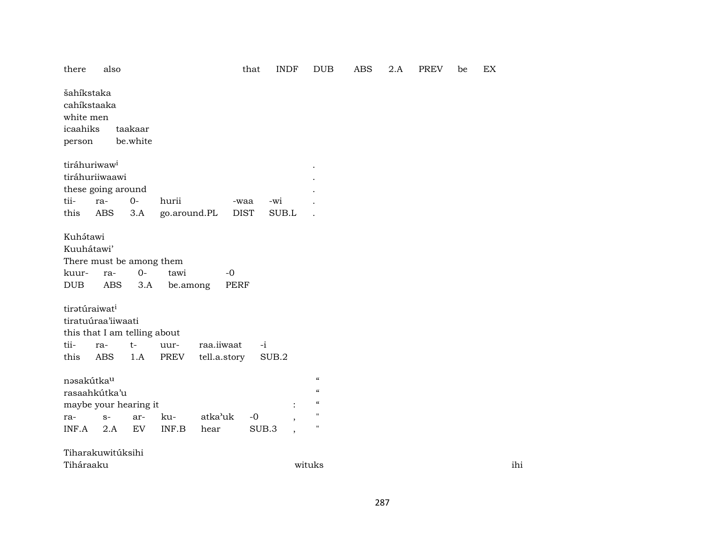| there                                         | also                                                                                                                             |                     |                                                     |                     | that        | <b>INDF</b>              | <b>DUB</b>                                           | <b>ABS</b> | 2.A | <b>PREV</b> | be | EX  |
|-----------------------------------------------|----------------------------------------------------------------------------------------------------------------------------------|---------------------|-----------------------------------------------------|---------------------|-------------|--------------------------|------------------------------------------------------|------------|-----|-------------|----|-----|
| šahíkstaka<br>white men<br>icaahiks<br>person | cahíkstaaka                                                                                                                      | taakaar<br>be.white |                                                     |                     |             |                          |                                                      |            |     |             |    |     |
|                                               | tiráhuriwaw <sup>i</sup><br>tiráhuriiwaawi                                                                                       |                     |                                                     |                     |             |                          |                                                      |            |     |             |    |     |
| tii-                                          | these going around<br>ra-                                                                                                        | $0-$                | hurii                                               |                     | -waa        | -wi                      |                                                      |            |     |             |    |     |
| this                                          | ABS                                                                                                                              | 3.A                 | go.around.PL                                        |                     | <b>DIST</b> | SUB.L                    |                                                      |            |     |             |    |     |
| kuur-<br><b>DUB</b>                           | There must be among them<br>ra-<br><b>ABS</b><br>tiratúraiwat <sup>i</sup><br>tiratuúraa'iiwaati<br>this that I am telling about | $0-$<br>3.A         | tawi<br>be.among                                    | $-0$<br><b>PERF</b> |             |                          |                                                      |            |     |             |    |     |
| tii-                                          | ra-                                                                                                                              | $t-$                | uur-                                                | raa.iiwaat          | $-i$        |                          |                                                      |            |     |             |    |     |
| this                                          | <b>ABS</b>                                                                                                                       | 1.A                 | PREV                                                | tell.a.story        |             | SUB.2                    |                                                      |            |     |             |    |     |
| nəsakútka <sup>u</sup>                        | rasaahkútka'u<br>maybe your hearing it                                                                                           |                     |                                                     |                     |             |                          | $\epsilon$<br>$\epsilon$<br>$\mathcal{C}\mathcal{C}$ |            |     |             |    |     |
| ra-                                           | $S-$                                                                                                                             | ar-                 | ku-                                                 | atka'uk             | $-0$        |                          | $\mathbf{H}$                                         |            |     |             |    |     |
| INF.A                                         | 2.A                                                                                                                              | ${\rm EV}$          | $\ensuremath{\mathsf{INF}}.\ensuremath{\mathsf{B}}$ | hear                | SUB.3       | $\overline{\phantom{a}}$ | $\pmb{\mathsf{H}}$                                   |            |     |             |    |     |
|                                               | Tiharakuwitúksihi                                                                                                                |                     |                                                     |                     |             |                          |                                                      |            |     |             |    |     |
| Tiháraaku                                     |                                                                                                                                  |                     |                                                     |                     |             |                          | wituks                                               |            |     |             |    | ihi |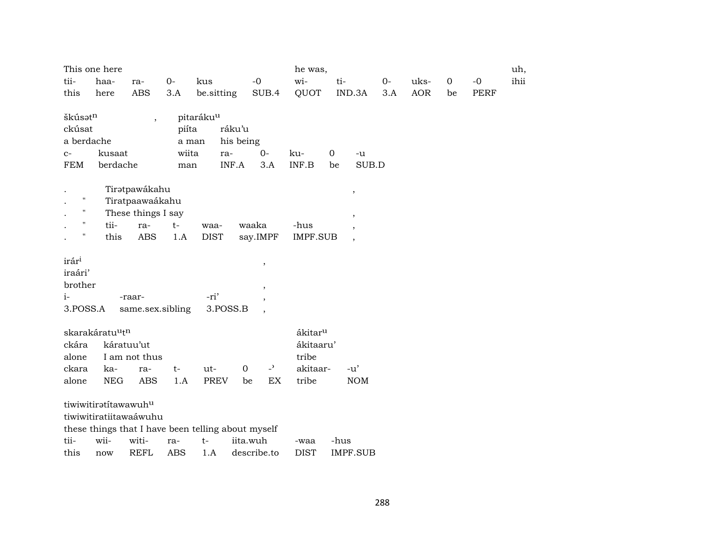| This one here                                      |            |                    |            |                       |             |                            | he was,             |                |                          |     |            |    |             | uh,  |
|----------------------------------------------------|------------|--------------------|------------|-----------------------|-------------|----------------------------|---------------------|----------------|--------------------------|-----|------------|----|-------------|------|
| tii-                                               | haa-       | ra-                | $O -$      | kus                   |             | $-0$                       | wi-                 | ti-<br>$O -$   |                          |     |            |    | $-0$        | ihii |
| this                                               | here       | ABS                | 3.A        | be.sitting            |             | SUB.4                      | QUOT                |                | IND.3A                   | 3.A | <b>AOR</b> | be | <b>PERF</b> |      |
|                                                    |            |                    |            |                       |             |                            |                     |                |                          |     |            |    |             |      |
| škúsatn                                            |            | $\overline{ }$     |            | pitaráku <sup>u</sup> |             |                            |                     |                |                          |     |            |    |             |      |
| ckúsat                                             |            |                    | piíta      |                       | ráku'u      |                            |                     |                |                          |     |            |    |             |      |
| a berdache                                         |            |                    | a man      |                       | his being   |                            |                     |                |                          |     |            |    |             |      |
| $C-$                                               | kusaat     |                    | wiita      |                       | ra-         | $0-$                       | ku-                 | $\overline{0}$ | $-u$                     |     |            |    |             |      |
| <b>FEM</b>                                         | berdache   |                    | man        |                       | INF.A       | 3.A                        | INF.B               | be             | SUB.D                    |     |            |    |             |      |
|                                                    |            | Tiratpawákahu      |            |                       |             |                            |                     |                |                          |     |            |    |             |      |
|                                                    |            | Tiratpaawaákahu    |            |                       |             |                            |                     |                | $\,$                     |     |            |    |             |      |
|                                                    |            | These things I say |            |                       |             |                            |                     |                |                          |     |            |    |             |      |
| $\pmb{\mathsf{H}}$                                 | tii-       | ra-                | $t-$       | waa-                  |             | waaka                      | -hus                |                | $\overline{\phantom{a}}$ |     |            |    |             |      |
| $\pmb{\pi}$                                        | this       | <b>ABS</b>         | 1.A        | <b>DIST</b>           |             | say.IMPF                   | <b>IMPF.SUB</b>     |                | $\overline{\phantom{a}}$ |     |            |    |             |      |
|                                                    |            |                    |            |                       |             |                            |                     |                |                          |     |            |    |             |      |
| irár <sup>i</sup>                                  |            |                    |            |                       |             | $\, ,$                     |                     |                |                          |     |            |    |             |      |
| iraári'                                            |            |                    |            |                       |             |                            |                     |                |                          |     |            |    |             |      |
| brother                                            |            |                    |            |                       |             | $\overline{\phantom{a}}$   |                     |                |                          |     |            |    |             |      |
| $i-$                                               |            | -raar-             |            | -ri'                  |             |                            |                     |                |                          |     |            |    |             |      |
| 3.POSS.A                                           |            | same.sex.sibling   |            |                       | 3.POSS.B    |                            |                     |                |                          |     |            |    |             |      |
|                                                    |            |                    |            |                       |             |                            |                     |                |                          |     |            |    |             |      |
| skarakáratu <sup>u</sup> tn                        |            |                    |            |                       |             |                            | ákitar <sup>u</sup> |                |                          |     |            |    |             |      |
| ckára                                              | káratuu'ut |                    |            |                       |             |                            | ákitaaru'           |                |                          |     |            |    |             |      |
| alone                                              |            | I am not thus      |            |                       |             |                            | tribe               |                |                          |     |            |    |             |      |
| ckara                                              | ka-        | ra-                | $t-$       | ut-<br><b>PREV</b>    | $\mathbf 0$ | $\overline{\phantom{a}}$   | akitaar-            |                | $-u'$                    |     |            |    |             |      |
| alone                                              | <b>NEG</b> | <b>ABS</b>         | 1.A        |                       | be          | $\mathop{\rm EX}\nolimits$ | tribe               |                | <b>NOM</b>               |     |            |    |             |      |
| tiwiwitiratitawawuhu                               |            |                    |            |                       |             |                            |                     |                |                          |     |            |    |             |      |
| tiwiwitiratiitawaáwuhu                             |            |                    |            |                       |             |                            |                     |                |                          |     |            |    |             |      |
| these things that I have been telling about myself |            |                    |            |                       |             |                            |                     |                |                          |     |            |    |             |      |
| tii-                                               | wii-       | witi-              | ra-        | $t-$                  | iita.wuh    |                            | -waa                | -hus           |                          |     |            |    |             |      |
| this                                               | now        | <b>REFL</b>        | <b>ABS</b> | 1.A                   |             | describe.to                | <b>DIST</b>         |                | <b>IMPF.SUB</b>          |     |            |    |             |      |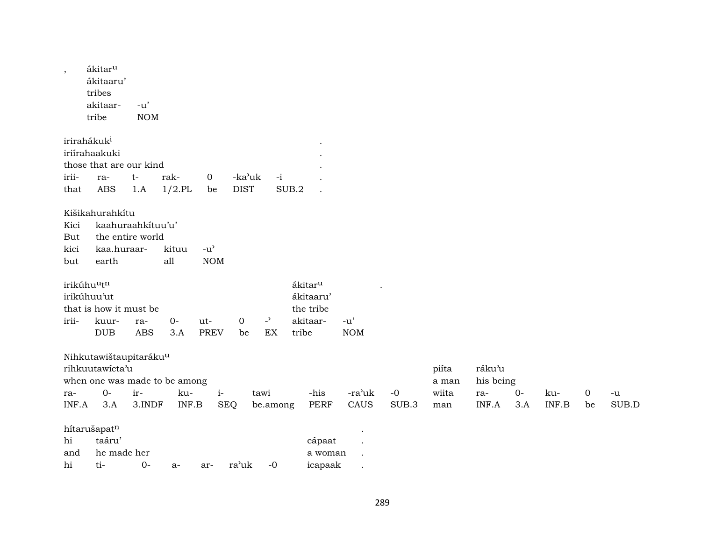| $\,$  | ákitar <sup>u</sup><br>ákitaaru'<br>tribes<br>akitaar-<br>tribe | $-u'$<br>$\rm{NOM}$ |           |                                     |             |                |                     |            |       |       |           |      |       |                  |       |
|-------|-----------------------------------------------------------------|---------------------|-----------|-------------------------------------|-------------|----------------|---------------------|------------|-------|-------|-----------|------|-------|------------------|-------|
|       | irirahákuk <sup>i</sup>                                         |                     |           |                                     |             |                |                     |            |       |       |           |      |       |                  |       |
|       | iriírahaakuki                                                   |                     |           |                                     |             |                |                     |            |       |       |           |      |       |                  |       |
|       | those that are our kind                                         |                     |           |                                     |             |                |                     |            |       |       |           |      |       |                  |       |
| irii- | ra-                                                             | $t-$                | rak-      | 0                                   | -ka'uk      | $-i$           |                     |            |       |       |           |      |       |                  |       |
| that  | <b>ABS</b>                                                      | 1.A                 | $1/2$ .PL | be                                  | <b>DIST</b> |                | SUB.2               |            |       |       |           |      |       |                  |       |
|       | Kišikahurahkítu                                                 |                     |           |                                     |             |                |                     |            |       |       |           |      |       |                  |       |
| Kici  | kaahuraahkituu'u'                                               |                     |           |                                     |             |                |                     |            |       |       |           |      |       |                  |       |
| But   | the entire world                                                |                     |           |                                     |             |                |                     |            |       |       |           |      |       |                  |       |
| kici  | kaa.huraar-                                                     |                     | kituu     | $-u$ <sup><math>\prime</math></sup> |             |                |                     |            |       |       |           |      |       |                  |       |
| but   | earth                                                           |                     | all       | $\rm{NOM}$                          |             |                |                     |            |       |       |           |      |       |                  |       |
|       | irikúhuutn                                                      |                     |           |                                     |             |                | ákitar <sup>u</sup> |            |       |       |           |      |       |                  |       |
|       | irikúhuu'ut                                                     |                     |           |                                     |             |                | ákitaaru'           |            |       |       |           |      |       |                  |       |
|       | that is how it must be                                          |                     |           |                                     |             |                | the tribe           |            |       |       |           |      |       |                  |       |
| irii- | kuur-                                                           | ra-                 | $O -$     | ut-                                 | $\mathbf 0$ | $\overline{a}$ | akitaar-            | $-u'$      |       |       |           |      |       |                  |       |
|       | DUB                                                             | <b>ABS</b>          | 3.A       | <b>PREV</b>                         | be          | EX             | tribe               | <b>NOM</b> |       |       |           |      |       |                  |       |
|       | Nihkutawištaupitarákuu                                          |                     |           |                                     |             |                |                     |            |       |       |           |      |       |                  |       |
|       | rihkuutawicta'u                                                 |                     |           |                                     |             |                |                     |            |       | piíta | ráku'u    |      |       |                  |       |
|       | when one was made to be among                                   |                     |           |                                     |             |                |                     |            |       | a man | his being |      |       |                  |       |
| ra-   | $0-$                                                            | ir-                 | ku-       | $\it i$ -                           |             | tawi           | -his                | -ra'uk     | $-0$  | wiita | ra-       | $0-$ | ku-   | $\boldsymbol{0}$ | -u    |
| INF.A | 3.A                                                             | 3.INDF              | INF.B     |                                     | <b>SEQ</b>  | be.among       | <b>PERF</b>         | CAUS       | SUB.3 | man   | INF.A     | 3.A  | INF.B | be               | SUB.D |
|       | hítarušapatn                                                    |                     |           |                                     |             |                |                     |            |       |       |           |      |       |                  |       |
| hi    | taáru'                                                          |                     |           |                                     |             |                | cápaat              |            |       |       |           |      |       |                  |       |
| and   | he made her                                                     |                     |           |                                     |             |                | a woman             |            |       |       |           |      |       |                  |       |
| hi    | ti-                                                             | $0-$                | $a-$      | ar-                                 | ra'uk       | $-0$           | icapaak             |            |       |       |           |      |       |                  |       |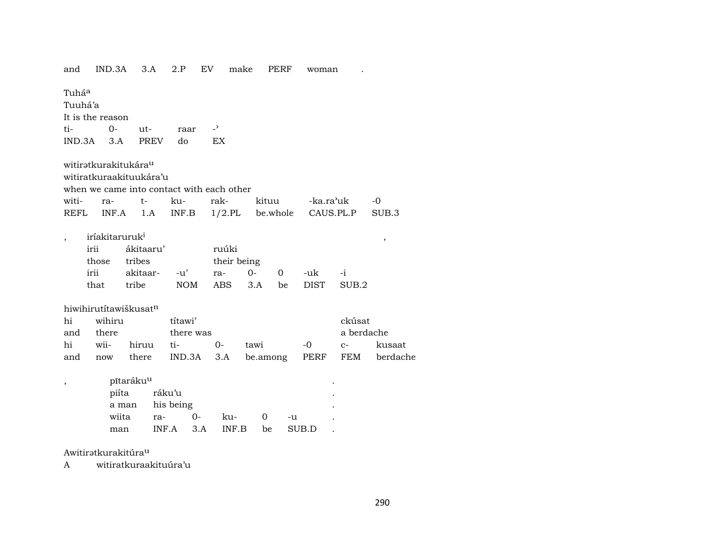| and               | IND.3A     |                                                                  |                                                                                                                                | 2.P                                                                                                                                                                                        | EV                                                                      | make                                                     |                                                                                                              | PERF                                | woman                               |                                                           |                                                                                        |
|-------------------|------------|------------------------------------------------------------------|--------------------------------------------------------------------------------------------------------------------------------|--------------------------------------------------------------------------------------------------------------------------------------------------------------------------------------------|-------------------------------------------------------------------------|----------------------------------------------------------|--------------------------------------------------------------------------------------------------------------|-------------------------------------|-------------------------------------|-----------------------------------------------------------|----------------------------------------------------------------------------------------|
| Tuhá <sup>a</sup> |            |                                                                  |                                                                                                                                |                                                                                                                                                                                            |                                                                         |                                                          |                                                                                                              |                                     |                                     |                                                           |                                                                                        |
|                   |            |                                                                  |                                                                                                                                |                                                                                                                                                                                            |                                                                         |                                                          |                                                                                                              |                                     |                                     |                                                           |                                                                                        |
|                   |            |                                                                  |                                                                                                                                |                                                                                                                                                                                            |                                                                         |                                                          |                                                                                                              |                                     |                                     |                                                           |                                                                                        |
|                   | 0-         |                                                                  |                                                                                                                                | raar                                                                                                                                                                                       | $\overline{a}$                                                          |                                                          |                                                                                                              |                                     |                                     |                                                           |                                                                                        |
|                   |            |                                                                  |                                                                                                                                | do                                                                                                                                                                                         |                                                                         |                                                          |                                                                                                              |                                     |                                     |                                                           |                                                                                        |
|                   |            |                                                                  |                                                                                                                                |                                                                                                                                                                                            |                                                                         |                                                          |                                                                                                              |                                     |                                     |                                                           |                                                                                        |
|                   |            |                                                                  |                                                                                                                                |                                                                                                                                                                                            |                                                                         |                                                          |                                                                                                              |                                     |                                     |                                                           |                                                                                        |
|                   |            |                                                                  |                                                                                                                                |                                                                                                                                                                                            |                                                                         |                                                          |                                                                                                              |                                     |                                     |                                                           |                                                                                        |
|                   |            |                                                                  |                                                                                                                                |                                                                                                                                                                                            |                                                                         |                                                          |                                                                                                              |                                     |                                     |                                                           |                                                                                        |
| witi-             | ra-        | $t-$                                                             |                                                                                                                                |                                                                                                                                                                                            |                                                                         |                                                          |                                                                                                              |                                     |                                     |                                                           | $-0$                                                                                   |
| REFL              |            |                                                                  |                                                                                                                                |                                                                                                                                                                                            |                                                                         |                                                          |                                                                                                              |                                     |                                     |                                                           | SUB.3                                                                                  |
|                   |            |                                                                  |                                                                                                                                |                                                                                                                                                                                            |                                                                         |                                                          |                                                                                                              |                                     |                                     |                                                           |                                                                                        |
|                   |            |                                                                  |                                                                                                                                |                                                                                                                                                                                            |                                                                         |                                                          |                                                                                                              |                                     |                                     |                                                           | $\,$                                                                                   |
|                   |            |                                                                  |                                                                                                                                |                                                                                                                                                                                            |                                                                         |                                                          |                                                                                                              |                                     |                                     |                                                           |                                                                                        |
|                   |            |                                                                  |                                                                                                                                |                                                                                                                                                                                            |                                                                         |                                                          |                                                                                                              |                                     |                                     |                                                           |                                                                                        |
|                   |            |                                                                  |                                                                                                                                |                                                                                                                                                                                            |                                                                         |                                                          |                                                                                                              |                                     |                                     |                                                           |                                                                                        |
|                   |            |                                                                  |                                                                                                                                |                                                                                                                                                                                            |                                                                         |                                                          |                                                                                                              |                                     |                                     |                                                           |                                                                                        |
|                   |            |                                                                  |                                                                                                                                |                                                                                                                                                                                            |                                                                         |                                                          |                                                                                                              |                                     |                                     |                                                           |                                                                                        |
|                   |            |                                                                  |                                                                                                                                |                                                                                                                                                                                            |                                                                         |                                                          |                                                                                                              |                                     |                                     |                                                           |                                                                                        |
|                   |            |                                                                  |                                                                                                                                |                                                                                                                                                                                            |                                                                         |                                                          |                                                                                                              |                                     |                                     |                                                           |                                                                                        |
|                   |            |                                                                  |                                                                                                                                |                                                                                                                                                                                            |                                                                         |                                                          |                                                                                                              |                                     |                                     |                                                           | kusaat                                                                                 |
|                   |            |                                                                  |                                                                                                                                |                                                                                                                                                                                            |                                                                         |                                                          |                                                                                                              |                                     |                                     |                                                           | berdache                                                                               |
|                   |            |                                                                  |                                                                                                                                |                                                                                                                                                                                            |                                                                         |                                                          |                                                                                                              |                                     |                                     |                                                           |                                                                                        |
|                   |            |                                                                  |                                                                                                                                |                                                                                                                                                                                            |                                                                         |                                                          |                                                                                                              |                                     |                                     |                                                           |                                                                                        |
|                   |            |                                                                  |                                                                                                                                |                                                                                                                                                                                            |                                                                         |                                                          |                                                                                                              |                                     |                                     |                                                           |                                                                                        |
|                   |            |                                                                  |                                                                                                                                |                                                                                                                                                                                            |                                                                         |                                                          |                                                                                                              |                                     |                                     |                                                           |                                                                                        |
|                   |            |                                                                  | ra-                                                                                                                            |                                                                                                                                                                                            |                                                                         |                                                          | 0                                                                                                            | -u                                  |                                     |                                                           |                                                                                        |
|                   |            |                                                                  |                                                                                                                                |                                                                                                                                                                                            |                                                                         |                                                          | be                                                                                                           |                                     |                                     |                                                           |                                                                                        |
|                   | and<br>and | Tuuhá'a<br>irii<br>those<br>irii<br>that<br>there<br>wii-<br>now | It is the reason<br>$IND.3A$ $3.A$<br>INF.A<br>iríakitaruruk <sup>i</sup><br>tribe<br>wihiru<br>piíta<br>a man<br>wiita<br>man | 3.A<br>ut-<br><b>PREV</b><br>witirətkurakitukára <sup>u</sup><br>witiratkuraakituukára'u<br>1.A<br>ákitaaru'<br>tribes<br>akitaar-<br>hiwihirutítawiškusatn<br>hiruu<br>there<br>pītarákuu | ku-<br>INF.B<br>$-u'$<br>títawi'<br>ti-<br>ráku'u<br>his being<br>INF.A | <b>NOM</b><br>there was<br>$0-$<br>IND.3A<br>$0-$<br>3.A | <b>EX</b><br>when we came into contact with each other<br>rak-<br>ruúki<br>ra-<br>ABS<br>3.A<br>ku-<br>INF.B | their being<br>$O -$<br>3.A<br>tawi | kituu<br>$\Omega$<br>be<br>be.among | $1/2$ .PL be.whole<br>-uk<br><b>DIST</b><br>$-0$<br>SUB.D | -ka.ra'uk<br>CAUS.PL.P<br>$-i$<br>SUB.2<br>ckúsat<br>a berdache<br>$C-$<br>PERF<br>FEM |

Awitiratkurakitúra<sup>u</sup>

witiratkuraakituúra'u  $\mathbf{A}$